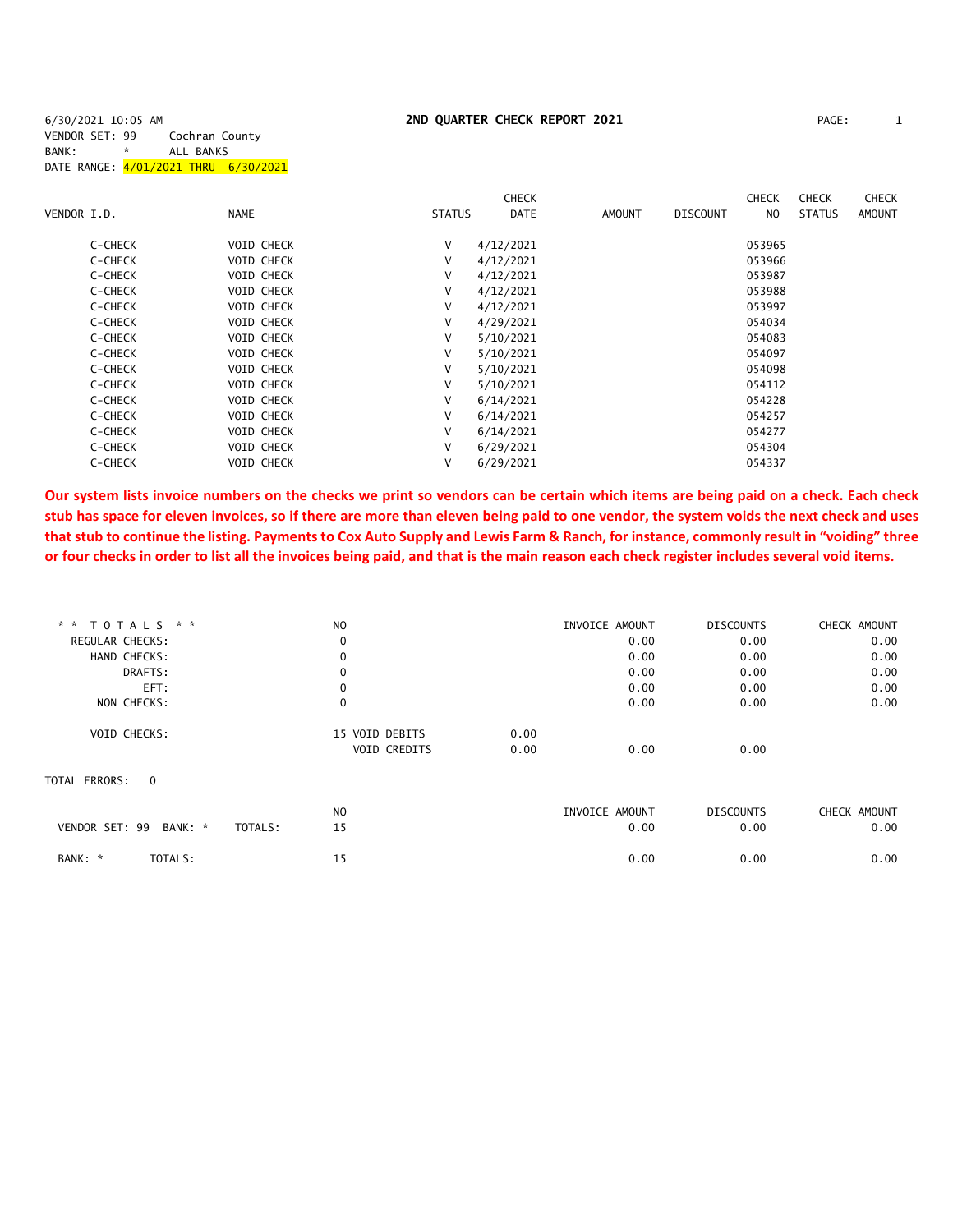# 2ND QUARTER CHECK REPORT 2021 **PAGE:** 1

| 6/30/2021 10:05 AM                   |   |                |  |
|--------------------------------------|---|----------------|--|
| VENDOR SET: 99                       |   | Cochran County |  |
| BANK:                                | * | ALL BANKS      |  |
| DATE RANGE: 4/01/2021 THRU 6/30/2021 |   |                |  |

|             |         |             |                   |               | <b>CHECK</b> |               |                 | <b>CHECK</b> | <b>CHECK</b>  | <b>CHECK</b> |
|-------------|---------|-------------|-------------------|---------------|--------------|---------------|-----------------|--------------|---------------|--------------|
| VENDOR I.D. |         | <b>NAME</b> |                   | <b>STATUS</b> | <b>DATE</b>  | <b>AMOUNT</b> | <b>DISCOUNT</b> | NO           | <b>STATUS</b> | AMOUNT       |
|             | C-CHECK |             | <b>VOID CHECK</b> | V             | 4/12/2021    |               |                 | 053965       |               |              |
|             | C-CHECK |             | <b>VOID CHECK</b> | V             | 4/12/2021    |               |                 | 053966       |               |              |
|             | C-CHECK |             | <b>VOID CHECK</b> | V             | 4/12/2021    |               |                 | 053987       |               |              |
|             | C-CHECK |             | <b>VOID CHECK</b> | V             | 4/12/2021    |               |                 | 053988       |               |              |
|             | C-CHECK |             | VOID CHECK        | V             | 4/12/2021    |               |                 | 053997       |               |              |
|             | C-CHECK |             | <b>VOID CHECK</b> | V             | 4/29/2021    |               |                 | 054034       |               |              |
|             | C-CHECK |             | <b>VOID CHECK</b> | V             | 5/10/2021    |               |                 | 054083       |               |              |
|             | C-CHECK |             | <b>VOID CHECK</b> | V             | 5/10/2021    |               |                 | 054097       |               |              |
|             | C-CHECK |             | <b>VOID CHECK</b> | V             | 5/10/2021    |               |                 | 054098       |               |              |
|             | C-CHECK |             | <b>VOID CHECK</b> | V             | 5/10/2021    |               |                 | 054112       |               |              |
|             | C-CHECK |             | <b>VOID CHECK</b> | V             | 6/14/2021    |               |                 | 054228       |               |              |
|             | C-CHECK |             | <b>VOID CHECK</b> | V             | 6/14/2021    |               |                 | 054257       |               |              |
|             | C-CHECK |             | <b>VOID CHECK</b> | V             | 6/14/2021    |               |                 | 054277       |               |              |
|             | C-CHECK |             | <b>VOID CHECK</b> | V             | 6/29/2021    |               |                 | 054304       |               |              |
|             | C-CHECK |             | <b>VOID CHECK</b> | V             | 6/29/2021    |               |                 | 054337       |               |              |

**Our system lists invoice numbers on the checks we print so vendors can be certain which items are being paid on a check. Each check stub has space for eleven invoices, so if there are more than eleven being paid to one vendor, the system voids the next check and uses that stub to continue the listing. Payments to Cox Auto Supply and Lewis Farm & Ranch, for instance, commonly result in "voiding" three or four checks in order to list all the invoices being paid, and that is the main reason each check register includes several void items.**

| * * TOTALS * *                       | N <sub>O</sub> |      | INVOICE AMOUNT | <b>DISCOUNTS</b> | CHECK AMOUNT |
|--------------------------------------|----------------|------|----------------|------------------|--------------|
| <b>REGULAR CHECKS:</b>               | 0              |      | 0.00           | 0.00             | 0.00         |
| HAND CHECKS:                         | $\mathbf 0$    |      | 0.00           | 0.00             | 0.00         |
| DRAFTS:                              | 0              |      | 0.00           | 0.00             | 0.00         |
| EFT:                                 | 0              |      | 0.00           | 0.00             | 0.00         |
| NON CHECKS:                          | $\mathbf 0$    |      | 0.00           | 0.00             | 0.00         |
| VOID CHECKS:                         | 15 VOID DEBITS | 0.00 |                |                  |              |
|                                      | VOID CREDITS   | 0.00 | 0.00           | 0.00             |              |
| TOTAL ERRORS:<br>$\Omega$            |                |      |                |                  |              |
|                                      | NO             |      | INVOICE AMOUNT | <b>DISCOUNTS</b> | CHECK AMOUNT |
| VENDOR SET: 99<br>BANK: *<br>TOTALS: | 15             |      | 0.00           | 0.00             | 0.00         |
| TOTALS:                              | 15             |      | 0.00           | 0.00             | 0.00         |
|                                      |                |      |                |                  |              |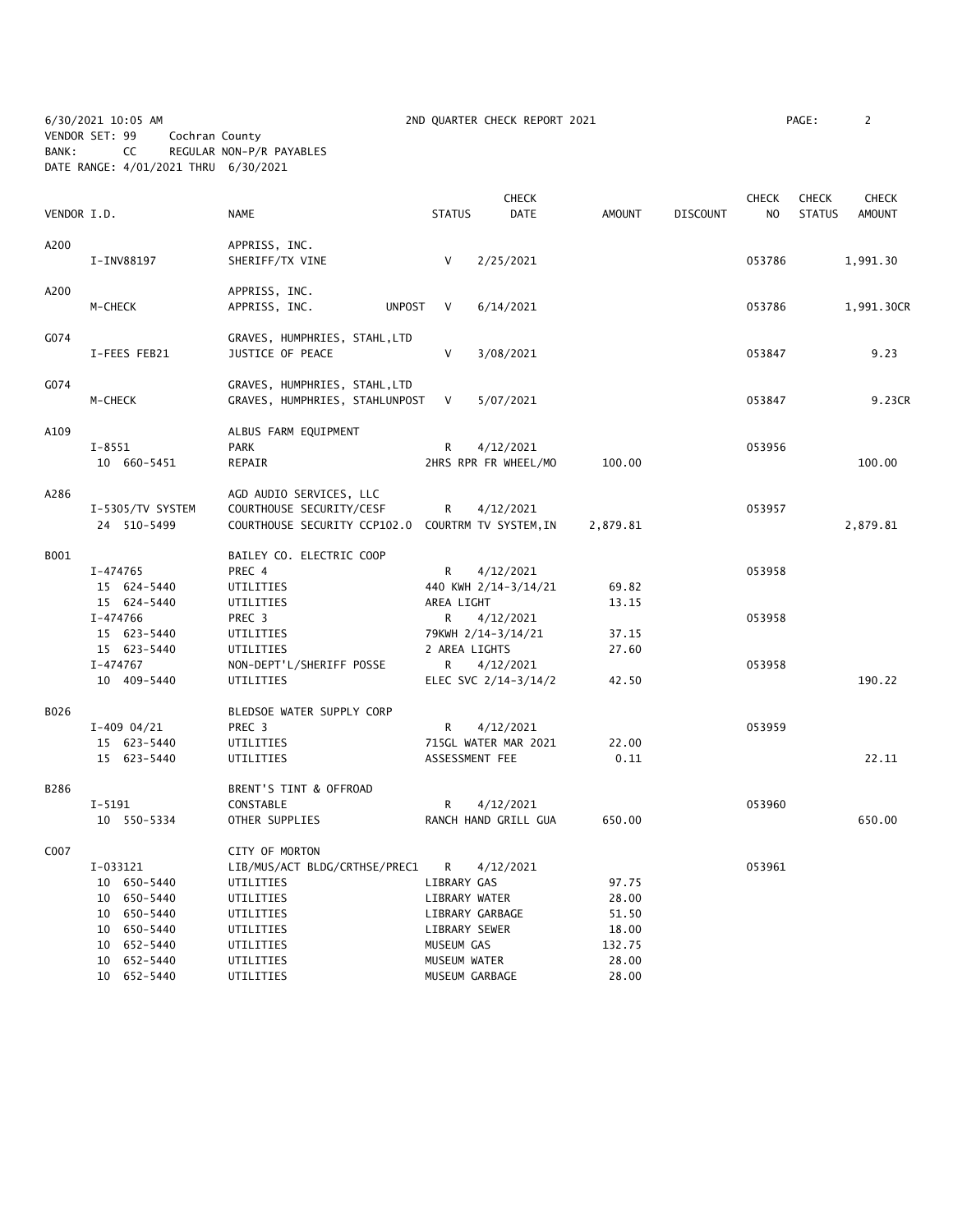6/30/2021 10:05 AM 2ND QUARTER CHECK REPORT 2021 PAGE: 2 VENDOR SET: 99 Cochran County BANK: CC REGULAR NON-P/R PAYABLES DATE RANGE: 4/01/2021 THRU 6/30/2021

| VENDOR I.D. |                                                                      | <b>NAME</b>                                                                                               | <b>STATUS</b>                                      | <b>CHECK</b><br>DATE              | <b>AMOUNT</b>                    | <b>DISCOUNT</b> | <b>CHECK</b><br>N <sub>O</sub> | <b>CHECK</b><br><b>STATUS</b> | <b>CHECK</b><br><b>AMOUNT</b> |
|-------------|----------------------------------------------------------------------|-----------------------------------------------------------------------------------------------------------|----------------------------------------------------|-----------------------------------|----------------------------------|-----------------|--------------------------------|-------------------------------|-------------------------------|
|             |                                                                      |                                                                                                           |                                                    |                                   |                                  |                 |                                |                               |                               |
| A200        | I-INV88197                                                           | APPRISS, INC.<br>SHERIFF/TX VINE                                                                          | $\vee$                                             | 2/25/2021                         |                                  |                 | 053786                         |                               | 1,991.30                      |
| A200        | M-CHECK                                                              | APPRISS, INC.<br>APPRISS, INC.<br><b>UNPOST</b>                                                           | V                                                  | 6/14/2021                         |                                  |                 | 053786                         |                               | 1,991.30CR                    |
| G074        | I-FEES FEB21                                                         | GRAVES, HUMPHRIES, STAHL, LTD<br>JUSTICE OF PEACE                                                         | V                                                  | 3/08/2021                         |                                  |                 | 053847                         |                               | 9.23                          |
| G074        | M-CHECK                                                              | GRAVES, HUMPHRIES, STAHL, LTD<br>GRAVES, HUMPHRIES, STAHLUNPOST                                           | V                                                  | 5/07/2021                         |                                  |                 | 053847                         |                               | 9.23CR                        |
| A109        | $I - 8551$<br>10 660-5451                                            | ALBUS FARM EQUIPMENT<br><b>PARK</b><br>REPAIR                                                             | R                                                  | 4/12/2021<br>2HRS RPR FR WHEEL/MO | 100.00                           |                 | 053956                         |                               | 100.00                        |
| A286        | I-5305/TV SYSTEM<br>24 510-5499                                      | AGD AUDIO SERVICES, LLC<br>COURTHOUSE SECURITY/CESF<br>COURTHOUSE SECURITY CCP102.0 COURTRM TV SYSTEM, IN | R                                                  | 4/12/2021                         | 2,879.81                         |                 | 053957                         |                               | 2,879.81                      |
| B001        | I-474765<br>15 624-5440<br>15 624-5440                               | BAILEY CO. ELECTRIC COOP<br>PREC 4<br>UTILITIES<br>UTILITIES                                              | R<br>AREA LIGHT                                    | 4/12/2021<br>440 KWH 2/14-3/14/21 | 69.82<br>13.15                   |                 | 053958                         |                               |                               |
|             | I-474766<br>15 623-5440<br>15 623-5440                               | PREC 3<br>UTILITIES<br>UTILITIES                                                                          | R<br>2 AREA LIGHTS                                 | 4/12/2021<br>79KWH 2/14-3/14/21   | 37.15<br>27.60                   |                 | 053958                         |                               |                               |
|             | I-474767<br>10 409-5440                                              | NON-DEPT'L/SHERIFF POSSE<br>UTILITIES                                                                     | R                                                  | 4/12/2021<br>ELEC SVC 2/14-3/14/2 | 42.50                            |                 | 053958                         |                               | 190.22                        |
| B026        | $I-409$ 04/21                                                        | BLEDSOE WATER SUPPLY CORP<br>PREC 3                                                                       | R                                                  | 4/12/2021                         | 22.00                            |                 | 053959                         |                               |                               |
|             | 15 623-5440<br>15 623-5440                                           | UTILITIES<br>UTILITIES                                                                                    | ASSESSMENT FEE                                     | 715GL WATER MAR 2021              | 0.11                             |                 |                                |                               | 22.11                         |
| B286        | $I - 5191$                                                           | BRENT'S TINT & OFFROAD<br>CONSTABLE                                                                       | R                                                  | 4/12/2021                         |                                  |                 | 053960                         |                               |                               |
|             | 10 550-5334                                                          | OTHER SUPPLIES                                                                                            |                                                    | RANCH HAND GRILL GUA              | 650.00                           |                 |                                |                               | 650.00                        |
| C007        | I-033121<br>10 650-5440<br>10 650-5440<br>10 650-5440<br>10 650-5440 | CITY OF MORTON<br>LIB/MUS/ACT BLDG/CRTHSE/PREC1<br>UTILITIES<br>UTILITIES<br>UTILITIES<br>UTILITIES       | R<br>LIBRARY GAS<br>LIBRARY WATER<br>LIBRARY SEWER | 4/12/2021<br>LIBRARY GARBAGE      | 97.75<br>28.00<br>51.50<br>18.00 |                 | 053961                         |                               |                               |
|             | 10 652-5440<br>10 652-5440<br>10 652-5440                            | UTILITIES<br>UTILITIES<br>UTILITIES                                                                       | MUSEUM GAS<br>MUSEUM WATER<br>MUSEUM GARBAGE       |                                   | 132.75<br>28.00<br>28.00         |                 |                                |                               |                               |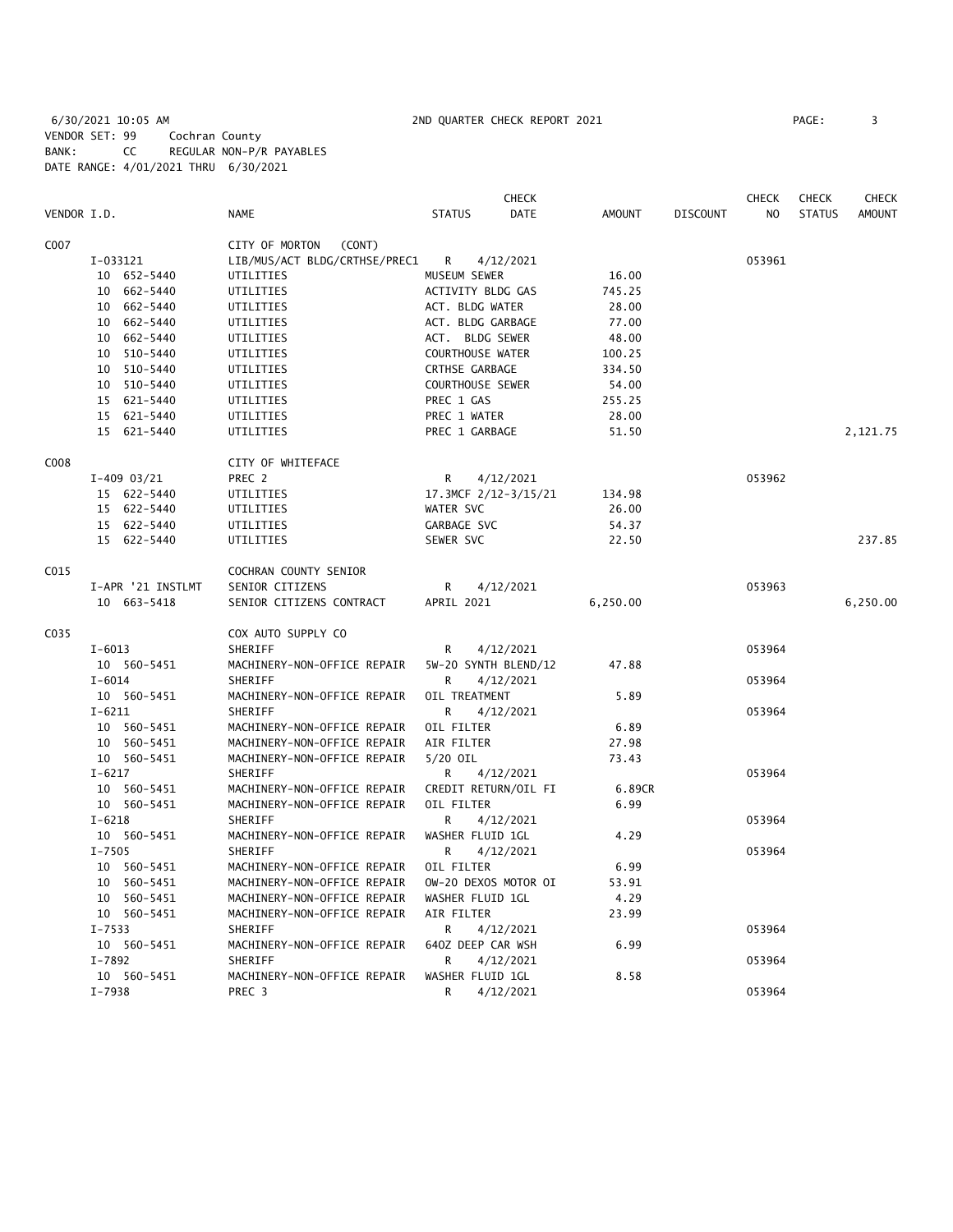6/30/2021 10:05 AM 2ND QUARTER CHECK REPORT 2021 PAGE: 3 VENDOR SET: 99 Cochran County BANK: CC REGULAR NON-P/R PAYABLES DATE RANGE: 4/01/2021 THRU 6/30/2021

|      |                   |                               | CHECK                        |               |                 | CHECK  | <b>CHECK</b>  | <b>CHECK</b>  |
|------|-------------------|-------------------------------|------------------------------|---------------|-----------------|--------|---------------|---------------|
|      | VENDOR I.D.       | <b>NAME</b>                   | <b>STATUS</b><br><b>DATE</b> | <b>AMOUNT</b> | <b>DISCOUNT</b> | NO     | <b>STATUS</b> | <b>AMOUNT</b> |
| C007 |                   | CITY OF MORTON<br>(CONT)      |                              |               |                 |        |               |               |
|      | I-033121          | LIB/MUS/ACT BLDG/CRTHSE/PREC1 | R<br>4/12/2021               |               |                 | 053961 |               |               |
|      | 10 652-5440       | UTILITIES                     | MUSEUM SEWER                 | 16.00         |                 |        |               |               |
|      | 10 662-5440       | UTILITIES                     | ACTIVITY BLDG GAS            | 745.25        |                 |        |               |               |
|      | 10 662-5440       | UTILITIES                     | ACT. BLDG WATER              | 28.00         |                 |        |               |               |
|      | 10 662-5440       | UTILITIES                     | ACT. BLDG GARBAGE            | 77.00         |                 |        |               |               |
|      | 10 662-5440       | UTILITIES                     | ACT. BLDG SEWER              | 48.00         |                 |        |               |               |
|      | 10 510-5440       | UTILITIES                     | COURTHOUSE WATER             | 100.25        |                 |        |               |               |
|      | 10 510-5440       | UTILITIES                     | CRTHSE GARBAGE               | 334.50        |                 |        |               |               |
|      | 10 510-5440       | UTILITIES                     | <b>COURTHOUSE SEWER</b>      | 54.00         |                 |        |               |               |
|      | 15 621-5440       | UTILITIES                     | PREC 1 GAS                   | 255.25        |                 |        |               |               |
|      | 15 621-5440       | UTILITIES                     | PREC 1 WATER                 | 28.00         |                 |        |               |               |
|      | 15 621-5440       | UTILITIES                     | PREC 1 GARBAGE               | 51.50         |                 |        |               | 2,121.75      |
| C008 |                   | CITY OF WHITEFACE             |                              |               |                 |        |               |               |
|      | $I-409$ 03/21     | PREC 2                        | R<br>4/12/2021               |               |                 | 053962 |               |               |
|      | 15 622-5440       | UTILITIES                     | 17.3MCF 2/12-3/15/21         | 134.98        |                 |        |               |               |
|      | 15 622-5440       | UTILITIES                     | WATER SVC                    | 26.00         |                 |        |               |               |
|      | 15 622-5440       | UTILITIES                     | GARBAGE SVC                  | 54.37         |                 |        |               |               |
|      | 15 622-5440       | UTILITIES                     | SEWER SVC                    | 22.50         |                 |        |               | 237.85        |
| C015 |                   | COCHRAN COUNTY SENIOR         |                              |               |                 |        |               |               |
|      | I-APR '21 INSTLMT | SENIOR CITIZENS               | R<br>4/12/2021               |               |                 | 053963 |               |               |
|      | 10 663-5418       | SENIOR CITIZENS CONTRACT      | APRIL 2021                   | 6,250.00      |                 |        |               | 6,250.00      |
| C035 |                   | COX AUTO SUPPLY CO            |                              |               |                 |        |               |               |
|      | $I - 6013$        | SHERIFF                       | 4/12/2021<br>R               |               |                 | 053964 |               |               |
|      | 10 560-5451       | MACHINERY-NON-OFFICE REPAIR   | 5W-20 SYNTH BLEND/12         | 47.88         |                 |        |               |               |
|      | $I - 6014$        | <b>SHERIFF</b>                | 4/12/2021<br>R               |               |                 | 053964 |               |               |
|      | 10 560-5451       | MACHINERY-NON-OFFICE REPAIR   | OIL TREATMENT                | 5.89          |                 |        |               |               |
|      | $I - 6211$        | <b>SHERIFF</b>                | R<br>4/12/2021               |               |                 | 053964 |               |               |
|      | 10 560-5451       | MACHINERY-NON-OFFICE REPAIR   | OIL FILTER                   | 6.89          |                 |        |               |               |
|      | 10 560-5451       | MACHINERY-NON-OFFICE REPAIR   | AIR FILTER                   | 27.98         |                 |        |               |               |
|      | 10 560-5451       | MACHINERY-NON-OFFICE REPAIR   | 5/20 OIL                     | 73.43         |                 |        |               |               |
|      | $I - 6217$        | SHERIFF                       | 4/12/2021<br>R               |               |                 | 053964 |               |               |
|      | 10 560-5451       | MACHINERY-NON-OFFICE REPAIR   | CREDIT RETURN/OIL FI         | 6.89CR        |                 |        |               |               |
|      | 10 560-5451       | MACHINERY-NON-OFFICE REPAIR   | OIL FILTER                   | 6.99          |                 |        |               |               |
|      | $I - 6218$        | SHERIFF                       | R<br>4/12/2021               |               |                 | 053964 |               |               |
|      | 10 560-5451       | MACHINERY-NON-OFFICE REPAIR   | WASHER FLUID 1GL             | 4.29          |                 |        |               |               |
|      | $I - 7505$        | <b>SHERIFF</b>                | R<br>4/12/2021               |               |                 | 053964 |               |               |
|      | 10 560-5451       | MACHINERY-NON-OFFICE REPAIR   | OIL FILTER                   | 6.99          |                 |        |               |               |
|      | 10 560-5451       | MACHINERY-NON-OFFICE REPAIR   | OW-20 DEXOS MOTOR OI         | 53.91         |                 |        |               |               |
|      | 10 560-5451       | MACHINERY-NON-OFFICE REPAIR   | WASHER FLUID 1GL             | 4.29          |                 |        |               |               |
|      | 10 560-5451       | MACHINERY-NON-OFFICE REPAIR   | AIR FILTER                   | 23.99         |                 |        |               |               |
|      | $I - 7533$        | SHERIFF                       | R<br>4/12/2021               |               |                 | 053964 |               |               |
|      | 10 560-5451       | MACHINERY-NON-OFFICE REPAIR   | 640Z DEEP CAR WSH            | 6.99          |                 |        |               |               |
|      | $I - 7892$        | SHERIFF                       | 4/12/2021<br>R               |               |                 | 053964 |               |               |
|      | 10 560-5451       | MACHINERY-NON-OFFICE REPAIR   | WASHER FLUID 1GL             | 8.58          |                 |        |               |               |
|      | $I - 7938$        | PREC <sub>3</sub>             | R<br>4/12/2021               |               |                 | 053964 |               |               |
|      |                   |                               |                              |               |                 |        |               |               |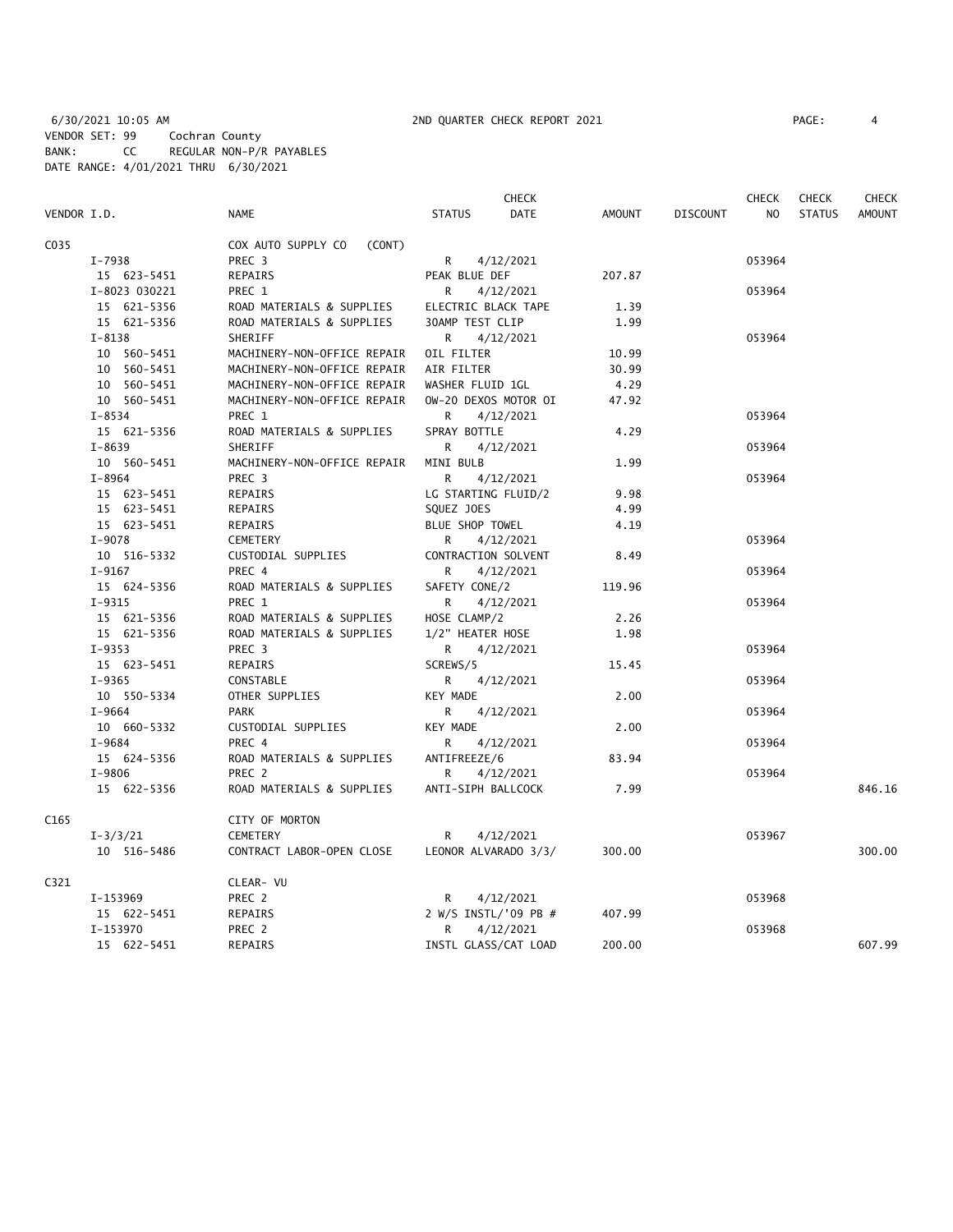6/30/2021 10:05 AM 2ND QUARTER CHECK REPORT 2021 PAGE: 4 VENDOR SET: 99 Cochran County BANK: CC REGULAR NON-P/R PAYABLES DATE RANGE: 4/01/2021 THRU 6/30/2021

|             |               |                              |                      | <b>CHECK</b> |        |                 | <b>CHECK</b> | <b>CHECK</b>  | <b>CHECK</b> |
|-------------|---------------|------------------------------|----------------------|--------------|--------|-----------------|--------------|---------------|--------------|
| VENDOR I.D. |               | NAME                         | <b>STATUS</b>        | <b>DATE</b>  | AMOUNT | <b>DISCOUNT</b> | NO           | <b>STATUS</b> | AMOUNT       |
| C035        |               | COX AUTO SUPPLY CO<br>(CONT) |                      |              |        |                 |              |               |              |
|             | $I - 7938$    | PREC 3                       | R                    | 4/12/2021    |        |                 | 053964       |               |              |
|             | 15 623-5451   | REPAIRS                      | PEAK BLUE DEF        |              | 207.87 |                 |              |               |              |
|             | I-8023 030221 | PREC 1                       | R                    | 4/12/2021    |        |                 | 053964       |               |              |
|             | 15 621-5356   | ROAD MATERIALS & SUPPLIES    | ELECTRIC BLACK TAPE  |              | 1.39   |                 |              |               |              |
|             | 15 621-5356   | ROAD MATERIALS & SUPPLIES    | 30AMP TEST CLIP      |              | 1.99   |                 |              |               |              |
|             | $I - 8138$    | SHERIFF                      | R                    | 4/12/2021    |        |                 | 053964       |               |              |
|             | 10 560-5451   | MACHINERY-NON-OFFICE REPAIR  | OIL FILTER           |              | 10.99  |                 |              |               |              |
|             | 10 560-5451   | MACHINERY-NON-OFFICE REPAIR  | AIR FILTER           |              | 30.99  |                 |              |               |              |
|             | 10 560-5451   | MACHINERY-NON-OFFICE REPAIR  | WASHER FLUID 1GL     |              | 4.29   |                 |              |               |              |
|             | 10 560-5451   | MACHINERY-NON-OFFICE REPAIR  | OW-20 DEXOS MOTOR OI |              | 47.92  |                 |              |               |              |
|             | $I - 8534$    | PREC 1                       | R                    | 4/12/2021    |        |                 | 053964       |               |              |
|             | 15 621-5356   | ROAD MATERIALS & SUPPLIES    | SPRAY BOTTLE         |              | 4.29   |                 |              |               |              |
|             | $I - 8639$    | <b>SHERIFF</b>               | R                    | 4/12/2021    |        |                 | 053964       |               |              |
|             | 10 560-5451   | MACHINERY-NON-OFFICE REPAIR  | MINI BULB            |              | 1.99   |                 |              |               |              |
|             | $I - 8964$    | PREC <sub>3</sub>            | R                    | 4/12/2021    |        |                 | 053964       |               |              |
|             | 15 623-5451   | REPAIRS                      | LG STARTING FLUID/2  |              | 9.98   |                 |              |               |              |
|             | 15 623-5451   | <b>REPAIRS</b>               | SQUEZ JOES           |              | 4.99   |                 |              |               |              |
|             | 15 623-5451   | REPAIRS                      | BLUE SHOP TOWEL      |              | 4.19   |                 |              |               |              |
|             | $I-9078$      | CEMETERY                     | R                    | 4/12/2021    |        |                 | 053964       |               |              |
|             | 10 516-5332   | CUSTODIAL SUPPLIES           | CONTRACTION SOLVENT  |              | 8.49   |                 |              |               |              |
|             | $I-9167$      | PREC 4                       | R                    | 4/12/2021    |        |                 | 053964       |               |              |
|             | 15 624-5356   | ROAD MATERIALS & SUPPLIES    | SAFETY CONE/2        |              | 119.96 |                 |              |               |              |
|             | $I-9315$      | PREC 1                       | R                    | 4/12/2021    |        |                 | 053964       |               |              |
|             | 15 621-5356   | ROAD MATERIALS & SUPPLIES    | HOSE CLAMP/2         |              | 2.26   |                 |              |               |              |
|             | 15 621-5356   | ROAD MATERIALS & SUPPLIES    | 1/2" HEATER HOSE     |              | 1.98   |                 |              |               |              |
|             | $I-9353$      | PREC 3                       | R                    | 4/12/2021    |        |                 | 053964       |               |              |
|             | 15 623-5451   | REPAIRS                      | SCREWS/5             |              | 15.45  |                 |              |               |              |
|             | I-9365        | CONSTABLE                    | R                    | 4/12/2021    |        |                 | 053964       |               |              |
|             | 10 550-5334   | OTHER SUPPLIES               | KEY MADE             |              | 2.00   |                 |              |               |              |
|             | $I-9664$      | <b>PARK</b>                  | R                    | 4/12/2021    |        |                 | 053964       |               |              |
|             | 10 660-5332   | CUSTODIAL SUPPLIES           | KEY MADE             |              | 2.00   |                 |              |               |              |
|             | $I-9684$      | PREC 4                       | R                    | 4/12/2021    |        |                 | 053964       |               |              |
|             | 15 624-5356   | ROAD MATERIALS & SUPPLIES    | ANTIFREEZE/6         |              | 83.94  |                 |              |               |              |
|             | I-9806        | PREC 2                       | R                    | 4/12/2021    |        |                 | 053964       |               |              |
|             | 15 622-5356   | ROAD MATERIALS & SUPPLIES    | ANTI-SIPH BALLCOCK   |              | 7.99   |                 |              |               | 846.16       |
| C165        |               | CITY OF MORTON               |                      |              |        |                 |              |               |              |
|             | $I - 3/3/21$  | <b>CEMETERY</b>              | R                    | 4/12/2021    |        |                 | 053967       |               |              |
|             | 10 516-5486   | CONTRACT LABOR-OPEN CLOSE    | LEONOR ALVARADO 3/3/ |              | 300.00 |                 |              |               | 300.00       |
| C321        |               | CLEAR- VU                    |                      |              |        |                 |              |               |              |
|             | I-153969      | PREC 2                       | R                    | 4/12/2021    |        |                 | 053968       |               |              |
|             | 15 622-5451   | REPAIRS                      | 2 W/S INSTL/'09 PB # |              | 407.99 |                 |              |               |              |
|             | I-153970      | PREC 2                       | R                    | 4/12/2021    |        |                 | 053968       |               |              |
|             | 15 622-5451   | REPAIRS                      | INSTL GLASS/CAT LOAD |              | 200.00 |                 |              |               | 607.99       |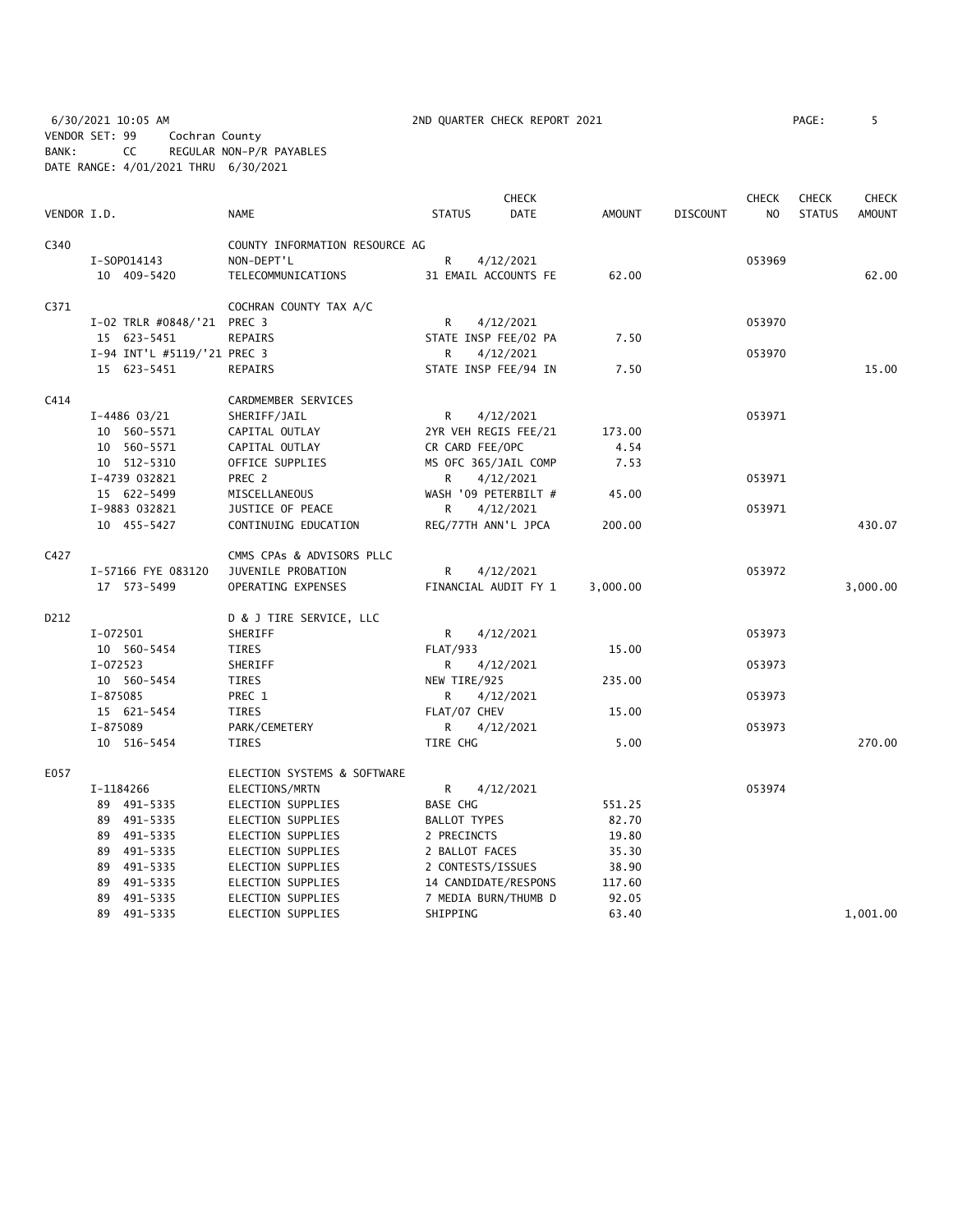6/30/2021 10:05 AM 2ND QUARTER CHECK REPORT 2021 PAGE: 5 VENDOR SET: 99 Cochran County BANK: CC REGULAR NON-P/R PAYABLES DATE RANGE: 4/01/2021 THRU 6/30/2021

| AGE : |  |
|-------|--|
|       |  |

|             |                             |                                |                     | <b>CHECK</b>         |               |                 | <b>CHECK</b>   | <b>CHECK</b>  | <b>CHECK</b>  |
|-------------|-----------------------------|--------------------------------|---------------------|----------------------|---------------|-----------------|----------------|---------------|---------------|
| VENDOR I.D. |                             | <b>NAME</b>                    | <b>STATUS</b>       | DATE                 | <b>AMOUNT</b> | <b>DISCOUNT</b> | N <sub>O</sub> | <b>STATUS</b> | <b>AMOUNT</b> |
| C340        |                             | COUNTY INFORMATION RESOURCE AG |                     |                      |               |                 |                |               |               |
|             | I-S0P014143                 | NON-DEPT'L                     | R                   | 4/12/2021            |               |                 | 053969         |               |               |
|             | 10 409-5420                 | TELECOMMUNICATIONS             |                     | 31 EMAIL ACCOUNTS FE | 62.00         |                 |                |               | 62.00         |
| C371        |                             | COCHRAN COUNTY TAX A/C         |                     |                      |               |                 |                |               |               |
|             | I-02 TRLR #0848/'21 PREC 3  |                                | R                   | 4/12/2021            |               |                 | 053970         |               |               |
|             | 15 623-5451                 | <b>REPAIRS</b>                 |                     | STATE INSP FEE/02 PA | 7.50          |                 |                |               |               |
|             | I-94 INT'L #5119/'21 PREC 3 |                                | R.                  | 4/12/2021            |               |                 | 053970         |               |               |
|             | 15 623-5451                 | <b>REPAIRS</b>                 |                     | STATE INSP FEE/94 IN | 7.50          |                 |                |               | 15.00         |
| C414        |                             | CARDMEMBER SERVICES            |                     |                      |               |                 |                |               |               |
|             | $I-4486$ 03/21              | SHERIFF/JAIL                   | R                   | 4/12/2021            |               |                 | 053971         |               |               |
|             | 10 560-5571                 | CAPITAL OUTLAY                 |                     | 2YR VEH REGIS FEE/21 | 173.00        |                 |                |               |               |
|             | 10 560-5571                 | CAPITAL OUTLAY                 |                     | CR CARD FEE/OPC      | 4.54          |                 |                |               |               |
|             | 10 512-5310                 | OFFICE SUPPLIES                |                     | MS OFC 365/JAIL COMP | 7.53          |                 |                |               |               |
|             | I-4739 032821               | PREC 2                         | R                   | 4/12/2021            |               |                 | 053971         |               |               |
|             | 15 622-5499                 | MISCELLANEOUS                  |                     | WASH '09 PETERBILT # | 45.00         |                 |                |               |               |
|             | I-9883 032821               | JUSTICE OF PEACE               | R                   | 4/12/2021            |               |                 | 053971         |               |               |
|             | 10 455-5427                 | CONTINUING EDUCATION           |                     | REG/77TH ANN'L JPCA  | 200.00        |                 |                |               | 430.07        |
| C427        |                             | CMMS CPAs & ADVISORS PLLC      |                     |                      |               |                 |                |               |               |
|             | I-57166 FYE 083120          | JUVENILE PROBATION             | R.                  | 4/12/2021            |               |                 | 053972         |               |               |
|             | 17 573-5499                 | OPERATING EXPENSES             |                     | FINANCIAL AUDIT FY 1 | 3,000.00      |                 |                |               | 3,000.00      |
| D212        |                             | D & J TIRE SERVICE, LLC        |                     |                      |               |                 |                |               |               |
|             | I-072501                    | SHERIFF                        | R                   | 4/12/2021            |               |                 | 053973         |               |               |
|             | 10 560-5454                 | TIRES                          | <b>FLAT/933</b>     |                      | 15.00         |                 |                |               |               |
|             | $I-072523$                  | SHERIFF                        | R                   | 4/12/2021            |               |                 | 053973         |               |               |
|             | 10 560-5454                 | TIRES                          | NEW TIRE/925        |                      | 235.00        |                 |                |               |               |
|             | I-875085                    | PREC 1                         | R.                  | 4/12/2021            |               |                 | 053973         |               |               |
|             | 15 621-5454                 | TIRES                          |                     | FLAT/07 CHEV         | 15.00         |                 |                |               |               |
|             | I-875089                    | PARK/CEMETERY                  | R.                  | 4/12/2021            |               |                 | 053973         |               |               |
|             | 10 516-5454                 | TIRES                          | TIRE CHG            |                      | 5.00          |                 |                |               | 270.00        |
| E057        |                             | ELECTION SYSTEMS & SOFTWARE    |                     |                      |               |                 |                |               |               |
|             | I-1184266                   | ELECTIONS/MRTN                 | R                   | 4/12/2021            |               |                 | 053974         |               |               |
|             | 89 491-5335                 | ELECTION SUPPLIES              | <b>BASE CHG</b>     |                      | 551.25        |                 |                |               |               |
|             | 89 491-5335                 | ELECTION SUPPLIES              | <b>BALLOT TYPES</b> |                      | 82.70         |                 |                |               |               |
|             | 89 491-5335                 | ELECTION SUPPLIES              | 2 PRECINCTS         |                      | 19.80         |                 |                |               |               |
|             | 89 491-5335                 | ELECTION SUPPLIES              |                     | 2 BALLOT FACES       | 35.30         |                 |                |               |               |
|             | 89 491-5335                 | ELECTION SUPPLIES              |                     | 2 CONTESTS/ISSUES    | 38.90         |                 |                |               |               |
|             | 89 491-5335                 | ELECTION SUPPLIES              |                     | 14 CANDIDATE/RESPONS | 117.60        |                 |                |               |               |
|             | 89 491-5335                 | ELECTION SUPPLIES              |                     | 7 MEDIA BURN/THUMB D | 92.05         |                 |                |               |               |
|             | 89 491-5335                 | ELECTION SUPPLIES              | SHIPPING            |                      | 63.40         |                 |                |               | 1,001.00      |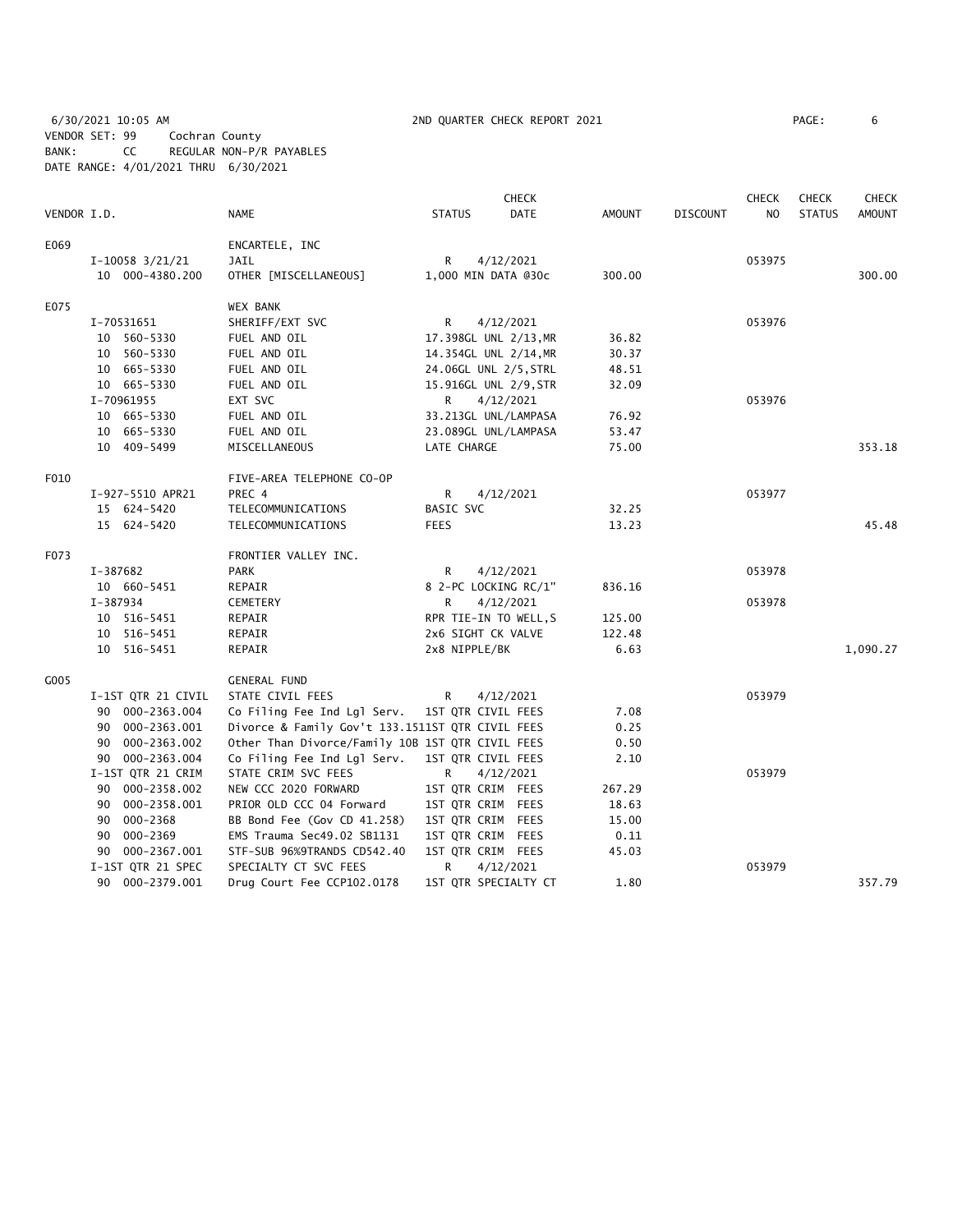6/30/2021 10:05 AM 2ND QUARTER CHECK REPORT 2021 PAGE: 6 VENDOR SET: 99 Cochran County BANK: CC REGULAR NON-P/R PAYABLES DATE RANGE: 4/01/2021 THRU 6/30/2021

|             |                     |                                                  |                       | <b>CHECK</b>         |               |                 | <b>CHECK</b>   | <b>CHECK</b>  | <b>CHECK</b>  |
|-------------|---------------------|--------------------------------------------------|-----------------------|----------------------|---------------|-----------------|----------------|---------------|---------------|
| VENDOR I.D. |                     | <b>NAME</b>                                      | <b>STATUS</b>         | DATE                 | <b>AMOUNT</b> | <b>DISCOUNT</b> | N <sub>O</sub> | <b>STATUS</b> | <b>AMOUNT</b> |
| E069        |                     | ENCARTELE, INC                                   |                       |                      |               |                 |                |               |               |
|             | $I-10058$ $3/21/21$ | <b>JAIL</b>                                      | R                     | 4/12/2021            |               |                 | 053975         |               |               |
|             | 10 000-4380.200     | OTHER [MISCELLANEOUS]                            | 1,000 MIN DATA @30c   |                      | 300.00        |                 |                |               | 300.00        |
| E075        |                     | <b>WEX BANK</b>                                  |                       |                      |               |                 |                |               |               |
|             | I-70531651          | SHERIFF/EXT SVC                                  | R                     | 4/12/2021            |               |                 | 053976         |               |               |
|             | 10 560-5330         | FUEL AND OIL                                     | 17.398GL UNL 2/13, MR |                      | 36.82         |                 |                |               |               |
|             | 10 560-5330         | FUEL AND OIL                                     | 14.354GL UNL 2/14, MR |                      | 30.37         |                 |                |               |               |
|             | 10 665-5330         | FUEL AND OIL                                     | 24.06GL UNL 2/5, STRL |                      | 48.51         |                 |                |               |               |
|             | 10 665-5330         | FUEL AND OIL                                     | 15.916GL UNL 2/9, STR |                      | 32.09         |                 |                |               |               |
|             | I-70961955          | EXT SVC                                          | R                     | 4/12/2021            |               |                 | 053976         |               |               |
|             | 10 665-5330         | FUEL AND OIL                                     |                       | 33.213GL UNL/LAMPASA | 76.92         |                 |                |               |               |
|             | 10 665-5330         | FUEL AND OIL                                     | 23.089GL UNL/LAMPASA  |                      | 53.47         |                 |                |               |               |
|             | 10 409-5499         | MISCELLANEOUS                                    | LATE CHARGE           |                      | 75.00         |                 |                |               | 353.18        |
| F010        |                     | FIVE-AREA TELEPHONE CO-OP                        |                       |                      |               |                 |                |               |               |
|             | I-927-5510 APR21    | PREC 4                                           | R                     | 4/12/2021            |               |                 | 053977         |               |               |
|             | 15 624-5420         | TELECOMMUNICATIONS                               | BASIC SVC             |                      | 32.25         |                 |                |               |               |
|             | 15 624-5420         | TELECOMMUNICATIONS                               | <b>FEES</b>           |                      | 13.23         |                 |                |               | 45.48         |
| F073        |                     | FRONTIER VALLEY INC.                             |                       |                      |               |                 |                |               |               |
|             | I-387682            | <b>PARK</b>                                      | R                     | 4/12/2021            |               |                 | 053978         |               |               |
|             | 10 660-5451         | REPAIR                                           | 8 2-PC LOCKING RC/1"  |                      | 836.16        |                 |                |               |               |
|             | I-387934            | CEMETERY                                         | R                     | 4/12/2021            |               |                 | 053978         |               |               |
|             | 10 516-5451         | REPAIR                                           | RPR TIE-IN TO WELL, S |                      | 125.00        |                 |                |               |               |
|             | 10 516-5451         | REPAIR                                           | 2x6 SIGHT CK VALVE    |                      | 122.48        |                 |                |               |               |
|             | 10 516-5451         | REPAIR                                           | 2x8 NIPPLE/BK         |                      | 6.63          |                 |                |               | 1,090.27      |
| G005        |                     | <b>GENERAL FUND</b>                              |                       |                      |               |                 |                |               |               |
|             | I-1ST QTR 21 CIVIL  | STATE CIVIL FEES                                 | R                     | 4/12/2021            |               |                 | 053979         |               |               |
|             | 90 000-2363.004     | Co Filing Fee Ind Lgl Serv.                      | 1ST QTR CIVIL FEES    |                      | 7.08          |                 |                |               |               |
|             | 90 000-2363.001     | Divorce & Family Gov't 133.1511ST QTR CIVIL FEES |                       |                      | 0.25          |                 |                |               |               |
|             | 000-2363.002<br>90  | Other Than Divorce/Family 10B 1ST QTR CIVIL FEES |                       |                      | 0.50          |                 |                |               |               |
|             | 90 000-2363.004     | Co Filing Fee Ind Lgl Serv.                      | 1ST QTR CIVIL FEES    |                      | 2.10          |                 |                |               |               |
|             | I-1ST QTR 21 CRIM   | STATE CRIM SVC FEES                              | R                     | 4/12/2021            |               |                 | 053979         |               |               |
|             | 90 000-2358.002     | NEW CCC 2020 FORWARD                             | 1ST QTR CRIM FEES     |                      | 267.29        |                 |                |               |               |
|             | 90 000-2358.001     | PRIOR OLD CCC 04 Forward                         | 1ST QTR CRIM FEES     |                      | 18.63         |                 |                |               |               |
|             | 000-2368<br>90      | BB Bond Fee (Gov CD 41.258)                      | 1ST QTR CRIM FEES     |                      | 15.00         |                 |                |               |               |
|             | 000-2369<br>90      | EMS Trauma Sec49.02 SB1131                       | 1ST QTR CRIM FEES     |                      | 0.11          |                 |                |               |               |
|             | 90 000-2367.001     | STF-SUB 96%9TRANDS CD542.40                      | 1ST QTR CRIM FEES     |                      | 45.03         |                 |                |               |               |
|             | I-1ST QTR 21 SPEC   | SPECIALTY CT SVC FEES                            | R                     | 4/12/2021            |               |                 | 053979         |               |               |
|             | 90 000-2379.001     | Drug Court Fee CCP102.0178                       |                       | 1ST QTR SPECIALTY CT | 1.80          |                 |                |               | 357.79        |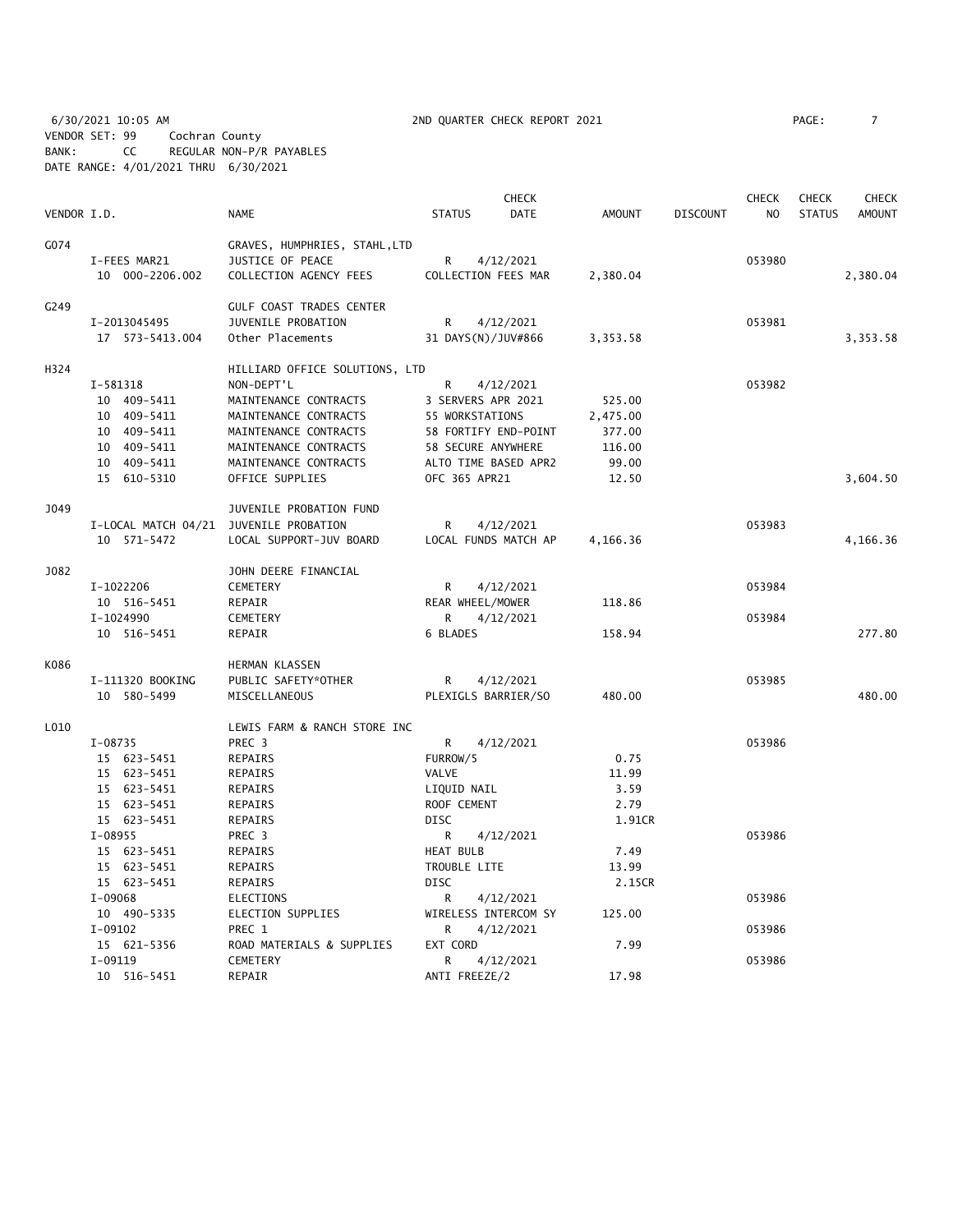6/30/2021 10:05 AM 2ND QUARTER CHECK REPORT 2021 PAGE: 7 VENDOR SET: 99 Cochran County BANK: CC REGULAR NON-P/R PAYABLES DATE RANGE: 4/01/2021 THRU 6/30/2021

|             |                                        |                                |                      | <b>CHECK</b>         |               |                 | <b>CHECK</b>   | <b>CHECK</b>  | <b>CHECK</b>  |
|-------------|----------------------------------------|--------------------------------|----------------------|----------------------|---------------|-----------------|----------------|---------------|---------------|
| VENDOR I.D. |                                        | <b>NAME</b>                    | <b>STATUS</b>        | <b>DATE</b>          | <b>AMOUNT</b> | <b>DISCOUNT</b> | N <sub>O</sub> | <b>STATUS</b> | <b>AMOUNT</b> |
| G074        |                                        | GRAVES, HUMPHRIES, STAHL, LTD  |                      |                      |               |                 |                |               |               |
|             | I-FEES MAR21                           | JUSTICE OF PEACE               | $\mathsf{R}$         | 4/12/2021            |               |                 | 053980         |               |               |
|             | 10 000-2206.002                        | COLLECTION AGENCY FEES         | COLLECTION FEES MAR  |                      | 2,380.04      |                 |                |               | 2,380.04      |
| G249        |                                        | GULF COAST TRADES CENTER       |                      |                      |               |                 |                |               |               |
|             | I-2013045495                           | JUVENILE PROBATION             | R                    | 4/12/2021            |               |                 | 053981         |               |               |
|             | 17  573-5413.004                       | Other Placements               | 31 DAYS(N)/JUV#866   |                      | 3,353.58      |                 |                |               | 3,353.58      |
| H324        |                                        | HILLIARD OFFICE SOLUTIONS, LTD |                      |                      |               |                 |                |               |               |
|             | I-581318                               | NON-DEPT'L                     | R                    | 4/12/2021            |               |                 | 053982         |               |               |
|             | 10 409-5411                            | MAINTENANCE CONTRACTS          | 3 SERVERS APR 2021   |                      | 525.00        |                 |                |               |               |
|             | 10 409-5411                            | MAINTENANCE CONTRACTS          | 55 WORKSTATIONS      |                      | 2,475.00      |                 |                |               |               |
|             | 10 409-5411                            | MAINTENANCE CONTRACTS          |                      | 58 FORTIFY END-POINT | 377.00        |                 |                |               |               |
|             | 10 409-5411                            | MAINTENANCE CONTRACTS          | 58 SECURE ANYWHERE   |                      | 116.00        |                 |                |               |               |
|             | 10 409-5411                            | MAINTENANCE CONTRACTS          | ALTO TIME BASED APR2 |                      | 99.00         |                 |                |               |               |
|             | 15 610-5310                            | OFFICE SUPPLIES                | OFC 365 APR21        |                      | 12.50         |                 |                |               | 3,604.50      |
| J049        |                                        | JUVENILE PROBATION FUND        |                      |                      |               |                 |                |               |               |
|             | I-LOCAL MATCH 04/21 JUVENILE PROBATION |                                | R                    | 4/12/2021            |               |                 | 053983         |               |               |
|             | 10 571-5472                            | LOCAL SUPPORT-JUV BOARD        |                      | LOCAL FUNDS MATCH AP | 4,166.36      |                 |                |               | 4,166.36      |
| J082        |                                        | JOHN DEERE FINANCIAL           |                      |                      |               |                 |                |               |               |
|             | I-1022206                              | CEMETERY                       | R                    | 4/12/2021            |               |                 | 053984         |               |               |
|             | 10 516-5451                            | REPAIR                         | REAR WHEEL/MOWER     |                      | 118.86        |                 |                |               |               |
|             | I-1024990                              | <b>CEMETERY</b>                | R                    | 4/12/2021            |               |                 | 053984         |               |               |
|             | 10 516-5451                            | REPAIR                         | 6 BLADES             |                      | 158.94        |                 |                |               | 277.80        |
| K086        |                                        | <b>HERMAN KLASSEN</b>          |                      |                      |               |                 |                |               |               |
|             | I-111320 BOOKING                       | PUBLIC SAFETY*OTHER            | R                    | 4/12/2021            |               |                 | 053985         |               |               |
|             | 10 580-5499                            | MISCELLANEOUS                  | PLEXIGLS BARRIER/SO  |                      | 480.00        |                 |                |               | 480.00        |
| L010        |                                        | LEWIS FARM & RANCH STORE INC   |                      |                      |               |                 |                |               |               |
|             | I-08735                                | PREC 3                         | R                    | 4/12/2021            |               |                 | 053986         |               |               |
|             | 15 623-5451                            | <b>REPAIRS</b>                 | FURROW/5             |                      | 0.75          |                 |                |               |               |
|             | 15 623-5451                            | <b>REPAIRS</b>                 | VALVE                |                      | 11.99         |                 |                |               |               |
|             | 15 623-5451                            | REPAIRS                        | LIQUID NAIL          |                      | 3.59          |                 |                |               |               |
|             | 15 623-5451                            | REPAIRS                        | ROOF CEMENT          |                      | 2.79          |                 |                |               |               |
|             | 15 623-5451                            | REPAIRS                        | <b>DISC</b>          |                      | 1.91CR        |                 |                |               |               |
|             | $I-08955$                              | PREC 3                         | R                    | 4/12/2021            |               |                 | 053986         |               |               |
|             | 15 623-5451                            | <b>REPAIRS</b>                 | <b>HEAT BULB</b>     |                      | 7.49          |                 |                |               |               |
|             | 15 623-5451                            | REPAIRS                        | TROUBLE LITE         |                      | 13.99         |                 |                |               |               |
|             | 15 623-5451                            | REPAIRS                        | <b>DISC</b>          |                      | 2.15CR        |                 |                |               |               |
|             | I-09068                                | <b>ELECTIONS</b>               | R                    | 4/12/2021            |               |                 | 053986         |               |               |
|             | 10 490-5335                            | ELECTION SUPPLIES              | WIRELESS INTERCOM SY |                      | 125.00        |                 |                |               |               |
|             | $I-09102$                              | PREC 1                         | R                    | 4/12/2021            |               |                 | 053986         |               |               |
|             | 15 621-5356                            | ROAD MATERIALS & SUPPLIES      | EXT CORD             |                      | 7.99          |                 |                |               |               |
|             | $I-09119$                              | <b>CEMETERY</b>                | R                    | 4/12/2021            | 17.98         |                 | 053986         |               |               |
|             | 10 516-5451                            | REPAIR                         | ANTI FREEZE/2        |                      |               |                 |                |               |               |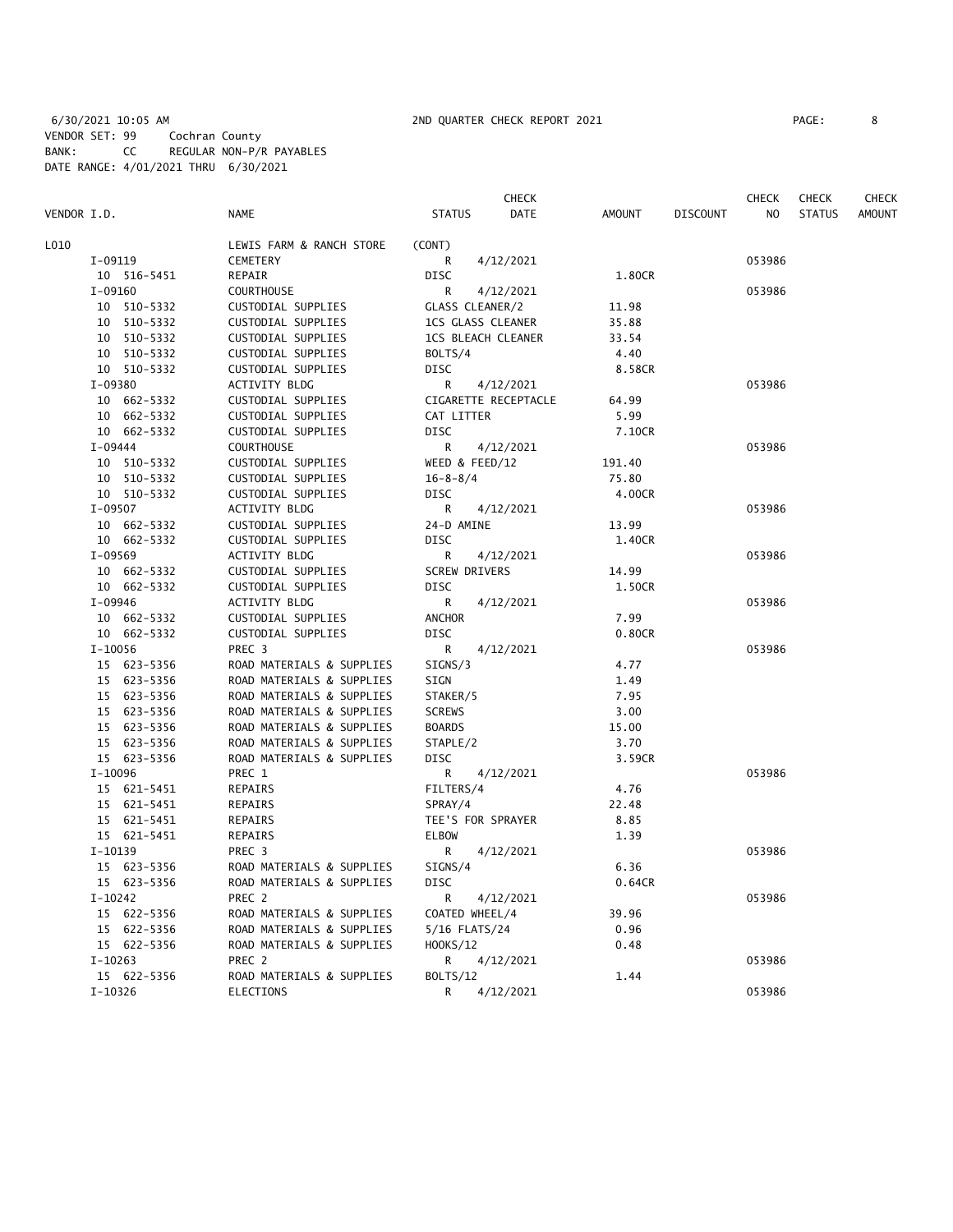|             |             |                           | CHECK                 |                           | CHECK          | <b>CHECK</b>  | CHECK         |
|-------------|-------------|---------------------------|-----------------------|---------------------------|----------------|---------------|---------------|
| VENDOR I.D. |             | <b>NAME</b>               | <b>STATUS</b><br>DATE | AMOUNT<br><b>DISCOUNT</b> | N <sub>O</sub> | <b>STATUS</b> | <b>AMOUNT</b> |
| L010        |             | LEWIS FARM & RANCH STORE  | (CONT)                |                           |                |               |               |
|             | I-09119     | <b>CEMETERY</b>           | 4/12/2021<br>R        |                           | 053986         |               |               |
|             | 10 516-5451 | REPAIR                    | <b>DISC</b>           | 1.80CR                    |                |               |               |
|             | $I-09160$   | <b>COURTHOUSE</b>         | R<br>4/12/2021        |                           | 053986         |               |               |
|             | 10 510-5332 | CUSTODIAL SUPPLIES        | GLASS CLEANER/2       | 11.98                     |                |               |               |
|             | 10 510-5332 | CUSTODIAL SUPPLIES        | 1CS GLASS CLEANER     | 35.88                     |                |               |               |
|             | 10 510-5332 | CUSTODIAL SUPPLIES        | 1CS BLEACH CLEANER    | 33.54                     |                |               |               |
|             | 10 510-5332 | CUSTODIAL SUPPLIES        | BOLTS/4               | 4.40                      |                |               |               |
|             | 10 510-5332 | CUSTODIAL SUPPLIES        | DISC                  | 8.58CR                    |                |               |               |
|             | I-09380     | ACTIVITY BLDG             | R<br>4/12/2021        |                           | 053986         |               |               |
|             | 10 662-5332 | CUSTODIAL SUPPLIES        | CIGARETTE RECEPTACLE  | 64.99                     |                |               |               |
|             | 10 662-5332 | CUSTODIAL SUPPLIES        | CAT LITTER            | 5.99                      |                |               |               |
|             | 10 662-5332 | CUSTODIAL SUPPLIES        | <b>DISC</b>           | 7.10CR                    |                |               |               |
|             | I-09444     | <b>COURTHOUSE</b>         | R<br>4/12/2021        |                           | 053986         |               |               |
|             | 10 510-5332 | CUSTODIAL SUPPLIES        | WEED & FEED/12        | 191.40                    |                |               |               |
|             | 10 510-5332 | CUSTODIAL SUPPLIES        | $16 - 8 - 8/4$        | 75.80                     |                |               |               |
|             | 10 510-5332 | CUSTODIAL SUPPLIES        | DISC                  | 4.00CR                    |                |               |               |
|             | I-09507     | ACTIVITY BLDG             | R<br>4/12/2021        |                           | 053986         |               |               |
|             | 10 662-5332 | CUSTODIAL SUPPLIES        | 24-D AMINE            | 13.99                     |                |               |               |
|             | 10 662-5332 | CUSTODIAL SUPPLIES        | <b>DISC</b>           | 1.40CR                    |                |               |               |
|             | I-09569     | ACTIVITY BLDG             | R<br>4/12/2021        |                           | 053986         |               |               |
|             | 10 662-5332 | CUSTODIAL SUPPLIES        | <b>SCREW DRIVERS</b>  | 14.99                     |                |               |               |
|             | 10 662-5332 | CUSTODIAL SUPPLIES        | <b>DISC</b>           | 1.50CR                    |                |               |               |
|             | I-09946     | ACTIVITY BLDG             | R<br>4/12/2021        |                           | 053986         |               |               |
|             | 10 662-5332 | CUSTODIAL SUPPLIES        | <b>ANCHOR</b>         | 7.99                      |                |               |               |
|             | 10 662-5332 | CUSTODIAL SUPPLIES        | <b>DISC</b>           | 0.80CR                    |                |               |               |
|             | $I-10056$   | PREC <sub>3</sub>         | R<br>4/12/2021        |                           | 053986         |               |               |
|             | 15 623-5356 | ROAD MATERIALS & SUPPLIES | SIGNS/3               | 4.77                      |                |               |               |
|             | 15 623-5356 | ROAD MATERIALS & SUPPLIES | SIGN                  | 1.49                      |                |               |               |
|             | 15 623-5356 | ROAD MATERIALS & SUPPLIES | STAKER/5              | 7.95                      |                |               |               |
|             | 15 623-5356 | ROAD MATERIALS & SUPPLIES | <b>SCREWS</b>         | 3.00                      |                |               |               |
|             | 15 623-5356 | ROAD MATERIALS & SUPPLIES | <b>BOARDS</b>         | 15.00                     |                |               |               |
|             | 15 623-5356 | ROAD MATERIALS & SUPPLIES | STAPLE/2              | 3.70                      |                |               |               |
|             | 15 623-5356 | ROAD MATERIALS & SUPPLIES | <b>DISC</b>           | 3.59CR                    |                |               |               |
|             | I-10096     | PREC 1                    | R<br>4/12/2021        |                           | 053986         |               |               |
|             | 15 621-5451 | REPAIRS                   | FILTERS/4             | 4.76                      |                |               |               |
|             | 15 621-5451 | REPAIRS                   | SPRAY/4               | 22.48                     |                |               |               |
|             | 15 621-5451 | REPAIRS                   | TEE'S FOR SPRAYER     | 8.85                      |                |               |               |
|             | 15 621-5451 | REPAIRS                   | <b>ELBOW</b>          | 1.39                      |                |               |               |
|             | $I-10139$   | PREC <sub>3</sub>         | R<br>4/12/2021        |                           | 053986         |               |               |
|             | 15 623-5356 | ROAD MATERIALS & SUPPLIES | SIGNS/4               | 6.36                      |                |               |               |
|             | 15 623-5356 | ROAD MATERIALS & SUPPLIES | <b>DISC</b>           | 0.64CR                    |                |               |               |
|             | $I-10242$   | PREC 2                    | R<br>4/12/2021        |                           | 053986         |               |               |
|             | 15 622-5356 | ROAD MATERIALS & SUPPLIES | COATED WHEEL/4        | 39.96                     |                |               |               |
|             | 15 622-5356 | ROAD MATERIALS & SUPPLIES | 5/16 FLATS/24         | 0.96                      |                |               |               |
|             | 15 622-5356 | ROAD MATERIALS & SUPPLIES | HOOKS/12              | 0.48                      |                |               |               |
|             | $I-10263$   | PREC 2                    | 4/12/2021<br>R        |                           | 053986         |               |               |
|             | 15 622-5356 | ROAD MATERIALS & SUPPLIES | <b>BOLTS/12</b>       | 1.44                      |                |               |               |
|             | $I-10326$   | <b>ELECTIONS</b>          | R<br>4/12/2021        |                           | 053986         |               |               |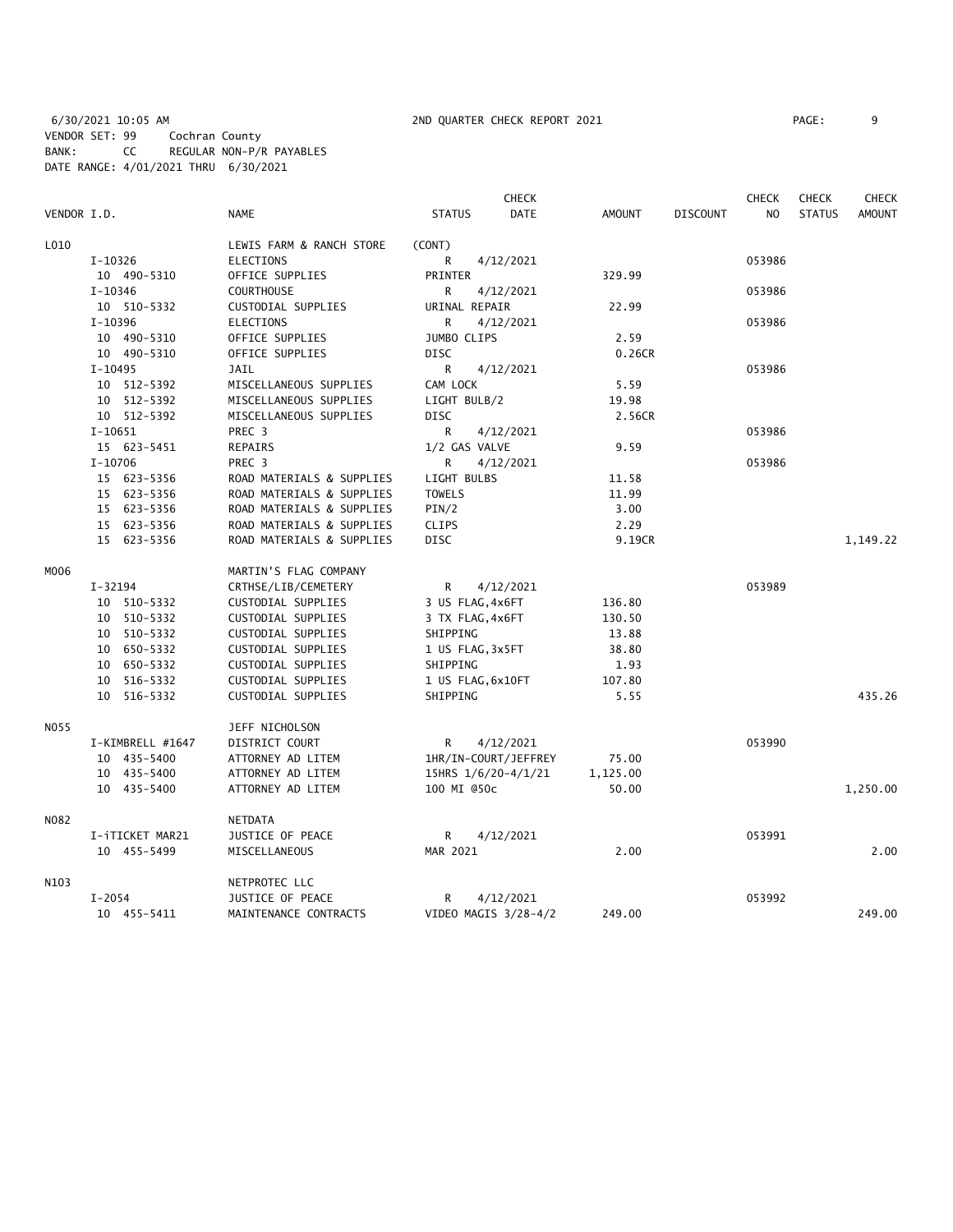|             |                  |                           |                      | <b>CHECK</b> |          |                 | <b>CHECK</b>   | <b>CHECK</b>  | <b>CHECK</b>  |
|-------------|------------------|---------------------------|----------------------|--------------|----------|-----------------|----------------|---------------|---------------|
| VENDOR I.D. |                  | <b>NAME</b>               | <b>STATUS</b>        | DATE         | AMOUNT   | <b>DISCOUNT</b> | N <sub>O</sub> | <b>STATUS</b> | <b>AMOUNT</b> |
| L010        |                  | LEWIS FARM & RANCH STORE  | (CONT)               |              |          |                 |                |               |               |
|             | $I-10326$        | <b>ELECTIONS</b>          | 4/12/2021<br>R       |              |          |                 | 053986         |               |               |
|             | 10 490-5310      | OFFICE SUPPLIES           | <b>PRINTER</b>       |              | 329.99   |                 |                |               |               |
|             | I-10346          | <b>COURTHOUSE</b>         | R<br>4/12/2021       |              |          |                 | 053986         |               |               |
|             | 10 510-5332      | CUSTODIAL SUPPLIES        | URINAL REPAIR        |              | 22.99    |                 |                |               |               |
|             | I-10396          | <b>ELECTIONS</b>          | R<br>4/12/2021       |              |          |                 | 053986         |               |               |
|             | 10 490-5310      | OFFICE SUPPLIES           | JUMBO CLIPS          |              | 2.59     |                 |                |               |               |
|             | 10 490-5310      | OFFICE SUPPLIES           | <b>DISC</b>          |              | 0.26CR   |                 |                |               |               |
|             | $I-10495$        | JAIL                      | 4/12/2021<br>R       |              |          |                 | 053986         |               |               |
|             | 10 512-5392      | MISCELLANEOUS SUPPLIES    | CAM LOCK             |              | 5.59     |                 |                |               |               |
|             | 10 512-5392      | MISCELLANEOUS SUPPLIES    | LIGHT BULB/2         |              | 19.98    |                 |                |               |               |
|             | 10 512-5392      | MISCELLANEOUS SUPPLIES    | DISC                 |              | 2.56CR   |                 |                |               |               |
|             | $I-10651$        | PREC <sub>3</sub>         | R<br>4/12/2021       |              |          |                 | 053986         |               |               |
|             | 15 623-5451      | REPAIRS                   | 1/2 GAS VALVE        |              | 9.59     |                 |                |               |               |
|             | $I-10706$        | PREC 3                    | R<br>4/12/2021       |              |          |                 | 053986         |               |               |
|             | 15 623-5356      | ROAD MATERIALS & SUPPLIES | LIGHT BULBS          |              | 11.58    |                 |                |               |               |
|             | 15 623-5356      | ROAD MATERIALS & SUPPLIES | <b>TOWELS</b>        |              | 11.99    |                 |                |               |               |
|             | 15 623-5356      | ROAD MATERIALS & SUPPLIES | PIN/2                |              | 3.00     |                 |                |               |               |
|             | 15 623-5356      | ROAD MATERIALS & SUPPLIES | <b>CLIPS</b>         |              | 2.29     |                 |                |               |               |
|             | 15 623-5356      | ROAD MATERIALS & SUPPLIES | DISC                 |              | 9.19CR   |                 |                |               | 1,149.22      |
| M006        |                  | MARTIN'S FLAG COMPANY     |                      |              |          |                 |                |               |               |
|             | $I - 32194$      | CRTHSE/LIB/CEMETERY       | R<br>4/12/2021       |              |          |                 | 053989         |               |               |
|             | 10 510-5332      | CUSTODIAL SUPPLIES        | 3 US FLAG, 4x6FT     |              | 136.80   |                 |                |               |               |
|             | 10 510-5332      | CUSTODIAL SUPPLIES        | 3 TX FLAG, 4x6FT     |              | 130.50   |                 |                |               |               |
|             | 10 510-5332      | CUSTODIAL SUPPLIES        | SHIPPING             |              | 13.88    |                 |                |               |               |
|             | 10 650-5332      | CUSTODIAL SUPPLIES        | 1 US FLAG, 3x5FT     |              | 38.80    |                 |                |               |               |
|             | 10 650-5332      | CUSTODIAL SUPPLIES        | SHIPPING             |              | 1.93     |                 |                |               |               |
|             | 10 516-5332      | CUSTODIAL SUPPLIES        | 1 US FLAG, 6x10FT    |              | 107.80   |                 |                |               |               |
|             | 10 516-5332      | CUSTODIAL SUPPLIES        | SHIPPING             |              | 5.55     |                 |                |               | 435.26        |
| NO55        |                  | JEFF NICHOLSON            |                      |              |          |                 |                |               |               |
|             | I-KIMBRELL #1647 | DISTRICT COURT            | R<br>4/12/2021       |              |          |                 | 053990         |               |               |
|             | 10 435-5400      | ATTORNEY AD LITEM         | 1HR/IN-COURT/JEFFREY |              | 75.00    |                 |                |               |               |
|             | 10 435-5400      | ATTORNEY AD LITEM         | 15HRS 1/6/20-4/1/21  |              | 1,125.00 |                 |                |               |               |
|             | 10 435-5400      | ATTORNEY AD LITEM         | 100 MI @50c          |              | 50.00    |                 |                |               | 1,250.00      |
| N082        |                  | NETDATA                   |                      |              |          |                 |                |               |               |
|             | I-iTICKET MAR21  | JUSTICE OF PEACE          | R<br>4/12/2021       |              |          |                 | 053991         |               |               |
|             | 10 455-5499      | MISCELLANEOUS             | MAR 2021             |              | 2.00     |                 |                |               | 2.00          |
| N103        |                  | NETPROTEC LLC             |                      |              |          |                 |                |               |               |
|             | $I - 2054$       | JUSTICE OF PEACE          | 4/12/2021<br>R       |              |          |                 | 053992         |               |               |
|             | 10 455-5411      | MAINTENANCE CONTRACTS     | VIDEO MAGIS 3/28-4/2 |              | 249.00   |                 |                |               | 249.00        |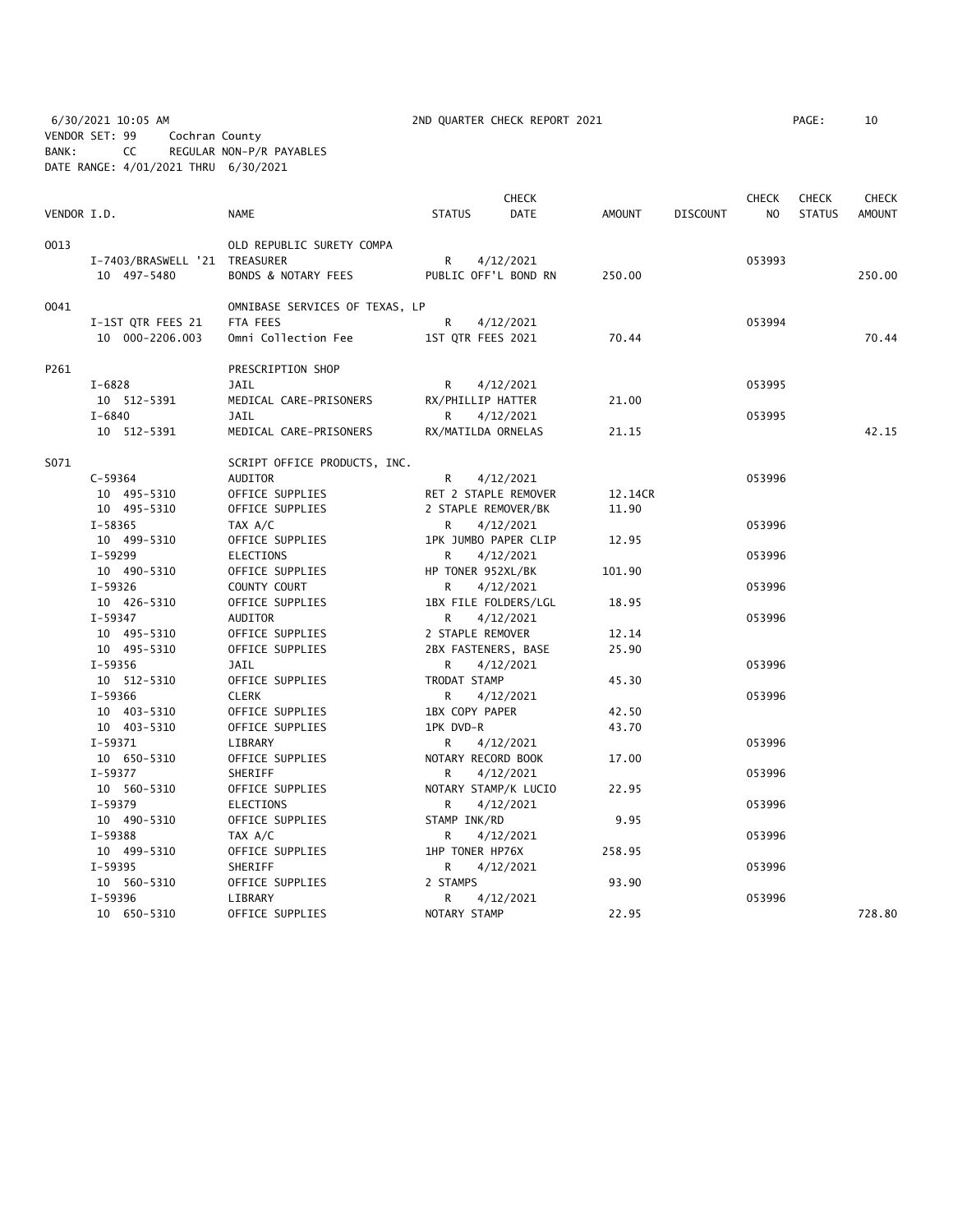6/30/2021 10:05 AM 2ND QUARTER CHECK REPORT 2021 PAGE: 10 VENDOR SET: 99 Cochran County BANK: CC REGULAR NON-P/R PAYABLES DATE RANGE: 4/01/2021 THRU 6/30/2021

| AGE : | 10 |  |
|-------|----|--|
|       |    |  |

|             |                               |                                |                    | <b>CHECK</b>         |               |                 | <b>CHECK</b>   | <b>CHECK</b>  | <b>CHECK</b>  |
|-------------|-------------------------------|--------------------------------|--------------------|----------------------|---------------|-----------------|----------------|---------------|---------------|
| VENDOR I.D. |                               | <b>NAME</b>                    | <b>STATUS</b>      | <b>DATE</b>          | <b>AMOUNT</b> | <b>DISCOUNT</b> | N <sub>O</sub> | <b>STATUS</b> | <b>AMOUNT</b> |
| 0013        |                               | OLD REPUBLIC SURETY COMPA      |                    |                      |               |                 |                |               |               |
|             | I-7403/BRASWELL '21 TREASURER |                                | R                  | 4/12/2021            |               |                 | 053993         |               |               |
|             | 10 497-5480                   | <b>BONDS &amp; NOTARY FEES</b> |                    | PUBLIC OFF'L BOND RN | 250.00        |                 |                |               | 250.00        |
| 0041        |                               | OMNIBASE SERVICES OF TEXAS, LP |                    |                      |               |                 |                |               |               |
|             | I-1ST QTR FEES 21             | FTA FEES                       | R                  | 4/12/2021            |               |                 | 053994         |               |               |
|             | 10 000-2206.003               | Omni Collection Fee            | 1ST QTR FEES 2021  |                      | 70.44         |                 |                |               | 70.44         |
| P261        |                               | PRESCRIPTION SHOP              |                    |                      |               |                 |                |               |               |
|             | $I - 6828$                    | <b>JAIL</b>                    | R                  | 4/12/2021            |               |                 | 053995         |               |               |
|             | 10 512-5391                   | MEDICAL CARE-PRISONERS         | RX/PHILLIP HATTER  |                      | 21.00         |                 |                |               |               |
|             | $I - 6840$                    | <b>JAIL</b>                    | R.                 | 4/12/2021            |               |                 | 053995         |               |               |
|             | 10 512-5391                   | MEDICAL CARE-PRISONERS         | RX/MATILDA ORNELAS |                      | 21.15         |                 |                |               | 42.15         |
| S071        |                               | SCRIPT OFFICE PRODUCTS, INC.   |                    |                      |               |                 |                |               |               |
|             | $C - 59364$                   | AUDITOR                        | R                  | 4/12/2021            |               |                 | 053996         |               |               |
|             | 10 495-5310                   | OFFICE SUPPLIES                |                    | RET 2 STAPLE REMOVER | 12.14CR       |                 |                |               |               |
|             | 10 495-5310                   | OFFICE SUPPLIES                |                    | 2 STAPLE REMOVER/BK  | 11.90         |                 |                |               |               |
|             | I-58365                       | TAX A/C                        | R                  | 4/12/2021            |               |                 | 053996         |               |               |
|             | 10 499-5310                   | OFFICE SUPPLIES                |                    | 1PK JUMBO PAPER CLIP | 12.95         |                 |                |               |               |
|             | I-59299                       | <b>ELECTIONS</b>               | R                  | 4/12/2021            |               |                 | 053996         |               |               |
|             | 10 490-5310                   | OFFICE SUPPLIES                | HP TONER 952XL/BK  |                      | 101.90        |                 |                |               |               |
|             | $I-59326$                     | COUNTY COURT                   | R                  | 4/12/2021            |               |                 | 053996         |               |               |
|             | 10 426-5310                   | OFFICE SUPPLIES                |                    | 1BX FILE FOLDERS/LGL | 18.95         |                 |                |               |               |
|             | I-59347                       | AUDITOR                        | R                  | 4/12/2021            |               |                 | 053996         |               |               |
|             | 10 495-5310                   | OFFICE SUPPLIES                | 2 STAPLE REMOVER   |                      | 12.14         |                 |                |               |               |
|             | 10 495-5310                   | OFFICE SUPPLIES                |                    | 2BX FASTENERS, BASE  | 25.90         |                 |                |               |               |
|             | I-59356                       | JAIL                           | R                  | 4/12/2021            |               |                 | 053996         |               |               |
|             | 10 512-5310                   | OFFICE SUPPLIES                | TRODAT STAMP       |                      | 45.30         |                 |                |               |               |
|             | I-59366                       | <b>CLERK</b>                   | R                  | 4/12/2021            |               |                 | 053996         |               |               |
|             | 10 403-5310                   | OFFICE SUPPLIES                | 1BX COPY PAPER     |                      | 42.50         |                 |                |               |               |
|             | 10 403-5310                   | OFFICE SUPPLIES                | 1PK DVD-R          |                      | 43.70         |                 |                |               |               |
|             | $I-59371$                     | LIBRARY                        | R                  | 4/12/2021            |               |                 | 053996         |               |               |
|             | 10 650-5310                   | OFFICE SUPPLIES                | NOTARY RECORD BOOK |                      | 17.00         |                 |                |               |               |
|             | I-59377                       | SHERIFF                        | R                  | 4/12/2021            |               |                 | 053996         |               |               |
|             | 10 560-5310                   | OFFICE SUPPLIES                |                    | NOTARY STAMP/K LUCIO | 22.95         |                 |                |               |               |
|             | $I-59379$                     | <b>ELECTIONS</b>               | R                  | 4/12/2021            |               |                 | 053996         |               |               |
|             | 10 490-5310                   | OFFICE SUPPLIES                | STAMP INK/RD       |                      | 9.95          |                 |                |               |               |
|             | I-59388                       | TAX A/C                        | R                  | 4/12/2021            |               |                 | 053996         |               |               |
|             | 10 499-5310                   | OFFICE SUPPLIES                | 1HP TONER HP76X    |                      | 258.95        |                 |                |               |               |
|             | I-59395                       | SHERIFF                        | R                  | 4/12/2021            |               |                 | 053996         |               |               |
|             | 10 560-5310                   | OFFICE SUPPLIES                | 2 STAMPS           |                      | 93.90         |                 |                |               |               |
|             | I-59396                       | LIBRARY                        | R                  | 4/12/2021            |               |                 | 053996         |               |               |
|             | 10 650-5310                   | OFFICE SUPPLIES                | NOTARY STAMP       |                      | 22.95         |                 |                |               | 728.80        |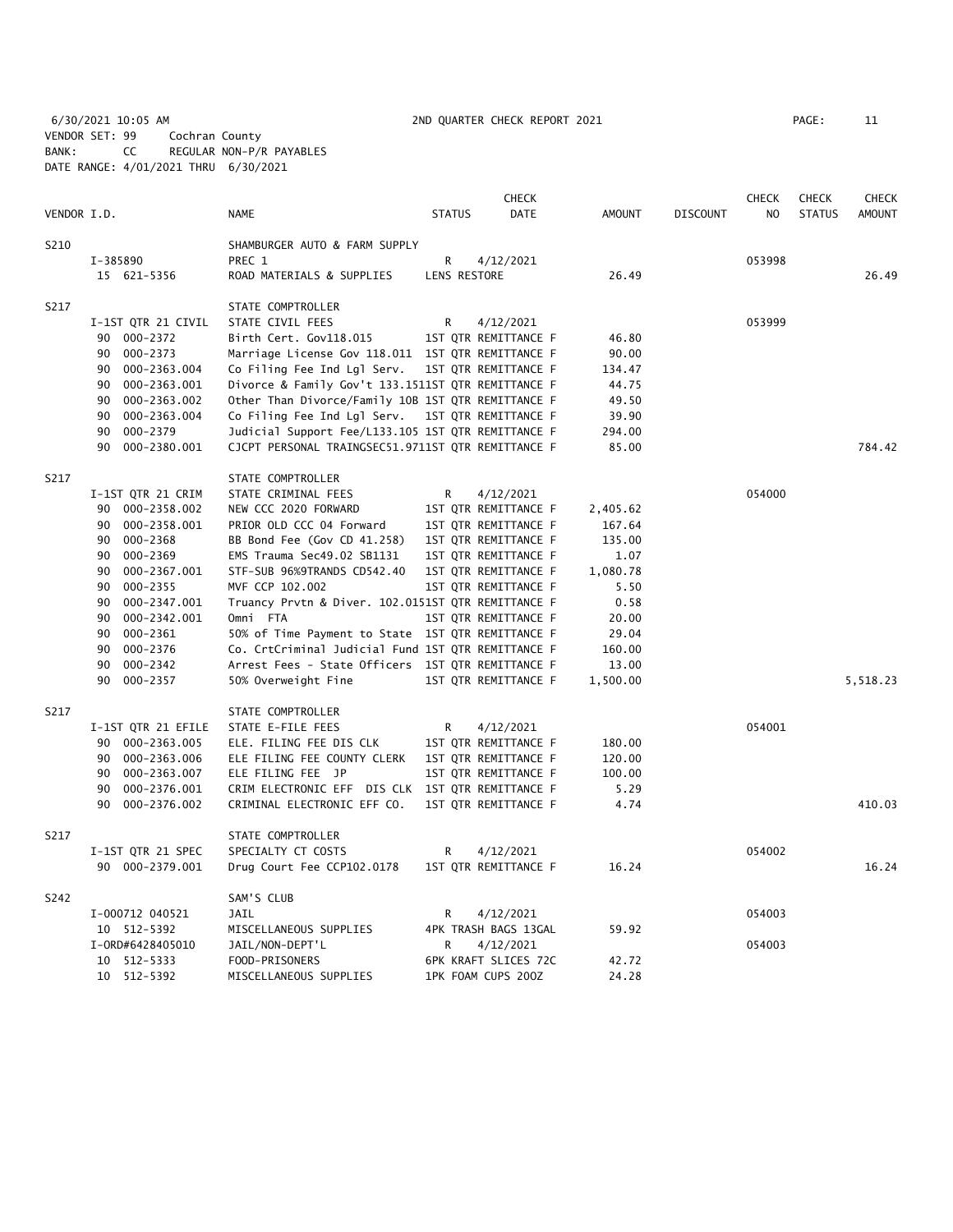6/30/2021 10:05 AM 2ND QUARTER CHECK REPORT 2021 PAGE: 11 VENDOR SET: 99 Cochran County BANK: CC REGULAR NON-P/R PAYABLES DATE RANGE: 4/01/2021 THRU 6/30/2021

|             |                                    |                                                                                 |               | <b>CHECK</b>         |               |                 | <b>CHECK</b>   | <b>CHECK</b>  | <b>CHECK</b>  |
|-------------|------------------------------------|---------------------------------------------------------------------------------|---------------|----------------------|---------------|-----------------|----------------|---------------|---------------|
| VENDOR I.D. |                                    | NAME                                                                            | <b>STATUS</b> | DATE                 | <b>AMOUNT</b> | <b>DISCOUNT</b> | N <sub>O</sub> | <b>STATUS</b> | <b>AMOUNT</b> |
| S210        |                                    | SHAMBURGER AUTO & FARM SUPPLY                                                   |               |                      |               |                 |                |               |               |
|             | I-385890                           | PREC 1                                                                          | R             | 4/12/2021            |               |                 | 053998         |               |               |
|             | 15 621-5356                        | ROAD MATERIALS & SUPPLIES                                                       | LENS RESTORE  |                      | 26.49         |                 |                |               | 26.49         |
| S217        |                                    | STATE COMPTROLLER                                                               |               |                      |               |                 |                |               |               |
|             | I-1ST QTR 21 CIVIL                 | STATE CIVIL FEES                                                                | R             | 4/12/2021            |               |                 | 053999         |               |               |
|             | 90 000-2372                        | Birth Cert. Gov118.015                                                          |               | 1ST QTR REMITTANCE F | 46.80         |                 |                |               |               |
|             | 90<br>000-2373                     | Marriage License Gov 118.011 1ST QTR REMITTANCE F                               |               |                      | 90.00         |                 |                |               |               |
|             | 90 000-2363.004                    | Co Filing Fee Ind Lgl Serv.                                                     |               | 1ST QTR REMITTANCE F | 134.47        |                 |                |               |               |
|             | 000-2363.001<br>90                 | Divorce & Family Gov't 133.1511ST QTR REMITTANCE F                              |               |                      | 44.75         |                 |                |               |               |
|             | 90<br>000-2363.002                 | Other Than Divorce/Family 10B 1ST QTR REMITTANCE F                              |               |                      | 49.50         |                 |                |               |               |
|             | 90<br>000-2363.004                 | Co Filing Fee Ind Lgl Serv.                                                     |               | 1ST QTR REMITTANCE F | 39.90         |                 |                |               |               |
|             | 90 000-2379                        | Judicial Support Fee/L133.105 1ST QTR REMITTANCE F                              |               |                      | 294.00        |                 |                |               |               |
|             | 90<br>000-2380.001                 | CJCPT PERSONAL TRAINGSEC51.9711ST QTR REMITTANCE F                              |               |                      | 85.00         |                 |                |               | 784.42        |
| S217        |                                    | STATE COMPTROLLER                                                               |               |                      |               |                 |                |               |               |
|             | I-1ST QTR 21 CRIM                  | STATE CRIMINAL FEES                                                             | R             | 4/12/2021            |               |                 | 054000         |               |               |
|             | 90 000-2358.002                    | NEW CCC 2020 FORWARD                                                            |               | 1ST QTR REMITTANCE F | 2,405.62      |                 |                |               |               |
|             | 90 000-2358.001                    | PRIOR OLD CCC 04 Forward                                                        |               | 1ST QTR REMITTANCE F | 167.64        |                 |                |               |               |
|             | 90 000-2368                        | BB Bond Fee (Gov CD 41.258)                                                     |               | 1ST QTR REMITTANCE F | 135.00        |                 |                |               |               |
|             | 000-2369<br>90                     | EMS Trauma Sec49.02 SB1131                                                      |               | 1ST QTR REMITTANCE F | 1.07          |                 |                |               |               |
|             | 000-2367.001<br>90                 | STF-SUB 96%9TRANDS CD542.40                                                     |               | 1ST QTR REMITTANCE F | 1,080.78      |                 |                |               |               |
|             | 000-2355<br>90                     | MVF CCP 102.002                                                                 |               | 1ST QTR REMITTANCE F | 5.50          |                 |                |               |               |
|             | 90<br>000-2347.001                 | Truancy Prvtn & Diver. 102.0151ST QTR REMITTANCE F                              |               |                      | 0.58          |                 |                |               |               |
|             | 000-2342.001<br>90                 | Omni FTA                                                                        |               | 1ST QTR REMITTANCE F | 20.00         |                 |                |               |               |
|             | 90<br>000-2361                     | 50% of Time Payment to State 1ST QTR REMITTANCE F                               |               |                      | 29.04         |                 |                |               |               |
|             | 90<br>000-2376                     | Co. CrtCriminal Judicial Fund 1ST QTR REMITTANCE F                              |               |                      | 160.00        |                 |                |               |               |
|             | 000-2342<br>90                     | Arrest Fees - State Officers 1ST QTR REMITTANCE F                               |               |                      | 13.00         |                 |                |               |               |
|             | 90<br>000-2357                     | 50% Overweight Fine                                                             |               | 1ST QTR REMITTANCE F | 1,500.00      |                 |                |               | 5,518.23      |
| S217        |                                    | STATE COMPTROLLER                                                               |               |                      |               |                 |                |               |               |
|             | I-1ST QTR 21 EFILE                 | STATE E-FILE FEES                                                               | R             | 4/12/2021            |               |                 | 054001         |               |               |
|             | 90 000-2363.005                    | ELE. FILING FEE DIS CLK                                                         |               | 1ST QTR REMITTANCE F | 180.00        |                 |                |               |               |
|             | 90 000-2363.006                    | ELE FILING FEE COUNTY CLERK                                                     |               | 1ST QTR REMITTANCE F | 120.00        |                 |                |               |               |
|             | 90 000-2363.007<br>90              | ELE FILING FEE JP                                                               |               | 1ST QTR REMITTANCE F | 100.00        |                 |                |               |               |
|             | 000-2376.001<br>000-2376.002<br>90 | CRIM ELECTRONIC EFF DIS CLK 1ST QTR REMITTANCE F<br>CRIMINAL ELECTRONIC EFF CO. |               | 1ST QTR REMITTANCE F | 5.29<br>4.74  |                 |                |               | 410.03        |
|             |                                    |                                                                                 |               |                      |               |                 |                |               |               |
| S217        |                                    | STATE COMPTROLLER                                                               |               |                      |               |                 |                |               |               |
|             | I-1ST QTR 21 SPEC                  | SPECIALTY CT COSTS                                                              | R             | 4/12/2021            |               |                 | 054002         |               |               |
|             | 90 000-2379.001                    | Drug Court Fee CCP102.0178                                                      |               | 1ST QTR REMITTANCE F | 16.24         |                 |                |               | 16.24         |
| S242        |                                    | SAM'S CLUB                                                                      |               |                      |               |                 |                |               |               |
|             | I-000712 040521                    | JAIL                                                                            | R             | 4/12/2021            |               |                 | 054003         |               |               |
|             | 10 512-5392                        | MISCELLANEOUS SUPPLIES                                                          |               | 4PK TRASH BAGS 13GAL | 59.92         |                 |                |               |               |
|             | I-0RD#6428405010                   | JAIL/NON-DEPT'L                                                                 | R             | 4/12/2021            |               |                 | 054003         |               |               |
|             | 10 512-5333                        | FOOD-PRISONERS                                                                  |               | 6PK KRAFT SLICES 72C | 42.72         |                 |                |               |               |
|             | 10 512-5392                        | MISCELLANEOUS SUPPLIES                                                          |               | 1PK FOAM CUPS 200Z   | 24.28         |                 |                |               |               |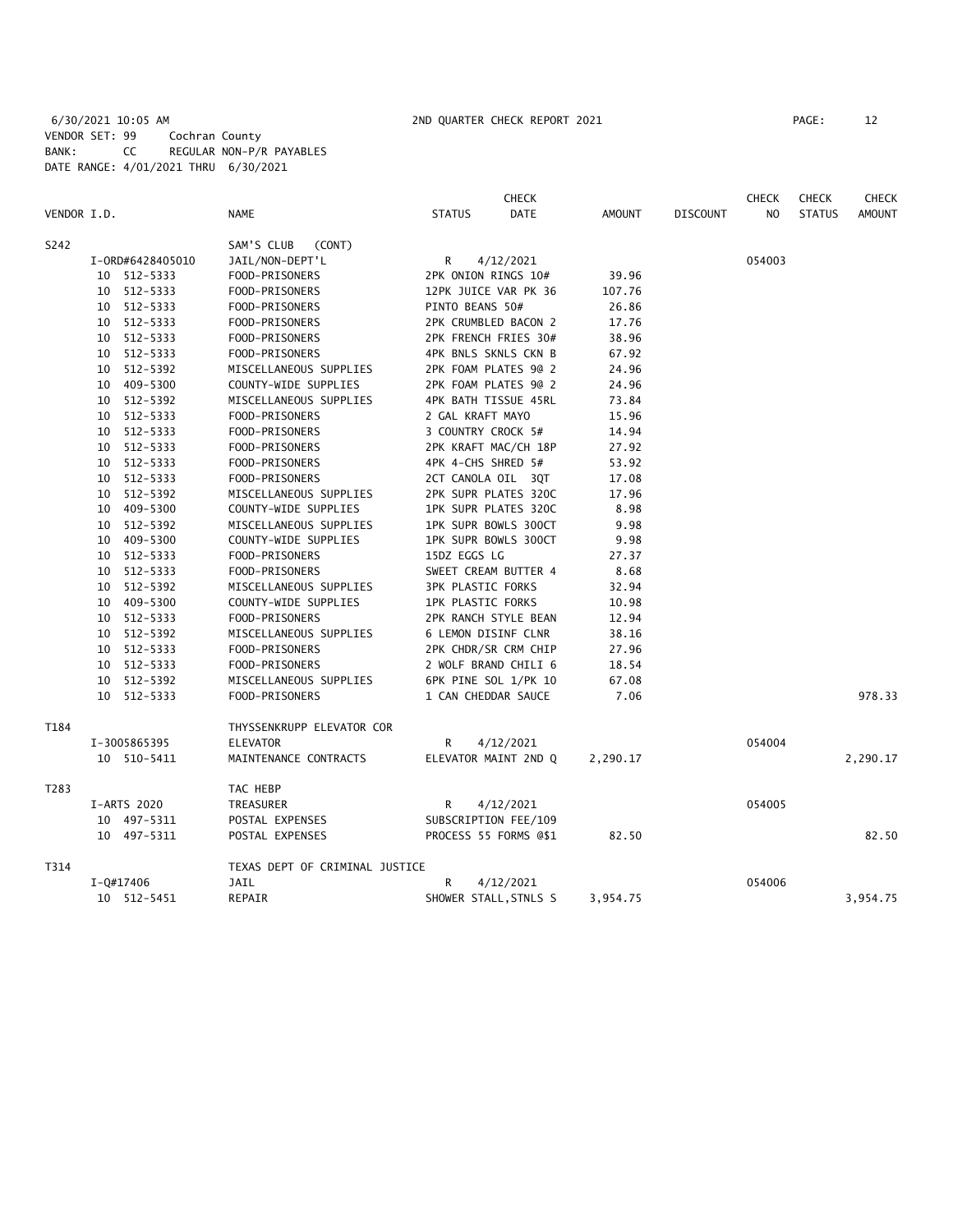6/30/2021 10:05 AM 2ND QUARTER CHECK REPORT 2021 PAGE: 12 VENDOR SET: 99 Cochran County BANK: CC REGULAR NON-P/R PAYABLES DATE RANGE: 4/01/2021 THRU 6/30/2021

|             |    |                  |                                |                          | <b>CHECK</b>          |               |                 | <b>CHECK</b>   | <b>CHECK</b>  | <b>CHECK</b>  |
|-------------|----|------------------|--------------------------------|--------------------------|-----------------------|---------------|-----------------|----------------|---------------|---------------|
| VENDOR I.D. |    |                  | NAME                           | <b>STATUS</b>            | DATE                  | <b>AMOUNT</b> | <b>DISCOUNT</b> | N <sub>O</sub> | <b>STATUS</b> | <b>AMOUNT</b> |
| S242        |    |                  | SAM'S CLUB<br>(CONT)           |                          |                       |               |                 |                |               |               |
|             |    | I-0RD#6428405010 | JAIL/NON-DEPT'L                | R                        | 4/12/2021             |               |                 | 054003         |               |               |
|             |    | 10 512-5333      | FOOD-PRISONERS                 | 2PK ONION RINGS 10#      |                       | 39.96         |                 |                |               |               |
|             |    | 10 512-5333      | FOOD-PRISONERS                 |                          | 12PK JUICE VAR PK 36  | 107.76        |                 |                |               |               |
|             |    | 10 512-5333      | FOOD-PRISONERS                 | PINTO BEANS 50#          |                       | 26.86         |                 |                |               |               |
|             |    | 10 512-5333      | FOOD-PRISONERS                 |                          | 2PK CRUMBLED BACON 2  | 17.76         |                 |                |               |               |
|             |    | 10 512-5333      | FOOD-PRISONERS                 |                          | 2PK FRENCH FRIES 30#  | 38.96         |                 |                |               |               |
|             |    | 10 512-5333      | FOOD-PRISONERS                 |                          | 4PK BNLS SKNLS CKN B  | 67.92         |                 |                |               |               |
|             |    | 10 512-5392      | MISCELLANEOUS SUPPLIES         |                          | 2PK FOAM PLATES 9@ 2  | 24.96         |                 |                |               |               |
|             |    | 10 409-5300      | COUNTY-WIDE SUPPLIES           |                          | 2PK FOAM PLATES 9@ 2  | 24.96         |                 |                |               |               |
|             |    | 10 512-5392      | MISCELLANEOUS SUPPLIES         |                          | 4PK BATH TISSUE 45RL  | 73.84         |                 |                |               |               |
|             |    | 10 512-5333      | FOOD-PRISONERS                 | 2 GAL KRAFT MAYO         |                       | 15.96         |                 |                |               |               |
|             |    | 10 512-5333      | FOOD-PRISONERS                 | 3 COUNTRY CROCK 5#       |                       | 14.94         |                 |                |               |               |
|             |    | 10 512-5333      | FOOD-PRISONERS                 |                          | 2PK KRAFT MAC/CH 18P  | 27.92         |                 |                |               |               |
|             |    | 10 512-5333      | FOOD-PRISONERS                 | 4PK 4-CHS SHRED 5#       |                       | 53.92         |                 |                |               |               |
|             |    | 10 512-5333      | FOOD-PRISONERS                 | 2CT CANOLA OIL 3QT       |                       | 17.08         |                 |                |               |               |
|             |    | 10 512-5392      | MISCELLANEOUS SUPPLIES         |                          | 2PK SUPR PLATES 320C  | 17.96         |                 |                |               |               |
|             |    | 10 409-5300      | COUNTY-WIDE SUPPLIES           |                          | 1PK SUPR PLATES 320C  | 8.98          |                 |                |               |               |
|             |    | 10 512-5392      | MISCELLANEOUS SUPPLIES         |                          | 1PK SUPR BOWLS 300CT  | 9.98          |                 |                |               |               |
|             |    | 10 409-5300      | COUNTY-WIDE SUPPLIES           |                          | 1PK SUPR BOWLS 300CT  | 9.98          |                 |                |               |               |
|             |    | 10 512-5333      | FOOD-PRISONERS                 | 15DZ EGGS LG             |                       | 27.37         |                 |                |               |               |
|             |    | 10 512-5333      | FOOD-PRISONERS                 |                          | SWEET CREAM BUTTER 4  | 8.68          |                 |                |               |               |
|             |    | 10 512-5392      | MISCELLANEOUS SUPPLIES         | <b>3PK PLASTIC FORKS</b> |                       | 32.94         |                 |                |               |               |
|             |    | 10 409-5300      | COUNTY-WIDE SUPPLIES           | <b>1PK PLASTIC FORKS</b> |                       | 10.98         |                 |                |               |               |
|             |    | 10 512-5333      | FOOD-PRISONERS                 |                          | 2PK RANCH STYLE BEAN  | 12.94         |                 |                |               |               |
|             |    | 10 512-5392      | MISCELLANEOUS SUPPLIES         | 6 LEMON DISINF CLNR      |                       | 38.16         |                 |                |               |               |
|             |    | 10 512-5333      | FOOD-PRISONERS                 |                          | 2PK CHDR/SR CRM CHIP  | 27.96         |                 |                |               |               |
|             |    | 10 512-5333      | FOOD-PRISONERS                 |                          | 2 WOLF BRAND CHILI 6  | 18.54         |                 |                |               |               |
|             | 10 | 512-5392         | MISCELLANEOUS SUPPLIES         |                          | 6PK PINE SOL 1/PK 10  | 67.08         |                 |                |               |               |
|             |    | 10 512-5333      | FOOD-PRISONERS                 | 1 CAN CHEDDAR SAUCE      |                       | 7.06          |                 |                |               | 978.33        |
| T184        |    |                  | THYSSENKRUPP ELEVATOR COR      |                          |                       |               |                 |                |               |               |
|             |    | I-3005865395     | <b>ELEVATOR</b>                | R                        | 4/12/2021             |               |                 | 054004         |               |               |
|             |    | 10 510-5411      | MAINTENANCE CONTRACTS          |                          | ELEVATOR MAINT 2ND Q  | 2,290.17      |                 |                |               | 2,290.17      |
| T283        |    |                  | TAC HEBP                       |                          |                       |               |                 |                |               |               |
|             |    | I-ARTS 2020      | TREASURER                      | R                        | 4/12/2021             |               |                 | 054005         |               |               |
|             |    | 10 497-5311      | POSTAL EXPENSES                |                          | SUBSCRIPTION FEE/109  |               |                 |                |               |               |
|             |    | 10 497-5311      | POSTAL EXPENSES                |                          | PROCESS 55 FORMS @\$1 | 82.50         |                 |                |               | 82.50         |
| T314        |    |                  | TEXAS DEPT OF CRIMINAL JUSTICE |                          |                       |               |                 |                |               |               |
|             |    | $I - Q#17406$    | <b>JAIL</b>                    | R                        | 4/12/2021             |               |                 | 054006         |               |               |
|             |    | 10 512-5451      | REPAIR                         |                          | SHOWER STALL, STNLS S | 3,954.75      |                 |                |               | 3,954.75      |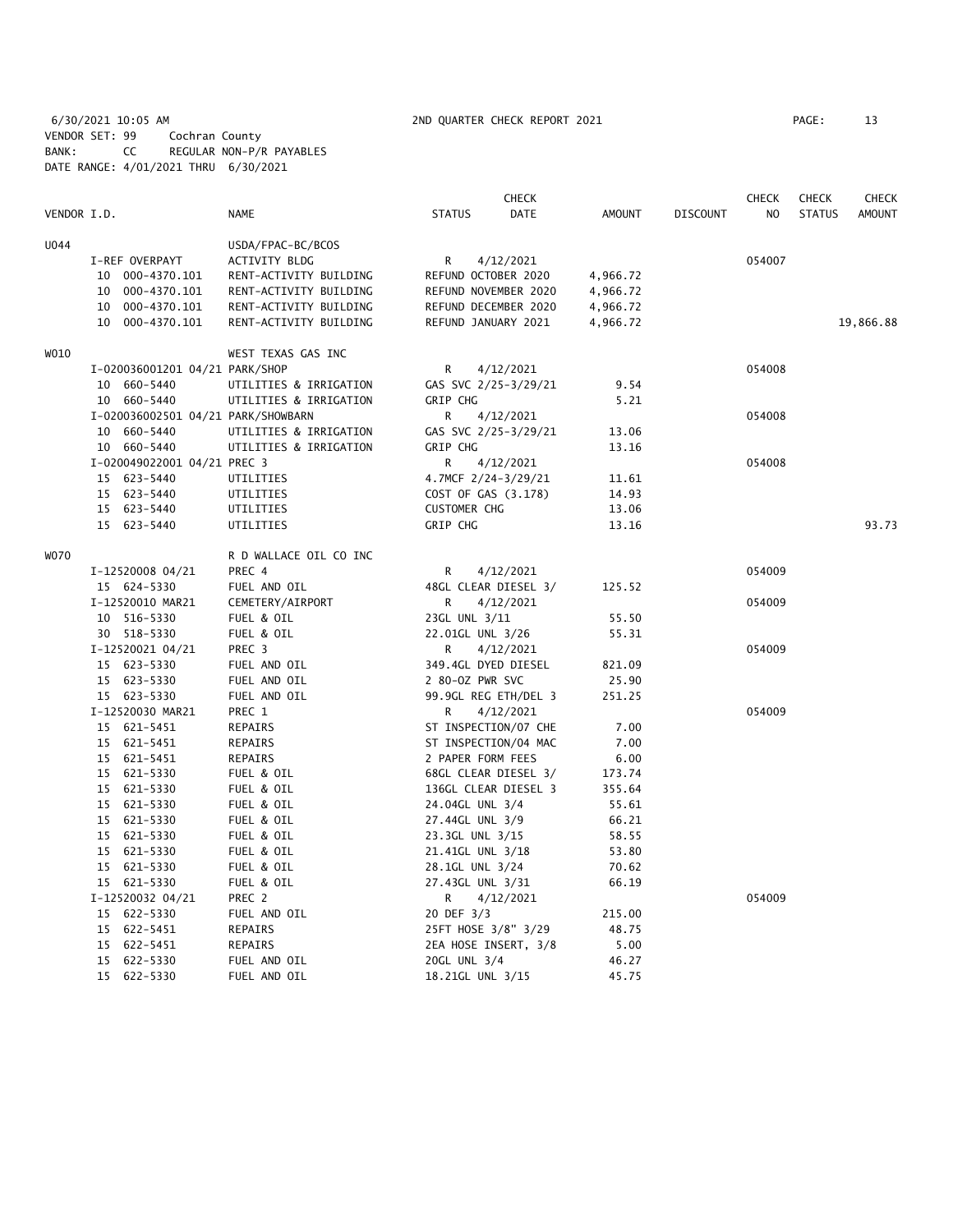6/30/2021 10:05 AM 2ND QUARTER CHECK REPORT 2021 PAGE: 13 VENDOR SET: 99 Cochran County BANK: CC REGULAR NON-P/R PAYABLES DATE RANGE: 4/01/2021 THRU 6/30/2021

|             |                                    |                        |                      | <b>CHECK</b> |          |                 | <b>CHECK</b> | <b>CHECK</b>  | CHECK         |
|-------------|------------------------------------|------------------------|----------------------|--------------|----------|-----------------|--------------|---------------|---------------|
| VENDOR I.D. |                                    | NAME                   | <b>STATUS</b>        | DATE         | AMOUNT   | <b>DISCOUNT</b> | NO           | <b>STATUS</b> | <b>AMOUNT</b> |
| U044        |                                    | USDA/FPAC-BC/BCOS      |                      |              |          |                 |              |               |               |
|             | I-REF OVERPAYT                     | ACTIVITY BLDG          | R                    | 4/12/2021    |          |                 | 054007       |               |               |
|             | 10 000-4370.101                    | RENT-ACTIVITY BUILDING | REFUND OCTOBER 2020  |              | 4,966.72 |                 |              |               |               |
|             | 10 000-4370.101                    | RENT-ACTIVITY BUILDING | REFUND NOVEMBER 2020 |              | 4,966.72 |                 |              |               |               |
|             | 10 000-4370.101                    | RENT-ACTIVITY BUILDING | REFUND DECEMBER 2020 |              | 4,966.72 |                 |              |               |               |
|             | 10 000-4370.101                    | RENT-ACTIVITY BUILDING | REFUND JANUARY 2021  |              | 4,966.72 |                 |              |               | 19,866.88     |
| W010        |                                    | WEST TEXAS GAS INC     |                      |              |          |                 |              |               |               |
|             | I-020036001201 04/21 PARK/SHOP     |                        | R                    | 4/12/2021    |          |                 | 054008       |               |               |
|             | 10 660-5440                        | UTILITIES & IRRIGATION | GAS SVC 2/25-3/29/21 |              | 9.54     |                 |              |               |               |
|             | 10 660-5440                        | UTILITIES & IRRIGATION | <b>GRIP CHG</b>      |              | 5.21     |                 |              |               |               |
|             | I-020036002501 04/21 PARK/SHOWBARN |                        | R                    | 4/12/2021    |          |                 | 054008       |               |               |
|             | 10 660-5440                        | UTILITIES & IRRIGATION | GAS SVC 2/25-3/29/21 |              | 13.06    |                 |              |               |               |
|             | 10 660-5440                        | UTILITIES & IRRIGATION | <b>GRIP CHG</b>      |              | 13.16    |                 |              |               |               |
|             | I-020049022001 04/21 PREC 3        |                        | R                    | 4/12/2021    |          |                 | 054008       |               |               |
|             | 15 623-5440                        | UTILITIES              | 4.7MCF 2/24-3/29/21  |              | 11.61    |                 |              |               |               |
|             | 15 623-5440                        | UTILITIES              | COST OF GAS (3.178)  |              | 14.93    |                 |              |               |               |
|             | 15 623-5440                        | UTILITIES              | <b>CUSTOMER CHG</b>  |              | 13.06    |                 |              |               |               |
|             | 15 623-5440                        | UTILITIES              | <b>GRIP CHG</b>      |              | 13.16    |                 |              |               | 93.73         |
| W070        |                                    | R D WALLACE OIL CO INC |                      |              |          |                 |              |               |               |
|             | I-12520008 04/21                   | PREC 4                 | R                    | 4/12/2021    |          |                 | 054009       |               |               |
|             | 15 624-5330                        | FUEL AND OIL           | 48GL CLEAR DIESEL 3/ |              | 125.52   |                 |              |               |               |
|             | I-12520010 MAR21                   | CEMETERY/AIRPORT       | R                    | 4/12/2021    |          |                 | 054009       |               |               |
|             | 10 516-5330                        | FUEL & OIL             | 23GL UNL 3/11        |              | 55.50    |                 |              |               |               |
|             | 30 518-5330                        | FUEL & OIL             | 22.01GL UNL 3/26     |              | 55.31    |                 |              |               |               |
|             | I-12520021 04/21                   | PREC 3                 | R                    | 4/12/2021    |          |                 | 054009       |               |               |
|             | 15 623-5330                        | FUEL AND OIL           | 349.4GL DYED DIESEL  |              | 821.09   |                 |              |               |               |
|             | 15 623-5330                        | FUEL AND OIL           | 2 80-0Z PWR SVC      |              | 25.90    |                 |              |               |               |
|             | 15 623-5330                        | FUEL AND OIL           | 99.9GL REG ETH/DEL 3 |              | 251.25   |                 |              |               |               |
|             | I-12520030 MAR21                   | PREC 1                 | R                    | 4/12/2021    |          |                 | 054009       |               |               |
|             | 15 621-5451                        | REPAIRS                | ST INSPECTION/07 CHE |              | 7.00     |                 |              |               |               |
|             | 15 621-5451                        | REPAIRS                | ST INSPECTION/04 MAC |              | 7.00     |                 |              |               |               |
|             | 15 621-5451                        | <b>REPAIRS</b>         | 2 PAPER FORM FEES    |              | 6.00     |                 |              |               |               |
|             | 15 621-5330                        | FUEL & OIL             | 68GL CLEAR DIESEL 3/ |              | 173.74   |                 |              |               |               |
|             | 15 621-5330                        | FUEL & OIL             | 136GL CLEAR DIESEL 3 |              | 355.64   |                 |              |               |               |
|             | 15 621-5330                        | FUEL & OIL             | 24.04GL UNL 3/4      |              | 55.61    |                 |              |               |               |
|             | 15 621-5330                        | FUEL & OIL             | 27.44GL UNL 3/9      |              | 66.21    |                 |              |               |               |
|             | 15 621-5330                        | FUEL & OIL             | 23.3GL UNL 3/15      |              | 58.55    |                 |              |               |               |
|             | 15 621-5330                        | FUEL & OIL             | 21.41GL UNL 3/18     |              | 53.80    |                 |              |               |               |
|             | 15 621-5330                        | FUEL & OIL             | 28.1GL UNL 3/24      |              | 70.62    |                 |              |               |               |
|             | 15 621-5330                        | FUEL & OIL             | 27.43GL UNL 3/31     |              | 66.19    |                 |              |               |               |
|             | I-12520032 04/21                   | PREC 2                 | R.                   | 4/12/2021    |          |                 | 054009       |               |               |
|             | 15 622-5330                        | FUEL AND OIL           | 20 DEF 3/3           |              | 215.00   |                 |              |               |               |
|             | 15 622-5451                        | REPAIRS                | 25FT HOSE 3/8" 3/29  |              | 48.75    |                 |              |               |               |
|             | 15 622-5451                        | REPAIRS                | 2EA HOSE INSERT, 3/8 |              | 5.00     |                 |              |               |               |
|             | 15 622-5330                        | FUEL AND OIL           | 20GL UNL 3/4         |              | 46.27    |                 |              |               |               |
|             | 15 622-5330                        | FUEL AND OIL           | 18.21GL UNL 3/15     |              | 45.75    |                 |              |               |               |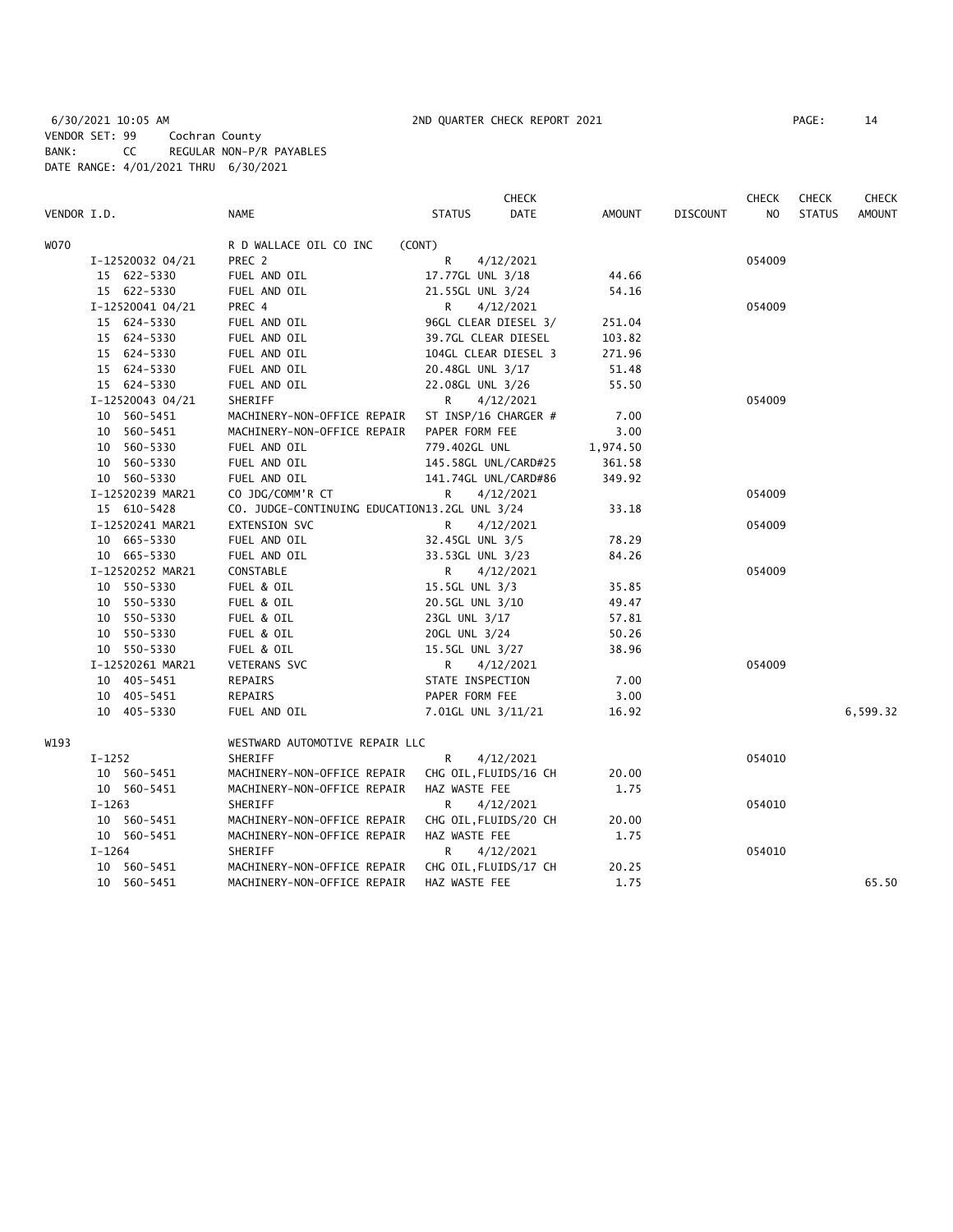6/30/2021 10:05 AM 2ND QUARTER CHECK REPORT 2021 PAGE: 14 VENDOR SET: 99 Cochran County BANK: CC REGULAR NON-P/R PAYABLES DATE RANGE: 4/01/2021 THRU 6/30/2021

|             |                  |                                               | <b>CHECK</b>          |          |                 | <b>CHECK</b> | <b>CHECK</b>  | <b>CHECK</b>  |
|-------------|------------------|-----------------------------------------------|-----------------------|----------|-----------------|--------------|---------------|---------------|
| VENDOR I.D. |                  | <b>NAME</b>                                   | <b>STATUS</b><br>DATE | AMOUNT   | <b>DISCOUNT</b> | NO.          | <b>STATUS</b> | <b>AMOUNT</b> |
| W070        |                  | R D WALLACE OIL CO INC                        | (CONT)                |          |                 |              |               |               |
|             | I-12520032 04/21 | PREC 2                                        | R<br>4/12/2021        |          |                 | 054009       |               |               |
|             | 15 622-5330      | FUEL AND OIL                                  | 17.77GL UNL 3/18      | 44.66    |                 |              |               |               |
|             | 15 622-5330      | FUEL AND OIL                                  | 21.55GL UNL 3/24      | 54.16    |                 |              |               |               |
|             | I-12520041 04/21 | PREC 4                                        | R<br>4/12/2021        |          |                 | 054009       |               |               |
|             | 15 624-5330      | FUEL AND OIL                                  | 96GL CLEAR DIESEL 3/  | 251.04   |                 |              |               |               |
|             | 15 624-5330      | FUEL AND OIL                                  | 39.7GL CLEAR DIESEL   | 103.82   |                 |              |               |               |
|             | 15 624-5330      | FUEL AND OIL                                  | 104GL CLEAR DIESEL 3  | 271.96   |                 |              |               |               |
|             | 15 624-5330      | FUEL AND OIL                                  | 20.48GL UNL 3/17      | 51.48    |                 |              |               |               |
|             | 15 624-5330      | FUEL AND OIL                                  | 22.08GL UNL 3/26      | 55.50    |                 |              |               |               |
|             | I-12520043 04/21 | SHERIFF                                       | R<br>4/12/2021        |          |                 | 054009       |               |               |
|             | 10 560-5451      | MACHINERY-NON-OFFICE REPAIR                   | ST INSP/16 CHARGER #  | 7.00     |                 |              |               |               |
|             | 560-5451<br>10   | MACHINERY-NON-OFFICE REPAIR                   | PAPER FORM FEE        | 3.00     |                 |              |               |               |
|             | 10 560-5330      | FUEL AND OIL                                  | 779.402GL UNL         | 1,974.50 |                 |              |               |               |
|             | 10 560-5330      | FUEL AND OIL                                  | 145.58GL UNL/CARD#25  | 361.58   |                 |              |               |               |
|             | 10 560-5330      | FUEL AND OIL                                  | 141.74GL UNL/CARD#86  | 349.92   |                 |              |               |               |
|             | I-12520239 MAR21 | CO JDG/COMM'R CT                              | R<br>4/12/2021        |          |                 | 054009       |               |               |
|             | 15 610-5428      | CO. JUDGE-CONTINUING EDUCATION13.2GL UNL 3/24 |                       | 33.18    |                 |              |               |               |
|             | I-12520241 MAR21 | <b>EXTENSION SVC</b>                          | R<br>4/12/2021        |          |                 | 054009       |               |               |
|             | 10 665-5330      | FUEL AND OIL                                  | 32.45GL UNL 3/5       | 78.29    |                 |              |               |               |
|             | 10 665-5330      | FUEL AND OIL                                  | 33.53GL UNL 3/23      | 84.26    |                 |              |               |               |
|             | I-12520252 MAR21 | CONSTABLE                                     | R<br>4/12/2021        |          |                 | 054009       |               |               |
|             | 10 550-5330      | FUEL & OIL                                    | 15.5GL UNL 3/3        | 35.85    |                 |              |               |               |
|             | 10 550-5330      | FUEL & OIL                                    | 20.5GL UNL 3/10       | 49.47    |                 |              |               |               |
|             | 10 550-5330      | FUEL & OIL                                    | 23GL UNL 3/17         | 57.81    |                 |              |               |               |
|             | 10 550-5330      | FUEL & OIL                                    | 20GL UNL 3/24         | 50.26    |                 |              |               |               |
|             | 10 550-5330      | FUEL & OIL                                    | 15.5GL UNL 3/27       | 38.96    |                 |              |               |               |
|             | I-12520261 MAR21 | <b>VETERANS SVC</b>                           | R<br>4/12/2021        |          |                 | 054009       |               |               |
|             | 10 405-5451      | REPAIRS                                       | STATE INSPECTION      | 7.00     |                 |              |               |               |
|             | 10 405-5451      | REPAIRS                                       | PAPER FORM FEE        | 3.00     |                 |              |               |               |
|             | 10 405-5330      | FUEL AND OIL                                  | 7.01GL UNL 3/11/21    | 16.92    |                 |              |               | 6,599.32      |
| W193        |                  | WESTWARD AUTOMOTIVE REPAIR LLC                |                       |          |                 |              |               |               |
|             | $I-1252$         | SHERIFF                                       | R<br>4/12/2021        |          |                 | 054010       |               |               |
|             | 10 560-5451      | MACHINERY-NON-OFFICE REPAIR                   | CHG OIL, FLUIDS/16 CH | 20.00    |                 |              |               |               |
|             | 10 560-5451      | MACHINERY-NON-OFFICE REPAIR                   | HAZ WASTE FEE         | 1.75     |                 |              |               |               |
|             | $I-1263$         | SHERIFF                                       | R<br>4/12/2021        |          |                 | 054010       |               |               |
|             | 10 560-5451      | MACHINERY-NON-OFFICE REPAIR                   | CHG OIL, FLUIDS/20 CH | 20.00    |                 |              |               |               |
|             | 10 560-5451      | MACHINERY-NON-OFFICE REPAIR                   | HAZ WASTE FEE         | 1.75     |                 |              |               |               |
|             | $I-1264$         | SHERIFF                                       | 4/12/2021<br>R        |          |                 | 054010       |               |               |
|             | 10 560-5451      | MACHINERY-NON-OFFICE REPAIR                   | CHG OIL, FLUIDS/17 CH | 20.25    |                 |              |               |               |
|             | 10 560-5451      | MACHINERY-NON-OFFICE REPAIR                   | HAZ WASTE FEE         | 1.75     |                 |              |               | 65.50         |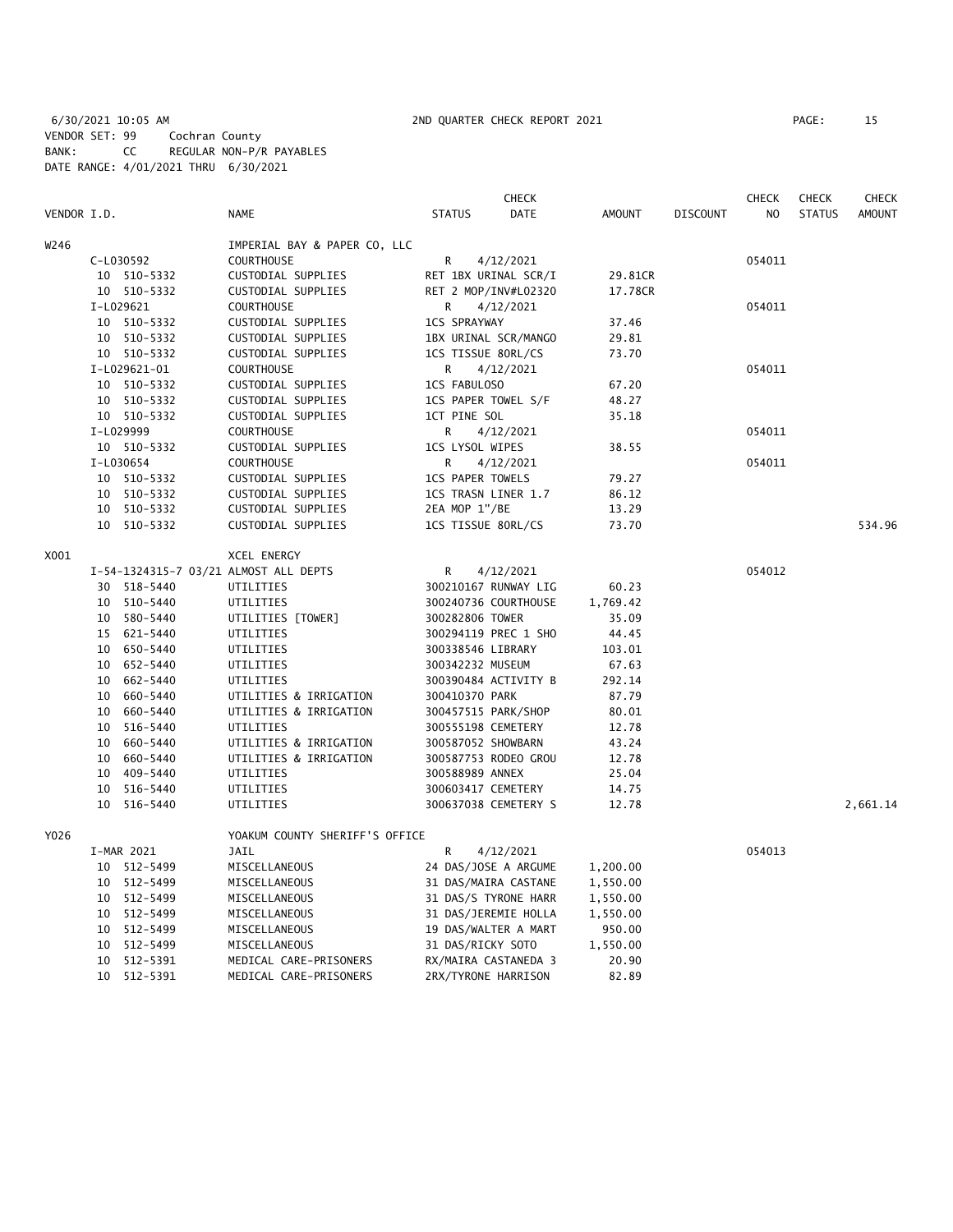6/30/2021 10:05 AM 2ND QUARTER CHECK REPORT 2021 PAGE: 15 VENDOR SET: 99 Cochran County BANK: CC REGULAR NON-P/R PAYABLES DATE RANGE: 4/01/2021 THRU 6/30/2021

|             |    |              |                                       |                         | <b>CHECK</b>         |               |                 | <b>CHECK</b>   | <b>CHECK</b>  | <b>CHECK</b>  |
|-------------|----|--------------|---------------------------------------|-------------------------|----------------------|---------------|-----------------|----------------|---------------|---------------|
| VENDOR I.D. |    |              | <b>NAME</b>                           | <b>STATUS</b>           | <b>DATE</b>          | <b>AMOUNT</b> | <b>DISCOUNT</b> | N <sub>O</sub> | <b>STATUS</b> | <b>AMOUNT</b> |
| W246        |    |              | IMPERIAL BAY & PAPER CO, LLC          |                         |                      |               |                 |                |               |               |
|             |    | C-L030592    | <b>COURTHOUSE</b>                     | $\mathsf{R}$            | 4/12/2021            |               |                 | 054011         |               |               |
|             |    | 10 510-5332  | CUSTODIAL SUPPLIES                    | RET 1BX URINAL SCR/I    |                      | 29.81CR       |                 |                |               |               |
|             |    | 10 510-5332  | CUSTODIAL SUPPLIES                    |                         | RET 2 MOP/INV#L02320 | 17.78CR       |                 |                |               |               |
|             |    | I-L029621    | <b>COURTHOUSE</b>                     | R                       | 4/12/2021            |               |                 | 054011         |               |               |
|             |    | 10 510-5332  | CUSTODIAL SUPPLIES                    | <b>1CS SPRAYWAY</b>     |                      | 37.46         |                 |                |               |               |
|             |    | 10 510-5332  | CUSTODIAL SUPPLIES                    | 1BX URINAL SCR/MANGO    |                      | 29.81         |                 |                |               |               |
|             |    | 10 510-5332  | CUSTODIAL SUPPLIES                    | 1CS TISSUE 80RL/CS      |                      | 73.70         |                 |                |               |               |
|             |    | I-L029621-01 | <b>COURTHOUSE</b>                     | R                       | 4/12/2021            |               |                 | 054011         |               |               |
|             |    | 10 510-5332  | CUSTODIAL SUPPLIES                    | 1CS FABULOSO            |                      | 67.20         |                 |                |               |               |
|             |    | 10 510-5332  | CUSTODIAL SUPPLIES                    | 1CS PAPER TOWEL S/F     |                      | 48.27         |                 |                |               |               |
|             |    | 10 510-5332  | CUSTODIAL SUPPLIES                    | 1CT PINE SOL            |                      | 35.18         |                 |                |               |               |
|             |    | I-L029999    | <b>COURTHOUSE</b>                     | R                       | 4/12/2021            |               |                 | 054011         |               |               |
|             |    | 10 510-5332  | CUSTODIAL SUPPLIES                    | 1CS LYSOL WIPES         |                      | 38.55         |                 |                |               |               |
|             |    | I-L030654    | <b>COURTHOUSE</b>                     | R.                      | 4/12/2021            |               |                 | 054011         |               |               |
|             |    | 10 510-5332  | CUSTODIAL SUPPLIES                    | <b>1CS PAPER TOWELS</b> |                      | 79.27         |                 |                |               |               |
|             |    | 10 510-5332  | CUSTODIAL SUPPLIES                    | 1CS TRASN LINER 1.7     |                      | 86.12         |                 |                |               |               |
|             |    | 10 510-5332  | CUSTODIAL SUPPLIES                    | 2EA MOP 1"/BE           |                      | 13.29         |                 |                |               |               |
|             |    | 10 510-5332  | CUSTODIAL SUPPLIES                    | 1CS TISSUE 80RL/CS      |                      | 73.70         |                 |                |               | 534.96        |
| X001        |    |              | XCEL ENERGY                           |                         |                      |               |                 |                |               |               |
|             |    |              | I-54-1324315-7 03/21 ALMOST ALL DEPTS | R                       | 4/12/2021            |               |                 | 054012         |               |               |
|             |    | 30 518-5440  | UTILITIES                             |                         | 300210167 RUNWAY LIG | 60.23         |                 |                |               |               |
|             |    | 10 510-5440  | UTILITIES                             |                         | 300240736 COURTHOUSE | 1,769.42      |                 |                |               |               |
|             |    | 10 580-5440  | UTILITIES [TOWER]                     | 300282806 TOWER         |                      | 35.09         |                 |                |               |               |
|             |    | 15 621-5440  | UTILITIES                             |                         | 300294119 PREC 1 SHO | 44.45         |                 |                |               |               |
|             |    | 10 650-5440  | UTILITIES                             | 300338546 LIBRARY       |                      | 103.01        |                 |                |               |               |
|             |    | 10 652-5440  | UTILITIES                             | 300342232 MUSEUM        |                      | 67.63         |                 |                |               |               |
|             |    | 10 662-5440  | UTILITIES                             |                         | 300390484 ACTIVITY B | 292.14        |                 |                |               |               |
|             |    | 10 660-5440  | UTILITIES & IRRIGATION                | 300410370 PARK          |                      | 87.79         |                 |                |               |               |
|             |    | 10 660-5440  | UTILITIES & IRRIGATION                | 300457515 PARK/SHOP     |                      | 80.01         |                 |                |               |               |
|             |    | 10 516-5440  | UTILITIES                             | 300555198 CEMETERY      |                      | 12.78         |                 |                |               |               |
|             | 10 | 660-5440     | UTILITIES & IRRIGATION                | 300587052 SHOWBARN      |                      | 43.24         |                 |                |               |               |
|             |    | 10 660-5440  | UTILITIES & IRRIGATION                |                         | 300587753 RODEO GROU | 12.78         |                 |                |               |               |
|             |    | 10 409-5440  | UTILITIES                             | 300588989 ANNEX         |                      | 25.04         |                 |                |               |               |
|             |    | 10 516-5440  | UTILITIES                             | 300603417 CEMETERY      |                      | 14.75         |                 |                |               |               |
|             | 10 | 516-5440     | UTILITIES                             |                         | 300637038 CEMETERY S | 12.78         |                 |                |               | 2,661.14      |
| Y026        |    |              | YOAKUM COUNTY SHERIFF'S OFFICE        |                         |                      |               |                 |                |               |               |
|             |    | I-MAR 2021   | <b>JAIL</b>                           | R                       | 4/12/2021            |               |                 | 054013         |               |               |
|             |    | 10 512-5499  | MISCELLANEOUS                         |                         | 24 DAS/JOSE A ARGUME | 1,200.00      |                 |                |               |               |
|             |    | 10 512-5499  | MISCELLANEOUS                         |                         | 31 DAS/MAIRA CASTANE | 1,550.00      |                 |                |               |               |
|             |    | 10 512-5499  | MISCELLANEOUS                         |                         | 31 DAS/S TYRONE HARR | 1,550.00      |                 |                |               |               |
|             |    | 10 512-5499  | MISCELLANEOUS                         |                         | 31 DAS/JEREMIE HOLLA | 1,550.00      |                 |                |               |               |
|             |    | 10 512-5499  | MISCELLANEOUS                         |                         | 19 DAS/WALTER A MART | 950.00        |                 |                |               |               |
|             |    | 10 512-5499  | MISCELLANEOUS                         | 31 DAS/RICKY SOTO       |                      | 1,550.00      |                 |                |               |               |

 10 512-5391 MEDICAL CARE-PRISONERS RX/MAIRA CASTANEDA 3 20.90 10 512-5391 MEDICAL CARE-PRISONERS 2RX/TYRONE HARRISON 82.89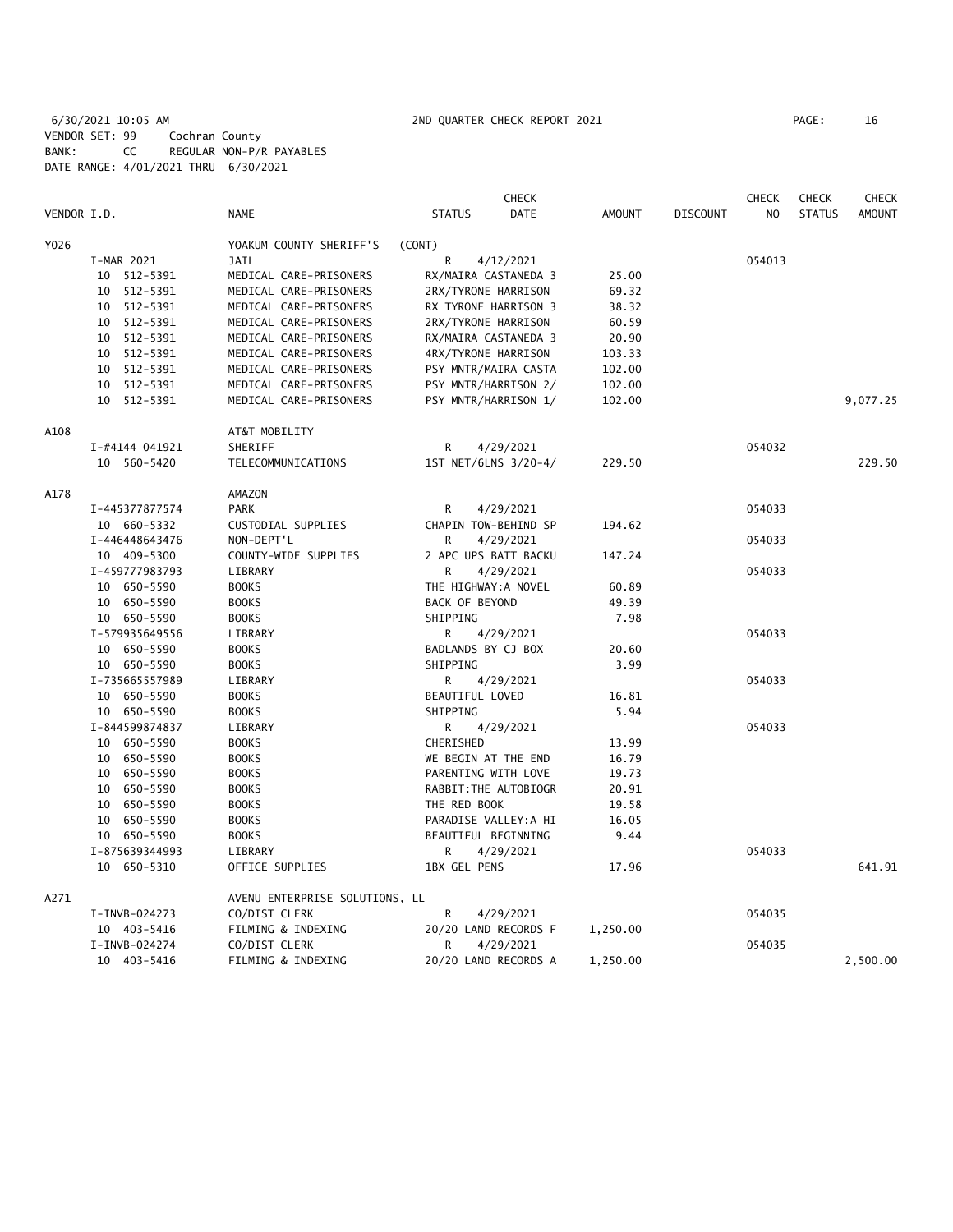# 6/30/2021 10:05 AM 2ND QUARTER CHECK REPORT 2021 PAGE: 16 VENDOR SET: 99 Cochran County BANK: CC REGULAR NON-P/R PAYABLES DATE RANGE: 4/01/2021 THRU 6/30/2021

|             |                |                                | <b>CHECK</b>          |               |                 | <b>CHECK</b>   | <b>CHECK</b>  | <b>CHECK</b>  |
|-------------|----------------|--------------------------------|-----------------------|---------------|-----------------|----------------|---------------|---------------|
| VENDOR I.D. |                | <b>NAME</b>                    | <b>STATUS</b><br>DATE | <b>AMOUNT</b> | <b>DISCOUNT</b> | N <sub>O</sub> | <b>STATUS</b> | <b>AMOUNT</b> |
| Y026        |                | YOAKUM COUNTY SHERIFF'S        | (CONT)                |               |                 |                |               |               |
|             | I-MAR 2021     | JAIL                           | R<br>4/12/2021        |               |                 | 054013         |               |               |
|             | 10 512-5391    | MEDICAL CARE-PRISONERS         | RX/MAIRA CASTANEDA 3  | 25.00         |                 |                |               |               |
|             | 10 512-5391    | MEDICAL CARE-PRISONERS         | 2RX/TYRONE HARRISON   | 69.32         |                 |                |               |               |
|             | 10 512-5391    | MEDICAL CARE-PRISONERS         | RX TYRONE HARRISON 3  | 38.32         |                 |                |               |               |
|             | 10 512-5391    | MEDICAL CARE-PRISONERS         | 2RX/TYRONE HARRISON   | 60.59         |                 |                |               |               |
|             | 10 512-5391    | MEDICAL CARE-PRISONERS         | RX/MAIRA CASTANEDA 3  | 20.90         |                 |                |               |               |
|             | 10 512-5391    | MEDICAL CARE-PRISONERS         | 4RX/TYRONE HARRISON   | 103.33        |                 |                |               |               |
|             | 10 512-5391    | MEDICAL CARE-PRISONERS         | PSY MNTR/MAIRA CASTA  | 102.00        |                 |                |               |               |
|             | 10 512-5391    | MEDICAL CARE-PRISONERS         | PSY MNTR/HARRISON 2/  | 102.00        |                 |                |               |               |
|             | 10 512-5391    | MEDICAL CARE-PRISONERS         | PSY MNTR/HARRISON 1/  | 102.00        |                 |                |               | 9,077.25      |
| A108        |                | AT&T MOBILITY                  |                       |               |                 |                |               |               |
|             | I-#4144 041921 | SHERIFF                        | R<br>4/29/2021        |               |                 | 054032         |               |               |
|             | 10 560-5420    | TELECOMMUNICATIONS             | 1ST NET/6LNS 3/20-4/  | 229.50        |                 |                |               | 229.50        |
| A178        |                | <b>AMAZON</b>                  |                       |               |                 |                |               |               |
|             | I-445377877574 | <b>PARK</b>                    | R<br>4/29/2021        |               |                 | 054033         |               |               |
|             | 10 660-5332    | CUSTODIAL SUPPLIES             | CHAPIN TOW-BEHIND SP  | 194.62        |                 |                |               |               |
|             | I-446448643476 | NON-DEPT'L                     | R<br>4/29/2021        |               |                 | 054033         |               |               |
|             | 10 409-5300    | COUNTY-WIDE SUPPLIES           | 2 APC UPS BATT BACKU  | 147.24        |                 |                |               |               |
|             | I-459777983793 | LIBRARY                        | R.<br>4/29/2021       |               |                 | 054033         |               |               |
|             | 10 650-5590    | <b>BOOKS</b>                   | THE HIGHWAY:A NOVEL   | 60.89         |                 |                |               |               |
|             | 10 650-5590    | <b>BOOKS</b>                   | BACK OF BEYOND        | 49.39         |                 |                |               |               |
|             | 10 650-5590    | <b>BOOKS</b>                   | SHIPPING              | 7.98          |                 |                |               |               |
|             | I-579935649556 | LIBRARY                        | R<br>4/29/2021        |               |                 | 054033         |               |               |
|             | 10 650-5590    | <b>BOOKS</b>                   | BADLANDS BY CJ BOX    | 20.60         |                 |                |               |               |
|             | 10 650-5590    | <b>BOOKS</b>                   | SHIPPING              | 3.99          |                 |                |               |               |
|             | I-735665557989 | LIBRARY                        | R<br>4/29/2021        |               |                 | 054033         |               |               |
|             | 10 650-5590    | <b>BOOKS</b>                   | BEAUTIFUL LOVED       | 16.81         |                 |                |               |               |
|             | 10 650-5590    | <b>BOOKS</b>                   | SHIPPING              | 5.94          |                 |                |               |               |
|             | I-844599874837 | LIBRARY                        | R<br>4/29/2021        |               |                 | 054033         |               |               |
|             |                |                                |                       |               |                 |                |               |               |
|             | 10 650-5590    | <b>BOOKS</b>                   | CHERISHED             | 13.99         |                 |                |               |               |
|             | 10 650-5590    | <b>BOOKS</b>                   | WE BEGIN AT THE END   | 16.79         |                 |                |               |               |
|             | 10 650-5590    | <b>BOOKS</b>                   | PARENTING WITH LOVE   | 19.73         |                 |                |               |               |
|             | 10 650-5590    | <b>BOOKS</b>                   | RABBIT: THE AUTOBIOGR | 20.91         |                 |                |               |               |
|             | 10 650-5590    | <b>BOOKS</b>                   | THE RED BOOK          | 19.58         |                 |                |               |               |
|             | 10 650-5590    | <b>BOOKS</b>                   | PARADISE VALLEY:A HI  | 16.05         |                 |                |               |               |
|             | 10 650-5590    | <b>BOOKS</b>                   | BEAUTIFUL BEGINNING   | 9.44          |                 |                |               |               |
|             | I-875639344993 | LIBRARY                        | R<br>4/29/2021        |               |                 | 054033         |               |               |
|             | 10 650-5310    | OFFICE SUPPLIES                | 1BX GEL PENS          | 17.96         |                 |                |               | 641.91        |
| A271        |                | AVENU ENTERPRISE SOLUTIONS, LL |                       |               |                 |                |               |               |
|             | I-INVB-024273  | CO/DIST CLERK                  | R<br>4/29/2021        |               |                 | 054035         |               |               |
|             | 10 403-5416    | FILMING & INDEXING             | 20/20 LAND RECORDS F  | 1,250.00      |                 |                |               |               |
|             | I-INVB-024274  | CO/DIST CLERK                  | R<br>4/29/2021        |               |                 | 054035         |               |               |
|             | 10 403-5416    | FILMING & INDEXING             | 20/20 LAND RECORDS A  | 1,250.00      |                 |                |               | 2,500.00      |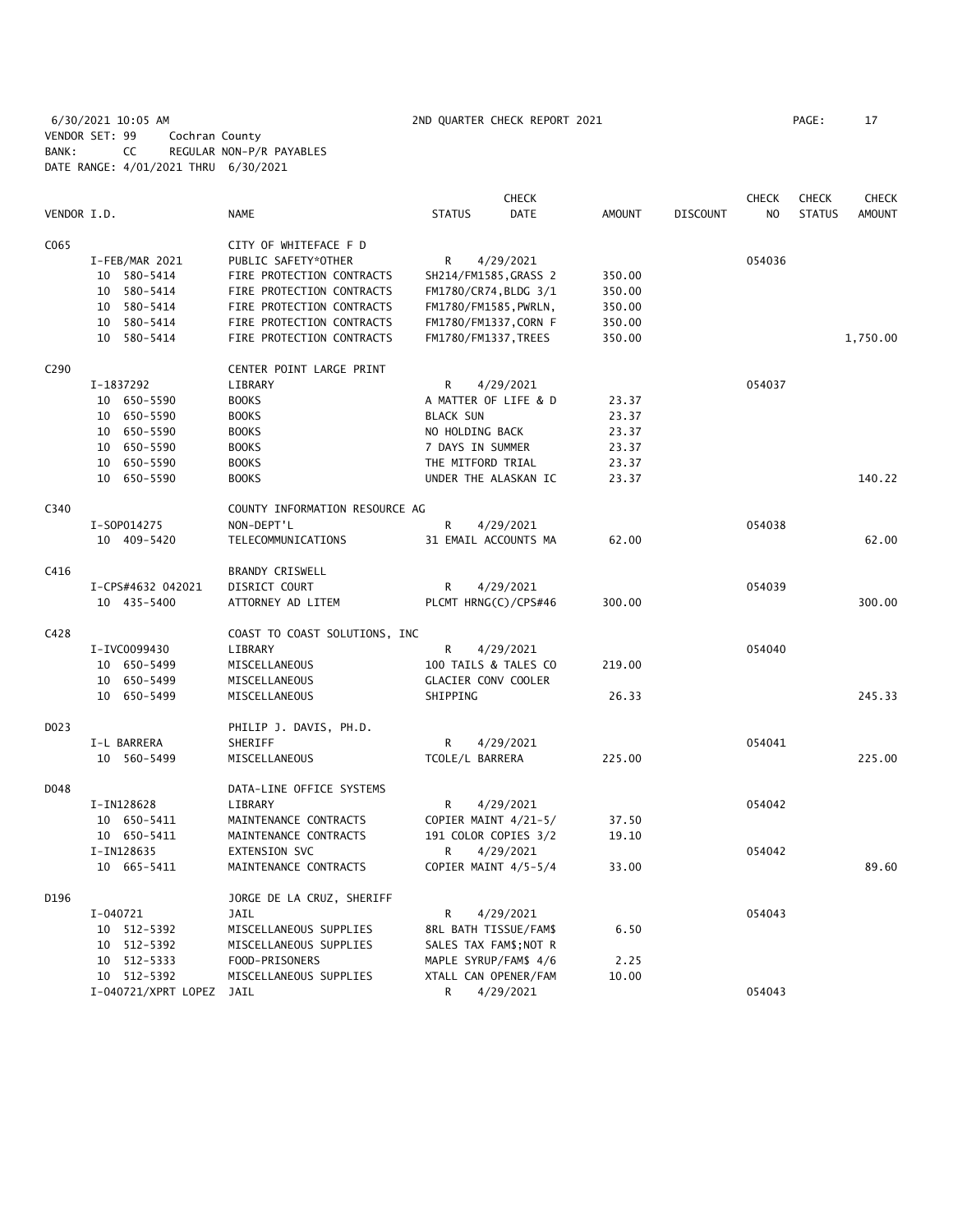6/30/2021 10:05 AM 2ND QUARTER CHECK REPORT 2021 PAGE: 17 VENDOR SET: 99 Cochran County BANK: CC REGULAR NON-P/R PAYABLES DATE RANGE: 4/01/2021 THRU 6/30/2021

|             |                          |                                |                            | <b>CHECK</b> |               |                 | <b>CHECK</b>   | <b>CHECK</b>  | <b>CHECK</b>  |
|-------------|--------------------------|--------------------------------|----------------------------|--------------|---------------|-----------------|----------------|---------------|---------------|
| VENDOR I.D. |                          | <b>NAME</b>                    | <b>STATUS</b>              | <b>DATE</b>  | <b>AMOUNT</b> | <b>DISCOUNT</b> | N <sub>O</sub> | <b>STATUS</b> | <b>AMOUNT</b> |
| C065        |                          | CITY OF WHITEFACE F D          |                            |              |               |                 |                |               |               |
|             | I-FEB/MAR 2021           | PUBLIC SAFETY*OTHER            | R                          | 4/29/2021    |               |                 | 054036         |               |               |
|             | 10 580-5414              | FIRE PROTECTION CONTRACTS      | SH214/FM1585, GRASS 2      |              | 350.00        |                 |                |               |               |
|             | 10 580-5414              | FIRE PROTECTION CONTRACTS      | FM1780/CR74, BLDG 3/1      |              | 350.00        |                 |                |               |               |
|             | 10 580-5414              | FIRE PROTECTION CONTRACTS      | FM1780/FM1585, PWRLN,      |              | 350.00        |                 |                |               |               |
|             | 10 580-5414              | FIRE PROTECTION CONTRACTS      | FM1780/FM1337, CORN F      |              | 350.00        |                 |                |               |               |
|             | 10 580-5414              | FIRE PROTECTION CONTRACTS      | FM1780/FM1337, TREES       |              | 350.00        |                 |                |               | 1,750.00      |
| C290        |                          | CENTER POINT LARGE PRINT       |                            |              |               |                 |                |               |               |
|             | I-1837292                | LIBRARY                        | R                          | 4/29/2021    |               |                 | 054037         |               |               |
|             | 10 650-5590              | <b>BOOKS</b>                   | A MATTER OF LIFE & D       |              | 23.37         |                 |                |               |               |
|             | 10 650-5590              | <b>BOOKS</b>                   | <b>BLACK SUN</b>           |              | 23.37         |                 |                |               |               |
|             | 10 650-5590              | <b>BOOKS</b>                   | NO HOLDING BACK            |              | 23.37         |                 |                |               |               |
|             | 10 650-5590              | <b>BOOKS</b>                   | 7 DAYS IN SUMMER           |              | 23.37         |                 |                |               |               |
|             | 10 650-5590              | <b>BOOKS</b>                   | THE MITFORD TRIAL          |              | 23.37         |                 |                |               |               |
|             | 10 650-5590              | <b>BOOKS</b>                   | UNDER THE ALASKAN IC       |              | 23.37         |                 |                |               | 140.22        |
| C340        |                          | COUNTY INFORMATION RESOURCE AG |                            |              |               |                 |                |               |               |
|             | I-S0P014275              | NON-DEPT'L                     | R                          | 4/29/2021    |               |                 | 054038         |               |               |
|             | 10 409-5420              | TELECOMMUNICATIONS             | 31 EMAIL ACCOUNTS MA       |              | 62.00         |                 |                |               | 62.00         |
|             |                          |                                |                            |              |               |                 |                |               |               |
| C416        |                          | <b>BRANDY CRISWELL</b>         |                            |              |               |                 |                |               |               |
|             | I-CPS#4632 042021        | DISRICT COURT                  | R                          | 4/29/2021    |               |                 | 054039         |               |               |
|             | 10 435-5400              | ATTORNEY AD LITEM              | PLCMT HRNG(C)/CPS#46       |              | 300.00        |                 |                |               | 300.00        |
| C428        |                          | COAST TO COAST SOLUTIONS, INC  |                            |              |               |                 |                |               |               |
|             | I-IVC0099430             | LIBRARY                        | R                          | 4/29/2021    |               |                 | 054040         |               |               |
|             | 10 650-5499              | MISCELLANEOUS                  | 100 TAILS & TALES CO       |              | 219.00        |                 |                |               |               |
|             | 10 650-5499              | MISCELLANEOUS                  | <b>GLACIER CONV COOLER</b> |              |               |                 |                |               |               |
|             | 10 650-5499              | MISCELLANEOUS                  | SHIPPING                   |              | 26.33         |                 |                |               | 245.33        |
| D023        |                          | PHILIP J. DAVIS, PH.D.         |                            |              |               |                 |                |               |               |
|             | I-L BARRERA              | SHERIFF                        | R                          | 4/29/2021    |               |                 | 054041         |               |               |
|             | 10 560-5499              | MISCELLANEOUS                  | TCOLE/L BARRERA            |              | 225.00        |                 |                |               | 225.00        |
| D048        |                          | DATA-LINE OFFICE SYSTEMS       |                            |              |               |                 |                |               |               |
|             | I-IN128628               | LIBRARY                        | R                          | 4/29/2021    |               |                 | 054042         |               |               |
|             | 10 650-5411              | MAINTENANCE CONTRACTS          | COPIER MAINT 4/21-5/       |              | 37.50         |                 |                |               |               |
|             | 10 650-5411              | MAINTENANCE CONTRACTS          | 191 COLOR COPIES 3/2       |              | 19.10         |                 |                |               |               |
|             | I-IN128635               | <b>EXTENSION SVC</b>           | R                          | 4/29/2021    |               |                 | 054042         |               |               |
|             | 10 665-5411              | MAINTENANCE CONTRACTS          | COPIER MAINT 4/5-5/4       |              | 33.00         |                 |                |               | 89.60         |
| D196        |                          | JORGE DE LA CRUZ, SHERIFF      |                            |              |               |                 |                |               |               |
|             | I-040721                 | JAIL                           | R                          | 4/29/2021    |               |                 | 054043         |               |               |
|             | 10 512-5392              | MISCELLANEOUS SUPPLIES         | 8RL BATH TISSUE/FAM\$      |              | 6.50          |                 |                |               |               |
|             | 10 512-5392              | MISCELLANEOUS SUPPLIES         | SALES TAX FAM\$; NOT R     |              |               |                 |                |               |               |
|             | 10 512-5333              | FOOD-PRISONERS                 | MAPLE SYRUP/FAM\$ 4/6      |              | 2.25          |                 |                |               |               |
|             | 10 512-5392              | MISCELLANEOUS SUPPLIES         | XTALL CAN OPENER/FAM       |              | 10.00         |                 |                |               |               |
|             | I-040721/XPRT LOPEZ JAIL |                                | R                          | 4/29/2021    |               |                 | 054043         |               |               |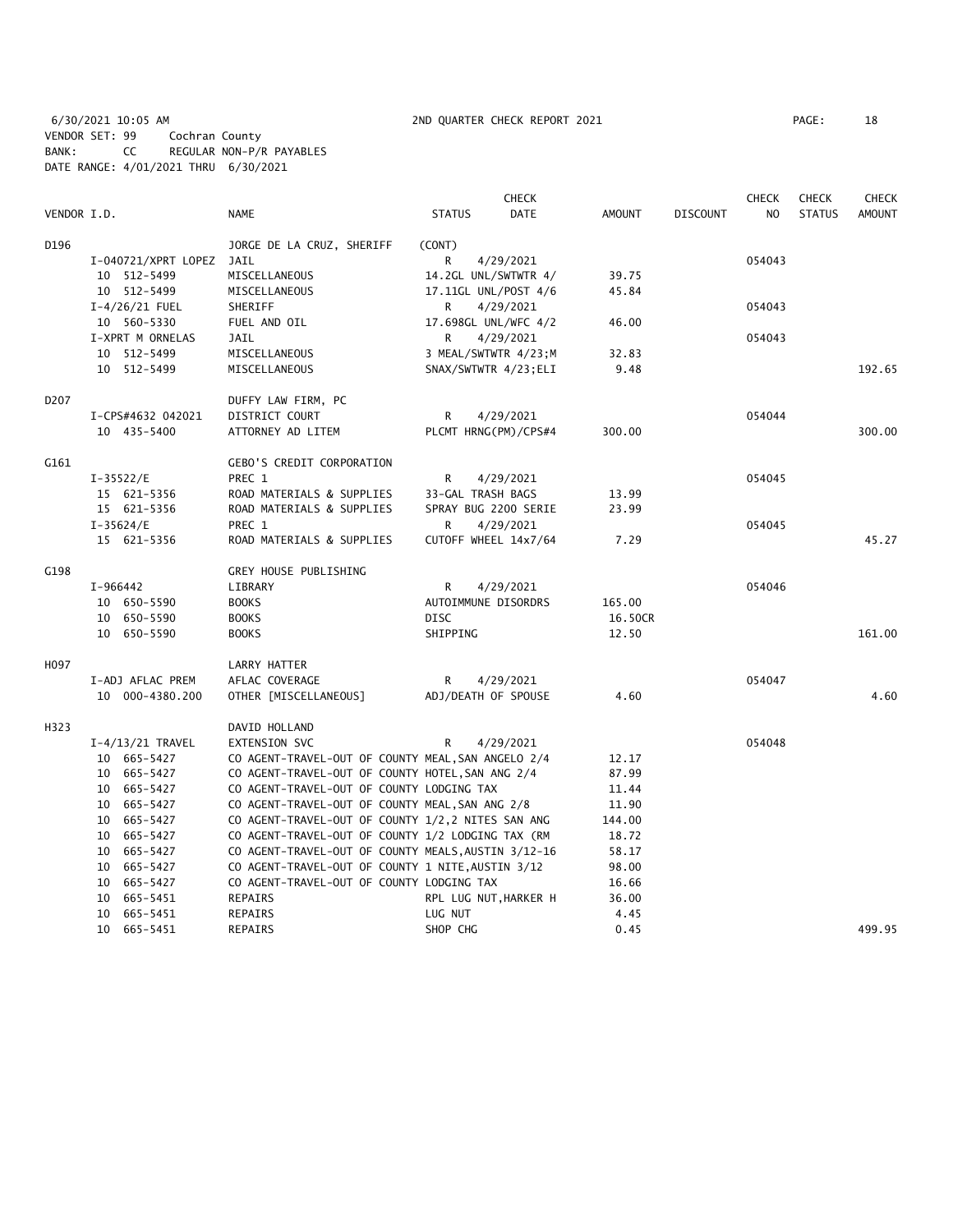# 6/30/2021 10:05 AM 2ND QUARTER CHECK REPORT 2021 PAGE: 18 VENDOR SET: 99 Cochran County BANK: CC REGULAR NON-P/R PAYABLES DATE RANGE: 4/01/2021 THRU 6/30/2021

|                  |          |                     |                                                     |                       | <b>CHECK</b> |               |                 | <b>CHECK</b>   | <b>CHECK</b>  | <b>CHECK</b>  |
|------------------|----------|---------------------|-----------------------------------------------------|-----------------------|--------------|---------------|-----------------|----------------|---------------|---------------|
| VENDOR I.D.      |          |                     | <b>NAME</b>                                         | <b>STATUS</b>         | <b>DATE</b>  | <b>AMOUNT</b> | <b>DISCOUNT</b> | N <sub>O</sub> | <b>STATUS</b> | <b>AMOUNT</b> |
| D196             |          |                     | JORGE DE LA CRUZ, SHERIFF                           | (CONT)                |              |               |                 |                |               |               |
|                  |          | I-040721/XPRT LOPEZ | JAIL                                                | R                     | 4/29/2021    |               |                 | 054043         |               |               |
|                  |          | 10 512-5499         | MISCELLANEOUS                                       | 14.2GL UNL/SWTWTR 4/  |              | 39.75         |                 |                |               |               |
|                  |          | 10 512-5499         | MISCELLANEOUS                                       | 17.11GL UNL/POST 4/6  |              | 45.84         |                 |                |               |               |
|                  |          | $I-4/26/21$ FUEL    | SHERIFF                                             | R                     | 4/29/2021    |               |                 | 054043         |               |               |
|                  |          | 10 560-5330         | FUEL AND OIL                                        | 17.698GL UNL/WFC 4/2  |              | 46.00         |                 |                |               |               |
|                  |          | I-XPRT M ORNELAS    | JAIL                                                | R.                    | 4/29/2021    |               |                 | 054043         |               |               |
|                  |          | 10 512-5499         | MISCELLANEOUS                                       | 3 MEAL/SWTWTR 4/23; M |              | 32.83         |                 |                |               |               |
|                  |          | 10 512-5499         | MISCELLANEOUS                                       | SNAX/SWTWTR 4/23; ELI |              | 9.48          |                 |                |               | 192.65        |
| D <sub>207</sub> |          |                     | DUFFY LAW FIRM, PC                                  |                       |              |               |                 |                |               |               |
|                  |          | I-CPS#4632 042021   | DISTRICT COURT                                      | R                     | 4/29/2021    |               |                 | 054044         |               |               |
|                  |          | 10 435-5400         | ATTORNEY AD LITEM                                   | PLCMT HRNG(PM)/CPS#4  |              | 300.00        |                 |                |               | 300.00        |
| G161             |          |                     | <b>GEBO'S CREDIT CORPORATION</b>                    |                       |              |               |                 |                |               |               |
|                  |          | $I-35522/E$         | PREC 1                                              | R                     | 4/29/2021    |               |                 | 054045         |               |               |
|                  |          | 15 621-5356         | ROAD MATERIALS & SUPPLIES                           | 33-GAL TRASH BAGS     |              | 13.99         |                 |                |               |               |
|                  |          | 15 621-5356         | ROAD MATERIALS & SUPPLIES                           | SPRAY BUG 2200 SERIE  |              | 23.99         |                 |                |               |               |
|                  |          | $I-35624/E$         | PREC 1                                              | R                     | 4/29/2021    |               |                 | 054045         |               |               |
|                  |          | 15 621-5356         | ROAD MATERIALS & SUPPLIES                           | CUTOFF WHEEL 14x7/64  |              | 7.29          |                 |                |               | 45.27         |
| G198             |          |                     | GREY HOUSE PUBLISHING                               |                       |              |               |                 |                |               |               |
|                  | I-966442 |                     | LIBRARY                                             | R                     | 4/29/2021    |               |                 | 054046         |               |               |
|                  |          | 10 650-5590         | <b>BOOKS</b>                                        | AUTOIMMUNE DISORDRS   |              | 165.00        |                 |                |               |               |
|                  |          | 10 650-5590         | <b>BOOKS</b>                                        | <b>DISC</b>           |              | 16.50CR       |                 |                |               |               |
|                  |          | 10 650-5590         | <b>BOOKS</b>                                        | SHIPPING              |              | 12.50         |                 |                |               | 161.00        |
| H097             |          |                     | LARRY HATTER                                        |                       |              |               |                 |                |               |               |
|                  |          | I-ADJ AFLAC PREM    | AFLAC COVERAGE                                      | R                     | 4/29/2021    |               |                 | 054047         |               |               |
|                  |          | 10 000-4380.200     | OTHER [MISCELLANEOUS]                               | ADJ/DEATH OF SPOUSE   |              | 4.60          |                 |                |               | 4.60          |
| H323             |          |                     | DAVID HOLLAND                                       |                       |              |               |                 |                |               |               |
|                  |          | $I-4/13/21$ TRAVEL  | <b>EXTENSION SVC</b>                                | R                     | 4/29/2021    |               |                 | 054048         |               |               |
|                  |          | 10 665-5427         | CO AGENT-TRAVEL-OUT OF COUNTY MEAL, SAN ANGELO 2/4  |                       |              | 12.17         |                 |                |               |               |
|                  |          | 10 665-5427         | CO AGENT-TRAVEL-OUT OF COUNTY HOTEL, SAN ANG 2/4    |                       |              | 87.99         |                 |                |               |               |
|                  |          | 10 665-5427         | CO AGENT-TRAVEL-OUT OF COUNTY LODGING TAX           |                       |              | 11.44         |                 |                |               |               |
|                  |          | 10 665-5427         | CO AGENT-TRAVEL-OUT OF COUNTY MEAL, SAN ANG 2/8     |                       |              | 11.90         |                 |                |               |               |
|                  |          | 10 665-5427         | CO AGENT-TRAVEL-OUT OF COUNTY 1/2,2 NITES SAN ANG   |                       |              | 144.00        |                 |                |               |               |
|                  |          | 10 665-5427         | CO AGENT-TRAVEL-OUT OF COUNTY 1/2 LODGING TAX (RM   |                       |              | 18.72         |                 |                |               |               |
|                  |          | 10 665-5427         | CO AGENT-TRAVEL-OUT OF COUNTY MEALS, AUSTIN 3/12-16 |                       |              | 58.17         |                 |                |               |               |
|                  |          | 10 665-5427         | CO AGENT-TRAVEL-OUT OF COUNTY 1 NITE, AUSTIN 3/12   |                       |              | 98.00         |                 |                |               |               |
|                  |          | 10 665-5427         | CO AGENT-TRAVEL-OUT OF COUNTY LODGING TAX           |                       |              | 16.66         |                 |                |               |               |
|                  |          | 10 665-5451         | REPAIRS                                             | RPL LUG NUT, HARKER H |              | 36.00         |                 |                |               |               |
|                  |          | 10 665-5451         | <b>REPAIRS</b>                                      | LUG NUT               |              | 4.45          |                 |                |               |               |
|                  |          | 10 665-5451         | <b>REPAIRS</b>                                      | SHOP CHG              |              | 0.45          |                 |                |               | 499.95        |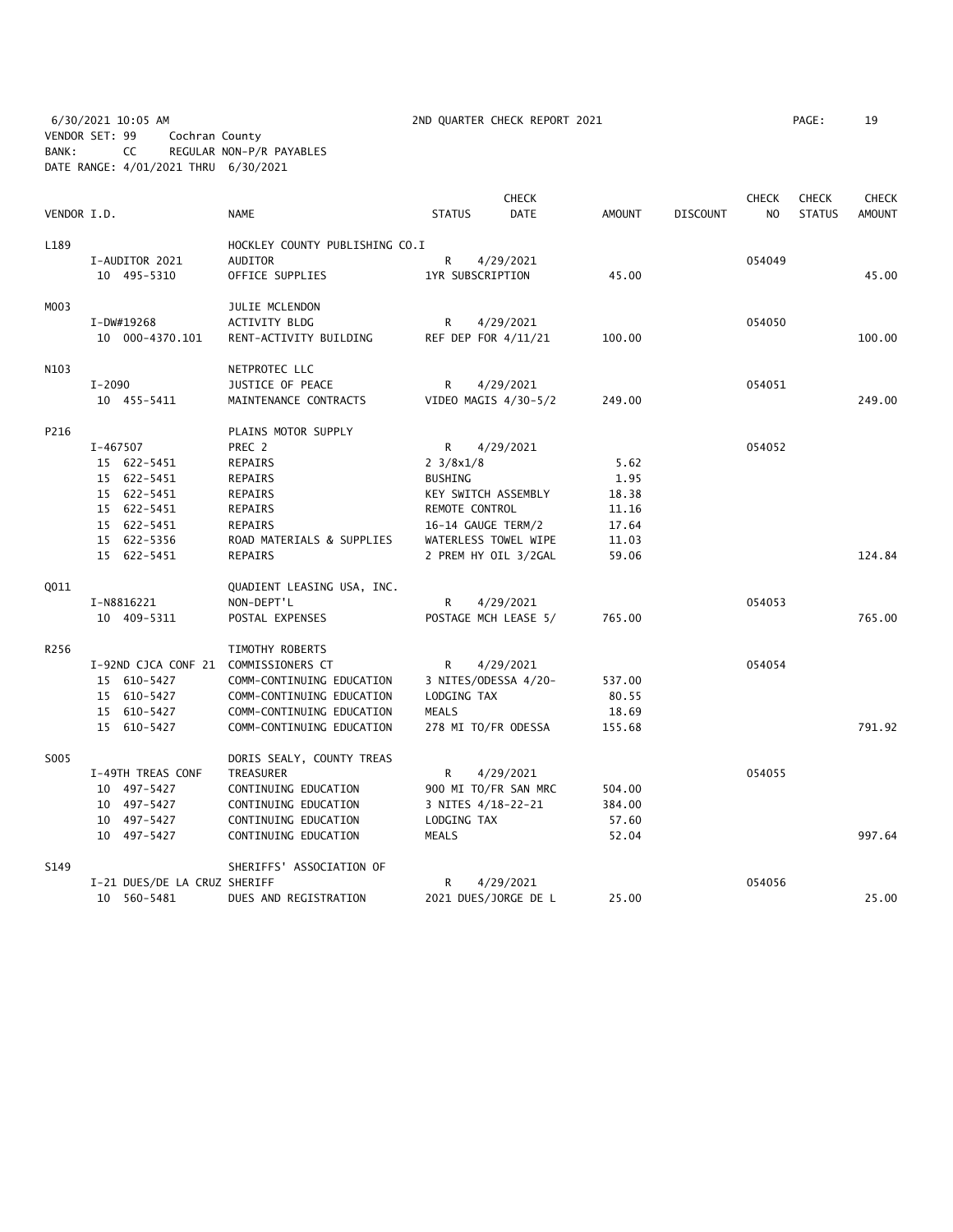6/30/2021 10:05 AM 2ND QUARTER CHECK REPORT 2021 PAGE: 19 VENDOR SET: 99 Cochran County BANK: CC REGULAR NON-P/R PAYABLES DATE RANGE: 4/01/2021 THRU 6/30/2021

| VENDOR I.D.<br><b>NAME</b><br><b>STATUS</b><br><b>DATE</b><br><b>AMOUNT</b><br><b>DISCOUNT</b><br>NO<br><b>STATUS</b><br><b>AMOUNT</b><br>L189<br>HOCKLEY COUNTY PUBLISHING CO.I<br>$\mathsf{R}$<br><b>AUDITOR</b><br>4/29/2021<br>054049<br>I-AUDITOR 2021<br>10 495-5310<br>OFFICE SUPPLIES<br>45.00<br>1YR SUBSCRIPTION<br>45.00<br>MO03<br>JULIE MCLENDON<br>054050<br>I-DW#19268<br><b>ACTIVITY BLDG</b><br>R<br>4/29/2021<br>10 000-4370.101<br>RENT-ACTIVITY BUILDING<br>REF DEP FOR 4/11/21<br>100.00<br>100.00<br>N103<br>NETPROTEC LLC<br>$I - 2090$<br>054051<br>JUSTICE OF PEACE<br>R<br>4/29/2021<br>VIDEO MAGIS 4/30-5/2<br>249.00<br>10 455-5411<br>MAINTENANCE CONTRACTS<br>249.00<br>P216<br>PLAINS MOTOR SUPPLY<br>PREC 2<br>I-467507<br>R<br>4/29/2021<br>054052<br>15 622-5451<br>REPAIRS<br>$2 \frac{3}{8} \times \frac{1}{8}$<br>5.62<br>15 622-5451<br><b>REPAIRS</b><br><b>BUSHING</b><br>1.95<br>15 622-5451<br>REPAIRS<br>KEY SWITCH ASSEMBLY<br>18.38<br>REMOTE CONTROL<br>15 622-5451<br>REPAIRS<br>11.16<br>15 622-5451<br>REPAIRS<br>16-14 GAUGE TERM/2<br>17.64<br>15 622-5356<br>ROAD MATERIALS & SUPPLIES<br>WATERLESS TOWEL WIPE<br>11.03<br>15 622-5451<br>REPAIRS<br>2 PREM HY OIL 3/2GAL<br>59.06<br>124.84<br>Q011<br>QUADIENT LEASING USA, INC.<br>NON-DEPT'L<br>4/29/2021<br>054053<br>I-N8816221<br>R<br>10 409-5311<br>POSTAGE MCH LEASE 5/<br>765.00<br>765.00<br>POSTAL EXPENSES<br>R256<br>TIMOTHY ROBERTS<br>054054<br>I-92ND CJCA CONF 21 COMMISSIONERS CT<br>4/29/2021<br>R<br>15 610-5427<br>3 NITES/ODESSA 4/20-<br>537.00<br>COMM-CONTINUING EDUCATION<br>15 610-5427<br>LODGING TAX<br>COMM-CONTINUING EDUCATION<br>80.55<br>15 610-5427<br>18.69<br>COMM-CONTINUING EDUCATION<br>MEALS<br>791.92<br>15 610-5427<br>COMM-CONTINUING EDUCATION<br>278 MI TO/FR ODESSA<br>155.68<br>S005<br>DORIS SEALY, COUNTY TREAS<br>I-49TH TREAS CONF<br>054055<br>TREASURER<br>R<br>4/29/2021<br>10 497-5427<br>CONTINUING EDUCATION<br>900 MI TO/FR SAN MRC<br>504.00<br>10 497-5427<br>CONTINUING EDUCATION<br>3 NITES 4/18-22-21<br>384.00<br>10 497-5427<br>CONTINUING EDUCATION<br>LODGING TAX<br>57.60<br>10 497-5427<br>52.04<br>997.64<br>CONTINUING EDUCATION<br>MEALS<br>S149<br>SHERIFFS' ASSOCIATION OF<br>054056<br>I-21 DUES/DE LA CRUZ SHERIFF<br>R<br>4/29/2021<br>2021 DUES/JORGE DE L<br>25.00<br>25.00<br>10 560-5481<br>DUES AND REGISTRATION |  |  | <b>CHECK</b> |  | <b>CHECK</b> | <b>CHECK</b> | <b>CHECK</b> |
|-----------------------------------------------------------------------------------------------------------------------------------------------------------------------------------------------------------------------------------------------------------------------------------------------------------------------------------------------------------------------------------------------------------------------------------------------------------------------------------------------------------------------------------------------------------------------------------------------------------------------------------------------------------------------------------------------------------------------------------------------------------------------------------------------------------------------------------------------------------------------------------------------------------------------------------------------------------------------------------------------------------------------------------------------------------------------------------------------------------------------------------------------------------------------------------------------------------------------------------------------------------------------------------------------------------------------------------------------------------------------------------------------------------------------------------------------------------------------------------------------------------------------------------------------------------------------------------------------------------------------------------------------------------------------------------------------------------------------------------------------------------------------------------------------------------------------------------------------------------------------------------------------------------------------------------------------------------------------------------------------------------------------------------------------------------------------------------------------------------------------------------------------------------------------------------------------------------------------------------------------------------------------------------------------------------------------------------------------------------------------------------------------------------|--|--|--------------|--|--------------|--------------|--------------|
|                                                                                                                                                                                                                                                                                                                                                                                                                                                                                                                                                                                                                                                                                                                                                                                                                                                                                                                                                                                                                                                                                                                                                                                                                                                                                                                                                                                                                                                                                                                                                                                                                                                                                                                                                                                                                                                                                                                                                                                                                                                                                                                                                                                                                                                                                                                                                                                                           |  |  |              |  |              |              |              |
|                                                                                                                                                                                                                                                                                                                                                                                                                                                                                                                                                                                                                                                                                                                                                                                                                                                                                                                                                                                                                                                                                                                                                                                                                                                                                                                                                                                                                                                                                                                                                                                                                                                                                                                                                                                                                                                                                                                                                                                                                                                                                                                                                                                                                                                                                                                                                                                                           |  |  |              |  |              |              |              |
|                                                                                                                                                                                                                                                                                                                                                                                                                                                                                                                                                                                                                                                                                                                                                                                                                                                                                                                                                                                                                                                                                                                                                                                                                                                                                                                                                                                                                                                                                                                                                                                                                                                                                                                                                                                                                                                                                                                                                                                                                                                                                                                                                                                                                                                                                                                                                                                                           |  |  |              |  |              |              |              |
|                                                                                                                                                                                                                                                                                                                                                                                                                                                                                                                                                                                                                                                                                                                                                                                                                                                                                                                                                                                                                                                                                                                                                                                                                                                                                                                                                                                                                                                                                                                                                                                                                                                                                                                                                                                                                                                                                                                                                                                                                                                                                                                                                                                                                                                                                                                                                                                                           |  |  |              |  |              |              |              |
|                                                                                                                                                                                                                                                                                                                                                                                                                                                                                                                                                                                                                                                                                                                                                                                                                                                                                                                                                                                                                                                                                                                                                                                                                                                                                                                                                                                                                                                                                                                                                                                                                                                                                                                                                                                                                                                                                                                                                                                                                                                                                                                                                                                                                                                                                                                                                                                                           |  |  |              |  |              |              |              |
|                                                                                                                                                                                                                                                                                                                                                                                                                                                                                                                                                                                                                                                                                                                                                                                                                                                                                                                                                                                                                                                                                                                                                                                                                                                                                                                                                                                                                                                                                                                                                                                                                                                                                                                                                                                                                                                                                                                                                                                                                                                                                                                                                                                                                                                                                                                                                                                                           |  |  |              |  |              |              |              |
|                                                                                                                                                                                                                                                                                                                                                                                                                                                                                                                                                                                                                                                                                                                                                                                                                                                                                                                                                                                                                                                                                                                                                                                                                                                                                                                                                                                                                                                                                                                                                                                                                                                                                                                                                                                                                                                                                                                                                                                                                                                                                                                                                                                                                                                                                                                                                                                                           |  |  |              |  |              |              |              |
|                                                                                                                                                                                                                                                                                                                                                                                                                                                                                                                                                                                                                                                                                                                                                                                                                                                                                                                                                                                                                                                                                                                                                                                                                                                                                                                                                                                                                                                                                                                                                                                                                                                                                                                                                                                                                                                                                                                                                                                                                                                                                                                                                                                                                                                                                                                                                                                                           |  |  |              |  |              |              |              |
|                                                                                                                                                                                                                                                                                                                                                                                                                                                                                                                                                                                                                                                                                                                                                                                                                                                                                                                                                                                                                                                                                                                                                                                                                                                                                                                                                                                                                                                                                                                                                                                                                                                                                                                                                                                                                                                                                                                                                                                                                                                                                                                                                                                                                                                                                                                                                                                                           |  |  |              |  |              |              |              |
|                                                                                                                                                                                                                                                                                                                                                                                                                                                                                                                                                                                                                                                                                                                                                                                                                                                                                                                                                                                                                                                                                                                                                                                                                                                                                                                                                                                                                                                                                                                                                                                                                                                                                                                                                                                                                                                                                                                                                                                                                                                                                                                                                                                                                                                                                                                                                                                                           |  |  |              |  |              |              |              |
|                                                                                                                                                                                                                                                                                                                                                                                                                                                                                                                                                                                                                                                                                                                                                                                                                                                                                                                                                                                                                                                                                                                                                                                                                                                                                                                                                                                                                                                                                                                                                                                                                                                                                                                                                                                                                                                                                                                                                                                                                                                                                                                                                                                                                                                                                                                                                                                                           |  |  |              |  |              |              |              |
|                                                                                                                                                                                                                                                                                                                                                                                                                                                                                                                                                                                                                                                                                                                                                                                                                                                                                                                                                                                                                                                                                                                                                                                                                                                                                                                                                                                                                                                                                                                                                                                                                                                                                                                                                                                                                                                                                                                                                                                                                                                                                                                                                                                                                                                                                                                                                                                                           |  |  |              |  |              |              |              |
|                                                                                                                                                                                                                                                                                                                                                                                                                                                                                                                                                                                                                                                                                                                                                                                                                                                                                                                                                                                                                                                                                                                                                                                                                                                                                                                                                                                                                                                                                                                                                                                                                                                                                                                                                                                                                                                                                                                                                                                                                                                                                                                                                                                                                                                                                                                                                                                                           |  |  |              |  |              |              |              |
|                                                                                                                                                                                                                                                                                                                                                                                                                                                                                                                                                                                                                                                                                                                                                                                                                                                                                                                                                                                                                                                                                                                                                                                                                                                                                                                                                                                                                                                                                                                                                                                                                                                                                                                                                                                                                                                                                                                                                                                                                                                                                                                                                                                                                                                                                                                                                                                                           |  |  |              |  |              |              |              |
|                                                                                                                                                                                                                                                                                                                                                                                                                                                                                                                                                                                                                                                                                                                                                                                                                                                                                                                                                                                                                                                                                                                                                                                                                                                                                                                                                                                                                                                                                                                                                                                                                                                                                                                                                                                                                                                                                                                                                                                                                                                                                                                                                                                                                                                                                                                                                                                                           |  |  |              |  |              |              |              |
|                                                                                                                                                                                                                                                                                                                                                                                                                                                                                                                                                                                                                                                                                                                                                                                                                                                                                                                                                                                                                                                                                                                                                                                                                                                                                                                                                                                                                                                                                                                                                                                                                                                                                                                                                                                                                                                                                                                                                                                                                                                                                                                                                                                                                                                                                                                                                                                                           |  |  |              |  |              |              |              |
|                                                                                                                                                                                                                                                                                                                                                                                                                                                                                                                                                                                                                                                                                                                                                                                                                                                                                                                                                                                                                                                                                                                                                                                                                                                                                                                                                                                                                                                                                                                                                                                                                                                                                                                                                                                                                                                                                                                                                                                                                                                                                                                                                                                                                                                                                                                                                                                                           |  |  |              |  |              |              |              |
|                                                                                                                                                                                                                                                                                                                                                                                                                                                                                                                                                                                                                                                                                                                                                                                                                                                                                                                                                                                                                                                                                                                                                                                                                                                                                                                                                                                                                                                                                                                                                                                                                                                                                                                                                                                                                                                                                                                                                                                                                                                                                                                                                                                                                                                                                                                                                                                                           |  |  |              |  |              |              |              |
|                                                                                                                                                                                                                                                                                                                                                                                                                                                                                                                                                                                                                                                                                                                                                                                                                                                                                                                                                                                                                                                                                                                                                                                                                                                                                                                                                                                                                                                                                                                                                                                                                                                                                                                                                                                                                                                                                                                                                                                                                                                                                                                                                                                                                                                                                                                                                                                                           |  |  |              |  |              |              |              |
|                                                                                                                                                                                                                                                                                                                                                                                                                                                                                                                                                                                                                                                                                                                                                                                                                                                                                                                                                                                                                                                                                                                                                                                                                                                                                                                                                                                                                                                                                                                                                                                                                                                                                                                                                                                                                                                                                                                                                                                                                                                                                                                                                                                                                                                                                                                                                                                                           |  |  |              |  |              |              |              |
|                                                                                                                                                                                                                                                                                                                                                                                                                                                                                                                                                                                                                                                                                                                                                                                                                                                                                                                                                                                                                                                                                                                                                                                                                                                                                                                                                                                                                                                                                                                                                                                                                                                                                                                                                                                                                                                                                                                                                                                                                                                                                                                                                                                                                                                                                                                                                                                                           |  |  |              |  |              |              |              |
|                                                                                                                                                                                                                                                                                                                                                                                                                                                                                                                                                                                                                                                                                                                                                                                                                                                                                                                                                                                                                                                                                                                                                                                                                                                                                                                                                                                                                                                                                                                                                                                                                                                                                                                                                                                                                                                                                                                                                                                                                                                                                                                                                                                                                                                                                                                                                                                                           |  |  |              |  |              |              |              |
|                                                                                                                                                                                                                                                                                                                                                                                                                                                                                                                                                                                                                                                                                                                                                                                                                                                                                                                                                                                                                                                                                                                                                                                                                                                                                                                                                                                                                                                                                                                                                                                                                                                                                                                                                                                                                                                                                                                                                                                                                                                                                                                                                                                                                                                                                                                                                                                                           |  |  |              |  |              |              |              |
|                                                                                                                                                                                                                                                                                                                                                                                                                                                                                                                                                                                                                                                                                                                                                                                                                                                                                                                                                                                                                                                                                                                                                                                                                                                                                                                                                                                                                                                                                                                                                                                                                                                                                                                                                                                                                                                                                                                                                                                                                                                                                                                                                                                                                                                                                                                                                                                                           |  |  |              |  |              |              |              |
|                                                                                                                                                                                                                                                                                                                                                                                                                                                                                                                                                                                                                                                                                                                                                                                                                                                                                                                                                                                                                                                                                                                                                                                                                                                                                                                                                                                                                                                                                                                                                                                                                                                                                                                                                                                                                                                                                                                                                                                                                                                                                                                                                                                                                                                                                                                                                                                                           |  |  |              |  |              |              |              |
|                                                                                                                                                                                                                                                                                                                                                                                                                                                                                                                                                                                                                                                                                                                                                                                                                                                                                                                                                                                                                                                                                                                                                                                                                                                                                                                                                                                                                                                                                                                                                                                                                                                                                                                                                                                                                                                                                                                                                                                                                                                                                                                                                                                                                                                                                                                                                                                                           |  |  |              |  |              |              |              |
|                                                                                                                                                                                                                                                                                                                                                                                                                                                                                                                                                                                                                                                                                                                                                                                                                                                                                                                                                                                                                                                                                                                                                                                                                                                                                                                                                                                                                                                                                                                                                                                                                                                                                                                                                                                                                                                                                                                                                                                                                                                                                                                                                                                                                                                                                                                                                                                                           |  |  |              |  |              |              |              |
|                                                                                                                                                                                                                                                                                                                                                                                                                                                                                                                                                                                                                                                                                                                                                                                                                                                                                                                                                                                                                                                                                                                                                                                                                                                                                                                                                                                                                                                                                                                                                                                                                                                                                                                                                                                                                                                                                                                                                                                                                                                                                                                                                                                                                                                                                                                                                                                                           |  |  |              |  |              |              |              |
|                                                                                                                                                                                                                                                                                                                                                                                                                                                                                                                                                                                                                                                                                                                                                                                                                                                                                                                                                                                                                                                                                                                                                                                                                                                                                                                                                                                                                                                                                                                                                                                                                                                                                                                                                                                                                                                                                                                                                                                                                                                                                                                                                                                                                                                                                                                                                                                                           |  |  |              |  |              |              |              |
|                                                                                                                                                                                                                                                                                                                                                                                                                                                                                                                                                                                                                                                                                                                                                                                                                                                                                                                                                                                                                                                                                                                                                                                                                                                                                                                                                                                                                                                                                                                                                                                                                                                                                                                                                                                                                                                                                                                                                                                                                                                                                                                                                                                                                                                                                                                                                                                                           |  |  |              |  |              |              |              |
|                                                                                                                                                                                                                                                                                                                                                                                                                                                                                                                                                                                                                                                                                                                                                                                                                                                                                                                                                                                                                                                                                                                                                                                                                                                                                                                                                                                                                                                                                                                                                                                                                                                                                                                                                                                                                                                                                                                                                                                                                                                                                                                                                                                                                                                                                                                                                                                                           |  |  |              |  |              |              |              |
|                                                                                                                                                                                                                                                                                                                                                                                                                                                                                                                                                                                                                                                                                                                                                                                                                                                                                                                                                                                                                                                                                                                                                                                                                                                                                                                                                                                                                                                                                                                                                                                                                                                                                                                                                                                                                                                                                                                                                                                                                                                                                                                                                                                                                                                                                                                                                                                                           |  |  |              |  |              |              |              |
|                                                                                                                                                                                                                                                                                                                                                                                                                                                                                                                                                                                                                                                                                                                                                                                                                                                                                                                                                                                                                                                                                                                                                                                                                                                                                                                                                                                                                                                                                                                                                                                                                                                                                                                                                                                                                                                                                                                                                                                                                                                                                                                                                                                                                                                                                                                                                                                                           |  |  |              |  |              |              |              |
|                                                                                                                                                                                                                                                                                                                                                                                                                                                                                                                                                                                                                                                                                                                                                                                                                                                                                                                                                                                                                                                                                                                                                                                                                                                                                                                                                                                                                                                                                                                                                                                                                                                                                                                                                                                                                                                                                                                                                                                                                                                                                                                                                                                                                                                                                                                                                                                                           |  |  |              |  |              |              |              |
|                                                                                                                                                                                                                                                                                                                                                                                                                                                                                                                                                                                                                                                                                                                                                                                                                                                                                                                                                                                                                                                                                                                                                                                                                                                                                                                                                                                                                                                                                                                                                                                                                                                                                                                                                                                                                                                                                                                                                                                                                                                                                                                                                                                                                                                                                                                                                                                                           |  |  |              |  |              |              |              |
|                                                                                                                                                                                                                                                                                                                                                                                                                                                                                                                                                                                                                                                                                                                                                                                                                                                                                                                                                                                                                                                                                                                                                                                                                                                                                                                                                                                                                                                                                                                                                                                                                                                                                                                                                                                                                                                                                                                                                                                                                                                                                                                                                                                                                                                                                                                                                                                                           |  |  |              |  |              |              |              |
|                                                                                                                                                                                                                                                                                                                                                                                                                                                                                                                                                                                                                                                                                                                                                                                                                                                                                                                                                                                                                                                                                                                                                                                                                                                                                                                                                                                                                                                                                                                                                                                                                                                                                                                                                                                                                                                                                                                                                                                                                                                                                                                                                                                                                                                                                                                                                                                                           |  |  |              |  |              |              |              |
|                                                                                                                                                                                                                                                                                                                                                                                                                                                                                                                                                                                                                                                                                                                                                                                                                                                                                                                                                                                                                                                                                                                                                                                                                                                                                                                                                                                                                                                                                                                                                                                                                                                                                                                                                                                                                                                                                                                                                                                                                                                                                                                                                                                                                                                                                                                                                                                                           |  |  |              |  |              |              |              |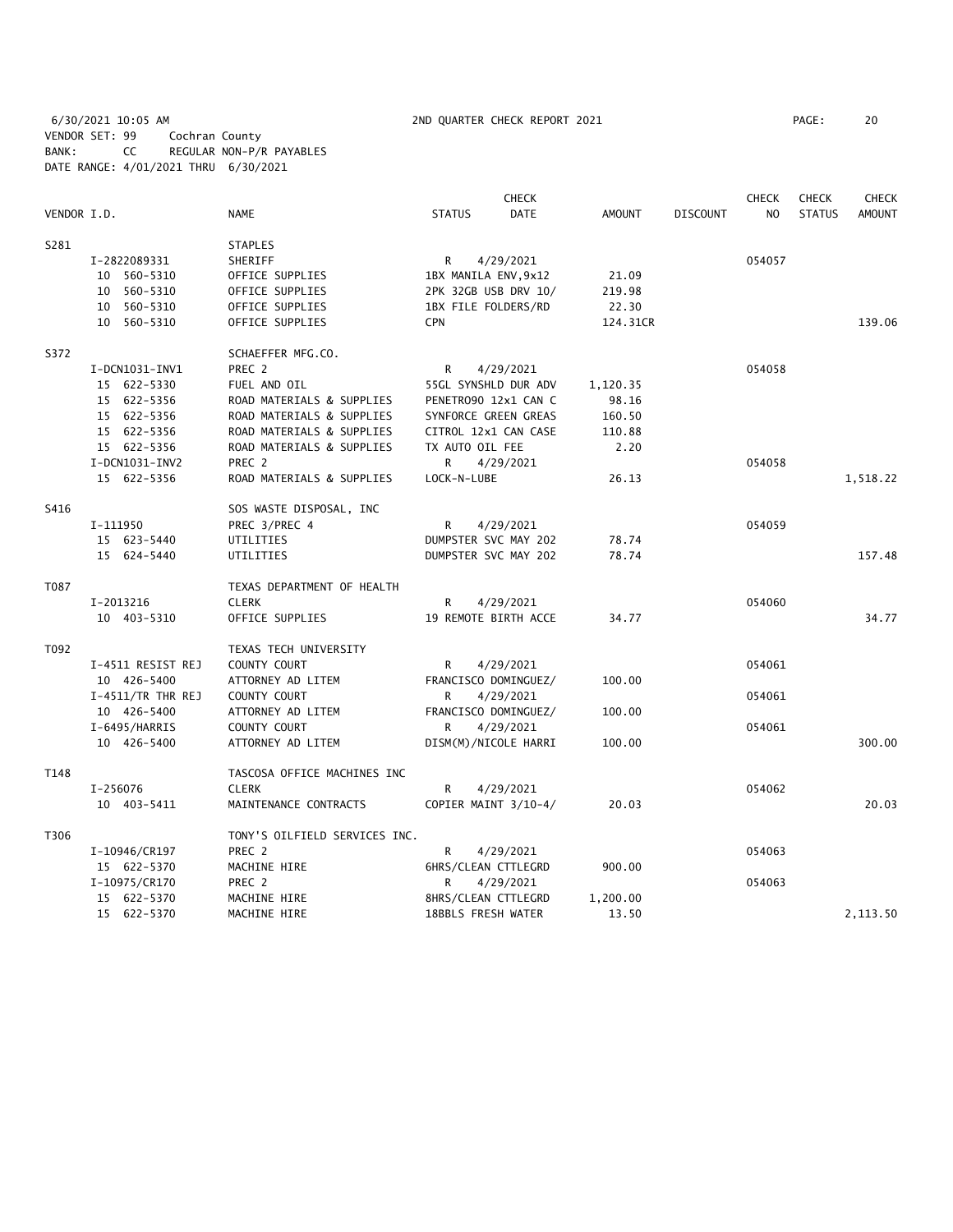6/30/2021 10:05 AM 2ND QUARTER CHECK REPORT 2021 PAGE: 20 VENDOR SET: 99 Cochran County BANK: CC REGULAR NON-P/R PAYABLES DATE RANGE: 4/01/2021 THRU 6/30/2021

|             |                     | CHECK                         |                      |                      |               |                 | <b>CHECK</b>   | <b>CHECK</b>  | <b>CHECK</b>  |
|-------------|---------------------|-------------------------------|----------------------|----------------------|---------------|-----------------|----------------|---------------|---------------|
| VENDOR I.D. |                     | <b>NAME</b>                   | <b>STATUS</b>        | <b>DATE</b>          | <b>AMOUNT</b> | <b>DISCOUNT</b> | N <sub>O</sub> | <b>STATUS</b> | <b>AMOUNT</b> |
| S281        |                     | <b>STAPLES</b>                |                      |                      |               |                 |                |               |               |
|             | I-2822089331        | SHERIFF                       | R                    | 4/29/2021            |               |                 | 054057         |               |               |
|             | 10 560-5310         | OFFICE SUPPLIES               | 1BX MANILA ENV, 9x12 |                      | 21.09         |                 |                |               |               |
|             | 10 560-5310         | OFFICE SUPPLIES               |                      | 2PK 32GB USB DRV 10/ | 219.98        |                 |                |               |               |
|             | 10 560-5310         | OFFICE SUPPLIES               | 1BX FILE FOLDERS/RD  |                      | 22.30         |                 |                |               |               |
|             | 10 560-5310         | OFFICE SUPPLIES               | <b>CPN</b>           |                      | 124.31CR      |                 |                |               | 139.06        |
| S372        |                     | SCHAEFFER MFG.CO.             |                      |                      |               |                 |                |               |               |
|             | I-DCN1031-INV1      | PREC 2                        | R                    | 4/29/2021            |               |                 | 054058         |               |               |
|             | 15 622-5330         | FUEL AND OIL                  |                      | 55GL SYNSHLD DUR ADV | 1,120.35      |                 |                |               |               |
|             | 15 622-5356         | ROAD MATERIALS & SUPPLIES     |                      | PENETRO90 12x1 CAN C | 98.16         |                 |                |               |               |
|             | 15 622-5356         | ROAD MATERIALS & SUPPLIES     |                      | SYNFORCE GREEN GREAS | 160.50        |                 |                |               |               |
|             | 15 622-5356         | ROAD MATERIALS & SUPPLIES     |                      | CITROL 12x1 CAN CASE | 110.88        |                 |                |               |               |
|             | 15 622-5356         | ROAD MATERIALS & SUPPLIES     | TX AUTO OIL FEE      |                      | 2.20          |                 |                |               |               |
|             | I-DCN1031-INV2      | PREC 2                        | R                    | 4/29/2021            |               |                 | 054058         |               |               |
|             | 15 622-5356         | ROAD MATERIALS & SUPPLIES     | LOCK-N-LUBE          |                      | 26.13         |                 |                |               | 1,518.22      |
| S416        |                     | SOS WASTE DISPOSAL, INC       |                      |                      |               |                 |                |               |               |
|             | I-111950            | PREC 3/PREC 4                 | R                    | 4/29/2021            |               |                 | 054059         |               |               |
|             | 15 623-5440         | UTILITIES                     |                      | DUMPSTER SVC MAY 202 | 78.74         |                 |                |               |               |
|             | 15 624-5440         | UTILITIES                     |                      | DUMPSTER SVC MAY 202 | 78.74         |                 |                |               | 157.48        |
| T087        |                     | TEXAS DEPARTMENT OF HEALTH    |                      |                      |               |                 |                |               |               |
|             | I-2013216           | <b>CLERK</b>                  | R                    | 4/29/2021            |               |                 | 054060         |               |               |
|             | 10 403-5310         | OFFICE SUPPLIES               |                      | 19 REMOTE BIRTH ACCE | 34.77         |                 |                |               | 34.77         |
| T092        |                     | TEXAS TECH UNIVERSITY         |                      |                      |               |                 |                |               |               |
|             | I-4511 RESIST REJ   | COUNTY COURT                  | R                    | 4/29/2021            |               |                 | 054061         |               |               |
|             | 10 426-5400         | ATTORNEY AD LITEM             |                      | FRANCISCO DOMINGUEZ/ | 100.00        |                 |                |               |               |
|             | $I-4511/TR$ THR REJ | COUNTY COURT                  | R                    | 4/29/2021            |               |                 | 054061         |               |               |
|             | 10 426-5400         | ATTORNEY AD LITEM             |                      | FRANCISCO DOMINGUEZ/ | 100.00        |                 |                |               |               |
|             | I-6495/HARRIS       | COUNTY COURT                  | R.                   | 4/29/2021            |               |                 | 054061         |               |               |
|             | 10 426-5400         | ATTORNEY AD LITEM             |                      | DISM(M)/NICOLE HARRI | 100.00        |                 |                |               | 300.00        |
| T148        |                     | TASCOSA OFFICE MACHINES INC   |                      |                      |               |                 |                |               |               |
|             | I-256076            | <b>CLERK</b>                  | R                    | 4/29/2021            |               |                 | 054062         |               |               |
|             | 10 403-5411         | MAINTENANCE CONTRACTS         |                      | COPIER MAINT 3/10-4/ | 20.03         |                 |                |               | 20.03         |
| T306        |                     | TONY'S OILFIELD SERVICES INC. |                      |                      |               |                 |                |               |               |
|             | I-10946/CR197       | PREC <sub>2</sub>             | R                    | 4/29/2021            |               |                 | 054063         |               |               |
|             | 15 622-5370         | MACHINE HIRE                  | 6HRS/CLEAN CTTLEGRD  |                      | 900.00        |                 |                |               |               |
|             | I-10975/CR170       | PREC 2                        | R                    | 4/29/2021            |               |                 | 054063         |               |               |
|             | 15 622-5370         | MACHINE HIRE                  | 8HRS/CLEAN CTTLEGRD  |                      | 1,200.00      |                 |                |               |               |
|             | 15 622-5370         | MACHINE HIRE                  | 18BBLS FRESH WATER   |                      | 13.50         |                 |                |               | 2,113.50      |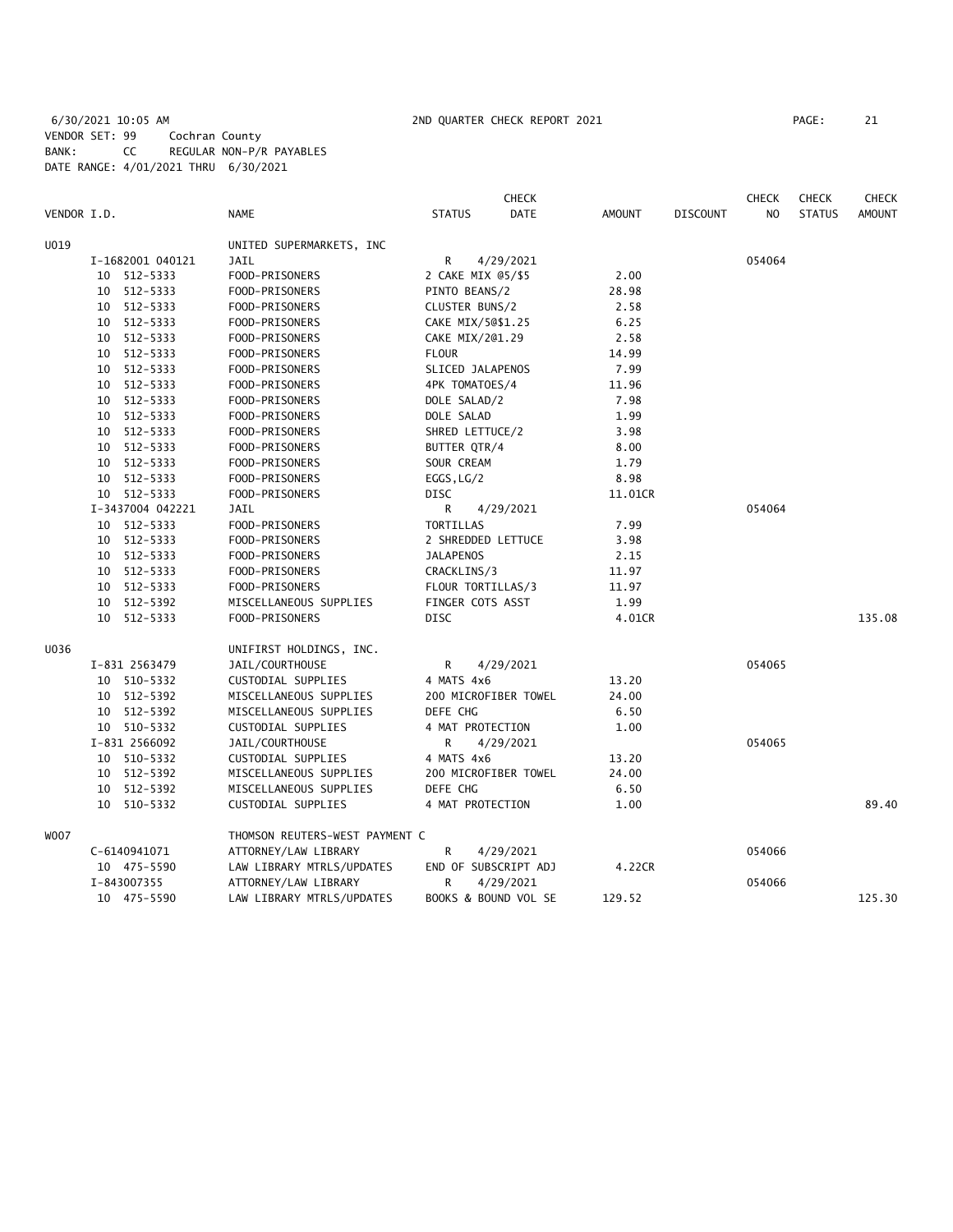# 6/30/2021 10:05 AM 2ND QUARTER CHECK REPORT 2021 PAGE: 21 VENDOR SET: 99 Cochran County BANK: CC REGULAR NON-P/R PAYABLES DATE RANGE: 4/01/2021 THRU 6/30/2021

|             |                  |                                |                    | <b>CHECK</b>         |               |                 | <b>CHECK</b>   | <b>CHECK</b>  | <b>CHECK</b>  |
|-------------|------------------|--------------------------------|--------------------|----------------------|---------------|-----------------|----------------|---------------|---------------|
| VENDOR I.D. |                  | <b>NAME</b>                    | <b>STATUS</b>      | <b>DATE</b>          | <b>AMOUNT</b> | <b>DISCOUNT</b> | N <sub>O</sub> | <b>STATUS</b> | <b>AMOUNT</b> |
| U019        |                  | UNITED SUPERMARKETS, INC       |                    |                      |               |                 |                |               |               |
|             | I-1682001 040121 | <b>JAIL</b>                    | R                  | 4/29/2021            |               |                 | 054064         |               |               |
|             | 10 512-5333      | FOOD-PRISONERS                 | 2 CAKE MIX 05/\$5  |                      | 2.00          |                 |                |               |               |
|             | 10 512-5333      | FOOD-PRISONERS                 | PINTO BEANS/2      |                      | 28.98         |                 |                |               |               |
|             | 10 512-5333      | FOOD-PRISONERS                 | CLUSTER BUNS/2     |                      | 2.58          |                 |                |               |               |
|             | 10 512-5333      | FOOD-PRISONERS                 | CAKE MIX/50\$1.25  |                      | 6.25          |                 |                |               |               |
|             | 10 512-5333      | FOOD-PRISONERS                 | CAKE MIX/201.29    |                      | 2.58          |                 |                |               |               |
|             | 10 512-5333      | FOOD-PRISONERS                 | <b>FLOUR</b>       |                      | 14.99         |                 |                |               |               |
|             | 10 512-5333      | FOOD-PRISONERS                 | SLICED JALAPENOS   |                      | 7.99          |                 |                |               |               |
|             | 10 512-5333      | FOOD-PRISONERS                 | 4PK TOMATOES/4     |                      | 11.96         |                 |                |               |               |
|             | 10 512-5333      | FOOD-PRISONERS                 | DOLE SALAD/2       |                      | 7.98          |                 |                |               |               |
|             | 10 512-5333      | FOOD-PRISONERS                 | DOLE SALAD         |                      | 1.99          |                 |                |               |               |
|             | 10 512-5333      | FOOD-PRISONERS                 | SHRED LETTUCE/2    |                      | 3.98          |                 |                |               |               |
|             | 10 512-5333      | FOOD-PRISONERS                 | BUTTER QTR/4       |                      | 8.00          |                 |                |               |               |
|             | 10 512-5333      | FOOD-PRISONERS                 | SOUR CREAM         |                      | 1.79          |                 |                |               |               |
|             | 10 512-5333      | FOOD-PRISONERS                 | EGGS, LG/2         |                      | 8.98          |                 |                |               |               |
|             | 10 512-5333      | FOOD-PRISONERS                 | <b>DISC</b>        |                      | 11.01CR       |                 |                |               |               |
|             | I-3437004 042221 | JAIL                           | R                  | 4/29/2021            |               |                 | 054064         |               |               |
|             | 10 512-5333      | FOOD-PRISONERS                 | TORTILLAS          |                      | 7.99          |                 |                |               |               |
|             | 10 512-5333      | FOOD-PRISONERS                 | 2 SHREDDED LETTUCE |                      | 3.98          |                 |                |               |               |
|             | 10 512-5333      | FOOD-PRISONERS                 | <b>JALAPENOS</b>   |                      | 2.15          |                 |                |               |               |
|             | 10 512-5333      | FOOD-PRISONERS                 | CRACKLINS/3        |                      | 11.97         |                 |                |               |               |
|             | 10 512-5333      | FOOD-PRISONERS                 | FLOUR TORTILLAS/3  |                      | 11.97         |                 |                |               |               |
|             | 10 512-5392      | MISCELLANEOUS SUPPLIES         | FINGER COTS ASST   |                      | 1.99          |                 |                |               |               |
|             | 10 512-5333      | FOOD-PRISONERS                 | <b>DISC</b>        |                      | 4.01CR        |                 |                |               | 135.08        |
| U036        |                  | UNIFIRST HOLDINGS, INC.        |                    |                      |               |                 |                |               |               |
|             | I-831 2563479    | JAIL/COURTHOUSE                | R.                 | 4/29/2021            |               |                 | 054065         |               |               |
|             | 10 510-5332      | CUSTODIAL SUPPLIES             | 4 MATS 4x6         |                      | 13.20         |                 |                |               |               |
|             | 10 512-5392      | MISCELLANEOUS SUPPLIES         |                    | 200 MICROFIBER TOWEL | 24.00         |                 |                |               |               |
|             | 10 512-5392      | MISCELLANEOUS SUPPLIES         | DEFE CHG           |                      | 6.50          |                 |                |               |               |
|             | 10 510-5332      | CUSTODIAL SUPPLIES             | 4 MAT PROTECTION   |                      | 1.00          |                 |                |               |               |
|             | I-831 2566092    | JAIL/COURTHOUSE                | R                  | 4/29/2021            |               |                 | 054065         |               |               |
|             | 10 510-5332      | CUSTODIAL SUPPLIES             | 4 MATS 4x6         |                      | 13.20         |                 |                |               |               |
|             | 10 512-5392      | MISCELLANEOUS SUPPLIES         |                    | 200 MICROFIBER TOWEL | 24.00         |                 |                |               |               |
|             | 10 512-5392      | MISCELLANEOUS SUPPLIES         | DEFE CHG           |                      | 6.50          |                 |                |               |               |
|             | 10 510-5332      | CUSTODIAL SUPPLIES             | 4 MAT PROTECTION   |                      | 1.00          |                 |                |               | 89.40         |
| W007        |                  | THOMSON REUTERS-WEST PAYMENT C |                    |                      |               |                 |                |               |               |
|             | C-6140941071     | ATTORNEY/LAW LIBRARY           | R                  | 4/29/2021            |               |                 | 054066         |               |               |
|             | 10 475-5590      | LAW LIBRARY MTRLS/UPDATES      |                    | END OF SUBSCRIPT ADJ | 4.22CR        |                 |                |               |               |
|             | I-843007355      | ATTORNEY/LAW LIBRARY           | R                  | 4/29/2021            |               |                 | 054066         |               |               |
|             | 10 475-5590      | LAW LIBRARY MTRLS/UPDATES      |                    | BOOKS & BOUND VOL SE | 129.52        |                 |                |               | 125.30        |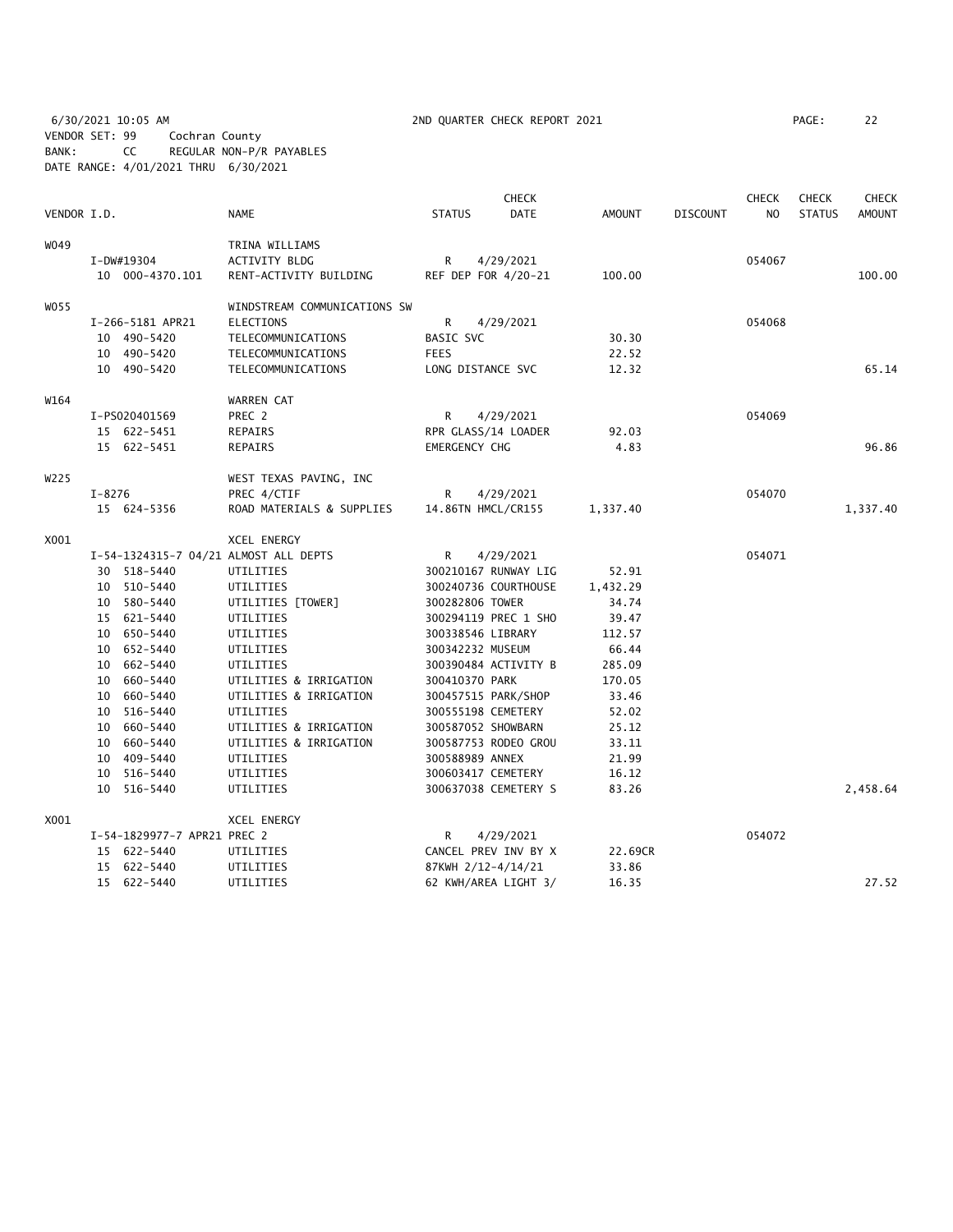6/30/2021 10:05 AM 2ND QUARTER CHECK REPORT 2021 PAGE: 22 VENDOR SET: 99 Cochran County BANK: CC REGULAR NON-P/R PAYABLES DATE RANGE: 4/01/2021 THRU 6/30/2021

|             |            |                             |                                       |                    | <b>CHECK</b>         |               |                 | <b>CHECK</b>   | <b>CHECK</b>  | <b>CHECK</b>  |
|-------------|------------|-----------------------------|---------------------------------------|--------------------|----------------------|---------------|-----------------|----------------|---------------|---------------|
| VENDOR I.D. |            |                             | <b>NAME</b>                           | <b>STATUS</b>      | <b>DATE</b>          | <b>AMOUNT</b> | <b>DISCOUNT</b> | N <sub>O</sub> | <b>STATUS</b> | <b>AMOUNT</b> |
| W049        |            |                             | TRINA WILLIAMS                        |                    |                      |               |                 |                |               |               |
|             |            | I-DW#19304                  | ACTIVITY BLDG                         | R                  | 4/29/2021            |               |                 | 054067         |               |               |
|             |            | 10 000-4370.101             | RENT-ACTIVITY BUILDING                |                    | REF DEP FOR 4/20-21  | 100.00        |                 |                |               | 100.00        |
| W055        |            |                             | WINDSTREAM COMMUNICATIONS SW          |                    |                      |               |                 |                |               |               |
|             |            | I-266-5181 APR21            | <b>ELECTIONS</b>                      | R                  | 4/29/2021            |               |                 | 054068         |               |               |
|             |            | 10 490-5420                 | TELECOMMUNICATIONS                    | BASIC SVC          |                      | 30.30         |                 |                |               |               |
|             |            | 10 490-5420                 | TELECOMMUNICATIONS                    | <b>FEES</b>        |                      | 22.52         |                 |                |               |               |
|             |            | 10 490-5420                 | TELECOMMUNICATIONS                    | LONG DISTANCE SVC  |                      | 12.32         |                 |                |               | 65.14         |
| W164        |            |                             | WARREN CAT                            |                    |                      |               |                 |                |               |               |
|             |            | I-PS020401569               | PREC 2                                | R                  | 4/29/2021            |               |                 | 054069         |               |               |
|             |            | 15 622-5451                 | REPAIRS                               |                    | RPR GLASS/14 LOADER  | 92.03         |                 |                |               |               |
|             |            | 15 622-5451                 | REPAIRS                               | EMERGENCY CHG      |                      | 4.83          |                 |                |               | 96.86         |
| W225        |            |                             | WEST TEXAS PAVING, INC                |                    |                      |               |                 |                |               |               |
|             | $I - 8276$ |                             | PREC 4/CTIF                           | R                  | 4/29/2021            |               |                 | 054070         |               |               |
|             |            | 15 624-5356                 | ROAD MATERIALS & SUPPLIES             |                    | 14.86TN HMCL/CR155   | 1,337.40      |                 |                |               | 1,337.40      |
| X001        |            |                             | XCEL ENERGY                           |                    |                      |               |                 |                |               |               |
|             |            |                             | I-54-1324315-7 04/21 ALMOST ALL DEPTS | R                  | 4/29/2021            |               |                 | 054071         |               |               |
|             |            | 30 518-5440                 | UTILITIES                             |                    | 300210167 RUNWAY LIG | 52.91         |                 |                |               |               |
|             |            | 10 510-5440                 | UTILITIES                             |                    | 300240736 COURTHOUSE | 1,432.29      |                 |                |               |               |
|             |            | 10 580-5440                 | UTILITIES [TOWER]                     | 300282806 TOWER    |                      | 34.74         |                 |                |               |               |
|             |            | 15 621-5440                 | UTILITIES                             |                    | 300294119 PREC 1 SHO | 39.47         |                 |                |               |               |
|             |            | 10 650-5440                 | UTILITIES                             | 300338546 LIBRARY  |                      | 112.57        |                 |                |               |               |
|             |            | 10 652-5440                 | UTILITIES                             | 300342232 MUSEUM   |                      | 66.44         |                 |                |               |               |
|             |            | 10 662-5440                 | UTILITIES                             |                    | 300390484 ACTIVITY B | 285.09        |                 |                |               |               |
|             |            | 10 660-5440                 | UTILITIES & IRRIGATION                | 300410370 PARK     |                      | 170.05        |                 |                |               |               |
|             |            | 10 660-5440                 | UTILITIES & IRRIGATION                |                    | 300457515 PARK/SHOP  | 33.46         |                 |                |               |               |
|             |            | 10 516-5440                 | UTILITIES                             |                    | 300555198 CEMETERY   | 52.02         |                 |                |               |               |
|             |            | 10 660-5440                 | UTILITIES & IRRIGATION                |                    | 300587052 SHOWBARN   | 25.12         |                 |                |               |               |
|             |            | 10 660-5440                 | UTILITIES & IRRIGATION                |                    | 300587753 RODEO GROU | 33.11         |                 |                |               |               |
|             |            | 10 409-5440                 | UTILITIES                             | 300588989 ANNEX    |                      | 21.99         |                 |                |               |               |
|             |            | 10 516-5440                 | UTILITIES                             |                    | 300603417 CEMETERY   | 16.12         |                 |                |               |               |
|             |            | 10 516-5440                 | UTILITIES                             |                    | 300637038 CEMETERY S | 83.26         |                 |                |               | 2,458.64      |
| X001        |            |                             | <b>XCEL ENERGY</b>                    |                    |                      |               |                 |                |               |               |
|             |            | I-54-1829977-7 APR21 PREC 2 |                                       | R                  | 4/29/2021            |               |                 | 054072         |               |               |
|             |            | 15 622-5440                 | UTILITIES                             |                    | CANCEL PREV INV BY X | 22.69CR       |                 |                |               |               |
|             |            | 15 622-5440                 | UTILITIES                             | 87KWH 2/12-4/14/21 |                      | 33.86         |                 |                |               |               |
|             |            | 15 622-5440                 | UTILITIES                             |                    | 62 KWH/AREA LIGHT 3/ | 16.35         |                 |                |               | 27.52         |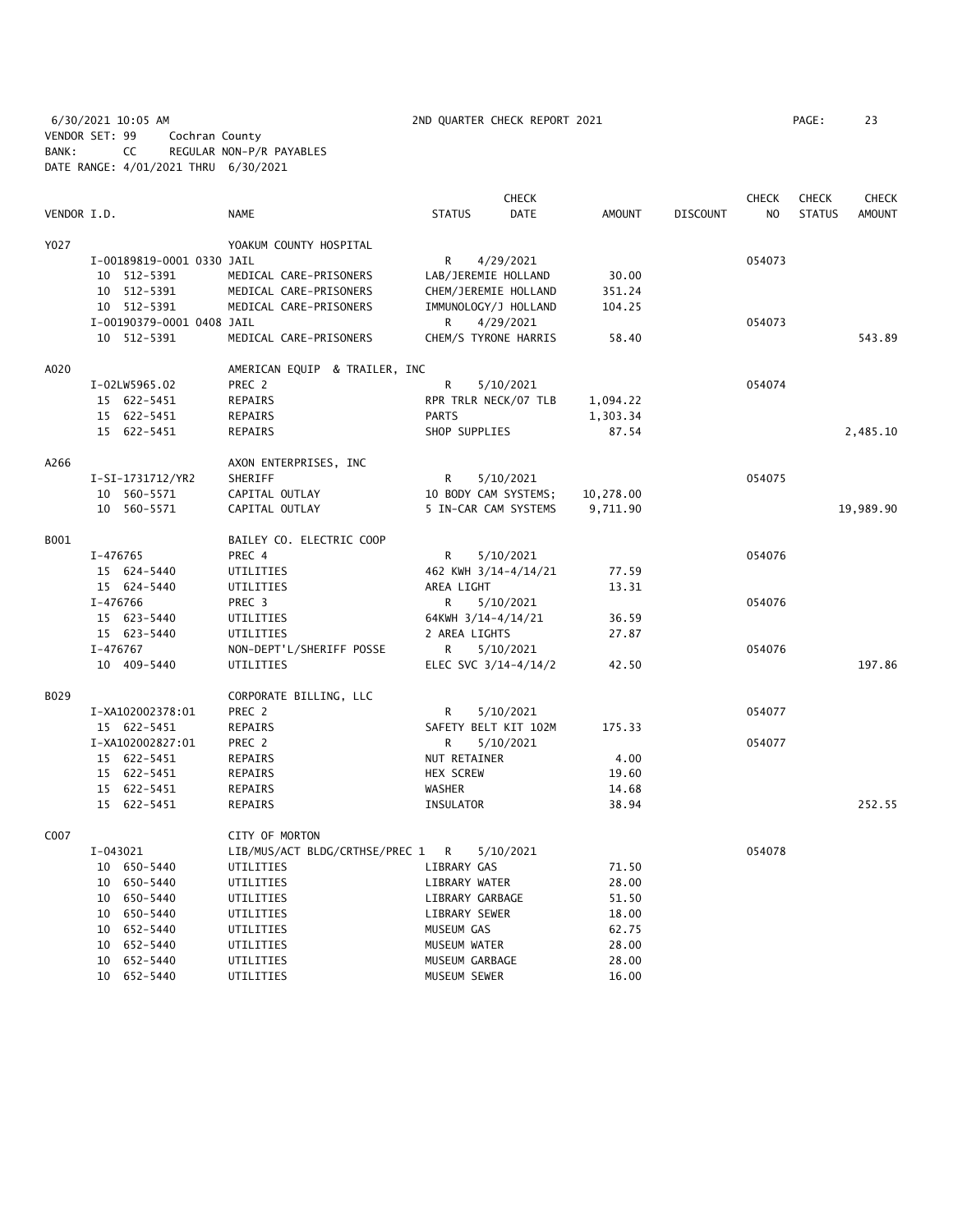6/30/2021 10:05 AM 2ND QUARTER CHECK REPORT 2021 PAGE: 23 VENDOR SET: 99 Cochran County BANK: CC REGULAR NON-P/R PAYABLES DATE RANGE: 4/01/2021 THRU 6/30/2021

|             |                           |                                  |                      | <b>CHECK</b> |               |                 | <b>CHECK</b> | <b>CHECK</b>  | <b>CHECK</b>  |
|-------------|---------------------------|----------------------------------|----------------------|--------------|---------------|-----------------|--------------|---------------|---------------|
| VENDOR I.D. |                           | <b>NAME</b>                      | <b>STATUS</b>        | DATE         | <b>AMOUNT</b> | <b>DISCOUNT</b> | NO.          | <b>STATUS</b> | <b>AMOUNT</b> |
| Y027        |                           | YOAKUM COUNTY HOSPITAL           |                      |              |               |                 |              |               |               |
|             | I-00189819-0001 0330 JAIL |                                  | R                    | 4/29/2021    |               |                 | 054073       |               |               |
|             | 10 512-5391               | MEDICAL CARE-PRISONERS           | LAB/JEREMIE HOLLAND  |              | 30.00         |                 |              |               |               |
|             | 10 512-5391               | MEDICAL CARE-PRISONERS           | CHEM/JEREMIE HOLLAND |              | 351.24        |                 |              |               |               |
|             | 10 512-5391               | MEDICAL CARE-PRISONERS           | IMMUNOLOGY/J HOLLAND |              | 104.25        |                 |              |               |               |
|             | I-00190379-0001 0408 JAIL |                                  | R                    | 4/29/2021    |               |                 | 054073       |               |               |
|             | 10 512-5391               | MEDICAL CARE-PRISONERS           | CHEM/S TYRONE HARRIS |              | 58.40         |                 |              |               | 543.89        |
| A020        |                           | AMERICAN EQUIP & TRAILER, INC    |                      |              |               |                 |              |               |               |
|             | I-02LW5965.02             | PREC 2                           | R                    | 5/10/2021    |               |                 | 054074       |               |               |
|             | 15 622-5451               | REPAIRS                          | RPR TRLR NECK/07 TLB |              | 1,094.22      |                 |              |               |               |
|             | 15 622-5451               | REPAIRS                          | <b>PARTS</b>         |              | 1,303.34      |                 |              |               |               |
|             | 15 622-5451               | REPAIRS                          | SHOP SUPPLIES        |              | 87.54         |                 |              |               | 2,485.10      |
| A266        |                           | AXON ENTERPRISES, INC            |                      |              |               |                 |              |               |               |
|             | I-SI-1731712/YR2          | SHERIFF                          | R                    | 5/10/2021    |               |                 | 054075       |               |               |
|             | 10 560-5571               | CAPITAL OUTLAY                   | 10 BODY CAM SYSTEMS; |              | 10,278.00     |                 |              |               |               |
|             | 10 560-5571               | CAPITAL OUTLAY                   | 5 IN-CAR CAM SYSTEMS |              | 9,711.90      |                 |              |               | 19,989.90     |
|             |                           |                                  |                      |              |               |                 |              |               |               |
| B001        |                           | BAILEY CO. ELECTRIC COOP         |                      |              |               |                 |              |               |               |
|             | I-476765                  | PREC 4                           | R                    | 5/10/2021    |               |                 | 054076       |               |               |
|             | 15 624-5440               | UTILITIES                        | 462 KWH 3/14-4/14/21 |              | 77.59         |                 |              |               |               |
|             | 15 624-5440               | UTILITIES                        | AREA LIGHT           |              | 13.31         |                 |              |               |               |
|             | I-476766                  | PREC 3                           | R                    | 5/10/2021    |               |                 | 054076       |               |               |
|             | 15 623-5440               | UTILITIES                        | 64KWH 3/14-4/14/21   |              | 36.59         |                 |              |               |               |
|             | 15 623-5440               | UTILITIES                        | 2 AREA LIGHTS        |              | 27.87         |                 |              |               |               |
|             | I-476767                  | NON-DEPT'L/SHERIFF POSSE         | R                    | 5/10/2021    |               |                 | 054076       |               |               |
|             | 10 409-5440               | UTILITIES                        | ELEC SVC 3/14-4/14/2 |              | 42.50         |                 |              |               | 197.86        |
| B029        |                           | CORPORATE BILLING, LLC           |                      |              |               |                 |              |               |               |
|             | I-XA102002378:01          | PREC 2                           | R                    | 5/10/2021    |               |                 | 054077       |               |               |
|             | 15 622-5451               | REPAIRS                          | SAFETY BELT KIT 102M |              | 175.33        |                 |              |               |               |
|             | I-XA102002827:01          | PREC 2                           | R                    | 5/10/2021    |               |                 | 054077       |               |               |
|             | 15 622-5451               | REPAIRS                          | NUT RETAINER         |              | 4.00          |                 |              |               |               |
|             | 15 622-5451               | REPAIRS                          | <b>HEX SCREW</b>     |              | 19.60         |                 |              |               |               |
|             | 15 622-5451               | <b>REPAIRS</b>                   | <b>WASHER</b>        |              | 14.68         |                 |              |               |               |
|             | 15 622-5451               | <b>REPAIRS</b>                   | <b>INSULATOR</b>     |              | 38.94         |                 |              |               | 252.55        |
| C007        |                           | CITY OF MORTON                   |                      |              |               |                 |              |               |               |
|             | I-043021                  | LIB/MUS/ACT BLDG/CRTHSE/PREC 1 R |                      | 5/10/2021    |               |                 | 054078       |               |               |
|             | 10 650-5440               | UTILITIES                        | LIBRARY GAS          |              | 71.50         |                 |              |               |               |
|             | 10 650-5440               | UTILITIES                        | LIBRARY WATER        |              | 28.00         |                 |              |               |               |
|             | 10 650-5440               | UTILITIES                        | LIBRARY GARBAGE      |              | 51.50         |                 |              |               |               |
|             | 10 650-5440               | UTILITIES                        | LIBRARY SEWER        |              | 18.00         |                 |              |               |               |
|             | 10 652-5440               | UTILITIES                        | MUSEUM GAS           |              | 62.75         |                 |              |               |               |
|             | 10 652-5440               | UTILITIES                        | MUSEUM WATER         |              | 28.00         |                 |              |               |               |
|             | 10 652-5440               | UTILITIES                        | MUSEUM GARBAGE       |              | 28.00         |                 |              |               |               |
|             | 10 652-5440               | UTILITIES                        | MUSEUM SEWER         |              | 16.00         |                 |              |               |               |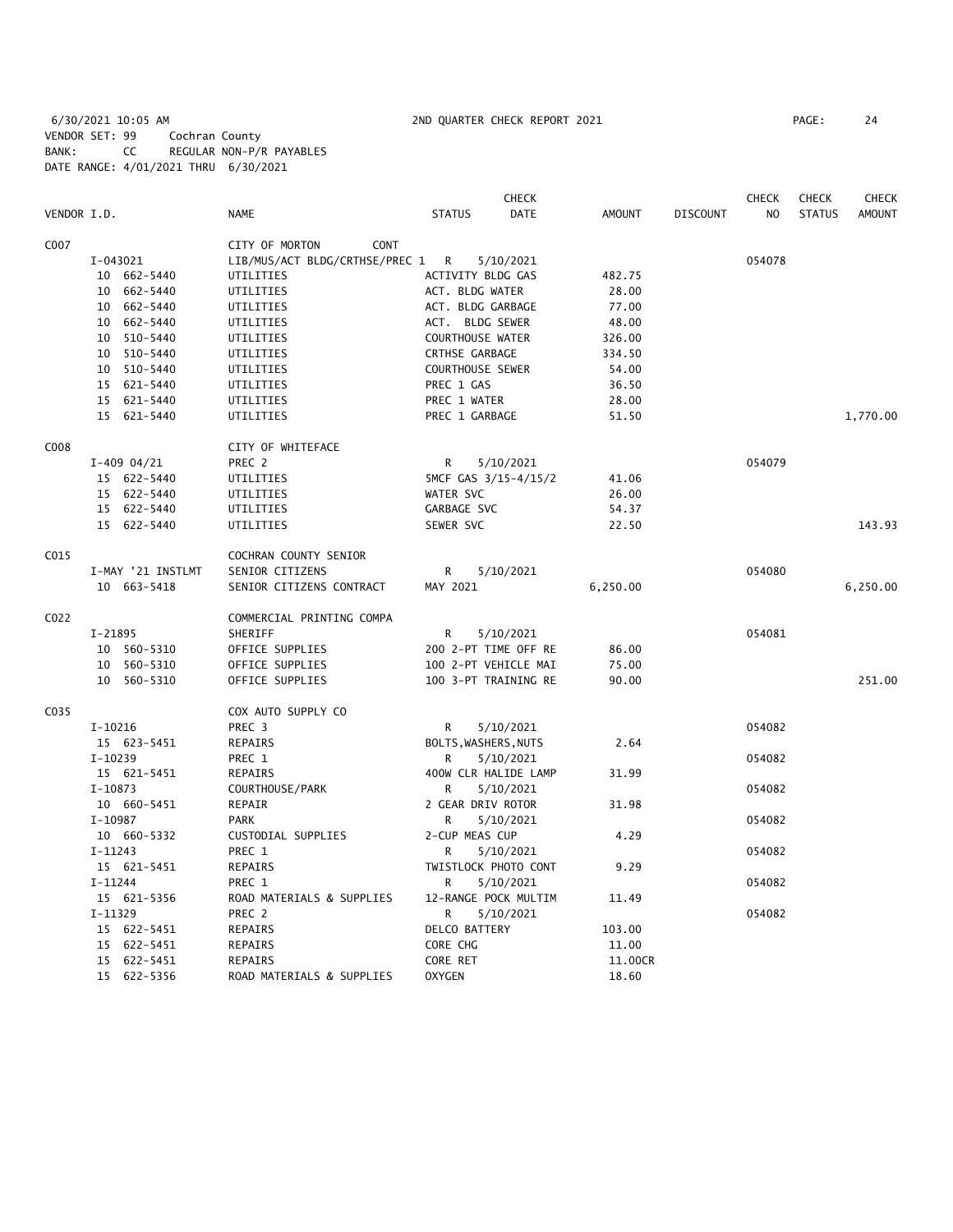6/30/2021 10:05 AM 2ND QUARTER CHECK REPORT 2021 PAGE: 24 VENDOR SET: 99 Cochran County BANK: CC REGULAR NON-P/R PAYABLES DATE RANGE: 4/01/2021 THRU 6/30/2021

|             |                   |                                | CHECK                        |               |                 | <b>CHECK</b>   | <b>CHECK</b>  | <b>CHECK</b> |
|-------------|-------------------|--------------------------------|------------------------------|---------------|-----------------|----------------|---------------|--------------|
| VENDOR I.D. |                   | <b>NAME</b>                    | <b>STATUS</b><br><b>DATE</b> | <b>AMOUNT</b> | <b>DISCOUNT</b> | N <sub>O</sub> | <b>STATUS</b> | AMOUNT       |
| C007        |                   | CITY OF MORTON<br><b>CONT</b>  |                              |               |                 |                |               |              |
|             | I-043021          | LIB/MUS/ACT BLDG/CRTHSE/PREC 1 | R<br>5/10/2021               |               |                 | 054078         |               |              |
|             | 10 662-5440       | UTILITIES                      | ACTIVITY BLDG GAS            | 482.75        |                 |                |               |              |
|             | 10 662-5440       | UTILITIES                      | ACT. BLDG WATER              | 28.00         |                 |                |               |              |
|             | 10 662-5440       | UTILITIES                      | ACT. BLDG GARBAGE            | 77.00         |                 |                |               |              |
|             | 10 662-5440       | UTILITIES                      | ACT. BLDG SEWER              | 48.00         |                 |                |               |              |
|             | 10 510-5440       | UTILITIES                      | <b>COURTHOUSE WATER</b>      | 326.00        |                 |                |               |              |
|             | 10 510-5440       | UTILITIES                      | CRTHSE GARBAGE               | 334.50        |                 |                |               |              |
|             | 10 510-5440       | UTILITIES                      | COURTHOUSE SEWER             | 54.00         |                 |                |               |              |
|             | 15 621-5440       | UTILITIES                      | PREC 1 GAS                   | 36.50         |                 |                |               |              |
|             | 15 621-5440       | UTILITIES                      | PREC 1 WATER                 | 28.00         |                 |                |               |              |
|             | 15 621-5440       | UTILITIES                      | PREC 1 GARBAGE               | 51.50         |                 |                |               | 1,770.00     |
|             |                   |                                |                              |               |                 |                |               |              |
| C008        |                   | CITY OF WHITEFACE              |                              |               |                 |                |               |              |
|             | $I-409$ 04/21     | PREC 2                         | R<br>5/10/2021               |               |                 | 054079         |               |              |
|             | 15 622-5440       | UTILITIES                      | 5MCF GAS 3/15-4/15/2         | 41.06         |                 |                |               |              |
|             | 15 622-5440       | UTILITIES                      | WATER SVC                    | 26.00         |                 |                |               |              |
|             | 15 622-5440       | UTILITIES                      | GARBAGE SVC                  | 54.37         |                 |                |               |              |
|             | 15 622-5440       | UTILITIES                      | SEWER SVC                    | 22.50         |                 |                |               | 143.93       |
| C015        |                   | COCHRAN COUNTY SENIOR          |                              |               |                 |                |               |              |
|             | I-MAY '21 INSTLMT | SENIOR CITIZENS                | R.<br>5/10/2021              |               |                 | 054080         |               |              |
|             | 10 663-5418       | SENIOR CITIZENS CONTRACT       | MAY 2021                     | 6,250.00      |                 |                |               | 6,250.00     |
| C022        |                   | COMMERCIAL PRINTING COMPA      |                              |               |                 |                |               |              |
|             | $I-21895$         | SHERIFF                        | R<br>5/10/2021               |               |                 | 054081         |               |              |
|             | 10 560-5310       | OFFICE SUPPLIES                | 200 2-PT TIME OFF RE         | 86.00         |                 |                |               |              |
|             | 10 560-5310       | OFFICE SUPPLIES                | 100 2-PT VEHICLE MAI         | 75.00         |                 |                |               |              |
|             | 10 560-5310       | OFFICE SUPPLIES                | 100 3-PT TRAINING RE         | 90.00         |                 |                |               | 251.00       |
| C035        |                   | COX AUTO SUPPLY CO             |                              |               |                 |                |               |              |
|             | I-10216           | PREC <sub>3</sub>              | R<br>5/10/2021               |               |                 | 054082         |               |              |
|             | 15 623-5451       | REPAIRS                        | BOLTS, WASHERS, NUTS         | 2.64          |                 |                |               |              |
|             | $I-10239$         | PREC 1                         | R<br>5/10/2021               |               |                 | 054082         |               |              |
|             | 15 621-5451       | REPAIRS                        | 400W CLR HALIDE LAMP         | 31.99         |                 |                |               |              |
|             | $I-10873$         | COURTHOUSE/PARK                | R<br>5/10/2021               |               |                 | 054082         |               |              |
|             | 10 660-5451       | REPAIR                         | 2 GEAR DRIV ROTOR            | 31.98         |                 |                |               |              |
|             | I-10987           | <b>PARK</b>                    | R                            |               |                 | 054082         |               |              |
|             |                   |                                | 5/10/2021                    |               |                 |                |               |              |
|             | 10 660-5332       | CUSTODIAL SUPPLIES             | 2-CUP MEAS CUP               | 4.29          |                 |                |               |              |
|             | $I-11243$         | PREC 1                         | R<br>5/10/2021               |               |                 | 054082         |               |              |
|             | 15 621-5451       | REPAIRS                        | TWISTLOCK PHOTO CONT         | 9.29          |                 |                |               |              |
|             | $I-11244$         | PREC 1                         | R<br>5/10/2021               |               |                 | 054082         |               |              |
|             | 15 621-5356       | ROAD MATERIALS & SUPPLIES      | 12-RANGE POCK MULTIM         | 11.49         |                 |                |               |              |
|             | I-11329           | PREC 2                         | R<br>5/10/2021               |               |                 | 054082         |               |              |
|             | 15 622-5451       | REPAIRS                        | DELCO BATTERY                | 103.00        |                 |                |               |              |
|             | 15 622-5451       | REPAIRS                        | CORE CHG                     | 11.00         |                 |                |               |              |
|             | 15 622-5451       | <b>REPAIRS</b>                 | CORE RET                     | 11.00CR       |                 |                |               |              |
|             | 15 622-5356       | ROAD MATERIALS & SUPPLIES      | <b>OXYGEN</b>                | 18.60         |                 |                |               |              |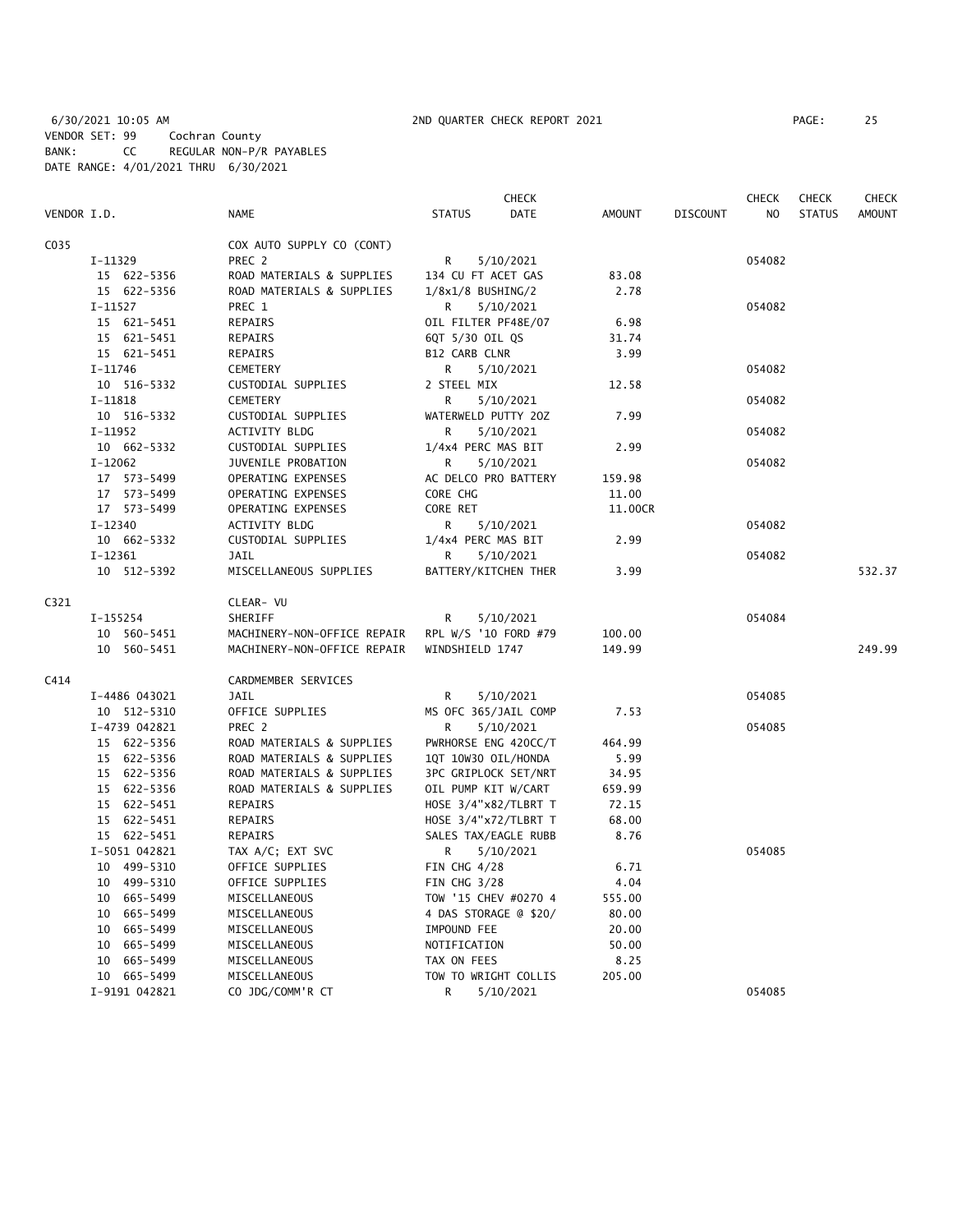6/30/2021 10:05 AM 2ND QUARTER CHECK REPORT 2021 PAGE: 25 VENDOR SET: 99 Cochran County BANK: CC REGULAR NON-P/R PAYABLES DATE RANGE: 4/01/2021 THRU 6/30/2021

|             |                |                             | CHECK                 |               |                 | <b>CHECK</b>   | <b>CHECK</b>  | <b>CHECK</b>  |
|-------------|----------------|-----------------------------|-----------------------|---------------|-----------------|----------------|---------------|---------------|
| VENDOR I.D. |                | <b>NAME</b>                 | <b>STATUS</b><br>DATE | <b>AMOUNT</b> | <b>DISCOUNT</b> | N <sub>O</sub> | <b>STATUS</b> | <b>AMOUNT</b> |
| C035        |                | COX AUTO SUPPLY CO (CONT)   |                       |               |                 |                |               |               |
|             | I-11329        | PREC 2                      | 5/10/2021<br>R        |               |                 | 054082         |               |               |
|             | 15 622-5356    | ROAD MATERIALS & SUPPLIES   | 134 CU FT ACET GAS    | 83.08         |                 |                |               |               |
|             | 15 622-5356    | ROAD MATERIALS & SUPPLIES   | $1/8x1/8$ BUSHING/2   | 2.78          |                 |                |               |               |
|             | $I-11527$      | PREC 1                      | R<br>5/10/2021        |               |                 | 054082         |               |               |
|             | 15 621-5451    | REPAIRS                     | OIL FILTER PF48E/07   | 6.98          |                 |                |               |               |
|             | 15 621-5451    | REPAIRS                     | 6QT 5/30 OIL QS       | 31.74         |                 |                |               |               |
|             | 15 621-5451    | REPAIRS                     | B12 CARB CLNR         | 3.99          |                 |                |               |               |
|             | $I-11746$      | <b>CEMETERY</b>             | 5/10/2021<br>R        |               |                 | 054082         |               |               |
|             | 10 516-5332    | CUSTODIAL SUPPLIES          | 2 STEEL MIX           | 12.58         |                 |                |               |               |
|             | $I-11818$      | <b>CEMETERY</b>             | R<br>5/10/2021        |               |                 | 054082         |               |               |
|             | 10 516-5332    | CUSTODIAL SUPPLIES          | WATERWELD PUTTY 20Z   | 7.99          |                 |                |               |               |
|             | $I-11952$      | <b>ACTIVITY BLDG</b>        | 5/10/2021<br>R        |               |                 | 054082         |               |               |
|             | 10 662-5332    | CUSTODIAL SUPPLIES          | 1/4x4 PERC MAS BIT    | 2.99          |                 |                |               |               |
|             | $I-12062$      | JUVENILE PROBATION          | 5/10/2021<br>R        |               |                 | 054082         |               |               |
|             | 17 573-5499    | OPERATING EXPENSES          | AC DELCO PRO BATTERY  | 159.98        |                 |                |               |               |
|             | 17 573-5499    | OPERATING EXPENSES          | CORE CHG              | 11.00         |                 |                |               |               |
|             | 17 573-5499    | OPERATING EXPENSES          | CORE RET              | 11.00CR       |                 |                |               |               |
|             | $I-12340$      | <b>ACTIVITY BLDG</b>        | R<br>5/10/2021        |               |                 | 054082         |               |               |
|             | 10 662-5332    | CUSTODIAL SUPPLIES          | 1/4x4 PERC MAS BIT    | 2.99          |                 |                |               |               |
|             | $I-12361$      | <b>JAIL</b>                 | R<br>5/10/2021        |               |                 | 054082         |               |               |
|             | 10 512-5392    | MISCELLANEOUS SUPPLIES      | BATTERY/KITCHEN THER  | 3.99          |                 |                |               | 532.37        |
| C321        |                | CLEAR- VU                   |                       |               |                 |                |               |               |
|             | I-155254       | <b>SHERIFF</b>              | 5/10/2021<br>R        |               |                 | 054084         |               |               |
|             | 10 560-5451    | MACHINERY-NON-OFFICE REPAIR | RPL W/S '10 FORD #79  | 100.00        |                 |                |               |               |
|             | 10 560-5451    | MACHINERY-NON-OFFICE REPAIR | WINDSHIELD 1747       | 149.99        |                 |                |               | 249.99        |
| C414        |                | CARDMEMBER SERVICES         |                       |               |                 |                |               |               |
|             | I-4486 043021  | JAIL                        | R<br>5/10/2021        |               |                 | 054085         |               |               |
|             | 10 512-5310    | OFFICE SUPPLIES             | MS OFC 365/JAIL COMP  | 7.53          |                 |                |               |               |
|             | I-4739 042821  | PREC 2                      | R<br>5/10/2021        |               |                 | 054085         |               |               |
|             | 15 622-5356    | ROAD MATERIALS & SUPPLIES   | PWRHORSE ENG 420CC/T  | 464.99        |                 |                |               |               |
|             | 15 622-5356    | ROAD MATERIALS & SUPPLIES   | 1QT 10W30 OIL/HONDA   | 5.99          |                 |                |               |               |
|             | 15 622-5356    | ROAD MATERIALS & SUPPLIES   | 3PC GRIPLOCK SET/NRT  | 34.95         |                 |                |               |               |
|             | 15 622-5356    | ROAD MATERIALS & SUPPLIES   | OIL PUMP KIT W/CART   | 659.99        |                 |                |               |               |
|             | 15 622-5451    | REPAIRS                     | HOSE 3/4"x82/TLBRT T  | 72.15         |                 |                |               |               |
|             | 15 622-5451    | REPAIRS                     | HOSE 3/4"x72/TLBRT T  | 68.00         |                 |                |               |               |
|             | 15 622-5451    | REPAIRS                     | SALES TAX/EAGLE RUBB  | 8.76          |                 |                |               |               |
|             | I-5051 042821  | TAX A/C; EXT SVC            | R<br>5/10/2021        |               |                 | 054085         |               |               |
|             | 10 499-5310    | OFFICE SUPPLIES             | FIN CHG $4/28$        | 6.71          |                 |                |               |               |
|             | 10 499-5310    | OFFICE SUPPLIES             | FIN CHG 3/28          | 4.04          |                 |                |               |               |
|             | 10 665-5499    | MISCELLANEOUS               | TOW '15 CHEV #0270 4  | 555.00        |                 |                |               |               |
|             | 10 665-5499    | MISCELLANEOUS               | 4 DAS STORAGE @ \$20/ | 80.00         |                 |                |               |               |
|             | 665–5499<br>10 | MISCELLANEOUS               | IMPOUND FEE           | 20.00         |                 |                |               |               |
|             | 10 665-5499    | MISCELLANEOUS               | NOTIFICATION          | 50.00         |                 |                |               |               |
|             | 10 665-5499    | MISCELLANEOUS               | TAX ON FEES           | 8.25          |                 |                |               |               |
|             | 10 665-5499    | MISCELLANEOUS               | TOW TO WRIGHT COLLIS  | 205.00        |                 |                |               |               |
|             | I-9191 042821  | CO JDG/COMM'R CT            | R<br>5/10/2021        |               |                 | 054085         |               |               |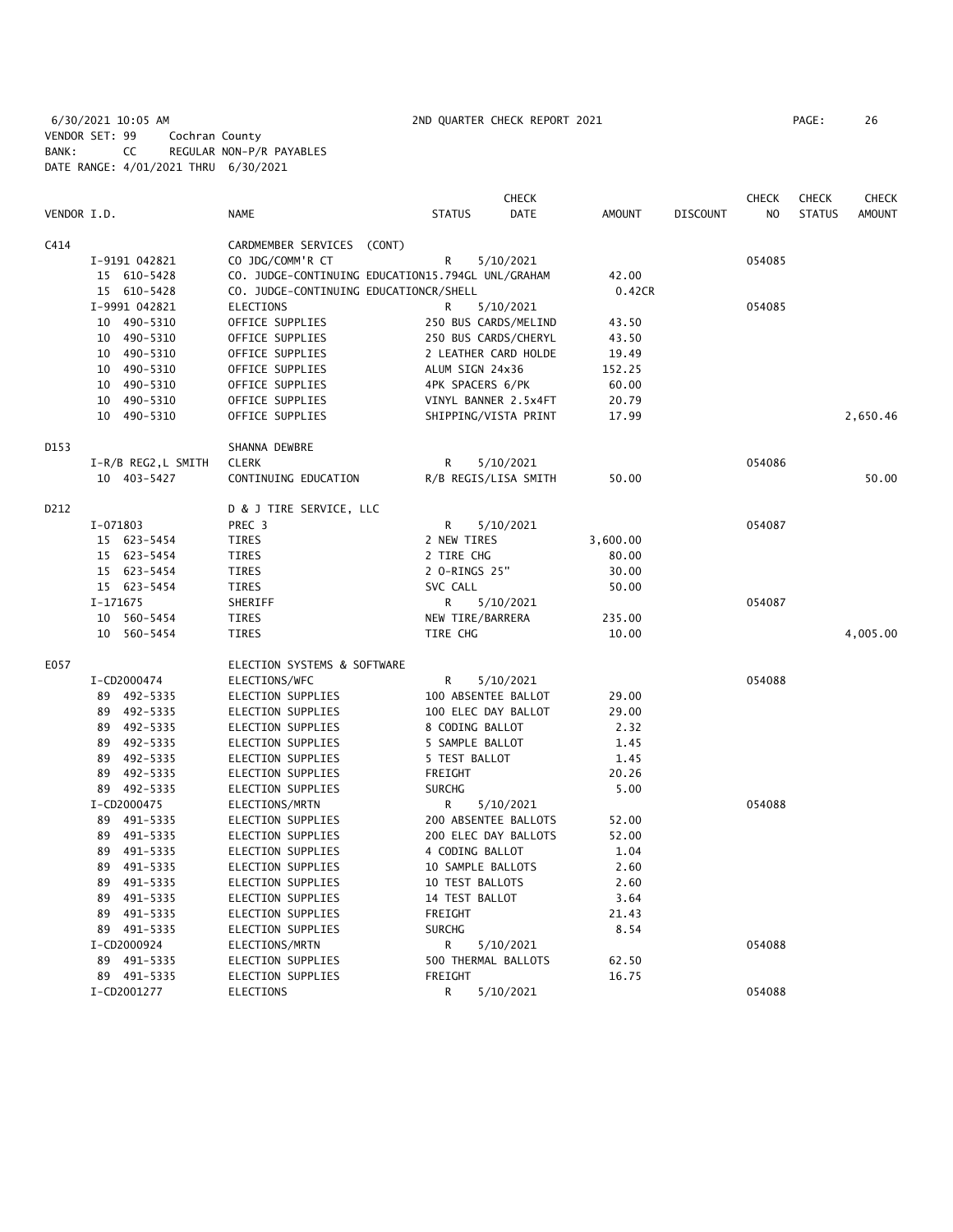6/30/2021 10:05 AM 2ND QUARTER CHECK REPORT 2021 PAGE: 26 VENDOR SET: 99 Cochran County BANK: CC REGULAR NON-P/R PAYABLES DATE RANGE: 4/01/2021 THRU 6/30/2021

|             |                     |                                                   |                      | CHECK     |               |                 | <b>CHECK</b>   | <b>CHECK</b>  | <b>CHECK</b>  |
|-------------|---------------------|---------------------------------------------------|----------------------|-----------|---------------|-----------------|----------------|---------------|---------------|
| VENDOR I.D. |                     | <b>NAME</b>                                       | <b>STATUS</b>        | DATE      | <b>AMOUNT</b> | <b>DISCOUNT</b> | N <sub>O</sub> | <b>STATUS</b> | <b>AMOUNT</b> |
| C414        |                     | CARDMEMBER SERVICES                               | (CONT)               |           |               |                 |                |               |               |
|             | I-9191 042821       | CO JDG/COMM'R CT                                  | R                    | 5/10/2021 |               |                 | 054085         |               |               |
|             | 15 610-5428         | CO. JUDGE-CONTINUING EDUCATION15.794GL UNL/GRAHAM |                      |           | 42.00         |                 |                |               |               |
|             | 15 610-5428         | CO. JUDGE-CONTINUING EDUCATIONCR/SHELL            |                      |           | 0.42CR        |                 |                |               |               |
|             | I-9991 042821       | <b>ELECTIONS</b>                                  | R                    | 5/10/2021 |               |                 | 054085         |               |               |
|             | 10 490-5310         | OFFICE SUPPLIES                                   | 250 BUS CARDS/MELIND |           | 43.50         |                 |                |               |               |
|             | 10 490-5310         | OFFICE SUPPLIES                                   | 250 BUS CARDS/CHERYL |           | 43.50         |                 |                |               |               |
|             | 10 490-5310         | OFFICE SUPPLIES                                   | 2 LEATHER CARD HOLDE |           | 19.49         |                 |                |               |               |
|             | 10 490-5310         | OFFICE SUPPLIES                                   | ALUM SIGN 24x36      |           | 152.25        |                 |                |               |               |
|             | 490-5310<br>10      | OFFICE SUPPLIES                                   | 4PK SPACERS 6/PK     |           | 60.00         |                 |                |               |               |
|             | 490-5310<br>10      | OFFICE SUPPLIES                                   | VINYL BANNER 2.5x4FT |           | 20.79         |                 |                |               |               |
|             | 490-5310<br>10      | OFFICE SUPPLIES                                   | SHIPPING/VISTA PRINT |           | 17.99         |                 |                |               | 2,650.46      |
| D153        |                     | SHANNA DEWBRE                                     |                      |           |               |                 |                |               |               |
|             | I-R/B REG2, L SMITH | <b>CLERK</b>                                      | R                    | 5/10/2021 |               |                 | 054086         |               |               |
|             | 10 403-5427         | CONTINUING EDUCATION                              | R/B REGIS/LISA SMITH |           | 50.00         |                 |                |               | 50.00         |
| D212        |                     | D & J TIRE SERVICE, LLC                           |                      |           |               |                 |                |               |               |
|             | I-071803            | PREC 3                                            | R                    | 5/10/2021 |               |                 | 054087         |               |               |
|             | 15 623-5454         | TIRES                                             | 2 NEW TIRES          |           | 3,600.00      |                 |                |               |               |
|             | 15 623-5454         | <b>TIRES</b>                                      | 2 TIRE CHG           |           | 80.00         |                 |                |               |               |
|             | 15<br>623–5454      | <b>TIRES</b>                                      | 2 O-RINGS 25"        |           | 30.00         |                 |                |               |               |
|             | 15 623-5454         | <b>TIRES</b>                                      | SVC CALL             |           | 50.00         |                 |                |               |               |
|             | I-171675            | SHERIFF                                           | R                    | 5/10/2021 |               |                 | 054087         |               |               |
|             | 10 560-5454         | <b>TIRES</b>                                      | NEW TIRE/BARRERA     |           | 235.00        |                 |                |               |               |
|             | 10<br>560-5454      | <b>TIRES</b>                                      | TIRE CHG             |           | 10.00         |                 |                |               | 4,005.00      |
| E057        |                     | ELECTION SYSTEMS & SOFTWARE                       |                      |           |               |                 |                |               |               |
|             | I-CD2000474         | ELECTIONS/WFC                                     | R                    | 5/10/2021 |               |                 | 054088         |               |               |
|             | 89 492-5335         | ELECTION SUPPLIES                                 | 100 ABSENTEE BALLOT  |           | 29.00         |                 |                |               |               |
|             | 492-5335<br>89      | ELECTION SUPPLIES                                 | 100 ELEC DAY BALLOT  |           | 29.00         |                 |                |               |               |
|             | 89 492-5335         | ELECTION SUPPLIES                                 | 8 CODING BALLOT      |           | 2.32          |                 |                |               |               |
|             | 89 492-5335         | ELECTION SUPPLIES                                 | 5 SAMPLE BALLOT      |           | 1.45          |                 |                |               |               |
|             | 492-5335<br>89      | ELECTION SUPPLIES                                 | 5 TEST BALLOT        |           | 1.45          |                 |                |               |               |
|             | 492-5335<br>89      | ELECTION SUPPLIES                                 | FREIGHT              |           | 20.26         |                 |                |               |               |
|             | 89 492-5335         | ELECTION SUPPLIES                                 | <b>SURCHG</b>        |           | 5.00          |                 |                |               |               |
|             | I-CD2000475         | ELECTIONS/MRTN                                    | R                    | 5/10/2021 |               |                 | 054088         |               |               |
|             | 89 491-5335         | ELECTION SUPPLIES                                 | 200 ABSENTEE BALLOTS |           | 52.00         |                 |                |               |               |
|             | 491–5335<br>89      | ELECTION SUPPLIES                                 | 200 ELEC DAY BALLOTS |           | 52.00         |                 |                |               |               |
|             | 491-5335<br>89      | <b>ELECTION SUPPLIES</b>                          | 4 CODING BALLOT      |           | 1.04          |                 |                |               |               |
|             | 491-5335<br>89      | ELECTION SUPPLIES                                 | 10 SAMPLE BALLOTS    |           | 2.60          |                 |                |               |               |
|             | 491-5335<br>89      | <b>ELECTION SUPPLIES</b>                          | 10 TEST BALLOTS      |           | 2.60          |                 |                |               |               |
|             | 491-5335<br>89      | ELECTION SUPPLIES                                 | 14 TEST BALLOT       |           | 3.64          |                 |                |               |               |
|             | 89<br>491–5335      | ELECTION SUPPLIES                                 | FREIGHT              |           | 21.43         |                 |                |               |               |
|             | 89 491-5335         | ELECTION SUPPLIES                                 | <b>SURCHG</b>        |           | 8.54          |                 |                |               |               |
|             | I-CD2000924         | ELECTIONS/MRTN                                    | R                    | 5/10/2021 |               |                 | 054088         |               |               |
|             | 89 491-5335         | ELECTION SUPPLIES                                 | 500 THERMAL BALLOTS  |           | 62.50         |                 |                |               |               |
|             | 89 491-5335         | <b>ELECTION SUPPLIES</b>                          | FREIGHT              |           | 16.75         |                 |                |               |               |
|             | I-CD2001277         | ELECTIONS                                         | R                    | 5/10/2021 |               |                 | 054088         |               |               |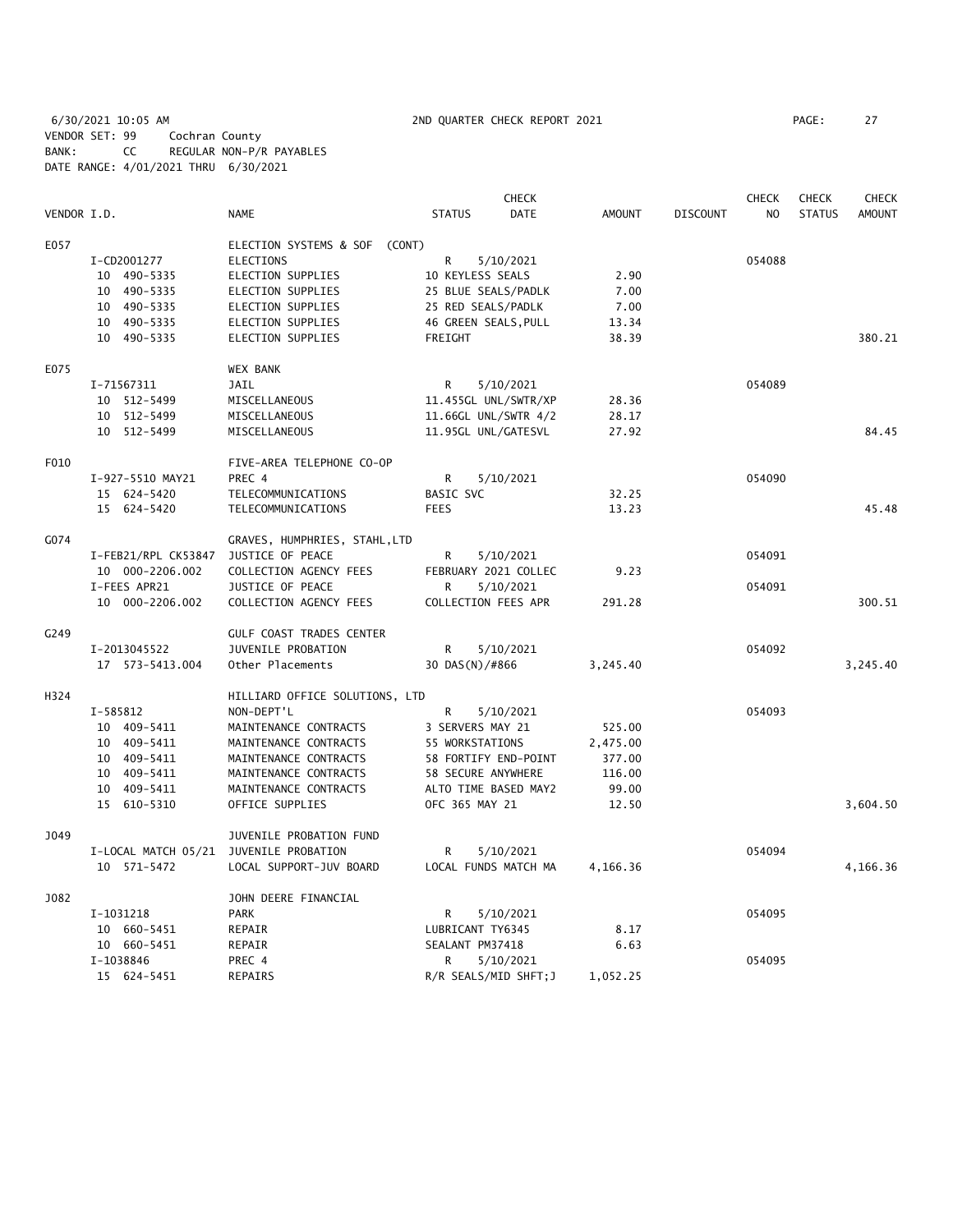6/30/2021 10:05 AM 2ND QUARTER CHECK REPORT 2021 PAGE: 27 VENDOR SET: 99 Cochran County BANK: CC REGULAR NON-P/R PAYABLES DATE RANGE: 4/01/2021 THRU 6/30/2021

|             |                                        |                                  |                       | <b>CHECK</b> |               |                 | <b>CHECK</b>   | <b>CHECK</b>  | <b>CHECK</b>  |
|-------------|----------------------------------------|----------------------------------|-----------------------|--------------|---------------|-----------------|----------------|---------------|---------------|
| VENDOR I.D. |                                        | <b>NAME</b>                      | <b>STATUS</b>         | <b>DATE</b>  | <b>AMOUNT</b> | <b>DISCOUNT</b> | N <sub>O</sub> | <b>STATUS</b> | <b>AMOUNT</b> |
| E057        |                                        | ELECTION SYSTEMS & SOF<br>(CONT) |                       |              |               |                 |                |               |               |
|             | I-CD2001277                            | <b>ELECTIONS</b>                 | R                     | 5/10/2021    |               |                 | 054088         |               |               |
|             | 10 490-5335                            | ELECTION SUPPLIES                | 10 KEYLESS SEALS      |              | 2.90          |                 |                |               |               |
|             | 10 490-5335                            | ELECTION SUPPLIES                | 25 BLUE SEALS/PADLK   |              | 7.00          |                 |                |               |               |
|             | 10 490-5335                            | ELECTION SUPPLIES                | 25 RED SEALS/PADLK    |              | 7.00          |                 |                |               |               |
|             | 10 490-5335                            | ELECTION SUPPLIES                | 46 GREEN SEALS, PULL  |              | 13.34         |                 |                |               |               |
|             | 10 490-5335                            | <b>ELECTION SUPPLIES</b>         | FREIGHT               |              | 38.39         |                 |                |               | 380.21        |
| E075        |                                        | <b>WEX BANK</b>                  |                       |              |               |                 |                |               |               |
|             | I-71567311                             | <b>JAIL</b>                      | R                     | 5/10/2021    |               |                 | 054089         |               |               |
|             | 10 512-5499                            | MISCELLANEOUS                    | 11.455GL UNL/SWTR/XP  |              | 28.36         |                 |                |               |               |
|             | 10 512-5499                            | MISCELLANEOUS                    | 11.66GL UNL/SWTR 4/2  |              | 28.17         |                 |                |               |               |
|             | 10 512-5499                            | MISCELLANEOUS                    | 11.95GL UNL/GATESVL   |              | 27.92         |                 |                |               | 84.45         |
| F010        |                                        | FIVE-AREA TELEPHONE CO-OP        |                       |              |               |                 |                |               |               |
|             | I-927-5510 MAY21                       | PREC 4                           | R                     | 5/10/2021    |               |                 | 054090         |               |               |
|             | 15 624-5420                            | TELECOMMUNICATIONS               | BASIC SVC             |              | 32.25         |                 |                |               |               |
|             | 15 624-5420                            | TELECOMMUNICATIONS               | <b>FEES</b>           |              | 13.23         |                 |                |               | 45.48         |
| G074        |                                        | GRAVES, HUMPHRIES, STAHL, LTD    |                       |              |               |                 |                |               |               |
|             | I-FEB21/RPL CK53847                    | JUSTICE OF PEACE                 | R                     | 5/10/2021    |               |                 | 054091         |               |               |
|             | 10 000-2206.002                        | COLLECTION AGENCY FEES           | FEBRUARY 2021 COLLEC  |              | 9.23          |                 |                |               |               |
|             | I-FEES APR21                           | JUSTICE OF PEACE                 | R                     | 5/10/2021    |               |                 | 054091         |               |               |
|             | 10 000-2206.002                        | COLLECTION AGENCY FEES           | COLLECTION FEES APR   |              | 291.28        |                 |                |               | 300.51        |
| G249        |                                        | GULF COAST TRADES CENTER         |                       |              |               |                 |                |               |               |
|             | I-2013045522                           | JUVENILE PROBATION               | R                     | 5/10/2021    |               |                 | 054092         |               |               |
|             | 17  573-5413.004                       | Other Placements                 | 30 DAS(N)/#866        |              | 3,245.40      |                 |                |               | 3,245.40      |
| H324        |                                        | HILLIARD OFFICE SOLUTIONS, LTD   |                       |              |               |                 |                |               |               |
|             | I-585812                               | NON-DEPT'L                       | R                     | 5/10/2021    |               |                 | 054093         |               |               |
|             | 10 409-5411                            | MAINTENANCE CONTRACTS            | 3 SERVERS MAY 21      |              | 525.00        |                 |                |               |               |
|             | 10 409-5411                            | MAINTENANCE CONTRACTS            | 55 WORKSTATIONS       |              | 2,475.00      |                 |                |               |               |
|             | 10 409-5411                            | MAINTENANCE CONTRACTS            | 58 FORTIFY END-POINT  |              | 377.00        |                 |                |               |               |
|             | 10 409-5411                            | MAINTENANCE CONTRACTS            | 58 SECURE ANYWHERE    |              | 116.00        |                 |                |               |               |
|             | 10 409-5411                            | MAINTENANCE CONTRACTS            | ALTO TIME BASED MAY2  |              | 99.00         |                 |                |               |               |
|             | 15 610-5310                            | OFFICE SUPPLIES                  | OFC 365 MAY 21        |              | 12.50         |                 |                |               | 3,604.50      |
| J049        |                                        | JUVENILE PROBATION FUND          |                       |              |               |                 |                |               |               |
|             | I-LOCAL MATCH 05/21 JUVENILE PROBATION |                                  | R                     | 5/10/2021    |               |                 | 054094         |               |               |
|             | 10 571-5472                            | LOCAL SUPPORT-JUV BOARD          | LOCAL FUNDS MATCH MA  |              | 4,166.36      |                 |                |               | 4,166.36      |
| J082        |                                        | JOHN DEERE FINANCIAL             |                       |              |               |                 |                |               |               |
|             | I-1031218                              | <b>PARK</b>                      | R                     | 5/10/2021    |               |                 | 054095         |               |               |
|             | 10 660-5451                            | REPAIR                           | LUBRICANT TY6345      |              | 8.17          |                 |                |               |               |
|             | 10 660-5451                            | REPAIR                           | SEALANT PM37418       |              | 6.63          |                 |                |               |               |
|             | I-1038846                              | PREC 4                           | R                     | 5/10/2021    |               |                 | 054095         |               |               |
|             | 15 624-5451                            | <b>REPAIRS</b>                   | R/R SEALS/MID SHFT; J |              | 1,052.25      |                 |                |               |               |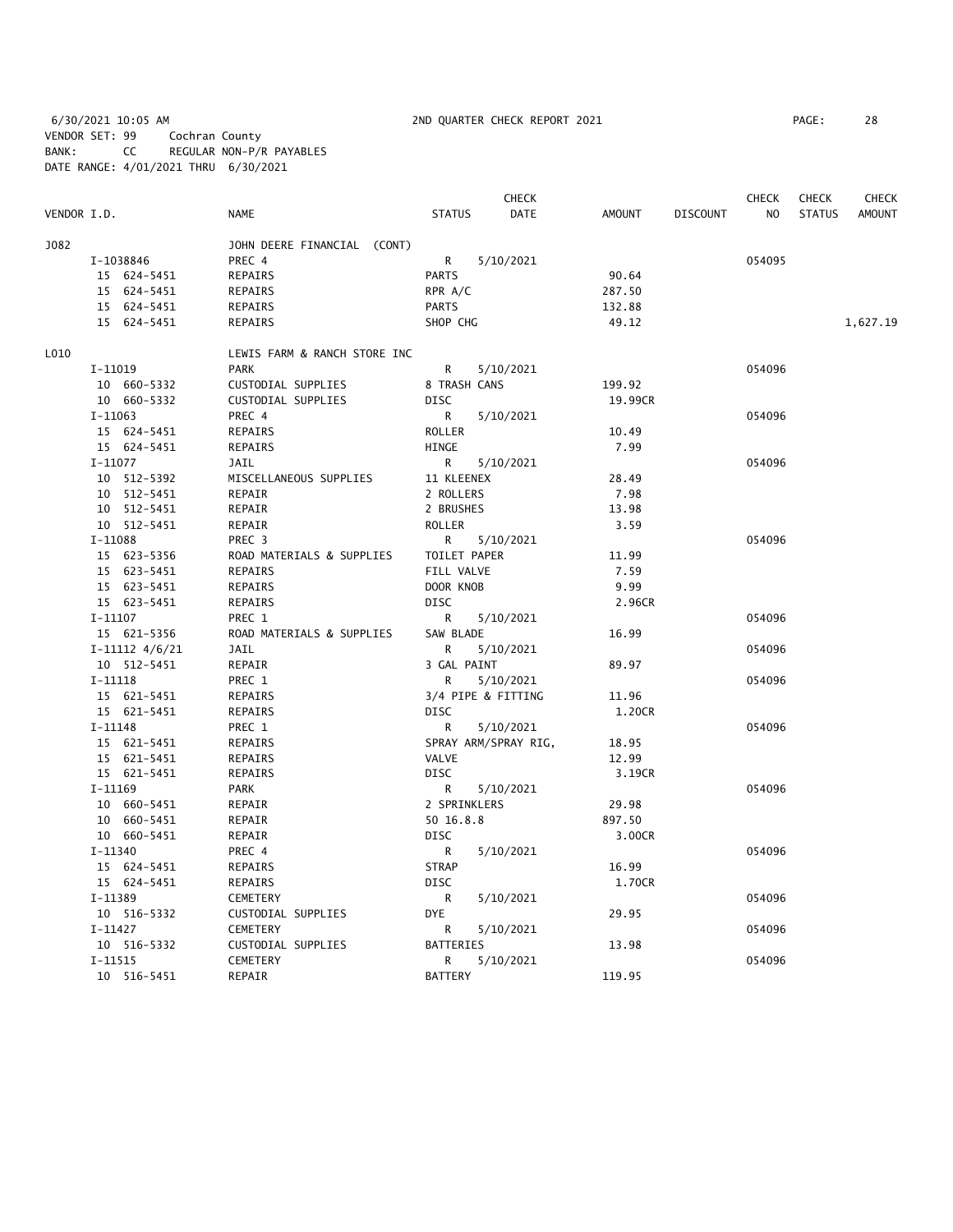6/30/2021 10:05 AM 2ND QUARTER CHECK REPORT 2021 PAGE: 28 VENDOR SET: 99 Cochran County BANK: CC REGULAR NON-P/R PAYABLES DATE RANGE: 4/01/2021 THRU 6/30/2021

|             |                    |                              |                  | CHECK                |               |                 | <b>CHECK</b> | <b>CHECK</b>  | CHECK         |
|-------------|--------------------|------------------------------|------------------|----------------------|---------------|-----------------|--------------|---------------|---------------|
| VENDOR I.D. |                    | <b>NAME</b>                  | <b>STATUS</b>    | <b>DATE</b>          | <b>AMOUNT</b> | <b>DISCOUNT</b> | NO           | <b>STATUS</b> | <b>AMOUNT</b> |
| J082        |                    | JOHN DEERE FINANCIAL (CONT)  |                  |                      |               |                 |              |               |               |
|             | I-1038846          | PREC 4                       | R                | 5/10/2021            |               |                 | 054095       |               |               |
|             | 15 624-5451        | REPAIRS                      | <b>PARTS</b>     |                      | 90.64         |                 |              |               |               |
|             | 15 624-5451        | REPAIRS                      | RPR A/C          |                      | 287.50        |                 |              |               |               |
|             | 15 624-5451        | REPAIRS                      | <b>PARTS</b>     |                      | 132.88        |                 |              |               |               |
|             | 15 624-5451        | REPAIRS                      | SHOP CHG         |                      | 49.12         |                 |              |               | 1,627.19      |
| L010        |                    | LEWIS FARM & RANCH STORE INC |                  |                      |               |                 |              |               |               |
|             | I-11019            | <b>PARK</b>                  | R                | 5/10/2021            |               |                 | 054096       |               |               |
|             | 10 660-5332        | CUSTODIAL SUPPLIES           | 8 TRASH CANS     |                      | 199.92        |                 |              |               |               |
|             | 10 660-5332        | CUSTODIAL SUPPLIES           | <b>DISC</b>      |                      | 19.99CR       |                 |              |               |               |
|             | $I-11063$          | PREC 4                       | R                | 5/10/2021            |               |                 | 054096       |               |               |
|             | 15 624-5451        | REPAIRS                      | ROLLER           |                      | 10.49         |                 |              |               |               |
|             | 15 624-5451        | REPAIRS                      | HINGE            |                      | 7.99          |                 |              |               |               |
|             | $I-11077$          | JAIL                         | R                | 5/10/2021            |               |                 | 054096       |               |               |
|             | 10 512-5392        | MISCELLANEOUS SUPPLIES       | 11 KLEENEX       |                      | 28.49         |                 |              |               |               |
|             | $10 512 - 5451$    | REPAIR                       | 2 ROLLERS        |                      | 7.98          |                 |              |               |               |
|             | 10 512-5451        | REPAIR                       | 2 BRUSHES        |                      | 13.98         |                 |              |               |               |
|             | 10 512-5451        | REPAIR                       | ROLLER           |                      | 3.59          |                 |              |               |               |
|             | $I-11088$          | PREC 3                       | $\mathsf{R}$     | 5/10/2021            |               |                 | 054096       |               |               |
|             | 15 623-5356        | ROAD MATERIALS & SUPPLIES    | TOILET PAPER     |                      | 11.99         |                 |              |               |               |
|             | 15 623-5451        | REPAIRS                      | FILL VALVE       |                      | 7.59          |                 |              |               |               |
|             | 15 623-5451        | REPAIRS                      | DOOR KNOB        |                      | 9.99          |                 |              |               |               |
|             | 15 623-5451        | REPAIRS                      | <b>DISC</b>      |                      | 2.96CR        |                 |              |               |               |
|             | $I-11107$          | PREC 1                       | R                |                      |               |                 | 054096       |               |               |
|             | 15 621-5356        | ROAD MATERIALS & SUPPLIES    | SAW BLADE        | 5/10/2021            | 16.99         |                 |              |               |               |
|             |                    |                              |                  |                      |               |                 |              |               |               |
|             | $I-11112$ $4/6/21$ | JAIL                         | R                | 5/10/2021            |               |                 | 054096       |               |               |
|             | 10 512-5451        | REPAIR                       | 3 GAL PAINT      |                      | 89.97         |                 |              |               |               |
|             | I-11118            | PREC 1                       | R.               | 5/10/2021            |               |                 | 054096       |               |               |
|             | 15 621-5451        | REPAIRS                      |                  | 3/4 PIPE & FITTING   | 11.96         |                 |              |               |               |
|             | 15 621-5451        | REPAIRS                      | <b>DISC</b>      |                      | 1.20CR        |                 |              |               |               |
|             | $I-11148$          | PREC 1                       | R                | 5/10/2021            |               |                 | 054096       |               |               |
|             | 15 621-5451        | REPAIRS                      |                  | SPRAY ARM/SPRAY RIG, | 18.95         |                 |              |               |               |
|             | 15 621-5451        | REPAIRS                      | VALVE            |                      | 12.99         |                 |              |               |               |
|             | 15 621-5451        | REPAIRS                      | DISC             |                      | 3.19CR        |                 |              |               |               |
|             | I-11169            | PARK                         | R                | 5/10/2021            |               |                 | 054096       |               |               |
|             | 10 660-5451        | REPAIR                       | 2 SPRINKLERS     |                      | 29.98         |                 |              |               |               |
|             | 10 660-5451        | REPAIR                       | 50 16.8.8        |                      | 897.50        |                 |              |               |               |
|             | 10 660-5451        | REPAIR                       | <b>DISC</b>      |                      | 3.00CR        |                 |              |               |               |
|             | $I-11340$          | PREC 4                       | R                | 5/10/2021            |               |                 | 054096       |               |               |
|             | 15 624-5451        | REPAIRS                      | <b>STRAP</b>     |                      | 16.99         |                 |              |               |               |
|             | 15 624-5451        | REPAIRS                      | <b>DISC</b>      |                      | 1.70CR        |                 |              |               |               |
|             | $I-11389$          | CEMETERY                     | R                | 5/10/2021            |               |                 | 054096       |               |               |
|             | 10 516-5332        | CUSTODIAL SUPPLIES           | DYE              |                      | 29.95         |                 |              |               |               |
|             | $I-11427$          | CEMETERY                     | R                | 5/10/2021            |               |                 | 054096       |               |               |
|             | 10 516-5332        | CUSTODIAL SUPPLIES           | <b>BATTERIES</b> |                      | 13.98         |                 |              |               |               |
|             | $I-11515$          | <b>CEMETERY</b>              | R                | 5/10/2021            |               |                 | 054096       |               |               |
|             | 10 516-5451        | REPAIR                       | <b>BATTERY</b>   |                      | 119.95        |                 |              |               |               |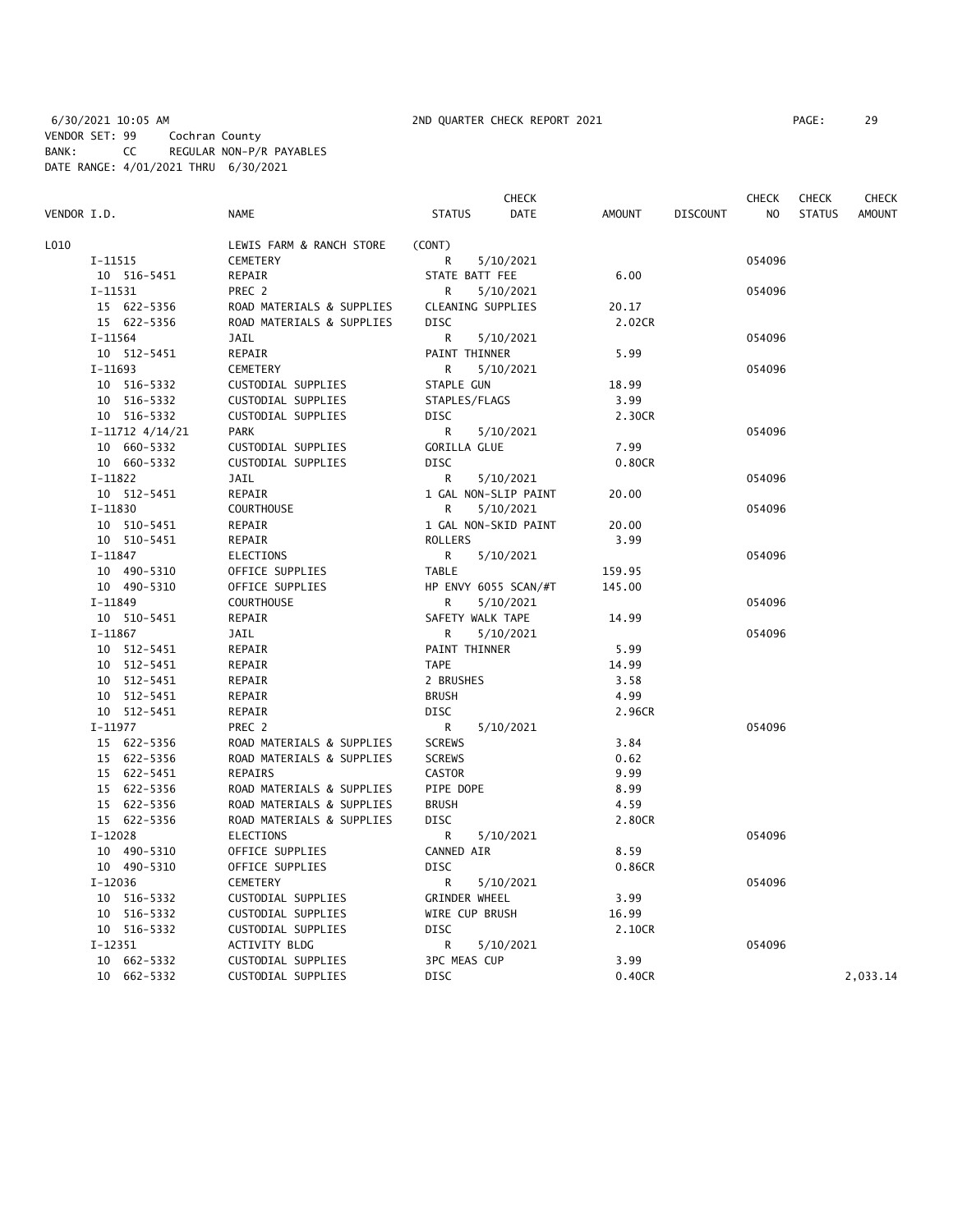|             |                     |                           |                      | <b>CHECK</b>         |               |                 | <b>CHECK</b> | <b>CHECK</b>  | CHECK         |
|-------------|---------------------|---------------------------|----------------------|----------------------|---------------|-----------------|--------------|---------------|---------------|
| VENDOR I.D. |                     | <b>NAME</b>               | <b>STATUS</b>        | DATE                 | <b>AMOUNT</b> | <b>DISCOUNT</b> | NO           | <b>STATUS</b> | <b>AMOUNT</b> |
| L010        |                     | LEWIS FARM & RANCH STORE  | (CONT)               |                      |               |                 |              |               |               |
|             | I-11515             | CEMETERY                  | R                    | 5/10/2021            |               |                 | 054096       |               |               |
|             | 10 516-5451         | REPAIR                    | STATE BATT FEE       |                      | 6.00          |                 |              |               |               |
|             | $I-11531$           | PREC 2                    | R                    | 5/10/2021            |               |                 | 054096       |               |               |
|             | 15 622-5356         | ROAD MATERIALS & SUPPLIES | CLEANING SUPPLIES    |                      | 20.17         |                 |              |               |               |
|             | 15 622-5356         | ROAD MATERIALS & SUPPLIES | <b>DISC</b>          |                      | 2.02CR        |                 |              |               |               |
|             | I-11564             | JAIL                      | R                    | 5/10/2021            |               |                 | 054096       |               |               |
|             | 10 512-5451         | REPAIR                    | PAINT THINNER        |                      | 5.99          |                 |              |               |               |
|             | $I-11693$           | CEMETERY                  | R                    | 5/10/2021            |               |                 | 054096       |               |               |
|             | 10 516-5332         | CUSTODIAL SUPPLIES        | STAPLE GUN           |                      | 18.99         |                 |              |               |               |
|             | 10 516-5332         | CUSTODIAL SUPPLIES        | STAPLES/FLAGS        |                      | 3.99          |                 |              |               |               |
|             | 10 516-5332         | CUSTODIAL SUPPLIES        | <b>DISC</b>          |                      | 2.30CR        |                 |              |               |               |
|             | $I-11712$ $4/14/21$ | <b>PARK</b>               | R                    | 5/10/2021            |               |                 | 054096       |               |               |
|             | 10 660-5332         | CUSTODIAL SUPPLIES        | <b>GORILLA GLUE</b>  |                      | 7.99          |                 |              |               |               |
|             | 10 660-5332         | CUSTODIAL SUPPLIES        | <b>DISC</b>          |                      | 0.80CR        |                 |              |               |               |
|             | $I-11822$           | <b>JAIL</b>               | R                    | 5/10/2021            |               |                 | 054096       |               |               |
|             | 10 512-5451         | REPAIR                    |                      | 1 GAL NON-SLIP PAINT | 20.00         |                 |              |               |               |
|             | $I-11830$           | <b>COURTHOUSE</b>         | R                    | 5/10/2021            |               |                 | 054096       |               |               |
|             | 10 510-5451         | REPAIR                    |                      | 1 GAL NON-SKID PAINT | 20.00         |                 |              |               |               |
|             | 10 510-5451         | REPAIR                    | <b>ROLLERS</b>       |                      | 3.99          |                 |              |               |               |
|             | I-11847             | ELECTIONS                 | R                    | 5/10/2021            |               |                 | 054096       |               |               |
|             | 10 490-5310         | OFFICE SUPPLIES           | <b>TABLE</b>         |                      | 159.95        |                 |              |               |               |
|             | 10 490-5310         | OFFICE SUPPLIES           |                      | HP ENVY 6055 SCAN/#T | 145.00        |                 |              |               |               |
|             | $I-11849$           | <b>COURTHOUSE</b>         | R                    | 5/10/2021            |               |                 | 054096       |               |               |
|             | 10 510-5451         | REPAIR                    | SAFETY WALK TAPE     |                      | 14.99         |                 |              |               |               |
|             | $I-11867$           | JAIL                      | R                    | 5/10/2021            |               |                 | 054096       |               |               |
|             | 10 512-5451         | REPAIR                    | PAINT THINNER        |                      | 5.99          |                 |              |               |               |
|             | 10 512-5451         | REPAIR                    | <b>TAPE</b>          |                      | 14.99         |                 |              |               |               |
|             | 10 512-5451         | REPAIR                    | 2 BRUSHES            |                      | 3.58          |                 |              |               |               |
|             | 10 512-5451         | REPAIR                    | <b>BRUSH</b>         |                      | 4.99          |                 |              |               |               |
|             | 10 512-5451         | REPAIR                    | <b>DISC</b>          |                      | 2.96CR        |                 |              |               |               |
|             | $I-11977$           | PREC 2                    | R                    | 5/10/2021            |               |                 | 054096       |               |               |
|             | 15 622-5356         | ROAD MATERIALS & SUPPLIES | <b>SCREWS</b>        |                      | 3.84          |                 |              |               |               |
|             | 15 622-5356         | ROAD MATERIALS & SUPPLIES | <b>SCREWS</b>        |                      | 0.62          |                 |              |               |               |
|             | 15 622-5451         | REPAIRS                   | CASTOR               |                      | 9.99          |                 |              |               |               |
|             | 15 622-5356         | ROAD MATERIALS & SUPPLIES | PIPE DOPE            |                      | 8.99          |                 |              |               |               |
|             | 15 622-5356         | ROAD MATERIALS & SUPPLIES | <b>BRUSH</b>         |                      | 4.59          |                 |              |               |               |
|             | 15 622-5356         | ROAD MATERIALS & SUPPLIES | <b>DISC</b>          |                      | 2.80CR        |                 |              |               |               |
|             | $I-12028$           | <b>ELECTIONS</b>          | R                    | 5/10/2021            |               |                 | 054096       |               |               |
|             | 10 490-5310         | OFFICE SUPPLIES           | CANNED AIR           |                      | 8.59          |                 |              |               |               |
|             | 10 490-5310         | OFFICE SUPPLIES           | DISC                 |                      | 0.86CR        |                 |              |               |               |
|             | I-12036             | CEMETERY                  | R                    | 5/10/2021            |               |                 | 054096       |               |               |
|             | 10 516-5332         | CUSTODIAL SUPPLIES        | <b>GRINDER WHEEL</b> |                      | 3.99          |                 |              |               |               |
|             | 10 516-5332         | CUSTODIAL SUPPLIES        | WIRE CUP BRUSH       |                      | 16.99         |                 |              |               |               |
|             | 10 516-5332         | CUSTODIAL SUPPLIES        | <b>DISC</b>          |                      | 2.10CR        |                 |              |               |               |
|             | I-12351             | ACTIVITY BLDG             | R                    | 5/10/2021            |               |                 | 054096       |               |               |
|             | 10<br>662-5332      | CUSTODIAL SUPPLIES        | 3PC MEAS CUP         |                      | 3.99          |                 |              |               |               |
|             | 10 662-5332         | CUSTODIAL SUPPLIES        | <b>DISC</b>          |                      | 0.40CR        |                 |              |               | 2,033.14      |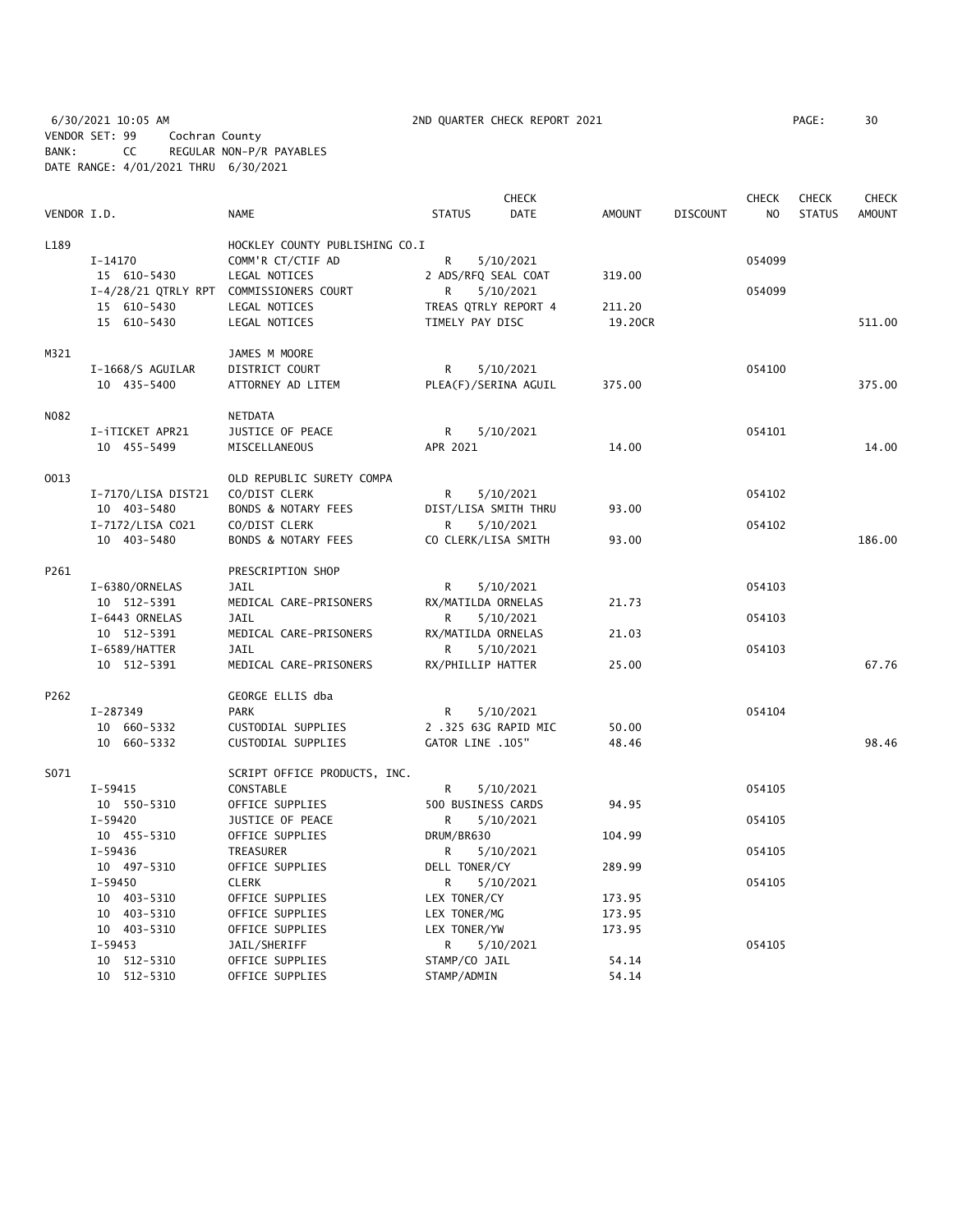6/30/2021 10:05 AM 2ND QUARTER CHECK REPORT 2021 PAGE: 30 VENDOR SET: 99 Cochran County BANK: CC REGULAR NON-P/R PAYABLES DATE RANGE: 4/01/2021 THRU 6/30/2021

|             |                          |                                         |                      | <b>CHECK</b> |               |                 | <b>CHECK</b>   | <b>CHECK</b>  | <b>CHECK</b>  |
|-------------|--------------------------|-----------------------------------------|----------------------|--------------|---------------|-----------------|----------------|---------------|---------------|
| VENDOR I.D. |                          | <b>NAME</b>                             | <b>STATUS</b>        | <b>DATE</b>  | <b>AMOUNT</b> | <b>DISCOUNT</b> | N <sub>O</sub> | <b>STATUS</b> | <b>AMOUNT</b> |
| L189        |                          | HOCKLEY COUNTY PUBLISHING CO.I          |                      |              |               |                 |                |               |               |
|             | $I-14170$                | COMM'R CT/CTIF AD                       | R                    | 5/10/2021    |               |                 | 054099         |               |               |
|             | 15 610-5430              | LEGAL NOTICES                           | 2 ADS/RFQ SEAL COAT  |              | 319.00        |                 |                |               |               |
|             |                          | I-4/28/21 QTRLY RPT COMMISSIONERS COURT | R                    | 5/10/2021    |               |                 | 054099         |               |               |
|             | 15 610-5430              | LEGAL NOTICES                           | TREAS QTRLY REPORT 4 |              | 211.20        |                 |                |               |               |
|             | 15 610-5430              | LEGAL NOTICES                           | TIMELY PAY DISC      |              | 19.20CR       |                 |                |               | 511.00        |
| M321        |                          | JAMES M MOORE                           |                      |              |               |                 |                |               |               |
|             | I-1668/S AGUILAR         | DISTRICT COURT                          | R                    | 5/10/2021    |               |                 | 054100         |               |               |
|             | 10 435-5400              | ATTORNEY AD LITEM                       | PLEA(F)/SERINA AGUIL |              | 375.00        |                 |                |               | 375.00        |
| N082        |                          | <b>NETDATA</b>                          |                      |              |               |                 |                |               |               |
|             | I-iTICKET APR21          | JUSTICE OF PEACE                        | R.                   | 5/10/2021    |               |                 | 054101         |               |               |
|             | 10 455-5499              | MISCELLANEOUS                           | APR 2021             |              | 14.00         |                 |                |               | 14.00         |
| 0013        |                          | OLD REPUBLIC SURETY COMPA               |                      |              |               |                 |                |               |               |
|             | I-7170/LISA DIST21       | CO/DIST CLERK                           | R                    | 5/10/2021    |               |                 | 054102         |               |               |
|             | 10 403-5480              | BONDS & NOTARY FEES                     | DIST/LISA SMITH THRU |              | 93.00         |                 |                |               |               |
|             | I-7172/LISA C021         | CO/DIST CLERK                           | R.                   | 5/10/2021    |               |                 | 054102         |               |               |
|             | 10 403-5480              | BONDS & NOTARY FEES                     | CO CLERK/LISA SMITH  |              | 93.00         |                 |                |               | 186.00        |
| P261        |                          | PRESCRIPTION SHOP                       |                      |              |               |                 |                |               |               |
|             | I-6380/ORNELAS           | JAIL                                    | R                    | 5/10/2021    |               |                 | 054103         |               |               |
|             | 10 512-5391              | MEDICAL CARE-PRISONERS                  | RX/MATILDA ORNELAS   |              | 21.73         |                 |                |               |               |
|             | I-6443 ORNELAS           | <b>JAIL</b>                             | R                    | 5/10/2021    |               |                 | 054103         |               |               |
|             | 10 512-5391              | MEDICAL CARE-PRISONERS                  | RX/MATILDA ORNELAS   |              | 21.03         |                 |                |               |               |
|             | I-6589/HATTER            | <b>JAIL</b>                             | R                    | 5/10/2021    |               |                 | 054103         |               |               |
|             | 10 512-5391              | MEDICAL CARE-PRISONERS                  | RX/PHILLIP HATTER    |              | 25.00         |                 |                |               | 67.76         |
| P262        |                          | GEORGE ELLIS dba                        |                      |              |               |                 |                |               |               |
|             | I-287349                 | PARK                                    | R                    | 5/10/2021    |               |                 | 054104         |               |               |
|             | 10 660-5332              | CUSTODIAL SUPPLIES                      | 2 .325 63G RAPID MIC |              | 50.00         |                 |                |               |               |
|             | 10 660-5332              | CUSTODIAL SUPPLIES                      | GATOR LINE .105"     |              | 48.46         |                 |                |               | 98.46         |
| S071        |                          | SCRIPT OFFICE PRODUCTS, INC.            |                      |              |               |                 |                |               |               |
|             | I-59415                  | CONSTABLE                               | R                    | 5/10/2021    |               |                 | 054105         |               |               |
|             | 10 550-5310              | OFFICE SUPPLIES                         | 500 BUSINESS CARDS   |              | 94.95         |                 |                |               |               |
|             | I-59420                  | JUSTICE OF PEACE                        | R                    | 5/10/2021    |               |                 | 054105         |               |               |
|             | 10 455-5310              | OFFICE SUPPLIES                         | DRUM/BR630           |              | 104.99        |                 |                |               |               |
|             | $I-59436$                | TREASURER                               | R                    | 5/10/2021    |               |                 | 054105         |               |               |
|             | 10 497-5310              | OFFICE SUPPLIES                         | DELL TONER/CY        |              | 289.99        |                 |                |               |               |
|             | $I - 59450$              | <b>CLERK</b>                            | R                    | 5/10/2021    |               |                 | 054105         |               |               |
|             | 10 403-5310              | OFFICE SUPPLIES                         | LEX TONER/CY         |              | 173.95        |                 |                |               |               |
|             | 10 403-5310              | OFFICE SUPPLIES                         | LEX TONER/MG         |              | 173.95        |                 |                |               |               |
|             | 10 403-5310              | OFFICE SUPPLIES                         | LEX TONER/YW         |              | 173.95        |                 |                |               |               |
|             | $I-59453$<br>10 512-5310 | JAIL/SHERIFF<br>OFFICE SUPPLIES         | R<br>STAMP/CO JAIL   | 5/10/2021    | 54.14         |                 | 054105         |               |               |
|             | 10 512-5310              | OFFICE SUPPLIES                         | STAMP/ADMIN          |              | 54.14         |                 |                |               |               |
|             |                          |                                         |                      |              |               |                 |                |               |               |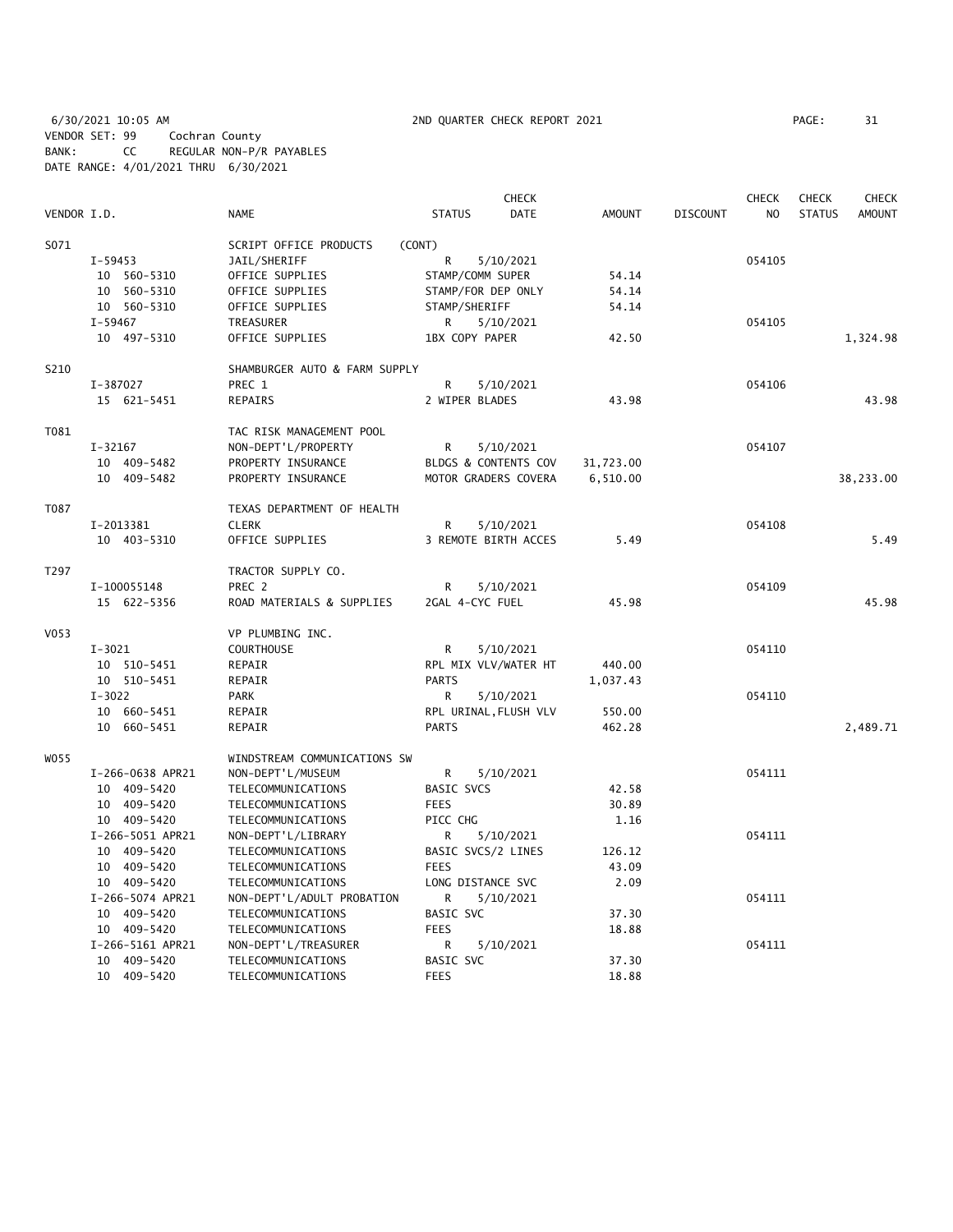6/30/2021 10:05 AM 2ND QUARTER CHECK REPORT 2021 PAGE: 31 VENDOR SET: 99 Cochran County BANK: CC REGULAR NON-P/R PAYABLES DATE RANGE: 4/01/2021 THRU 6/30/2021

|             |                  |                               | <b>CHECK</b>          |               |                 | <b>CHECK</b>   | <b>CHECK</b>  | <b>CHECK</b>  |
|-------------|------------------|-------------------------------|-----------------------|---------------|-----------------|----------------|---------------|---------------|
| VENDOR I.D. |                  | <b>NAME</b>                   | <b>STATUS</b><br>DATE | <b>AMOUNT</b> | <b>DISCOUNT</b> | N <sub>O</sub> | <b>STATUS</b> | <b>AMOUNT</b> |
| S071        |                  | SCRIPT OFFICE PRODUCTS        | (CONT)                |               |                 |                |               |               |
|             | $I-59453$        | JAIL/SHERIFF                  | R<br>5/10/2021        |               |                 | 054105         |               |               |
|             | 10 560-5310      | OFFICE SUPPLIES               | STAMP/COMM SUPER      | 54.14         |                 |                |               |               |
|             | 10 560-5310      | OFFICE SUPPLIES               | STAMP/FOR DEP ONLY    | 54.14         |                 |                |               |               |
|             | 10 560-5310      | OFFICE SUPPLIES               | STAMP/SHERIFF         | 54.14         |                 |                |               |               |
|             | I-59467          | TREASURER                     | 5/10/2021<br>R        |               |                 | 054105         |               |               |
|             | 10 497-5310      | OFFICE SUPPLIES               | 1BX COPY PAPER        | 42.50         |                 |                |               | 1,324.98      |
| S210        |                  | SHAMBURGER AUTO & FARM SUPPLY |                       |               |                 |                |               |               |
|             | I-387027         | PREC 1                        | R<br>5/10/2021        |               |                 | 054106         |               |               |
|             | 15 621-5451      | REPAIRS                       | 2 WIPER BLADES        | 43.98         |                 |                |               | 43.98         |
| T081        |                  | TAC RISK MANAGEMENT POOL      |                       |               |                 |                |               |               |
|             | I-32167          | NON-DEPT'L/PROPERTY           | R<br>5/10/2021        |               |                 | 054107         |               |               |
|             | 10 409-5482      | PROPERTY INSURANCE            | BLDGS & CONTENTS COV  | 31,723.00     |                 |                |               |               |
|             | 10 409-5482      | PROPERTY INSURANCE            | MOTOR GRADERS COVERA  | 6,510.00      |                 |                |               | 38,233.00     |
| T087        |                  | TEXAS DEPARTMENT OF HEALTH    |                       |               |                 |                |               |               |
|             | I-2013381        | <b>CLERK</b>                  | R<br>5/10/2021        |               |                 | 054108         |               |               |
|             | 10 403-5310      | OFFICE SUPPLIES               | 3 REMOTE BIRTH ACCES  | 5.49          |                 |                |               | 5.49          |
| T297        |                  | TRACTOR SUPPLY CO.            |                       |               |                 |                |               |               |
|             | I-100055148      | PREC 2                        | R<br>5/10/2021        |               |                 | 054109         |               |               |
|             | 15 622-5356      | ROAD MATERIALS & SUPPLIES     | 2GAL 4-CYC FUEL       | 45.98         |                 |                |               | 45.98         |
| V053        |                  | VP PLUMBING INC.              |                       |               |                 |                |               |               |
|             | $I-3021$         | COURTHOUSE                    | R<br>5/10/2021        |               |                 | 054110         |               |               |
|             | 10 510-5451      | REPAIR                        | RPL MIX VLV/WATER HT  | 440.00        |                 |                |               |               |
|             | 10 510-5451      | REPAIR                        | <b>PARTS</b>          | 1,037.43      |                 |                |               |               |
|             | $I - 3022$       | <b>PARK</b>                   | 5/10/2021<br>R        |               |                 | 054110         |               |               |
|             | 10 660-5451      | REPAIR                        | RPL URINAL, FLUSH VLV | 550.00        |                 |                |               |               |
|             | 10 660-5451      | REPAIR                        | <b>PARTS</b>          | 462.28        |                 |                |               | 2,489.71      |
| WO 55       |                  | WINDSTREAM COMMUNICATIONS SW  |                       |               |                 |                |               |               |
|             | I-266-0638 APR21 | NON-DEPT'L/MUSEUM             | R<br>5/10/2021        |               |                 | 054111         |               |               |
|             | 10 409-5420      | TELECOMMUNICATIONS            | BASIC SVCS            | 42.58         |                 |                |               |               |
|             | 10 409-5420      | TELECOMMUNICATIONS            | <b>FEES</b>           | 30.89         |                 |                |               |               |
|             | 10 409-5420      | TELECOMMUNICATIONS            | PICC CHG              | 1.16          |                 |                |               |               |
|             | I-266-5051 APR21 | NON-DEPT'L/LIBRARY            | R<br>5/10/2021        |               |                 | 054111         |               |               |
|             | 10 409-5420      | TELECOMMUNICATIONS            | BASIC SVCS/2 LINES    | 126.12        |                 |                |               |               |
|             | 10 409-5420      | TELECOMMUNICATIONS            | <b>FEES</b>           | 43.09         |                 |                |               |               |
|             | 10 409-5420      | TELECOMMUNICATIONS            | LONG DISTANCE SVC     | 2.09          |                 |                |               |               |
|             | I-266-5074 APR21 | NON-DEPT'L/ADULT PROBATION    | R<br>5/10/2021        |               |                 | 054111         |               |               |
|             | 10 409-5420      | TELECOMMUNICATIONS            | BASIC SVC             | 37.30         |                 |                |               |               |
|             | 10 409-5420      | TELECOMMUNICATIONS            | <b>FEES</b>           | 18.88         |                 |                |               |               |
|             | I-266-5161 APR21 | NON-DEPT'L/TREASURER          | R<br>5/10/2021        |               |                 | 054111         |               |               |
|             | 10 409-5420      | TELECOMMUNICATIONS            | BASIC SVC             | 37.30         |                 |                |               |               |
|             | 10 409-5420      | TELECOMMUNICATIONS            | <b>FEES</b>           | 18.88         |                 |                |               |               |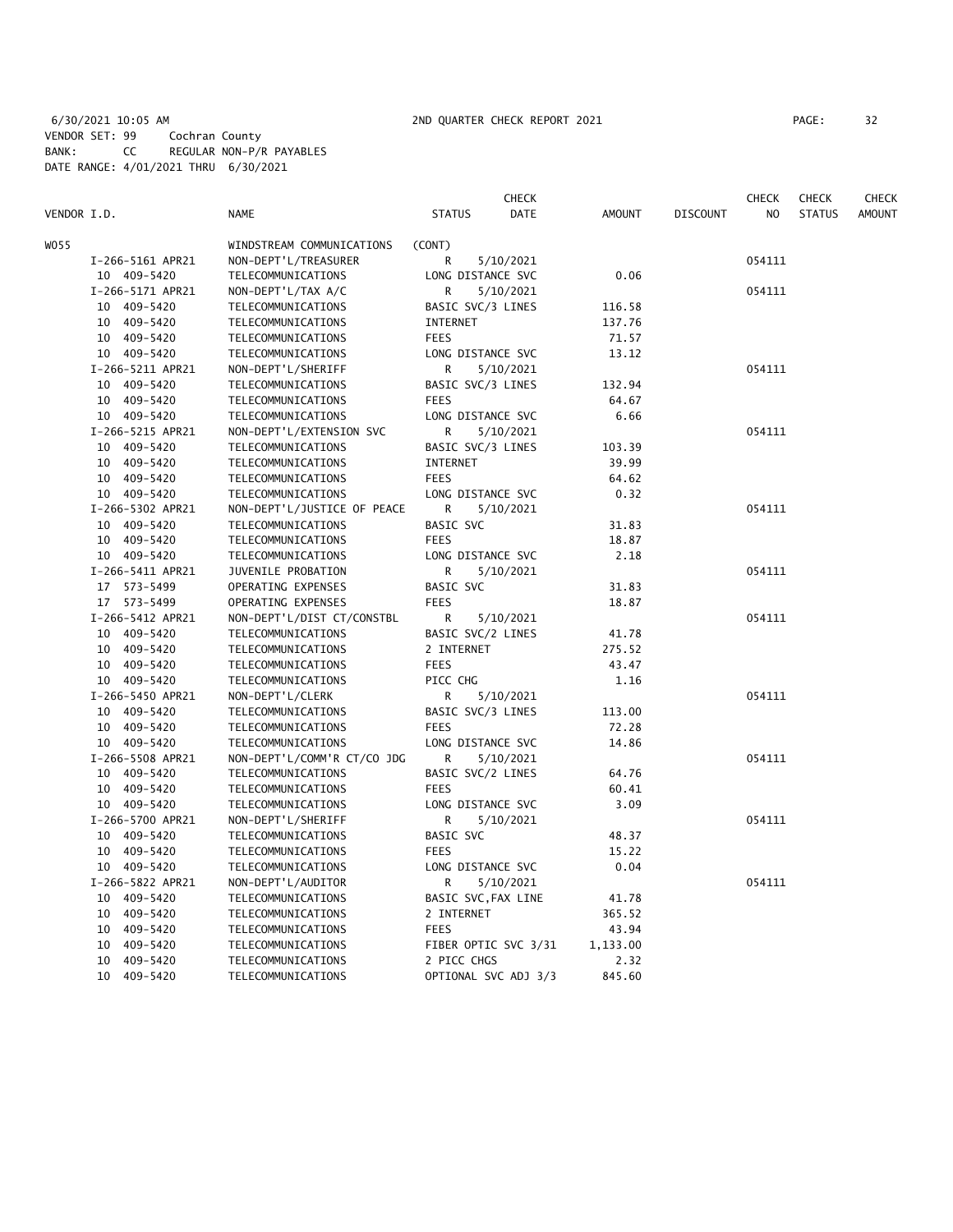6/30/2021 10:05 AM 2ND QUARTER CHECK REPORT 2021 PAGE: 32 VENDOR SET: 99 Cochran County BANK: CC REGULAR NON-P/R PAYABLES DATE RANGE: 4/01/2021 THRU 6/30/2021

|             |                                 |                                          |                          | CHECK     |               |                 | CHECK  | <b>CHECK</b>  | CHECK         |
|-------------|---------------------------------|------------------------------------------|--------------------------|-----------|---------------|-----------------|--------|---------------|---------------|
| VENDOR I.D. |                                 | <b>NAME</b>                              | <b>STATUS</b>            | DATE      | <b>AMOUNT</b> | <b>DISCOUNT</b> | NO.    | <b>STATUS</b> | <b>AMOUNT</b> |
| WO55        |                                 | WINDSTREAM COMMUNICATIONS                | (CONT)                   |           |               |                 |        |               |               |
|             | I-266-5161 APR21                | NON-DEPT'L/TREASURER                     | R                        | 5/10/2021 |               |                 | 054111 |               |               |
|             | 10 409-5420                     | TELECOMMUNICATIONS                       | LONG DISTANCE SVC        |           | 0.06          |                 |        |               |               |
|             | I-266-5171 APR21                | NON-DEPT'L/TAX A/C                       | R                        | 5/10/2021 |               |                 | 054111 |               |               |
|             | 10 409-5420                     | TELECOMMUNICATIONS                       | BASIC SVC/3 LINES        |           | 116.58        |                 |        |               |               |
|             | 10 409-5420                     | TELECOMMUNICATIONS                       | INTERNET                 |           | 137.76        |                 |        |               |               |
|             | 10 409-5420                     | TELECOMMUNICATIONS                       | <b>FEES</b>              |           | 71.57         |                 |        |               |               |
|             | 10 409-5420                     | TELECOMMUNICATIONS                       | LONG DISTANCE SVC        |           | 13.12         |                 |        |               |               |
|             | I-266-5211 APR21                | NON-DEPT'L/SHERIFF                       | R                        | 5/10/2021 |               |                 | 054111 |               |               |
|             | 10 409-5420                     | TELECOMMUNICATIONS                       | BASIC SVC/3 LINES        |           | 132.94        |                 |        |               |               |
|             | 10 409-5420                     | TELECOMMUNICATIONS                       | <b>FEES</b>              |           | 64.67         |                 |        |               |               |
|             | 10 409-5420                     | TELECOMMUNICATIONS                       | LONG DISTANCE SVC        |           | 6.66          |                 |        |               |               |
|             | I-266-5215 APR21                | NON-DEPT'L/EXTENSION SVC                 | R                        | 5/10/2021 |               |                 | 054111 |               |               |
|             | 10 409-5420                     | TELECOMMUNICATIONS                       | BASIC SVC/3 LINES        |           | 103.39        |                 |        |               |               |
|             | 10 409-5420                     | TELECOMMUNICATIONS                       | INTERNET                 |           | 39.99         |                 |        |               |               |
|             | 10 409-5420                     | TELECOMMUNICATIONS                       | <b>FEES</b>              |           |               |                 |        |               |               |
|             |                                 |                                          |                          |           | 64.62         |                 |        |               |               |
|             | 10 409-5420                     | TELECOMMUNICATIONS                       | LONG DISTANCE SVC        |           | 0.32          |                 |        |               |               |
|             | I-266-5302 APR21                | NON-DEPT'L/JUSTICE OF PEACE              | R                        | 5/10/2021 |               |                 | 054111 |               |               |
|             | 10 409-5420                     | TELECOMMUNICATIONS                       | BASIC SVC<br><b>FEES</b> |           | 31.83         |                 |        |               |               |
|             | 10 409-5420                     | TELECOMMUNICATIONS                       |                          |           | 18.87         |                 |        |               |               |
|             | 10 409-5420                     | TELECOMMUNICATIONS                       | LONG DISTANCE SVC        |           | 2.18          |                 |        |               |               |
|             | I-266-5411 APR21<br>17 573-5499 | JUVENILE PROBATION<br>OPERATING EXPENSES | R<br>BASIC SVC           | 5/10/2021 |               |                 | 054111 |               |               |
|             |                                 |                                          | <b>FEES</b>              |           | 31.83         |                 |        |               |               |
|             | 17 573-5499                     | OPERATING EXPENSES                       |                          |           | 18.87         |                 |        |               |               |
|             | I-266-5412 APR21                | NON-DEPT'L/DIST CT/CONSTBL               | R                        | 5/10/2021 |               |                 | 054111 |               |               |
|             | 10 409-5420                     | TELECOMMUNICATIONS                       | BASIC SVC/2 LINES        |           | 41.78         |                 |        |               |               |
|             | 10 409-5420                     | TELECOMMUNICATIONS                       | 2 INTERNET               |           | 275.52        |                 |        |               |               |
|             | 10 409-5420                     | TELECOMMUNICATIONS                       | <b>FEES</b>              |           | 43.47         |                 |        |               |               |
|             | 10 409-5420                     | TELECOMMUNICATIONS                       | PICC CHG                 |           | 1.16          |                 |        |               |               |
|             | I-266-5450 APR21                | NON-DEPT'L/CLERK                         | R                        | 5/10/2021 |               |                 | 054111 |               |               |
|             | 10 409-5420                     | TELECOMMUNICATIONS                       | BASIC SVC/3 LINES        |           | 113.00        |                 |        |               |               |
|             | 10 409-5420                     | TELECOMMUNICATIONS                       | <b>FEES</b>              |           | 72.28         |                 |        |               |               |
|             | 10 409-5420                     | TELECOMMUNICATIONS                       | LONG DISTANCE SVC        |           | 14.86         |                 |        |               |               |
|             | I-266-5508 APR21                | NON-DEPT'L/COMM'R CT/CO JDG              | R                        | 5/10/2021 |               |                 | 054111 |               |               |
|             | 10 409-5420                     | TELECOMMUNICATIONS                       | BASIC SVC/2 LINES        |           | 64.76         |                 |        |               |               |
|             | 10 409-5420                     | TELECOMMUNICATIONS                       | <b>FEES</b>              |           | 60.41         |                 |        |               |               |
|             | 10 409-5420                     | TELECOMMUNICATIONS                       | LONG DISTANCE SVC        |           | 3.09          |                 |        |               |               |
|             | I-266-5700 APR21                | NON-DEPT'L/SHERIFF                       | R                        | 5/10/2021 |               |                 | 054111 |               |               |
|             | 10 409-5420                     | TELECOMMUNICATIONS                       | BASIC SVC                |           | 48.37         |                 |        |               |               |
|             | 10 409-5420                     | TELECOMMUNICATIONS                       | <b>FEES</b>              |           | 15.22         |                 |        |               |               |
|             | 10 409-5420                     | TELECOMMUNICATIONS                       | LONG DISTANCE SVC        |           | 0.04          |                 |        |               |               |
|             | I-266-5822 APR21                | NON-DEPT'L/AUDITOR                       | R                        | 5/10/2021 |               |                 | 054111 |               |               |
|             | 10 409-5420                     | TELECOMMUNICATIONS                       | BASIC SVC, FAX LINE      |           | 41.78         |                 |        |               |               |
|             | 10 409-5420                     | TELECOMMUNICATIONS                       | 2 INTERNET               |           | 365.52        |                 |        |               |               |
|             | 10 409-5420                     | TELECOMMUNICATIONS                       | <b>FEES</b>              |           | 43.94         |                 |        |               |               |
|             | 10<br>409-5420                  | TELECOMMUNICATIONS                       | FIBER OPTIC SVC 3/31     |           | 1,133.00      |                 |        |               |               |
|             | 10<br>409-5420                  | TELECOMMUNICATIONS                       | 2 PICC CHGS              |           | 2.32          |                 |        |               |               |
|             | 10<br>409-5420                  | TELECOMMUNICATIONS                       | OPTIONAL SVC ADJ 3/3     |           | 845.60        |                 |        |               |               |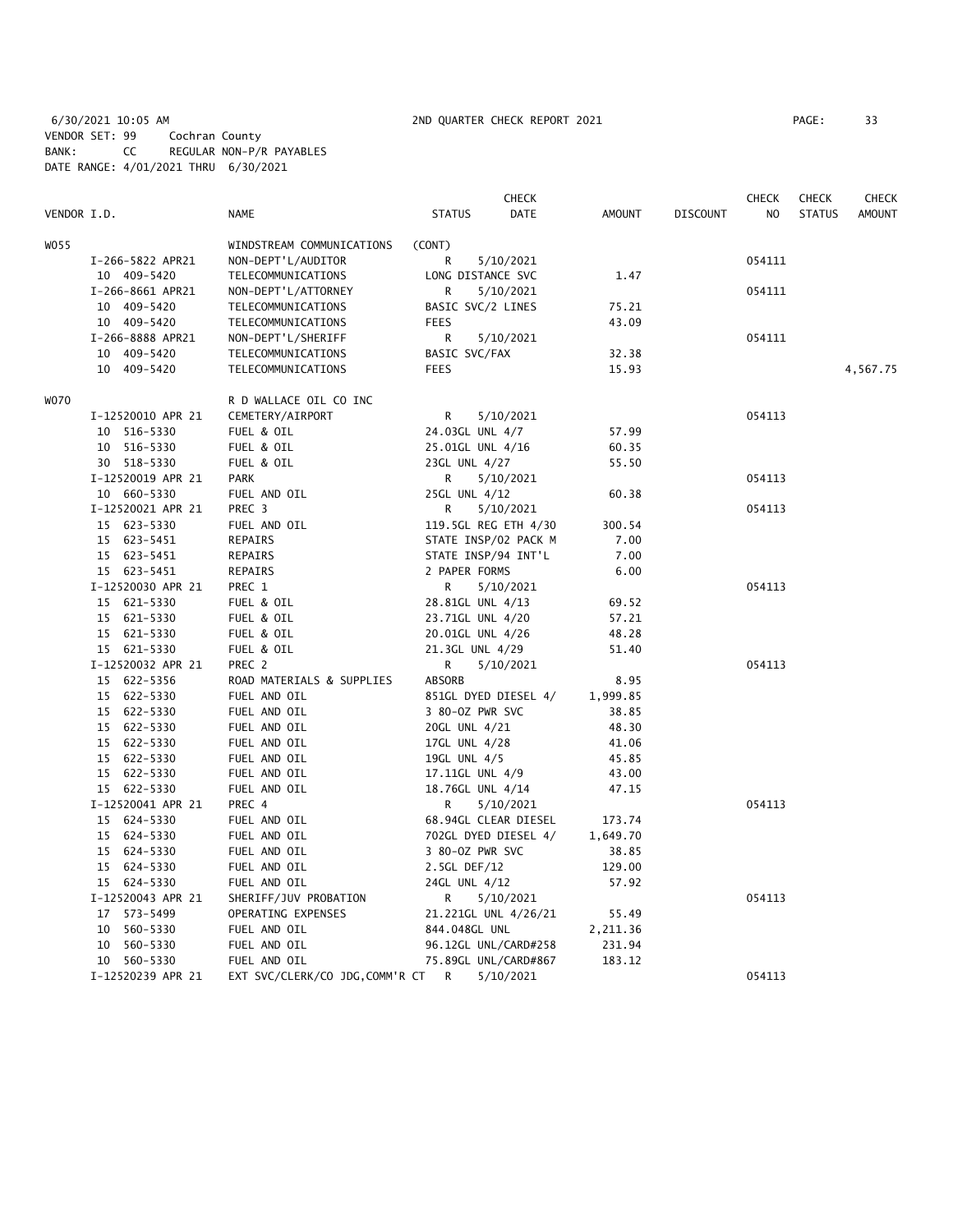6/30/2021 10:05 AM 2ND QUARTER CHECK REPORT 2021 PAGE: 33 VENDOR SET: 99 Cochran County BANK: CC REGULAR NON-P/R PAYABLES DATE RANGE: 4/01/2021 THRU 6/30/2021

|             |                   |                                |                      | CHECK       |               |                 | CHECK  | <b>CHECK</b>  | CHECK         |
|-------------|-------------------|--------------------------------|----------------------|-------------|---------------|-----------------|--------|---------------|---------------|
| VENDOR I.D. |                   | <b>NAME</b>                    | <b>STATUS</b>        | <b>DATE</b> | <b>AMOUNT</b> | <b>DISCOUNT</b> | NO.    | <b>STATUS</b> | <b>AMOUNT</b> |
| WO 55       |                   | WINDSTREAM COMMUNICATIONS      | (CONT)               |             |               |                 |        |               |               |
|             | I-266-5822 APR21  | NON-DEPT'L/AUDITOR             | R                    | 5/10/2021   |               |                 | 054111 |               |               |
|             | 10 409-5420       | TELECOMMUNICATIONS             | LONG DISTANCE SVC    |             | 1.47          |                 |        |               |               |
|             | I-266-8661 APR21  | NON-DEPT'L/ATTORNEY            | R                    | 5/10/2021   |               |                 | 054111 |               |               |
|             | 10 409-5420       | TELECOMMUNICATIONS             | BASIC SVC/2 LINES    |             | 75.21         |                 |        |               |               |
|             | 10 409-5420       | TELECOMMUNICATIONS             | <b>FEES</b>          |             | 43.09         |                 |        |               |               |
|             | I-266-8888 APR21  | NON-DEPT'L/SHERIFF             | R                    | 5/10/2021   |               |                 | 054111 |               |               |
|             | 10 409-5420       | TELECOMMUNICATIONS             | BASIC SVC/FAX        |             | 32.38         |                 |        |               |               |
|             | 10 409-5420       | TELECOMMUNICATIONS             | <b>FEES</b>          |             | 15.93         |                 |        |               | 4,567.75      |
| WO70        |                   | R D WALLACE OIL CO INC         |                      |             |               |                 |        |               |               |
|             | I-12520010 APR 21 | CEMETERY/AIRPORT               | R                    | 5/10/2021   |               |                 | 054113 |               |               |
|             | 10 516-5330       |                                | 24.03GL UNL 4/7      |             | 57.99         |                 |        |               |               |
|             | 10 516-5330       | FUEL & OIL<br>FUEL & OIL       | 25.01GL UNL 4/16     |             |               |                 |        |               |               |
|             |                   |                                |                      |             | 60.35         |                 |        |               |               |
|             | 30 518-5330       | FUEL & OIL                     | 23GL UNL 4/27        |             | 55.50         |                 |        |               |               |
|             | I-12520019 APR 21 | <b>PARK</b>                    | R.                   | 5/10/2021   |               |                 | 054113 |               |               |
|             | 10 660-5330       | FUEL AND OIL                   | 25GL UNL 4/12        |             | 60.38         |                 |        |               |               |
|             | I-12520021 APR 21 | PREC 3                         | R.                   | 5/10/2021   |               |                 | 054113 |               |               |
|             | 15 623-5330       | FUEL AND OIL                   | 119.5GL REG ETH 4/30 |             | 300.54        |                 |        |               |               |
|             | 15 623-5451       | REPAIRS                        | STATE INSP/02 PACK M |             | 7.00          |                 |        |               |               |
|             | 15 623-5451       | REPAIRS                        | STATE INSP/94 INT'L  |             | 7.00          |                 |        |               |               |
|             | 15 623-5451       | REPAIRS                        | 2 PAPER FORMS        |             | 6.00          |                 |        |               |               |
|             | I-12520030 APR 21 | PREC 1                         | R                    | 5/10/2021   |               |                 | 054113 |               |               |
|             | 15 621-5330       | FUEL & OIL                     | 28.81GL UNL 4/13     |             | 69.52         |                 |        |               |               |
|             | 15 621-5330       | FUEL & OIL                     | 23.71GL UNL 4/20     |             | 57.21         |                 |        |               |               |
|             | 15 621-5330       | FUEL & OIL                     | 20.01GL UNL 4/26     |             | 48.28         |                 |        |               |               |
|             | 15 621-5330       | FUEL & OIL                     | 21.3GL UNL 4/29      |             | 51.40         |                 |        |               |               |
|             | I-12520032 APR 21 | PREC <sub>2</sub>              | R                    | 5/10/2021   |               |                 | 054113 |               |               |
|             | 15 622-5356       | ROAD MATERIALS & SUPPLIES      | ABSORB               |             | 8.95          |                 |        |               |               |
|             | 15 622-5330       | FUEL AND OIL                   | 851GL DYED DIESEL 4/ |             | 1,999.85      |                 |        |               |               |
|             | 15 622-5330       | FUEL AND OIL                   | 3 80-0Z PWR SVC      |             | 38.85         |                 |        |               |               |
|             | 15 622-5330       | FUEL AND OIL                   | 20GL UNL 4/21        |             | 48.30         |                 |        |               |               |
|             | 15 622-5330       | FUEL AND OIL                   | 17GL UNL 4/28        |             | 41.06         |                 |        |               |               |
|             | 15 622-5330       | FUEL AND OIL                   | 19GL UNL 4/5         |             | 45.85         |                 |        |               |               |
|             | 15 622-5330       | FUEL AND OIL                   | 17.11GL UNL 4/9      |             | 43.00         |                 |        |               |               |
|             | 15 622-5330       | FUEL AND OIL                   | 18.76GL UNL 4/14     |             | 47.15         |                 |        |               |               |
|             | I-12520041 APR 21 | PREC 4                         | R                    | 5/10/2021   |               |                 | 054113 |               |               |
|             | 15 624-5330       | FUEL AND OIL                   | 68.94GL CLEAR DIESEL |             | 173.74        |                 |        |               |               |
|             | 15 624-5330       | FUEL AND OIL                   | 702GL DYED DIESEL 4/ |             | 1,649.70      |                 |        |               |               |
|             | 15 624-5330       | FUEL AND OIL                   | 3 80-02 PWR SVC      |             | 38.85         |                 |        |               |               |
|             | 15 624-5330       | FUEL AND OIL                   | 2.5GL DEF/12         |             | 129.00        |                 |        |               |               |
|             | 15 624-5330       | FUEL AND OIL                   | 24GL UNL 4/12        |             | 57.92         |                 |        |               |               |
|             | I-12520043 APR 21 | SHERIFF/JUV PROBATION          | R                    | 5/10/2021   |               |                 | 054113 |               |               |
|             | 17 573-5499       | OPERATING EXPENSES             | 21.221GL UNL 4/26/21 |             | 55.49         |                 |        |               |               |
|             | 10 560-5330       | FUEL AND OIL                   | 844.048GL UNL        |             | 2,211.36      |                 |        |               |               |
|             | 10 560-5330       | FUEL AND OIL                   | 96.12GL UNL/CARD#258 |             | 231.94        |                 |        |               |               |
|             | 10 560-5330       | FUEL AND OIL                   | 75.89GL UNL/CARD#867 |             | 183.12        |                 |        |               |               |
|             | I-12520239 APR 21 | EXT SVC/CLERK/CO JDG,COMM'R CT | R                    | 5/10/2021   |               |                 | 054113 |               |               |
|             |                   |                                |                      |             |               |                 |        |               |               |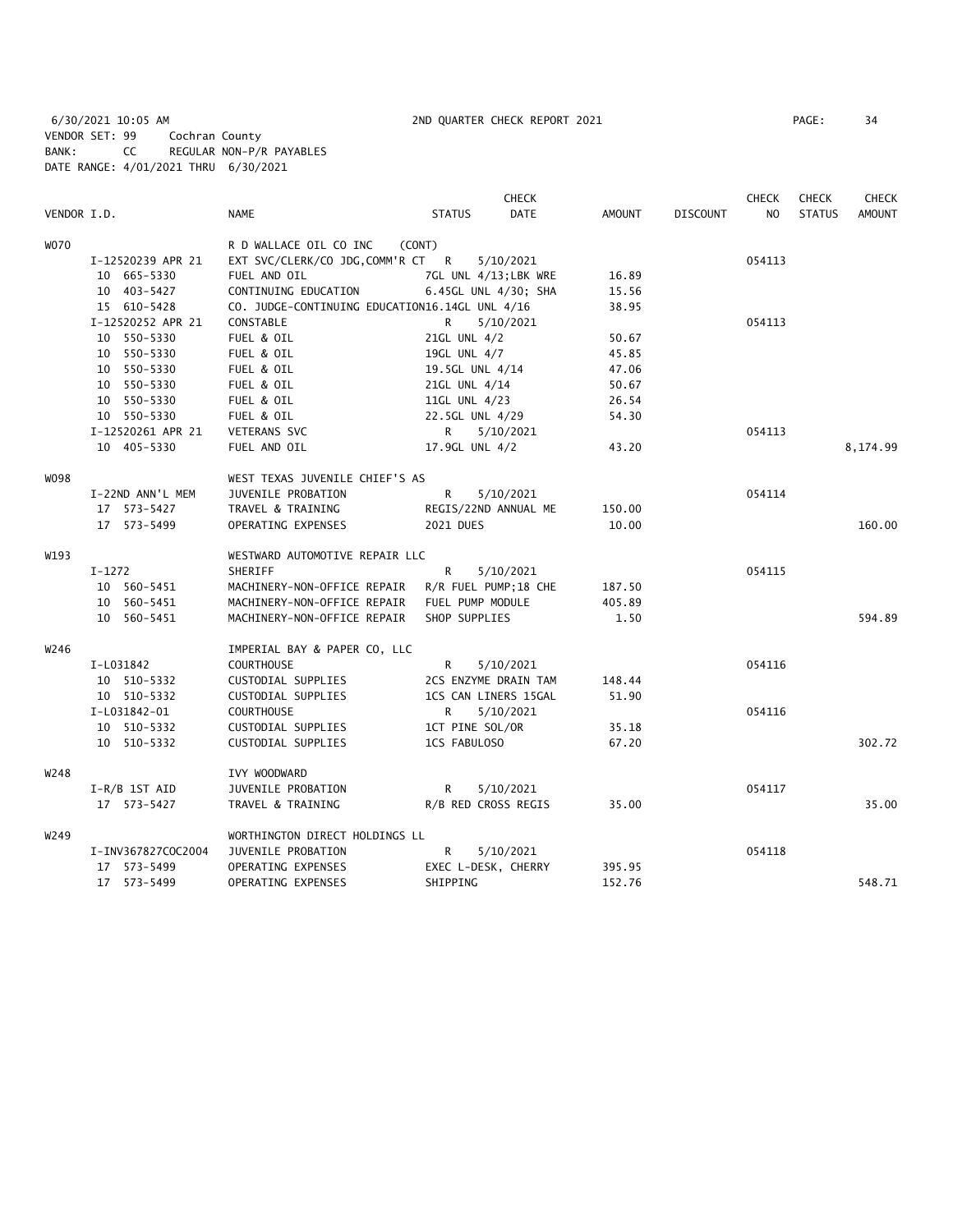6/30/2021 10:05 AM 2ND QUARTER CHECK REPORT 2021 PAGE: 34 VENDOR SET: 99 Cochran County BANK: CC REGULAR NON-P/R PAYABLES DATE RANGE: 4/01/2021 THRU 6/30/2021

|                                             |                    |                                                |                      | <b>CHECK</b> |               |                 | <b>CHECK</b>   | <b>CHECK</b>  | <b>CHECK</b>  |
|---------------------------------------------|--------------------|------------------------------------------------|----------------------|--------------|---------------|-----------------|----------------|---------------|---------------|
| VENDOR I.D.                                 |                    | <b>NAME</b>                                    | <b>STATUS</b>        | <b>DATE</b>  | <b>AMOUNT</b> | <b>DISCOUNT</b> | N <sub>O</sub> | <b>STATUS</b> | <b>AMOUNT</b> |
| <b>WO70</b><br>W098<br>W193<br>W246<br>W248 |                    | R D WALLACE OIL CO INC                         | (CONT)               |              |               |                 |                |               |               |
|                                             | I-12520239 APR 21  | EXT SVC/CLERK/CO JDG, COMM'R CT R              |                      |              | 054113        |                 |                |               |               |
|                                             | 10 665-5330        | FUEL AND OIL                                   | 7GL UNL 4/13;LBK WRE |              | 16.89         |                 |                |               |               |
|                                             | 10 403-5427        | CONTINUING EDUCATION                           | 6.45GL UNL 4/30; SHA |              | 15.56         |                 |                |               |               |
|                                             | 15 610-5428        | CO. JUDGE-CONTINUING EDUCATION16.14GL UNL 4/16 |                      |              | 38.95         |                 |                |               |               |
|                                             | I-12520252 APR 21  | CONSTABLE                                      | R                    | 5/10/2021    |               |                 | 054113         |               |               |
|                                             | 10 550-5330        | FUEL & OIL                                     | 21GL UNL 4/2         |              | 50.67         |                 |                |               |               |
|                                             | 10 550-5330        | FUEL & OIL                                     | 19GL UNL 4/7         |              | 45.85         |                 |                |               |               |
|                                             | 10 550-5330        | FUEL & OIL                                     | 19.5GL UNL 4/14      |              | 47.06         |                 |                |               |               |
|                                             | 10 550-5330        | FUEL & OIL                                     | 21GL UNL 4/14        |              | 50.67         |                 |                |               |               |
|                                             | 10 550-5330        | FUEL & OIL                                     | 11GL UNL 4/23        |              | 26.54         |                 |                |               |               |
|                                             | 10 550-5330        | FUEL & OIL                                     | 22.5GL UNL 4/29      |              | 54.30         |                 |                |               |               |
|                                             | I-12520261 APR 21  | <b>VETERANS SVC</b>                            | $\mathsf{R}$         | 5/10/2021    |               |                 | 054113         |               |               |
|                                             | 10 405-5330        | FUEL AND OIL                                   | 17.9GL UNL 4/2       |              | 43.20         |                 |                |               | 8,174.99      |
|                                             |                    | WEST TEXAS JUVENILE CHIEF'S AS                 |                      |              |               |                 |                |               |               |
|                                             | I-22ND ANN'L MEM   | JUVENILE PROBATION                             | R                    | 5/10/2021    |               |                 | 054114         |               |               |
|                                             | 17 573-5427        | TRAVEL & TRAINING                              | REGIS/22ND ANNUAL ME |              | 150.00        |                 |                |               |               |
|                                             | 17 573-5499        | OPERATING EXPENSES                             | 2021 DUES            |              | 10.00         |                 |                |               | 160.00        |
|                                             |                    | WESTWARD AUTOMOTIVE REPAIR LLC                 |                      |              |               |                 |                |               |               |
|                                             | $I-1272$           | <b>SHERIFF</b>                                 | $\mathsf{R}$         | 5/10/2021    |               |                 | 054115         |               |               |
|                                             | 10 560-5451        | MACHINERY-NON-OFFICE REPAIR                    | R/R FUEL PUMP;18 CHE |              | 187.50        |                 |                |               |               |
|                                             | 10 560-5451        | MACHINERY-NON-OFFICE REPAIR                    | FUEL PUMP MODULE     |              | 405.89        |                 |                |               |               |
|                                             | 10 560-5451        | MACHINERY-NON-OFFICE REPAIR                    | SHOP SUPPLIES        |              | 1.50          |                 |                |               | 594.89        |
|                                             |                    | IMPERIAL BAY & PAPER CO, LLC                   |                      |              |               |                 |                |               |               |
|                                             | I-L031842          | <b>COURTHOUSE</b>                              | R                    | 5/10/2021    |               |                 | 054116         |               |               |
|                                             | 10 510-5332        | CUSTODIAL SUPPLIES                             | 2CS ENZYME DRAIN TAM |              | 148.44        |                 |                |               |               |
|                                             | 10 510-5332        | CUSTODIAL SUPPLIES                             | 1CS CAN LINERS 15GAL |              | 51.90         |                 |                |               |               |
|                                             | I-L031842-01       | <b>COURTHOUSE</b>                              | R                    | 5/10/2021    |               |                 | 054116         |               |               |
|                                             | 10 510-5332        | CUSTODIAL SUPPLIES                             | 1CT PINE SOL/OR      |              | 35.18         |                 |                |               |               |
|                                             | 10 510-5332        | CUSTODIAL SUPPLIES                             | 1CS FABULOSO         |              | 67.20         |                 |                |               | 302.72        |
|                                             |                    | IVY WOODWARD                                   |                      |              |               |                 |                |               |               |
|                                             | $I-R/B$ 1ST AID    | JUVENILE PROBATION                             | $\mathsf{R}$         | 5/10/2021    |               |                 | 054117         |               |               |
|                                             | 17 573-5427        | TRAVEL & TRAINING                              | R/B RED CROSS REGIS  |              | 35.00         |                 |                |               | 35.00         |
| W249                                        |                    | WORTHINGTON DIRECT HOLDINGS LL                 |                      |              |               |                 |                |               |               |
|                                             | I-INV367827COC2004 | JUVENILE PROBATION                             | R                    | 5/10/2021    |               |                 | 054118         |               |               |
|                                             | 17 573-5499        | OPERATING EXPENSES                             | EXEC L-DESK, CHERRY  |              | 395.95        |                 |                |               |               |
|                                             | 17 573-5499        | OPERATING EXPENSES                             | SHIPPING             |              | 152.76        |                 |                |               | 548.71        |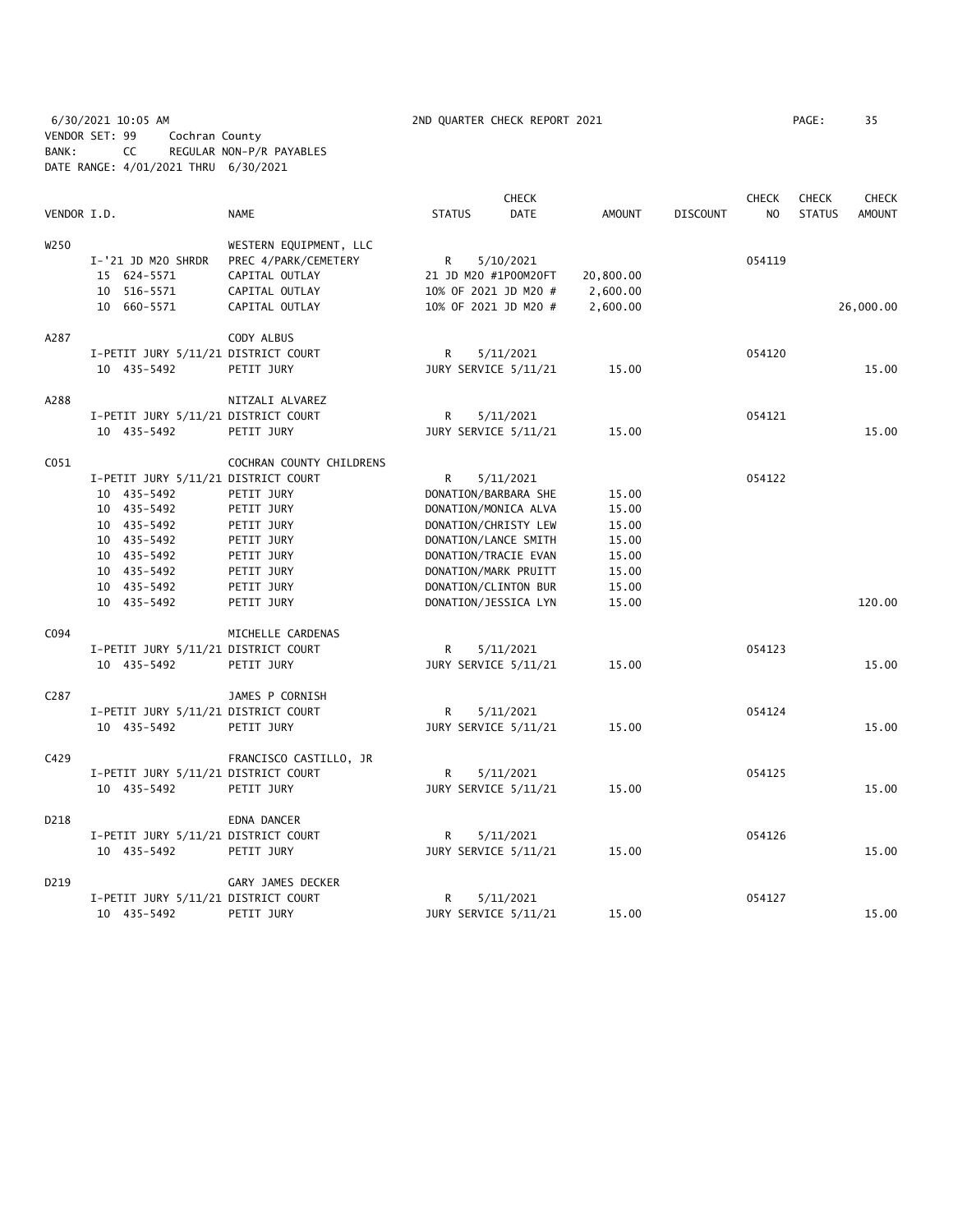6/30/2021 10:05 AM 2ND QUARTER CHECK REPORT 2021 PAGE: 35 VENDOR SET: 99 Cochran County BANK: CC REGULAR NON-P/R PAYABLES DATE RANGE: 4/01/2021 THRU 6/30/2021

|                   |                                     |                          |                      | <b>CHECK</b>         |               |                 | <b>CHECK</b> | <b>CHECK</b>  | <b>CHECK</b>  |
|-------------------|-------------------------------------|--------------------------|----------------------|----------------------|---------------|-----------------|--------------|---------------|---------------|
| VENDOR I.D.       |                                     | <b>NAME</b>              | <b>STATUS</b>        | DATE                 | <b>AMOUNT</b> | <b>DISCOUNT</b> | NO.          | <b>STATUS</b> | <b>AMOUNT</b> |
| W <sub>250</sub>  |                                     | WESTERN EQUIPMENT, LLC   |                      |                      |               |                 |              |               |               |
|                   | I-'21 JD M20 SHRDR                  | PREC 4/PARK/CEMETERY     | R                    | 5/10/2021            |               |                 | 054119       |               |               |
|                   | 15 624-5571                         | CAPITAL OUTLAY           | 21 JD M20 #1P00M20FT |                      | 20,800.00     |                 |              |               |               |
|                   | 10 516-5571                         | CAPITAL OUTLAY           |                      | 10% OF 2021 JD M20 # | 2,600.00      |                 |              |               |               |
|                   | 10 660-5571                         | CAPITAL OUTLAY           |                      | 10% OF 2021 JD M20 # | 2,600.00      |                 |              |               | 26,000.00     |
| A287              |                                     | CODY ALBUS               |                      |                      |               |                 |              |               |               |
|                   | I-PETIT JURY 5/11/21 DISTRICT COURT |                          | R                    | 5/11/2021            |               |                 | 054120       |               |               |
|                   | 10 435-5492                         | PETIT JURY               |                      | JURY SERVICE 5/11/21 | 15.00         |                 |              |               | 15.00         |
| A288              |                                     | NITZALI ALVAREZ          |                      |                      |               |                 |              |               |               |
|                   | I-PETIT JURY 5/11/21 DISTRICT COURT |                          | R                    | 5/11/2021            |               |                 | 054121       |               |               |
|                   | 10 435-5492                         | PETIT JURY               |                      | JURY SERVICE 5/11/21 | 15.00         |                 |              |               | 15.00         |
| C <sub>051</sub>  |                                     | COCHRAN COUNTY CHILDRENS |                      |                      |               |                 |              |               |               |
|                   | I-PETIT JURY 5/11/21 DISTRICT COURT |                          | R                    | 5/11/2021            |               |                 | 054122       |               |               |
|                   | 10 435-5492                         | PETIT JURY               |                      | DONATION/BARBARA SHE | 15.00         |                 |              |               |               |
|                   | 10 435-5492                         | PETIT JURY               |                      | DONATION/MONICA ALVA | 15.00         |                 |              |               |               |
|                   | 10 435-5492                         | PETIT JURY               |                      | DONATION/CHRISTY LEW | 15.00         |                 |              |               |               |
|                   | 10 435-5492                         | PETIT JURY               |                      | DONATION/LANCE SMITH | 15.00         |                 |              |               |               |
|                   | 10 435-5492                         | PETIT JURY               |                      | DONATION/TRACIE EVAN | 15.00         |                 |              |               |               |
|                   | 10 435-5492                         | PETIT JURY               |                      | DONATION/MARK PRUITT | 15.00         |                 |              |               |               |
|                   | 10 435-5492                         | PETIT JURY               | DONATION/CLINTON BUR |                      | 15.00         |                 |              |               |               |
|                   | 10 435-5492                         | PETIT JURY               |                      | DONATION/JESSICA LYN | 15.00         |                 |              |               | 120.00        |
| C094              |                                     | MICHELLE CARDENAS        |                      |                      |               |                 |              |               |               |
|                   | I-PETIT JURY 5/11/21 DISTRICT COURT |                          | R                    | 5/11/2021            |               |                 | 054123       |               |               |
|                   | 10 435-5492                         | PETIT JURY               |                      | JURY SERVICE 5/11/21 | 15.00         |                 |              |               | 15.00         |
| C <sub>2</sub> 87 |                                     | JAMES P CORNISH          |                      |                      |               |                 |              |               |               |
|                   | I-PETIT JURY 5/11/21 DISTRICT COURT |                          | R                    | 5/11/2021            |               |                 | 054124       |               |               |
|                   | 10 435-5492                         | PETIT JURY               |                      | JURY SERVICE 5/11/21 | 15.00         |                 |              |               | 15.00         |
| C429              |                                     | FRANCISCO CASTILLO, JR   |                      |                      |               |                 |              |               |               |
|                   | I-PETIT JURY 5/11/21 DISTRICT COURT |                          | R                    | 5/11/2021            |               |                 | 054125       |               |               |
|                   | 10 435-5492                         | PETIT JURY               |                      | JURY SERVICE 5/11/21 | 15.00         |                 |              |               | 15.00         |
| D218              |                                     | EDNA DANCER              |                      |                      |               |                 |              |               |               |
|                   | I-PETIT JURY 5/11/21 DISTRICT COURT |                          | R                    | 5/11/2021            |               |                 | 054126       |               |               |
|                   | 10 435-5492                         | PETIT JURY               |                      | JURY SERVICE 5/11/21 | 15.00         |                 |              |               | 15.00         |
| D219              |                                     | GARY JAMES DECKER        |                      |                      |               |                 |              |               |               |
|                   | I-PETIT JURY 5/11/21 DISTRICT COURT |                          | R                    | 5/11/2021            |               |                 | 054127       |               |               |
|                   | 10 435-5492                         | PETIT JURY               |                      | JURY SERVICE 5/11/21 | 15.00         |                 |              |               | 15.00         |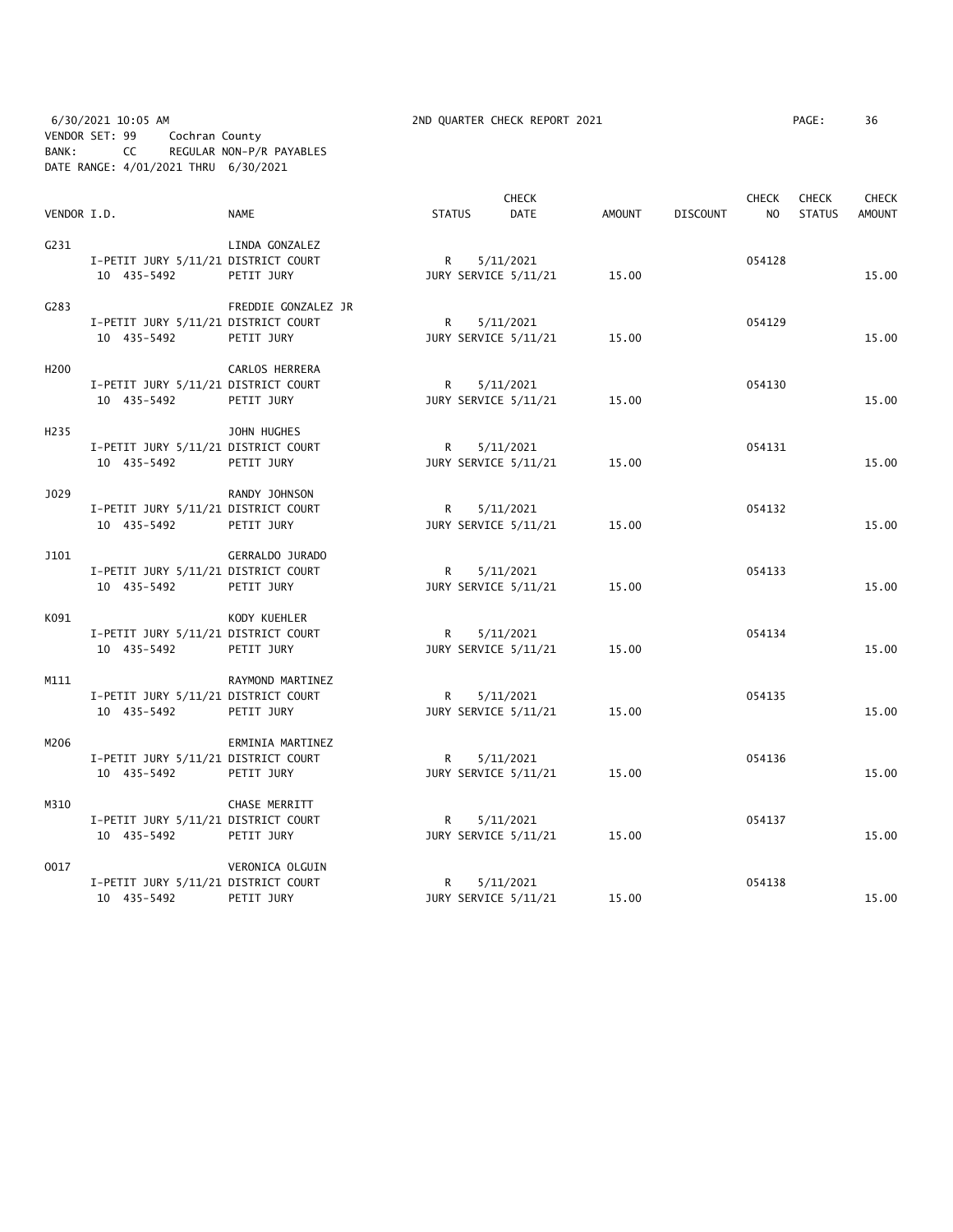6/30/2021 10:05 AM 2ND QUARTER CHECK REPORT 2021 PAGE: 36 VENDOR SET: 99 Cochran County BANK: CC REGULAR NON-P/R PAYABLES DATE RANGE: 4/01/2021 THRU 6/30/2021

|                   |                                     |                     |               |          | <b>CHECK</b>         |               |                 | <b>CHECK</b>   | <b>CHECK</b>  | <b>CHECK</b>  |
|-------------------|-------------------------------------|---------------------|---------------|----------|----------------------|---------------|-----------------|----------------|---------------|---------------|
| VENDOR I.D.       |                                     | <b>NAME</b>         | <b>STATUS</b> |          | <b>DATE</b>          | <b>AMOUNT</b> | <b>DISCOUNT</b> | N <sub>O</sub> | <b>STATUS</b> | <b>AMOUNT</b> |
| G231              |                                     | LINDA GONZALEZ      |               |          |                      |               |                 |                |               |               |
|                   | I-PETIT JURY 5/11/21 DISTRICT COURT |                     |               | R        | 5/11/2021            |               |                 | 054128         |               |               |
|                   | 10 435-5492                         | PETIT JURY          |               |          | JURY SERVICE 5/11/21 | 15.00         |                 |                |               | 15.00         |
|                   |                                     |                     |               |          |                      |               |                 |                |               |               |
| C <sub>283</sub>  |                                     | FREDDIE GONZALEZ JR |               |          |                      |               |                 |                |               |               |
|                   | I-PETIT JURY 5/11/21 DISTRICT COURT |                     |               | $R \Box$ | 5/11/2021            |               |                 | 054129         |               |               |
|                   | 10 435-5492                         | PETIT JURY          |               |          | JURY SERVICE 5/11/21 | 15.00         |                 |                |               | 15.00         |
|                   |                                     |                     |               |          |                      |               |                 |                |               |               |
| H <sub>200</sub>  |                                     | CARLOS HERRERA      |               |          |                      |               |                 |                |               |               |
|                   | I-PETIT JURY 5/11/21 DISTRICT COURT |                     |               | R —      | 5/11/2021            |               |                 | 054130         |               |               |
|                   | 10 435-5492                         | PETIT JURY          |               |          | JURY SERVICE 5/11/21 | 15.00         |                 |                |               | 15.00         |
|                   |                                     |                     |               |          |                      |               |                 |                |               |               |
| H <sub>2</sub> 35 |                                     | JOHN HUGHES         |               |          |                      |               |                 |                |               |               |
|                   | I-PETIT JURY 5/11/21 DISTRICT COURT |                     |               |          | R 5/11/2021          |               |                 | 054131         |               |               |
|                   | 10 435-5492                         | PETIT JURY          |               |          | JURY SERVICE 5/11/21 | 15.00         |                 |                |               | 15.00         |
| J029              |                                     | RANDY JOHNSON       |               |          |                      |               |                 |                |               |               |
|                   | I-PETIT JURY 5/11/21 DISTRICT COURT |                     | R             |          | 5/11/2021            |               |                 | 054132         |               |               |
|                   | 10 435-5492                         | PETIT JURY          |               |          | JURY SERVICE 5/11/21 | 15.00         |                 |                |               | 15.00         |
|                   |                                     |                     |               |          |                      |               |                 |                |               |               |
| J101              |                                     | GERRALDO JURADO     |               |          |                      |               |                 |                |               |               |
|                   | I-PETIT JURY 5/11/21 DISTRICT COURT |                     |               | R        | 5/11/2021            |               |                 | 054133         |               |               |
|                   | 10 435-5492                         | PETIT JURY          |               |          | JURY SERVICE 5/11/21 | 15.00         |                 |                |               | 15.00         |
|                   |                                     |                     |               |          |                      |               |                 |                |               |               |
| K091              |                                     | KODY KUEHLER        |               |          |                      |               |                 |                |               |               |
|                   | I-PETIT JURY 5/11/21 DISTRICT COURT |                     |               | R —      | 5/11/2021            |               |                 | 054134         |               |               |
|                   | 10 435-5492                         | PETIT JURY          |               |          | JURY SERVICE 5/11/21 | 15.00         |                 |                |               | 15.00         |
| M111              |                                     | RAYMOND MARTINEZ    |               |          |                      |               |                 |                |               |               |
|                   | I-PETIT JURY 5/11/21 DISTRICT COURT |                     |               | $R \Box$ | 5/11/2021            |               |                 | 054135         |               |               |
|                   | 10 435-5492                         | PETIT JURY          |               |          | JURY SERVICE 5/11/21 | 15.00         |                 |                |               | 15.00         |
|                   |                                     |                     |               |          |                      |               |                 |                |               |               |
| M206              |                                     | ERMINIA MARTINEZ    |               |          |                      |               |                 |                |               |               |
|                   | I-PETIT JURY 5/11/21 DISTRICT COURT |                     |               | R —      | 5/11/2021            |               |                 | 054136         |               |               |
|                   | 10 435-5492                         | PETIT JURY          |               |          | JURY SERVICE 5/11/21 | 15.00         |                 |                |               | 15.00         |
|                   |                                     |                     |               |          |                      |               |                 |                |               |               |
| M310              |                                     | CHASE MERRITT       |               |          |                      |               |                 |                |               |               |
|                   | I-PETIT JURY 5/11/21 DISTRICT COURT |                     |               | $R \Box$ | 5/11/2021            |               |                 | 054137         |               |               |
|                   | 10 435-5492                         | PETIT JURY          |               |          | JURY SERVICE 5/11/21 | 15.00         |                 |                |               | 15.00         |
| 0017              |                                     | VERONICA OLGUIN     |               |          |                      |               |                 |                |               |               |
|                   | I-PETIT JURY 5/11/21 DISTRICT COURT |                     | R.            |          | 5/11/2021            |               |                 | 054138         |               |               |
|                   | 10 435-5492                         | PETIT JURY          |               |          | JURY SERVICE 5/11/21 | 15.00         |                 |                |               | 15.00         |
|                   |                                     |                     |               |          |                      |               |                 |                |               |               |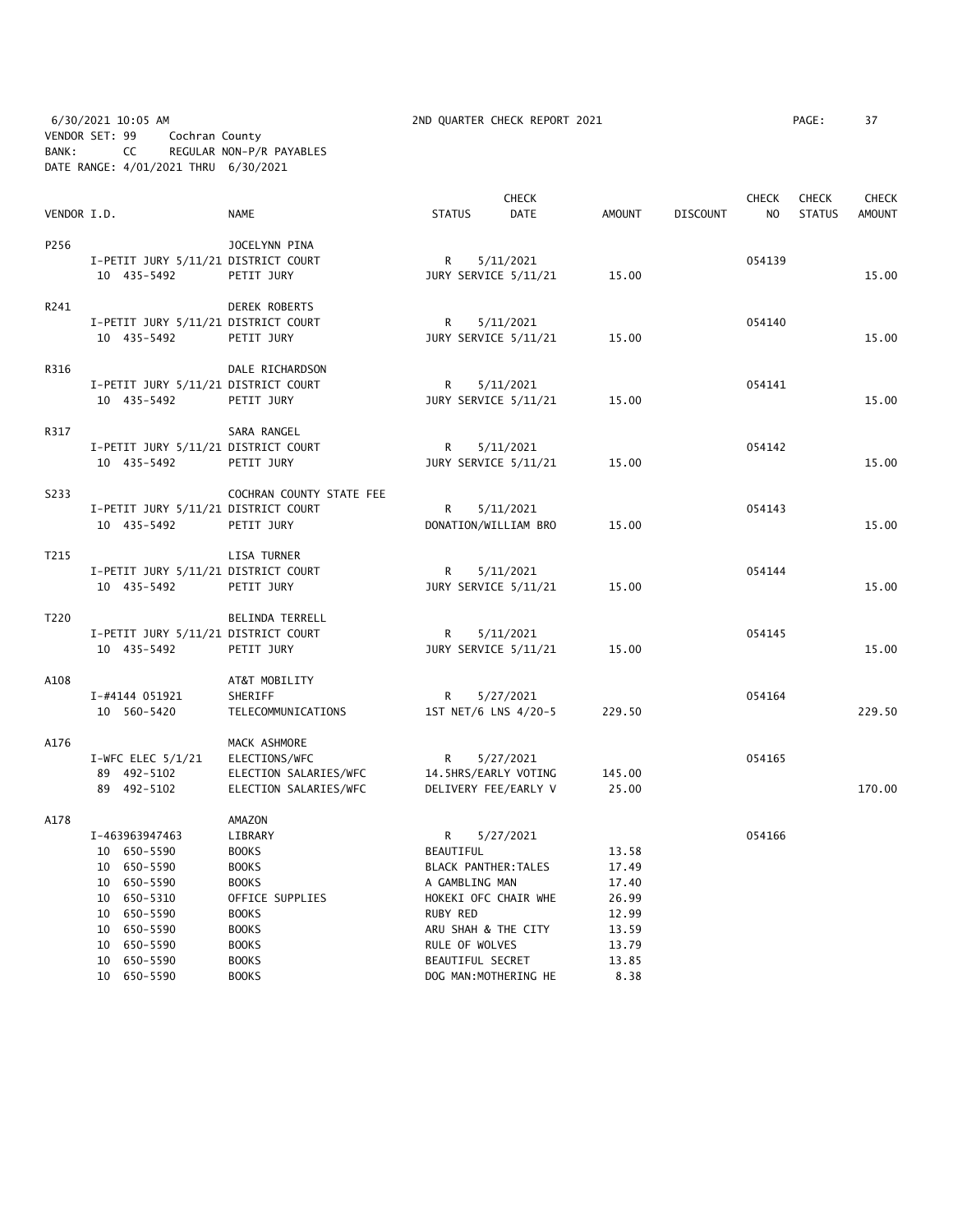6/30/2021 10:05 AM 2ND QUARTER CHECK REPORT 2021 PAGE: 37 VENDOR SET: 99 Cochran County BANK: CC REGULAR NON-P/R PAYABLES DATE RANGE: 4/01/2021 THRU 6/30/2021

|             |  |                                     | <b>CHECK</b>             |                  |  |                       |               | <b>CHECK</b>    | <b>CHECK</b>   | <b>CHECK</b>  |               |
|-------------|--|-------------------------------------|--------------------------|------------------|--|-----------------------|---------------|-----------------|----------------|---------------|---------------|
| VENDOR I.D. |  |                                     | <b>NAME</b>              | <b>STATUS</b>    |  | DATE                  | <b>AMOUNT</b> | <b>DISCOUNT</b> | N <sub>O</sub> | <b>STATUS</b> | <b>AMOUNT</b> |
| P256        |  |                                     | JOCELYNN PINA            |                  |  |                       |               |                 |                |               |               |
|             |  | I-PETIT JURY 5/11/21 DISTRICT COURT |                          | R                |  | 5/11/2021             |               |                 | 054139         |               |               |
|             |  | 10 435-5492                         | PETIT JURY               |                  |  | JURY SERVICE 5/11/21  | 15.00         |                 |                |               | 15.00         |
|             |  |                                     |                          |                  |  |                       |               |                 |                |               |               |
| R241        |  |                                     | DEREK ROBERTS            |                  |  |                       |               |                 |                |               |               |
|             |  | I-PETIT JURY 5/11/21 DISTRICT COURT |                          | R                |  | 5/11/2021             |               |                 | 054140         |               |               |
|             |  | 10 435-5492                         | PETIT JURY               |                  |  | JURY SERVICE 5/11/21  | 15.00         |                 |                |               | 15.00         |
| R316        |  |                                     | DALE RICHARDSON          |                  |  |                       |               |                 |                |               |               |
|             |  | I-PETIT JURY 5/11/21 DISTRICT COURT |                          | R                |  | 5/11/2021             |               |                 | 054141         |               |               |
|             |  | 10 435-5492                         | PETIT JURY               |                  |  | JURY SERVICE 5/11/21  | 15.00         |                 |                |               | 15.00         |
|             |  |                                     |                          |                  |  |                       |               |                 |                |               |               |
| R317        |  |                                     | SARA RANGEL              |                  |  |                       |               |                 |                |               |               |
|             |  | I-PETIT JURY 5/11/21 DISTRICT COURT |                          | R                |  | 5/11/2021             |               |                 | 054142         |               |               |
|             |  | 10 435-5492                         | PETIT JURY               |                  |  | JURY SERVICE 5/11/21  | 15.00         |                 |                |               | 15.00         |
| S233        |  |                                     | COCHRAN COUNTY STATE FEE |                  |  |                       |               |                 |                |               |               |
|             |  | I-PETIT JURY 5/11/21 DISTRICT COURT |                          | R                |  | 5/11/2021             |               |                 | 054143         |               |               |
|             |  | 10 435-5492                         | PETIT JURY               |                  |  | DONATION/WILLIAM BRO  | 15.00         |                 |                |               | 15.00         |
|             |  |                                     |                          |                  |  |                       |               |                 |                |               |               |
| T215        |  |                                     | LISA TURNER              |                  |  |                       |               |                 |                |               |               |
|             |  | I-PETIT JURY 5/11/21 DISTRICT COURT |                          | R                |  | 5/11/2021             |               |                 | 054144         |               |               |
|             |  | 10 435-5492                         | PETIT JURY               |                  |  | JURY SERVICE 5/11/21  | 15.00         |                 |                |               | 15.00         |
| T220        |  |                                     | BELINDA TERRELL          |                  |  |                       |               |                 |                |               |               |
|             |  | I-PETIT JURY 5/11/21 DISTRICT COURT |                          | R                |  | 5/11/2021             |               |                 | 054145         |               |               |
|             |  | 10 435-5492                         | PETIT JURY               |                  |  | JURY SERVICE 5/11/21  | 15.00         |                 |                |               | 15.00         |
|             |  |                                     |                          |                  |  |                       |               |                 |                |               |               |
| A108        |  |                                     | AT&T MOBILITY            |                  |  |                       |               |                 |                |               |               |
|             |  | I-#4144 051921                      | SHERIFF                  | R                |  | 5/27/2021             |               |                 | 054164         |               |               |
|             |  | 10 560-5420                         | TELECOMMUNICATIONS       |                  |  | 1ST NET/6 LNS 4/20-5  | 229.50        |                 |                |               | 229.50        |
| A176        |  |                                     | MACK ASHMORE             |                  |  |                       |               |                 |                |               |               |
|             |  | I-WFC ELEC $5/1/21$                 | ELECTIONS/WFC            | R                |  | 5/27/2021             |               |                 | 054165         |               |               |
|             |  | 89 492-5102                         | ELECTION SALARIES/WFC    |                  |  | 14.5HRS/EARLY VOTING  | 145.00        |                 |                |               |               |
|             |  | 89 492-5102                         | ELECTION SALARIES/WFC    |                  |  | DELIVERY FEE/EARLY V  | 25.00         |                 |                |               | 170.00        |
| A178        |  |                                     | AMAZON                   |                  |  |                       |               |                 |                |               |               |
|             |  | I-463963947463                      | LIBRARY                  | R                |  | 5/27/2021             |               |                 | 054166         |               |               |
|             |  | 10 650-5590                         | <b>BOOKS</b>             | BEAUTIFUL        |  |                       | 13.58         |                 |                |               |               |
|             |  | 10 650-5590                         | <b>BOOKS</b>             |                  |  | BLACK PANTHER: TALES  | 17.49         |                 |                |               |               |
|             |  | 10 650-5590                         | <b>BOOKS</b>             | A GAMBLING MAN   |  |                       | 17.40         |                 |                |               |               |
|             |  | 10 650-5310                         | OFFICE SUPPLIES          |                  |  | HOKEKI OFC CHAIR WHE  | 26.99         |                 |                |               |               |
|             |  | 10 650-5590                         | <b>BOOKS</b>             | RUBY RED         |  |                       | 12.99         |                 |                |               |               |
|             |  | 10 650-5590                         | <b>BOOKS</b>             |                  |  | ARU SHAH & THE CITY   | 13.59         |                 |                |               |               |
|             |  | 10 650-5590                         | <b>BOOKS</b>             | RULE OF WOLVES   |  |                       | 13.79         |                 |                |               |               |
|             |  | 10 650-5590                         | <b>BOOKS</b>             | BEAUTIFUL SECRET |  |                       | 13.85         |                 |                |               |               |
|             |  | 10 650-5590                         | <b>BOOKS</b>             |                  |  | DOG MAN: MOTHERING HE | 8.38          |                 |                |               |               |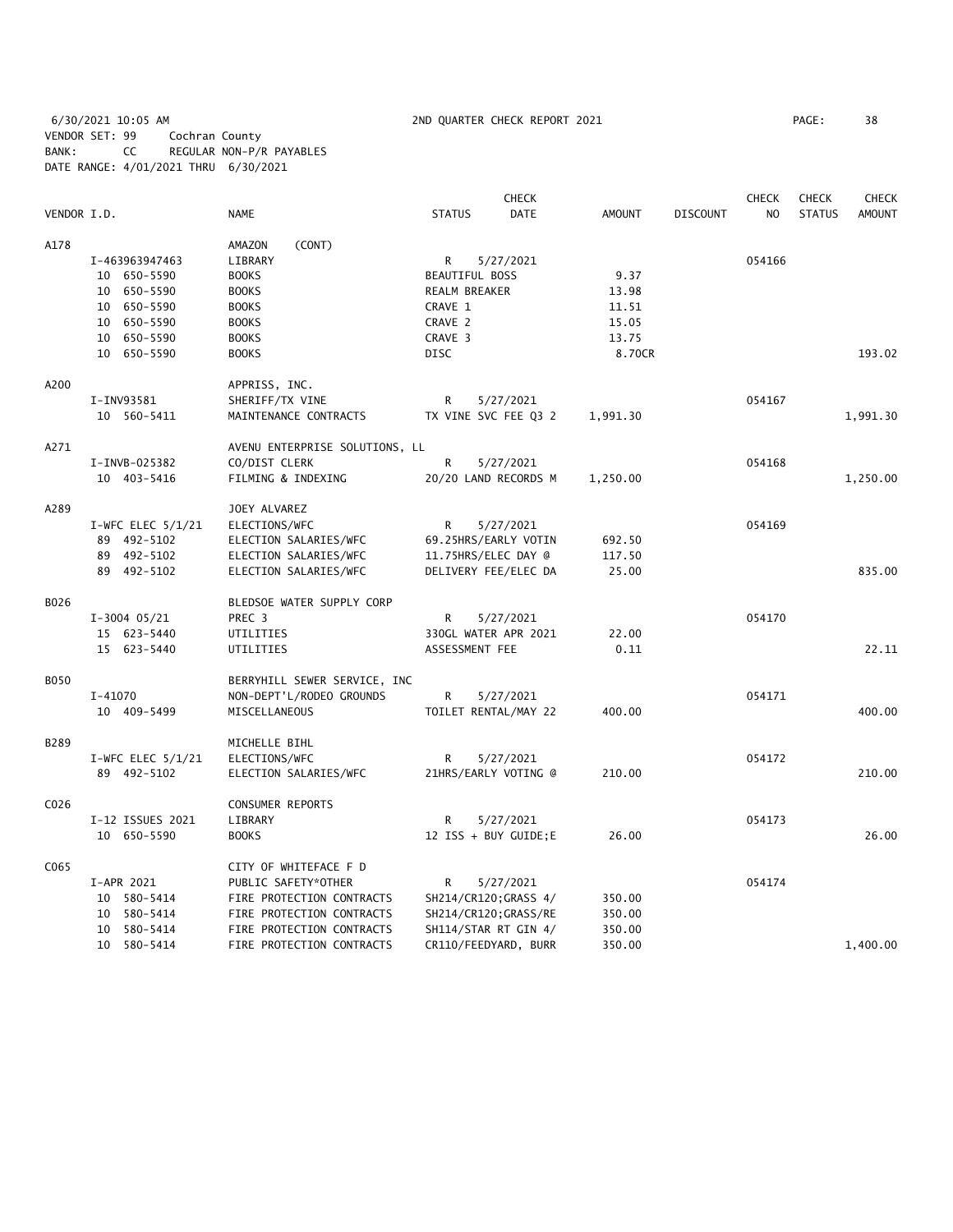6/30/2021 10:05 AM 2ND QUARTER CHECK REPORT 2021 PAGE: 38 VENDOR SET: 99 Cochran County BANK: CC REGULAR NON-P/R PAYABLES DATE RANGE: 4/01/2021 THRU 6/30/2021

|             |                     |                                |                       | <b>CHECK</b>          |               |                 | <b>CHECK</b>   | CHECK         | <b>CHECK</b>  |
|-------------|---------------------|--------------------------------|-----------------------|-----------------------|---------------|-----------------|----------------|---------------|---------------|
| VENDOR I.D. |                     | <b>NAME</b>                    | <b>STATUS</b>         | <b>DATE</b>           | <b>AMOUNT</b> | <b>DISCOUNT</b> | N <sub>O</sub> | <b>STATUS</b> | <b>AMOUNT</b> |
| A178        |                     | AMAZON<br>(CONT)               |                       |                       |               |                 |                |               |               |
|             | I-463963947463      | LIBRARY                        | R                     | 5/27/2021             |               |                 | 054166         |               |               |
|             | 10 650-5590         | <b>BOOKS</b>                   | <b>BEAUTIFUL BOSS</b> |                       | 9.37          |                 |                |               |               |
|             | 10 650-5590         | <b>BOOKS</b>                   | REALM BREAKER         |                       | 13.98         |                 |                |               |               |
|             | 10 650-5590         | <b>BOOKS</b>                   | CRAVE 1               |                       | 11.51         |                 |                |               |               |
|             | 10 650-5590         | <b>BOOKS</b>                   | CRAVE 2               |                       | 15.05         |                 |                |               |               |
|             | 10 650-5590         | <b>BOOKS</b>                   | CRAVE 3               |                       | 13.75         |                 |                |               |               |
|             | 10 650-5590         | <b>BOOKS</b>                   | DISC                  |                       | 8.70CR        |                 |                |               | 193.02        |
| A200        |                     | APPRISS, INC.                  |                       |                       |               |                 |                |               |               |
|             | I-INV93581          | SHERIFF/TX VINE                | R                     | 5/27/2021             |               |                 | 054167         |               |               |
|             | 10 560-5411         | MAINTENANCE CONTRACTS          |                       | TX VINE SVC FEE Q3 2  | 1,991.30      |                 |                |               | 1,991.30      |
| A271        |                     | AVENU ENTERPRISE SOLUTIONS, LL |                       |                       |               |                 |                |               |               |
|             | I-INVB-025382       | CO/DIST CLERK                  | R                     | 5/27/2021             |               |                 | 054168         |               |               |
|             | 10 403-5416         | FILMING & INDEXING             |                       | 20/20 LAND RECORDS M  | 1,250.00      |                 |                |               | 1,250.00      |
| A289        |                     | JOEY ALVAREZ                   |                       |                       |               |                 |                |               |               |
|             | I-WFC ELEC $5/1/21$ | ELECTIONS/WFC                  | R                     | 5/27/2021             |               |                 | 054169         |               |               |
|             | 89 492-5102         | ELECTION SALARIES/WFC          |                       | 69.25HRS/EARLY VOTIN  | 692.50        |                 |                |               |               |
|             | 89 492-5102         | ELECTION SALARIES/WFC          | 11.75HRS/ELEC DAY @   |                       | 117.50        |                 |                |               |               |
|             | 89 492-5102         | ELECTION SALARIES/WFC          |                       | DELIVERY FEE/ELEC DA  | 25.00         |                 |                |               | 835.00        |
|             |                     |                                |                       |                       |               |                 |                |               |               |
| B026        |                     | BLEDSOE WATER SUPPLY CORP      |                       |                       |               |                 |                |               |               |
|             | $I-3004$ 05/21      | PREC 3                         | R                     | 5/27/2021             |               |                 | 054170         |               |               |
|             | 15 623-5440         | UTILITIES                      |                       | 330GL WATER APR 2021  | 22.00         |                 |                |               |               |
|             | 15 623-5440         | UTILITIES                      | ASSESSMENT FEE        |                       | 0.11          |                 |                |               | 22.11         |
| <b>B050</b> |                     | BERRYHILL SEWER SERVICE, INC   |                       |                       |               |                 |                |               |               |
|             | $I - 41070$         | NON-DEPT'L/RODEO GROUNDS       | R                     | 5/27/2021             |               |                 | 054171         |               |               |
|             | 10 409-5499         | MISCELLANEOUS                  |                       | TOILET RENTAL/MAY 22  | 400.00        |                 |                |               | 400.00        |
| B289        |                     | MICHELLE BIHL                  |                       |                       |               |                 |                |               |               |
|             | I-WFC ELEC $5/1/21$ | ELECTIONS/WFC                  | R                     | 5/27/2021             |               |                 | 054172         |               |               |
|             | 89 492-5102         | ELECTION SALARIES/WFC          |                       | 21HRS/EARLY VOTING @  | 210.00        |                 |                |               | 210.00        |
| C026        |                     | CONSUMER REPORTS               |                       |                       |               |                 |                |               |               |
|             | I-12 ISSUES 2021    | LIBRARY                        | R                     | 5/27/2021             |               |                 | 054173         |               |               |
|             | 10 650-5590         | <b>BOOKS</b>                   |                       | 12 ISS + BUY GUIDE;E  | 26.00         |                 |                |               | 26.00         |
| C065        |                     | CITY OF WHITEFACE F D          |                       |                       |               |                 |                |               |               |
|             | I-APR 2021          | PUBLIC SAFETY*OTHER            | R                     | 5/27/2021             |               |                 | 054174         |               |               |
|             | 10 580-5414         | FIRE PROTECTION CONTRACTS      |                       | SH214/CR120; GRASS 4/ | 350.00        |                 |                |               |               |
|             | 10 580-5414         | FIRE PROTECTION CONTRACTS      |                       | SH214/CR120;GRASS/RE  | 350.00        |                 |                |               |               |
|             | 10 580-5414         | FIRE PROTECTION CONTRACTS      |                       | SH114/STAR RT GIN 4/  | 350.00        |                 |                |               |               |
|             | 10 580-5414         | FIRE PROTECTION CONTRACTS      |                       | CR110/FEEDYARD, BURR  | 350.00        |                 |                |               | 1,400.00      |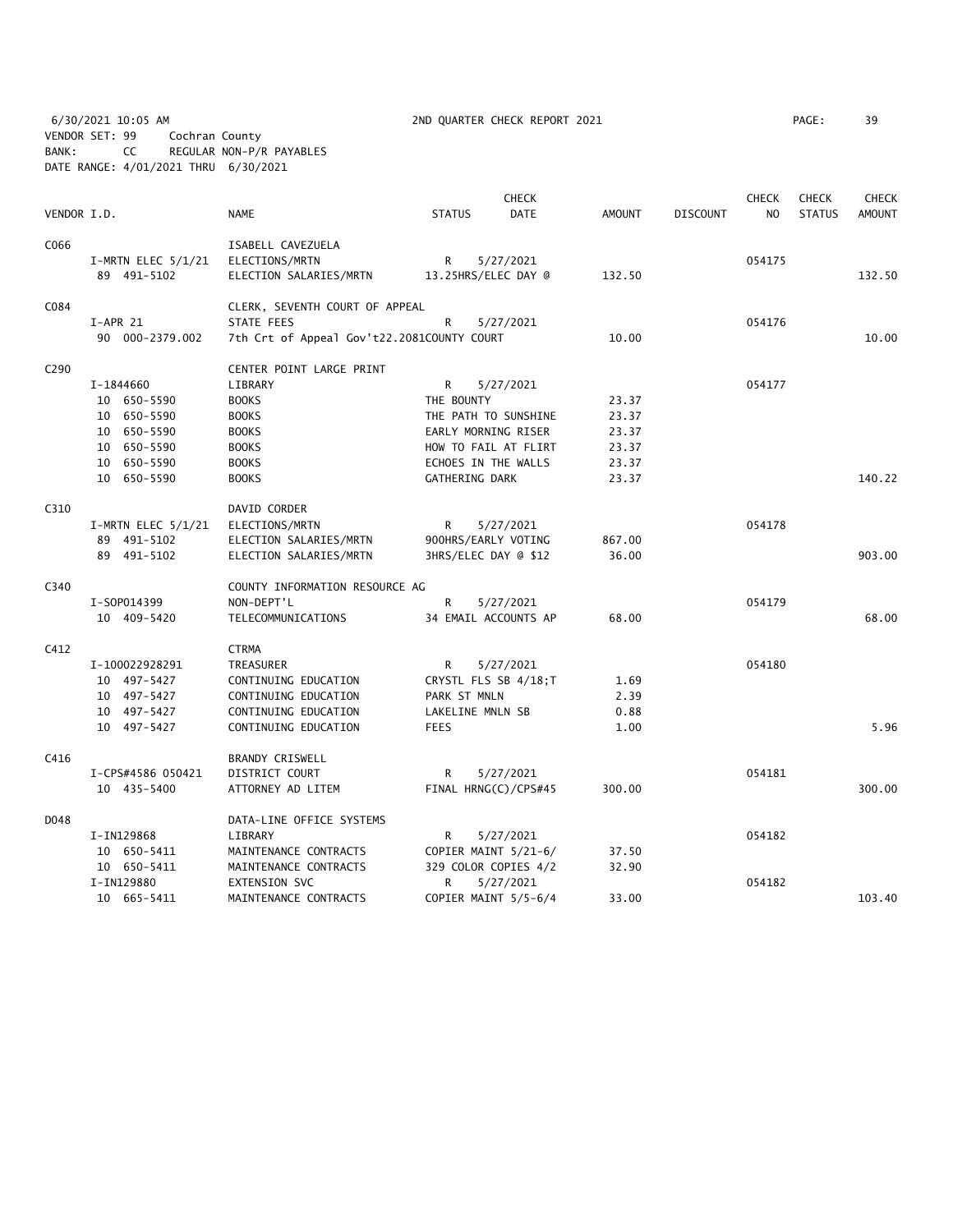6/30/2021 10:05 AM 2ND QUARTER CHECK REPORT 2021 PAGE: 39 VENDOR SET: 99 Cochran County BANK: CC REGULAR NON-P/R PAYABLES DATE RANGE: 4/01/2021 THRU 6/30/2021

| VENDOR I.D.      |                        | NAME                                       | <b>STATUS</b>        | <b>CHECK</b><br><b>DATE</b> | <b>AMOUNT</b> | <b>DISCOUNT</b> | CHECK<br>NO. | <b>CHECK</b><br><b>STATUS</b> | <b>CHECK</b><br><b>AMOUNT</b> |
|------------------|------------------------|--------------------------------------------|----------------------|-----------------------------|---------------|-----------------|--------------|-------------------------------|-------------------------------|
| C066             |                        | ISABELL CAVEZUELA                          |                      |                             |               |                 |              |                               |                               |
|                  | $I-MRTN$ ELEC $5/1/21$ | ELECTIONS/MRTN                             | R                    | 5/27/2021                   |               |                 | 054175       |                               |                               |
|                  | 89 491-5102            | ELECTION SALARIES/MRTN                     | 13.25HRS/ELEC DAY @  |                             | 132.50        |                 |              |                               | 132.50                        |
| C084             |                        | CLERK, SEVENTH COURT OF APPEAL             |                      |                             |               |                 |              |                               |                               |
|                  | $I-APR$ 21             | STATE FEES                                 | R                    | 5/27/2021                   |               |                 | 054176       |                               |                               |
|                  | 90 000-2379.002        | 7th Crt of Appeal Gov't22.2081COUNTY COURT |                      |                             | 10.00         |                 |              |                               | 10.00                         |
| C <sub>290</sub> |                        | CENTER POINT LARGE PRINT                   |                      |                             |               |                 |              |                               |                               |
|                  | I-1844660              | LIBRARY                                    | R                    | 5/27/2021                   |               |                 | 054177       |                               |                               |
|                  | 10 650-5590            | <b>BOOKS</b>                               | THE BOUNTY           |                             | 23.37         |                 |              |                               |                               |
|                  | 10 650-5590            | <b>BOOKS</b>                               | THE PATH TO SUNSHINE |                             | 23.37         |                 |              |                               |                               |
|                  | 10 650-5590            | <b>BOOKS</b>                               | EARLY MORNING RISER  |                             | 23.37         |                 |              |                               |                               |
|                  | 10 650-5590            | <b>BOOKS</b>                               |                      | HOW TO FAIL AT FLIRT        | 23.37         |                 |              |                               |                               |
|                  | 10 650-5590            | <b>BOOKS</b>                               | ECHOES IN THE WALLS  |                             | 23.37         |                 |              |                               |                               |
|                  | 10 650-5590            | <b>BOOKS</b>                               | GATHERING DARK       |                             | 23.37         |                 |              |                               | 140.22                        |
| C310             |                        | DAVID CORDER                               |                      |                             |               |                 |              |                               |                               |
|                  | I-MRTN ELEC $5/1/21$   | ELECTIONS/MRTN                             | R                    | 5/27/2021                   |               |                 | 054178       |                               |                               |
|                  | 89 491-5102            | ELECTION SALARIES/MRTN                     | 900HRS/EARLY VOTING  |                             | 867.00        |                 |              |                               |                               |
|                  | 89 491-5102            | ELECTION SALARIES/MRTN                     | 3HRS/ELEC DAY @ \$12 |                             | 36.00         |                 |              |                               | 903.00                        |
| C340             |                        | COUNTY INFORMATION RESOURCE AG             |                      |                             |               |                 |              |                               |                               |
|                  | I-S0P014399            | NON-DEPT'L                                 | R                    | 5/27/2021                   |               |                 | 054179       |                               |                               |
|                  | 10 409-5420            | TELECOMMUNICATIONS                         |                      | 34 EMAIL ACCOUNTS AP        | 68.00         |                 |              |                               | 68.00                         |
| C412             |                        | <b>CTRMA</b>                               |                      |                             |               |                 |              |                               |                               |
|                  | I-100022928291         | TREASURER                                  | R                    | 5/27/2021                   |               |                 | 054180       |                               |                               |
|                  | 10 497-5427            | CONTINUING EDUCATION                       |                      | CRYSTL FLS SB 4/18;T        | 1.69          |                 |              |                               |                               |
|                  | 10 497-5427            | CONTINUING EDUCATION                       | PARK ST MNLN         |                             | 2.39          |                 |              |                               |                               |
|                  | 10 497-5427            | CONTINUING EDUCATION                       | LAKELINE MNLN SB     |                             | 0.88          |                 |              |                               |                               |
|                  | 10 497-5427            | CONTINUING EDUCATION                       | <b>FEES</b>          |                             | 1.00          |                 |              |                               | 5.96                          |
| C416             |                        | <b>BRANDY CRISWELL</b>                     |                      |                             |               |                 |              |                               |                               |
|                  | I-CPS#4586 050421      | DISTRICT COURT                             | R                    | 5/27/2021                   |               |                 | 054181       |                               |                               |
|                  | 10 435-5400            | ATTORNEY AD LITEM                          |                      | FINAL HRNG(C)/CPS#45        | 300.00        |                 |              |                               | 300.00                        |
| D048             |                        | DATA-LINE OFFICE SYSTEMS                   |                      |                             |               |                 |              |                               |                               |
|                  | I-IN129868             | LIBRARY                                    | R                    | 5/27/2021                   |               |                 | 054182       |                               |                               |
|                  | 10 650-5411            | MAINTENANCE CONTRACTS                      |                      | COPIER MAINT 5/21-6/        | 37.50         |                 |              |                               |                               |
|                  | 10 650-5411            | MAINTENANCE CONTRACTS                      |                      | 329 COLOR COPIES 4/2        | 32.90         |                 |              |                               |                               |
|                  | I-IN129880             | EXTENSION SVC                              | R                    | 5/27/2021                   |               |                 | 054182       |                               |                               |
|                  | 10 665-5411            | MAINTENANCE CONTRACTS                      |                      | COPIER MAINT 5/5-6/4        | 33.00         |                 |              |                               | 103.40                        |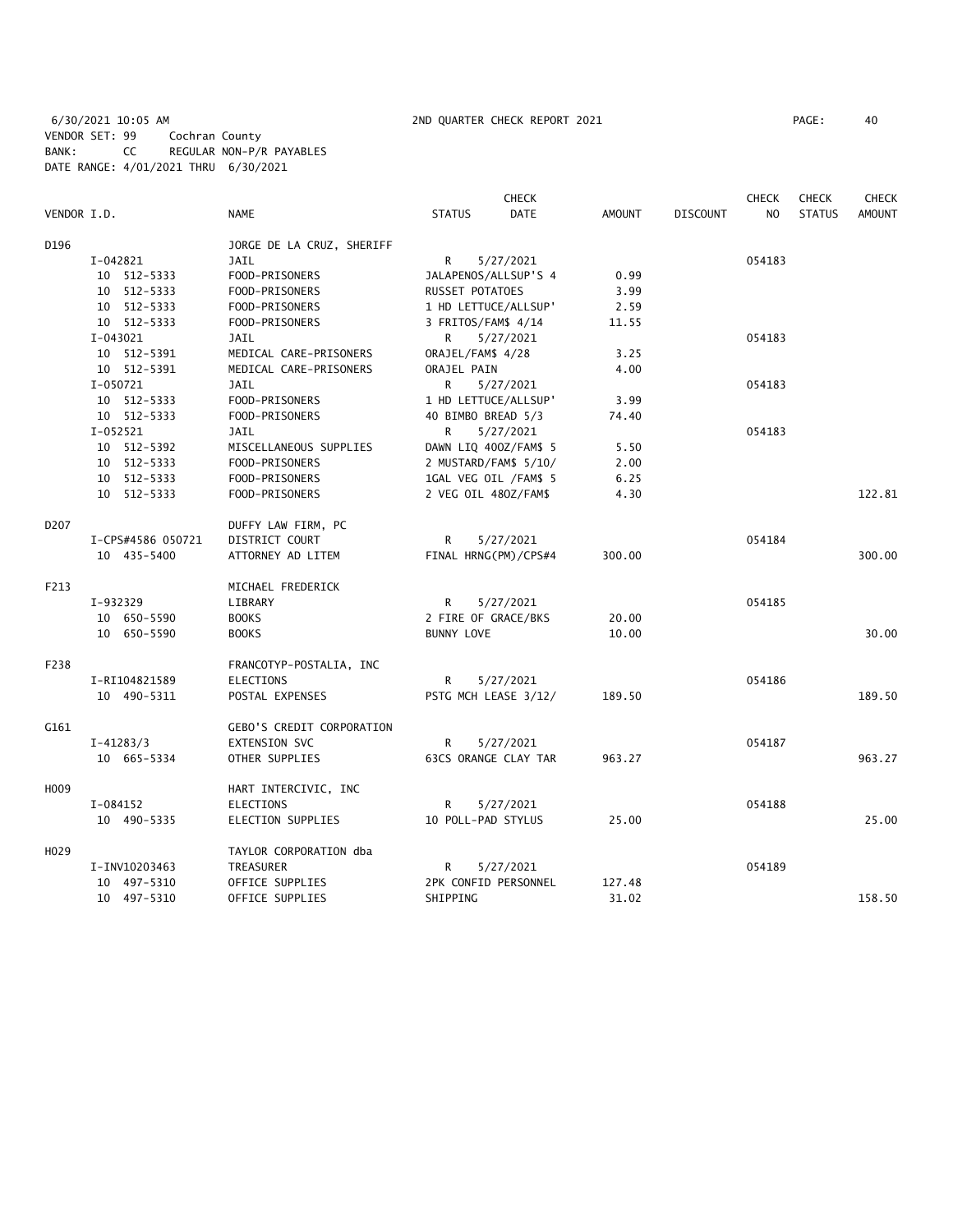6/30/2021 10:05 AM 2ND QUARTER CHECK REPORT 2021 PAGE: 40 VENDOR SET: 99 Cochran County BANK: CC REGULAR NON-P/R PAYABLES DATE RANGE: 4/01/2021 THRU 6/30/2021

|                  |                   |                                  |                       | <b>CHECK</b> |               |                 | <b>CHECK</b>   | <b>CHECK</b>  | <b>CHECK</b>  |
|------------------|-------------------|----------------------------------|-----------------------|--------------|---------------|-----------------|----------------|---------------|---------------|
| VENDOR I.D.      |                   | NAME                             | <b>STATUS</b>         | <b>DATE</b>  | <b>AMOUNT</b> | <b>DISCOUNT</b> | N <sub>O</sub> | <b>STATUS</b> | <b>AMOUNT</b> |
| D196             |                   | JORGE DE LA CRUZ, SHERIFF        |                       |              |               |                 |                |               |               |
|                  | I-042821          | JAIL                             | R                     | 5/27/2021    |               |                 | 054183         |               |               |
|                  | 10 512-5333       | FOOD-PRISONERS                   | JALAPENOS/ALLSUP'S 4  |              | 0.99          |                 |                |               |               |
|                  | 10 512-5333       | FOOD-PRISONERS                   | RUSSET POTATOES       |              | 3.99          |                 |                |               |               |
|                  | 10 512-5333       | FOOD-PRISONERS                   | 1 HD LETTUCE/ALLSUP'  |              | 2.59          |                 |                |               |               |
|                  | 10 512-5333       | FOOD-PRISONERS                   | 3 FRITOS/FAM\$ 4/14   |              | 11.55         |                 |                |               |               |
|                  | $I-043021$        | JAIL                             | R                     | 5/27/2021    |               |                 | 054183         |               |               |
|                  | 10 512-5391       | MEDICAL CARE-PRISONERS           | ORAJEL/FAM\$ 4/28     |              | 3.25          |                 |                |               |               |
|                  | 10 512-5391       | MEDICAL CARE-PRISONERS           | ORAJEL PAIN           |              | 4.00          |                 |                |               |               |
|                  | I-050721          | JAIL                             | R                     | 5/27/2021    |               |                 | 054183         |               |               |
|                  | 10 512-5333       | FOOD-PRISONERS                   | 1 HD LETTUCE/ALLSUP'  |              | 3.99          |                 |                |               |               |
|                  | 10 512-5333       | FOOD-PRISONERS                   | 40 BIMBO BREAD 5/3    |              | 74.40         |                 |                |               |               |
|                  | $I-052521$        | JAIL                             | R                     | 5/27/2021    |               |                 | 054183         |               |               |
|                  | 10 512-5392       | MISCELLANEOUS SUPPLIES           | DAWN LIQ 400Z/FAM\$ 5 |              | 5.50          |                 |                |               |               |
|                  | 10 512-5333       | FOOD-PRISONERS                   | 2 MUSTARD/FAM\$ 5/10/ |              | 2.00          |                 |                |               |               |
|                  | 10 512-5333       | FOOD-PRISONERS                   | 1GAL VEG OIL /FAM\$ 5 |              | 6.25          |                 |                |               |               |
|                  | 10 512-5333       | FOOD-PRISONERS                   | 2 VEG OIL 480Z/FAM\$  |              | 4.30          |                 |                |               | 122.81        |
|                  |                   |                                  |                       |              |               |                 |                |               |               |
| D207             |                   | DUFFY LAW FIRM, PC               |                       |              |               |                 |                |               |               |
|                  | I-CPS#4586 050721 | DISTRICT COURT                   | R                     | 5/27/2021    |               |                 | 054184         |               |               |
|                  | 10 435-5400       | ATTORNEY AD LITEM                | FINAL HRNG(PM)/CPS#4  |              | 300.00        |                 |                |               | 300.00        |
| F213             |                   | MICHAEL FREDERICK                |                       |              |               |                 |                |               |               |
|                  | I-932329          | LIBRARY                          | R.                    | 5/27/2021    |               |                 | 054185         |               |               |
|                  | 10 650-5590       | <b>BOOKS</b>                     | 2 FIRE OF GRACE/BKS   |              | 20.00         |                 |                |               |               |
|                  | 10 650-5590       | <b>BOOKS</b>                     | <b>BUNNY LOVE</b>     |              | 10.00         |                 |                |               | 30.00         |
| F238             |                   | FRANCOTYP-POSTALIA, INC          |                       |              |               |                 |                |               |               |
|                  | I-RI104821589     | <b>ELECTIONS</b>                 | R                     | 5/27/2021    |               |                 | 054186         |               |               |
|                  | 10 490-5311       | POSTAL EXPENSES                  | PSTG MCH LEASE 3/12/  |              | 189.50        |                 |                |               | 189.50        |
| G161             |                   | <b>GEBO'S CREDIT CORPORATION</b> |                       |              |               |                 |                |               |               |
|                  | $I-41283/3$       | EXTENSION SVC                    | R                     | 5/27/2021    |               |                 | 054187         |               |               |
|                  | 10 665-5334       | OTHER SUPPLIES                   | 63CS ORANGE CLAY TAR  |              | 963.27        |                 |                |               | 963.27        |
| H <sub>009</sub> |                   | HART INTERCIVIC, INC             |                       |              |               |                 |                |               |               |
|                  | I-084152          | <b>ELECTIONS</b>                 | R                     | 5/27/2021    |               |                 | 054188         |               |               |
|                  | 10 490-5335       | ELECTION SUPPLIES                | 10 POLL-PAD STYLUS    |              | 25.00         |                 |                |               | 25.00         |
| H <sub>029</sub> |                   | TAYLOR CORPORATION dba           |                       |              |               |                 |                |               |               |
|                  | I-INV10203463     | TREASURER                        | R                     | 5/27/2021    |               |                 | 054189         |               |               |
|                  | 10 497-5310       | OFFICE SUPPLIES                  | 2PK CONFID PERSONNEL  |              | 127.48        |                 |                |               |               |
|                  | 10 497-5310       | OFFICE SUPPLIES                  | SHIPPING              |              | 31.02         |                 |                |               | 158.50        |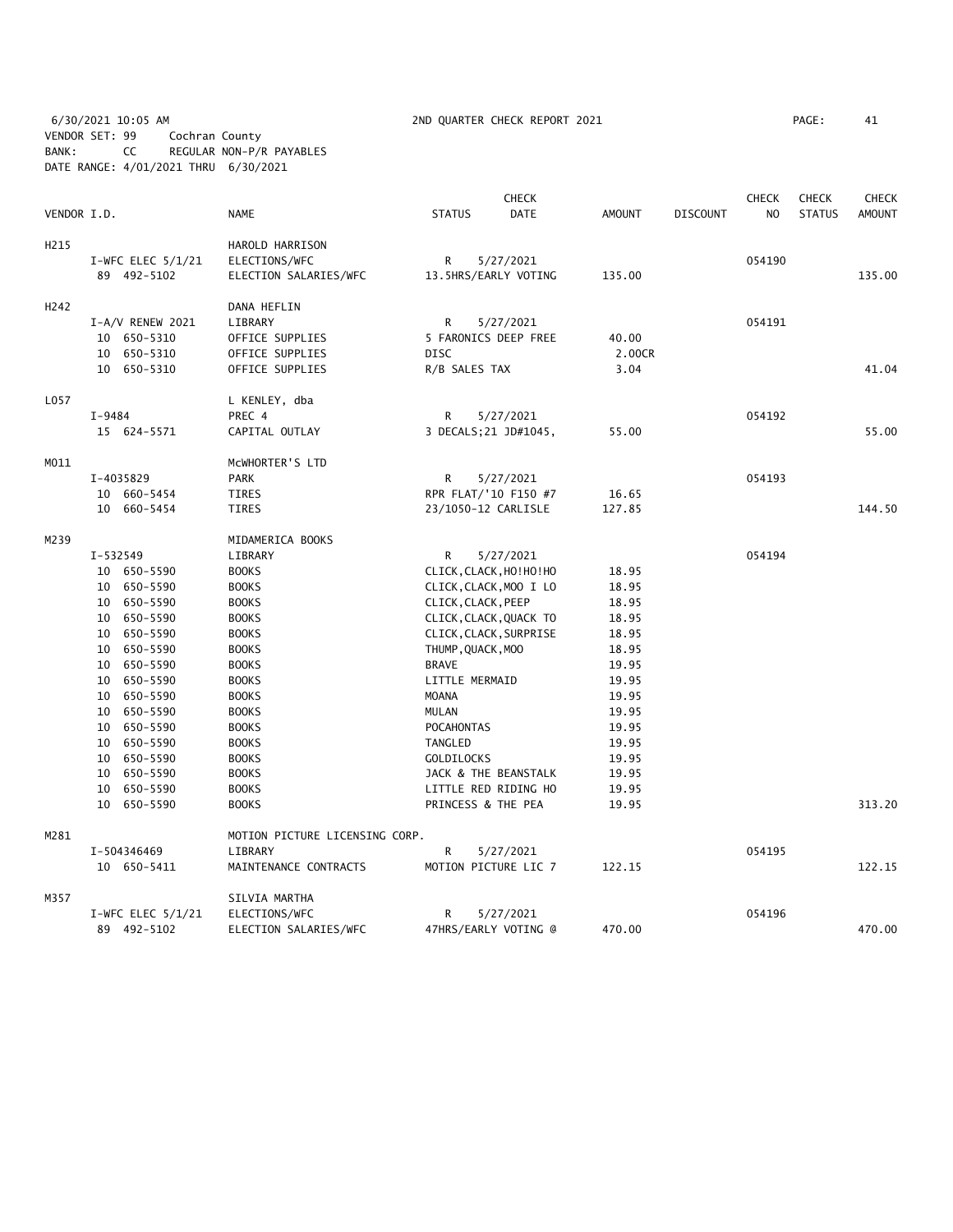6/30/2021 10:05 AM 2ND QUARTER CHECK REPORT 2021 PAGE: 41 VENDOR SET: 99 Cochran County BANK: CC REGULAR NON-P/R PAYABLES DATE RANGE: 4/01/2021 THRU 6/30/2021

|                  |                     |              |                                |                   | CHECK                    |               |                 | <b>CHECK</b> | <b>CHECK</b>  | CHECK         |
|------------------|---------------------|--------------|--------------------------------|-------------------|--------------------------|---------------|-----------------|--------------|---------------|---------------|
| VENDOR I.D.      |                     | <b>NAME</b>  |                                | <b>STATUS</b>     | <b>DATE</b>              | <b>AMOUNT</b> | <b>DISCOUNT</b> | NO.          | <b>STATUS</b> | <b>AMOUNT</b> |
| H <sub>215</sub> |                     |              | HAROLD HARRISON                |                   |                          |               |                 |              |               |               |
|                  | I-WFC ELEC $5/1/21$ |              | ELECTIONS/WFC                  | R                 | 5/27/2021                |               |                 | 054190       |               |               |
|                  | 89 492-5102         |              | ELECTION SALARIES/WFC          |                   | 13.5HRS/EARLY VOTING     | 135.00        |                 |              |               | 135.00        |
| H <sub>242</sub> |                     |              | DANA HEFLIN                    |                   |                          |               |                 |              |               |               |
|                  | $I-A/V$ RENEW 2021  |              | LIBRARY                        | R                 | 5/27/2021                |               |                 | 054191       |               |               |
|                  | 10 650-5310         |              | OFFICE SUPPLIES                |                   | 5 FARONICS DEEP FREE     | 40.00         |                 |              |               |               |
|                  | 10 650-5310         |              | OFFICE SUPPLIES                | <b>DISC</b>       |                          | 2.00CR        |                 |              |               |               |
|                  | 10 650-5310         |              | OFFICE SUPPLIES                |                   | R/B SALES TAX            | 3.04          |                 |              |               | 41.04         |
| L057             |                     |              | L KENLEY, dba                  |                   |                          |               |                 |              |               |               |
|                  | $I-9484$            | PREC 4       |                                | R                 | 5/27/2021                |               |                 | 054192       |               |               |
|                  | 15 624-5571         |              | CAPITAL OUTLAY                 |                   | 3 DECALS; 21 JD#1045,    | 55.00         |                 |              |               | 55.00         |
| M011             |                     |              | MCWHORTER'S LTD                |                   |                          |               |                 |              |               |               |
|                  | I-4035829           | <b>PARK</b>  |                                | R                 | 5/27/2021                |               |                 | 054193       |               |               |
|                  | 10 660-5454         | <b>TIRES</b> |                                |                   | RPR FLAT/'10 F150 #7     | 16.65         |                 |              |               |               |
|                  | 10 660-5454         | TIRES        |                                |                   | 23/1050-12 CARLISLE      | 127.85        |                 |              |               | 144.50        |
| M239             |                     |              | MIDAMERICA BOOKS               |                   |                          |               |                 |              |               |               |
|                  | $I - 532549$        |              | LIBRARY                        | R                 | 5/27/2021                |               |                 | 054194       |               |               |
|                  | 10 650-5590         | <b>BOOKS</b> |                                |                   | CLICK, CLACK, HO! HO! HO | 18.95         |                 |              |               |               |
|                  | 10 650-5590         | <b>BOOKS</b> |                                |                   | CLICK, CLACK, MOO I LO   | 18.95         |                 |              |               |               |
|                  | 10 650-5590         | <b>BOOKS</b> |                                |                   | CLICK, CLACK, PEEP       | 18.95         |                 |              |               |               |
|                  | 10 650-5590         | <b>BOOKS</b> |                                |                   | CLICK, CLACK, QUACK TO   | 18.95         |                 |              |               |               |
|                  | 10 650-5590         | <b>BOOKS</b> |                                |                   | CLICK, CLACK, SURPRISE   | 18.95         |                 |              |               |               |
|                  | 10 650-5590         | <b>BOOKS</b> |                                |                   | THUMP, QUACK, MOO        | 18.95         |                 |              |               |               |
|                  | 10 650-5590         | <b>BOOKS</b> |                                | <b>BRAVE</b>      |                          | 19.95         |                 |              |               |               |
|                  | 10 650-5590         | <b>BOOKS</b> |                                |                   | LITTLE MERMAID           | 19.95         |                 |              |               |               |
|                  | 10 650-5590         | <b>BOOKS</b> |                                | <b>MOANA</b>      |                          | 19.95         |                 |              |               |               |
|                  | 10 650-5590         | <b>BOOKS</b> |                                | MULAN             |                          | 19.95         |                 |              |               |               |
|                  | 10 650-5590         | <b>BOOKS</b> |                                | <b>POCAHONTAS</b> |                          | 19.95         |                 |              |               |               |
|                  | 10 650-5590         | <b>BOOKS</b> |                                | TANGLED           |                          | 19.95         |                 |              |               |               |
|                  | 10 650-5590         | <b>BOOKS</b> |                                | <b>GOLDILOCKS</b> |                          | 19.95         |                 |              |               |               |
|                  | 10 650-5590         | <b>BOOKS</b> |                                |                   | JACK & THE BEANSTALK     | 19.95         |                 |              |               |               |
|                  | 10 650-5590         | <b>BOOKS</b> |                                |                   | LITTLE RED RIDING HO     | 19.95         |                 |              |               |               |
|                  | 10 650-5590         | <b>BOOKS</b> |                                |                   | PRINCESS & THE PEA       | 19.95         |                 |              |               | 313.20        |
| M281             |                     |              | MOTION PICTURE LICENSING CORP. |                   |                          |               |                 |              |               |               |
|                  | I-504346469         |              | LIBRARY                        | R                 | 5/27/2021                |               |                 | 054195       |               |               |
|                  | 10 650-5411         |              | MAINTENANCE CONTRACTS          |                   | MOTION PICTURE LIC 7     | 122.15        |                 |              |               | 122.15        |
| M357             |                     |              | SILVIA MARTHA                  |                   |                          |               |                 |              |               |               |
|                  | I-WFC ELEC $5/1/21$ |              | ELECTIONS/WFC                  | R                 | 5/27/2021                |               |                 | 054196       |               |               |
|                  | 89 492-5102         |              | ELECTION SALARIES/WFC          |                   | 47HRS/EARLY VOTING @     | 470.00        |                 |              |               | 470.00        |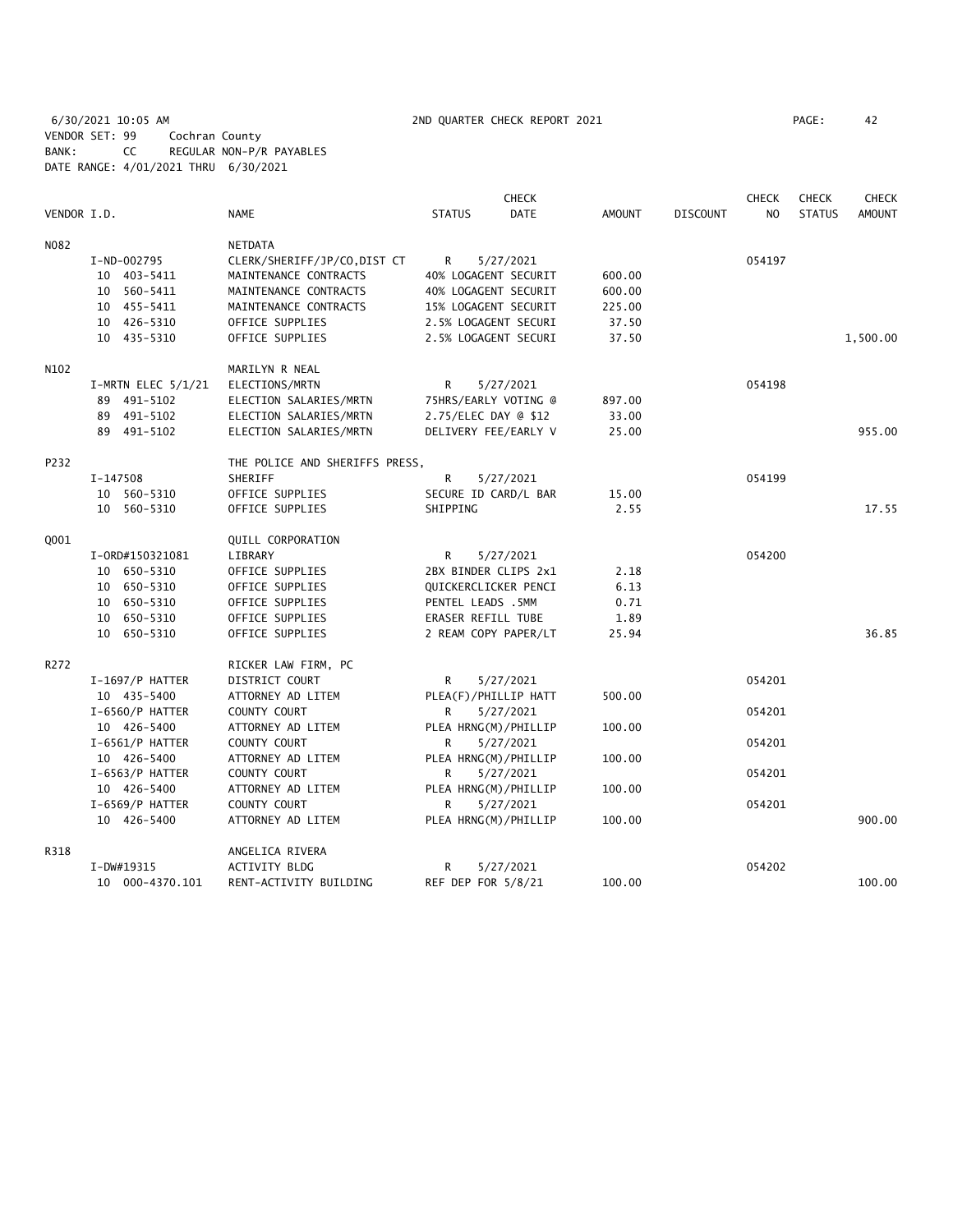6/30/2021 10:05 AM 2ND QUARTER CHECK REPORT 2021 PAGE: 42 VENDOR SET: 99 Cochran County BANK: CC REGULAR NON-P/R PAYABLES DATE RANGE: 4/01/2021 THRU 6/30/2021

|             |                        |                                |                      | <b>CHECK</b> |        |                 | <b>CHECK</b> | <b>CHECK</b>  | <b>CHECK</b>  |
|-------------|------------------------|--------------------------------|----------------------|--------------|--------|-----------------|--------------|---------------|---------------|
| VENDOR I.D. |                        | <b>NAME</b>                    | <b>STATUS</b>        | <b>DATE</b>  | AMOUNT | <b>DISCOUNT</b> | NO.          | <b>STATUS</b> | <b>AMOUNT</b> |
| N082        |                        | NETDATA                        |                      |              |        |                 |              |               |               |
|             | I-ND-002795            | CLERK/SHERIFF/JP/CO, DIST CT   | R                    | 5/27/2021    |        |                 | 054197       |               |               |
|             | 10 403-5411            | MAINTENANCE CONTRACTS          | 40% LOGAGENT SECURIT |              | 600.00 |                 |              |               |               |
|             | 10 560-5411            | MAINTENANCE CONTRACTS          | 40% LOGAGENT SECURIT |              | 600.00 |                 |              |               |               |
|             | 10 455-5411            | MAINTENANCE CONTRACTS          | 15% LOGAGENT SECURIT |              | 225.00 |                 |              |               |               |
|             | 10 426-5310            | OFFICE SUPPLIES                | 2.5% LOGAGENT SECURI |              | 37.50  |                 |              |               |               |
|             | 10 435-5310            | OFFICE SUPPLIES                | 2.5% LOGAGENT SECURI |              | 37.50  |                 |              |               | 1,500.00      |
| N102        |                        | MARILYN R NEAL                 |                      |              |        |                 |              |               |               |
|             | $I-MRTN$ ELEC $5/1/21$ | ELECTIONS/MRTN                 | R                    | 5/27/2021    |        |                 | 054198       |               |               |
|             | 89 491-5102            | ELECTION SALARIES/MRTN         | 75HRS/EARLY VOTING @ |              | 897.00 |                 |              |               |               |
|             | 89 491-5102            | ELECTION SALARIES/MRTN         | 2.75/ELEC DAY @ \$12 |              | 33.00  |                 |              |               |               |
|             | 89 491-5102            | ELECTION SALARIES/MRTN         | DELIVERY FEE/EARLY V |              | 25.00  |                 |              |               | 955.00        |
| P232        |                        | THE POLICE AND SHERIFFS PRESS, |                      |              |        |                 |              |               |               |
|             | I-147508               | SHERIFF                        | R                    | 5/27/2021    |        |                 | 054199       |               |               |
|             | 10 560-5310            | OFFICE SUPPLIES                | SECURE ID CARD/L BAR |              | 15.00  |                 |              |               |               |
|             | 10 560-5310            | OFFICE SUPPLIES                | SHIPPING             |              | 2.55   |                 |              |               | 17.55         |
| Q001        |                        | QUILL CORPORATION              |                      |              |        |                 |              |               |               |
|             | I-0RD#150321081        | LIBRARY                        | R                    | 5/27/2021    |        |                 | 054200       |               |               |
|             | 10 650-5310            | OFFICE SUPPLIES                | 2BX BINDER CLIPS 2x1 |              | 2.18   |                 |              |               |               |
|             | 10 650-5310            | OFFICE SUPPLIES                | QUICKERCLICKER PENCI |              | 6.13   |                 |              |               |               |
|             | 10 650-5310            | OFFICE SUPPLIES                | PENTEL LEADS .5MM    |              | 0.71   |                 |              |               |               |
|             | 10 650-5310            | OFFICE SUPPLIES                | ERASER REFILL TUBE   |              | 1.89   |                 |              |               |               |
|             | 10 650-5310            | OFFICE SUPPLIES                | 2 REAM COPY PAPER/LT |              | 25.94  |                 |              |               | 36.85         |
| R272        |                        | RICKER LAW FIRM, PC            |                      |              |        |                 |              |               |               |
|             | I-1697/P HATTER        | DISTRICT COURT                 | R                    | 5/27/2021    |        |                 | 054201       |               |               |
|             | 10 435-5400            | ATTORNEY AD LITEM              | PLEA(F)/PHILLIP HATT |              | 500.00 |                 |              |               |               |
|             | I-6560/P HATTER        | COUNTY COURT                   | R                    | 5/27/2021    |        |                 | 054201       |               |               |
|             | 10 426-5400            | ATTORNEY AD LITEM              | PLEA HRNG(M)/PHILLIP |              | 100.00 |                 |              |               |               |
|             | $I-6561/P$ HATTER      | COUNTY COURT                   | R                    | 5/27/2021    |        |                 | 054201       |               |               |
|             | 10 426-5400            | ATTORNEY AD LITEM              | PLEA HRNG(M)/PHILLIP |              | 100.00 |                 |              |               |               |
|             | $I-6563/P$ HATTER      | COUNTY COURT                   | R                    | 5/27/2021    |        |                 | 054201       |               |               |
|             | 10 426-5400            | ATTORNEY AD LITEM              | PLEA HRNG(M)/PHILLIP |              | 100.00 |                 |              |               |               |
|             | I-6569/P HATTER        | COUNTY COURT                   | R                    | 5/27/2021    |        |                 | 054201       |               |               |
|             | 10 426-5400            | ATTORNEY AD LITEM              | PLEA HRNG(M)/PHILLIP |              | 100.00 |                 |              |               | 900.00        |
| R318        |                        | ANGELICA RIVERA                |                      |              |        |                 |              |               |               |
|             | $I-DW#19315$           | ACTIVITY BLDG                  | R                    | 5/27/2021    |        |                 | 054202       |               |               |
|             | 10 000-4370.101        | RENT-ACTIVITY BUILDING         | REF DEP FOR 5/8/21   |              | 100.00 |                 |              |               | 100.00        |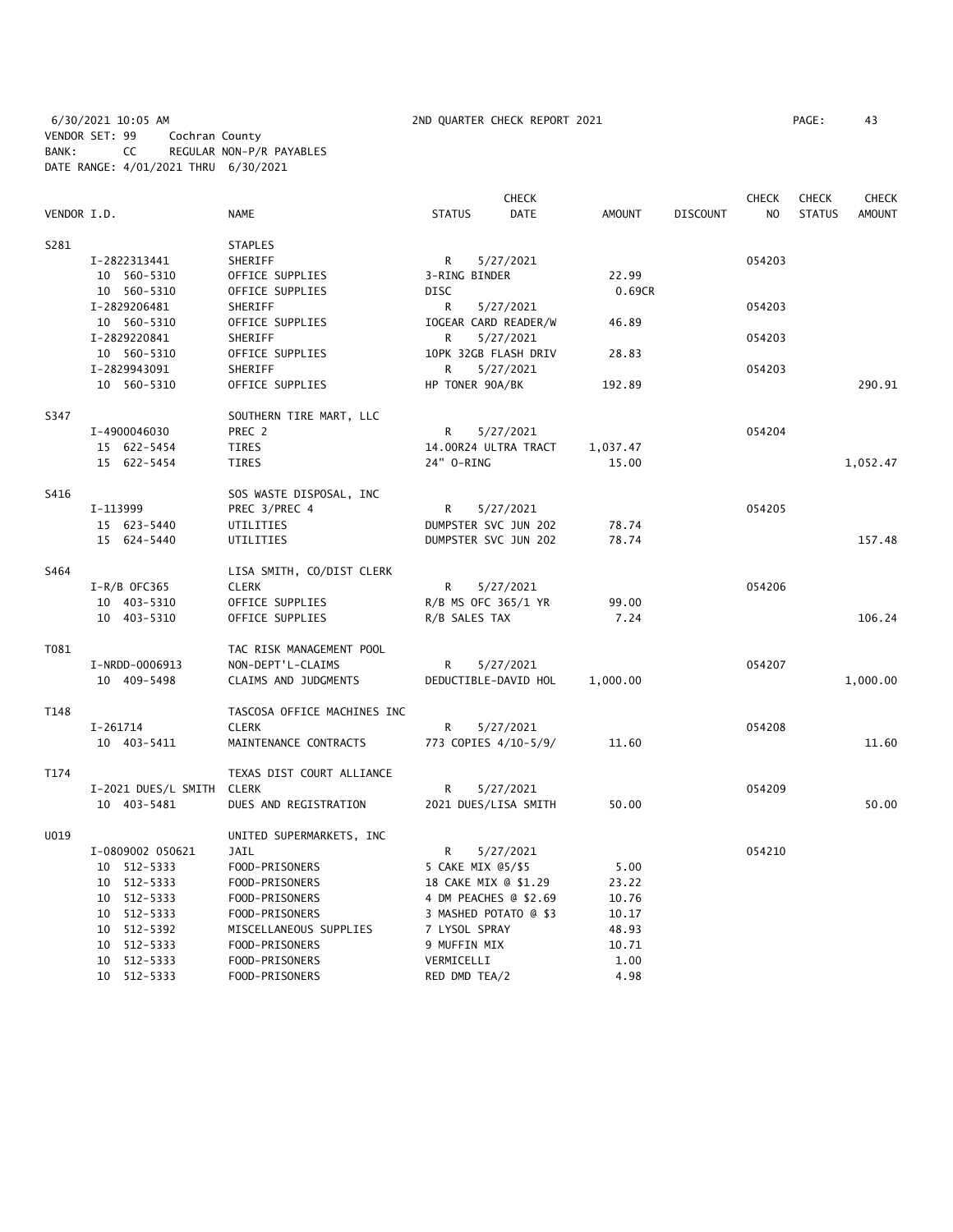6/30/2021 10:05 AM 2ND QUARTER CHECK REPORT 2021 PAGE: 43 VENDOR SET: 99 Cochran County BANK: CC REGULAR NON-P/R PAYABLES DATE RANGE: 4/01/2021 THRU 6/30/2021

|             |                           |                             |                       | <b>CHECK</b> |               |                 | <b>CHECK</b>   | <b>CHECK</b>  | <b>CHECK</b>  |
|-------------|---------------------------|-----------------------------|-----------------------|--------------|---------------|-----------------|----------------|---------------|---------------|
| VENDOR I.D. |                           | <b>NAME</b>                 | <b>STATUS</b>         | <b>DATE</b>  | <b>AMOUNT</b> | <b>DISCOUNT</b> | N <sub>O</sub> | <b>STATUS</b> | <b>AMOUNT</b> |
| S281        |                           | <b>STAPLES</b>              |                       |              |               |                 |                |               |               |
|             | I-2822313441              | SHERIFF                     | R                     | 5/27/2021    |               |                 | 054203         |               |               |
|             | 10 560-5310               | OFFICE SUPPLIES             | 3-RING BINDER         |              | 22.99         |                 |                |               |               |
|             | 10 560-5310               | OFFICE SUPPLIES             | <b>DISC</b>           |              | 0.69CR        |                 |                |               |               |
|             | I-2829206481              | SHERIFF                     | R                     | 5/27/2021    |               |                 | 054203         |               |               |
|             | 10 560-5310               | OFFICE SUPPLIES             | IOGEAR CARD READER/W  |              | 46.89         |                 |                |               |               |
|             | I-2829220841              | SHERIFF                     | R                     | 5/27/2021    |               |                 | 054203         |               |               |
|             | 10 560-5310               | OFFICE SUPPLIES             | 10PK 32GB FLASH DRIV  |              | 28.83         |                 |                |               |               |
|             | I-2829943091              | SHERIFF                     | R                     | 5/27/2021    |               |                 | 054203         |               |               |
|             | 10 560-5310               | OFFICE SUPPLIES             | HP TONER 90A/BK       |              | 192.89        |                 |                |               | 290.91        |
| S347        |                           | SOUTHERN TIRE MART, LLC     |                       |              |               |                 |                |               |               |
|             | I-4900046030              | PREC 2                      | R                     | 5/27/2021    |               |                 | 054204         |               |               |
|             | 15 622-5454               | TIRES                       | 14.00R24 ULTRA TRACT  |              | 1,037.47      |                 |                |               |               |
|             | 15 622-5454               | <b>TIRES</b>                | 24" 0-RING            |              | 15.00         |                 |                |               | 1,052.47      |
| S416        |                           | SOS WASTE DISPOSAL, INC     |                       |              |               |                 |                |               |               |
|             | I-113999                  | PREC 3/PREC 4               | R                     | 5/27/2021    |               |                 | 054205         |               |               |
|             | 15 623-5440               | UTILITIES                   | DUMPSTER SVC JUN 202  |              | 78.74         |                 |                |               |               |
|             | 15 624-5440               | UTILITIES                   | DUMPSTER SVC JUN 202  |              | 78.74         |                 |                |               | 157.48        |
| S464        |                           | LISA SMITH, CO/DIST CLERK   |                       |              |               |                 |                |               |               |
|             | $I-R/B$ OFC365            | <b>CLERK</b>                | R                     | 5/27/2021    |               |                 | 054206         |               |               |
|             | 10 403-5310               | OFFICE SUPPLIES             | R/B MS OFC 365/1 YR   |              | 99.00         |                 |                |               |               |
|             | 10 403-5310               | OFFICE SUPPLIES             | R/B SALES TAX         |              | 7.24          |                 |                |               | 106.24        |
| T081        |                           | TAC RISK MANAGEMENT POOL    |                       |              |               |                 |                |               |               |
|             | I-NRDD-0006913            | NON-DEPT'L-CLAIMS           | R                     | 5/27/2021    |               |                 | 054207         |               |               |
|             | 10 409-5498               | CLAIMS AND JUDGMENTS        | DEDUCTIBLE-DAVID HOL  |              | 1,000.00      |                 |                |               | 1,000.00      |
| T148        |                           | TASCOSA OFFICE MACHINES INC |                       |              |               |                 |                |               |               |
|             | I-261714                  | <b>CLERK</b>                | R                     | 5/27/2021    |               |                 | 054208         |               |               |
|             | 10 403-5411               | MAINTENANCE CONTRACTS       | 773 COPIES 4/10-5/9/  |              | 11.60         |                 |                |               | 11.60         |
| T174        |                           | TEXAS DIST COURT ALLIANCE   |                       |              |               |                 |                |               |               |
|             | I-2021 DUES/L SMITH CLERK |                             | R                     | 5/27/2021    |               |                 | 054209         |               |               |
|             | 10 403-5481               | DUES AND REGISTRATION       | 2021 DUES/LISA SMITH  |              | 50.00         |                 |                |               | 50.00         |
| U019        |                           | UNITED SUPERMARKETS, INC    |                       |              |               |                 |                |               |               |
|             | I-0809002 050621          | <b>JAIL</b>                 | R                     | 5/27/2021    |               |                 | 054210         |               |               |
|             | 10 512-5333               | FOOD-PRISONERS              | 5 CAKE MIX @5/\$5     |              | 5.00          |                 |                |               |               |
|             | 10 512-5333               | FOOD-PRISONERS              | 18 CAKE MIX @ \$1.29  |              | 23.22         |                 |                |               |               |
|             | 10 512-5333               | FOOD-PRISONERS              | 4 DM PEACHES @ \$2.69 |              | 10.76         |                 |                |               |               |
|             | 10 512-5333               | FOOD-PRISONERS              | 3 MASHED POTATO @ \$3 |              | 10.17         |                 |                |               |               |
|             | 10 512-5392               | MISCELLANEOUS SUPPLIES      | 7 LYSOL SPRAY         |              | 48.93         |                 |                |               |               |
|             | 512-5333<br>10            | FOOD-PRISONERS              | 9 MUFFIN MIX          |              | 10.71         |                 |                |               |               |
|             | 10 512-5333               | FOOD-PRISONERS              | VERMICELLI            |              | 1.00          |                 |                |               |               |
|             | 10 512-5333               | FOOD-PRISONERS              | RED DMD TEA/2         |              | 4.98          |                 |                |               |               |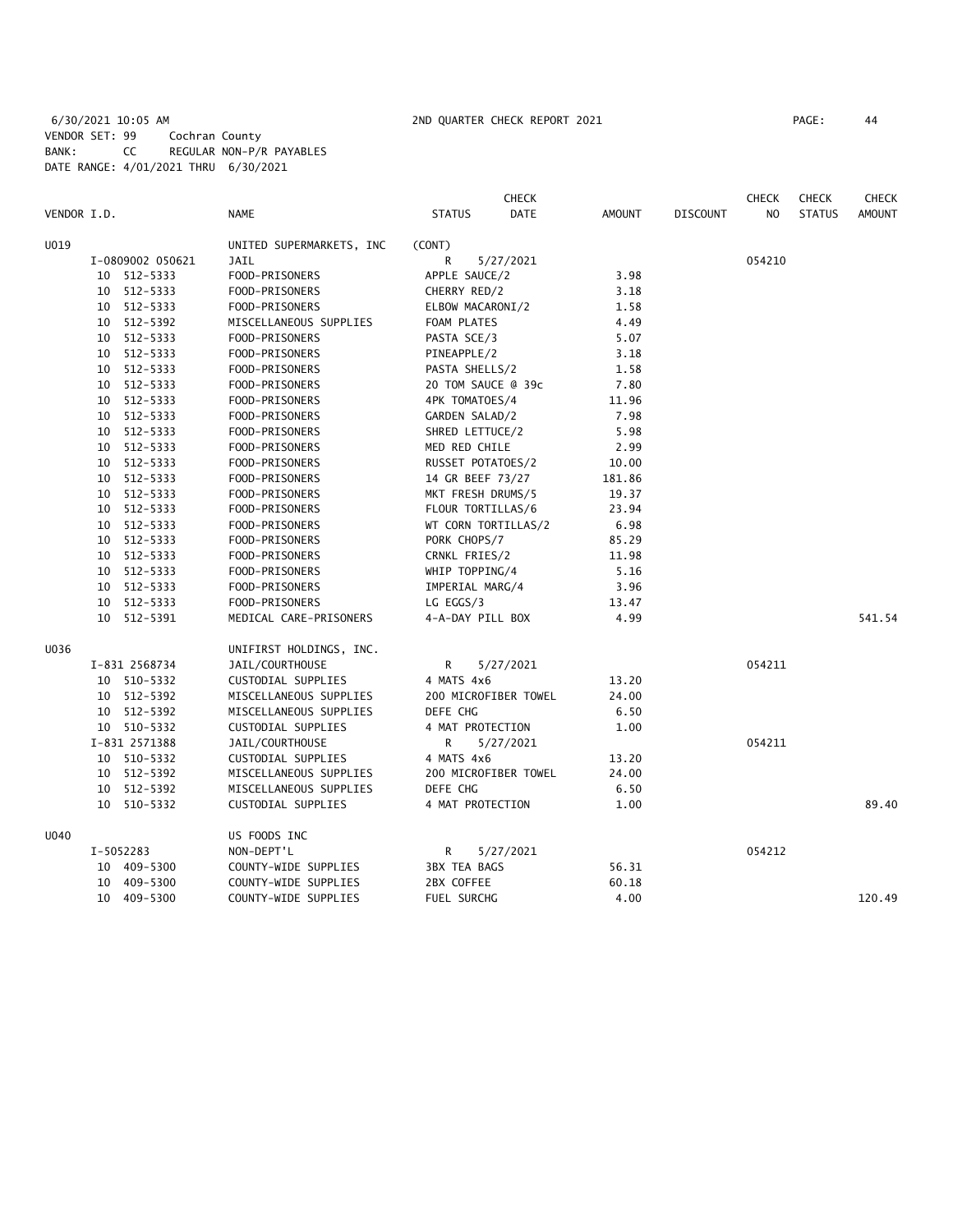# 6/30/2021 10:05 AM 2ND QUARTER CHECK REPORT 2021 PAGE: 44 VENDOR SET: 99 Cochran County BANK: CC REGULAR NON-P/R PAYABLES DATE RANGE: 4/01/2021 THRU 6/30/2021

|             |    |                  |                          |                     | <b>CHECK</b>         |               |                 | <b>CHECK</b>   | <b>CHECK</b>  | <b>CHECK</b>  |
|-------------|----|------------------|--------------------------|---------------------|----------------------|---------------|-----------------|----------------|---------------|---------------|
| VENDOR I.D. |    |                  | NAME                     | <b>STATUS</b>       | DATE                 | <b>AMOUNT</b> | <b>DISCOUNT</b> | N <sub>O</sub> | <b>STATUS</b> | <b>AMOUNT</b> |
| U019        |    |                  | UNITED SUPERMARKETS, INC | (CONT)              |                      |               |                 |                |               |               |
|             |    | I-0809002 050621 | <b>JAIL</b>              | R                   | 5/27/2021            |               |                 | 054210         |               |               |
|             |    | 10 512-5333      | FOOD-PRISONERS           | APPLE SAUCE/2       |                      | 3.98          |                 |                |               |               |
|             |    | 10 512-5333      | FOOD-PRISONERS           | CHERRY RED/2        |                      | 3.18          |                 |                |               |               |
|             |    | 10 512-5333      | FOOD-PRISONERS           | ELBOW MACARONI/2    |                      | 1.58          |                 |                |               |               |
|             |    | 10 512-5392      | MISCELLANEOUS SUPPLIES   | FOAM PLATES         |                      | 4.49          |                 |                |               |               |
|             |    | 10 512-5333      | FOOD-PRISONERS           | PASTA SCE/3         |                      | 5.07          |                 |                |               |               |
|             |    | 10 512-5333      | FOOD-PRISONERS           | PINEAPPLE/2         |                      | 3.18          |                 |                |               |               |
|             |    | 10 512-5333      | FOOD-PRISONERS           | PASTA SHELLS/2      |                      | 1.58          |                 |                |               |               |
|             |    | 10 512-5333      | FOOD-PRISONERS           | 20 TOM SAUCE @ 39c  |                      | 7.80          |                 |                |               |               |
|             |    | 10 512-5333      | FOOD-PRISONERS           | 4PK TOMATOES/4      |                      | 11.96         |                 |                |               |               |
|             |    | 10 512-5333      | FOOD-PRISONERS           | GARDEN SALAD/2      |                      | 7.98          |                 |                |               |               |
|             |    | 10 512-5333      | FOOD-PRISONERS           | SHRED LETTUCE/2     |                      | 5.98          |                 |                |               |               |
|             |    | 10 512-5333      | FOOD-PRISONERS           | MED RED CHILE       |                      | 2.99          |                 |                |               |               |
|             |    | 10 512-5333      | FOOD-PRISONERS           | RUSSET POTATOES/2   |                      | 10.00         |                 |                |               |               |
|             |    | 10 512-5333      | FOOD-PRISONERS           | 14 GR BEEF 73/27    |                      | 181.86        |                 |                |               |               |
|             |    | 10 512-5333      | FOOD-PRISONERS           | MKT FRESH DRUMS/5   |                      | 19.37         |                 |                |               |               |
|             |    | 10 512-5333      | FOOD-PRISONERS           | FLOUR TORTILLAS/6   |                      | 23.94         |                 |                |               |               |
|             |    | 10 512-5333      | FOOD-PRISONERS           | WT CORN TORTILLAS/2 |                      | 6.98          |                 |                |               |               |
|             |    | 10 512-5333      | FOOD-PRISONERS           | PORK CHOPS/7        |                      | 85.29         |                 |                |               |               |
|             |    | 10 512-5333      | FOOD-PRISONERS           | CRNKL FRIES/2       |                      | 11.98         |                 |                |               |               |
|             |    | 10 512-5333      | FOOD-PRISONERS           | WHIP TOPPING/4      |                      | 5.16          |                 |                |               |               |
|             |    | 10 512-5333      | FOOD-PRISONERS           | IMPERIAL MARG/4     |                      | 3.96          |                 |                |               |               |
|             |    | 10 512-5333      | FOOD-PRISONERS           | LG EGGS/3           |                      | 13.47         |                 |                |               |               |
|             |    | 10 512-5391      | MEDICAL CARE-PRISONERS   | 4-A-DAY PILL BOX    |                      | 4.99          |                 |                |               | 541.54        |
| U036        |    |                  | UNIFIRST HOLDINGS, INC.  |                     |                      |               |                 |                |               |               |
|             |    | I-831 2568734    | JAIL/COURTHOUSE          | R                   | 5/27/2021            |               |                 | 054211         |               |               |
|             |    | 10 510-5332      | CUSTODIAL SUPPLIES       | 4 MATS 4x6          |                      | 13.20         |                 |                |               |               |
|             |    | 10 512-5392      | MISCELLANEOUS SUPPLIES   |                     | 200 MICROFIBER TOWEL | 24.00         |                 |                |               |               |
|             |    | 10 512-5392      | MISCELLANEOUS SUPPLIES   | DEFE CHG            |                      | 6.50          |                 |                |               |               |
|             |    | 10 510-5332      | CUSTODIAL SUPPLIES       | 4 MAT PROTECTION    |                      | 1.00          |                 |                |               |               |
|             |    | I-831 2571388    | JAIL/COURTHOUSE          | R.                  | 5/27/2021            |               |                 | 054211         |               |               |
|             |    | 10 510-5332      | CUSTODIAL SUPPLIES       | 4 MATS 4x6          |                      | 13.20         |                 |                |               |               |
|             |    | 10 512-5392      | MISCELLANEOUS SUPPLIES   |                     | 200 MICROFIBER TOWEL | 24.00         |                 |                |               |               |
|             |    | 10 512-5392      | MISCELLANEOUS SUPPLIES   | DEFE CHG            |                      | 6.50          |                 |                |               |               |
|             |    | 10 510-5332      | CUSTODIAL SUPPLIES       | 4 MAT PROTECTION    |                      | 1.00          |                 |                |               | 89.40         |
| U040        |    |                  | US FOODS INC             |                     |                      |               |                 |                |               |               |
|             |    | I-5052283        | NON-DEPT'L               | R                   | 5/27/2021            |               |                 | 054212         |               |               |
|             |    | 10 409-5300      | COUNTY-WIDE SUPPLIES     | <b>3BX TEA BAGS</b> |                      | 56.31         |                 |                |               |               |
|             | 10 | 409-5300         | COUNTY-WIDE SUPPLIES     | 2BX COFFEE          |                      | 60.18         |                 |                |               |               |
|             |    | 10 409-5300      | COUNTY-WIDE SUPPLIES     | FUEL SURCHG         |                      | 4.00          |                 |                |               | 120.49        |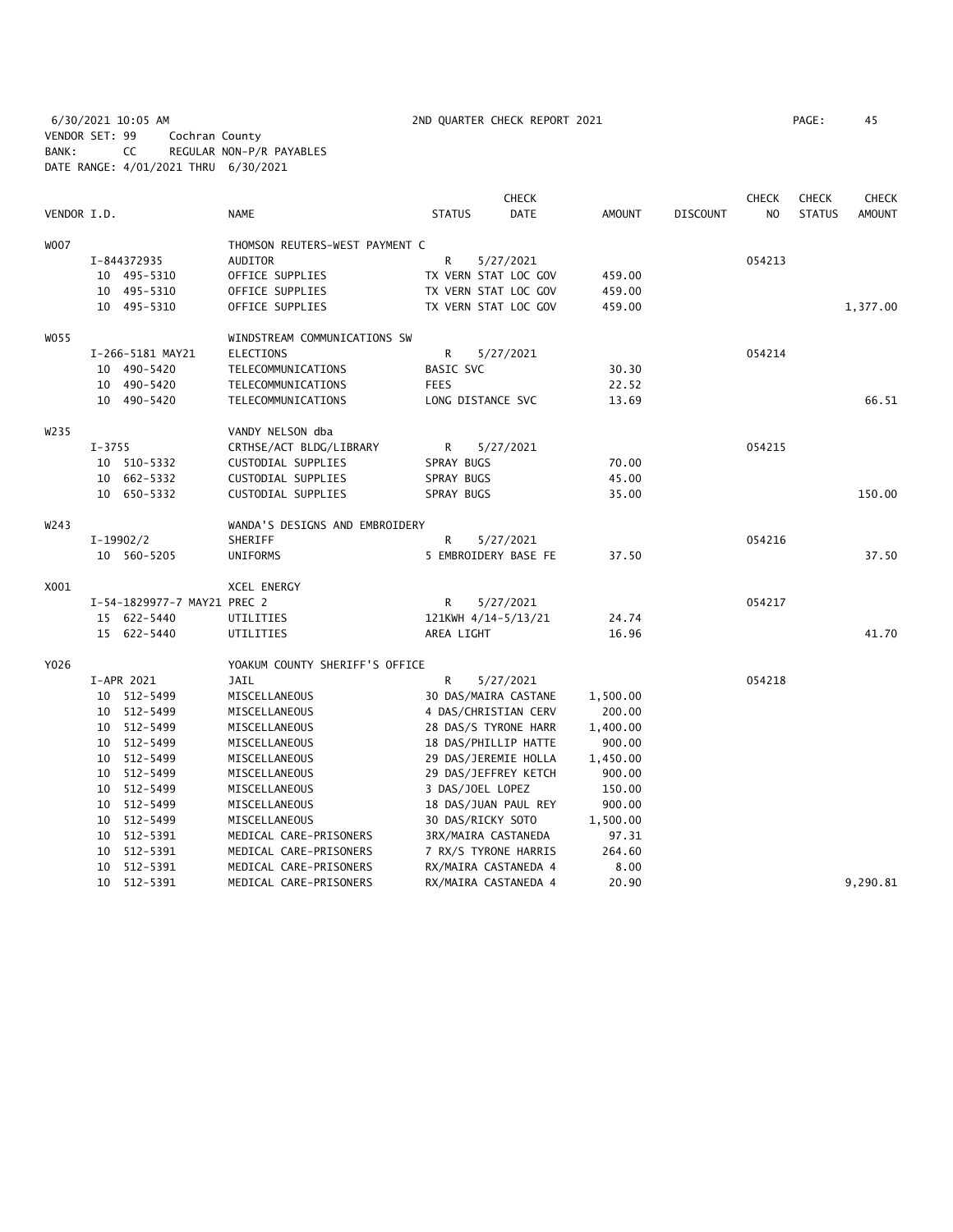6/30/2021 10:05 AM 2ND QUARTER CHECK REPORT 2021 PAGE: 45 VENDOR SET: 99 Cochran County BANK: CC REGULAR NON-P/R PAYABLES DATE RANGE: 4/01/2021 THRU 6/30/2021

|             |            |                             |                                |               | <b>CHECK</b>         |               |                 | <b>CHECK</b>   | <b>CHECK</b>  | <b>CHECK</b>  |
|-------------|------------|-----------------------------|--------------------------------|---------------|----------------------|---------------|-----------------|----------------|---------------|---------------|
| VENDOR I.D. |            |                             | <b>NAME</b>                    | <b>STATUS</b> | <b>DATE</b>          | <b>AMOUNT</b> | <b>DISCOUNT</b> | N <sub>O</sub> | <b>STATUS</b> | <b>AMOUNT</b> |
| <b>WOO7</b> |            |                             | THOMSON REUTERS-WEST PAYMENT C |               |                      |               |                 |                |               |               |
|             |            | I-844372935                 | AUDITOR                        | R             | 5/27/2021            |               |                 | 054213         |               |               |
|             |            | 10 495-5310                 | OFFICE SUPPLIES                |               | TX VERN STAT LOC GOV | 459.00        |                 |                |               |               |
|             |            | 10 495-5310                 | OFFICE SUPPLIES                |               | TX VERN STAT LOC GOV | 459.00        |                 |                |               |               |
|             |            | 10 495-5310                 | OFFICE SUPPLIES                |               | TX VERN STAT LOC GOV | 459.00        |                 |                |               | 1,377.00      |
| W055        |            |                             | WINDSTREAM COMMUNICATIONS SW   |               |                      |               |                 |                |               |               |
|             |            | I-266-5181 MAY21            | <b>ELECTIONS</b>               | R             | 5/27/2021            |               |                 | 054214         |               |               |
|             |            | 10 490-5420                 | TELECOMMUNICATIONS             | BASIC SVC     |                      | 30.30         |                 |                |               |               |
|             |            | 10 490-5420                 | TELECOMMUNICATIONS             | <b>FEES</b>   |                      | 22.52         |                 |                |               |               |
|             |            | 10 490-5420                 | TELECOMMUNICATIONS             |               | LONG DISTANCE SVC    | 13.69         |                 |                |               | 66.51         |
| W235        |            |                             | VANDY NELSON dba               |               |                      |               |                 |                |               |               |
|             | $I - 3755$ |                             | CRTHSE/ACT BLDG/LIBRARY        | R             | 5/27/2021            |               |                 | 054215         |               |               |
|             |            | 10 510-5332                 | CUSTODIAL SUPPLIES             | SPRAY BUGS    |                      | 70.00         |                 |                |               |               |
|             |            | 10 662-5332                 | CUSTODIAL SUPPLIES             | SPRAY BUGS    |                      | 45.00         |                 |                |               |               |
|             |            | 10 650-5332                 | CUSTODIAL SUPPLIES             | SPRAY BUGS    |                      | 35.00         |                 |                |               | 150.00        |
| W243        |            |                             | WANDA'S DESIGNS AND EMBROIDERY |               |                      |               |                 |                |               |               |
|             |            | $I-19902/2$                 | SHERIFF                        | R             | 5/27/2021            |               |                 | 054216         |               |               |
|             |            | 10 560-5205                 | <b>UNIFORMS</b>                |               | 5 EMBROIDERY BASE FE | 37.50         |                 |                |               | 37.50         |
| X001        |            |                             | XCEL ENERGY                    |               |                      |               |                 |                |               |               |
|             |            | I-54-1829977-7 MAY21 PREC 2 |                                | R             | 5/27/2021            |               |                 | 054217         |               |               |
|             |            | 15 622-5440                 | UTILITIES                      |               | 121KWH 4/14-5/13/21  | 24.74         |                 |                |               |               |
|             |            | 15 622-5440                 | UTILITIES                      | AREA LIGHT    |                      | 16.96         |                 |                |               | 41.70         |
| Y026        |            |                             | YOAKUM COUNTY SHERIFF'S OFFICE |               |                      |               |                 |                |               |               |
|             |            | I-APR 2021                  | JAIL                           | R             | 5/27/2021            |               |                 | 054218         |               |               |
|             |            | 10 512-5499                 | MISCELLANEOUS                  |               | 30 DAS/MAIRA CASTANE | 1,500.00      |                 |                |               |               |
|             |            | 10 512-5499                 | MISCELLANEOUS                  |               | 4 DAS/CHRISTIAN CERV | 200.00        |                 |                |               |               |
|             |            | 10 512-5499                 | MISCELLANEOUS                  |               | 28 DAS/S TYRONE HARR | 1,400.00      |                 |                |               |               |
|             |            | 10 512-5499                 | MISCELLANEOUS                  |               | 18 DAS/PHILLIP HATTE | 900.00        |                 |                |               |               |
|             |            | 10 512-5499                 | MISCELLANEOUS                  |               | 29 DAS/JEREMIE HOLLA | 1,450.00      |                 |                |               |               |
|             |            | 10 512-5499                 | MISCELLANEOUS                  |               | 29 DAS/JEFFREY KETCH | 900.00        |                 |                |               |               |
|             |            | 10 512-5499                 | MISCELLANEOUS                  |               | 3 DAS/JOEL LOPEZ     | 150.00        |                 |                |               |               |
|             |            | 10 512-5499                 | MISCELLANEOUS                  |               | 18 DAS/JUAN PAUL REY | 900.00        |                 |                |               |               |
|             |            | 10 512-5499                 | MISCELLANEOUS                  |               | 30 DAS/RICKY SOTO    | 1,500.00      |                 |                |               |               |
|             |            | 10 512-5391                 | MEDICAL CARE-PRISONERS         |               | 3RX/MAIRA CASTANEDA  | 97.31         |                 |                |               |               |
|             |            | 10 512-5391                 | MEDICAL CARE-PRISONERS         |               | 7 RX/S TYRONE HARRIS | 264.60        |                 |                |               |               |
|             |            | 10 512-5391                 | MEDICAL CARE-PRISONERS         |               | RX/MAIRA CASTANEDA 4 | 8.00          |                 |                |               |               |
|             |            | 10 512-5391                 | MEDICAL CARE-PRISONERS         |               | RX/MAIRA CASTANEDA 4 | 20.90         |                 |                |               | 9,290.81      |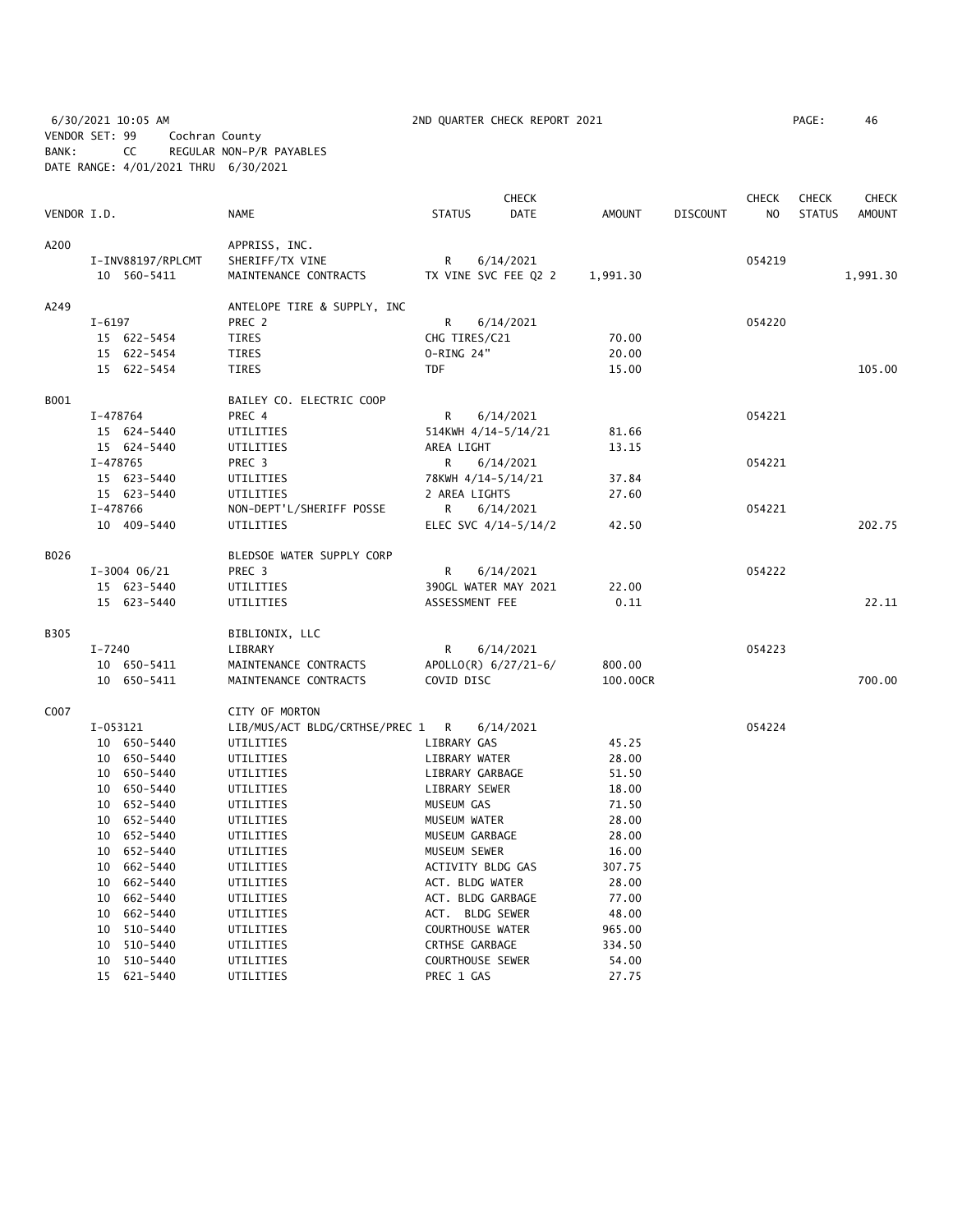6/30/2021 10:05 AM 2ND QUARTER CHECK REPORT 2021 PAGE: 46 VENDOR SET: 99 Cochran County BANK: CC REGULAR NON-P/R PAYABLES DATE RANGE: 4/01/2021 THRU 6/30/2021

|             |          |                   |                                  |                 | <b>CHECK</b>            |          |                 | <b>CHECK</b>   | <b>CHECK</b>  | <b>CHECK</b>  |
|-------------|----------|-------------------|----------------------------------|-----------------|-------------------------|----------|-----------------|----------------|---------------|---------------|
| VENDOR I.D. |          |                   | <b>NAME</b>                      | <b>STATUS</b>   | <b>DATE</b>             | AMOUNT   | <b>DISCOUNT</b> | N <sub>O</sub> | <b>STATUS</b> | <b>AMOUNT</b> |
| A200        |          |                   | APPRISS, INC.                    |                 |                         |          |                 |                |               |               |
|             |          | I-INV88197/RPLCMT | SHERIFF/TX VINE                  | $\mathsf{R}$    | 6/14/2021               |          |                 | 054219         |               |               |
|             |          | 10 560-5411       | MAINTENANCE CONTRACTS            |                 | TX VINE SVC FEE Q2 2    | 1,991.30 |                 |                |               | 1,991.30      |
| A249        |          |                   | ANTELOPE TIRE & SUPPLY, INC      |                 |                         |          |                 |                |               |               |
|             | $I-6197$ |                   | PREC 2                           | R               | 6/14/2021               |          |                 | 054220         |               |               |
|             |          | 15 622-5454       | TIRES                            | CHG TIRES/C21   |                         | 70.00    |                 |                |               |               |
|             |          | 15 622-5454       | TIRES                            | O-RING 24"      |                         | 20.00    |                 |                |               |               |
|             |          | 15 622-5454       | <b>TIRES</b>                     | <b>TDF</b>      |                         | 15.00    |                 |                |               | 105.00        |
| B001        |          |                   | BAILEY CO. ELECTRIC COOP         |                 |                         |          |                 |                |               |               |
|             |          | I-478764          | PREC 4                           | R               | 6/14/2021               |          |                 | 054221         |               |               |
|             |          | 15 624-5440       | UTILITIES                        |                 | 514KWH 4/14-5/14/21     | 81.66    |                 |                |               |               |
|             |          | 15 624-5440       | UTILITIES                        | AREA LIGHT      |                         | 13.15    |                 |                |               |               |
|             |          | I-478765          | PREC <sub>3</sub>                | R.              | 6/14/2021               |          |                 | 054221         |               |               |
|             |          | 15 623-5440       | UTILITIES                        |                 | 78KWH 4/14-5/14/21      | 37.84    |                 |                |               |               |
|             |          | 15 623-5440       | UTILITIES                        | 2 AREA LIGHTS   |                         | 27.60    |                 |                |               |               |
|             |          | I-478766          | NON-DEPT'L/SHERIFF POSSE         | R               | 6/14/2021               |          |                 | 054221         |               |               |
|             |          | 10 409-5440       | UTILITIES                        |                 | ELEC SVC 4/14-5/14/2    | 42.50    |                 |                |               | 202.75        |
| B026        |          |                   | BLEDSOE WATER SUPPLY CORP        |                 |                         |          |                 |                |               |               |
|             |          | $I-3004$ 06/21    | PREC 3                           | R               | 6/14/2021               |          |                 | 054222         |               |               |
|             |          | 15 623-5440       | UTILITIES                        |                 | 390GL WATER MAY 2021    | 22.00    |                 |                |               |               |
|             |          | 15 623-5440       | UTILITIES                        | ASSESSMENT FEE  |                         | 0.11     |                 |                |               | 22.11         |
| B305        |          |                   | BIBLIONIX, LLC                   |                 |                         |          |                 |                |               |               |
|             | I-7240   |                   | LIBRARY                          | R               | 6/14/2021               |          |                 | 054223         |               |               |
|             |          | 10 650-5411       | MAINTENANCE CONTRACTS            |                 | APOLLO(R) 6/27/21-6/    | 800.00   |                 |                |               |               |
|             |          | 10 650-5411       | MAINTENANCE CONTRACTS            | COVID DISC      |                         | 100.00CR |                 |                |               | 700.00        |
| C007        |          |                   | CITY OF MORTON                   |                 |                         |          |                 |                |               |               |
|             |          | I-053121          | LIB/MUS/ACT BLDG/CRTHSE/PREC 1 R |                 | 6/14/2021               |          |                 | 054224         |               |               |
|             |          | 10 650-5440       | UTILITIES                        | LIBRARY GAS     |                         | 45.25    |                 |                |               |               |
|             |          | 10 650-5440       | UTILITIES                        | LIBRARY WATER   |                         | 28.00    |                 |                |               |               |
|             |          | 10 650-5440       | UTILITIES                        |                 | LIBRARY GARBAGE         | 51.50    |                 |                |               |               |
|             |          | 10 650-5440       | UTILITIES                        | LIBRARY SEWER   |                         | 18.00    |                 |                |               |               |
|             |          | 10 652-5440       | UTILITIES                        | MUSEUM GAS      |                         | 71.50    |                 |                |               |               |
|             |          | 10 652-5440       | UTILITIES                        | MUSEUM WATER    |                         | 28.00    |                 |                |               |               |
|             |          | 10 652-5440       | UTILITIES                        | MUSEUM GARBAGE  |                         | 28.00    |                 |                |               |               |
|             |          | 10 652-5440       | UTILITIES                        | MUSEUM SEWER    |                         | 16.00    |                 |                |               |               |
|             |          | 10 662-5440       | UTILITIES                        |                 | ACTIVITY BLDG GAS       | 307.75   |                 |                |               |               |
|             |          | 10 662-5440       | UTILITIES                        | ACT. BLDG WATER |                         | 28.00    |                 |                |               |               |
|             |          | 10 662-5440       | UTILITIES                        |                 | ACT. BLDG GARBAGE       | 77.00    |                 |                |               |               |
|             |          | 10 662-5440       | UTILITIES                        |                 | ACT. BLDG SEWER         | 48.00    |                 |                |               |               |
|             | 10       | 510-5440          | UTILITIES                        |                 | <b>COURTHOUSE WATER</b> | 965.00   |                 |                |               |               |
|             | 10       | 510-5440          | UTILITIES                        | CRTHSE GARBAGE  |                         | 334.50   |                 |                |               |               |
|             |          | 10 510-5440       | UTILITIES                        |                 | COURTHOUSE SEWER        | 54.00    |                 |                |               |               |
|             |          | 15 621-5440       | UTILITIES                        | PREC 1 GAS      |                         | 27.75    |                 |                |               |               |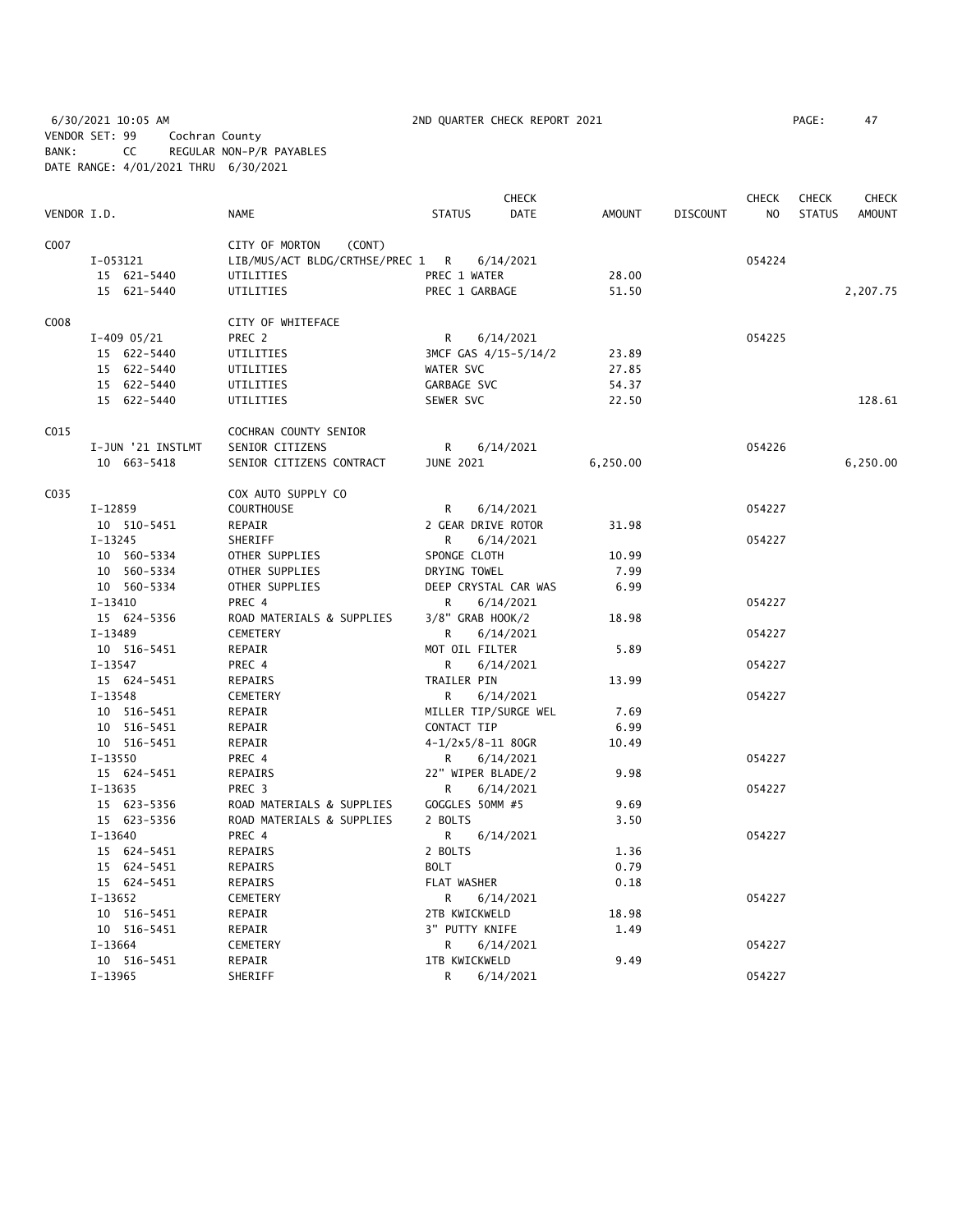6/30/2021 10:05 AM 2ND QUARTER CHECK REPORT 2021 PAGE: 47 VENDOR SET: 99 Cochran County BANK: CC REGULAR NON-P/R PAYABLES DATE RANGE: 4/01/2021 THRU 6/30/2021

|                  |                            |                                       |                                | CHECK                |               |                 | <b>CHECK</b> | <b>CHECK</b>  | <b>CHECK</b>  |
|------------------|----------------------------|---------------------------------------|--------------------------------|----------------------|---------------|-----------------|--------------|---------------|---------------|
| VENDOR I.D.      |                            | NAME                                  | <b>STATUS</b>                  | <b>DATE</b>          | <b>AMOUNT</b> | <b>DISCOUNT</b> | NO.          | <b>STATUS</b> | <b>AMOUNT</b> |
| C007             |                            | CITY OF MORTON<br>(CONT)              |                                |                      |               |                 |              |               |               |
|                  | I-053121                   | LIB/MUS/ACT BLDG/CRTHSE/PREC 1 R      |                                | 6/14/2021            |               |                 | 054224       |               |               |
|                  | 15 621-5440                | UTILITIES                             | PREC 1 WATER                   |                      | 28.00         |                 |              |               |               |
|                  | 15 621-5440                | UTILITIES                             | PREC 1 GARBAGE                 |                      | 51.50         |                 |              |               | 2,207.75      |
|                  |                            |                                       |                                |                      |               |                 |              |               |               |
| C <sub>008</sub> |                            | CITY OF WHITEFACE                     |                                |                      |               |                 |              |               |               |
|                  | $I-409$ 05/21              | PREC 2                                | R                              | 6/14/2021            |               |                 | 054225       |               |               |
|                  | 15 622-5440                | UTILITIES                             |                                | 3MCF GAS 4/15-5/14/2 | 23.89         |                 |              |               |               |
|                  | 15 622-5440                | UTILITIES                             | WATER SVC                      |                      | 27.85         |                 |              |               |               |
|                  | 15 622-5440                | UTILITIES                             | GARBAGE SVC                    |                      | 54.37         |                 |              |               |               |
|                  | 15 622-5440                | UTILITIES                             | SEWER SVC                      |                      | 22.50         |                 |              |               | 128.61        |
| C015             |                            | COCHRAN COUNTY SENIOR                 |                                |                      |               |                 |              |               |               |
|                  | I-JUN '21 INSTLMT          | SENIOR CITIZENS                       | R                              | 6/14/2021            |               |                 | 054226       |               |               |
|                  | 10 663-5418                | SENIOR CITIZENS CONTRACT              | <b>JUNE 2021</b>               |                      | 6,250.00      |                 |              |               | 6,250.00      |
| C035             |                            | COX AUTO SUPPLY CO                    |                                |                      |               |                 |              |               |               |
|                  | $I-12859$                  | <b>COURTHOUSE</b>                     | R                              | 6/14/2021            |               |                 | 054227       |               |               |
|                  | 10 510-5451                | REPAIR                                | 2 GEAR DRIVE ROTOR             |                      | 31.98         |                 |              |               |               |
|                  | $I-13245$                  | SHERIFF                               | R.                             | 6/14/2021            |               |                 | 054227       |               |               |
|                  | 10 560-5334                | OTHER SUPPLIES                        | SPONGE CLOTH                   |                      | 10.99         |                 |              |               |               |
|                  | 10 560-5334                | OTHER SUPPLIES                        | DRYING TOWEL                   |                      | 7.99          |                 |              |               |               |
|                  | 10 560-5334                | OTHER SUPPLIES                        | DEEP CRYSTAL CAR WAS           |                      | 6.99          |                 |              |               |               |
|                  | $I-13410$                  | PREC 4                                | R                              | 6/14/2021            |               |                 | 054227       |               |               |
|                  |                            |                                       |                                |                      |               |                 |              |               |               |
|                  | 15 624-5356<br>$I-13489$   | ROAD MATERIALS & SUPPLIES<br>CEMETERY | 3/8" GRAB HOOK/2               | 6/14/2021            | 18.98         |                 | 054227       |               |               |
|                  |                            |                                       | R                              |                      |               |                 |              |               |               |
|                  | 10 516-5451<br>$I - 13547$ | REPAIR                                | MOT OIL FILTER                 |                      | 5.89          |                 |              |               |               |
|                  |                            | PREC 4                                | R                              | 6/14/2021            |               |                 | 054227       |               |               |
|                  | 15 624-5451                | REPAIRS                               | TRAILER PIN                    |                      | 13.99         |                 |              |               |               |
|                  | $I-13548$                  | CEMETERY                              | R                              | 6/14/2021            |               |                 | 054227       |               |               |
|                  | 10 516-5451                | REPAIR                                | MILLER TIP/SURGE WEL           |                      | 7.69          |                 |              |               |               |
|                  | 10 516-5451                | REPAIR                                | CONTACT TIP                    |                      | 6.99          |                 |              |               |               |
|                  | 10 516-5451                | REPAIR                                | $4 - 1/2 \times 5/8 - 11$ 80GR |                      | 10.49         |                 |              |               |               |
|                  | $I-13550$                  | PREC 4                                | R                              | 6/14/2021            |               |                 | 054227       |               |               |
|                  | 15 624-5451                | REPAIRS                               | 22" WIPER BLADE/2              |                      | 9.98          |                 |              |               |               |
|                  | I-13635                    | PREC <sub>3</sub>                     | R                              | 6/14/2021            |               |                 | 054227       |               |               |
|                  | 15 623-5356                | ROAD MATERIALS & SUPPLIES             | GOGGLES 50MM #5                |                      | 9.69          |                 |              |               |               |
|                  | 15 623-5356                | ROAD MATERIALS & SUPPLIES             | 2 BOLTS                        |                      | 3.50          |                 |              |               |               |
|                  | $I - 13640$                | PREC 4                                | R                              | 6/14/2021            |               |                 | 054227       |               |               |
|                  | 15 624-5451                | REPAIRS                               | 2 BOLTS                        |                      | 1.36          |                 |              |               |               |
|                  | 15 624-5451                | REPAIRS                               | <b>BOLT</b>                    |                      | 0.79          |                 |              |               |               |
|                  | 15 624-5451                | REPAIRS                               | FLAT WASHER                    |                      | 0.18          |                 |              |               |               |
|                  | $I-13652$                  | CEMETERY                              | R                              | 6/14/2021            |               |                 | 054227       |               |               |
|                  | 10 516-5451                | REPAIR                                | 2TB KWICKWELD                  |                      | 18.98         |                 |              |               |               |
|                  | 10 516-5451                | REPAIR                                | 3" PUTTY KNIFE                 |                      | 1.49          |                 |              |               |               |
|                  | $I-13664$                  | CEMETERY                              | R                              | 6/14/2021            |               |                 | 054227       |               |               |
|                  | 10 516-5451                | REPAIR                                | 1TB KWICKWELD                  |                      | 9.49          |                 |              |               |               |
|                  | $I-13965$                  | SHERIFF                               | R                              | 6/14/2021            |               |                 | 054227       |               |               |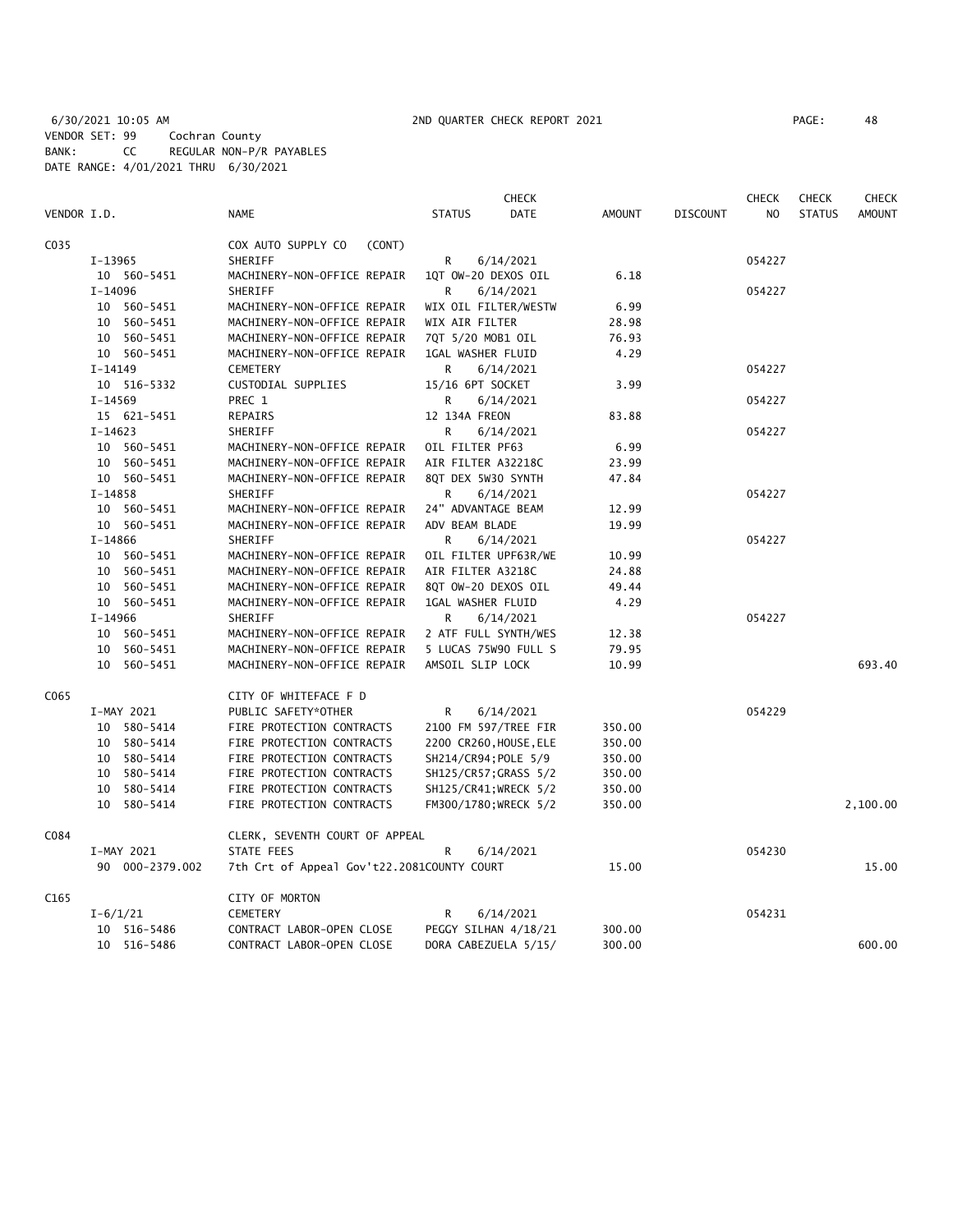|             |                 |                                            |                        | <b>CHECK</b>         |               |                 | <b>CHECK</b>   | <b>CHECK</b>  | <b>CHECK</b>  |
|-------------|-----------------|--------------------------------------------|------------------------|----------------------|---------------|-----------------|----------------|---------------|---------------|
| VENDOR I.D. |                 | <b>NAME</b>                                | <b>STATUS</b>          | DATE                 | <b>AMOUNT</b> | <b>DISCOUNT</b> | N <sub>O</sub> | <b>STATUS</b> | <b>AMOUNT</b> |
| C035        |                 | COX AUTO SUPPLY CO<br>(CONT)               |                        |                      |               |                 |                |               |               |
|             | $I-13965$       | SHERIFF                                    | R                      | 6/14/2021            |               |                 | 054227         |               |               |
|             | 10 560-5451     | MACHINERY-NON-OFFICE REPAIR                | 1QT OW-20 DEXOS OIL    |                      | 6.18          |                 |                |               |               |
|             | I-14096         | SHERIFF                                    | R                      | 6/14/2021            |               |                 | 054227         |               |               |
|             | 10 560-5451     | MACHINERY-NON-OFFICE REPAIR                | WIX OIL FILTER/WESTW   |                      | 6.99          |                 |                |               |               |
|             | 10 560-5451     | MACHINERY-NON-OFFICE REPAIR                | WIX AIR FILTER         |                      | 28.98         |                 |                |               |               |
|             | 10 560-5451     | MACHINERY-NON-OFFICE REPAIR                | 7QT 5/20 MOB1 OIL      |                      | 76.93         |                 |                |               |               |
|             | 10 560-5451     | MACHINERY-NON-OFFICE REPAIR                | 1GAL WASHER FLUID      |                      | 4.29          |                 |                |               |               |
|             | I-14149         | <b>CEMETERY</b>                            | R                      | 6/14/2021            |               |                 | 054227         |               |               |
|             | 10 516-5332     | CUSTODIAL SUPPLIES                         | 15/16 6PT SOCKET       |                      | 3.99          |                 |                |               |               |
|             | $I-14569$       | PREC 1                                     | R                      | 6/14/2021            |               |                 | 054227         |               |               |
|             | 15 621-5451     | REPAIRS                                    | 12 134A FREON          |                      | 83.88         |                 |                |               |               |
|             | $I-14623$       | SHERIFF                                    | R                      | 6/14/2021            |               |                 | 054227         |               |               |
|             | 10 560-5451     | MACHINERY-NON-OFFICE REPAIR                | OIL FILTER PF63        |                      | 6.99          |                 |                |               |               |
|             | 10 560-5451     | MACHINERY-NON-OFFICE REPAIR                | AIR FILTER A32218C     |                      | 23.99         |                 |                |               |               |
|             | 10 560-5451     | MACHINERY-NON-OFFICE REPAIR                | 8QT DEX 5W30 SYNTH     |                      | 47.84         |                 |                |               |               |
|             | I-14858         | SHERIFF                                    | R                      | 6/14/2021            |               |                 | 054227         |               |               |
|             | 10 560-5451     | MACHINERY-NON-OFFICE REPAIR                | 24" ADVANTAGE BEAM     |                      | 12.99         |                 |                |               |               |
|             | 10 560-5451     | MACHINERY-NON-OFFICE REPAIR                | ADV BEAM BLADE         |                      | 19.99         |                 |                |               |               |
|             | $I-14866$       | SHERIFF                                    | R                      | 6/14/2021            |               |                 | 054227         |               |               |
|             | 10 560-5451     | MACHINERY-NON-OFFICE REPAIR                | OIL FILTER UPF63R/WE   |                      | 10.99         |                 |                |               |               |
|             | 10 560-5451     | MACHINERY-NON-OFFICE REPAIR                | AIR FILTER A3218C      |                      | 24.88         |                 |                |               |               |
|             | 10 560-5451     | MACHINERY-NON-OFFICE REPAIR                | 8QT OW-20 DEXOS OIL    |                      | 49.44         |                 |                |               |               |
|             | 10 560-5451     | MACHINERY-NON-OFFICE REPAIR                | 1GAL WASHER FLUID      |                      | 4.29          |                 |                |               |               |
|             | I-14966         | SHERIFF                                    | R                      | 6/14/2021            |               |                 | 054227         |               |               |
|             | 10 560-5451     | MACHINERY-NON-OFFICE REPAIR                | 2 ATF FULL SYNTH/WES   |                      | 12.38         |                 |                |               |               |
|             | 10 560-5451     | MACHINERY-NON-OFFICE REPAIR                | 5 LUCAS 75W90 FULL S   |                      | 79.95         |                 |                |               |               |
|             | 10 560-5451     | MACHINERY-NON-OFFICE REPAIR                | AMSOIL SLIP LOCK       |                      | 10.99         |                 |                |               | 693.40        |
| C065        |                 | CITY OF WHITEFACE F D                      |                        |                      |               |                 |                |               |               |
|             | I-MAY 2021      | PUBLIC SAFETY*OTHER                        | R                      | 6/14/2021            |               |                 | 054229         |               |               |
|             | 10 580-5414     | FIRE PROTECTION CONTRACTS                  | 2100 FM 597/TREE FIR   |                      | 350.00        |                 |                |               |               |
|             | 10 580-5414     | FIRE PROTECTION CONTRACTS                  | 2200 CR260, HOUSE, ELE |                      | 350.00        |                 |                |               |               |
|             | 10 580-5414     | FIRE PROTECTION CONTRACTS                  | SH214/CR94; POLE 5/9   |                      | 350.00        |                 |                |               |               |
|             | 10 580-5414     | FIRE PROTECTION CONTRACTS                  | SH125/CR57; GRASS 5/2  |                      | 350.00        |                 |                |               |               |
|             | 10 580-5414     | FIRE PROTECTION CONTRACTS                  | SH125/CR41; WRECK 5/2  |                      | 350.00        |                 |                |               |               |
|             | 10 580-5414     | FIRE PROTECTION CONTRACTS                  | FM300/1780; WRECK 5/2  |                      | 350.00        |                 |                |               | 2,100.00      |
| C084        |                 | CLERK, SEVENTH COURT OF APPEAL             |                        |                      |               |                 |                |               |               |
|             | I-MAY 2021      | STATE FEES                                 | R                      | 6/14/2021            |               |                 | 054230         |               |               |
|             | 90 000-2379.002 | 7th Crt of Appeal Gov't22.2081COUNTY COURT |                        |                      | 15.00         |                 |                |               | 15.00         |
| C165        |                 | CITY OF MORTON                             |                        |                      |               |                 |                |               |               |
|             | $I - 6/1/21$    | <b>CEMETERY</b>                            | R                      | 6/14/2021            |               |                 | 054231         |               |               |
|             | 10 516-5486     | CONTRACT LABOR-OPEN CLOSE                  |                        | PEGGY SILHAN 4/18/21 | 300.00        |                 |                |               |               |
|             | 10 516-5486     | CONTRACT LABOR-OPEN CLOSE                  | DORA CABEZUELA 5/15/   |                      | 300.00        |                 |                |               | 600.00        |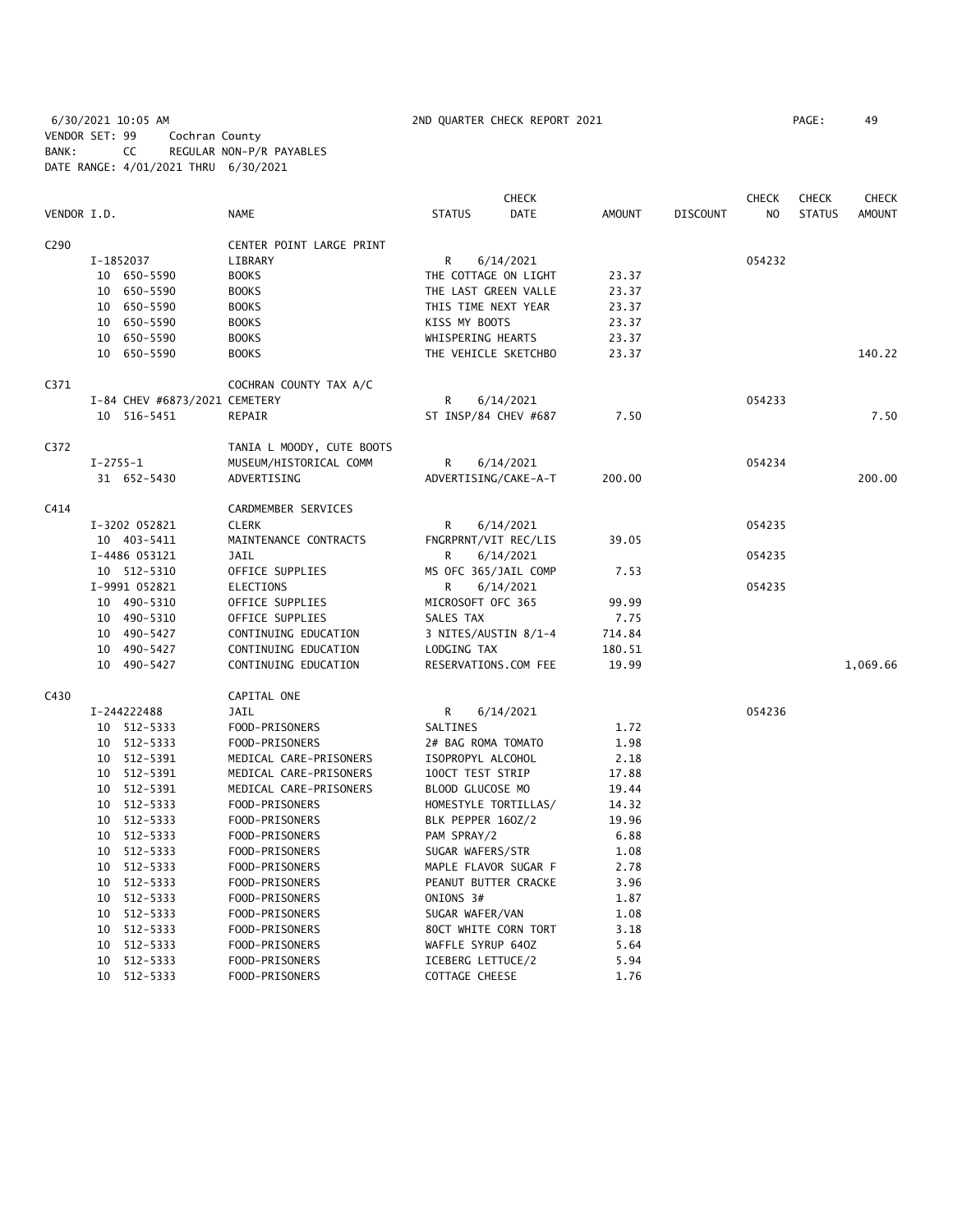6/30/2021 10:05 AM 2ND QUARTER CHECK REPORT 2021 PAGE: 49 VENDOR SET: 99 Cochran County BANK: CC REGULAR NON-P/R PAYABLES DATE RANGE: 4/01/2021 THRU 6/30/2021

|                  |            |                               |                           |                      | CHECK       |               |                 | CHECK  | <b>CHECK</b>  | <b>CHECK</b> |
|------------------|------------|-------------------------------|---------------------------|----------------------|-------------|---------------|-----------------|--------|---------------|--------------|
| VENDOR I.D.      |            |                               | <b>NAME</b>               | <b>STATUS</b>        | <b>DATE</b> | <b>AMOUNT</b> | <b>DISCOUNT</b> | NO.    | <b>STATUS</b> | AMOUNT       |
| C <sub>290</sub> |            |                               | CENTER POINT LARGE PRINT  |                      |             |               |                 |        |               |              |
|                  |            | I-1852037                     | LIBRARY                   | R                    | 6/14/2021   |               |                 | 054232 |               |              |
|                  |            | 10 650-5590                   | <b>BOOKS</b>              | THE COTTAGE ON LIGHT |             | 23.37         |                 |        |               |              |
|                  |            | 10 650-5590                   | <b>BOOKS</b>              | THE LAST GREEN VALLE |             | 23.37         |                 |        |               |              |
|                  |            | 10 650-5590                   | <b>BOOKS</b>              | THIS TIME NEXT YEAR  |             | 23.37         |                 |        |               |              |
|                  |            | 10 650-5590                   | <b>BOOKS</b>              | KISS MY BOOTS        |             | 23.37         |                 |        |               |              |
|                  |            | 10 650-5590                   | <b>BOOKS</b>              | WHISPERING HEARTS    |             | 23.37         |                 |        |               |              |
|                  |            | 10 650-5590                   | <b>BOOKS</b>              | THE VEHICLE SKETCHBO |             | 23.37         |                 |        |               | 140.22       |
| C371             |            |                               | COCHRAN COUNTY TAX A/C    |                      |             |               |                 |        |               |              |
|                  |            | I-84 CHEV #6873/2021 CEMETERY |                           | R                    | 6/14/2021   |               |                 | 054233 |               |              |
|                  |            | 10 516-5451                   | REPAIR                    | ST INSP/84 CHEV #687 |             | 7.50          |                 |        |               | 7.50         |
| C372             |            |                               | TANIA L MOODY, CUTE BOOTS |                      |             |               |                 |        |               |              |
|                  | $I-2755-1$ |                               | MUSEUM/HISTORICAL COMM    | R                    | 6/14/2021   |               |                 | 054234 |               |              |
|                  |            | 31 652-5430                   | ADVERTISING               | ADVERTISING/CAKE-A-T |             | 200.00        |                 |        |               | 200.00       |
| C414             |            |                               | CARDMEMBER SERVICES       |                      |             |               |                 |        |               |              |
|                  |            | I-3202 052821                 | <b>CLERK</b>              | R                    | 6/14/2021   |               |                 | 054235 |               |              |
|                  |            | 10 403-5411                   | MAINTENANCE CONTRACTS     | FNGRPRNT/VIT REC/LIS |             | 39.05         |                 |        |               |              |
|                  |            | I-4486 053121                 | <b>JAIL</b>               | R                    | 6/14/2021   |               |                 | 054235 |               |              |
|                  |            | 10 512-5310                   | OFFICE SUPPLIES           | MS OFC 365/JAIL COMP |             | 7.53          |                 |        |               |              |
|                  |            | I-9991 052821                 | ELECTIONS                 | R                    | 6/14/2021   |               |                 | 054235 |               |              |
|                  |            | 10 490-5310                   | OFFICE SUPPLIES           | MICROSOFT OFC 365    |             | 99.99         |                 |        |               |              |
|                  |            | 10 490-5310                   | OFFICE SUPPLIES           | SALES TAX            |             | 7.75          |                 |        |               |              |
|                  |            | 10 490-5427                   | CONTINUING EDUCATION      | 3 NITES/AUSTIN 8/1-4 |             | 714.84        |                 |        |               |              |
|                  |            | 10 490-5427                   | CONTINUING EDUCATION      | LODGING TAX          |             | 180.51        |                 |        |               |              |
|                  |            | 10 490-5427                   | CONTINUING EDUCATION      | RESERVATIONS.COM FEE |             | 19.99         |                 |        |               | 1,069.66     |
| C430             |            |                               | CAPITAL ONE               |                      |             |               |                 |        |               |              |
|                  |            | I-244222488                   | JAIL                      | R                    | 6/14/2021   |               |                 | 054236 |               |              |
|                  |            | 10 512-5333                   | FOOD-PRISONERS            | SALTINES             |             | 1.72          |                 |        |               |              |
|                  |            | 10 512-5333                   | FOOD-PRISONERS            | 2# BAG ROMA TOMATO   |             | 1.98          |                 |        |               |              |
|                  |            | 10 512-5391                   | MEDICAL CARE-PRISONERS    | ISOPROPYL ALCOHOL    |             | 2.18          |                 |        |               |              |
|                  |            | 10 512-5391                   | MEDICAL CARE-PRISONERS    | 100CT TEST STRIP     |             | 17.88         |                 |        |               |              |
|                  |            | 10 512-5391                   | MEDICAL CARE-PRISONERS    | BLOOD GLUCOSE MO     |             | 19.44         |                 |        |               |              |
|                  |            | 10 512-5333                   | FOOD-PRISONERS            | HOMESTYLE TORTILLAS/ |             | 14.32         |                 |        |               |              |
|                  |            | 10 512-5333                   | FOOD-PRISONERS            | BLK PEPPER 160Z/2    |             | 19.96         |                 |        |               |              |
|                  |            | 10 512-5333                   | FOOD-PRISONERS            | PAM SPRAY/2          |             | 6.88          |                 |        |               |              |
|                  |            | 10 512-5333                   | FOOD-PRISONERS            | SUGAR WAFERS/STR     |             | 1.08          |                 |        |               |              |
|                  |            | 10 512-5333                   | FOOD-PRISONERS            | MAPLE FLAVOR SUGAR F |             | 2.78          |                 |        |               |              |
|                  |            | 10 512-5333                   | FOOD-PRISONERS            | PEANUT BUTTER CRACKE |             | 3.96          |                 |        |               |              |
|                  |            | 10 512-5333                   | FOOD-PRISONERS            | ONIONS 3#            |             | 1.87          |                 |        |               |              |
|                  |            | 10 512-5333                   | FOOD-PRISONERS            | SUGAR WAFER/VAN      |             | 1.08          |                 |        |               |              |
|                  |            | 10 512-5333                   | FOOD-PRISONERS            | 80CT WHITE CORN TORT |             | 3.18          |                 |        |               |              |
|                  |            | 10 512-5333                   | FOOD-PRISONERS            | WAFFLE SYRUP 640Z    |             | 5.64          |                 |        |               |              |
|                  |            | 10 512-5333                   | FOOD-PRISONERS            | ICEBERG LETTUCE/2    |             | 5.94          |                 |        |               |              |
|                  |            | 10 512-5333                   | FOOD-PRISONERS            | COTTAGE CHEESE       |             | 1.76          |                 |        |               |              |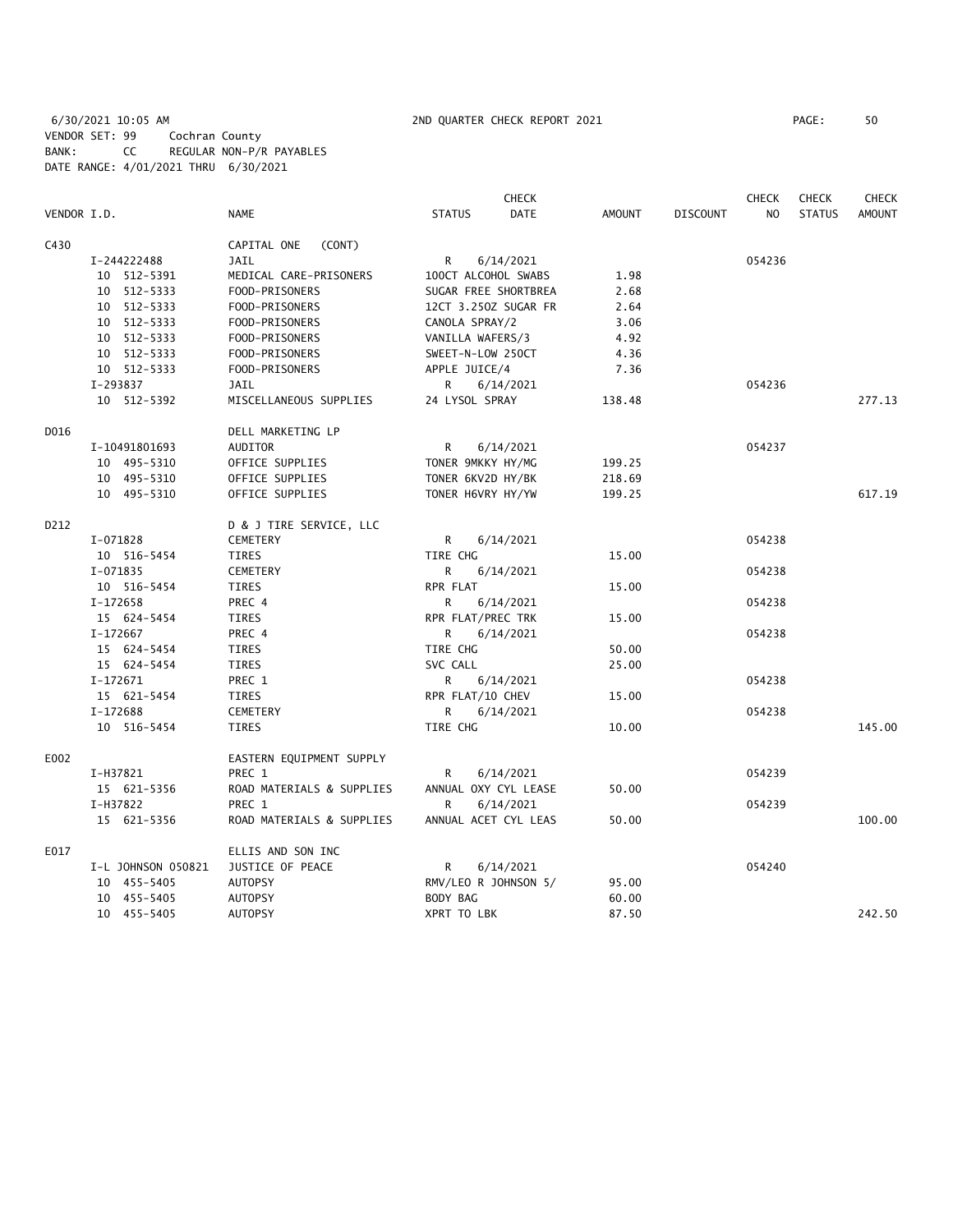6/30/2021 10:05 AM 2ND QUARTER CHECK REPORT 2021 PAGE: 50 VENDOR SET: 99 Cochran County BANK: CC REGULAR NON-P/R PAYABLES DATE RANGE: 4/01/2021 THRU 6/30/2021

|             |                    |                           | <b>CHECK</b>                 |        |                 | <b>CHECK</b> | <b>CHECK</b>  | <b>CHECK</b>  |
|-------------|--------------------|---------------------------|------------------------------|--------|-----------------|--------------|---------------|---------------|
| VENDOR I.D. |                    | <b>NAME</b>               | <b>DATE</b><br><b>STATUS</b> | AMOUNT | <b>DISCOUNT</b> | NO.          | <b>STATUS</b> | <b>AMOUNT</b> |
| C430        |                    | CAPITAL ONE<br>(CONT)     |                              |        |                 |              |               |               |
|             | I-244222488        | <b>JAIL</b>               | R<br>6/14/2021               |        |                 | 054236       |               |               |
|             | 10 512-5391        | MEDICAL CARE-PRISONERS    | 100CT ALCOHOL SWABS          | 1.98   |                 |              |               |               |
|             | 10 512-5333        | FOOD-PRISONERS            | SUGAR FREE SHORTBREA         | 2.68   |                 |              |               |               |
|             | 10 512-5333        | FOOD-PRISONERS            | 12CT 3.250Z SUGAR FR         | 2.64   |                 |              |               |               |
|             | 10 512-5333        | FOOD-PRISONERS            | CANOLA SPRAY/2               | 3.06   |                 |              |               |               |
|             | 10 512-5333        | FOOD-PRISONERS            | VANILLA WAFERS/3             | 4.92   |                 |              |               |               |
|             | 10 512-5333        | FOOD-PRISONERS            | SWEET-N-LOW 250CT            | 4.36   |                 |              |               |               |
|             | 10 512-5333        | FOOD-PRISONERS            | APPLE JUICE/4                | 7.36   |                 |              |               |               |
|             | I-293837           | JAIL                      | R<br>6/14/2021               |        |                 | 054236       |               |               |
|             | 10 512-5392        | MISCELLANEOUS SUPPLIES    | 24 LYSOL SPRAY               | 138.48 |                 |              |               | 277.13        |
| D016        |                    | DELL MARKETING LP         |                              |        |                 |              |               |               |
|             | I-10491801693      | AUDITOR                   | R<br>6/14/2021               |        |                 | 054237       |               |               |
|             | 10 495-5310        | OFFICE SUPPLIES           | TONER 9MKKY HY/MG            | 199.25 |                 |              |               |               |
|             | 10 495-5310        | OFFICE SUPPLIES           | TONER 6KV2D HY/BK            | 218.69 |                 |              |               |               |
|             | 10 495-5310        | OFFICE SUPPLIES           | TONER H6VRY HY/YW            | 199.25 |                 |              |               | 617.19        |
| D212        |                    | D & J TIRE SERVICE, LLC   |                              |        |                 |              |               |               |
|             | I-071828           | CEMETERY                  | R<br>6/14/2021               |        |                 | 054238       |               |               |
|             | 10 516-5454        | TIRES                     | TIRE CHG                     | 15.00  |                 |              |               |               |
|             | I-071835           | <b>CEMETERY</b>           | R.<br>6/14/2021              |        |                 | 054238       |               |               |
|             | 10 516-5454        | TIRES                     | RPR FLAT                     | 15.00  |                 |              |               |               |
|             | I-172658           | PREC 4                    | 6/14/2021<br>R               |        |                 | 054238       |               |               |
|             | 15 624-5454        | <b>TIRES</b>              | RPR FLAT/PREC TRK            | 15.00  |                 |              |               |               |
|             | I-172667           | PREC 4                    | R.<br>6/14/2021              |        |                 | 054238       |               |               |
|             | 15 624-5454        | TIRES                     | TIRE CHG                     | 50.00  |                 |              |               |               |
|             | 15 624-5454        | TIRES                     | SVC CALL                     | 25.00  |                 |              |               |               |
|             | I-172671           | PREC 1                    | R<br>6/14/2021               |        |                 | 054238       |               |               |
|             | 15 621-5454        | <b>TIRES</b>              | RPR FLAT/10 CHEV             | 15.00  |                 |              |               |               |
|             | I-172688           | <b>CEMETERY</b>           | 6/14/2021<br>R               |        |                 | 054238       |               |               |
|             | 10 516-5454        | TIRES                     | TIRE CHG                     | 10.00  |                 |              |               | 145.00        |
| E002        |                    | EASTERN EQUIPMENT SUPPLY  |                              |        |                 |              |               |               |
|             | I-H37821           | PREC 1                    | R<br>6/14/2021               |        |                 | 054239       |               |               |
|             | 15 621-5356        | ROAD MATERIALS & SUPPLIES | ANNUAL OXY CYL LEASE         | 50.00  |                 |              |               |               |
|             | I-H37822           | PREC 1                    | R.<br>6/14/2021              |        |                 | 054239       |               |               |
|             | 15 621-5356        | ROAD MATERIALS & SUPPLIES | ANNUAL ACET CYL LEAS         | 50.00  |                 |              |               | 100.00        |
| E017        |                    | ELLIS AND SON INC         |                              |        |                 |              |               |               |
|             | I-L JOHNSON 050821 | JUSTICE OF PEACE          | 6/14/2021<br>R               |        |                 | 054240       |               |               |
|             | 10 455-5405        | <b>AUTOPSY</b>            | RMV/LEO R JOHNSON 5/         | 95.00  |                 |              |               |               |
|             | 10 455-5405        | <b>AUTOPSY</b>            | BODY BAG                     | 60.00  |                 |              |               |               |
|             | 10 455-5405        | <b>AUTOPSY</b>            | XPRT TO LBK                  | 87.50  |                 |              |               | 242.50        |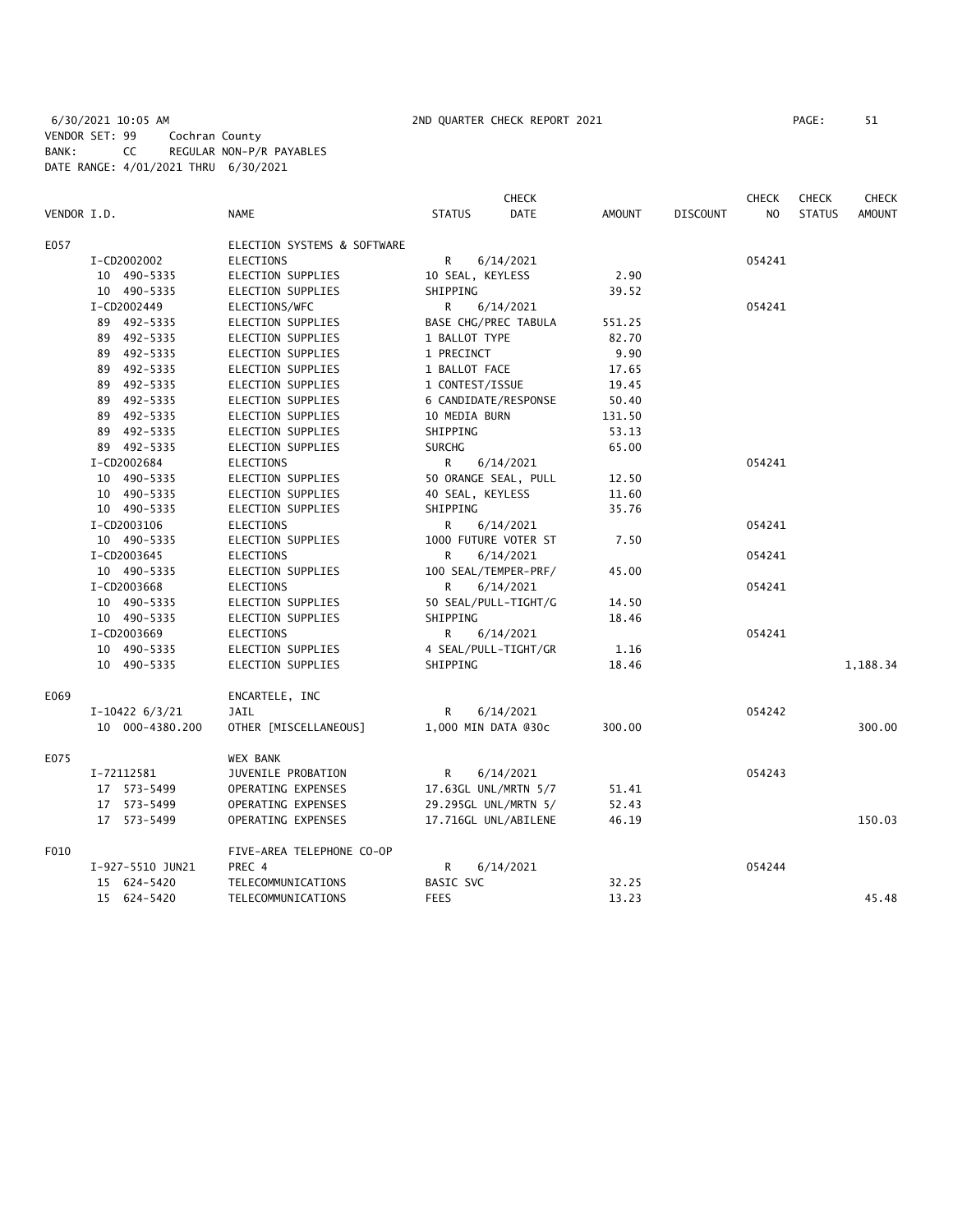|             |                  |                             |                  | <b>CHECK</b>         |               |          | <b>CHECK</b>   | <b>CHECK</b>  | <b>CHECK</b>  |
|-------------|------------------|-----------------------------|------------------|----------------------|---------------|----------|----------------|---------------|---------------|
| VENDOR I.D. |                  | <b>NAME</b>                 | <b>STATUS</b>    | <b>DATE</b>          | <b>AMOUNT</b> | DISCOUNT | N <sub>O</sub> | <b>STATUS</b> | <b>AMOUNT</b> |
| E057        |                  | ELECTION SYSTEMS & SOFTWARE |                  |                      |               |          |                |               |               |
|             | I-CD2002002      | ELECTIONS                   | R                | 6/14/2021            |               |          | 054241         |               |               |
|             | 10 490-5335      | ELECTION SUPPLIES           | 10 SEAL, KEYLESS |                      | 2.90          |          |                |               |               |
|             | 10 490-5335      | ELECTION SUPPLIES           | SHIPPING         |                      | 39.52         |          |                |               |               |
|             | I-CD2002449      | ELECTIONS/WFC               | R                | 6/14/2021            |               |          | 054241         |               |               |
|             | 89 492-5335      | ELECTION SUPPLIES           |                  | BASE CHG/PREC TABULA | 551.25        |          |                |               |               |
|             | 89 492-5335      | ELECTION SUPPLIES           | 1 BALLOT TYPE    |                      | 82.70         |          |                |               |               |
|             | 89 492-5335      | ELECTION SUPPLIES           | 1 PRECINCT       |                      | 9.90          |          |                |               |               |
|             | 89 492-5335      | ELECTION SUPPLIES           | 1 BALLOT FACE    |                      | 17.65         |          |                |               |               |
|             | 89 492-5335      | ELECTION SUPPLIES           | 1 CONTEST/ISSUE  |                      | 19.45         |          |                |               |               |
|             | 89 492-5335      | ELECTION SUPPLIES           |                  | 6 CANDIDATE/RESPONSE | 50.40         |          |                |               |               |
|             | 89 492-5335      | ELECTION SUPPLIES           | 10 MEDIA BURN    |                      | 131.50        |          |                |               |               |
|             | 89 492-5335      | ELECTION SUPPLIES           | SHIPPING         |                      | 53.13         |          |                |               |               |
|             | 89 492-5335      | ELECTION SUPPLIES           | <b>SURCHG</b>    |                      | 65.00         |          |                |               |               |
|             | I-CD2002684      | ELECTIONS                   | R                | 6/14/2021            |               |          | 054241         |               |               |
|             | 10 490-5335      | ELECTION SUPPLIES           |                  | 50 ORANGE SEAL, PULL | 12.50         |          |                |               |               |
|             | 10 490-5335      | ELECTION SUPPLIES           | 40 SEAL, KEYLESS |                      | 11.60         |          |                |               |               |
|             | 10 490-5335      | ELECTION SUPPLIES           | SHIPPING         |                      | 35.76         |          |                |               |               |
|             | I-CD2003106      | <b>ELECTIONS</b>            | R.               | 6/14/2021            |               |          | 054241         |               |               |
|             | 10 490-5335      | ELECTION SUPPLIES           |                  | 1000 FUTURE VOTER ST | 7.50          |          |                |               |               |
|             | I-CD2003645      | <b>ELECTIONS</b>            | R                | 6/14/2021            |               |          | 054241         |               |               |
|             | 10 490-5335      | ELECTION SUPPLIES           |                  | 100 SEAL/TEMPER-PRF/ | 45.00         |          |                |               |               |
|             | I-CD2003668      | ELECTIONS                   | R                | 6/14/2021            |               |          | 054241         |               |               |
|             | 10 490-5335      | ELECTION SUPPLIES           |                  | 50 SEAL/PULL-TIGHT/G | 14.50         |          |                |               |               |
|             | 10 490-5335      | ELECTION SUPPLIES           | SHIPPING         |                      | 18.46         |          |                |               |               |
|             | I-CD2003669      | ELECTIONS                   | R                | 6/14/2021            |               |          | 054241         |               |               |
|             | 10 490-5335      | ELECTION SUPPLIES           |                  | 4 SEAL/PULL-TIGHT/GR | 1.16          |          |                |               |               |
|             | 10 490-5335      | ELECTION SUPPLIES           | SHIPPING         |                      | 18.46         |          |                |               | 1,188.34      |
|             |                  |                             |                  |                      |               |          |                |               |               |
| E069        |                  | ENCARTELE, INC              |                  |                      |               |          |                |               |               |
|             | $I-10422$ 6/3/21 | <b>JAIL</b>                 | R                | 6/14/2021            |               |          | 054242         |               |               |
|             | 10 000-4380.200  | OTHER [MISCELLANEOUS]       |                  | 1,000 MIN DATA @30c  | 300.00        |          |                |               | 300.00        |
| E075        |                  | <b>WEX BANK</b>             |                  |                      |               |          |                |               |               |
|             | I-72112581       | JUVENILE PROBATION          | R                | 6/14/2021            |               |          | 054243         |               |               |
|             | 17 573-5499      | OPERATING EXPENSES          |                  | 17.63GL UNL/MRTN 5/7 | 51.41         |          |                |               |               |
|             | 17 573-5499      | OPERATING EXPENSES          |                  | 29.295GL UNL/MRTN 5/ | 52.43         |          |                |               |               |
|             | 17 573-5499      | OPERATING EXPENSES          |                  | 17.716GL UNL/ABILENE | 46.19         |          |                |               | 150.03        |
| F010        |                  | FIVE-AREA TELEPHONE CO-OP   |                  |                      |               |          |                |               |               |
|             | I-927-5510 JUN21 | PREC 4                      | R                | 6/14/2021            |               |          | 054244         |               |               |
|             | 15 624-5420      | TELECOMMUNICATIONS          | BASIC SVC        |                      | 32.25         |          |                |               |               |
|             | 15 624-5420      | TELECOMMUNICATIONS          | <b>FEES</b>      |                      | 13.23         |          |                |               | 45.48         |
|             |                  |                             |                  |                      |               |          |                |               |               |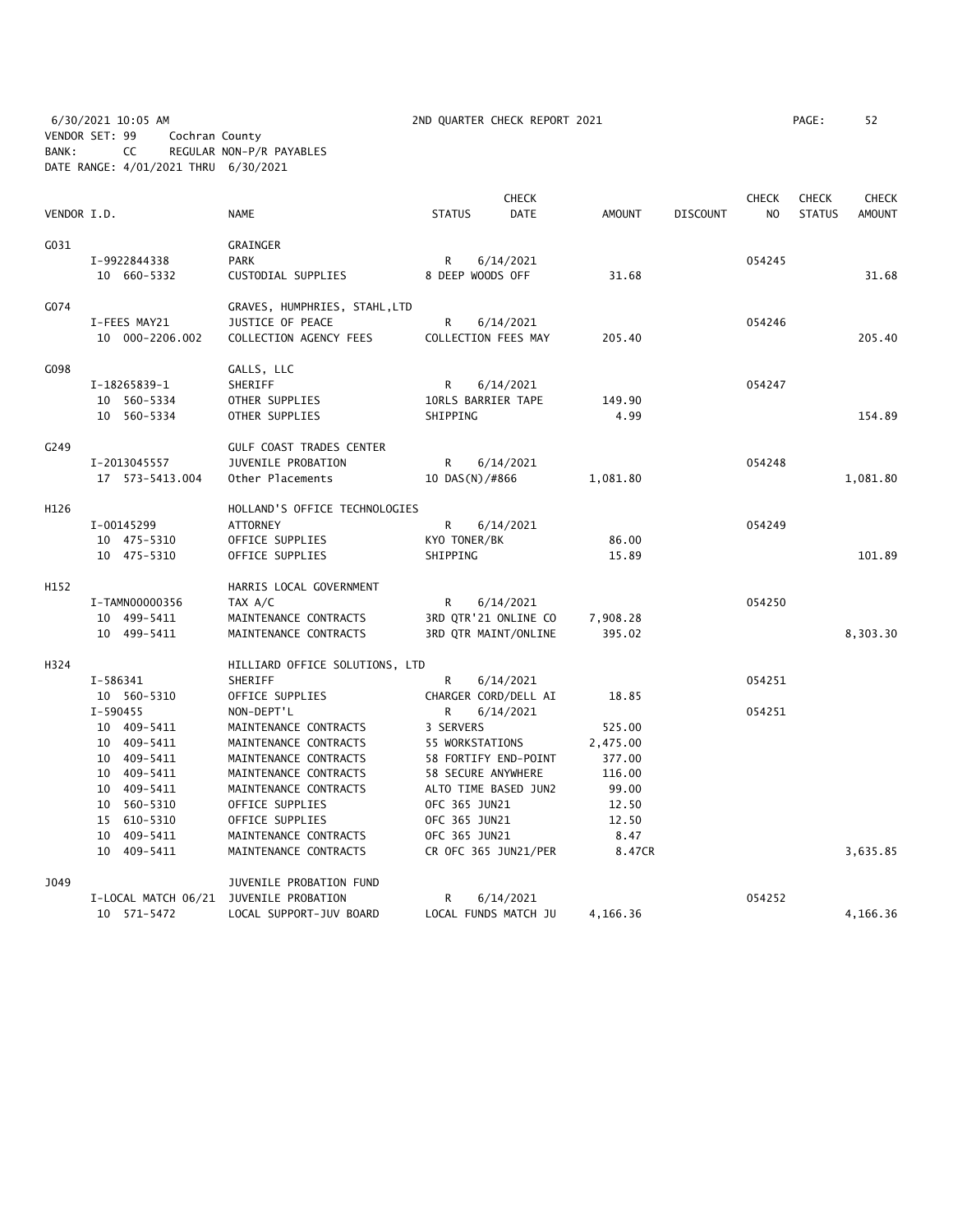6/30/2021 10:05 AM 2ND QUARTER CHECK REPORT 2021 PAGE: 52 VENDOR SET: 99 Cochran County BANK: CC REGULAR NON-P/R PAYABLES DATE RANGE: 4/01/2021 THRU 6/30/2021

| PAGE : | 5. |
|--------|----|
|        |    |

|             |                            |                                                |                 | <b>CHECK</b>                               |                  |                 | <b>CHECK</b>   | <b>CHECK</b>  | <b>CHECK</b>  |
|-------------|----------------------------|------------------------------------------------|-----------------|--------------------------------------------|------------------|-----------------|----------------|---------------|---------------|
| VENDOR I.D. |                            | <b>NAME</b>                                    | <b>STATUS</b>   | <b>DATE</b>                                | <b>AMOUNT</b>    | <b>DISCOUNT</b> | N <sub>O</sub> | <b>STATUS</b> | <b>AMOUNT</b> |
| G031        |                            | <b>GRAINGER</b>                                |                 |                                            |                  |                 |                |               |               |
|             | I-9922844338               | <b>PARK</b>                                    | R               | 6/14/2021                                  |                  |                 | 054245         |               |               |
|             | 10 660-5332                | CUSTODIAL SUPPLIES                             |                 | 8 DEEP WOODS OFF                           | 31.68            |                 |                |               | 31.68         |
| G074        |                            | GRAVES, HUMPHRIES, STAHL, LTD                  |                 |                                            |                  |                 |                |               |               |
|             | I-FEES MAY21               | JUSTICE OF PEACE                               | R               | 6/14/2021                                  |                  |                 | 054246         |               |               |
|             | 10 000-2206.002            | COLLECTION AGENCY FEES                         |                 | COLLECTION FEES MAY                        | 205.40           |                 |                |               | 205.40        |
| G098        |                            | GALLS, LLC                                     |                 |                                            |                  |                 |                |               |               |
|             | I-18265839-1               | SHERIFF                                        | R               | 6/14/2021                                  |                  |                 | 054247         |               |               |
|             | 10 560-5334                | OTHER SUPPLIES                                 |                 | 10RLS BARRIER TAPE                         | 149.90           |                 |                |               |               |
|             | 10 560-5334                | OTHER SUPPLIES                                 | SHIPPING        |                                            | 4.99             |                 |                |               | 154.89        |
| G249        |                            | <b>GULF COAST TRADES CENTER</b>                |                 |                                            |                  |                 |                |               |               |
|             | I-2013045557               | JUVENILE PROBATION                             | R               | 6/14/2021                                  |                  |                 | 054248         |               |               |
|             | 17  573-5413.004           | Other Placements                               | 10 DAS(N)/#866  |                                            | 1,081.80         |                 |                |               | 1,081.80      |
| H126        |                            | HOLLAND'S OFFICE TECHNOLOGIES                  |                 |                                            |                  |                 |                |               |               |
|             | I-00145299                 | <b>ATTORNEY</b>                                | R               | 6/14/2021                                  |                  |                 | 054249         |               |               |
|             | 10 475-5310                | OFFICE SUPPLIES                                | KYO TONER/BK    |                                            | 86.00            |                 |                |               |               |
|             | 10 475-5310                | OFFICE SUPPLIES                                | SHIPPING        |                                            | 15.89            |                 |                |               | 101.89        |
| H152        |                            | HARRIS LOCAL GOVERNMENT                        |                 |                                            |                  |                 |                |               |               |
|             | I-TAMN00000356             | TAX A/C                                        | R               | 6/14/2021                                  |                  |                 | 054250         |               |               |
|             | 10 499-5411                | MAINTENANCE CONTRACTS                          |                 | 3RD QTR'21 ONLINE CO                       | 7,908.28         |                 |                |               |               |
|             | 10 499-5411                | MAINTENANCE CONTRACTS                          |                 | 3RD QTR MAINT/ONLINE                       | 395.02           |                 |                |               | 8,303.30      |
| H324        |                            | HILLIARD OFFICE SOLUTIONS, LTD                 |                 |                                            |                  |                 |                |               |               |
|             | I-586341                   | SHERIFF                                        | R               | 6/14/2021                                  |                  |                 | 054251         |               |               |
|             | 10 560-5310                | OFFICE SUPPLIES                                |                 | CHARGER CORD/DELL AI                       | 18.85            |                 |                |               |               |
|             | $I-590455$                 | NON-DEPT'L                                     | R               | 6/14/2021                                  |                  |                 | 054251         |               |               |
|             | 10 409-5411                | MAINTENANCE CONTRACTS                          | 3 SERVERS       |                                            | 525.00           |                 |                |               |               |
|             | 10 409-5411                | MAINTENANCE CONTRACTS                          | 55 WORKSTATIONS |                                            | 2,475.00         |                 |                |               |               |
|             | 10 409-5411                | MAINTENANCE CONTRACTS<br>MAINTENANCE CONTRACTS |                 | 58 FORTIFY END-POINT<br>58 SECURE ANYWHERE | 377.00<br>116.00 |                 |                |               |               |
|             | 10 409-5411<br>10 409-5411 |                                                |                 | ALTO TIME BASED JUN2                       |                  |                 |                |               |               |
|             | 10 560-5310                | MAINTENANCE CONTRACTS<br>OFFICE SUPPLIES       | OFC 365 JUN21   |                                            | 99.00<br>12.50   |                 |                |               |               |
|             | 15 610-5310                | OFFICE SUPPLIES                                | OFC 365 JUN21   |                                            | 12.50            |                 |                |               |               |
|             | 10 409-5411                | MAINTENANCE CONTRACTS                          | OFC 365 JUN21   |                                            | 8.47             |                 |                |               |               |
|             | 10 409-5411                | MAINTENANCE CONTRACTS                          |                 | CR OFC 365 JUN21/PER                       | 8.47CR           |                 |                |               | 3,635.85      |
| J049        |                            | JUVENILE PROBATION FUND                        |                 |                                            |                  |                 |                |               |               |
|             | I-LOCAL MATCH 06/21        | JUVENILE PROBATION                             | R               | 6/14/2021                                  |                  |                 | 054252         |               |               |
|             | 10 571-5472                | LOCAL SUPPORT-JUV BOARD                        |                 | LOCAL FUNDS MATCH JU                       | 4,166.36         |                 |                |               | 4,166.36      |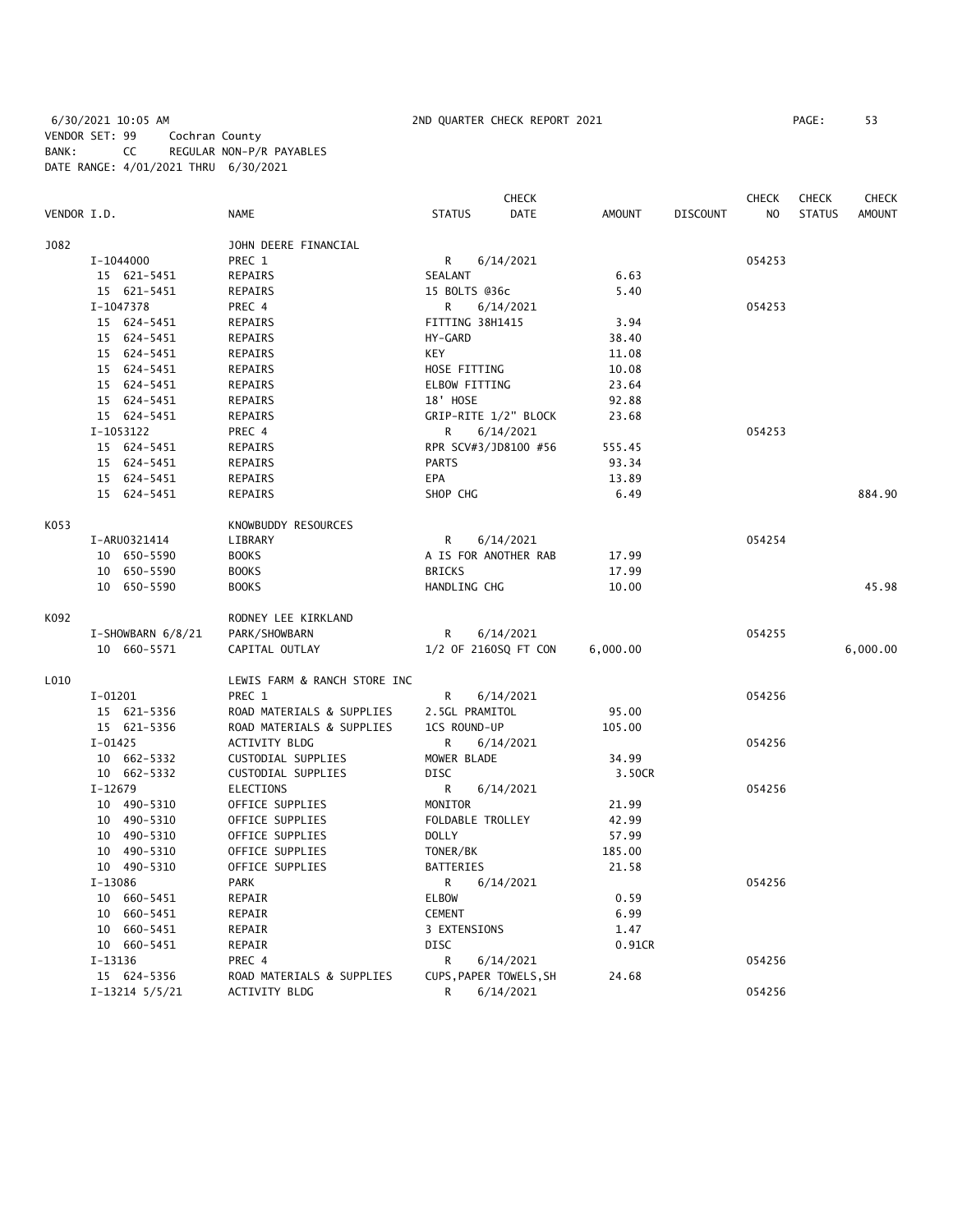6/30/2021 10:05 AM 2ND QUARTER CHECK REPORT 2021 PAGE: 53 VENDOR SET: 99 Cochran County BANK: CC REGULAR NON-P/R PAYABLES DATE RANGE: 4/01/2021 THRU 6/30/2021

|             |                    |                              | CHECK                  |               |                 | CHECK  | <b>CHECK</b>  | <b>CHECK</b>  |
|-------------|--------------------|------------------------------|------------------------|---------------|-----------------|--------|---------------|---------------|
| VENDOR I.D. |                    | <b>NAME</b>                  | <b>STATUS</b><br>DATE  | <b>AMOUNT</b> | <b>DISCOUNT</b> | NO     | <b>STATUS</b> | <b>AMOUNT</b> |
| J082        |                    | JOHN DEERE FINANCIAL         |                        |               |                 |        |               |               |
|             | I-1044000          | PREC 1                       | R<br>6/14/2021         |               |                 | 054253 |               |               |
|             | 15 621-5451        | <b>REPAIRS</b>               | SEALANT                | 6.63          |                 |        |               |               |
|             | 15 621-5451        | REPAIRS                      | 15 BOLTS @36c          | 5.40          |                 |        |               |               |
|             | I-1047378          | PREC 4                       | 6/14/2021<br>R         |               |                 | 054253 |               |               |
|             | 15 624-5451        | REPAIRS                      | FITTING 38H1415        | 3.94          |                 |        |               |               |
|             | 15 624-5451        | REPAIRS                      | HY-GARD                | 38.40         |                 |        |               |               |
|             | 15 624-5451        | REPAIRS                      | KEY                    | 11.08         |                 |        |               |               |
|             | 15 624-5451        | REPAIRS                      | HOSE FITTING           | 10.08         |                 |        |               |               |
|             | 15 624-5451        | REPAIRS                      | ELBOW FITTING          | 23.64         |                 |        |               |               |
|             | 15 624-5451        | REPAIRS                      | 18' HOSE               | 92.88         |                 |        |               |               |
|             | 15 624-5451        | REPAIRS                      | GRIP-RITE 1/2" BLOCK   | 23.68         |                 |        |               |               |
|             | I-1053122          | PREC 4                       | R.<br>6/14/2021        |               |                 | 054253 |               |               |
|             | 15 624-5451        | REPAIRS                      | RPR SCV#3/JD8100 #56   | 555.45        |                 |        |               |               |
|             | 15 624-5451        | <b>REPAIRS</b>               | <b>PARTS</b>           | 93.34         |                 |        |               |               |
|             | 15 624-5451        | REPAIRS                      | EPA                    | 13.89         |                 |        |               |               |
|             | 15 624-5451        | <b>REPAIRS</b>               | SHOP CHG               | 6.49          |                 |        |               | 884.90        |
| K053        |                    | KNOWBUDDY RESOURCES          |                        |               |                 |        |               |               |
|             | I-ARU0321414       | LIBRARY                      | R<br>6/14/2021         |               |                 | 054254 |               |               |
|             | 10 650-5590        | <b>BOOKS</b>                 | A IS FOR ANOTHER RAB   | 17.99         |                 |        |               |               |
|             | 10 650-5590        | <b>BOOKS</b>                 | <b>BRICKS</b>          | 17.99         |                 |        |               |               |
|             | 10 650-5590        | <b>BOOKS</b>                 | HANDLING CHG           | 10.00         |                 |        |               | 45.98         |
| K092        |                    | RODNEY LEE KIRKLAND          |                        |               |                 |        |               |               |
|             | I-SHOWBARN 6/8/21  | PARK/SHOWBARN                | R<br>6/14/2021         |               |                 | 054255 |               |               |
|             | 10 660-5571        | CAPITAL OUTLAY               | 1/2 OF 2160SQ FT CON   | 6,000.00      |                 |        |               | 6,000.00      |
| L010        |                    | LEWIS FARM & RANCH STORE INC |                        |               |                 |        |               |               |
|             | $I-01201$          | PREC 1                       | R<br>6/14/2021         |               |                 | 054256 |               |               |
|             | 15 621-5356        | ROAD MATERIALS & SUPPLIES    | 2.5GL PRAMITOL         | 95.00         |                 |        |               |               |
|             | 15 621-5356        | ROAD MATERIALS & SUPPLIES    | 1CS ROUND-UP           | 105.00        |                 |        |               |               |
|             | $I-01425$          | ACTIVITY BLDG                | R<br>6/14/2021         |               |                 | 054256 |               |               |
|             | 10 662-5332        | CUSTODIAL SUPPLIES           | MOWER BLADE            | 34.99         |                 |        |               |               |
|             | 10 662-5332        | CUSTODIAL SUPPLIES           | <b>DISC</b>            | 3.50CR        |                 |        |               |               |
|             | $I-12679$          | <b>ELECTIONS</b>             | R<br>6/14/2021         |               |                 | 054256 |               |               |
|             | 10 490-5310        | OFFICE SUPPLIES              | MONITOR                | 21.99         |                 |        |               |               |
|             | 10 490-5310        | OFFICE SUPPLIES              | FOLDABLE TROLLEY       | 42.99         |                 |        |               |               |
|             | 10 490-5310        | OFFICE SUPPLIES              | <b>DOLLY</b>           | 57.99         |                 |        |               |               |
|             | 10 490-5310        | OFFICE SUPPLIES              | TONER/BK               | 185.00        |                 |        |               |               |
|             | 10 490-5310        | OFFICE SUPPLIES              | <b>BATTERIES</b>       | 21.58         |                 |        |               |               |
|             | $I-13086$          | <b>PARK</b>                  | 6/14/2021<br>R         |               |                 | 054256 |               |               |
|             | 10 660-5451        | REPAIR                       | <b>ELBOW</b>           | 0.59          |                 |        |               |               |
|             | 10 660-5451        | REPAIR                       | <b>CEMENT</b>          | 6.99          |                 |        |               |               |
|             | 10 660-5451        | REPAIR                       | 3 EXTENSIONS           | 1.47          |                 |        |               |               |
|             | 10 660-5451        | REPAIR                       | <b>DISC</b>            | 0.91CR        |                 |        |               |               |
|             | I-13136            | PREC 4                       | R<br>6/14/2021         |               |                 | 054256 |               |               |
|             | 15 624-5356        | ROAD MATERIALS & SUPPLIES    | CUPS, PAPER TOWELS, SH | 24.68         |                 |        |               |               |
|             | $I-13214$ $5/5/21$ | <b>ACTIVITY BLDG</b>         | R<br>6/14/2021         |               |                 | 054256 |               |               |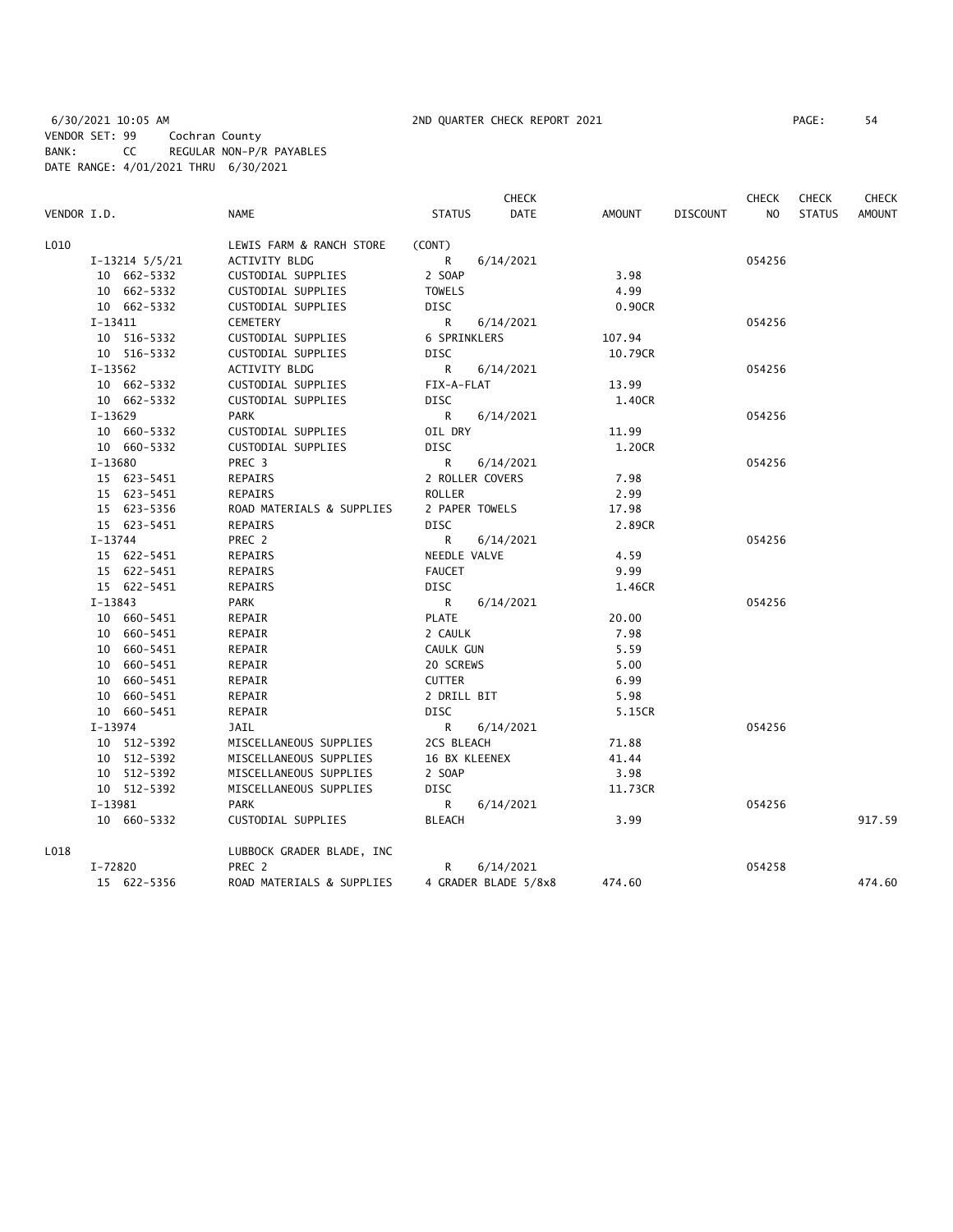|                    |                           |                 | <b>CHECK</b>         |         |                 | <b>CHECK</b>   | <b>CHECK</b>  | <b>CHECK</b>  |
|--------------------|---------------------------|-----------------|----------------------|---------|-----------------|----------------|---------------|---------------|
| VENDOR I.D.        | <b>NAME</b>               | <b>STATUS</b>   | <b>DATE</b>          | AMOUNT  | <b>DISCOUNT</b> | N <sub>O</sub> | <b>STATUS</b> | <b>AMOUNT</b> |
| L010               | LEWIS FARM & RANCH STORE  | (CONT)          |                      |         |                 |                |               |               |
| $I-13214$ $5/5/21$ | ACTIVITY BLDG             | R               | 6/14/2021            |         |                 | 054256         |               |               |
| 10 662-5332        | CUSTODIAL SUPPLIES        | 2 SOAP          |                      | 3.98    |                 |                |               |               |
| 10 662-5332        | CUSTODIAL SUPPLIES        | <b>TOWELS</b>   |                      | 4.99    |                 |                |               |               |
| 10 662-5332        | CUSTODIAL SUPPLIES        | DISC            |                      | 0.90CR  |                 |                |               |               |
| $I-13411$          | CEMETERY                  | R               | 6/14/2021            |         |                 | 054256         |               |               |
| 10 516-5332        | CUSTODIAL SUPPLIES        | 6 SPRINKLERS    |                      | 107.94  |                 |                |               |               |
| 10 516-5332        | CUSTODIAL SUPPLIES        | DISC            |                      | 10.79CR |                 |                |               |               |
| $I-13562$          | ACTIVITY BLDG             | R               | 6/14/2021            |         |                 | 054256         |               |               |
| 10 662-5332        | CUSTODIAL SUPPLIES        | FIX-A-FLAT      |                      | 13.99   |                 |                |               |               |
| 10 662-5332        | CUSTODIAL SUPPLIES        | DISC            |                      | 1.40CR  |                 |                |               |               |
| I-13629            | PARK                      | R               | 6/14/2021            |         |                 | 054256         |               |               |
| 10 660-5332        | CUSTODIAL SUPPLIES        | OIL DRY         |                      | 11.99   |                 |                |               |               |
| 10 660-5332        | CUSTODIAL SUPPLIES        | <b>DISC</b>     |                      | 1.20CR  |                 |                |               |               |
| I-13680            | PREC <sub>3</sub>         | $\mathsf{R}$    | 6/14/2021            |         |                 | 054256         |               |               |
| 15 623-5451        | REPAIRS                   | 2 ROLLER COVERS |                      | 7.98    |                 |                |               |               |
| 15 623-5451        | REPAIRS                   | <b>ROLLER</b>   |                      | 2.99    |                 |                |               |               |
| 15 623-5356        | ROAD MATERIALS & SUPPLIES | 2 PAPER TOWELS  |                      | 17.98   |                 |                |               |               |
| 15 623-5451        | <b>REPAIRS</b>            | <b>DISC</b>     |                      | 2.89CR  |                 |                |               |               |
| $I-13744$          | PREC 2                    | R               | 6/14/2021            |         |                 | 054256         |               |               |
| 15 622-5451        | REPAIRS                   | NEEDLE VALVE    |                      | 4.59    |                 |                |               |               |
| 15 622-5451        | REPAIRS                   | <b>FAUCET</b>   |                      | 9.99    |                 |                |               |               |
| 15 622-5451        | REPAIRS                   | DISC            |                      | 1.46CR  |                 |                |               |               |
| I-13843            | PARK                      | R.              | 6/14/2021            |         |                 | 054256         |               |               |
| 10 660-5451        | REPAIR                    | <b>PLATE</b>    |                      | 20.00   |                 |                |               |               |
| 10 660-5451        | REPAIR                    | 2 CAULK         |                      | 7.98    |                 |                |               |               |
| 10 660-5451        | REPAIR                    | CAULK GUN       |                      | 5.59    |                 |                |               |               |
| 10 660-5451        | REPAIR                    | 20 SCREWS       |                      | 5.00    |                 |                |               |               |
| 10 660-5451        | REPAIR                    | <b>CUTTER</b>   |                      | 6.99    |                 |                |               |               |
| 10 660-5451        | REPAIR                    | 2 DRILL BIT     |                      | 5.98    |                 |                |               |               |
| 10 660-5451        | REPAIR                    | <b>DISC</b>     |                      | 5.15CR  |                 |                |               |               |
| $I-13974$          | JAIL                      | R.              | 6/14/2021            |         |                 | 054256         |               |               |
| 10 512-5392        | MISCELLANEOUS SUPPLIES    | 2CS BLEACH      |                      | 71.88   |                 |                |               |               |
| 10 512-5392        | MISCELLANEOUS SUPPLIES    | 16 BX KLEENEX   |                      | 41.44   |                 |                |               |               |
| 10 512-5392        | MISCELLANEOUS SUPPLIES    | 2 SOAP          |                      | 3.98    |                 |                |               |               |
| 10 512-5392        | MISCELLANEOUS SUPPLIES    | DISC            |                      | 11.73CR |                 |                |               |               |
| I-13981            | <b>PARK</b>               | R.              | 6/14/2021            |         |                 | 054256         |               |               |
| 10 660-5332        | CUSTODIAL SUPPLIES        | <b>BLEACH</b>   |                      | 3.99    |                 |                |               | 917.59        |
| L018               | LUBBOCK GRADER BLADE, INC |                 |                      |         |                 |                |               |               |
| I-72820            | PREC 2                    | R               | 6/14/2021            |         |                 | 054258         |               |               |
| 15 622-5356        | ROAD MATERIALS & SUPPLIES |                 | 4 GRADER BLADE 5/8x8 | 474.60  |                 |                |               | 474.60        |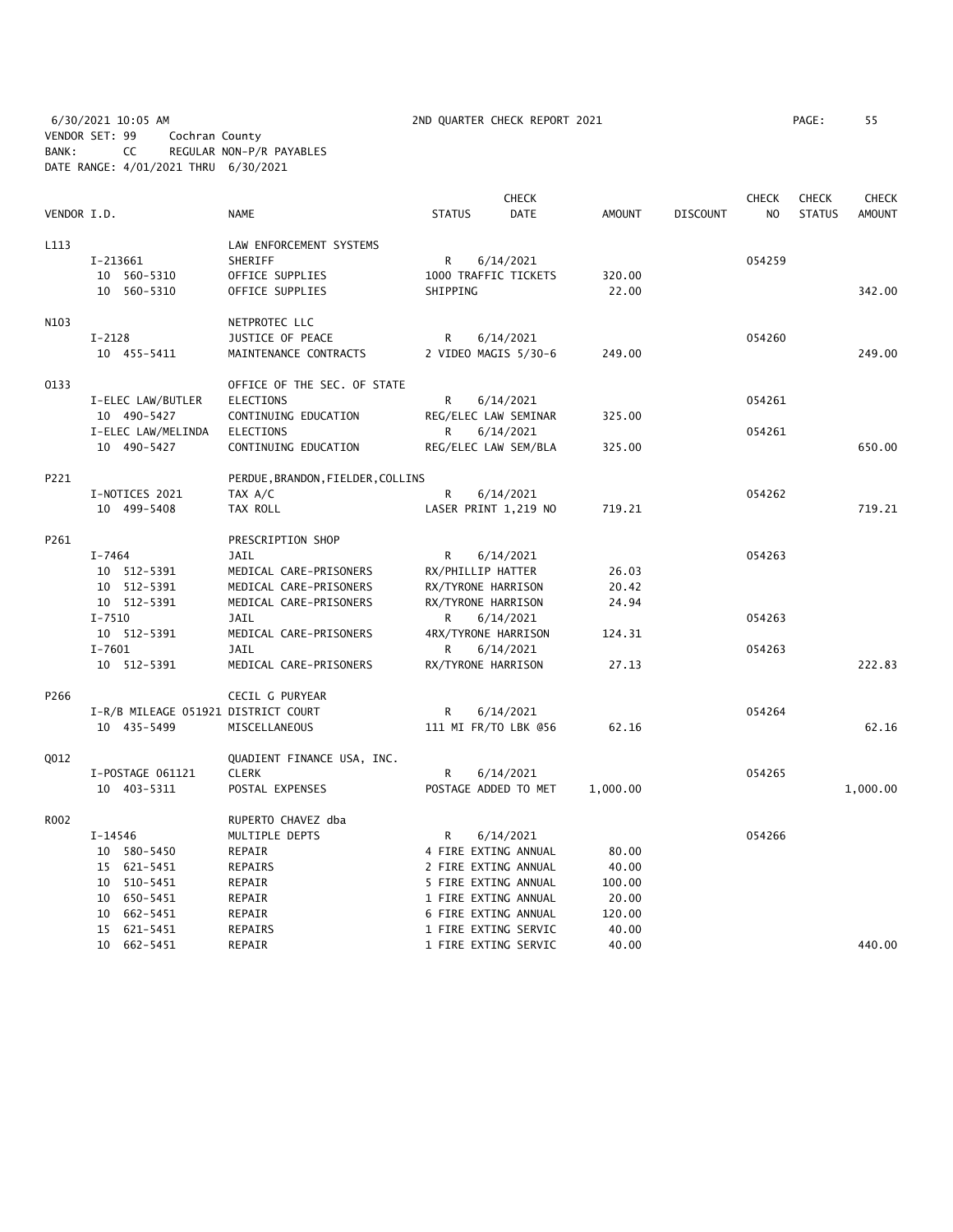6/30/2021 10:05 AM 2ND QUARTER CHECK REPORT 2021 PAGE: 55 VENDOR SET: 99 Cochran County BANK: CC REGULAR NON-P/R PAYABLES DATE RANGE: 4/01/2021 THRU 6/30/2021

| PAGE : | 55 |  |
|--------|----|--|
|        |    |  |

|             |                                     |                                   |               | <b>CHECK</b>         |               |                 | <b>CHECK</b>   | <b>CHECK</b>  | <b>CHECK</b>  |
|-------------|-------------------------------------|-----------------------------------|---------------|----------------------|---------------|-----------------|----------------|---------------|---------------|
| VENDOR I.D. |                                     | <b>NAME</b>                       | <b>STATUS</b> | <b>DATE</b>          | <b>AMOUNT</b> | <b>DISCOUNT</b> | N <sub>O</sub> | <b>STATUS</b> | <b>AMOUNT</b> |
| L113        |                                     | LAW ENFORCEMENT SYSTEMS           |               |                      |               |                 |                |               |               |
|             | I-213661                            | SHERIFF                           | R             | 6/14/2021            |               |                 | 054259         |               |               |
|             | 10 560-5310                         | OFFICE SUPPLIES                   |               | 1000 TRAFFIC TICKETS | 320.00        |                 |                |               |               |
|             | 10 560-5310                         | OFFICE SUPPLIES                   | SHIPPING      |                      | 22.00         |                 |                |               | 342.00        |
| N103        |                                     | NETPROTEC LLC                     |               |                      |               |                 |                |               |               |
|             | $I-2128$                            | JUSTICE OF PEACE                  | R             | 6/14/2021            |               |                 | 054260         |               |               |
|             | 10 455-5411                         | MAINTENANCE CONTRACTS             |               | 2 VIDEO MAGIS 5/30-6 | 249.00        |                 |                |               | 249.00        |
| 0133        |                                     | OFFICE OF THE SEC. OF STATE       |               |                      |               |                 |                |               |               |
|             | I-ELEC LAW/BUTLER                   | <b>ELECTIONS</b>                  | R             | 6/14/2021            |               |                 | 054261         |               |               |
|             | 10 490-5427                         | CONTINUING EDUCATION              |               | REG/ELEC LAW SEMINAR | 325.00        |                 |                |               |               |
|             | I-ELEC LAW/MELINDA                  | ELECTIONS                         | R             | 6/14/2021            |               |                 | 054261         |               |               |
|             | 10 490-5427                         | CONTINUING EDUCATION              |               | REG/ELEC LAW SEM/BLA | 325.00        |                 |                |               | 650.00        |
| P221        |                                     | PERDUE, BRANDON, FIELDER, COLLINS |               |                      |               |                 |                |               |               |
|             | I-NOTICES 2021                      | TAX A/C                           | R             | 6/14/2021            |               |                 | 054262         |               |               |
|             | 10 499-5408                         | TAX ROLL                          |               | LASER PRINT 1,219 NO | 719.21        |                 |                |               | 719.21        |
| P261        |                                     | PRESCRIPTION SHOP                 |               |                      |               |                 |                |               |               |
|             | $I - 7464$                          | JAIL                              | R             | 6/14/2021            |               |                 | 054263         |               |               |
|             | 10 512-5391                         | MEDICAL CARE-PRISONERS            |               | RX/PHILLIP HATTER    | 26.03         |                 |                |               |               |
|             | 10 512-5391                         | MEDICAL CARE-PRISONERS            |               | RX/TYRONE HARRISON   | 20.42         |                 |                |               |               |
|             | 10 512-5391                         | MEDICAL CARE-PRISONERS            |               | RX/TYRONE HARRISON   | 24.94         |                 |                |               |               |
|             | $I - 7510$                          | JAIL                              | R             | 6/14/2021            |               |                 | 054263         |               |               |
|             | 10 512-5391                         | MEDICAL CARE-PRISONERS            |               | 4RX/TYRONE HARRISON  | 124.31        |                 |                |               |               |
|             | $I - 7601$                          | JAIL                              | R             | 6/14/2021            |               |                 | 054263         |               |               |
|             | 10 512-5391                         | MEDICAL CARE-PRISONERS            |               | RX/TYRONE HARRISON   | 27.13         |                 |                |               | 222.83        |
| P266        |                                     | CECIL G PURYEAR                   |               |                      |               |                 |                |               |               |
|             | I-R/B MILEAGE 051921 DISTRICT COURT |                                   | R             | 6/14/2021            |               |                 | 054264         |               |               |
|             | 10 435-5499                         | MISCELLANEOUS                     |               | 111 MI FR/TO LBK @56 | 62.16         |                 |                |               | 62.16         |
| Q012        |                                     | QUADIENT FINANCE USA, INC.        |               |                      |               |                 |                |               |               |
|             | I-POSTAGE 061121                    | <b>CLERK</b>                      | R             | 6/14/2021            |               |                 | 054265         |               |               |
|             | 10 403-5311                         | POSTAL EXPENSES                   |               | POSTAGE ADDED TO MET | 1,000.00      |                 |                |               | 1,000.00      |
| R002        |                                     | RUPERTO CHAVEZ dba                |               |                      |               |                 |                |               |               |
|             | I-14546                             | MULTIPLE DEPTS                    | R             | 6/14/2021            |               |                 | 054266         |               |               |
|             | 10 580-5450                         | REPAIR                            |               | 4 FIRE EXTING ANNUAL | 80.00         |                 |                |               |               |
|             | 15 621-5451                         | REPAIRS                           |               | 2 FIRE EXTING ANNUAL | 40.00         |                 |                |               |               |
|             | 10 510-5451                         | REPAIR                            |               | 5 FIRE EXTING ANNUAL | 100.00        |                 |                |               |               |
|             | 10 650-5451                         | REPAIR                            |               | 1 FIRE EXTING ANNUAL | 20.00         |                 |                |               |               |
|             | 10 662-5451                         | REPAIR                            |               | 6 FIRE EXTING ANNUAL | 120.00        |                 |                |               |               |
|             | 15 621-5451                         | REPAIRS                           |               | 1 FIRE EXTING SERVIC | 40.00         |                 |                |               |               |
|             | 10 662-5451                         | REPAIR                            |               | 1 FIRE EXTING SERVIC | 40.00         |                 |                |               | 440.00        |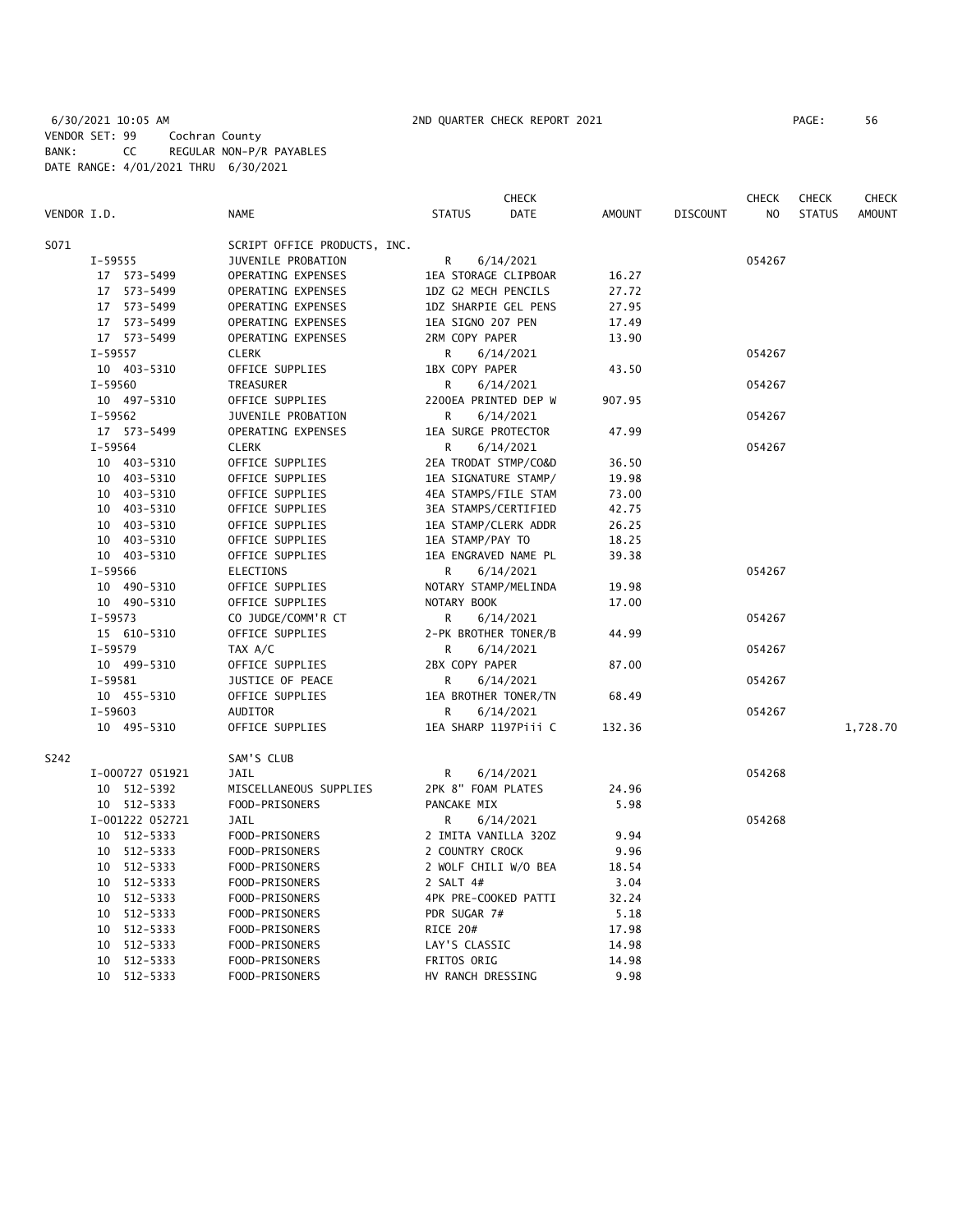|             |                 |                              | <b>CHECK</b>                 |               |                 | <b>CHECK</b> | <b>CHECK</b>  | <b>CHECK</b> |
|-------------|-----------------|------------------------------|------------------------------|---------------|-----------------|--------------|---------------|--------------|
| VENDOR I.D. |                 | <b>NAME</b>                  | <b>DATE</b><br><b>STATUS</b> | <b>AMOUNT</b> | <b>DISCOUNT</b> | NO.          | <b>STATUS</b> | AMOUNT       |
| S071        |                 | SCRIPT OFFICE PRODUCTS, INC. |                              |               |                 |              |               |              |
|             | I-59555         | JUVENILE PROBATION           | R<br>6/14/2021               |               |                 | 054267       |               |              |
|             | 17 573-5499     | OPERATING EXPENSES           | 1EA STORAGE CLIPBOAR         | 16.27         |                 |              |               |              |
|             | 17 573-5499     | OPERATING EXPENSES           | 1DZ G2 MECH PENCILS          | 27.72         |                 |              |               |              |
|             | 17 573-5499     | OPERATING EXPENSES           | 1DZ SHARPIE GEL PENS         | 27.95         |                 |              |               |              |
|             | 17 573-5499     | OPERATING EXPENSES           | 1EA SIGNO 207 PEN            | 17.49         |                 |              |               |              |
|             | 17 573-5499     | OPERATING EXPENSES           | 2RM COPY PAPER               | 13.90         |                 |              |               |              |
|             | $I-59557$       | <b>CLERK</b>                 | R<br>6/14/2021               |               |                 | 054267       |               |              |
|             | 10 403-5310     | OFFICE SUPPLIES              | 1BX COPY PAPER               | 43.50         |                 |              |               |              |
|             | $I-59560$       | TREASURER                    | R<br>6/14/2021               |               |                 | 054267       |               |              |
|             | 10 497-5310     | OFFICE SUPPLIES              | 2200EA PRINTED DEP W         | 907.95        |                 |              |               |              |
|             | $I-59562$       | JUVENILE PROBATION           | R.<br>6/14/2021              |               |                 | 054267       |               |              |
|             |                 | OPERATING EXPENSES           | 1EA SURGE PROTECTOR          | 47.99         |                 |              |               |              |
|             | 17 573-5499     |                              |                              |               |                 |              |               |              |
|             | $I-59564$       | <b>CLERK</b>                 | R<br>6/14/2021               |               |                 | 054267       |               |              |
|             | 10 403-5310     | OFFICE SUPPLIES              | 2EA TRODAT STMP/CO&D         | 36.50         |                 |              |               |              |
|             | 10 403-5310     | OFFICE SUPPLIES              | 1EA SIGNATURE STAMP/         | 19.98         |                 |              |               |              |
|             | 10 403-5310     | OFFICE SUPPLIES              | 4EA STAMPS/FILE STAM         | 73.00         |                 |              |               |              |
|             | 10 403-5310     | OFFICE SUPPLIES              | 3EA STAMPS/CERTIFIED         | 42.75         |                 |              |               |              |
|             | 10 403-5310     | OFFICE SUPPLIES              | 1EA STAMP/CLERK ADDR         | 26.25         |                 |              |               |              |
|             | 10 403-5310     | OFFICE SUPPLIES              | 1EA STAMP/PAY TO             | 18.25         |                 |              |               |              |
|             | 10 403-5310     | OFFICE SUPPLIES              | 1EA ENGRAVED NAME PL         | 39.38         |                 |              |               |              |
|             | I-59566         | <b>ELECTIONS</b>             | R<br>6/14/2021               |               |                 | 054267       |               |              |
|             | 10 490-5310     | OFFICE SUPPLIES              | NOTARY STAMP/MELINDA         | 19.98         |                 |              |               |              |
|             | 10 490-5310     | OFFICE SUPPLIES              | NOTARY BOOK                  | 17.00         |                 |              |               |              |
|             | $I-59573$       | CO JUDGE/COMM'R CT           | R<br>6/14/2021               |               |                 | 054267       |               |              |
|             | 15 610-5310     | OFFICE SUPPLIES              | 2-PK BROTHER TONER/B         | 44.99         |                 |              |               |              |
|             | $I-59579$       | TAX A/C                      | R<br>6/14/2021               |               |                 | 054267       |               |              |
|             | 10 499-5310     | OFFICE SUPPLIES              | 2BX COPY PAPER               | 87.00         |                 |              |               |              |
|             | $I-59581$       | JUSTICE OF PEACE             | R<br>6/14/2021               |               |                 | 054267       |               |              |
|             | 10 455-5310     | OFFICE SUPPLIES              | 1EA BROTHER TONER/TN         | 68.49         |                 |              |               |              |
|             | $I-59603$       | <b>AUDITOR</b>               | 6/14/2021<br>R               |               |                 | 054267       |               |              |
|             | 10 495-5310     | OFFICE SUPPLIES              | 1EA SHARP 1197Piii C         | 132.36        |                 |              |               | 1,728.70     |
| S242        |                 | SAM'S CLUB                   |                              |               |                 |              |               |              |
|             | I-000727 051921 | JAIL                         | R<br>6/14/2021               |               |                 | 054268       |               |              |
|             | 10 512-5392     | MISCELLANEOUS SUPPLIES       | 2PK 8" FOAM PLATES           | 24.96         |                 |              |               |              |
|             | 10 512-5333     | FOOD-PRISONERS               | PANCAKE MIX                  | 5.98          |                 |              |               |              |
|             | I-001222 052721 | JAIL                         | R<br>6/14/2021               |               |                 | 054268       |               |              |
|             | 10 512-5333     | FOOD-PRISONERS               | 2 IMITA VANILLA 320Z         | 9.94          |                 |              |               |              |
|             | 10 512-5333     | FOOD-PRISONERS               | 2 COUNTRY CROCK              | 9.96          |                 |              |               |              |
|             | 10 512-5333     | FOOD-PRISONERS               | 2 WOLF CHILI W/O BEA         | 18.54         |                 |              |               |              |
|             | 10 512-5333     | FOOD-PRISONERS               | 2 SALT 4#                    | 3.04          |                 |              |               |              |
|             | 10 512-5333     | FOOD-PRISONERS               | 4PK PRE-COOKED PATTI         | 32.24         |                 |              |               |              |
|             | 10<br>512-5333  | FOOD-PRISONERS               | PDR SUGAR 7#                 | 5.18          |                 |              |               |              |
|             | 512-5333<br>10  | FOOD-PRISONERS               | RICE 20#                     | 17.98         |                 |              |               |              |
|             | 512-5333<br>10  | FOOD-PRISONERS               | LAY'S CLASSIC                | 14.98         |                 |              |               |              |
|             | 512-5333<br>10  | FOOD-PRISONERS               | FRITOS ORIG                  | 14.98         |                 |              |               |              |
|             | 10 512-5333     | FOOD-PRISONERS               | HV RANCH DRESSING            | 9.98          |                 |              |               |              |
|             |                 |                              |                              |               |                 |              |               |              |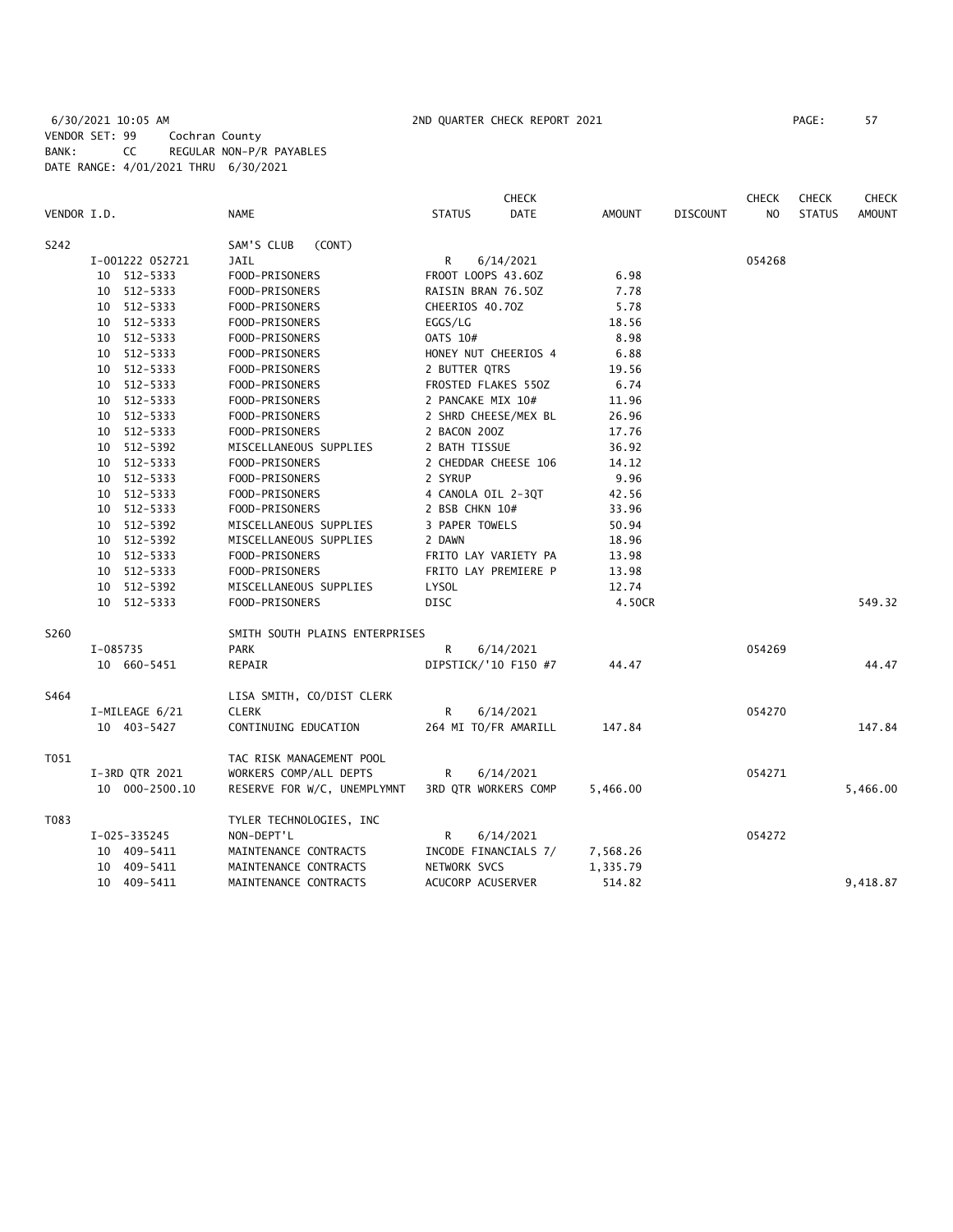6/30/2021 10:05 AM 2ND QUARTER CHECK REPORT 2021 PAGE: 57 VENDOR SET: 99 Cochran County BANK: CC REGULAR NON-P/R PAYABLES DATE RANGE: 4/01/2021 THRU 6/30/2021

|             |             |                 |                                |                                                  | <b>CHECK</b>         |               |                 | <b>CHECK</b>   | <b>CHECK</b>  | <b>CHECK</b>  |
|-------------|-------------|-----------------|--------------------------------|--------------------------------------------------|----------------------|---------------|-----------------|----------------|---------------|---------------|
| VENDOR I.D. |             |                 | <b>NAME</b>                    | <b>STATUS</b>                                    | <b>DATE</b>          | <b>AMOUNT</b> | <b>DISCOUNT</b> | N <sub>O</sub> | <b>STATUS</b> | <b>AMOUNT</b> |
| S242        |             |                 | SAM'S CLUB<br>(CONT)           |                                                  |                      |               |                 |                |               |               |
|             |             | I-001222 052721 | JAIL                           | R<br>6/14/2021                                   |                      |               |                 | 054268         |               |               |
|             |             | 10 512-5333     | FOOD-PRISONERS                 | FROOT LOOPS 43.60Z                               |                      | 6.98          |                 |                |               |               |
|             |             | 10 512-5333     | FOOD-PRISONERS                 | RAISIN BRAN 76.50Z                               |                      | 7.78          |                 |                |               |               |
|             |             | 10 512-5333     | FOOD-PRISONERS                 | CHEERIOS 40.70Z                                  |                      | 5.78          |                 |                |               |               |
|             |             | 10 512-5333     | FOOD-PRISONERS                 | EGGS/LG                                          |                      | 18.56         |                 |                |               |               |
|             |             | 10 512-5333     | FOOD-PRISONERS                 | 0ATS 10#                                         |                      | 8.98          |                 |                |               |               |
|             |             | 10 512-5333     | FOOD-PRISONERS                 | HONEY NUT CHEERIOS 4                             |                      | 6.88          |                 |                |               |               |
|             |             | 10 512-5333     | FOOD-PRISONERS                 | 2 BUTTER QTRS                                    |                      | 19.56         |                 |                |               |               |
|             |             | 10 512-5333     | FOOD-PRISONERS                 | FROSTED FLAKES 550Z                              |                      | 6.74          |                 |                |               |               |
|             |             | 10 512-5333     | FOOD-PRISONERS                 | 2 PANCAKE MIX 10#                                |                      | 11.96         |                 |                |               |               |
|             |             | 10 512-5333     | FOOD-PRISONERS                 | 2 SHRD CHEESE/MEX BL                             |                      | 26.96         |                 |                |               |               |
|             |             | 10 512-5333     | FOOD-PRISONERS                 | 2 BACON 200Z                                     |                      | 17.76         |                 |                |               |               |
|             |             | 10 512-5392     | MISCELLANEOUS SUPPLIES         | 2 BATH TISSUE                                    |                      | 36.92         |                 |                |               |               |
| 10 512-5333 |             |                 | FOOD-PRISONERS                 | 2 CHEDDAR CHEESE 106<br>14.12<br>2 SYRUP<br>9.96 |                      |               |                 |                |               |               |
|             | 10 512-5333 |                 | FOOD-PRISONERS                 |                                                  |                      |               |                 |                |               |               |
|             |             | 10 512-5333     | FOOD-PRISONERS                 | 4 CANOLA OIL 2-3QT                               |                      | 42.56         |                 |                |               |               |
|             |             | 10 512-5333     | FOOD-PRISONERS                 | 2 BSB CHKN 10#                                   |                      | 33.96         |                 |                |               |               |
|             |             | 10 512-5392     | MISCELLANEOUS SUPPLIES         | 3 PAPER TOWELS                                   |                      | 50.94         |                 |                |               |               |
|             |             | 10 512-5392     | MISCELLANEOUS SUPPLIES         | 2 DAWN                                           |                      | 18.96         |                 |                |               |               |
|             |             | 10 512-5333     | FOOD-PRISONERS                 | FRITO LAY VARIETY PA                             |                      | 13.98         |                 |                |               |               |
|             |             | 10 512-5333     | FOOD-PRISONERS                 | FRITO LAY PREMIERE P                             |                      | 13.98         |                 |                |               |               |
|             |             | 10 512-5392     | MISCELLANEOUS SUPPLIES         | <b>LYSOL</b>                                     |                      | 12.74         |                 |                |               |               |
|             |             | 10 512-5333     | FOOD-PRISONERS                 | DISC                                             |                      | 4.50CR        |                 |                |               | 549.32        |
| S260        |             |                 | SMITH SOUTH PLAINS ENTERPRISES |                                                  |                      |               |                 |                |               |               |
|             | I-085735    |                 | <b>PARK</b>                    | R                                                | 6/14/2021            |               |                 | 054269         |               |               |
|             |             | 10 660-5451     | REPAIR                         |                                                  | DIPSTICK/'10 F150 #7 | 44.47         |                 |                |               | 44.47         |
| S464        |             |                 | LISA SMITH, CO/DIST CLERK      |                                                  |                      |               |                 |                |               |               |
|             |             | I-MILEAGE 6/21  | <b>CLERK</b>                   | R                                                | 6/14/2021            |               |                 | 054270         |               |               |
|             |             | 10 403-5427     | CONTINUING EDUCATION           |                                                  | 264 MI TO/FR AMARILL | 147.84        |                 |                |               | 147.84        |
| T051        |             |                 | TAC RISK MANAGEMENT POOL       |                                                  |                      |               |                 |                |               |               |
|             |             | I-3RD QTR 2021  | WORKERS COMP/ALL DEPTS         | R                                                | 6/14/2021            |               |                 | 054271         |               |               |
|             |             | 10 000-2500.10  | RESERVE FOR W/C, UNEMPLYMNT    |                                                  | 3RD QTR WORKERS COMP | 5,466.00      |                 |                |               | 5,466.00      |
| T083        |             |                 | TYLER TECHNOLOGIES, INC        |                                                  |                      |               |                 |                |               |               |
|             |             | I-025-335245    | NON-DEPT'L                     | R                                                | 6/14/2021            |               |                 | 054272         |               |               |
|             |             | 10 409-5411     | MAINTENANCE CONTRACTS          |                                                  | INCODE FINANCIALS 7/ | 7,568.26      |                 |                |               |               |
|             |             | 10 409-5411     | MAINTENANCE CONTRACTS          | NETWORK SVCS                                     |                      | 1,335.79      |                 |                |               |               |
|             |             | 10 409-5411     | MAINTENANCE CONTRACTS          | ACUCORP ACUSERVER                                |                      | 514.82        |                 |                |               | 9,418.87      |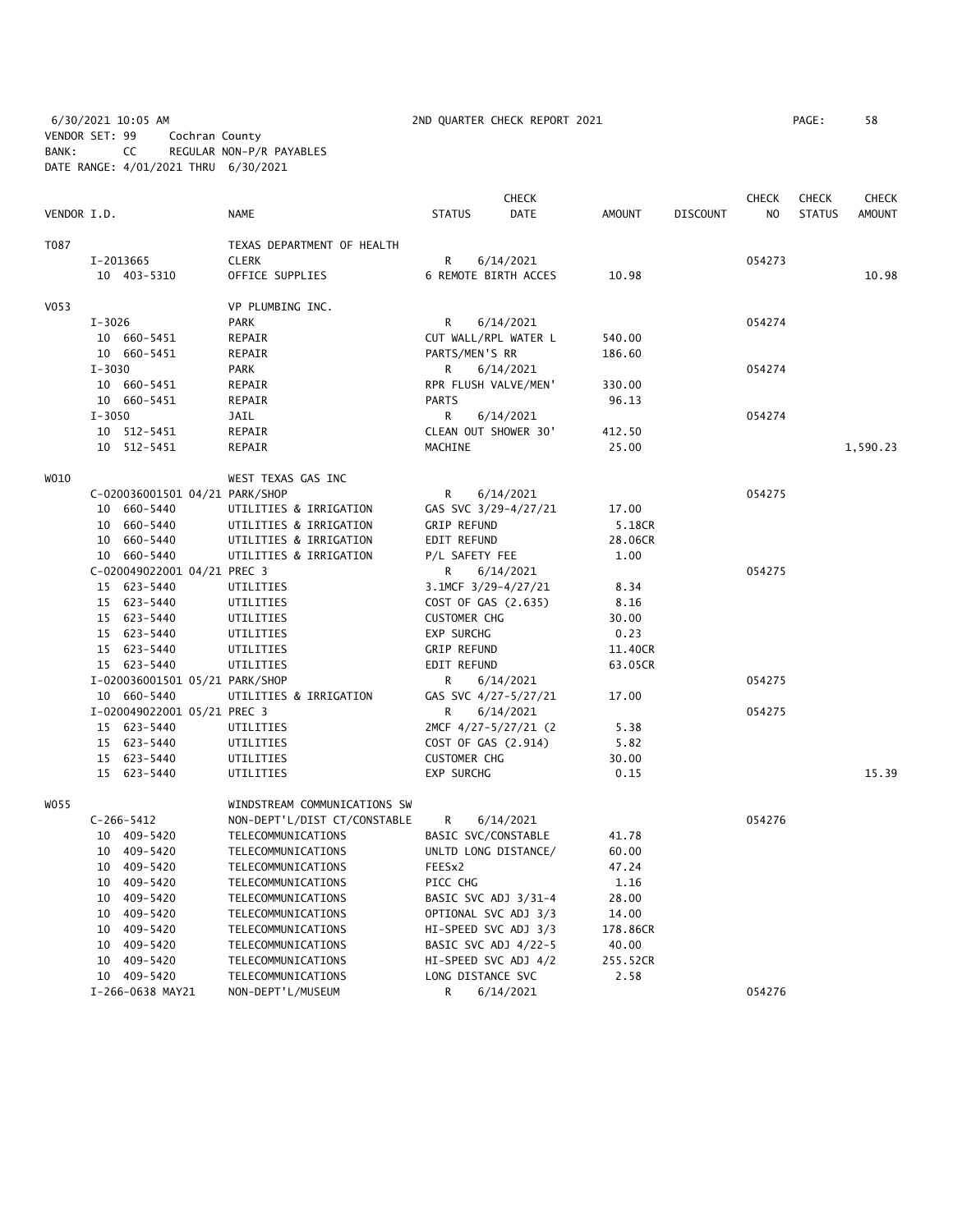6/30/2021 10:05 AM 2ND QUARTER CHECK REPORT 2021 PAGE: 58 VENDOR SET: 99 Cochran County BANK: CC REGULAR NON-P/R PAYABLES DATE RANGE: 4/01/2021 THRU 6/30/2021

|                  |            |                                |                              |                      | <b>CHECK</b>         |               |                 | CHECK  | <b>CHECK</b>  | <b>CHECK</b>  |
|------------------|------------|--------------------------------|------------------------------|----------------------|----------------------|---------------|-----------------|--------|---------------|---------------|
| VENDOR I.D.      |            |                                | <b>NAME</b>                  | <b>STATUS</b>        | <b>DATE</b>          | <b>AMOUNT</b> | <b>DISCOUNT</b> | NO     | <b>STATUS</b> | <b>AMOUNT</b> |
| T087             |            |                                | TEXAS DEPARTMENT OF HEALTH   |                      |                      |               |                 |        |               |               |
|                  |            | I-2013665                      | <b>CLERK</b>                 | R                    | 6/14/2021            |               |                 | 054273 |               |               |
|                  |            | 10 403-5310                    | OFFICE SUPPLIES              |                      | 6 REMOTE BIRTH ACCES | 10.98         |                 |        |               | 10.98         |
| V <sub>053</sub> |            |                                | VP PLUMBING INC.             |                      |                      |               |                 |        |               |               |
|                  | $I - 3026$ |                                | <b>PARK</b>                  | R                    | 6/14/2021            |               |                 | 054274 |               |               |
|                  |            | 10 660-5451                    | REPAIR                       |                      | CUT WALL/RPL WATER L | 540.00        |                 |        |               |               |
|                  |            | 10 660-5451                    | REPAIR                       | PARTS/MEN'S RR       |                      | 186.60        |                 |        |               |               |
|                  | $I - 3030$ |                                | <b>PARK</b>                  | R                    | 6/14/2021            |               |                 | 054274 |               |               |
|                  |            | 10 660-5451                    | REPAIR                       | RPR FLUSH VALVE/MEN' |                      | 330.00        |                 |        |               |               |
|                  |            | 10 660-5451                    | REPAIR                       | <b>PARTS</b>         |                      | 96.13         |                 |        |               |               |
|                  | $I - 3050$ |                                | JAIL                         | R                    | 6/14/2021            |               |                 | 054274 |               |               |
|                  |            | 10 512-5451                    | REPAIR                       |                      | CLEAN OUT SHOWER 30' | 412.50        |                 |        |               |               |
|                  |            | 10 512-5451                    | REPAIR                       | MACHINE              |                      | 25.00         |                 |        |               | 1,590.23      |
|                  |            |                                |                              |                      |                      |               |                 |        |               |               |
| WO10             |            |                                | WEST TEXAS GAS INC           |                      |                      |               |                 |        |               |               |
|                  |            | C-020036001501 04/21 PARK/SHOP |                              | R                    | 6/14/2021            |               |                 | 054275 |               |               |
|                  |            | 10 660-5440                    | UTILITIES & IRRIGATION       |                      | GAS SVC 3/29-4/27/21 | 17.00         |                 |        |               |               |
|                  |            | 10 660-5440                    | UTILITIES & IRRIGATION       | <b>GRIP REFUND</b>   |                      | 5.18CR        |                 |        |               |               |
|                  |            | 10 660-5440                    | UTILITIES & IRRIGATION       | EDIT REFUND          |                      | 28.06CR       |                 |        |               |               |
|                  |            | 10 660-5440                    | UTILITIES & IRRIGATION       | P/L SAFETY FEE       |                      | 1.00          |                 |        |               |               |
|                  |            | C-020049022001 04/21 PREC 3    |                              | R                    | 6/14/2021            |               |                 | 054275 |               |               |
|                  |            | 15 623-5440                    | UTILITIES                    | 3.1MCF 3/29-4/27/21  |                      | 8.34          |                 |        |               |               |
|                  |            | 15 623-5440                    | UTILITIES                    | COST OF GAS (2.635)  |                      | 8.16          |                 |        |               |               |
|                  |            | 15 623-5440                    | UTILITIES                    | <b>CUSTOMER CHG</b>  |                      | 30.00         |                 |        |               |               |
|                  |            | 15 623-5440                    | UTILITIES                    | <b>EXP SURCHG</b>    |                      | 0.23          |                 |        |               |               |
|                  |            | 15 623-5440                    | UTILITIES                    | <b>GRIP REFUND</b>   |                      | 11.40CR       |                 |        |               |               |
|                  |            | 15 623-5440                    | UTILITIES                    | EDIT REFUND          |                      | 63.05CR       |                 |        |               |               |
|                  |            | I-020036001501 05/21 PARK/SHOP |                              | R                    | 6/14/2021            |               |                 | 054275 |               |               |
|                  |            | 10 660-5440                    | UTILITIES & IRRIGATION       |                      | GAS SVC 4/27-5/27/21 | 17.00         |                 |        |               |               |
|                  |            | I-020049022001 05/21 PREC 3    |                              | R.                   | 6/14/2021            |               |                 | 054275 |               |               |
|                  |            | 15 623-5440                    | UTILITIES                    |                      | 2MCF 4/27-5/27/21 (2 | 5.38          |                 |        |               |               |
|                  |            | 15 623-5440                    | UTILITIES                    | COST OF GAS (2.914)  |                      | 5.82          |                 |        |               |               |
|                  |            | 15 623-5440                    | UTILITIES                    | <b>CUSTOMER CHG</b>  |                      | 30.00         |                 |        |               |               |
|                  |            | 15 623-5440                    | UTILITIES                    | <b>EXP SURCHG</b>    |                      | 0.15          |                 |        |               | 15.39         |
| W055             |            |                                | WINDSTREAM COMMUNICATIONS SW |                      |                      |               |                 |        |               |               |
|                  |            | $C-266-5412$                   | NON-DEPT'L/DIST CT/CONSTABLE | R                    | 6/14/2021            |               |                 | 054276 |               |               |
|                  |            | 10 409-5420                    | TELECOMMUNICATIONS           | BASIC SVC/CONSTABLE  |                      | 41.78         |                 |        |               |               |
|                  |            | 10 409-5420                    | TELECOMMUNICATIONS           |                      | UNLTD LONG DISTANCE/ | 60.00         |                 |        |               |               |
|                  |            | 10 409-5420                    | TELECOMMUNICATIONS           | FEESx2               |                      | 47.24         |                 |        |               |               |
|                  |            | 10 409-5420                    | TELECOMMUNICATIONS           | PICC CHG             |                      | 1.16          |                 |        |               |               |
|                  |            | 10 409-5420                    | TELECOMMUNICATIONS           |                      | BASIC SVC ADJ 3/31-4 | 28.00         |                 |        |               |               |
|                  |            | 10 409-5420                    | TELECOMMUNICATIONS           |                      | OPTIONAL SVC ADJ 3/3 | 14.00         |                 |        |               |               |
|                  | 10         | 409–5420                       | TELECOMMUNICATIONS           |                      | HI-SPEED SVC ADJ 3/3 | 178.86CR      |                 |        |               |               |
|                  | 10         | 409-5420                       | TELECOMMUNICATIONS           |                      | BASIC SVC ADJ 4/22-5 | 40.00         |                 |        |               |               |
|                  |            | 10 409-5420                    | TELECOMMUNICATIONS           |                      | HI-SPEED SVC ADJ 4/2 | 255.52CR      |                 |        |               |               |
|                  |            | 10 409-5420                    | TELECOMMUNICATIONS           | LONG DISTANCE SVC    |                      | 2.58          |                 |        |               |               |
|                  |            | I-266-0638 MAY21               | NON-DEPT'L/MUSEUM            | R                    | 6/14/2021            |               |                 | 054276 |               |               |
|                  |            |                                |                              |                      |                      |               |                 |        |               |               |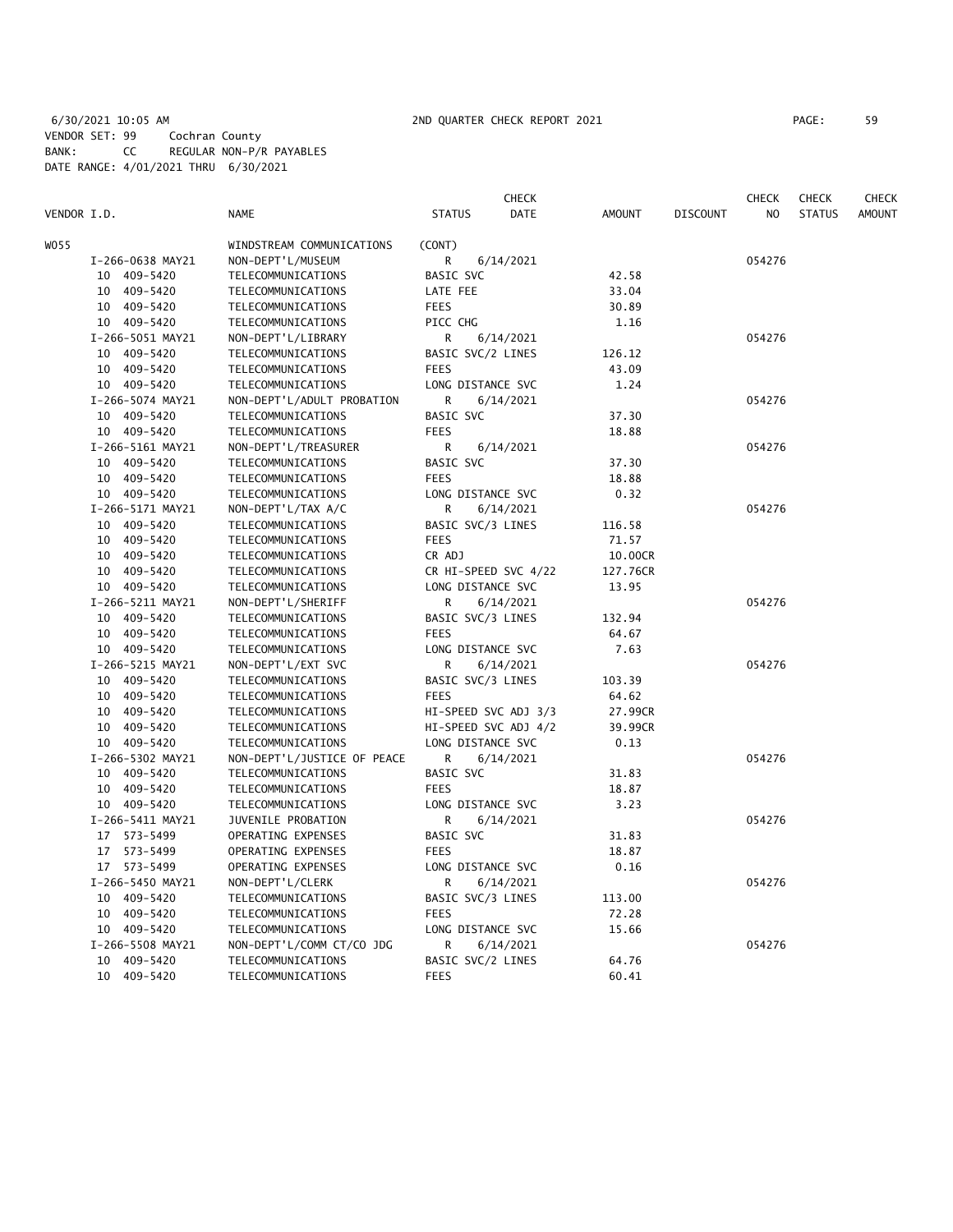|             |                  |                             | CHECK                        |               |                 | CHECK  | <b>CHECK</b>  | <b>CHECK</b>  |
|-------------|------------------|-----------------------------|------------------------------|---------------|-----------------|--------|---------------|---------------|
| VENDOR I.D. |                  | <b>NAME</b>                 | <b>STATUS</b><br><b>DATE</b> | <b>AMOUNT</b> | <b>DISCOUNT</b> | NO.    | <b>STATUS</b> | <b>AMOUNT</b> |
| WO 55       |                  | WINDSTREAM COMMUNICATIONS   | (CONT)                       |               |                 |        |               |               |
|             | I-266-0638 MAY21 | NON-DEPT'L/MUSEUM           | R<br>6/14/2021               |               |                 | 054276 |               |               |
|             | 10 409-5420      | TELECOMMUNICATIONS          | BASIC SVC                    | 42.58         |                 |        |               |               |
|             | 10 409-5420      | TELECOMMUNICATIONS          | LATE FEE                     | 33.04         |                 |        |               |               |
|             | 10 409-5420      | TELECOMMUNICATIONS          | <b>FEES</b>                  | 30.89         |                 |        |               |               |
|             | 10 409-5420      | TELECOMMUNICATIONS          | PICC CHG                     | 1.16          |                 |        |               |               |
|             | I-266-5051 MAY21 | NON-DEPT'L/LIBRARY          | R<br>6/14/2021               |               |                 | 054276 |               |               |
|             | 10 409-5420      | TELECOMMUNICATIONS          | BASIC SVC/2 LINES            | 126.12        |                 |        |               |               |
|             | 10 409-5420      | TELECOMMUNICATIONS          | <b>FEES</b>                  | 43.09         |                 |        |               |               |
|             | 10 409-5420      | TELECOMMUNICATIONS          | LONG DISTANCE SVC            | 1.24          |                 |        |               |               |
|             | I-266-5074 MAY21 | NON-DEPT'L/ADULT PROBATION  | R<br>6/14/2021               |               |                 | 054276 |               |               |
|             | 10 409-5420      | TELECOMMUNICATIONS          | BASIC SVC                    | 37.30         |                 |        |               |               |
|             | 10 409-5420      | TELECOMMUNICATIONS          | <b>FEES</b>                  | 18.88         |                 |        |               |               |
|             | I-266-5161 MAY21 | NON-DEPT'L/TREASURER        | R<br>6/14/2021               |               |                 | 054276 |               |               |
|             | 10 409-5420      | TELECOMMUNICATIONS          | BASIC SVC                    | 37.30         |                 |        |               |               |
|             | 10 409-5420      | TELECOMMUNICATIONS          | <b>FEES</b>                  | 18.88         |                 |        |               |               |
|             | 10 409-5420      | TELECOMMUNICATIONS          | LONG DISTANCE SVC            | 0.32          |                 |        |               |               |
|             | I-266-5171 MAY21 | NON-DEPT'L/TAX A/C          | R<br>6/14/2021               |               |                 | 054276 |               |               |
|             | 10 409-5420      | TELECOMMUNICATIONS          | BASIC SVC/3 LINES            | 116.58        |                 |        |               |               |
|             | 10 409-5420      | TELECOMMUNICATIONS          | <b>FEES</b>                  | 71.57         |                 |        |               |               |
|             | 10 409-5420      | TELECOMMUNICATIONS          | CR ADJ                       | 10.00CR       |                 |        |               |               |
|             | 10 409-5420      | TELECOMMUNICATIONS          | CR HI-SPEED SVC 4/22         | 127.76CR      |                 |        |               |               |
|             | 10 409-5420      | TELECOMMUNICATIONS          | LONG DISTANCE SVC            | 13.95         |                 |        |               |               |
|             | I-266-5211 MAY21 | NON-DEPT'L/SHERIFF          | R<br>6/14/2021               |               |                 | 054276 |               |               |
|             | 10 409-5420      | TELECOMMUNICATIONS          | BASIC SVC/3 LINES            | 132.94        |                 |        |               |               |
|             | 10 409-5420      | TELECOMMUNICATIONS          | <b>FEES</b>                  | 64.67         |                 |        |               |               |
|             | 10 409-5420      | TELECOMMUNICATIONS          | LONG DISTANCE SVC            | 7.63          |                 |        |               |               |
|             | I-266-5215 MAY21 | NON-DEPT'L/EXT SVC          | R<br>6/14/2021               |               |                 | 054276 |               |               |
|             | 10 409-5420      | TELECOMMUNICATIONS          | BASIC SVC/3 LINES            | 103.39        |                 |        |               |               |
|             | 10 409-5420      | TELECOMMUNICATIONS          | <b>FEES</b>                  | 64.62         |                 |        |               |               |
|             | 10 409-5420      | TELECOMMUNICATIONS          | HI-SPEED SVC ADJ 3/3         | 27.99CR       |                 |        |               |               |
|             | 10 409-5420      | TELECOMMUNICATIONS          | HI-SPEED SVC ADJ 4/2         | 39.99CR       |                 |        |               |               |
|             | 10 409-5420      | TELECOMMUNICATIONS          | LONG DISTANCE SVC            | 0.13          |                 |        |               |               |
|             | I-266-5302 MAY21 | NON-DEPT'L/JUSTICE OF PEACE | R<br>6/14/2021               |               |                 | 054276 |               |               |
|             | 10 409-5420      | TELECOMMUNICATIONS          | BASIC SVC                    | 31.83         |                 |        |               |               |
|             | 10 409-5420      | TELECOMMUNICATIONS          | <b>FEES</b>                  | 18.87         |                 |        |               |               |
|             | 10 409-5420      | TELECOMMUNICATIONS          | LONG DISTANCE SVC            | 3.23          |                 |        |               |               |
|             | I-266-5411 MAY21 | JUVENILE PROBATION          | R<br>6/14/2021               |               |                 | 054276 |               |               |
|             | 17 573-5499      | OPERATING EXPENSES          | BASIC SVC                    | 31.83         |                 |        |               |               |
|             | 17 573-5499      | OPERATING EXPENSES          | <b>FEES</b>                  | 18.87         |                 |        |               |               |
|             | 17 573-5499      | OPERATING EXPENSES          | LONG DISTANCE SVC            | 0.16          |                 |        |               |               |
|             | I-266-5450 MAY21 | NON-DEPT'L/CLERK            | R<br>6/14/2021               |               |                 | 054276 |               |               |
|             | 10 409-5420      | TELECOMMUNICATIONS          | BASIC SVC/3 LINES            | 113.00        |                 |        |               |               |
|             | 10 409-5420      | TELECOMMUNICATIONS          | <b>FEES</b>                  | 72.28         |                 |        |               |               |
|             | 10 409-5420      | TELECOMMUNICATIONS          | LONG DISTANCE SVC            | 15.66         |                 |        |               |               |
|             | I-266-5508 MAY21 | NON-DEPT'L/COMM CT/CO JDG   | R<br>6/14/2021               |               |                 | 054276 |               |               |
|             | 10 409-5420      | TELECOMMUNICATIONS          | BASIC SVC/2 LINES            | 64.76         |                 |        |               |               |
|             | 10 409-5420      | TELECOMMUNICATIONS          | <b>FEES</b>                  | 60.41         |                 |        |               |               |
|             |                  |                             |                              |               |                 |        |               |               |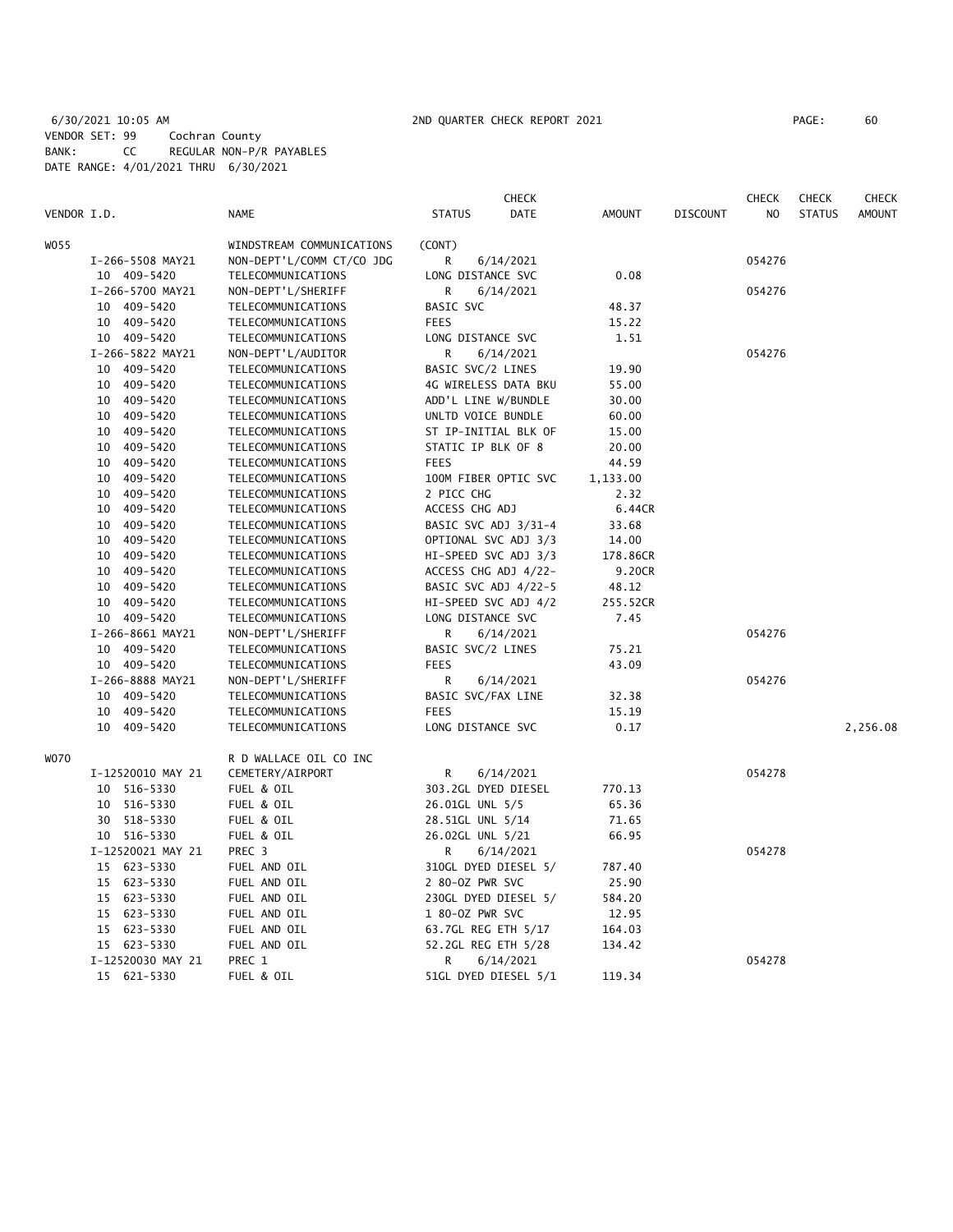# 6/30/2021 10:05 AM 2ND QUARTER CHECK REPORT 2021 PAGE: 60 VENDOR SET: 99 Cochran County BANK: CC REGULAR NON-P/R PAYABLES DATE RANGE: 4/01/2021 THRU 6/30/2021

|             |                   |                           |                                           | <b>CHECK</b>         |          |                 | <b>CHECK</b> | <b>CHECK</b>  | <b>CHECK</b> |
|-------------|-------------------|---------------------------|-------------------------------------------|----------------------|----------|-----------------|--------------|---------------|--------------|
| VENDOR I.D. |                   | <b>NAME</b>               | <b>STATUS</b>                             | DATE                 | AMOUNT   | <b>DISCOUNT</b> | NO.          | <b>STATUS</b> | AMOUNT       |
| WO 55       |                   | WINDSTREAM COMMUNICATIONS | (CONT)                                    |                      |          |                 |              |               |              |
|             | I-266-5508 MAY21  | NON-DEPT'L/COMM CT/CO JDG | R                                         | 6/14/2021            |          |                 | 054276       |               |              |
|             | 10 409-5420       | TELECOMMUNICATIONS        |                                           | LONG DISTANCE SVC    |          |                 |              |               |              |
|             | I-266-5700 MAY21  | NON-DEPT'L/SHERIFF        | R                                         | 6/14/2021            | 0.08     |                 | 054276       |               |              |
|             | 10 409-5420       | TELECOMMUNICATIONS        | BASIC SVC                                 |                      | 48.37    |                 |              |               |              |
|             | 10 409-5420       | TELECOMMUNICATIONS        | <b>FEES</b>                               |                      | 15.22    |                 |              |               |              |
|             | 10 409-5420       | TELECOMMUNICATIONS        | LONG DISTANCE SVC                         |                      | 1.51     |                 |              |               |              |
|             | I-266-5822 MAY21  |                           | R                                         |                      |          |                 | 054276       |               |              |
|             |                   | NON-DEPT'L/AUDITOR        |                                           | 6/14/2021            |          |                 |              |               |              |
|             | 10 409-5420       | TELECOMMUNICATIONS        | BASIC SVC/2 LINES<br>4G WIRELESS DATA BKU |                      | 19.90    |                 |              |               |              |
|             | 10 409-5420       | TELECOMMUNICATIONS        |                                           |                      | 55.00    |                 |              |               |              |
|             | 10 409-5420       | TELECOMMUNICATIONS        | ADD'L LINE W/BUNDLE                       |                      | 30.00    |                 |              |               |              |
|             | 10 409-5420       | TELECOMMUNICATIONS        | UNLTD VOICE BUNDLE                        |                      | 60.00    |                 |              |               |              |
|             | 10 409-5420       | TELECOMMUNICATIONS        | ST IP-INITIAL BLK OF                      |                      | 15.00    |                 |              |               |              |
|             | 10 409-5420       | TELECOMMUNICATIONS        | STATIC IP BLK OF 8                        |                      | 20.00    |                 |              |               |              |
|             | 10 409-5420       | TELECOMMUNICATIONS        | <b>FEES</b>                               |                      | 44.59    |                 |              |               |              |
|             | 10 409-5420       | TELECOMMUNICATIONS        | 100M FIBER OPTIC SVC                      |                      | 1,133.00 |                 |              |               |              |
|             | 10 409-5420       | TELECOMMUNICATIONS        | 2 PICC CHG                                |                      | 2.32     |                 |              |               |              |
|             | 10 409-5420       | TELECOMMUNICATIONS        | ACCESS CHG ADJ                            |                      | 6.44CR   |                 |              |               |              |
|             | 10 409-5420       | TELECOMMUNICATIONS        | BASIC SVC ADJ 3/31-4                      |                      | 33.68    |                 |              |               |              |
|             | 10 409-5420       | TELECOMMUNICATIONS        | OPTIONAL SVC ADJ 3/3                      |                      | 14.00    |                 |              |               |              |
|             | 10 409-5420       | TELECOMMUNICATIONS        | HI-SPEED SVC ADJ 3/3                      |                      | 178.86CR |                 |              |               |              |
|             | 10 409-5420       | TELECOMMUNICATIONS        | ACCESS CHG ADJ 4/22-                      |                      | 9.20CR   |                 |              |               |              |
|             | 10 409-5420       | TELECOMMUNICATIONS        | BASIC SVC ADJ 4/22-5                      |                      | 48.12    |                 |              |               |              |
|             | 10 409-5420       | TELECOMMUNICATIONS        | HI-SPEED SVC ADJ 4/2                      |                      | 255.52CR |                 |              |               |              |
|             | 10 409-5420       | TELECOMMUNICATIONS        | LONG DISTANCE SVC                         |                      | 7.45     |                 |              |               |              |
|             | I-266-8661 MAY21  | NON-DEPT'L/SHERIFF        | R                                         | 6/14/2021            |          |                 | 054276       |               |              |
|             | 10 409-5420       | TELECOMMUNICATIONS        | BASIC SVC/2 LINES                         |                      | 75.21    |                 |              |               |              |
|             | 10 409-5420       | TELECOMMUNICATIONS        | <b>FEES</b>                               |                      | 43.09    |                 |              |               |              |
|             | I-266-8888 MAY21  | NON-DEPT'L/SHERIFF        | R                                         | 6/14/2021            |          |                 | 054276       |               |              |
|             | 10 409-5420       | TELECOMMUNICATIONS        | BASIC SVC/FAX LINE                        |                      | 32.38    |                 |              |               |              |
|             | 10 409-5420       | TELECOMMUNICATIONS        | <b>FEES</b>                               |                      | 15.19    |                 |              |               |              |
|             | 10 409-5420       | TELECOMMUNICATIONS        | LONG DISTANCE SVC                         |                      | 0.17     |                 |              |               | 2,256.08     |
| <b>WO70</b> |                   | R D WALLACE OIL CO INC    |                                           |                      |          |                 |              |               |              |
|             | I-12520010 MAY 21 | CEMETERY/AIRPORT          | R                                         | 6/14/2021            |          |                 | 054278       |               |              |
|             | 10 516-5330       | FUEL & OIL                | 303.2GL DYED DIESEL                       |                      | 770.13   |                 |              |               |              |
|             |                   | FUEL & OIL                |                                           |                      | 65.36    |                 |              |               |              |
|             | 10 516-5330       |                           | 26.01GL UNL 5/5                           |                      |          |                 |              |               |              |
|             | 30 518-5330       | FUEL & OIL                | 28.51GL UNL 5/14                          |                      | 71.65    |                 |              |               |              |
|             | 10 516-5330       | FUEL & OIL                | 26.02GL UNL 5/21                          |                      | 66.95    |                 |              |               |              |
|             | I-12520021 MAY 21 | PREC 3                    | R                                         | 6/14/2021            |          |                 | 054278       |               |              |
|             | 15 623-5330       | FUEL AND OIL              |                                           | 310GL DYED DIESEL 5/ | 787.40   |                 |              |               |              |
|             | 15 623-5330       | FUEL AND OIL              | 2 80-0Z PWR SVC                           |                      | 25.90    |                 |              |               |              |
|             | 15 623-5330       | FUEL AND OIL              | 230GL DYED DIESEL 5/                      |                      | 584.20   |                 |              |               |              |
|             | 15 623-5330       | FUEL AND OIL              | 1 80-0Z PWR SVC                           |                      | 12.95    |                 |              |               |              |
|             | 15 623-5330       | FUEL AND OIL              | 63.7GL REG ETH 5/17                       |                      | 164.03   |                 |              |               |              |
|             | 15 623-5330       | FUEL AND OIL              | 52.2GL REG ETH 5/28                       |                      | 134.42   |                 |              |               |              |
|             | I-12520030 MAY 21 | PREC 1                    | R                                         | 6/14/2021            |          |                 | 054278       |               |              |
|             | 15 621-5330       | FUEL & OIL                | 51GL DYED DIESEL 5/1                      |                      | 119.34   |                 |              |               |              |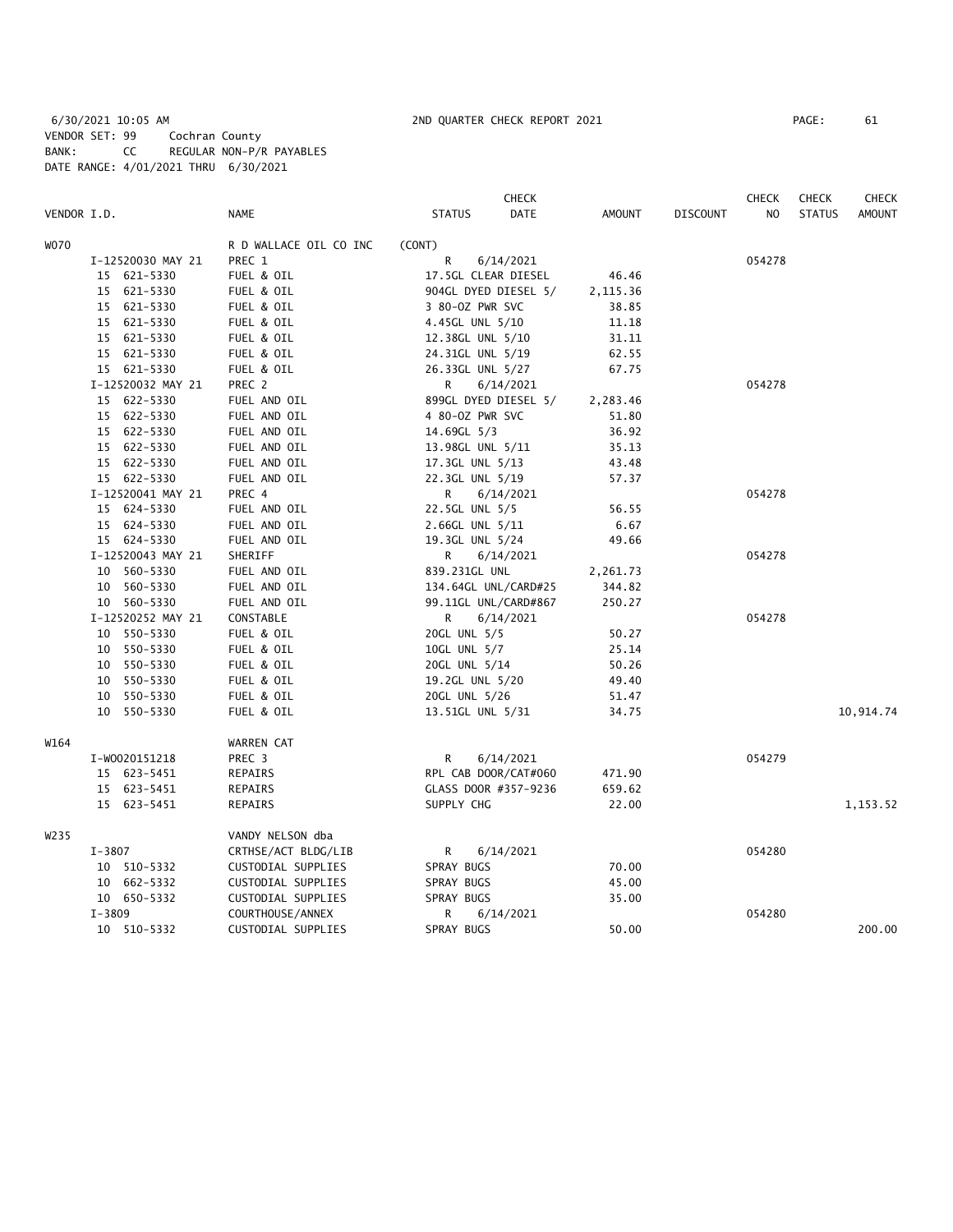6/30/2021 10:05 AM 2ND QUARTER CHECK REPORT 2021 PAGE: 61 VENDOR SET: 99 Cochran County BANK: CC REGULAR NON-P/R PAYABLES DATE RANGE: 4/01/2021 THRU 6/30/2021

|             |                   |                        |                      | CHECK                        |                 | <b>CHECK</b>   | <b>CHECK</b>  | <b>CHECK</b>  |
|-------------|-------------------|------------------------|----------------------|------------------------------|-----------------|----------------|---------------|---------------|
| VENDOR I.D. |                   | <b>NAME</b>            | <b>STATUS</b>        | <b>DATE</b><br><b>AMOUNT</b> | <b>DISCOUNT</b> | N <sub>O</sub> | <b>STATUS</b> | <b>AMOUNT</b> |
| W070        |                   | R D WALLACE OIL CO INC | (CONT)               |                              |                 |                |               |               |
|             | I-12520030 MAY 21 | PREC 1                 | R<br>6/14/2021       |                              |                 | 054278         |               |               |
|             | 15 621-5330       | FUEL & OIL             | 17.5GL CLEAR DIESEL  | 46.46                        |                 |                |               |               |
|             | 15 621-5330       | FUEL & OIL             | 904GL DYED DIESEL 5/ | 2,115.36                     |                 |                |               |               |
|             | 15 621-5330       | FUEL & OIL             | 3 80-0Z PWR SVC      | 38.85                        |                 |                |               |               |
|             | 15 621-5330       | FUEL & OIL             | 4.45GL UNL 5/10      | 11.18                        |                 |                |               |               |
|             | 15 621-5330       | FUEL & OIL             | 12.38GL UNL 5/10     | 31.11                        |                 |                |               |               |
|             | 15 621-5330       | FUEL & OIL             | 24.31GL UNL 5/19     | 62.55                        |                 |                |               |               |
|             | 15 621-5330       | FUEL & OIL             | 26.33GL UNL 5/27     | 67.75                        |                 |                |               |               |
|             | I-12520032 MAY 21 | PREC 2                 | R<br>6/14/2021       |                              |                 | 054278         |               |               |
|             | 15 622-5330       | FUEL AND OIL           | 899GL DYED DIESEL 5/ | 2,283.46                     |                 |                |               |               |
|             | 15 622-5330       | FUEL AND OIL           | 4 80-0Z PWR SVC      | 51.80                        |                 |                |               |               |
|             | 15 622-5330       | FUEL AND OIL           | 14.69GL 5/3          | 36.92                        |                 |                |               |               |
|             | 15 622-5330       | FUEL AND OIL           | 13.98GL UNL 5/11     | 35.13                        |                 |                |               |               |
|             | 15 622-5330       | FUEL AND OIL           | 17.3GL UNL 5/13      | 43.48                        |                 |                |               |               |
|             | 15 622-5330       | FUEL AND OIL           | 22.3GL UNL 5/19      | 57.37                        |                 |                |               |               |
|             | I-12520041 MAY 21 | PREC 4                 | R<br>6/14/2021       |                              |                 | 054278         |               |               |
|             | 15 624-5330       | FUEL AND OIL           | 22.5GL UNL 5/5       | 56.55                        |                 |                |               |               |
|             | 15 624-5330       | FUEL AND OIL           | 2.66GL UNL 5/11      | 6.67                         |                 |                |               |               |
|             | 15 624-5330       | FUEL AND OIL           | 19.3GL UNL 5/24      | 49.66                        |                 |                |               |               |
|             | I-12520043 MAY 21 | SHERIFF                | R<br>6/14/2021       |                              |                 | 054278         |               |               |
|             | 10 560-5330       | FUEL AND OIL           | 839.231GL UNL        | 2,261.73                     |                 |                |               |               |
|             | 10 560-5330       | FUEL AND OIL           | 134.64GL UNL/CARD#25 | 344.82                       |                 |                |               |               |
|             | 10 560-5330       | FUEL AND OIL           | 99.11GL UNL/CARD#867 | 250.27                       |                 |                |               |               |
|             | I-12520252 MAY 21 | CONSTABLE              | R<br>6/14/2021       |                              |                 | 054278         |               |               |
|             | 10 550-5330       | FUEL & OIL             | 20GL UNL 5/5         | 50.27                        |                 |                |               |               |
|             | 550-5330<br>10    | FUEL & OIL             | 10GL UNL 5/7         | 25.14                        |                 |                |               |               |
|             | 550-5330<br>10    | FUEL & OIL             | 20GL UNL 5/14        | 50.26                        |                 |                |               |               |
|             | 550-5330<br>10    | FUEL & OIL             | 19.2GL UNL 5/20      | 49.40                        |                 |                |               |               |
|             | 10 550-5330       | FUEL & OIL             | 20GL UNL 5/26        | 51.47                        |                 |                |               |               |
|             | 10 550-5330       | FUEL & OIL             | 13.51GL UNL 5/31     | 34.75                        |                 |                |               | 10,914.74     |
|             |                   |                        |                      |                              |                 |                |               |               |
| W164        |                   | WARREN CAT             |                      |                              |                 |                |               |               |
|             | I-W0020151218     | PREC 3                 | 6/14/2021<br>R       |                              |                 | 054279         |               |               |
|             | 15 623-5451       | REPAIRS                | RPL CAB DOOR/CAT#060 | 471.90                       |                 |                |               |               |
|             | 15 623-5451       | REPAIRS                | GLASS DOOR #357-9236 | 659.62                       |                 |                |               |               |
|             | 15 623-5451       | <b>REPAIRS</b>         | SUPPLY CHG           | 22.00                        |                 |                |               | 1,153.52      |
| W235        |                   | VANDY NELSON dba       |                      |                              |                 |                |               |               |
|             | I-3807            | CRTHSE/ACT BLDG/LIB    | R<br>6/14/2021       |                              |                 | 054280         |               |               |
|             | 10 510-5332       | CUSTODIAL SUPPLIES     | SPRAY BUGS           | 70.00                        |                 |                |               |               |
|             | 10 662-5332       | CUSTODIAL SUPPLIES     | SPRAY BUGS           | 45.00                        |                 |                |               |               |
|             | 10 650-5332       | CUSTODIAL SUPPLIES     | SPRAY BUGS           | 35.00                        |                 |                |               |               |
|             | $I - 3809$        | COURTHOUSE/ANNEX       | R<br>6/14/2021       |                              |                 | 054280         |               |               |
|             | 10 510-5332       | CUSTODIAL SUPPLIES     | SPRAY BUGS           | 50.00                        |                 |                |               | 200.00        |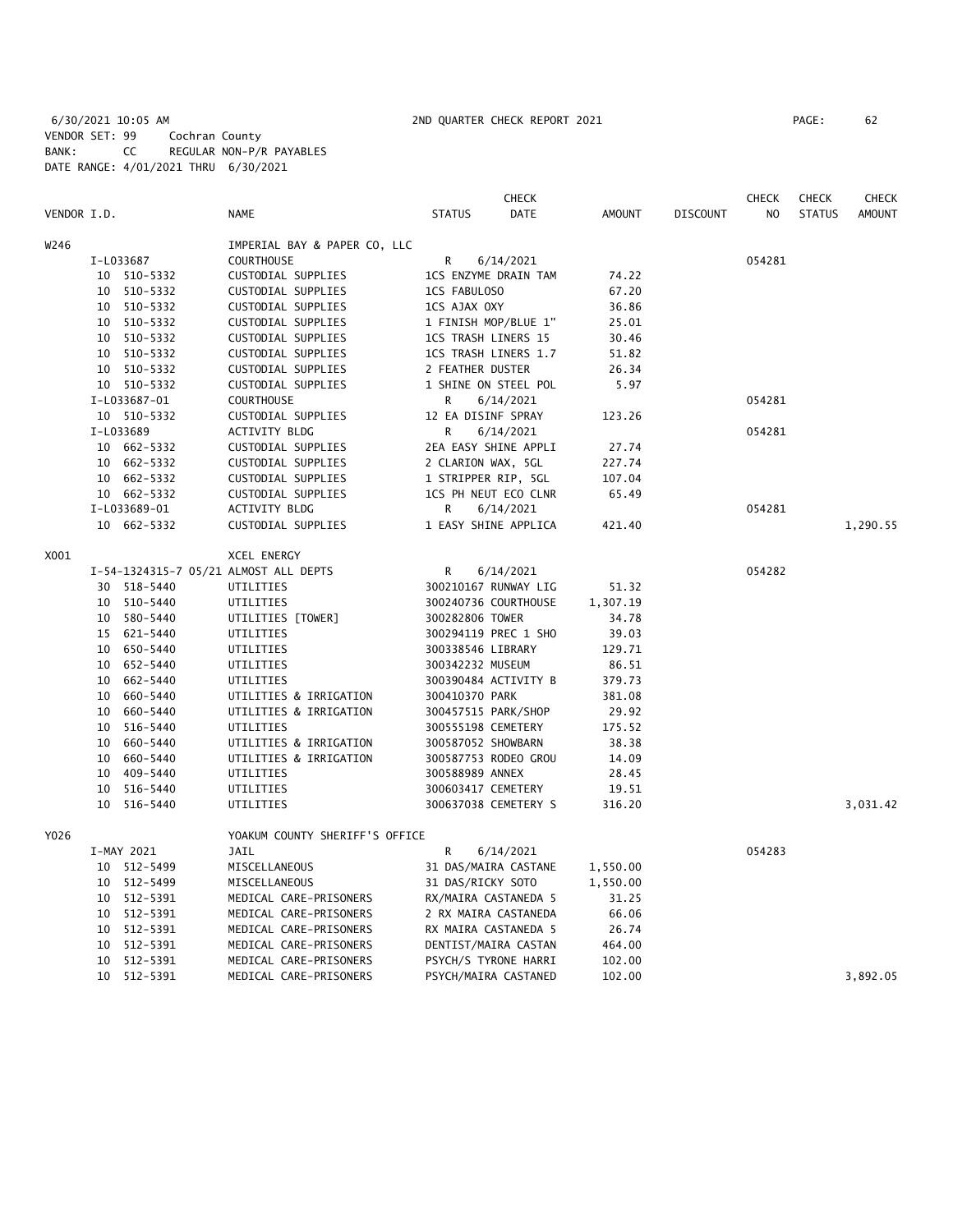|             |    |              |                                       |                     | <b>CHECK</b>         |               |          | <b>CHECK</b>   | <b>CHECK</b>  | <b>CHECK</b>  |
|-------------|----|--------------|---------------------------------------|---------------------|----------------------|---------------|----------|----------------|---------------|---------------|
| VENDOR I.D. |    |              | <b>NAME</b>                           | <b>STATUS</b>       | DATE                 | <b>AMOUNT</b> | DISCOUNT | N <sub>O</sub> | <b>STATUS</b> | <b>AMOUNT</b> |
| W246        |    |              | IMPERIAL BAY & PAPER CO, LLC          |                     |                      |               |          |                |               |               |
|             |    | I-L033687    | COURTHOUSE                            | R                   | 6/14/2021            |               |          | 054281         |               |               |
|             |    | 10 510-5332  | CUSTODIAL SUPPLIES                    |                     | 1CS ENZYME DRAIN TAM | 74.22         |          |                |               |               |
|             |    | 10 510-5332  | CUSTODIAL SUPPLIES                    | 1CS FABULOSO        |                      | 67.20         |          |                |               |               |
|             |    | 10 510-5332  | CUSTODIAL SUPPLIES                    | 1CS AJAX OXY        |                      | 36.86         |          |                |               |               |
|             |    | 10 510-5332  | CUSTODIAL SUPPLIES                    |                     | 1 FINISH MOP/BLUE 1" | 25.01         |          |                |               |               |
|             |    | 10 510-5332  | CUSTODIAL SUPPLIES                    | 1CS TRASH LINERS 15 |                      | 30.46         |          |                |               |               |
|             |    | 10 510-5332  | CUSTODIAL SUPPLIES                    |                     | 1CS TRASH LINERS 1.7 | 51.82         |          |                |               |               |
|             |    | 10 510-5332  | CUSTODIAL SUPPLIES                    | 2 FEATHER DUSTER    |                      | 26.34         |          |                |               |               |
|             |    | 10 510-5332  | CUSTODIAL SUPPLIES                    |                     | 1 SHINE ON STEEL POL | 5.97          |          |                |               |               |
|             |    | I-L033687-01 | COURTHOUSE                            | R                   | 6/14/2021            |               |          | 054281         |               |               |
|             |    | 10 510-5332  | CUSTODIAL SUPPLIES                    | 12 EA DISINF SPRAY  |                      | 123.26        |          |                |               |               |
|             |    | I-L033689    | <b>ACTIVITY BLDG</b>                  | R                   | 6/14/2021            |               |          | 054281         |               |               |
|             |    | 10 662-5332  | CUSTODIAL SUPPLIES                    |                     | 2EA EASY SHINE APPLI | 27.74         |          |                |               |               |
|             |    | 10 662-5332  | CUSTODIAL SUPPLIES                    | 2 CLARION WAX, 5GL  |                      | 227.74        |          |                |               |               |
|             |    | 10 662-5332  | CUSTODIAL SUPPLIES                    | 1 STRIPPER RIP, 5GL |                      | 107.04        |          |                |               |               |
|             |    | 10 662-5332  | CUSTODIAL SUPPLIES                    |                     | 1CS PH NEUT ECO CLNR | 65.49         |          |                |               |               |
|             |    | I-L033689-01 | ACTIVITY BLDG                         | R                   | 6/14/2021            |               |          | 054281         |               |               |
|             |    | 10 662-5332  | CUSTODIAL SUPPLIES                    |                     | 1 EASY SHINE APPLICA | 421.40        |          |                |               | 1,290.55      |
| X001        |    |              | XCEL ENERGY                           |                     |                      |               |          |                |               |               |
|             |    |              | I-54-1324315-7 05/21 ALMOST ALL DEPTS | R                   | 6/14/2021            |               |          | 054282         |               |               |
|             |    | 30 518-5440  | UTILITIES                             |                     | 300210167 RUNWAY LIG | 51.32         |          |                |               |               |
|             |    | 10 510-5440  | UTILITIES                             |                     | 300240736 COURTHOUSE | 1,307.19      |          |                |               |               |
|             |    | 10 580-5440  | UTILITIES [TOWER]                     | 300282806 TOWER     |                      | 34.78         |          |                |               |               |
|             |    | 15 621-5440  | UTILITIES                             |                     | 300294119 PREC 1 SHO | 39.03         |          |                |               |               |
|             |    | 10 650-5440  | UTILITIES                             | 300338546 LIBRARY   |                      | 129.71        |          |                |               |               |
|             |    | 10 652-5440  | UTILITIES                             | 300342232 MUSEUM    |                      | 86.51         |          |                |               |               |
|             |    | 10 662-5440  | UTILITIES                             |                     | 300390484 ACTIVITY B | 379.73        |          |                |               |               |
|             |    | 10 660-5440  | UTILITIES & IRRIGATION                | 300410370 PARK      |                      | 381.08        |          |                |               |               |
|             | 10 | 660-5440     | UTILITIES & IRRIGATION                | 300457515 PARK/SHOP |                      | 29.92         |          |                |               |               |
|             | 10 | 516-5440     | UTILITIES                             | 300555198 CEMETERY  |                      | 175.52        |          |                |               |               |
|             |    | 10 660-5440  | UTILITIES & IRRIGATION                | 300587052 SHOWBARN  |                      | 38.38         |          |                |               |               |
|             |    | 10 660-5440  | UTILITIES & IRRIGATION                |                     | 300587753 RODEO GROU | 14.09         |          |                |               |               |
|             | 10 | 409-5440     | UTILITIES                             | 300588989 ANNEX     |                      | 28.45         |          |                |               |               |
|             | 10 | 516-5440     | UTILITIES                             | 300603417 CEMETERY  |                      | 19.51         |          |                |               |               |
|             | 10 | 516-5440     | UTILITIES                             |                     | 300637038 CEMETERY S | 316.20        |          |                |               | 3,031.42      |
| Y026        |    |              | YOAKUM COUNTY SHERIFF'S OFFICE        |                     |                      |               |          |                |               |               |
|             |    | I-MAY 2021   | <b>JAIL</b>                           | R                   | 6/14/2021            |               |          | 054283         |               |               |
|             |    | 10 512-5499  | MISCELLANEOUS                         |                     | 31 DAS/MAIRA CASTANE | 1,550.00      |          |                |               |               |
|             |    | 10 512-5499  | MISCELLANEOUS                         | 31 DAS/RICKY SOTO   |                      | 1,550.00      |          |                |               |               |
|             |    | 10 512-5391  | MEDICAL CARE-PRISONERS                |                     | RX/MAIRA CASTANEDA 5 | 31.25         |          |                |               |               |
|             |    | 10 512-5391  | MEDICAL CARE-PRISONERS                |                     | 2 RX MAIRA CASTANEDA | 66.06         |          |                |               |               |
|             | 10 | 512-5391     | MEDICAL CARE-PRISONERS                |                     | RX MAIRA CASTANEDA 5 | 26.74         |          |                |               |               |
|             | 10 | 512-5391     | MEDICAL CARE-PRISONERS                |                     | DENTIST/MAIRA CASTAN | 464.00        |          |                |               |               |
|             |    | 10 512-5391  | MEDICAL CARE-PRISONERS                |                     | PSYCH/S TYRONE HARRI | 102.00        |          |                |               |               |

10 512-5391 MEDICAL CARE-PRISONERS PSYCH/MAIRA CASTANED 102.00 3,892.05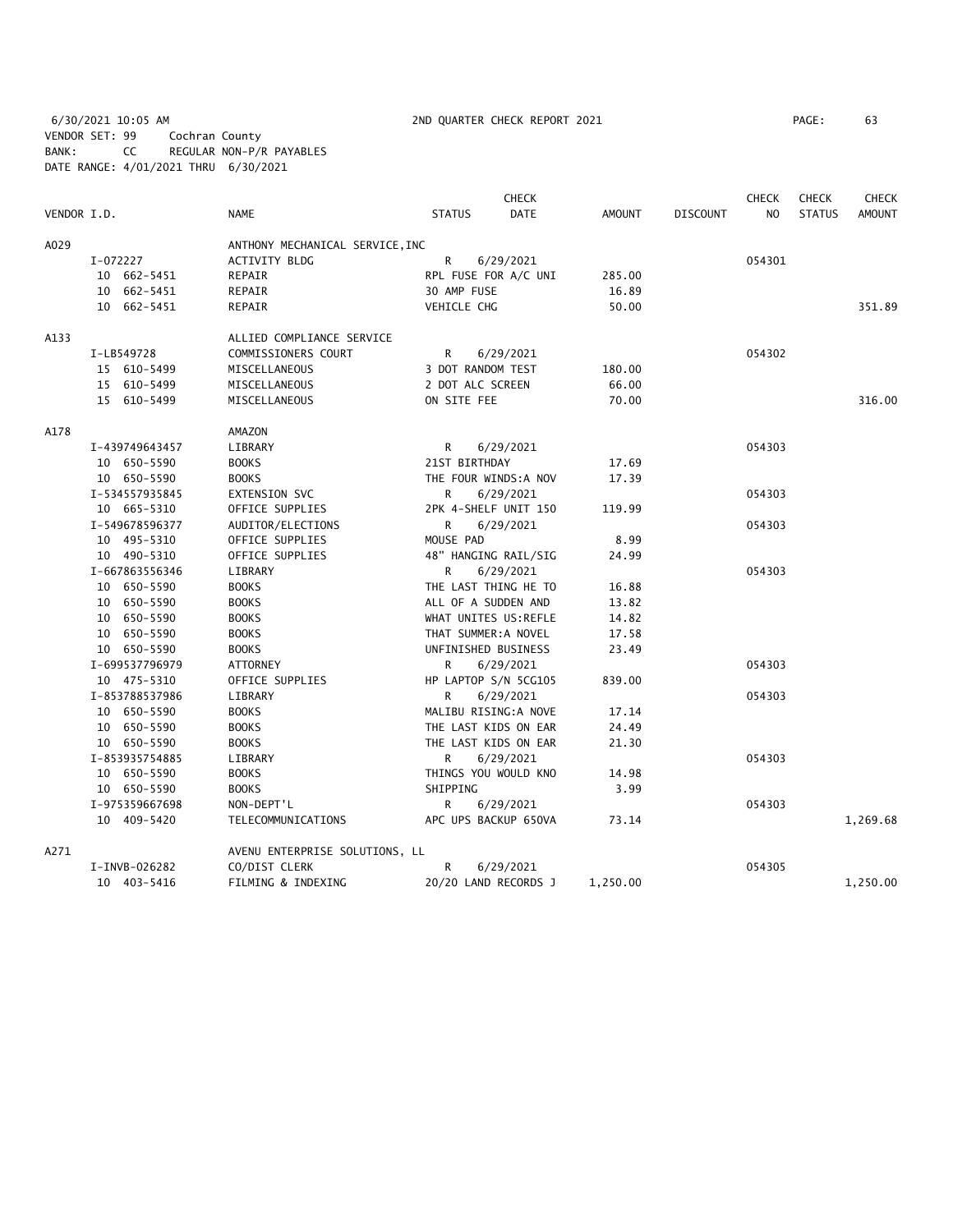6/30/2021 10:05 AM 2ND QUARTER CHECK REPORT 2021 PAGE: 63 VENDOR SET: 99 Cochran County BANK: CC REGULAR NON-P/R PAYABLES DATE RANGE: 4/01/2021 THRU 6/30/2021

|             |                |                                 | <b>CHECK</b>                 |               |                 | <b>CHECK</b>   | <b>CHECK</b>  | <b>CHECK</b>  |
|-------------|----------------|---------------------------------|------------------------------|---------------|-----------------|----------------|---------------|---------------|
| VENDOR I.D. |                | <b>NAME</b>                     | <b>DATE</b><br><b>STATUS</b> | <b>AMOUNT</b> | <b>DISCOUNT</b> | N <sub>O</sub> | <b>STATUS</b> | <b>AMOUNT</b> |
| A029        |                | ANTHONY MECHANICAL SERVICE, INC |                              |               |                 |                |               |               |
|             | I-072227       | <b>ACTIVITY BLDG</b>            | $\mathsf{R}$<br>6/29/2021    |               |                 | 054301         |               |               |
|             | 10 662-5451    | REPAIR                          | RPL FUSE FOR A/C UNI         | 285.00        |                 |                |               |               |
|             | 10 662-5451    | REPAIR                          | 30 AMP FUSE                  | 16.89         |                 |                |               |               |
|             | 10 662-5451    | REPAIR                          | VEHICLE CHG                  | 50.00         |                 |                |               | 351.89        |
| A133        |                | ALLIED COMPLIANCE SERVICE       |                              |               |                 |                |               |               |
|             | I-LB549728     | COMMISSIONERS COURT             | R<br>6/29/2021               |               |                 | 054302         |               |               |
|             | 15 610-5499    | MISCELLANEOUS                   | 3 DOT RANDOM TEST            | 180.00        |                 |                |               |               |
|             | 15 610-5499    | MISCELLANEOUS                   | 2 DOT ALC SCREEN             | 66.00         |                 |                |               |               |
|             | 15 610-5499    | MISCELLANEOUS                   | ON SITE FEE                  | 70.00         |                 |                |               | 316.00        |
| A178        |                | AMAZON                          |                              |               |                 |                |               |               |
|             | I-439749643457 | LIBRARY                         | R<br>6/29/2021               |               |                 | 054303         |               |               |
|             | 10 650-5590    | <b>BOOKS</b>                    | 21ST BIRTHDAY                | 17.69         |                 |                |               |               |
|             | 10 650-5590    | <b>BOOKS</b>                    | THE FOUR WINDS:A NOV         | 17.39         |                 |                |               |               |
|             | I-534557935845 | EXTENSION SVC                   | 6/29/2021<br>R.              |               |                 | 054303         |               |               |
|             | 10 665-5310    | OFFICE SUPPLIES                 | 2PK 4-SHELF UNIT 150         | 119.99        |                 |                |               |               |
|             | I-549678596377 | AUDITOR/ELECTIONS               | 6/29/2021<br>R.              |               |                 | 054303         |               |               |
|             | 10 495-5310    | OFFICE SUPPLIES                 | MOUSE PAD                    | 8.99          |                 |                |               |               |
|             | 10 490-5310    | OFFICE SUPPLIES                 | 48" HANGING RAIL/SIG         | 24.99         |                 |                |               |               |
|             | I-667863556346 | LIBRARY                         | R.<br>6/29/2021              |               |                 | 054303         |               |               |
|             | 10 650-5590    | <b>BOOKS</b>                    | THE LAST THING HE TO         | 16.88         |                 |                |               |               |
|             | 10 650-5590    | <b>BOOKS</b>                    | ALL OF A SUDDEN AND          | 13.82         |                 |                |               |               |
|             | 10 650-5590    | <b>BOOKS</b>                    | WHAT UNITES US:REFLE         | 14.82         |                 |                |               |               |
|             | 10 650-5590    | <b>BOOKS</b>                    | THAT SUMMER: A NOVEL         | 17.58         |                 |                |               |               |
|             | 10 650-5590    | <b>BOOKS</b>                    | UNFINISHED BUSINESS          | 23.49         |                 |                |               |               |
|             | I-699537796979 | <b>ATTORNEY</b>                 | R.<br>6/29/2021              |               |                 | 054303         |               |               |
|             | 10 475-5310    | OFFICE SUPPLIES                 | HP LAPTOP S/N 5CG105         | 839.00        |                 |                |               |               |
|             | I-853788537986 | LIBRARY                         | 6/29/2021<br>R               |               |                 | 054303         |               |               |
|             | 10 650-5590    | <b>BOOKS</b>                    | MALIBU RISING:A NOVE         | 17.14         |                 |                |               |               |
|             | 10 650-5590    | <b>BOOKS</b>                    | THE LAST KIDS ON EAR         | 24.49         |                 |                |               |               |
|             | 10 650-5590    | <b>BOOKS</b>                    | THE LAST KIDS ON EAR         | 21.30         |                 |                |               |               |
|             | I-853935754885 | LIBRARY                         | R.<br>6/29/2021              |               |                 | 054303         |               |               |
|             | 10 650-5590    | <b>BOOKS</b>                    | THINGS YOU WOULD KNO         | 14.98         |                 |                |               |               |
|             | 10 650-5590    | <b>BOOKS</b>                    | SHIPPING                     | 3.99          |                 |                |               |               |
|             | I-975359667698 | NON-DEPT'L                      | R<br>6/29/2021               |               |                 | 054303         |               |               |
|             | 10 409-5420    | TELECOMMUNICATIONS              | APC UPS BACKUP 650VA         | 73.14         |                 |                |               | 1,269.68      |
| A271        |                | AVENU ENTERPRISE SOLUTIONS, LL  |                              |               |                 |                |               |               |
|             | I-INVB-026282  | CO/DIST CLERK                   | R<br>6/29/2021               |               |                 | 054305         |               |               |
|             | 10 403-5416    | FILMING & INDEXING              | 20/20 LAND RECORDS J         | 1,250.00      |                 |                |               | 1,250.00      |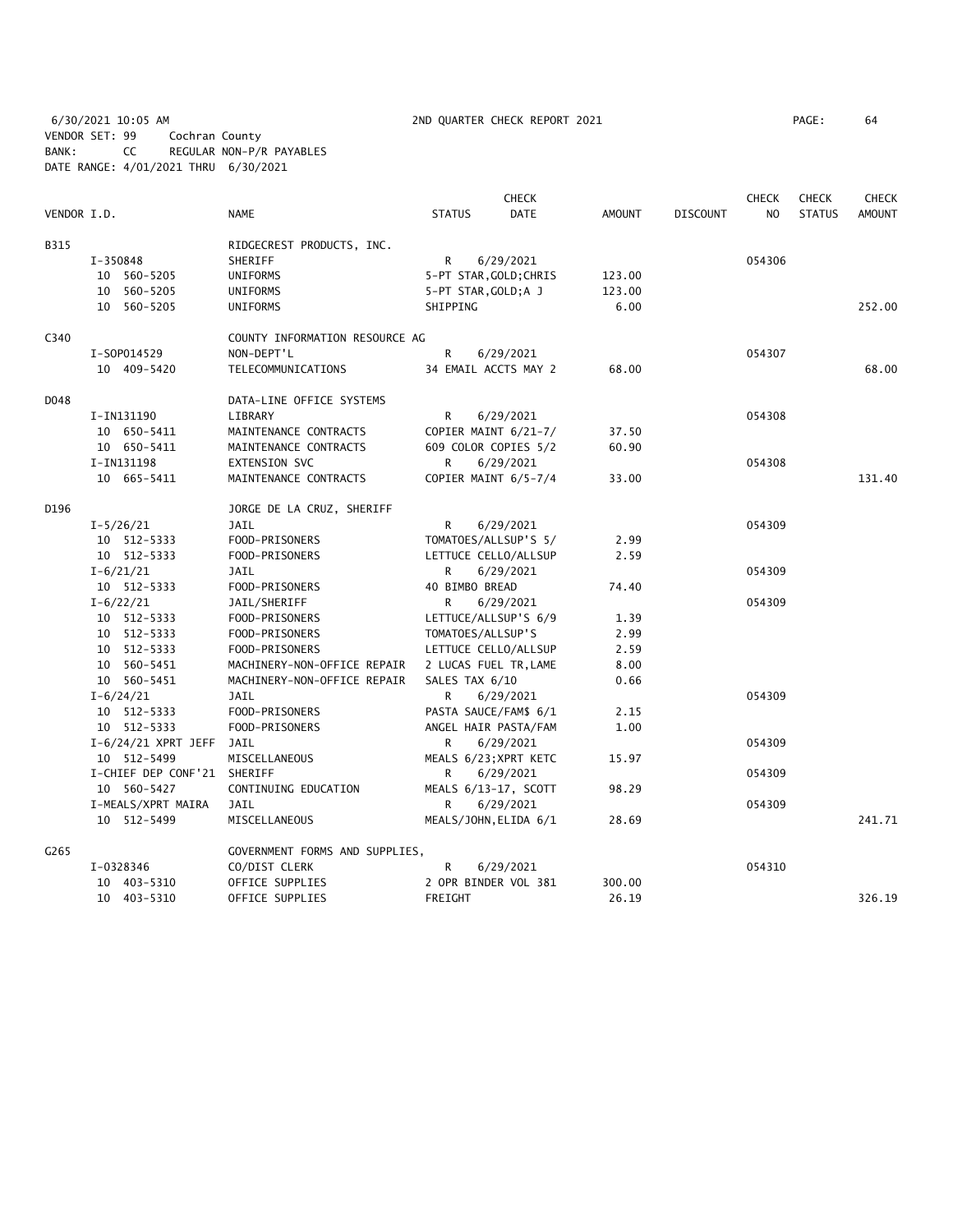6/30/2021 10:05 AM 2ND QUARTER CHECK REPORT 2021 PAGE: 64 VENDOR SET: 99 Cochran County BANK: CC REGULAR NON-P/R PAYABLES DATE RANGE: 4/01/2021 THRU 6/30/2021

| PAGE : | 64 |
|--------|----|
|        |    |

|             |                             |                                |                        | <b>CHECK</b> |               |                 | <b>CHECK</b>   | <b>CHECK</b>  | CHECK  |
|-------------|-----------------------------|--------------------------------|------------------------|--------------|---------------|-----------------|----------------|---------------|--------|
| VENDOR I.D. |                             | <b>NAME</b>                    | <b>STATUS</b>          | <b>DATE</b>  | <b>AMOUNT</b> | <b>DISCOUNT</b> | N <sub>O</sub> | <b>STATUS</b> | AMOUNT |
| <b>B315</b> |                             | RIDGECREST PRODUCTS, INC.      |                        |              |               |                 |                |               |        |
|             | I-350848                    | SHERIFF                        | R                      | 6/29/2021    |               |                 | 054306         |               |        |
|             | 10 560-5205                 | UNIFORMS                       | 5-PT STAR, GOLD; CHRIS |              | 123.00        |                 |                |               |        |
|             | 10 560-5205                 | UNIFORMS                       | 5-PT STAR, GOLD; A J   |              | 123.00        |                 |                |               |        |
|             | 10 560-5205                 | UNIFORMS                       | SHIPPING               |              | 6.00          |                 |                |               | 252.00 |
| C340        |                             | COUNTY INFORMATION RESOURCE AG |                        |              |               |                 |                |               |        |
|             | I-S0P014529                 | NON-DEPT'L                     | R                      | 6/29/2021    |               |                 | 054307         |               |        |
|             | 10 409-5420                 | TELECOMMUNICATIONS             | 34 EMAIL ACCTS MAY 2   |              | 68.00         |                 |                |               | 68.00  |
| D048        |                             | DATA-LINE OFFICE SYSTEMS       |                        |              |               |                 |                |               |        |
|             | I-IN131190                  | LIBRARY                        | R                      | 6/29/2021    |               |                 | 054308         |               |        |
|             | 10 650-5411                 | MAINTENANCE CONTRACTS          | COPIER MAINT 6/21-7/   |              | 37.50         |                 |                |               |        |
|             | 10 650-5411                 | MAINTENANCE CONTRACTS          | 609 COLOR COPIES 5/2   |              | 60.90         |                 |                |               |        |
|             | I-IN131198                  | EXTENSION SVC                  | R                      | 6/29/2021    |               |                 | 054308         |               |        |
|             | 10 665-5411                 | MAINTENANCE CONTRACTS          | COPIER MAINT 6/5-7/4   |              | 33.00         |                 |                |               | 131.40 |
| D196        |                             | JORGE DE LA CRUZ, SHERIFF      |                        |              |               |                 |                |               |        |
|             | $I - 5/26/21$               | JAIL                           | R                      | 6/29/2021    |               |                 | 054309         |               |        |
|             | 10 512-5333                 | FOOD-PRISONERS                 | TOMATOES/ALLSUP'S 5/   |              | 2.99          |                 |                |               |        |
|             | 10 512-5333                 | FOOD-PRISONERS                 | LETTUCE CELLO/ALLSUP   |              | 2.59          |                 |                |               |        |
|             | $I - 6/21/21$               | JAIL                           | R                      | 6/29/2021    |               |                 | 054309         |               |        |
|             | 10 512-5333                 | FOOD-PRISONERS                 | 40 BIMBO BREAD         |              | 74.40         |                 |                |               |        |
|             | $I - 6/22/21$               | JAIL/SHERIFF                   | R                      | 6/29/2021    |               |                 | 054309         |               |        |
|             | 10 512-5333                 | FOOD-PRISONERS                 | LETTUCE/ALLSUP'S 6/9   |              | 1.39          |                 |                |               |        |
|             | 10 512-5333                 | FOOD-PRISONERS                 | TOMATOES/ALLSUP'S      |              | 2.99          |                 |                |               |        |
|             | 10 512-5333                 | FOOD-PRISONERS                 | LETTUCE CELLO/ALLSUP   |              | 2.59          |                 |                |               |        |
|             | 10 560-5451                 | MACHINERY-NON-OFFICE REPAIR    | 2 LUCAS FUEL TR, LAME  |              | 8.00          |                 |                |               |        |
|             | 10 560-5451                 | MACHINERY-NON-OFFICE REPAIR    | SALES TAX 6/10         |              | 0.66          |                 |                |               |        |
|             | $I - 6/24/21$               | <b>JAIL</b>                    | R                      | 6/29/2021    |               |                 | 054309         |               |        |
|             | 10 512-5333                 | FOOD-PRISONERS                 | PASTA SAUCE/FAM\$ 6/1  |              | 2.15          |                 |                |               |        |
|             | 10 512-5333                 | FOOD-PRISONERS                 | ANGEL HAIR PASTA/FAM   |              | 1.00          |                 |                |               |        |
|             | $I-6/24/21$ XPRT JEFF       | JAIL                           | R                      | 6/29/2021    |               |                 | 054309         |               |        |
|             | 10 512-5499                 | MISCELLANEOUS                  | MEALS 6/23; XPRT KETC  |              | 15.97         |                 |                |               |        |
|             | I-CHIEF DEP CONF'21 SHERIFF |                                | R                      | 6/29/2021    |               |                 | 054309         |               |        |
|             | 10 560-5427                 | CONTINUING EDUCATION           | MEALS 6/13-17, SCOTT   |              | 98.29         |                 |                |               |        |
|             | I-MEALS/XPRT MAIRA          | JAIL                           | R                      | 6/29/2021    |               |                 | 054309         |               |        |
|             | 10 512-5499                 | MISCELLANEOUS                  | MEALS/JOHN, ELIDA 6/1  |              | 28.69         |                 |                |               | 241.71 |
| G265        |                             | GOVERNMENT FORMS AND SUPPLIES, |                        |              |               |                 |                |               |        |
|             | I-0328346                   | CO/DIST CLERK                  | R                      | 6/29/2021    |               |                 | 054310         |               |        |
|             | 10 403-5310                 | OFFICE SUPPLIES                | 2 OPR BINDER VOL 381   |              | 300.00        |                 |                |               |        |
|             | 10 403-5310                 | OFFICE SUPPLIES                | FREIGHT                |              | 26.19         |                 |                |               | 326.19 |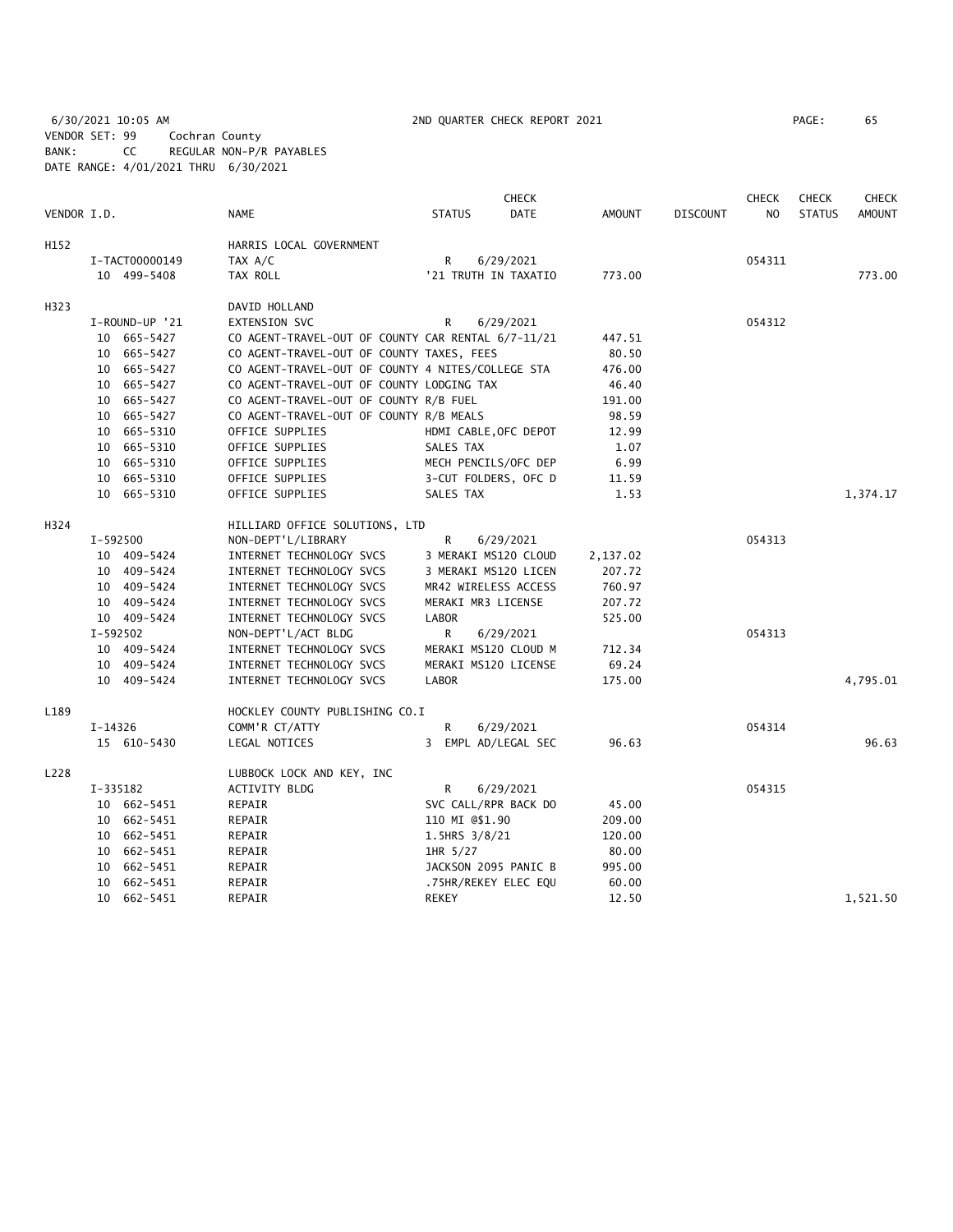6/30/2021 10:05 AM 2ND QUARTER CHECK REPORT 2021 PAGE: 65 VENDOR SET: 99 Cochran County BANK: CC REGULAR NON-P/R PAYABLES DATE RANGE: 4/01/2021 THRU 6/30/2021

|             | <b>CHECK</b>   |                                                    |                       |             | <b>CHECK</b>  | <b>CHECK</b>    | <b>CHECK</b>   |               |               |
|-------------|----------------|----------------------------------------------------|-----------------------|-------------|---------------|-----------------|----------------|---------------|---------------|
| VENDOR I.D. |                | <b>NAME</b>                                        | <b>STATUS</b>         | <b>DATE</b> | <b>AMOUNT</b> | <b>DISCOUNT</b> | N <sub>O</sub> | <b>STATUS</b> | <b>AMOUNT</b> |
| H152        |                | HARRIS LOCAL GOVERNMENT                            |                       |             |               |                 |                |               |               |
|             | I-TACT00000149 | TAX A/C                                            | R                     | 6/29/2021   |               |                 | 054311         |               |               |
|             | 10 499-5408    | TAX ROLL                                           | '21 TRUTH IN TAXATIO  |             | 773.00        |                 |                |               | 773.00        |
| H323        |                | DAVID HOLLAND                                      |                       |             |               |                 |                |               |               |
|             | I-ROUND-UP '21 | EXTENSION SVC                                      | R                     | 6/29/2021   |               |                 | 054312         |               |               |
|             | 10 665-5427    | CO AGENT-TRAVEL-OUT OF COUNTY CAR RENTAL 6/7-11/21 |                       |             | 447.51        |                 |                |               |               |
|             | 10 665-5427    | CO AGENT-TRAVEL-OUT OF COUNTY TAXES, FEES          |                       |             | 80.50         |                 |                |               |               |
|             | 10 665-5427    | CO AGENT-TRAVEL-OUT OF COUNTY 4 NITES/COLLEGE STA  |                       |             | 476.00        |                 |                |               |               |
|             | 10 665-5427    | CO AGENT-TRAVEL-OUT OF COUNTY LODGING TAX          |                       |             | 46.40         |                 |                |               |               |
|             | 10 665-5427    | CO AGENT-TRAVEL-OUT OF COUNTY R/B FUEL             |                       |             | 191.00        |                 |                |               |               |
|             | 10 665-5427    | CO AGENT-TRAVEL-OUT OF COUNTY R/B MEALS            |                       |             | 98.59         |                 |                |               |               |
|             | 10 665-5310    | OFFICE SUPPLIES                                    | HDMI CABLE, OFC DEPOT |             | 12.99         |                 |                |               |               |
|             | 10 665-5310    | OFFICE SUPPLIES                                    | SALES TAX             |             | 1.07          |                 |                |               |               |
|             | 10 665-5310    | OFFICE SUPPLIES                                    | MECH PENCILS/OFC DEP  |             | 6.99          |                 |                |               |               |
|             | 10 665-5310    | OFFICE SUPPLIES                                    | 3-CUT FOLDERS, OFC D  |             | 11.59         |                 |                |               |               |
|             | 10 665-5310    | OFFICE SUPPLIES                                    | SALES TAX             |             | 1.53          |                 |                |               | 1,374.17      |
| H324        |                | HILLIARD OFFICE SOLUTIONS, LTD                     |                       |             |               |                 |                |               |               |
|             | I-592500       | NON-DEPT'L/LIBRARY                                 | R                     | 6/29/2021   |               |                 | 054313         |               |               |
|             | 10 409-5424    | INTERNET TECHNOLOGY SVCS                           | 3 MERAKI MS120 CLOUD  |             | 2,137.02      |                 |                |               |               |
|             | 10 409-5424    | INTERNET TECHNOLOGY SVCS                           | 3 MERAKI MS120 LICEN  |             | 207.72        |                 |                |               |               |
|             | 10 409-5424    | INTERNET TECHNOLOGY SVCS                           | MR42 WIRELESS ACCESS  |             | 760.97        |                 |                |               |               |
|             | 10 409-5424    | INTERNET TECHNOLOGY SVCS                           | MERAKI MR3 LICENSE    |             | 207.72        |                 |                |               |               |
|             | 10 409-5424    | INTERNET TECHNOLOGY SVCS                           | <b>LABOR</b>          |             | 525.00        |                 |                |               |               |
|             | I-592502       | NON-DEPT'L/ACT BLDG                                | R                     | 6/29/2021   |               |                 | 054313         |               |               |
|             | 10 409-5424    | INTERNET TECHNOLOGY SVCS                           | MERAKI MS120 CLOUD M  |             | 712.34        |                 |                |               |               |
|             | 10 409-5424    | INTERNET TECHNOLOGY SVCS                           | MERAKI MS120 LICENSE  |             | 69.24         |                 |                |               |               |
|             | 10 409-5424    | INTERNET TECHNOLOGY SVCS                           | <b>LABOR</b>          |             | 175.00        |                 |                |               | 4,795.01      |
| L189        |                | HOCKLEY COUNTY PUBLISHING CO.I                     |                       |             |               |                 |                |               |               |
|             | $I-14326$      | COMM'R CT/ATTY                                     | R                     | 6/29/2021   |               |                 | 054314         |               |               |
|             | 15 610-5430    | LEGAL NOTICES                                      | 3 EMPL AD/LEGAL SEC   |             | 96.63         |                 |                |               | 96.63         |
| L228        |                | LUBBOCK LOCK AND KEY, INC                          |                       |             |               |                 |                |               |               |
|             | I-335182       | ACTIVITY BLDG                                      | R                     | 6/29/2021   |               |                 | 054315         |               |               |
|             | 10 662-5451    | REPAIR                                             | SVC CALL/RPR BACK DO  |             | 45.00         |                 |                |               |               |
|             | 10 662-5451    | REPAIR                                             | 110 MI @\$1.90        |             | 209.00        |                 |                |               |               |
|             | 10 662-5451    | REPAIR                                             | 1.5HRS 3/8/21         |             | 120.00        |                 |                |               |               |
|             | 10 662-5451    | REPAIR                                             | 1HR 5/27              |             | 80.00         |                 |                |               |               |
|             | 10 662-5451    | REPAIR                                             | JACKSON 2095 PANIC B  |             | 995.00        |                 |                |               |               |
|             | 10 662-5451    | REPAIR                                             | .75HR/REKEY ELEC EQU  |             | 60.00         |                 |                |               |               |
|             | 10 662-5451    | REPAIR                                             | <b>REKEY</b>          |             | 12.50         |                 |                |               | 1.521.50      |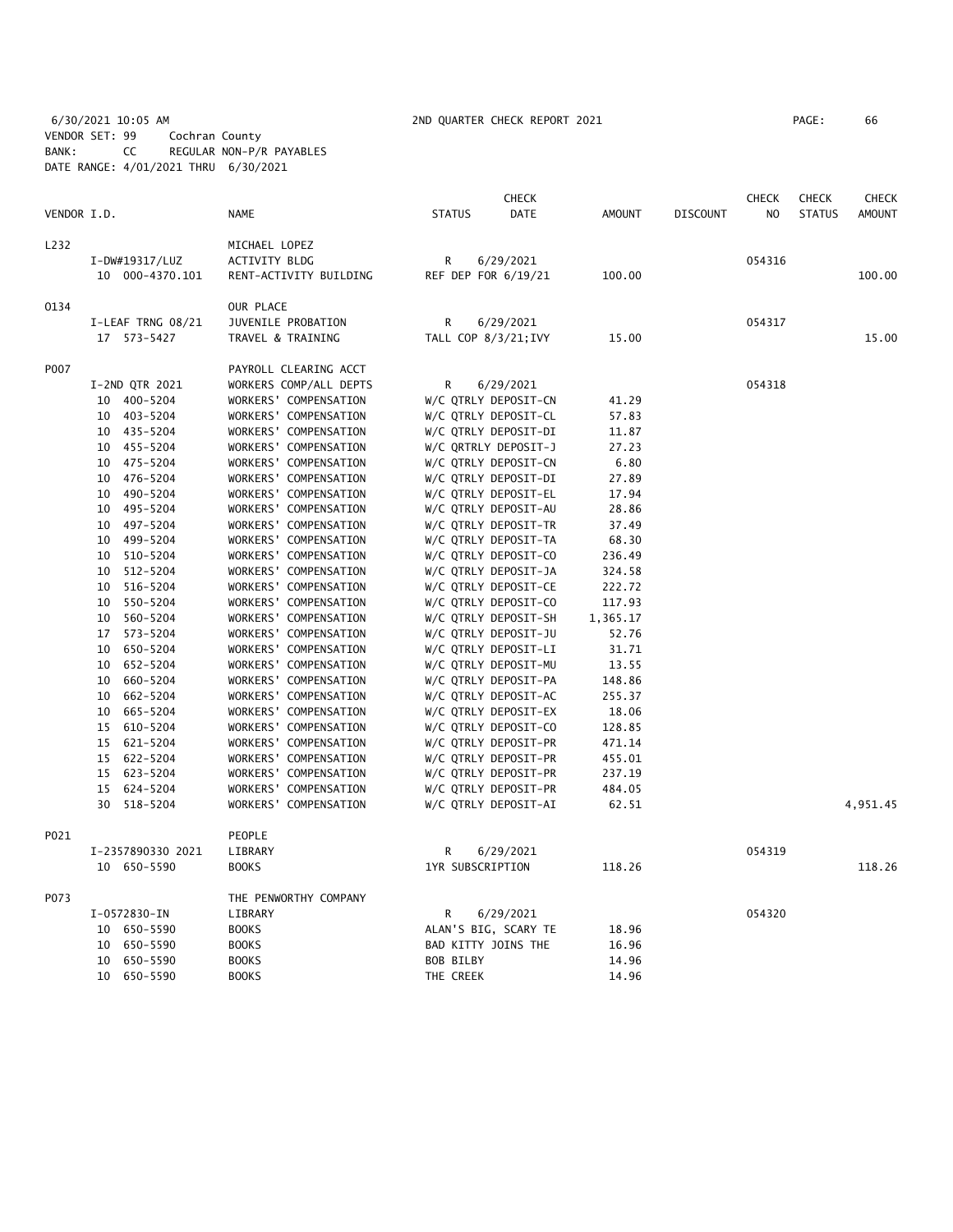6/30/2021 10:05 AM 2ND QUARTER CHECK REPORT 2021 PAGE: 66 VENDOR SET: 99 Cochran County BANK: CC REGULAR NON-P/R PAYABLES DATE RANGE: 4/01/2021 THRU 6/30/2021

|             |                |                   |                        |                      | <b>CHECK</b>         |               |                 | <b>CHECK</b>   | <b>CHECK</b>  | <b>CHECK</b>  |
|-------------|----------------|-------------------|------------------------|----------------------|----------------------|---------------|-----------------|----------------|---------------|---------------|
| VENDOR I.D. |                |                   | NAME                   | <b>STATUS</b>        | DATE                 | <b>AMOUNT</b> | <b>DISCOUNT</b> | N <sub>O</sub> | <b>STATUS</b> | <b>AMOUNT</b> |
| L232        |                |                   | MICHAEL LOPEZ          |                      |                      |               |                 |                |               |               |
|             | I-DW#19317/LUZ |                   | <b>ACTIVITY BLDG</b>   | R                    | 6/29/2021            |               |                 | 054316         |               |               |
|             |                | 10 000-4370.101   | RENT-ACTIVITY BUILDING | REF DEP FOR 6/19/21  |                      | 100.00        |                 |                |               | 100.00        |
| 0134        |                |                   | OUR PLACE              |                      |                      |               |                 |                |               |               |
|             |                | I-LEAF TRNG 08/21 | JUVENILE PROBATION     | R                    | 6/29/2021            |               |                 | 054317         |               |               |
|             | 17 573-5427    |                   | TRAVEL & TRAINING      | TALL COP 8/3/21; IVY |                      | 15.00         |                 |                |               | 15.00         |
| P007        |                |                   | PAYROLL CLEARING ACCT  |                      |                      |               |                 |                |               |               |
|             |                | I-2ND QTR 2021    | WORKERS COMP/ALL DEPTS | R                    | 6/29/2021            |               |                 | 054318         |               |               |
|             | 10 400-5204    |                   | WORKERS' COMPENSATION  |                      | W/C QTRLY DEPOSIT-CN | 41.29         |                 |                |               |               |
|             | 10 403-5204    |                   | WORKERS' COMPENSATION  |                      | W/C QTRLY DEPOSIT-CL | 57.83         |                 |                |               |               |
|             | 10 435-5204    |                   | WORKERS' COMPENSATION  |                      | W/C QTRLY DEPOSIT-DI | 11.87         |                 |                |               |               |
|             | 10 455-5204    |                   | WORKERS' COMPENSATION  |                      | W/C QRTRLY DEPOSIT-J | 27.23         |                 |                |               |               |
|             | 10 475-5204    |                   | WORKERS' COMPENSATION  |                      | W/C QTRLY DEPOSIT-CN | 6.80          |                 |                |               |               |
|             | 10 476-5204    |                   | WORKERS' COMPENSATION  |                      | W/C QTRLY DEPOSIT-DI | 27.89         |                 |                |               |               |
|             | 10 490-5204    |                   | WORKERS' COMPENSATION  |                      | W/C QTRLY DEPOSIT-EL | 17.94         |                 |                |               |               |
|             | 10 495-5204    |                   | WORKERS' COMPENSATION  |                      | W/C QTRLY DEPOSIT-AU | 28.86         |                 |                |               |               |
|             | 10 497-5204    |                   | WORKERS' COMPENSATION  |                      | W/C QTRLY DEPOSIT-TR | 37.49         |                 |                |               |               |
|             | 10 499-5204    |                   | WORKERS' COMPENSATION  |                      | W/C QTRLY DEPOSIT-TA | 68.30         |                 |                |               |               |
|             | 10 510-5204    |                   | WORKERS' COMPENSATION  |                      | W/C QTRLY DEPOSIT-CO | 236.49        |                 |                |               |               |
|             | 10             | 512-5204          | WORKERS' COMPENSATION  |                      | W/C QTRLY DEPOSIT-JA | 324.58        |                 |                |               |               |
|             | 10 516-5204    |                   | WORKERS' COMPENSATION  |                      | W/C QTRLY DEPOSIT-CE | 222.72        |                 |                |               |               |
|             | 10 550-5204    |                   | WORKERS' COMPENSATION  |                      | W/C QTRLY DEPOSIT-CO | 117.93        |                 |                |               |               |
|             | 10 560-5204    |                   | WORKERS' COMPENSATION  |                      | W/C QTRLY DEPOSIT-SH | 1,365.17      |                 |                |               |               |
|             | 17 573-5204    |                   | WORKERS' COMPENSATION  |                      | W/C QTRLY DEPOSIT-JU | 52.76         |                 |                |               |               |
|             | 10             | 650-5204          | WORKERS' COMPENSATION  |                      | W/C QTRLY DEPOSIT-LI | 31.71         |                 |                |               |               |
|             | 10 652-5204    |                   | WORKERS' COMPENSATION  |                      | W/C QTRLY DEPOSIT-MU | 13.55         |                 |                |               |               |
|             | 10             | 660-5204          | WORKERS' COMPENSATION  |                      | W/C QTRLY DEPOSIT-PA | 148.86        |                 |                |               |               |
|             | 10             | 662-5204          | WORKERS' COMPENSATION  |                      | W/C QTRLY DEPOSIT-AC | 255.37        |                 |                |               |               |
|             | 10             | 665-5204          | WORKERS' COMPENSATION  |                      | W/C QTRLY DEPOSIT-EX | 18.06         |                 |                |               |               |
|             | 15 610-5204    |                   | WORKERS' COMPENSATION  |                      | W/C QTRLY DEPOSIT-CO | 128.85        |                 |                |               |               |
|             | 15 621-5204    |                   | WORKERS' COMPENSATION  |                      | W/C QTRLY DEPOSIT-PR | 471.14        |                 |                |               |               |
|             | 15 622-5204    |                   | WORKERS' COMPENSATION  |                      | W/C QTRLY DEPOSIT-PR | 455.01        |                 |                |               |               |
|             | 15 623-5204    |                   | WORKERS' COMPENSATION  |                      | W/C QTRLY DEPOSIT-PR | 237.19        |                 |                |               |               |
|             | 15 624-5204    |                   | WORKERS' COMPENSATION  |                      | W/C QTRLY DEPOSIT-PR | 484.05        |                 |                |               |               |
|             | 30             | 518-5204          | WORKERS' COMPENSATION  |                      | W/C QTRLY DEPOSIT-AI | 62.51         |                 |                |               | 4,951.45      |
| P021        |                |                   | PEOPLE                 |                      |                      |               |                 |                |               |               |
|             |                | I-2357890330 2021 | LIBRARY                | R                    | 6/29/2021            |               |                 | 054319         |               |               |
|             |                | 10 650-5590       | <b>BOOKS</b>           | 1YR SUBSCRIPTION     |                      | 118.26        |                 |                |               | 118.26        |
| P073        |                |                   | THE PENWORTHY COMPANY  |                      |                      |               |                 |                |               |               |
|             | I-0572830-IN   |                   | LIBRARY                | R                    | 6/29/2021            |               |                 | 054320         |               |               |
|             | 10 650-5590    |                   | <b>BOOKS</b>           |                      | ALAN'S BIG, SCARY TE | 18.96         |                 |                |               |               |
|             | 10             | 650-5590          | <b>BOOKS</b>           | BAD KITTY JOINS THE  |                      | 16.96         |                 |                |               |               |
|             | 10 650-5590    |                   | <b>BOOKS</b>           | <b>BOB BILBY</b>     |                      | 14.96         |                 |                |               |               |
|             | 10 650-5590    |                   | <b>BOOKS</b>           | THE CREEK            |                      | 14.96         |                 |                |               |               |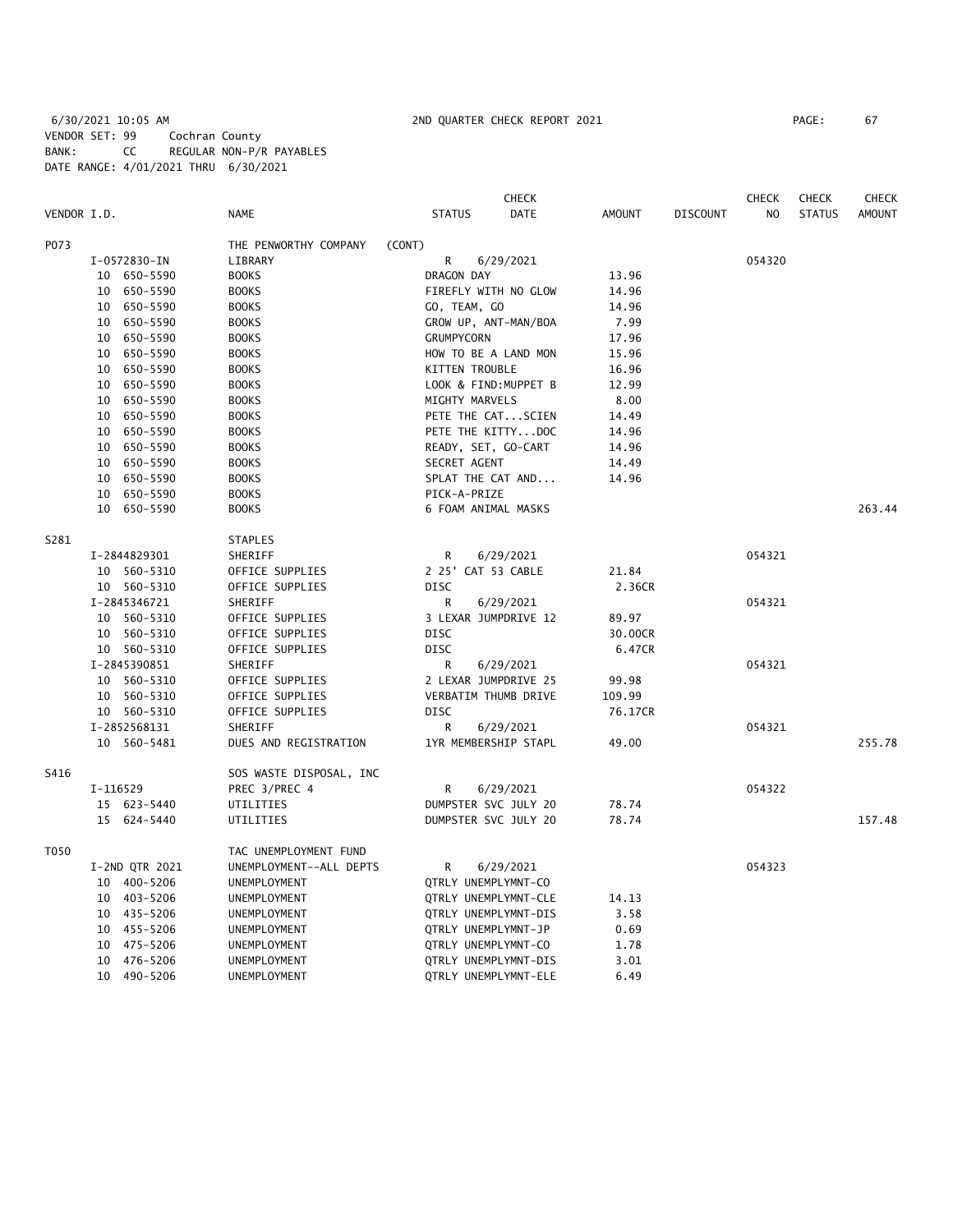# 6/30/2021 10:05 AM 2ND QUARTER CHECK REPORT 2021 PAGE: 67 VENDOR SET: 99 Cochran County BANK: CC REGULAR NON-P/R PAYABLES DATE RANGE: 4/01/2021 THRU 6/30/2021

|             |                |                         |                       | <b>CHECK</b> |               |                 | <b>CHECK</b>   | <b>CHECK</b>  | <b>CHECK</b>  |
|-------------|----------------|-------------------------|-----------------------|--------------|---------------|-----------------|----------------|---------------|---------------|
| VENDOR I.D. |                | <b>NAME</b>             | <b>STATUS</b>         | DATE         | <b>AMOUNT</b> | <b>DISCOUNT</b> | N <sub>O</sub> | <b>STATUS</b> | <b>AMOUNT</b> |
| P073        |                | THE PENWORTHY COMPANY   | (CONT)                |              |               |                 |                |               |               |
|             | I-0572830-IN   | LIBRARY                 | R                     | 6/29/2021    |               |                 | 054320         |               |               |
|             | 10 650-5590    | <b>BOOKS</b>            | DRAGON DAY            |              | 13.96         |                 |                |               |               |
|             | 10 650-5590    | <b>BOOKS</b>            | FIREFLY WITH NO GLOW  |              | 14.96         |                 |                |               |               |
|             | 10 650-5590    | <b>BOOKS</b>            | GO, TEAM, GO          |              | 14.96         |                 |                |               |               |
|             | 650-5590<br>10 | <b>BOOKS</b>            | GROW UP, ANT-MAN/BOA  |              | 7.99          |                 |                |               |               |
|             | 10<br>650-5590 | <b>BOOKS</b>            | <b>GRUMPYCORN</b>     |              | 17.96         |                 |                |               |               |
|             | 650-5590<br>10 | <b>BOOKS</b>            | HOW TO BE A LAND MON  |              | 15.96         |                 |                |               |               |
|             | 10 650-5590    | <b>BOOKS</b>            | <b>KITTEN TROUBLE</b> |              | 16.96         |                 |                |               |               |
|             | 10 650-5590    | <b>BOOKS</b>            | LOOK & FIND: MUPPET B |              | 12.99         |                 |                |               |               |
|             | 10 650-5590    | <b>BOOKS</b>            | MIGHTY MARVELS        |              | 8.00          |                 |                |               |               |
|             | 10 650-5590    | <b>BOOKS</b>            | PETE THE CATSCIEN     |              | 14.49         |                 |                |               |               |
|             | 10 650-5590    | <b>BOOKS</b>            | PETE THE KITTYDOC     |              | 14.96         |                 |                |               |               |
|             | 650-5590<br>10 | <b>BOOKS</b>            | READY, SET, GO-CART   |              | 14.96         |                 |                |               |               |
|             | 10<br>650-5590 | <b>BOOKS</b>            | SECRET AGENT          |              | 14.49         |                 |                |               |               |
|             | 10<br>650-5590 | <b>BOOKS</b>            | SPLAT THE CAT AND     |              | 14.96         |                 |                |               |               |
|             | 10 650-5590    | <b>BOOKS</b>            | PICK-A-PRIZE          |              |               |                 |                |               |               |
|             | 10 650-5590    | <b>BOOKS</b>            | 6 FOAM ANIMAL MASKS   |              |               |                 |                |               | 263.44        |
| S281        |                | <b>STAPLES</b>          |                       |              |               |                 |                |               |               |
|             | I-2844829301   | SHERIFF                 | R                     | 6/29/2021    |               |                 | 054321         |               |               |
|             | 10 560-5310    | OFFICE SUPPLIES         | 2 25' CAT 53 CABLE    |              | 21.84         |                 |                |               |               |
|             | 10 560-5310    | OFFICE SUPPLIES         | DISC                  |              | 2.36CR        |                 |                |               |               |
|             | I-2845346721   | SHERIFF                 | R                     | 6/29/2021    |               |                 | 054321         |               |               |
|             | 10 560-5310    | OFFICE SUPPLIES         | 3 LEXAR JUMPDRIVE 12  |              | 89.97         |                 |                |               |               |
|             | 10 560-5310    | OFFICE SUPPLIES         | DISC                  |              | 30.00CR       |                 |                |               |               |
|             | 10 560-5310    | OFFICE SUPPLIES         | <b>DISC</b>           |              | 6.47CR        |                 |                |               |               |
|             | I-2845390851   | SHERIFF                 | R                     | 6/29/2021    |               |                 | 054321         |               |               |
|             | 10 560-5310    | OFFICE SUPPLIES         | 2 LEXAR JUMPDRIVE 25  |              | 99.98         |                 |                |               |               |
|             | 10 560-5310    | OFFICE SUPPLIES         | VERBATIM THUMB DRIVE  |              | 109.99        |                 |                |               |               |
|             | 10 560-5310    | OFFICE SUPPLIES         | <b>DISC</b>           |              | 76.17CR       |                 |                |               |               |
|             | I-2852568131   | SHERIFF                 | R                     | 6/29/2021    |               |                 | 054321         |               |               |
|             | 10 560-5481    | DUES AND REGISTRATION   | 1YR MEMBERSHIP STAPL  |              | 49.00         |                 |                |               | 255.78        |
| S416        |                | SOS WASTE DISPOSAL, INC |                       |              |               |                 |                |               |               |
|             | I-116529       | PREC 3/PREC 4           | R                     | 6/29/2021    |               |                 | 054322         |               |               |
|             | 15 623-5440    | UTILITIES               | DUMPSTER SVC JULY 20  |              | 78.74         |                 |                |               |               |
|             | 15 624-5440    | UTILITIES               | DUMPSTER SVC JULY 20  |              | 78.74         |                 |                |               | 157.48        |
| T050        |                | TAC UNEMPLOYMENT FUND   |                       |              |               |                 |                |               |               |
|             | I-2ND QTR 2021 | UNEMPLOYMENT--ALL DEPTS | R                     | 6/29/2021    |               |                 | 054323         |               |               |
|             | 10 400-5206    | UNEMPLOYMENT            | QTRLY UNEMPLYMNT-CO   |              |               |                 |                |               |               |
|             | 10 403-5206    | UNEMPLOYMENT            | QTRLY UNEMPLYMNT-CLE  |              | 14.13         |                 |                |               |               |
|             | 10 435-5206    | UNEMPLOYMENT            | QTRLY UNEMPLYMNT-DIS  |              | 3.58          |                 |                |               |               |
|             | 10 455-5206    | UNEMPLOYMENT            | QTRLY UNEMPLYMNT-JP   |              | 0.69          |                 |                |               |               |
|             | 475-5206<br>10 | UNEMPLOYMENT            | QTRLY UNEMPLYMNT-CO   |              | 1.78          |                 |                |               |               |
|             | 10 476-5206    | UNEMPLOYMENT            | QTRLY UNEMPLYMNT-DIS  |              | 3.01          |                 |                |               |               |
|             | 10 490-5206    | UNEMPLOYMENT            | QTRLY UNEMPLYMNT-ELE  |              | 6.49          |                 |                |               |               |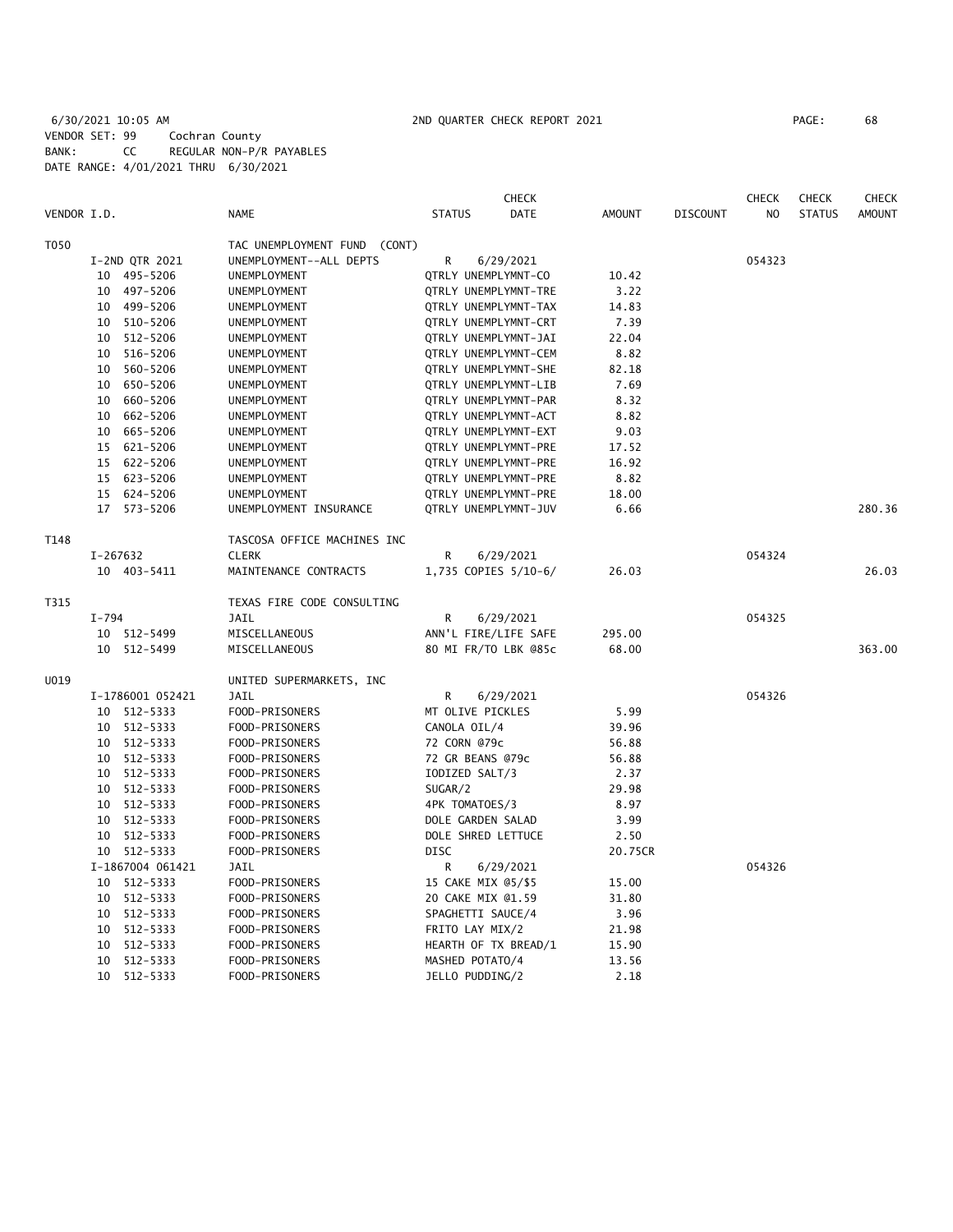6/30/2021 10:05 AM 2ND QUARTER CHECK REPORT 2021 PAGE: 68 VENDOR SET: 99 Cochran County BANK: CC REGULAR NON-P/R PAYABLES DATE RANGE: 4/01/2021 THRU 6/30/2021

|             |          |                  |                                 |                     | <b>CHECK</b>         |               |                 | <b>CHECK</b> | <b>CHECK</b>  | <b>CHECK</b>  |
|-------------|----------|------------------|---------------------------------|---------------------|----------------------|---------------|-----------------|--------------|---------------|---------------|
| VENDOR I.D. |          |                  | NAME                            | <b>STATUS</b>       | DATE                 | <b>AMOUNT</b> | <b>DISCOUNT</b> | NO.          | <b>STATUS</b> | <b>AMOUNT</b> |
| T050        |          |                  | TAC UNEMPLOYMENT FUND<br>(CONT) |                     |                      |               |                 |              |               |               |
|             |          | I-2ND QTR 2021   | UNEMPLOYMENT--ALL DEPTS         | R                   | 6/29/2021            |               |                 | 054323       |               |               |
|             |          | 10 495-5206      | UNEMPLOYMENT                    | QTRLY UNEMPLYMNT-CO |                      | 10.42         |                 |              |               |               |
|             |          | 10 497-5206      | UNEMPLOYMENT                    |                     | QTRLY UNEMPLYMNT-TRE | 3.22          |                 |              |               |               |
|             |          | 10 499-5206      | UNEMPLOYMENT                    |                     | QTRLY UNEMPLYMNT-TAX | 14.83         |                 |              |               |               |
|             | 10       | 510-5206         | UNEMPLOYMENT                    |                     | QTRLY UNEMPLYMNT-CRT | 7.39          |                 |              |               |               |
|             | 10       | 512-5206         | UNEMPLOYMENT                    |                     | QTRLY UNEMPLYMNT-JAI | 22.04         |                 |              |               |               |
|             | 10       | 516-5206         | UNEMPLOYMENT                    |                     | QTRLY UNEMPLYMNT-CEM | 8.82          |                 |              |               |               |
|             | 10       | 560-5206         | UNEMPLOYMENT                    |                     | QTRLY UNEMPLYMNT-SHE | 82.18         |                 |              |               |               |
|             | 10       | 650-5206         | UNEMPLOYMENT                    |                     | QTRLY UNEMPLYMNT-LIB | 7.69          |                 |              |               |               |
|             | 10       | 660-5206         | UNEMPLOYMENT                    |                     | QTRLY UNEMPLYMNT-PAR | 8.32          |                 |              |               |               |
|             |          |                  |                                 |                     |                      |               |                 |              |               |               |
|             | 10       | 662-5206         | UNEMPLOYMENT                    |                     | QTRLY UNEMPLYMNT-ACT | 8.82          |                 |              |               |               |
|             | 10       | 665-5206         | UNEMPLOYMENT                    |                     | QTRLY UNEMPLYMNT-EXT | 9.03          |                 |              |               |               |
|             |          | 15 621-5206      | UNEMPLOYMENT                    |                     | QTRLY UNEMPLYMNT-PRE | 17.52         |                 |              |               |               |
|             |          | 15 622-5206      | UNEMPLOYMENT                    |                     | QTRLY UNEMPLYMNT-PRE | 16.92         |                 |              |               |               |
|             |          | 15 623-5206      | UNEMPLOYMENT                    |                     | QTRLY UNEMPLYMNT-PRE | 8.82          |                 |              |               |               |
|             |          | 15 624-5206      | UNEMPLOYMENT                    |                     | QTRLY UNEMPLYMNT-PRE | 18.00         |                 |              |               |               |
|             |          | 17 573-5206      | UNEMPLOYMENT INSURANCE          |                     | QTRLY UNEMPLYMNT-JUV | 6.66          |                 |              |               | 280.36        |
| T148        |          |                  | TASCOSA OFFICE MACHINES INC     |                     |                      |               |                 |              |               |               |
|             | I-267632 |                  | <b>CLERK</b>                    | R                   | 6/29/2021            |               |                 | 054324       |               |               |
|             |          | 10 403-5411      | MAINTENANCE CONTRACTS           |                     | 1,735 COPIES 5/10-6/ | 26.03         |                 |              |               | 26.03         |
| T315        |          |                  | TEXAS FIRE CODE CONSULTING      |                     |                      |               |                 |              |               |               |
|             | I-794    |                  | JAIL                            | R                   | 6/29/2021            |               |                 | 054325       |               |               |
|             |          | 10 512-5499      | MISCELLANEOUS                   |                     | ANN'L FIRE/LIFE SAFE | 295.00        |                 |              |               |               |
|             |          | 10 512-5499      | MISCELLANEOUS                   |                     | 80 MI FR/TO LBK @85c | 68.00         |                 |              |               | 363.00        |
|             |          |                  |                                 |                     |                      |               |                 |              |               |               |
| U019        |          |                  | UNITED SUPERMARKETS, INC        |                     |                      |               |                 | 054326       |               |               |
|             |          | I-1786001 052421 | JAIL                            | R                   | 6/29/2021            |               |                 |              |               |               |
|             | 10       | 512-5333         | FOOD-PRISONERS                  | MT OLIVE PICKLES    |                      | 5.99          |                 |              |               |               |
|             | 10       | 512-5333         | FOOD-PRISONERS                  | CANOLA OIL/4        |                      | 39.96         |                 |              |               |               |
|             | 10       | 512-5333         | FOOD-PRISONERS                  | 72 CORN @79c        |                      | 56.88         |                 |              |               |               |
|             | 10       | 512-5333         | FOOD-PRISONERS                  | 72 GR BEANS @79c    |                      | 56.88         |                 |              |               |               |
|             |          | 10 512-5333      | FOOD-PRISONERS                  | IODIZED SALT/3      |                      | 2.37          |                 |              |               |               |
|             |          | 10 512-5333      | FOOD-PRISONERS                  | SUGAR/2             |                      | 29.98         |                 |              |               |               |
|             | 10       | 512-5333         | FOOD-PRISONERS                  | 4PK TOMATOES/3      |                      | 8.97          |                 |              |               |               |
|             | 10       | 512-5333         | FOOD-PRISONERS                  | DOLE GARDEN SALAD   |                      | 3.99          |                 |              |               |               |
|             | 10       | 512-5333         | FOOD-PRISONERS                  | DOLE SHRED LETTUCE  |                      | 2.50          |                 |              |               |               |
|             |          | 10 512-5333      | FOOD-PRISONERS                  | <b>DISC</b>         |                      | 20.75CR       |                 |              |               |               |
|             |          | I-1867004 061421 | JAIL                            | R                   | 6/29/2021            |               |                 | 054326       |               |               |
|             |          | 10 512-5333      | FOOD-PRISONERS                  | 15 CAKE MIX @5/\$5  |                      | 15.00         |                 |              |               |               |
|             | 10       | 512-5333         | FOOD-PRISONERS                  | 20 CAKE MIX @1.59   |                      | 31.80         |                 |              |               |               |
|             | 10       | 512-5333         | FOOD-PRISONERS                  | SPAGHETTI SAUCE/4   |                      | 3.96          |                 |              |               |               |
|             | 10       | 512-5333         | FOOD-PRISONERS                  | FRITO LAY MIX/2     |                      | 21.98         |                 |              |               |               |
|             | 10       | 512-5333         | FOOD-PRISONERS                  |                     | HEARTH OF TX BREAD/1 | 15.90         |                 |              |               |               |
|             | 10       | 512-5333         | FOOD-PRISONERS                  | MASHED POTATO/4     |                      | 13.56         |                 |              |               |               |
|             | 10       | 512-5333         | FOOD-PRISONERS                  | JELLO PUDDING/2     |                      | 2.18          |                 |              |               |               |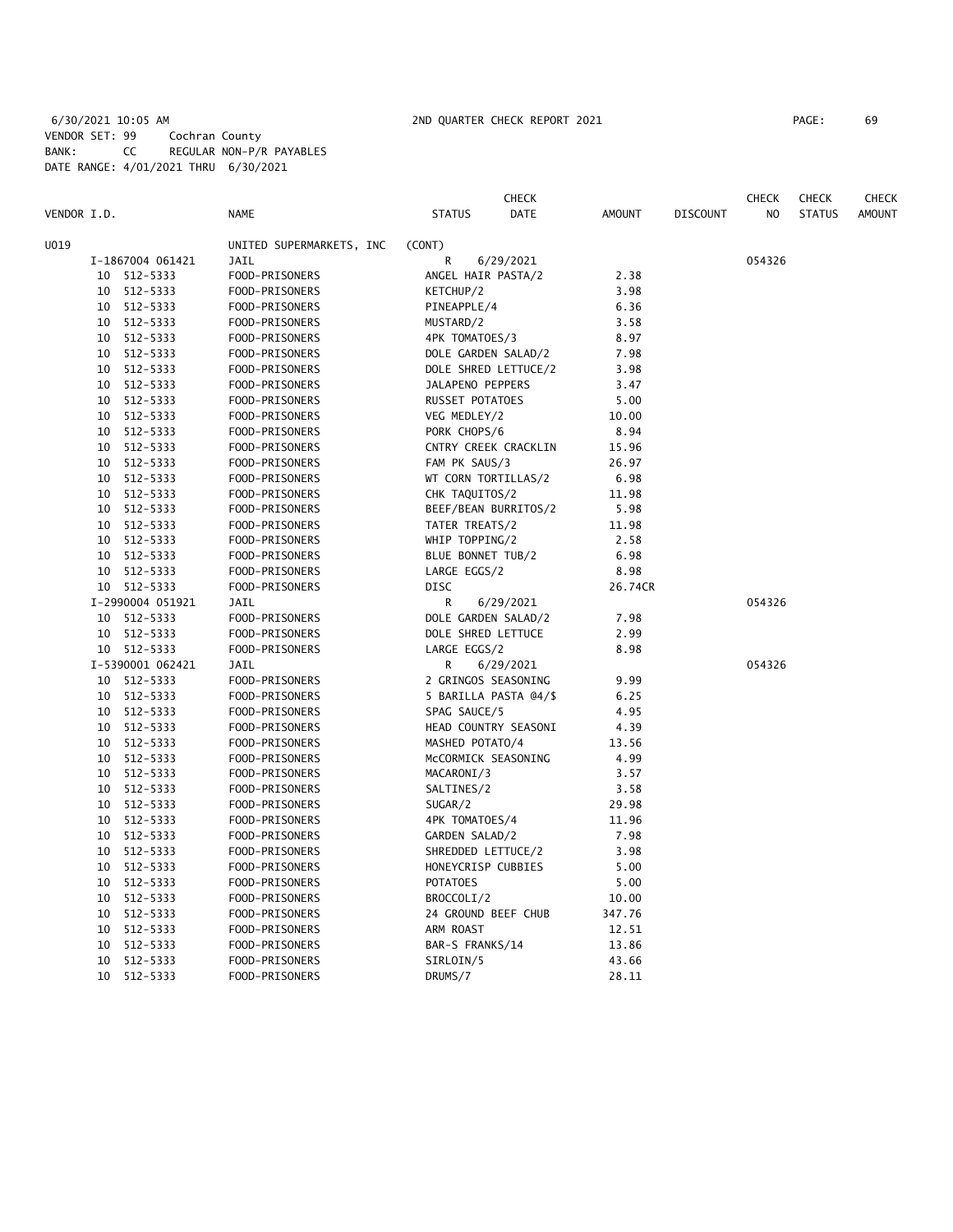# 6/30/2021 10:05 AM 2ND QUARTER CHECK REPORT 2021 PAGE: 69 VENDOR SET: 99 Cochran County BANK: CC REGULAR NON-P/R PAYABLES DATE RANGE: 4/01/2021 THRU 6/30/2021

|                  |                          |                        | <b>CHECK</b>          |               |                 | <b>CHECK</b>   | <b>CHECK</b>  | <b>CHECK</b>  |
|------------------|--------------------------|------------------------|-----------------------|---------------|-----------------|----------------|---------------|---------------|
| VENDOR I.D.      | <b>NAME</b>              | <b>STATUS</b>          | <b>DATE</b>           | <b>AMOUNT</b> | <b>DISCOUNT</b> | N <sub>O</sub> | <b>STATUS</b> | <b>AMOUNT</b> |
| U019             | UNITED SUPERMARKETS, INC | (CONT)                 |                       |               |                 |                |               |               |
| I-1867004 061421 | JAIL                     | R                      | 6/29/2021             |               |                 | 054326         |               |               |
| 512-5333<br>10   | FOOD-PRISONERS           | ANGEL HAIR PASTA/2     |                       | 2.38          |                 |                |               |               |
| 512-5333<br>10   | FOOD-PRISONERS           | KETCHUP/2              |                       | 3.98          |                 |                |               |               |
| 512-5333<br>10   | FOOD-PRISONERS           | PINEAPPLE/4            |                       | 6.36          |                 |                |               |               |
| 512-5333<br>10   | FOOD-PRISONERS           | MUSTARD/2              |                       | 3.58          |                 |                |               |               |
| 512-5333<br>10   | FOOD-PRISONERS           | 4PK TOMATOES/3         |                       | 8.97          |                 |                |               |               |
| 512-5333<br>10   | FOOD-PRISONERS           | DOLE GARDEN SALAD/2    |                       | 7.98          |                 |                |               |               |
| 512-5333<br>10   | FOOD-PRISONERS           |                        | DOLE SHRED LETTUCE/2  | 3.98          |                 |                |               |               |
| 512-5333<br>10   | FOOD-PRISONERS           | JALAPENO PEPPERS       |                       | 3.47          |                 |                |               |               |
| 512-5333<br>10   | FOOD-PRISONERS           | <b>RUSSET POTATOES</b> |                       | 5.00          |                 |                |               |               |
| 512-5333<br>10   | FOOD-PRISONERS           | VEG MEDLEY/2           |                       | 10.00         |                 |                |               |               |
| 512-5333<br>10   | FOOD-PRISONERS           | PORK CHOPS/6           |                       | 8.94          |                 |                |               |               |
| 512-5333<br>10   | FOOD-PRISONERS           |                        | CNTRY CREEK CRACKLIN  | 15.96         |                 |                |               |               |
| 512-5333<br>10   | FOOD-PRISONERS           | FAM PK SAUS/3          |                       | 26.97         |                 |                |               |               |
| 512-5333<br>10   | FOOD-PRISONERS           | WT CORN TORTILLAS/2    |                       | 6.98          |                 |                |               |               |
| 512-5333<br>10   | FOOD-PRISONERS           | CHK TAQUITOS/2         |                       | 11.98         |                 |                |               |               |
| 512-5333<br>10   | FOOD-PRISONERS           |                        | BEEF/BEAN BURRITOS/2  | 5.98          |                 |                |               |               |
| 512-5333<br>10   | FOOD-PRISONERS           | TATER TREATS/2         |                       | 11.98         |                 |                |               |               |
| 512-5333<br>10   | FOOD-PRISONERS           | WHIP TOPPING/2         |                       | 2.58          |                 |                |               |               |
| 512-5333<br>10   | FOOD-PRISONERS           | BLUE BONNET TUB/2      |                       | 6.98          |                 |                |               |               |
| 10<br>512-5333   | FOOD-PRISONERS           | LARGE EGGS/2           |                       | 8.98          |                 |                |               |               |
| 10 512-5333      | FOOD-PRISONERS           | DISC                   |                       | 26.74CR       |                 |                |               |               |
| I-2990004 051921 | JAIL                     | R                      | 6/29/2021             |               |                 | 054326         |               |               |
| 512-5333<br>10   | FOOD-PRISONERS           | DOLE GARDEN SALAD/2    |                       | 7.98          |                 |                |               |               |
| 512-5333<br>10   | FOOD-PRISONERS           | DOLE SHRED LETTUCE     |                       | 2.99          |                 |                |               |               |
| 512-5333<br>10   | FOOD-PRISONERS           | LARGE EGGS/2           |                       | 8.98          |                 |                |               |               |
| I-5390001 062421 | JAIL                     | R                      | 6/29/2021             |               |                 | 054326         |               |               |
| 10 512-5333      | FOOD-PRISONERS           | 2 GRINGOS SEASONING    |                       | 9.99          |                 |                |               |               |
| 512-5333<br>10   | FOOD-PRISONERS           |                        | 5 BARILLA PASTA @4/\$ | 6.25          |                 |                |               |               |
| 512-5333<br>10   | FOOD-PRISONERS           | SPAG SAUCE/5           |                       | 4.95          |                 |                |               |               |
| 512-5333<br>10   | FOOD-PRISONERS           |                        | HEAD COUNTRY SEASONI  | 4.39          |                 |                |               |               |
| 512-5333<br>10   | FOOD-PRISONERS           | MASHED POTATO/4        |                       | 13.56         |                 |                |               |               |
| 512-5333<br>10   | FOOD-PRISONERS           | MCCORMICK SEASONING    |                       | 4.99          |                 |                |               |               |
| 512-5333<br>10   | FOOD-PRISONERS           | MACARONI/3             |                       | 3.57          |                 |                |               |               |
| 512-5333<br>10   | FOOD-PRISONERS           | SALTINES/2             |                       | 3.58          |                 |                |               |               |
| 512-5333<br>10   | FOOD-PRISONERS           | SUGAR/2                |                       | 29.98         |                 |                |               |               |
| 512-5333<br>10   | FOOD-PRISONERS           | 4PK TOMATOES/4         |                       | 11.96         |                 |                |               |               |
| 512-5333<br>10   | FOOD-PRISONERS           | GARDEN SALAD/2         |                       | 7.98          |                 |                |               |               |
| 512-5333<br>10   | FOOD-PRISONERS           | SHREDDED LETTUCE/2     |                       | 3.98          |                 |                |               |               |
| 512-5333<br>10   | FOOD-PRISONERS           | HONEYCRISP CUBBIES     |                       | 5.00          |                 |                |               |               |
| 512-5333<br>10   | FOOD-PRISONERS           | <b>POTATOES</b>        |                       | 5.00          |                 |                |               |               |
| 512-5333<br>10   | FOOD-PRISONERS           | BROCCOLI/2             |                       | 10.00         |                 |                |               |               |
| 512-5333<br>10   | FOOD-PRISONERS           | 24 GROUND BEEF CHUB    |                       | 347.76        |                 |                |               |               |
| 10<br>512-5333   | FOOD-PRISONERS           | ARM ROAST              |                       | 12.51         |                 |                |               |               |
| 512-5333<br>10   | FOOD-PRISONERS           | BAR-S FRANKS/14        |                       | 13.86         |                 |                |               |               |
| 512-5333<br>10   | FOOD-PRISONERS           | SIRLOIN/5              |                       | 43.66         |                 |                |               |               |
| 10 512-5333      | FOOD-PRISONERS           | DRUMS/7                |                       | 28.11         |                 |                |               |               |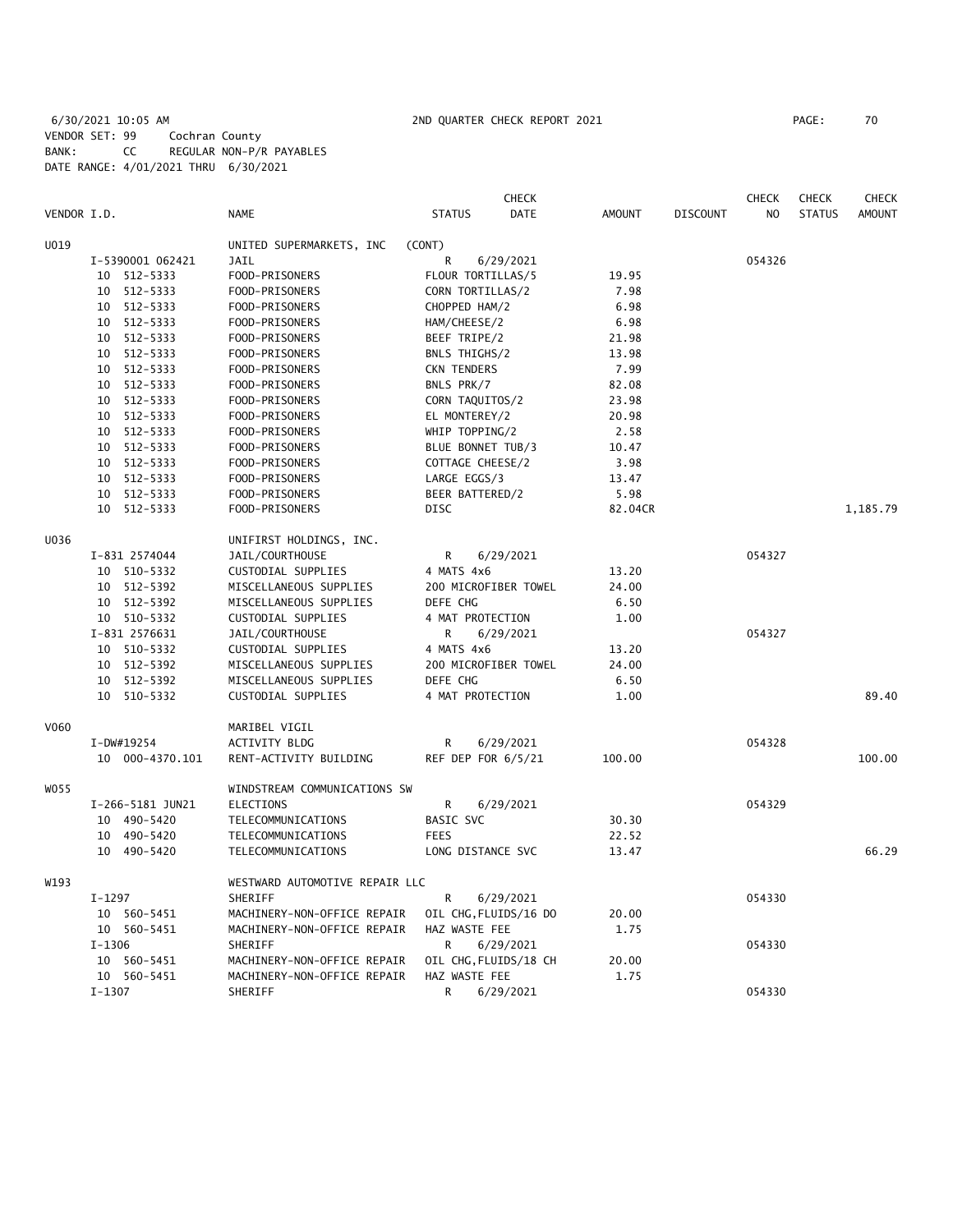# 6/30/2021 10:05 AM 2ND QUARTER CHECK REPORT 2021 PAGE: 70 VENDOR SET: 99 Cochran County BANK: CC REGULAR NON-P/R PAYABLES DATE RANGE: 4/01/2021 THRU 6/30/2021

|             |                  |                                | <b>CHECK</b>                 |               |                 | <b>CHECK</b>   | <b>CHECK</b>  | <b>CHECK</b>  |
|-------------|------------------|--------------------------------|------------------------------|---------------|-----------------|----------------|---------------|---------------|
| VENDOR I.D. |                  | <b>NAME</b>                    | <b>STATUS</b><br><b>DATE</b> | <b>AMOUNT</b> | <b>DISCOUNT</b> | N <sub>O</sub> | <b>STATUS</b> | <b>AMOUNT</b> |
| U019        |                  | UNITED SUPERMARKETS, INC       | (CONT)                       |               |                 |                |               |               |
|             | I-5390001 062421 | JAIL                           | R<br>6/29/2021               |               |                 | 054326         |               |               |
|             | 10 512-5333      | FOOD-PRISONERS                 | FLOUR TORTILLAS/5            | 19.95         |                 |                |               |               |
|             | 512-5333<br>10   | FOOD-PRISONERS                 | CORN TORTILLAS/2             | 7.98          |                 |                |               |               |
|             | 10 512-5333      | FOOD-PRISONERS                 | CHOPPED HAM/2                | 6.98          |                 |                |               |               |
|             | 512-5333<br>10   | FOOD-PRISONERS                 | HAM/CHEESE/2                 | 6.98          |                 |                |               |               |
|             | 10 512-5333      | FOOD-PRISONERS                 | BEEF TRIPE/2                 | 21.98         |                 |                |               |               |
|             | 10 512-5333      | FOOD-PRISONERS                 | BNLS THIGHS/2                | 13.98         |                 |                |               |               |
|             | 10 512-5333      | FOOD-PRISONERS                 | <b>CKN TENDERS</b>           | 7.99          |                 |                |               |               |
|             | 10 512-5333      | FOOD-PRISONERS                 | BNLS PRK/7                   | 82.08         |                 |                |               |               |
|             | 10 512-5333      | FOOD-PRISONERS                 | CORN TAQUITOS/2              | 23.98         |                 |                |               |               |
|             | 10 512-5333      | FOOD-PRISONERS                 | EL MONTEREY/2                | 20.98         |                 |                |               |               |
|             | 10 512-5333      | FOOD-PRISONERS                 | WHIP TOPPING/2               | 2.58          |                 |                |               |               |
|             | 10 512-5333      | FOOD-PRISONERS                 | BLUE BONNET TUB/3            | 10.47         |                 |                |               |               |
|             | 10 512-5333      | FOOD-PRISONERS                 | COTTAGE CHEESE/2             | 3.98          |                 |                |               |               |
|             | 10 512-5333      | FOOD-PRISONERS                 | LARGE EGGS/3                 | 13.47         |                 |                |               |               |
|             | 10 512-5333      | FOOD-PRISONERS                 | BEER BATTERED/2              | 5.98          |                 |                |               |               |
|             | 10 512-5333      | FOOD-PRISONERS                 | DISC                         | 82.04CR       |                 |                |               | 1,185.79      |
| U036        |                  | UNIFIRST HOLDINGS, INC.        |                              |               |                 |                |               |               |
|             | I-831 2574044    | JAIL/COURTHOUSE                | R<br>6/29/2021               |               |                 | 054327         |               |               |
|             | 10 510-5332      | CUSTODIAL SUPPLIES             | 4 MATS 4x6                   | 13.20         |                 |                |               |               |
|             | 10 512-5392      | MISCELLANEOUS SUPPLIES         | 200 MICROFIBER TOWEL         | 24.00         |                 |                |               |               |
|             | 10 512-5392      | MISCELLANEOUS SUPPLIES         | DEFE CHG                     | 6.50          |                 |                |               |               |
|             | 10 510-5332      | CUSTODIAL SUPPLIES             | 4 MAT PROTECTION             | 1.00          |                 |                |               |               |
|             | I-831 2576631    | JAIL/COURTHOUSE                | R<br>6/29/2021               |               |                 | 054327         |               |               |
|             | 10 510-5332      | CUSTODIAL SUPPLIES             | 4 MATS 4x6                   | 13.20         |                 |                |               |               |
|             | 10 512-5392      | MISCELLANEOUS SUPPLIES         | 200 MICROFIBER TOWEL         | 24.00         |                 |                |               |               |
|             | 10 512-5392      | MISCELLANEOUS SUPPLIES         | DEFE CHG                     | 6.50          |                 |                |               |               |
|             | 10 510-5332      | CUSTODIAL SUPPLIES             | 4 MAT PROTECTION             | 1.00          |                 |                |               | 89.40         |
| V060        |                  | MARIBEL VIGIL                  |                              |               |                 |                |               |               |
|             | I-DW#19254       | <b>ACTIVITY BLDG</b>           | R<br>6/29/2021               |               |                 | 054328         |               |               |
|             | 10 000-4370.101  | RENT-ACTIVITY BUILDING         | REF DEP FOR 6/5/21           | 100.00        |                 |                |               | 100.00        |
| W055        |                  | WINDSTREAM COMMUNICATIONS SW   |                              |               |                 |                |               |               |
|             | I-266-5181 JUN21 | ELECTIONS                      | R<br>6/29/2021               |               |                 | 054329         |               |               |
|             | 10 490-5420      | TELECOMMUNICATIONS             | BASIC SVC                    | 30.30         |                 |                |               |               |
|             | 10 490-5420      | TELECOMMUNICATIONS             | <b>FEES</b>                  | 22.52         |                 |                |               |               |
|             | 10 490-5420      | TELECOMMUNICATIONS             | LONG DISTANCE SVC            | 13.47         |                 |                |               | 66.29         |
| W193        |                  | WESTWARD AUTOMOTIVE REPAIR LLC |                              |               |                 |                |               |               |
|             | I-1297           | SHERIFF                        | R<br>6/29/2021               |               |                 | 054330         |               |               |
|             | 10 560-5451      | MACHINERY-NON-OFFICE REPAIR    | OIL CHG, FLUIDS/16 DO        | 20.00         |                 |                |               |               |
|             | 10 560-5451      | MACHINERY-NON-OFFICE REPAIR    | HAZ WASTE FEE                | 1.75          |                 |                |               |               |
|             | $I - 1306$       | SHERIFF                        | R<br>6/29/2021               |               |                 | 054330         |               |               |
|             | 10 560-5451      | MACHINERY-NON-OFFICE REPAIR    | OIL CHG, FLUIDS/18 CH        | 20.00         |                 |                |               |               |
|             | 10 560-5451      | MACHINERY-NON-OFFICE REPAIR    | HAZ WASTE FEE                | 1.75          |                 |                |               |               |
|             | I-1307           | SHERIFF                        | R<br>6/29/2021               |               |                 | 054330         |               |               |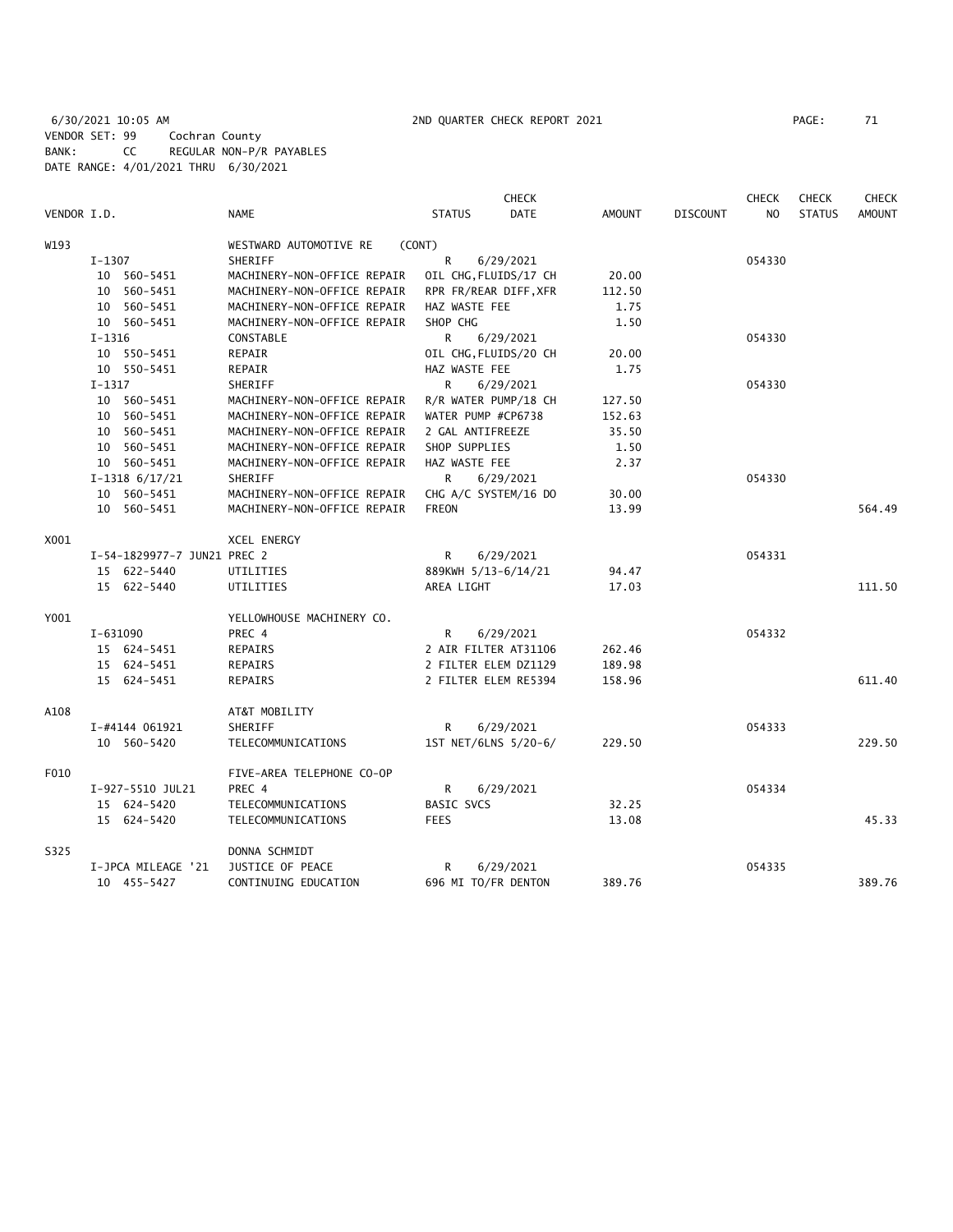6/30/2021 10:05 AM 2ND QUARTER CHECK REPORT 2021 PAGE: 71 VENDOR SET: 99 Cochran County BANK: CC REGULAR NON-P/R PAYABLES DATE RANGE: 4/01/2021 THRU 6/30/2021

|             |                             |                             | <b>CHECK</b>          |             |               |                 | <b>CHECK</b>   | <b>CHECK</b>  | <b>CHECK</b>  |
|-------------|-----------------------------|-----------------------------|-----------------------|-------------|---------------|-----------------|----------------|---------------|---------------|
| VENDOR I.D. |                             | <b>NAME</b>                 | <b>STATUS</b>         | <b>DATE</b> | <b>AMOUNT</b> | <b>DISCOUNT</b> | N <sub>O</sub> | <b>STATUS</b> | <b>AMOUNT</b> |
| W193        |                             | WESTWARD AUTOMOTIVE RE      | (CONT)                |             |               |                 |                |               |               |
|             | I-1307                      | SHERIFF                     | R<br>6/29/2021        |             |               |                 | 054330         |               |               |
|             | 10 560-5451                 | MACHINERY-NON-OFFICE REPAIR | OIL CHG, FLUIDS/17 CH |             | 20.00         |                 |                |               |               |
|             | 10 560-5451                 | MACHINERY-NON-OFFICE REPAIR | RPR FR/REAR DIFF, XFR |             | 112.50        |                 |                |               |               |
|             | 10 560-5451                 | MACHINERY-NON-OFFICE REPAIR | HAZ WASTE FEE         |             | 1.75          |                 |                |               |               |
|             | 10 560-5451                 | MACHINERY-NON-OFFICE REPAIR | SHOP CHG              |             | 1.50          |                 |                |               |               |
|             | $I - 1316$                  | CONSTABLE                   | R<br>6/29/2021        |             |               |                 | 054330         |               |               |
|             | 10 550-5451                 | REPAIR                      | OIL CHG, FLUIDS/20 CH |             | 20.00         |                 |                |               |               |
|             | 10 550-5451                 | REPAIR                      | HAZ WASTE FEE         |             | 1.75          |                 |                |               |               |
|             | $I-1317$                    | SHERIFF                     | R<br>6/29/2021        |             |               |                 | 054330         |               |               |
|             | 10 560-5451                 | MACHINERY-NON-OFFICE REPAIR | R/R WATER PUMP/18 CH  |             | 127.50        |                 |                |               |               |
|             | 10 560-5451                 | MACHINERY-NON-OFFICE REPAIR | WATER PUMP #CP6738    |             | 152.63        |                 |                |               |               |
|             | 10 560-5451                 | MACHINERY-NON-OFFICE REPAIR | 2 GAL ANTIFREEZE      |             | 35.50         |                 |                |               |               |
|             | 10 560-5451                 | MACHINERY-NON-OFFICE REPAIR | SHOP SUPPLIES         |             | 1.50          |                 |                |               |               |
|             | 10 560-5451                 | MACHINERY-NON-OFFICE REPAIR | HAZ WASTE FEE         |             | 2.37          |                 |                |               |               |
|             | $I-1318$ 6/17/21            | <b>SHERIFF</b>              | R<br>6/29/2021        |             |               |                 | 054330         |               |               |
|             | 10 560-5451                 | MACHINERY-NON-OFFICE REPAIR | CHG A/C SYSTEM/16 DO  |             | 30.00         |                 |                |               |               |
|             | 10 560-5451                 | MACHINERY-NON-OFFICE REPAIR | <b>FREON</b>          |             | 13.99         |                 |                |               | 564.49        |
| X001        |                             | XCEL ENERGY                 |                       |             |               |                 |                |               |               |
|             | I-54-1829977-7 JUN21 PREC 2 |                             | R<br>6/29/2021        |             |               |                 | 054331         |               |               |
|             | 15 622-5440                 | UTILITIES                   | 889KWH 5/13-6/14/21   |             | 94.47         |                 |                |               |               |
|             | 15 622-5440                 | UTILITIES                   | AREA LIGHT            |             | 17.03         |                 |                |               | 111.50        |
| Y001        |                             | YELLOWHOUSE MACHINERY CO.   |                       |             |               |                 |                |               |               |
|             | I-631090                    | PREC 4                      | R<br>6/29/2021        |             |               |                 | 054332         |               |               |
|             | 15 624-5451                 | REPAIRS                     | 2 AIR FILTER AT31106  |             | 262.46        |                 |                |               |               |
|             | 15 624-5451                 | REPAIRS                     | 2 FILTER ELEM DZ1129  |             | 189.98        |                 |                |               |               |
|             | 15 624-5451                 | REPAIRS                     | 2 FILTER ELEM RE5394  |             | 158.96        |                 |                |               | 611.40        |
| A108        |                             | AT&T MOBILITY               |                       |             |               |                 |                |               |               |
|             | I-#4144 061921              | SHERIFF                     | R<br>6/29/2021        |             |               |                 | 054333         |               |               |
|             | 10 560-5420                 | TELECOMMUNICATIONS          | 1ST NET/6LNS 5/20-6/  |             | 229.50        |                 |                |               | 229.50        |
| F010        |                             | FIVE-AREA TELEPHONE CO-OP   |                       |             |               |                 |                |               |               |
|             | I-927-5510 JUL21            | PREC 4                      | R<br>6/29/2021        |             |               |                 | 054334         |               |               |
|             | 15 624-5420                 | TELECOMMUNICATIONS          | BASIC SVCS            |             | 32.25         |                 |                |               |               |
|             | 15 624-5420                 | TELECOMMUNICATIONS          | <b>FEES</b>           |             | 13.08         |                 |                |               | 45.33         |
| S325        |                             | DONNA SCHMIDT               |                       |             |               |                 |                |               |               |
|             | I-JPCA MILEAGE '21          | JUSTICE OF PEACE            | 6/29/2021<br>R        |             |               |                 | 054335         |               |               |
|             | 10 455-5427                 | CONTINUING EDUCATION        | 696 MI TO/FR DENTON   |             | 389.76        |                 |                |               | 389.76        |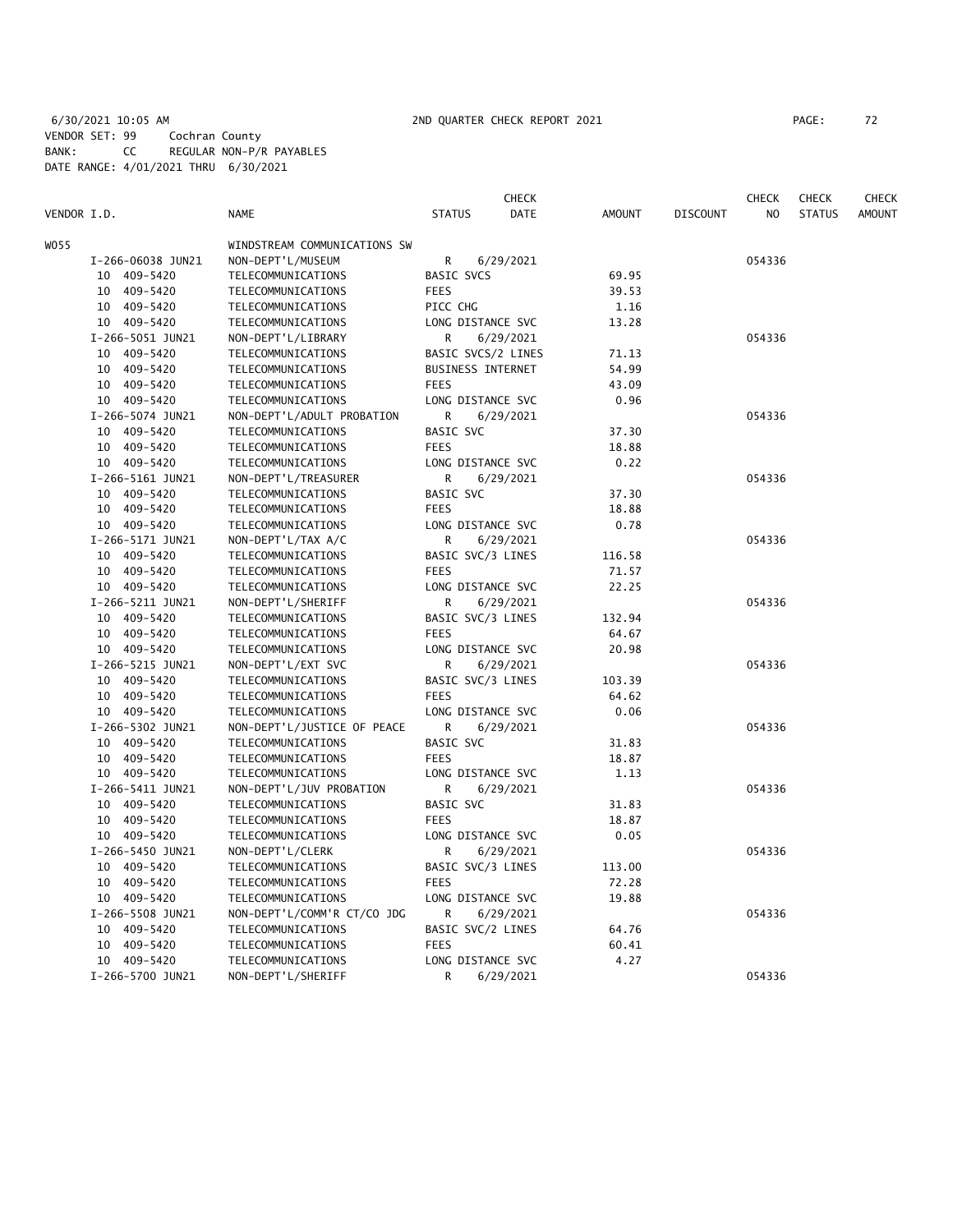6/30/2021 10:05 AM 2ND QUARTER CHECK REPORT 2021 PAGE: 72 VENDOR SET: 99 Cochran County BANK: CC REGULAR NON-P/R PAYABLES DATE RANGE: 4/01/2021 THRU 6/30/2021

| PAGE : |  |
|--------|--|
|        |  |

| VENDOR I.D. |                   | <b>NAME</b>                  | <b>STATUS</b>            | <b>CHECK</b><br>DATE | <b>AMOUNT</b> | <b>DISCOUNT</b> | <b>CHECK</b><br>N <sub>O</sub> | <b>CHECK</b><br><b>STATUS</b> | <b>CHECK</b><br><b>AMOUNT</b> |
|-------------|-------------------|------------------------------|--------------------------|----------------------|---------------|-----------------|--------------------------------|-------------------------------|-------------------------------|
| W055        |                   | WINDSTREAM COMMUNICATIONS SW |                          |                      |               |                 |                                |                               |                               |
|             | I-266-06038 JUN21 | NON-DEPT'L/MUSEUM            | R                        | 6/29/2021            |               |                 | 054336                         |                               |                               |
|             | 10 409-5420       | TELECOMMUNICATIONS           | <b>BASIC SVCS</b>        |                      | 69.95         |                 |                                |                               |                               |
|             | 10 409-5420       | TELECOMMUNICATIONS           | <b>FEES</b>              |                      | 39.53         |                 |                                |                               |                               |
|             | 10 409-5420       | TELECOMMUNICATIONS           | PICC CHG                 |                      | 1.16          |                 |                                |                               |                               |
|             | 10 409-5420       | TELECOMMUNICATIONS           | LONG DISTANCE SVC        |                      | 13.28         |                 |                                |                               |                               |
|             | I-266-5051 JUN21  | NON-DEPT'L/LIBRARY           | R                        | 6/29/2021            |               |                 | 054336                         |                               |                               |
|             | 10 409-5420       | TELECOMMUNICATIONS           | BASIC SVCS/2 LINES       |                      | 71.13         |                 |                                |                               |                               |
|             | 10 409-5420       | TELECOMMUNICATIONS           | <b>BUSINESS INTERNET</b> |                      | 54.99         |                 |                                |                               |                               |
|             | 10 409-5420       | TELECOMMUNICATIONS           | <b>FEES</b>              |                      | 43.09         |                 |                                |                               |                               |
|             | 10 409-5420       | TELECOMMUNICATIONS           | LONG DISTANCE SVC        |                      | 0.96          |                 |                                |                               |                               |
|             | I-266-5074 JUN21  | NON-DEPT'L/ADULT PROBATION   | R                        | 6/29/2021            |               |                 | 054336                         |                               |                               |
|             | 10 409-5420       | TELECOMMUNICATIONS           | BASIC SVC                |                      | 37.30         |                 |                                |                               |                               |
|             | 10 409-5420       | TELECOMMUNICATIONS           | <b>FEES</b>              |                      | 18.88         |                 |                                |                               |                               |
|             | 10 409-5420       | TELECOMMUNICATIONS           | LONG DISTANCE SVC        |                      | 0.22          |                 |                                |                               |                               |
|             | I-266-5161 JUN21  | NON-DEPT'L/TREASURER         | R                        | 6/29/2021            |               |                 | 054336                         |                               |                               |
|             | 10 409-5420       | TELECOMMUNICATIONS           | BASIC SVC                |                      | 37.30         |                 |                                |                               |                               |
|             | 10 409-5420       | TELECOMMUNICATIONS           | <b>FEES</b>              |                      | 18.88         |                 |                                |                               |                               |
|             | 10 409-5420       | TELECOMMUNICATIONS           | LONG DISTANCE SVC        |                      | 0.78          |                 |                                |                               |                               |
|             | I-266-5171 JUN21  | NON-DEPT'L/TAX A/C           | R                        | 6/29/2021            |               |                 | 054336                         |                               |                               |
|             | 10 409-5420       | TELECOMMUNICATIONS           | BASIC SVC/3 LINES        |                      | 116.58        |                 |                                |                               |                               |
|             | 10 409-5420       | TELECOMMUNICATIONS           | <b>FEES</b>              |                      | 71.57         |                 |                                |                               |                               |
|             | 10 409-5420       | TELECOMMUNICATIONS           | LONG DISTANCE SVC        |                      | 22.25         |                 |                                |                               |                               |
|             | I-266-5211 JUN21  | NON-DEPT'L/SHERIFF           | R                        | 6/29/2021            |               |                 | 054336                         |                               |                               |
|             | 10 409-5420       | TELECOMMUNICATIONS           | BASIC SVC/3 LINES        |                      | 132.94        |                 |                                |                               |                               |
|             | 10 409-5420       | TELECOMMUNICATIONS           | <b>FEES</b>              |                      | 64.67         |                 |                                |                               |                               |
|             | 10 409-5420       | TELECOMMUNICATIONS           | LONG DISTANCE SVC        |                      | 20.98         |                 |                                |                               |                               |
|             | I-266-5215 JUN21  | NON-DEPT'L/EXT SVC           | R                        | 6/29/2021            |               |                 | 054336                         |                               |                               |
|             | 10 409-5420       | TELECOMMUNICATIONS           | BASIC SVC/3 LINES        |                      | 103.39        |                 |                                |                               |                               |
|             | 10 409-5420       | TELECOMMUNICATIONS           | <b>FEES</b>              |                      | 64.62         |                 |                                |                               |                               |
|             | 10 409-5420       | TELECOMMUNICATIONS           | LONG DISTANCE SVC        |                      | 0.06          |                 |                                |                               |                               |
|             | I-266-5302 JUN21  | NON-DEPT'L/JUSTICE OF PEACE  | R                        | 6/29/2021            |               |                 | 054336                         |                               |                               |
|             | 10 409-5420       | TELECOMMUNICATIONS           | BASIC SVC                |                      | 31.83         |                 |                                |                               |                               |
|             | 10 409-5420       | TELECOMMUNICATIONS           | <b>FEES</b>              |                      | 18.87         |                 |                                |                               |                               |
|             | 10 409-5420       | TELECOMMUNICATIONS           | LONG DISTANCE SVC        |                      | 1.13          |                 |                                |                               |                               |
|             | I-266-5411 JUN21  | NON-DEPT'L/JUV PROBATION     | R                        | 6/29/2021            |               |                 | 054336                         |                               |                               |
|             | 10 409-5420       | TELECOMMUNICATIONS           | <b>BASIC SVC</b>         |                      | 31.83         |                 |                                |                               |                               |
|             | 10 409-5420       | TELECOMMUNICATIONS           | <b>FEES</b>              |                      | 18.87         |                 |                                |                               |                               |
|             | 10 409-5420       | TELECOMMUNICATIONS           | LONG DISTANCE SVC        |                      | 0.05          |                 |                                |                               |                               |
|             | I-266-5450 JUN21  | NON-DEPT'L/CLERK             | R                        | 6/29/2021            |               |                 | 054336                         |                               |                               |
|             | 10 409-5420       | TELECOMMUNICATIONS           | BASIC SVC/3 LINES        |                      | 113.00        |                 |                                |                               |                               |
|             | 10 409-5420       | TELECOMMUNICATIONS           | <b>FEES</b>              |                      | 72.28         |                 |                                |                               |                               |
|             | 10 409-5420       | TELECOMMUNICATIONS           | LONG DISTANCE SVC        |                      | 19.88         |                 |                                |                               |                               |
|             | I-266-5508 JUN21  | NON-DEPT'L/COMM'R CT/CO JDG  | R                        | 6/29/2021            |               |                 | 054336                         |                               |                               |
|             | 10 409-5420       | TELECOMMUNICATIONS           | BASIC SVC/2 LINES        |                      | 64.76         |                 |                                |                               |                               |
|             | 10 409-5420       | TELECOMMUNICATIONS           | <b>FEES</b>              |                      | 60.41         |                 |                                |                               |                               |
|             | 10 409-5420       | TELECOMMUNICATIONS           | LONG DISTANCE SVC        |                      | 4.27          |                 |                                |                               |                               |
|             | I-266-5700 JUN21  | NON-DEPT'L/SHERIFF           | R                        | 6/29/2021            |               |                 | 054336                         |                               |                               |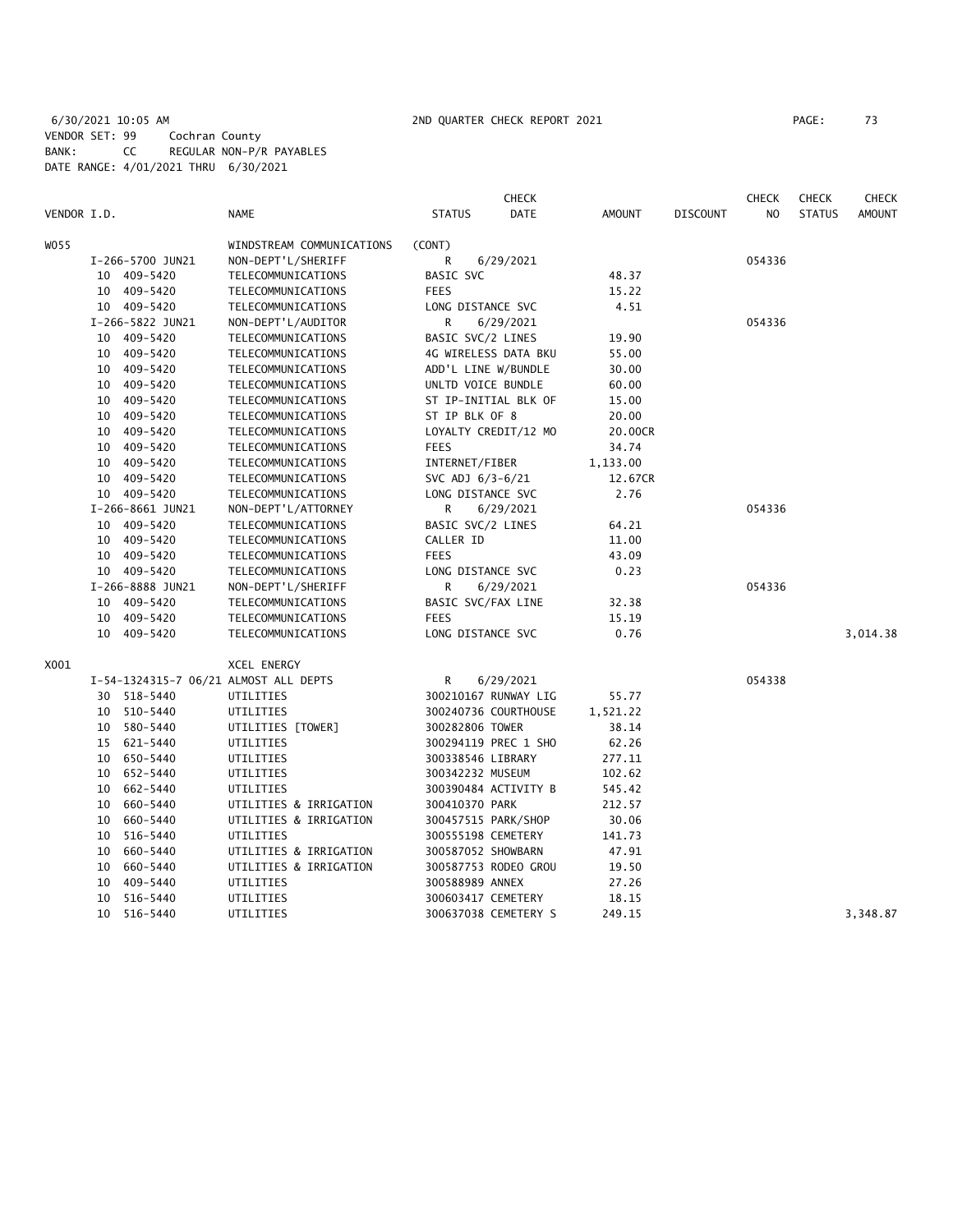### 6/30/2021 10:05 AM 2ND QUARTER CHECK REPORT 2021 PAGE: 73 VENDOR SET: 99 Cochran County BANK: CC REGULAR NON-P/R PAYABLES DATE RANGE: 4/01/2021 THRU 6/30/2021

|             |                                        |                  |                                       |                      | <b>CHECK</b>         |          |                 | <b>CHECK</b> | <b>CHECK</b>  | <b>CHECK</b>  |
|-------------|----------------------------------------|------------------|---------------------------------------|----------------------|----------------------|----------|-----------------|--------------|---------------|---------------|
| VENDOR I.D. |                                        |                  | NAME                                  | <b>STATUS</b>        | DATE                 | AMOUNT   | <b>DISCOUNT</b> | NO           | <b>STATUS</b> | <b>AMOUNT</b> |
| W055        |                                        |                  | WINDSTREAM COMMUNICATIONS             | (CONT)               |                      |          |                 |              |               |               |
|             | I-266-5700 JUN21<br>NON-DEPT'L/SHERIFF |                  | R                                     | 6/29/2021            |                      |          | 054336          |              |               |               |
|             |                                        | 10 409-5420      | TELECOMMUNICATIONS                    | <b>BASIC SVC</b>     |                      | 48.37    |                 |              |               |               |
|             |                                        | 10 409-5420      | TELECOMMUNICATIONS                    | <b>FEES</b>          |                      | 15.22    |                 |              |               |               |
|             |                                        | 10 409-5420      | TELECOMMUNICATIONS                    | LONG DISTANCE SVC    |                      | 4.51     |                 |              |               |               |
|             |                                        | I-266-5822 JUN21 | NON-DEPT'L/AUDITOR                    | R                    | 6/29/2021            |          |                 | 054336       |               |               |
|             |                                        | 10 409-5420      | TELECOMMUNICATIONS                    | BASIC SVC/2 LINES    |                      | 19.90    |                 |              |               |               |
|             |                                        | 10 409-5420      | TELECOMMUNICATIONS                    | 4G WIRELESS DATA BKU |                      | 55.00    |                 |              |               |               |
|             |                                        | 10 409-5420      | TELECOMMUNICATIONS                    | ADD'L LINE W/BUNDLE  |                      | 30.00    |                 |              |               |               |
|             |                                        | 10 409-5420      | TELECOMMUNICATIONS                    | UNLTD VOICE BUNDLE   |                      | 60.00    |                 |              |               |               |
|             |                                        | 10 409-5420      | TELECOMMUNICATIONS                    |                      | ST IP-INITIAL BLK OF | 15.00    |                 |              |               |               |
|             |                                        | 10 409-5420      | TELECOMMUNICATIONS                    | ST IP BLK OF 8       |                      | 20.00    |                 |              |               |               |
|             |                                        | 10 409-5420      | TELECOMMUNICATIONS                    | LOYALTY CREDIT/12 MO |                      | 20.00CR  |                 |              |               |               |
|             |                                        | 10 409-5420      | TELECOMMUNICATIONS                    | <b>FEES</b>          |                      | 34.74    |                 |              |               |               |
|             | 10                                     | 409-5420         | TELECOMMUNICATIONS                    | INTERNET/FIBER       |                      | 1,133.00 |                 |              |               |               |
|             |                                        | 10 409-5420      | TELECOMMUNICATIONS                    | SVC ADJ 6/3-6/21     |                      | 12.67CR  |                 |              |               |               |
|             |                                        | 10 409-5420      | TELECOMMUNICATIONS                    | LONG DISTANCE SVC    |                      | 2.76     |                 |              |               |               |
|             |                                        | I-266-8661 JUN21 | NON-DEPT'L/ATTORNEY                   | R                    | 6/29/2021            |          |                 | 054336       |               |               |
|             |                                        | 10 409-5420      | TELECOMMUNICATIONS                    | BASIC SVC/2 LINES    |                      | 64.21    |                 |              |               |               |
|             |                                        | 10 409-5420      | TELECOMMUNICATIONS                    | CALLER ID            |                      | 11.00    |                 |              |               |               |
|             |                                        | 10 409-5420      | TELECOMMUNICATIONS                    | <b>FEES</b>          |                      | 43.09    |                 |              |               |               |
|             |                                        | 10 409-5420      | TELECOMMUNICATIONS                    | LONG DISTANCE SVC    |                      | 0.23     |                 |              |               |               |
|             |                                        | I-266-8888 JUN21 | NON-DEPT'L/SHERIFF                    | R                    | 6/29/2021            |          |                 | 054336       |               |               |
|             |                                        | 10 409-5420      | TELECOMMUNICATIONS                    | BASIC SVC/FAX LINE   |                      | 32.38    |                 |              |               |               |
|             |                                        | 10 409-5420      | TELECOMMUNICATIONS                    | <b>FEES</b>          |                      | 15.19    |                 |              |               |               |
|             |                                        | 10 409-5420      | TELECOMMUNICATIONS                    | LONG DISTANCE SVC    |                      | 0.76     |                 |              |               | 3,014.38      |
| X001        |                                        |                  | XCEL ENERGY                           |                      |                      |          |                 |              |               |               |
|             |                                        |                  | I-54-1324315-7 06/21 ALMOST ALL DEPTS | R                    | 6/29/2021            |          |                 | 054338       |               |               |
|             |                                        | 30 518-5440      | UTILITIES                             |                      | 300210167 RUNWAY LIG | 55.77    |                 |              |               |               |
|             |                                        | 10 510-5440      | UTILITIES                             |                      | 300240736 COURTHOUSE | 1,521.22 |                 |              |               |               |
|             |                                        | 10 580-5440      | UTILITIES [TOWER]                     | 300282806 TOWER      |                      | 38.14    |                 |              |               |               |
|             |                                        | 15 621-5440      | UTILITIES                             |                      | 300294119 PREC 1 SHO | 62.26    |                 |              |               |               |
|             |                                        | 10 650-5440      | UTILITIES                             | 300338546 LIBRARY    |                      | 277.11   |                 |              |               |               |
|             |                                        | 10 652-5440      | UTILITIES                             | 300342232 MUSEUM     |                      | 102.62   |                 |              |               |               |
|             | 10                                     | 662-5440         | UTILITIES                             | 300390484 ACTIVITY B |                      | 545.42   |                 |              |               |               |
|             |                                        | 10 660-5440      | UTILITIES & IRRIGATION                | 300410370 PARK       |                      | 212.57   |                 |              |               |               |
|             | 10                                     | 660–5440         | UTILITIES & IRRIGATION                | 300457515 PARK/SHOP  |                      | 30.06    |                 |              |               |               |
|             | 10                                     | 516-5440         | UTILITIES                             | 300555198 CEMETERY   |                      | 141.73   |                 |              |               |               |
|             | 10                                     | 660-5440         | UTILITIES & IRRIGATION                | 300587052 SHOWBARN   |                      | 47.91    |                 |              |               |               |
|             |                                        | 10 660-5440      | UTILITIES & IRRIGATION                | 300587753 RODEO GROU |                      | 19.50    |                 |              |               |               |
|             |                                        | 10 409-5440      | UTILITIES                             | 300588989 ANNEX      |                      | 27.26    |                 |              |               |               |
|             | 10                                     | 516-5440         | UTILITIES                             | 300603417 CEMETERY   |                      | 18.15    |                 |              |               |               |
|             |                                        | 10 516-5440      | UTILITIES                             |                      | 300637038 CEMETERY S | 249.15   |                 |              |               | 3,348.87      |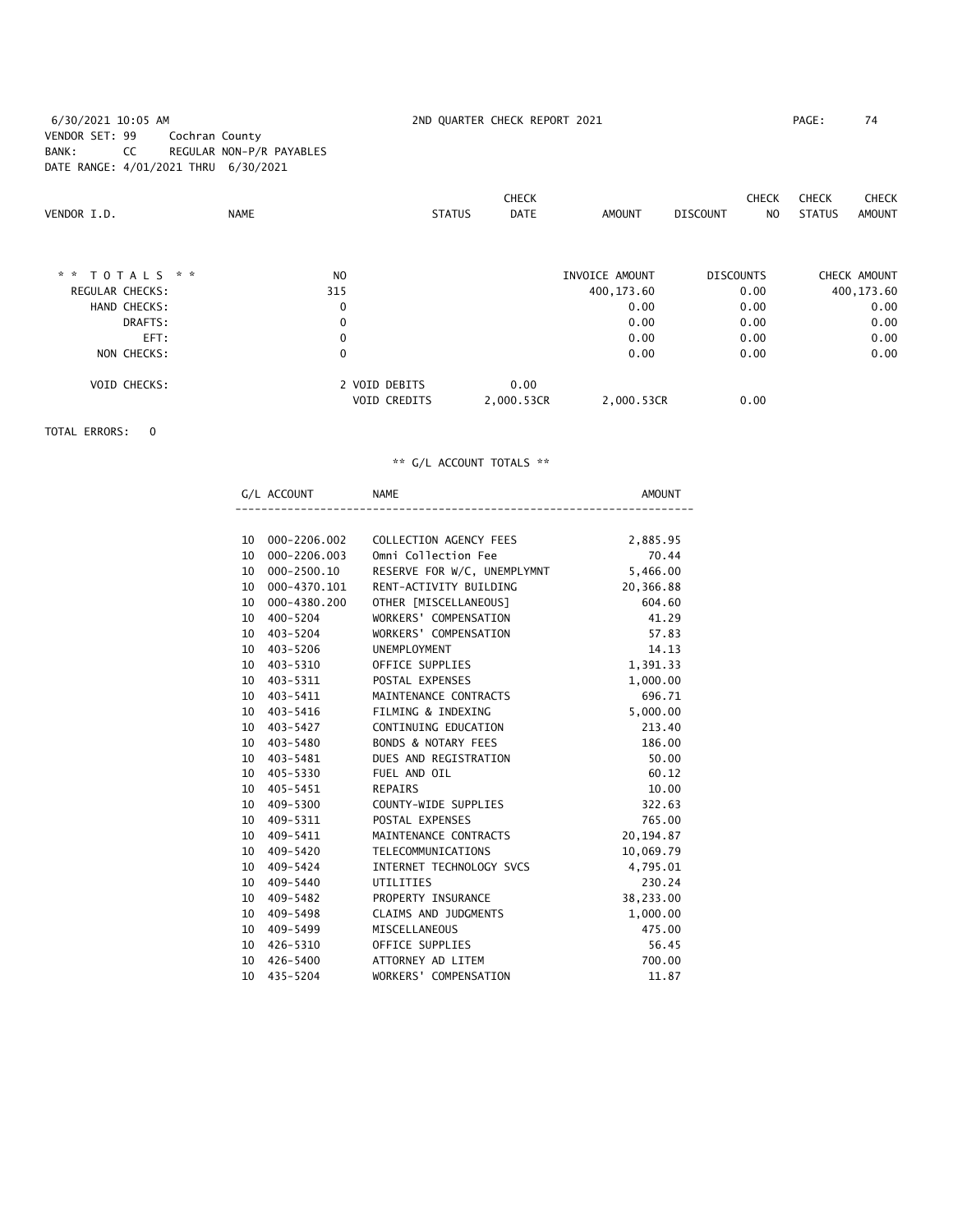6/30/2021 10:05 AM 2ND QUARTER CHECK REPORT 2021 PAGE: 74 VENDOR SET: 99 Cochran County BANK: CC REGULAR NON-P/R PAYABLES DATE RANGE: 4/01/2021 THRU 6/30/2021

|                  |                |                     | <b>CHECK</b> |                | <b>CHECK</b>           | <b>CHECK</b><br><b>CHECK</b> |
|------------------|----------------|---------------------|--------------|----------------|------------------------|------------------------------|
| VENDOR I.D.      | <b>NAME</b>    | <b>STATUS</b>       | <b>DATE</b>  | AMOUNT         | <b>DISCOUNT</b><br>NO. | <b>STATUS</b><br>AMOUNT      |
|                  |                |                     |              |                |                        |                              |
| * * $TOTALS$ * * | N <sub>0</sub> |                     |              | INVOICE AMOUNT | <b>DISCOUNTS</b>       | CHECK AMOUNT                 |
| REGULAR CHECKS:  | 315            |                     |              | 400,173.60     | 0.00                   | 400,173.60                   |
| HAND CHECKS:     | 0              |                     |              | 0.00           | 0.00                   | 0.00                         |
| DRAFTS:          | $\mathbf 0$    |                     |              | 0.00           | 0.00                   | 0.00                         |
| EFT:             | $\mathbf 0$    |                     |              | 0.00           | 0.00                   | 0.00                         |
| NON CHECKS:      | $\mathbf 0$    |                     |              | 0.00           | 0.00                   | 0.00                         |
| VOID CHECKS:     |                | 2 VOID DEBITS       | 0.00         |                |                        |                              |
|                  |                | <b>VOID CREDITS</b> | 2,000.53CR   | 2,000.53CR     | 0.00                   |                              |

TOTAL ERRORS: 0

|                 | G/L ACCOUNT     | <b>NAME</b><br>---------------------------- | <b>AMOUNT</b> |
|-----------------|-----------------|---------------------------------------------|---------------|
|                 |                 |                                             |               |
|                 | 10 000-2206.002 | COLLECTION AGENCY FEES                      | 2,885.95      |
| 10              | 000-2206.003    | Omni Collection Fee                         | 70.44         |
|                 | 10 000-2500.10  | RESERVE FOR W/C, UNEMPLYMNT                 | 5,466.00      |
|                 | 10 000-4370.101 | RENT-ACTIVITY BUILDING                      | 20,366.88     |
| 10              | 000-4380.200    | OTHER [MISCELLANEOUS]                       | 604.60        |
| 10 <sup>1</sup> | 400-5204        | WORKERS' COMPENSATION                       | 41.29         |
|                 | 10 403-5204     | WORKERS' COMPENSATION                       | 57.83         |
|                 | 10 403-5206     | UNEMPLOYMENT                                | 14.13         |
|                 | 10 403-5310     | OFFICE SUPPLIES                             | 1,391.33      |
|                 | 10 403-5311     | POSTAL EXPENSES                             | 1,000.00      |
|                 | 10 403-5411     | MAINTENANCE CONTRACTS                       | 696.71        |
| 10              | 403-5416        | FILMING & INDEXING                          | 5,000.00      |
|                 | 10 403-5427     | CONTINUING EDUCATION                        | 213.40        |
|                 | 10 403-5480     | <b>BONDS &amp; NOTARY FEES</b>              | 186.00        |
|                 | 10 403-5481     | DUES AND REGISTRATION                       | 50.00         |
|                 | 10 405-5330     | FUEL AND OIL                                | 60.12         |
|                 | 10 405-5451     | REPAIRS                                     | 10.00         |
| 10              | 409-5300        | COUNTY-WIDE SUPPLIES                        | 322.63        |
| 10              | 409-5311        | POSTAL EXPENSES                             | 765.00        |
|                 | 10 409-5411     | MAINTENANCE CONTRACTS                       | 20, 194.87    |
|                 | 10 409-5420     | TELECOMMUNICATIONS                          | 10,069.79     |
|                 | 10 409-5424     | INTERNET TECHNOLOGY SVCS                    | 4,795.01      |
|                 | 10 409-5440     | UTILITIES                                   | 230.24        |
| 10              | 409-5482        | PROPERTY INSURANCE                          | 38,233.00     |
| 10 <sup>°</sup> | 409-5498        | CLAIMS AND JUDGMENTS                        | 1,000.00      |
|                 | 10 409-5499     | MISCELLANEOUS                               | 475.00        |
|                 | 10 426-5310     | OFFICE SUPPLIES                             | 56.45         |
| 10              | 426-5400        | ATTORNEY AD LITEM                           | 700.00        |
| 10              | 435-5204        | WORKERS' COMPENSATION                       | 11.87         |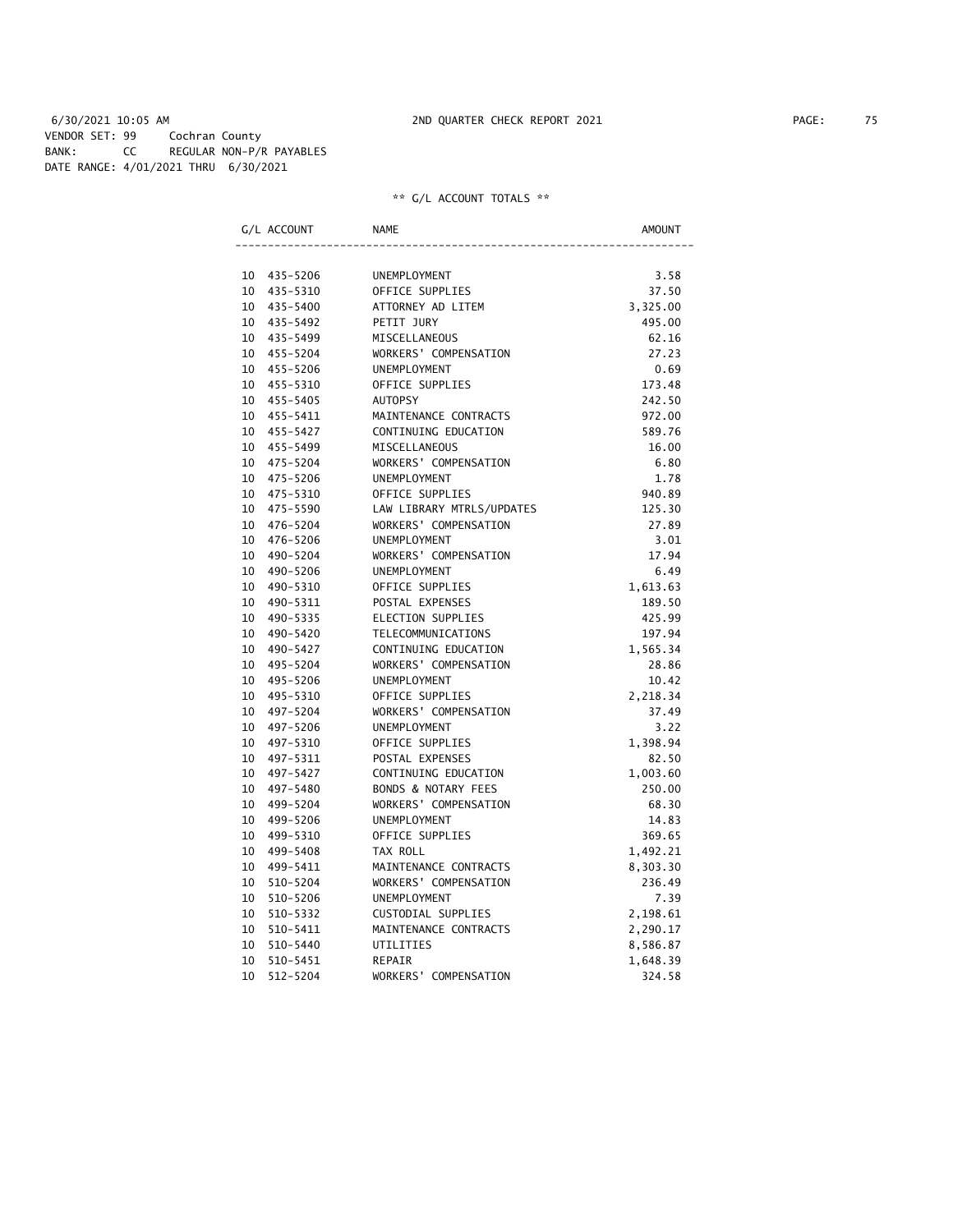|    | G/L ACCOUNT | <b>NAME</b>                    | <b>AMOUNT</b> |
|----|-------------|--------------------------------|---------------|
|    |             |                                |               |
| 10 | 435-5206    | <b>UNEMPLOYMENT</b>            | 3.58          |
| 10 | 435-5310    | OFFICE SUPPLIES                | 37.50         |
| 10 | 435-5400    | ATTORNEY AD LITEM              | 3,325.00      |
| 10 | 435-5492    | PETIT JURY                     | 495.00        |
| 10 | 435-5499    | MISCELLANEOUS                  | 62.16         |
| 10 | 455-5204    | WORKERS' COMPENSATION          | 27.23         |
| 10 | 455-5206    | UNEMPLOYMENT                   | 0.69          |
| 10 | 455-5310    | OFFICE SUPPLIES                | 173.48        |
| 10 | 455-5405    | <b>AUTOPSY</b>                 | 242.50        |
| 10 | 455-5411    | MAINTENANCE CONTRACTS          | 972.00        |
| 10 | 455-5427    | CONTINUING EDUCATION           | 589.76        |
| 10 | 455-5499    | MISCELLANEOUS                  | 16.00         |
| 10 | 475-5204    | WORKERS' COMPENSATION          | 6.80          |
| 10 | 475-5206    | <b>UNEMPLOYMENT</b>            | 1.78          |
| 10 | 475-5310    | OFFICE SUPPLIES                | 940.89        |
| 10 | 475-5590    | LAW LIBRARY MTRLS/UPDATES      | 125.30        |
| 10 | 476-5204    | WORKERS' COMPENSATION          | 27.89         |
| 10 | 476-5206    | UNEMPLOYMENT                   | 3.01          |
| 10 | 490-5204    | WORKERS' COMPENSATION          | 17.94         |
| 10 | 490-5206    | <b>UNEMPLOYMENT</b>            | 6.49          |
| 10 | 490-5310    | OFFICE SUPPLIES                | 1,613.63      |
| 10 | 490-5311    | POSTAL EXPENSES                | 189.50        |
| 10 | 490-5335    | ELECTION SUPPLIES              | 425.99        |
| 10 | 490-5420    | TELECOMMUNICATIONS             | 197.94        |
| 10 | 490-5427    | CONTINUING EDUCATION           | 1,565.34      |
| 10 | 495-5204    | WORKERS' COMPENSATION          | 28.86         |
| 10 | 495-5206    | <b>UNEMPLOYMENT</b>            | 10.42         |
| 10 | 495-5310    | OFFICE SUPPLIES                | 2,218.34      |
| 10 | 497-5204    | WORKERS' COMPENSATION          | 37.49         |
| 10 | 497-5206    | UNEMPLOYMENT                   | 3.22          |
| 10 | 497-5310    | OFFICE SUPPLIES                | 1,398.94      |
| 10 | 497-5311    | POSTAL EXPENSES                | 82.50         |
| 10 | 497-5427    | CONTINUING EDUCATION           | 1,003.60      |
| 10 | 497-5480    | <b>BONDS &amp; NOTARY FEES</b> | 250.00        |
| 10 | 499-5204    | WORKERS' COMPENSATION          | 68.30         |
| 10 | 499-5206    | <b>UNEMPLOYMENT</b>            | 14.83         |
| 10 | 499-5310    | OFFICE SUPPLIES                | 369.65        |
| 10 | 499-5408    | TAX ROLL                       | 1,492.21      |
| 10 | 499-5411    | MAINTENANCE CONTRACTS          | 8,303.30      |
| 10 | 510-5204    | WORKERS' COMPENSATION          | 236.49        |
| 10 | 510-5206    | <b>UNEMPLOYMENT</b>            | 7.39          |
| 10 | 510-5332    | CUSTODIAL SUPPLIES             | 2,198.61      |
| 10 | 510-5411    | MAINTENANCE CONTRACTS          | 2,290.17      |
| 10 | 510-5440    | UTILITIES                      | 8,586.87      |
| 10 | 510-5451    | <b>REPAIR</b>                  | 1,648.39      |
| 10 | 512-5204    | WORKERS' COMPENSATION          | 324.58        |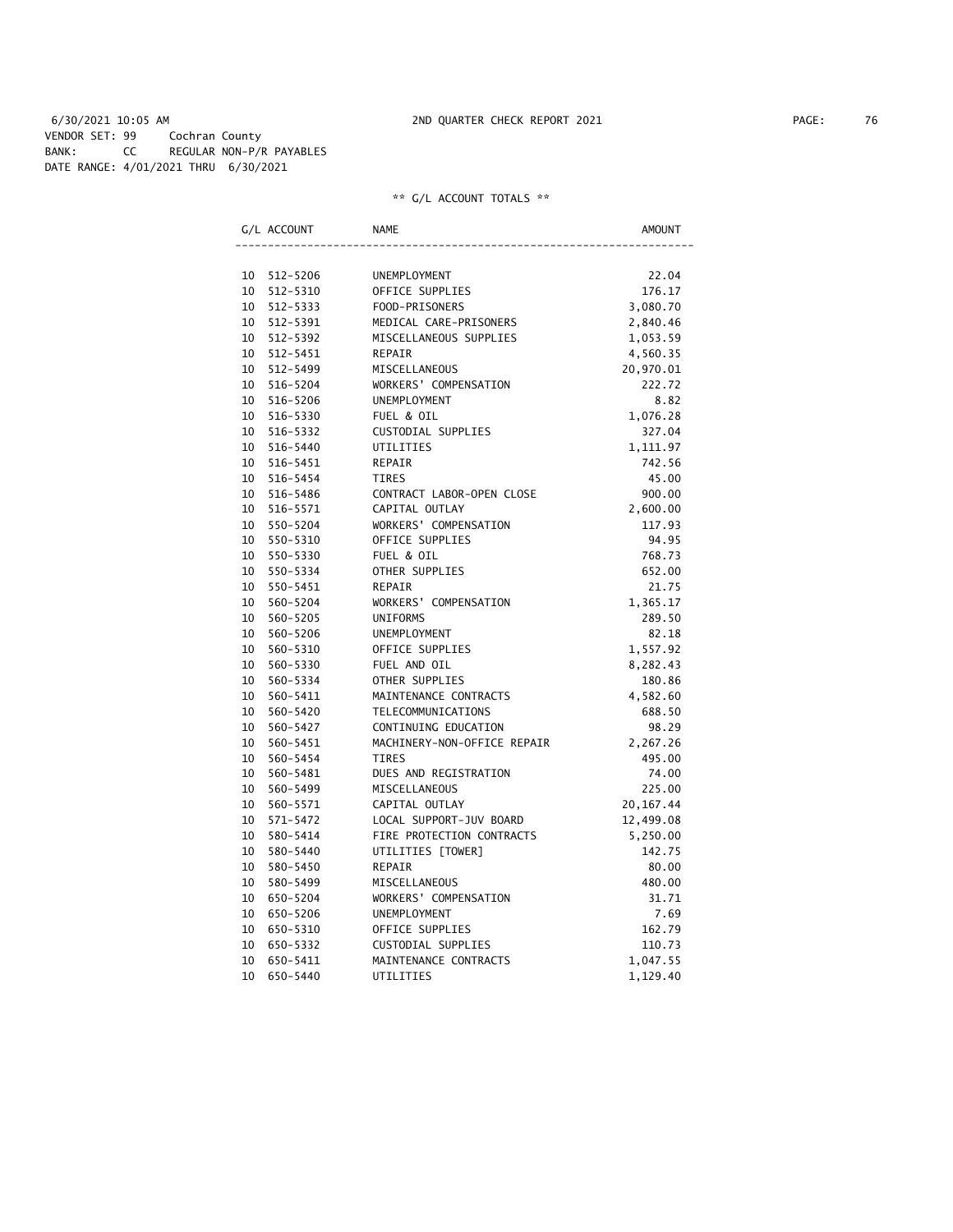### 6/30/2021 10:05 AM 2ND QUARTER CHECK REPORT 2021 PAGE: 76 VENDOR SET: 99 Cochran County BANK: CC REGULAR NON-P/R PAYABLES DATE RANGE: 4/01/2021 THRU 6/30/2021

|                 | G/L ACCOUNT | <b>NAME</b>                 | AMOUNT     |
|-----------------|-------------|-----------------------------|------------|
|                 |             |                             |            |
|                 | 10 512-5206 | UNEMPLOYMENT                | 22.04      |
| 10              | 512-5310    | OFFICE SUPPLIES             | 176.17     |
| 10              | 512-5333    | FOOD-PRISONERS              | 3,080.70   |
|                 | 10 512-5391 | MEDICAL CARE-PRISONERS      | 2,840.46   |
|                 | 10 512-5392 | MISCELLANEOUS SUPPLIES      | 1,053.59   |
|                 | 10 512-5451 | REPAIR                      | 4,560.35   |
|                 | 10 512-5499 | MISCELLANEOUS               | 20,970.01  |
| 10              | 516-5204    | WORKERS' COMPENSATION       | 222.72     |
| 10              | 516-5206    | UNEMPLOYMENT                | 8.82       |
| 10              | 516-5330    | FUEL & OIL                  | 1,076.28   |
| 10              | 516-5332    | CUSTODIAL SUPPLIES          | 327.04     |
|                 | 10 516-5440 | UTILITIES                   | 1,111.97   |
|                 | 10 516-5451 | REPAIR                      | 742.56     |
| 10              | 516-5454    | <b>TIRES</b>                | 45.00      |
|                 | 10 516-5486 | CONTRACT LABOR-OPEN CLOSE   | 900.00     |
| 10              | 516-5571    | CAPITAL OUTLAY              | 2,600.00   |
| 10              | 550-5204    | WORKERS' COMPENSATION       | 117.93     |
| 10              | 550-5310    | OFFICE SUPPLIES             | 94.95      |
| 10              | 550-5330    | FUEL & OIL                  | 768.73     |
|                 | 10 550-5334 | OTHER SUPPLIES              | 652.00     |
|                 | 10 550-5451 | REPAIR                      | 21.75      |
| 10              | 560-5204    | WORKERS' COMPENSATION       | 1,365.17   |
| 10              | 560-5205    | <b>UNIFORMS</b>             | 289.50     |
| 10              | 560-5206    | UNEMPLOYMENT                | 82.18      |
| 10              | 560-5310    | OFFICE SUPPLIES             | 1,557.92   |
| 10              | 560-5330    | FUEL AND OIL                | 8,282.43   |
| 10              | 560-5334    | OTHER SUPPLIES              | 180.86     |
| 10              | 560-5411    | MAINTENANCE CONTRACTS       | 4,582.60   |
| 10              | 560-5420    | TELECOMMUNICATIONS          | 688.50     |
| 10              | 560-5427    | CONTINUING EDUCATION        | 98.29      |
| 10              | 560-5451    | MACHINERY-NON-OFFICE REPAIR | 2,267.26   |
| 10              | 560-5454    | <b>TIRES</b>                | 495.00     |
| 10              | 560-5481    | DUES AND REGISTRATION       | 74.00      |
| 10              | 560-5499    | MISCELLANEOUS               | 225.00     |
| 10              | 560-5571    | CAPITAL OUTLAY              | 20, 167.44 |
| 10              | 571-5472    | LOCAL SUPPORT-JUV BOARD     | 12,499.08  |
| 10              | 580-5414    | FIRE PROTECTION CONTRACTS   | 5,250.00   |
| 10 <sup>1</sup> | 580-5440    | UTILITIES [TOWER]           | 142.75     |
| 10              | 580-5450    | REPAIR                      | 80.00      |
| 10              | 580-5499    | MISCELLANEOUS               | 480.00     |
| 10              | 650-5204    | WORKERS' COMPENSATION       | 31.71      |
| 10              | 650-5206    | UNEMPLOYMENT                | 7.69       |
| 10              | 650-5310    | OFFICE SUPPLIES             | 162.79     |
| 10              | 650-5332    | CUSTODIAL SUPPLIES          | 110.73     |
| 10              | 650-5411    | MAINTENANCE CONTRACTS       | 1,047.55   |
| 10              | 650-5440    | UTILITIES                   | 1,129.40   |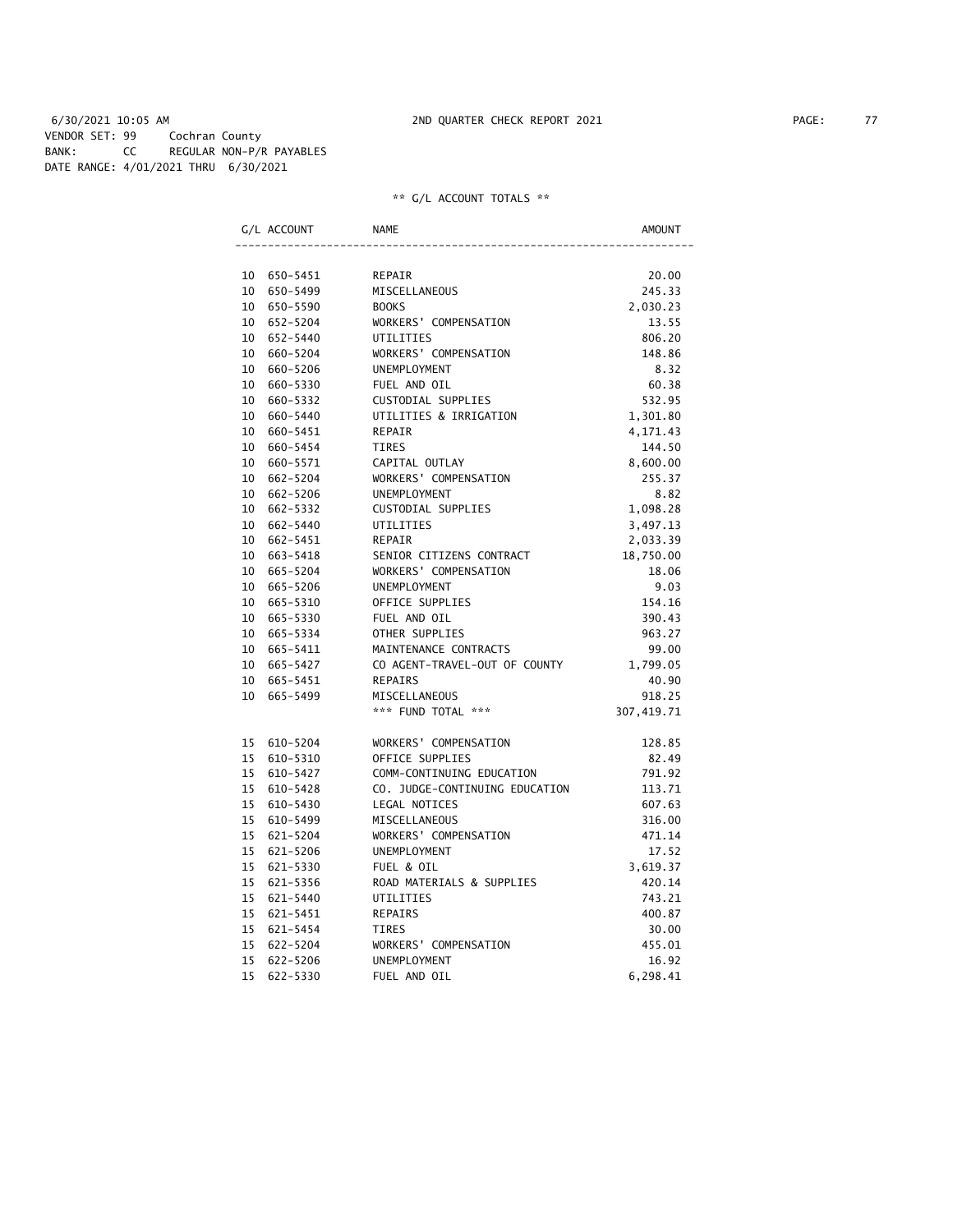6/30/2021 10:05 AM 2ND QUARTER CHECK REPORT 2021 PAGE: 77 VENDOR SET: 99 Cochran County BANK: CC REGULAR NON-P/R PAYABLES DATE RANGE: 4/01/2021 THRU 6/30/2021

|    | G/L ACCOUNT | <b>NAME</b>                    | AMOUNT     |
|----|-------------|--------------------------------|------------|
|    |             |                                |            |
|    | 10 650-5451 | REPAIR                         | 20.00      |
|    | 10 650-5499 | MISCELLANEOUS                  | 245.33     |
|    | 10 650-5590 | <b>BOOKS</b>                   | 2,030.23   |
|    | 10 652-5204 | WORKERS' COMPENSATION          | 13.55      |
|    | 10 652-5440 | UTILITIES                      | 806.20     |
|    | 10 660-5204 | WORKERS' COMPENSATION          | 148.86     |
|    | 10 660-5206 | UNEMPLOYMENT                   | 8.32       |
|    | 10 660-5330 | FUEL AND OIL                   | 60.38      |
|    | 10 660-5332 | CUSTODIAL SUPPLIES             | 532.95     |
|    | 10 660-5440 | UTILITIES & IRRIGATION         | 1,301.80   |
| 10 | 660-5451    | <b>REPAIR</b>                  | 4,171.43   |
|    | 10 660-5454 | <b>TIRES</b>                   | 144.50     |
|    | 10 660-5571 | CAPITAL OUTLAY                 | 8,600.00   |
|    | 10 662-5204 | WORKERS' COMPENSATION          | 255.37     |
|    | 10 662-5206 | UNEMPLOYMENT                   | 8.82       |
|    | 10 662-5332 | CUSTODIAL SUPPLIES             | 1,098.28   |
|    | 10 662-5440 | UTILITIES                      | 3,497.13   |
|    | 10 662-5451 | <b>REPAIR</b>                  | 2,033.39   |
|    | 10 663-5418 | SENIOR CITIZENS CONTRACT       | 18,750.00  |
|    | 10 665-5204 | WORKERS' COMPENSATION          | 18.06      |
|    | 10 665-5206 | UNEMPLOYMENT                   | 9.03       |
|    | 10 665-5310 | OFFICE SUPPLIES                | 154.16     |
|    | 10 665-5330 | FUEL AND OIL                   | 390.43     |
|    | 10 665-5334 | OTHER SUPPLIES                 | 963.27     |
|    | 10 665-5411 | MAINTENANCE CONTRACTS          | 99.00      |
|    | 10 665-5427 | CO AGENT-TRAVEL-OUT OF COUNTY  | 1,799.05   |
|    | 10 665-5451 | REPAIRS                        | 40.90      |
|    | 10 665-5499 | MISCELLANEOUS                  | 918.25     |
|    |             | *** FUND TOTAL ***             | 307,419.71 |
|    | 15 610-5204 | WORKERS' COMPENSATION          | 128.85     |
|    | 15 610-5310 | OFFICE SUPPLIES                | 82.49      |
|    | 15 610-5427 | COMM-CONTINUING EDUCATION      | 791.92     |
|    | 15 610-5428 | CO. JUDGE-CONTINUING EDUCATION | 113.71     |
| 15 | 610-5430    | LEGAL NOTICES                  | 607.63     |
| 15 | 610-5499    | MISCELLANEOUS                  | 316.00     |
| 15 | 621-5204    | WORKERS' COMPENSATION          | 471.14     |
| 15 | 621-5206    | UNEMPLOYMENT                   | 17.52      |
|    | 15 621-5330 | FUEL & OIL                     | 3,619.37   |
|    | 15 621-5356 | ROAD MATERIALS & SUPPLIES      | 420.14     |
|    | 15 621-5440 | UTILITIES                      | 743.21     |
|    | 15 621-5451 | REPAIRS                        | 400.87     |
|    | 15 621-5454 | <b>TIRES</b>                   | 30.00      |
|    | 15 622-5204 | WORKERS' COMPENSATION          | 455.01     |
|    | 15 622-5206 | <b>UNEMPLOYMENT</b>            | 16.92      |
| 15 | 622-5330    | FUEL AND OIL                   | 6,298.41   |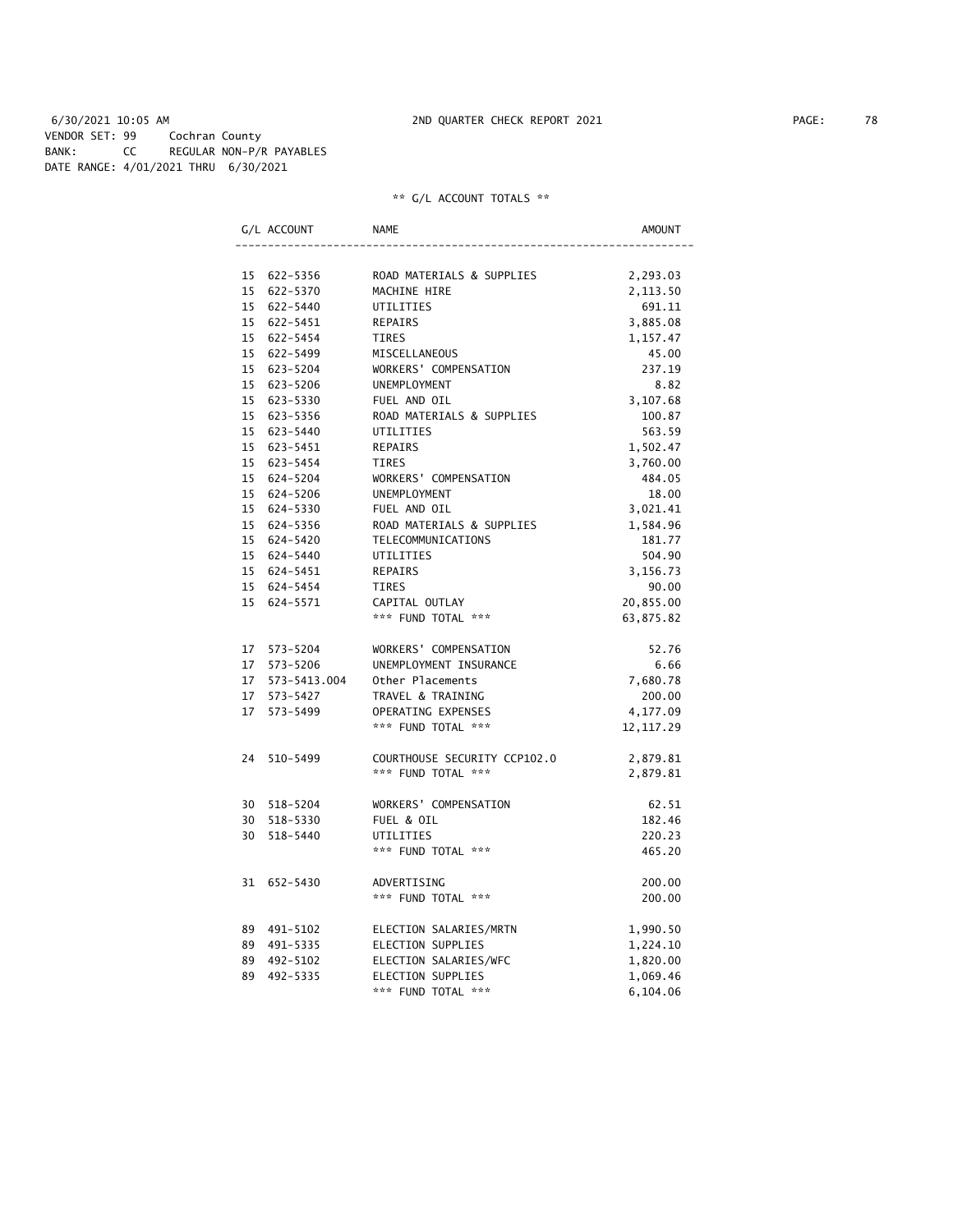6/30/2021 10:05 AM 2ND QUARTER CHECK REPORT 2021 PAGE: 78 VENDOR SET: 99 Cochran County BANK: CC REGULAR NON-P/R PAYABLES DATE RANGE: 4/01/2021 THRU 6/30/2021

| G/L ACCOUNT     | NAME                         | AMOUNT     |
|-----------------|------------------------------|------------|
|                 |                              |            |
| 15 622-5356     | ROAD MATERIALS & SUPPLIES    | 2,293.03   |
| 15 622-5370     | MACHINE HIRE                 | 2,113.50   |
| 15 622-5440     | UTILITIES                    | 691.11     |
| 15 622-5451     | REPAIRS                      | 3,885.08   |
| 15 622-5454     | <b>TIRES</b>                 | 1,157.47   |
| 15 622-5499     | MISCELLANEOUS                | 45.00      |
| 15 623-5204     | WORKERS' COMPENSATION        | 237.19     |
| 15 623-5206     | UNEMPLOYMENT                 | 8.82       |
| 15 623-5330     | FUEL AND OIL                 | 3,107.68   |
| 15 623-5356     | ROAD MATERIALS & SUPPLIES    | 100.87     |
| 15 623-5440     | UTILITIES                    | 563.59     |
| 15 623-5451     | <b>REPAIRS</b>               | 1,502.47   |
| 15 623-5454     | TIRES                        | 3,760.00   |
| 15 624-5204     | WORKERS' COMPENSATION        | 484.05     |
| 15 624-5206     | <b>UNEMPLOYMENT</b>          | 18.00      |
| 15 624-5330     | FUEL AND OIL                 | 3,021.41   |
| 15 624-5356     | ROAD MATERIALS & SUPPLIES    | 1,584.96   |
| 15 624-5420     | TELECOMMUNICATIONS           | 181.77     |
| 15 624-5440     | UTILITIES                    | 504.90     |
| 15 624-5451     | REPAIRS                      | 3,156.73   |
| 15 624-5454     | <b>TIRES</b>                 | 90.00      |
| 15 624-5571     | CAPITAL OUTLAY               | 20,855.00  |
|                 | *** FUND TOTAL ***           | 63,875.82  |
| 17 573-5204     | WORKERS' COMPENSATION        | 52.76      |
| 17 573-5206     | UNEMPLOYMENT INSURANCE       | 6.66       |
| 17 573-5413.004 | Other Placements             | 7,680.78   |
| 17 573-5427     | TRAVEL & TRAINING            | 200.00     |
| 17 573-5499     | OPERATING EXPENSES           | 4,177.09   |
|                 | *** FUND TOTAL ***           | 12, 117.29 |
| 24 510-5499     | COURTHOUSE SECURITY CCP102.0 | 2,879.81   |
|                 | *** FUND TOTAL ***           | 2,879.81   |
|                 |                              |            |
| 30 518-5204     | WORKERS' COMPENSATION        | 62.51      |
| 30 518-5330     | FUEL & OIL                   | 182.46     |
| 30 518-5440     | UTILITIES                    | 220.23     |
|                 | *** FUND TOTAL ***           | 465.20     |
| 31 652-5430     | ADVERTISING                  | 200.00     |
|                 | *** FUND TOTAL ***           | 200.00     |
| 89 491-5102     | ELECTION SALARIES/MRTN       | 1,990.50   |
| 89 491-5335     | ELECTION SUPPLIES            | 1,224.10   |
| 89 492-5102     | ELECTION SALARIES/WFC        | 1,820.00   |
| 89 492-5335     | ELECTION SUPPLIES            | 1,069.46   |
|                 | *** FUND TOTAL ***           | 6,104.06   |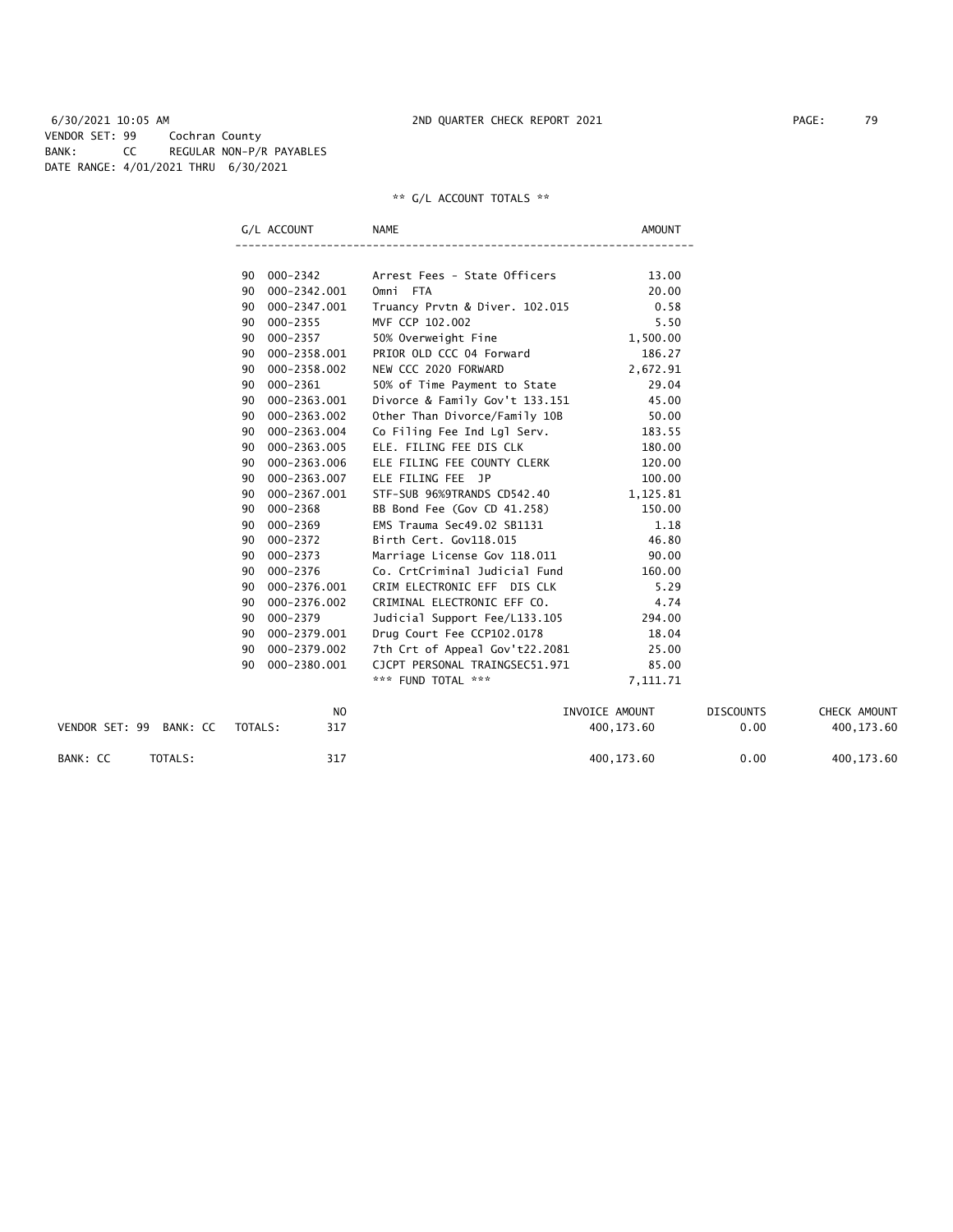6/30/2021 10:05 AM 2ND QUARTER CHECK REPORT 2021 PAGE: 79 VENDOR SET: 99 Cochran County BANK: CC REGULAR NON-P/R PAYABLES DATE RANGE: 4/01/2021 THRU 6/30/2021

|    | G/L ACCOUNT    | NAME                           | AMOUNT         |
|----|----------------|--------------------------------|----------------|
|    |                |                                |                |
| 90 | 000-2342       | Arrest Fees - State Officers   | 13.00          |
| 90 | 000-2342.001   | Omni FTA                       | 20.00          |
| 90 | 000-2347.001   | Truancy Prvtn & Diver. 102.015 | 0.58           |
| 90 | $000 - 2355$   | MVF CCP 102.002                | 5.50           |
| 90 | $000 - 2357$   | 50% Overweight Fine            | 1,500.00       |
| 90 | 000-2358.001   | PRIOR OLD CCC 04 Forward       | 186.27         |
| 90 | 000-2358.002   | NEW CCC 2020 FORWARD           | 2,672.91       |
| 90 | 000-2361       | 50% of Time Payment to State   | 29.04          |
| 90 | 000-2363.001   | Divorce & Family Gov't 133.151 | 45.00          |
| 90 | 000-2363.002   | Other Than Divorce/Family 10B  | 50.00          |
| 90 | 000-2363.004   | Co Filing Fee Ind Lgl Serv.    | 183.55         |
| 90 | 000-2363.005   | ELE. FILING FEE DIS CLK        | 180.00         |
| 90 | 000-2363.006   | ELE FILING FEE COUNTY CLERK    | 120.00         |
| 90 | 000-2363.007   | ELE FILING FEE JP              | 100.00         |
| 90 | 000-2367.001   | STF-SUB 96%9TRANDS CD542.40    | 1,125.81       |
| 90 | $000 - 2368$   | BB Bond Fee (Gov CD 41.258)    | 150.00         |
| 90 | 000-2369       | EMS Trauma Sec49.02 SB1131     | 1.18           |
| 90 | 000-2372       | Birth Cert. Gov118.015         | 46.80          |
| 90 | $000 - 2373$   | Marriage License Gov 118.011   | 90.00          |
| 90 | 000-2376       | Co. CrtCriminal Judicial Fund  | 160.00         |
| 90 | 000-2376.001   | CRIM ELECTRONIC EFF DIS CLK    | 5.29           |
| 90 | 000-2376.002   | CRIMINAL ELECTRONIC EFF CO.    | 4.74           |
| 90 | 000-2379       | Judicial Support Fee/L133.105  | 294.00         |
| 90 | 000-2379.001   | Drug Court Fee CCP102.0178     | 18.04          |
| 90 | 000-2379.002   | 7th Crt of Appeal Gov't22.2081 | 25.00          |
| 90 | 000-2380.001   | CJCPT PERSONAL TRAINGSEC51.971 | 85.00          |
|    |                | *** FUND TOTAL ***             | 7,111.71       |
|    | N <sub>O</sub> |                                | TNVOTCE AMOUNT |

|                                       | N <sub>0</sub> | INVOICE AMOUNT | <b>DISCOUNTS</b> | CHECK AMOUNT |
|---------------------------------------|----------------|----------------|------------------|--------------|
| VENDOR SET: 99<br>TOTALS:<br>BANK: CC | 317            | 400.173.60     | 0.00             | 400.173.60   |
| BANK: CC<br>TOTALS:                   | 317            | 400.173.60     | 0.00             | 400, 173.60  |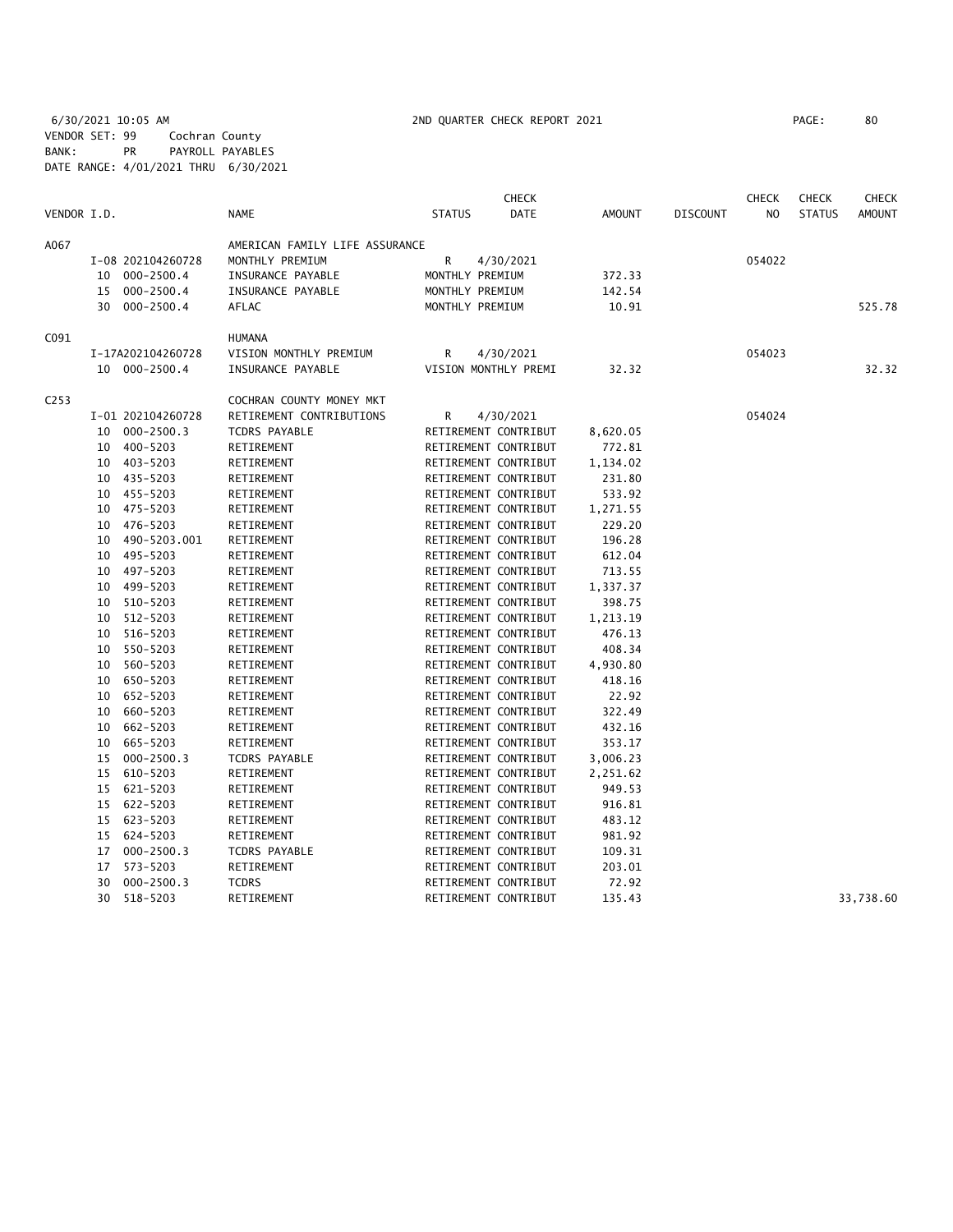6/30/2021 10:05 AM 2ND QUARTER CHECK REPORT 2021 PAGE: 80 VENDOR SET: 99 Cochran County BANK: PR PAYROLL PAYABLES DATE RANGE: 4/01/2021 THRU 6/30/2021

|                  |    |                   |                                |               | <b>CHECK</b>         |               |                 | <b>CHECK</b>   | <b>CHECK</b>  | <b>CHECK</b>  |
|------------------|----|-------------------|--------------------------------|---------------|----------------------|---------------|-----------------|----------------|---------------|---------------|
| VENDOR I.D.      |    |                   | <b>NAME</b>                    | <b>STATUS</b> | <b>DATE</b>          | <b>AMOUNT</b> | <b>DISCOUNT</b> | N <sub>O</sub> | <b>STATUS</b> | <b>AMOUNT</b> |
| A067             |    |                   | AMERICAN FAMILY LIFE ASSURANCE |               |                      |               |                 |                |               |               |
|                  |    | I-08 202104260728 | MONTHLY PREMIUM                | R             | 4/30/2021            |               |                 | 054022         |               |               |
|                  | 10 | $000 - 2500.4$    | INSURANCE PAYABLE              |               | MONTHLY PREMIUM      | 372.33        |                 |                |               |               |
|                  | 15 | $000 - 2500.4$    | INSURANCE PAYABLE              |               | MONTHLY PREMIUM      | 142.54        |                 |                |               |               |
|                  | 30 | 000-2500.4        | AFLAC                          |               | MONTHLY PREMIUM      | 10.91         |                 |                |               | 525.78        |
| C091             |    |                   | <b>HUMANA</b>                  |               |                      |               |                 |                |               |               |
|                  |    | I-17A202104260728 | VISION MONTHLY PREMIUM         | R             | 4/30/2021            |               |                 | 054023         |               |               |
|                  |    | 10 000-2500.4     | INSURANCE PAYABLE              |               | VISION MONTHLY PREMI | 32.32         |                 |                |               | 32.32         |
| C <sub>253</sub> |    |                   | COCHRAN COUNTY MONEY MKT       |               |                      |               |                 |                |               |               |
|                  |    | I-01 202104260728 | RETIREMENT CONTRIBUTIONS       | R             | 4/30/2021            |               |                 | 054024         |               |               |
|                  | 10 | $000 - 2500.3$    | TCDRS PAYABLE                  |               | RETIREMENT CONTRIBUT | 8,620.05      |                 |                |               |               |
|                  | 10 | 400-5203          | RETIREMENT                     |               | RETIREMENT CONTRIBUT | 772.81        |                 |                |               |               |
|                  | 10 | 403-5203          | RETIREMENT                     |               | RETIREMENT CONTRIBUT | 1,134.02      |                 |                |               |               |
|                  | 10 | 435-5203          | RETIREMENT                     |               | RETIREMENT CONTRIBUT | 231.80        |                 |                |               |               |
|                  | 10 | 455-5203          | RETIREMENT                     |               | RETIREMENT CONTRIBUT | 533.92        |                 |                |               |               |
|                  | 10 | 475-5203          | RETIREMENT                     |               | RETIREMENT CONTRIBUT | 1,271.55      |                 |                |               |               |
|                  | 10 | 476-5203          | RETIREMENT                     |               | RETIREMENT CONTRIBUT | 229.20        |                 |                |               |               |
|                  | 10 | 490-5203.001      | RETIREMENT                     |               | RETIREMENT CONTRIBUT | 196.28        |                 |                |               |               |
|                  | 10 | 495-5203          | RETIREMENT                     |               | RETIREMENT CONTRIBUT | 612.04        |                 |                |               |               |
|                  | 10 | 497-5203          | RETIREMENT                     |               | RETIREMENT CONTRIBUT | 713.55        |                 |                |               |               |
|                  | 10 | 499-5203          | RETIREMENT                     |               | RETIREMENT CONTRIBUT | 1,337.37      |                 |                |               |               |
|                  | 10 | 510-5203          | RETIREMENT                     |               | RETIREMENT CONTRIBUT | 398.75        |                 |                |               |               |
|                  | 10 | $512 - 5203$      | RETIREMENT                     |               | RETIREMENT CONTRIBUT | 1,213.19      |                 |                |               |               |
|                  | 10 | 516-5203          | RETIREMENT                     |               | RETIREMENT CONTRIBUT | 476.13        |                 |                |               |               |
|                  | 10 | 550-5203          | RETIREMENT                     |               | RETIREMENT CONTRIBUT | 408.34        |                 |                |               |               |
|                  | 10 | 560-5203          | RETIREMENT                     |               | RETIREMENT CONTRIBUT | 4,930.80      |                 |                |               |               |
|                  | 10 | 650-5203          | RETIREMENT                     |               | RETIREMENT CONTRIBUT | 418.16        |                 |                |               |               |
|                  | 10 | 652-5203          | RETIREMENT                     |               | RETIREMENT CONTRIBUT | 22.92         |                 |                |               |               |
|                  | 10 | 660-5203          | RETIREMENT                     |               | RETIREMENT CONTRIBUT | 322.49        |                 |                |               |               |
|                  | 10 | 662-5203          | RETIREMENT                     |               | RETIREMENT CONTRIBUT | 432.16        |                 |                |               |               |
|                  | 10 | 665-5203          | RETIREMENT                     |               | RETIREMENT CONTRIBUT | 353.17        |                 |                |               |               |
|                  | 15 | $000 - 2500.3$    | <b>TCDRS PAYABLE</b>           |               | RETIREMENT CONTRIBUT | 3,006.23      |                 |                |               |               |
|                  | 15 | 610-5203          | RETIREMENT                     |               | RETIREMENT CONTRIBUT | 2,251.62      |                 |                |               |               |
|                  | 15 | 621-5203          | RETIREMENT                     |               | RETIREMENT CONTRIBUT | 949.53        |                 |                |               |               |
|                  | 15 | 622-5203          | RETIREMENT                     |               | RETIREMENT CONTRIBUT | 916.81        |                 |                |               |               |
|                  | 15 | 623-5203          | RETIREMENT                     |               | RETIREMENT CONTRIBUT | 483.12        |                 |                |               |               |
|                  | 15 | 624-5203          | RETIREMENT                     |               | RETIREMENT CONTRIBUT | 981.92        |                 |                |               |               |
|                  | 17 | $000 - 2500.3$    | <b>TCDRS PAYABLE</b>           |               | RETIREMENT CONTRIBUT | 109.31        |                 |                |               |               |
|                  | 17 | 573-5203          | RETIREMENT                     |               | RETIREMENT CONTRIBUT | 203.01        |                 |                |               |               |
|                  | 30 | $000 - 2500.3$    | <b>TCDRS</b>                   |               | RETIREMENT CONTRIBUT | 72.92         |                 |                |               |               |
|                  | 30 | 518-5203          | RETIREMENT                     |               | RETIREMENT CONTRIBUT | 135.43        |                 |                |               | 33,738.60     |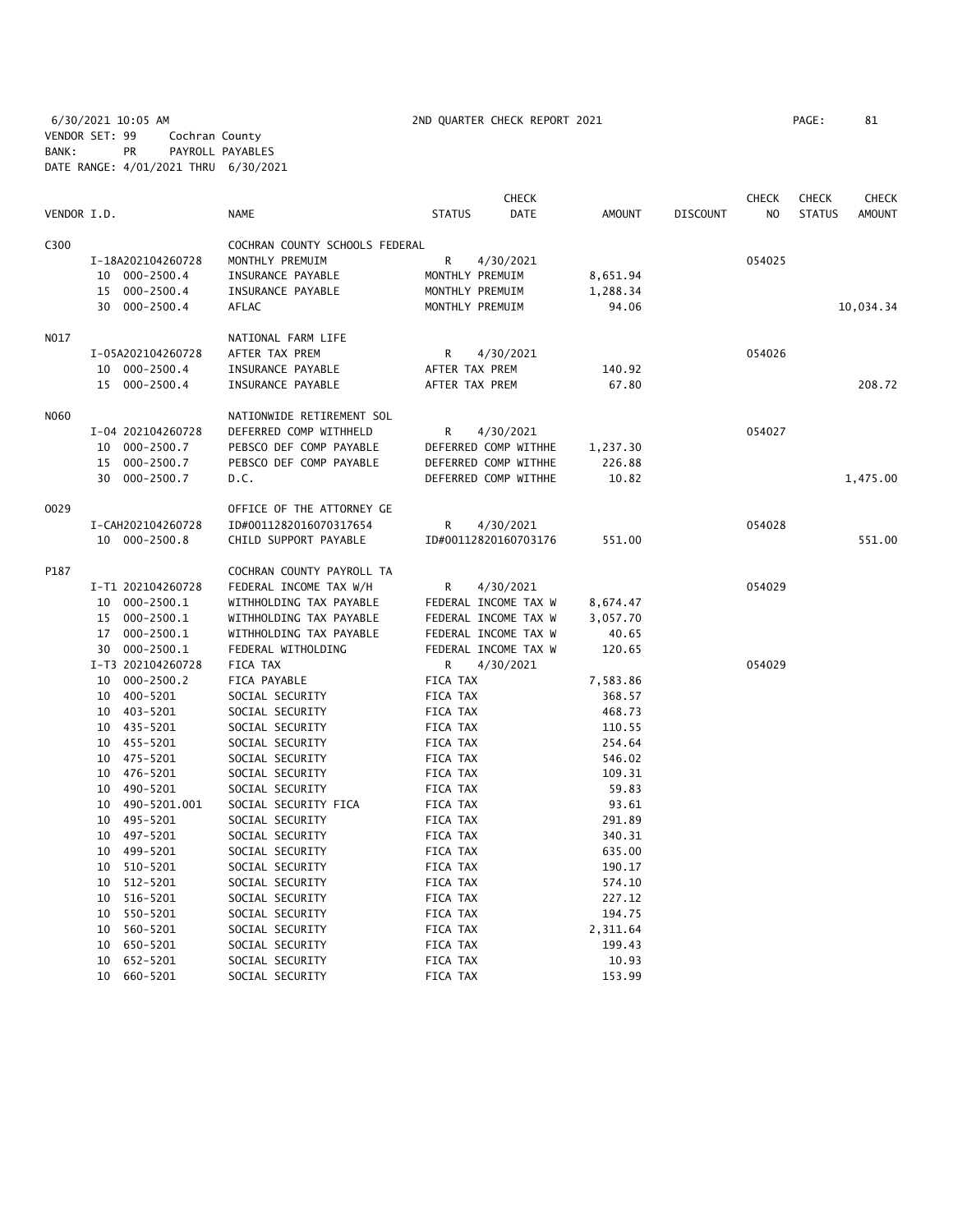6/30/2021 10:05 AM 2ND QUARTER CHECK REPORT 2021 PAGE: 81 VENDOR SET: 99 Cochran County BANK: PR PAYROLL PAYABLES DATE RANGE: 4/01/2021 THRU 6/30/2021

|             |                      |                                    | <b>CHECK</b>          |          |                 | <b>CHECK</b>   | <b>CHECK</b>  | CHECK     |
|-------------|----------------------|------------------------------------|-----------------------|----------|-----------------|----------------|---------------|-----------|
| VENDOR I.D. |                      | <b>NAME</b>                        | <b>STATUS</b><br>DATE | AMOUNT   | <b>DISCOUNT</b> | N <sub>O</sub> | <b>STATUS</b> | AMOUNT    |
| C300        |                      | COCHRAN COUNTY SCHOOLS FEDERAL     |                       |          |                 |                |               |           |
|             | I-18A202104260728    | MONTHLY PREMUIM                    | R<br>4/30/2021        |          |                 | 054025         |               |           |
|             | 10 000-2500.4        | INSURANCE PAYABLE                  | MONTHLY PREMUIM       | 8,651.94 |                 |                |               |           |
|             | $000 - 2500.4$<br>15 | INSURANCE PAYABLE                  | MONTHLY PREMUIM       | 1,288.34 |                 |                |               |           |
|             | 30 000-2500.4        | AFLAC                              | MONTHLY PREMUIM       | 94.06    |                 |                |               | 10,034.34 |
| NO17        |                      | NATIONAL FARM LIFE                 |                       |          |                 |                |               |           |
|             | I-05A202104260728    | AFTER TAX PREM                     | R<br>4/30/2021        |          |                 | 054026         |               |           |
|             | 10 000-2500.4        | INSURANCE PAYABLE                  | AFTER TAX PREM        | 140.92   |                 |                |               |           |
|             | 15<br>000-2500.4     | INSURANCE PAYABLE                  | AFTER TAX PREM        | 67.80    |                 |                |               | 208.72    |
| NO60        |                      | NATIONWIDE RETIREMENT SOL          |                       |          |                 |                |               |           |
|             | I-04 202104260728    | DEFERRED COMP WITHHELD             | R<br>4/30/2021        |          |                 | 054027         |               |           |
|             | 10 000-2500.7        | PEBSCO DEF COMP PAYABLE            | DEFERRED COMP WITHHE  | 1,237.30 |                 |                |               |           |
|             | 15 000-2500.7        | PEBSCO DEF COMP PAYABLE            | DEFERRED COMP WITHHE  | 226.88   |                 |                |               |           |
|             | 30 000-2500.7        | D.C.                               | DEFERRED COMP WITHHE  | 10.82    |                 |                |               | 1,475.00  |
| 0029        |                      | OFFICE OF THE ATTORNEY GE          |                       |          |                 |                |               |           |
|             | I-CAH202104260728    | ID#0011282016070317654             | R<br>4/30/2021        |          |                 | 054028         |               |           |
|             | 10 000-2500.8        | CHILD SUPPORT PAYABLE              | ID#00112820160703176  | 551.00   |                 |                |               | 551.00    |
| P187        |                      | COCHRAN COUNTY PAYROLL TA          |                       |          |                 |                |               |           |
|             | I-T1 202104260728    | FEDERAL INCOME TAX W/H             | 4/30/2021<br>R        |          |                 | 054029         |               |           |
|             | 10 000-2500.1        | WITHHOLDING TAX PAYABLE            | FEDERAL INCOME TAX W  | 8,674.47 |                 |                |               |           |
|             | 15 000-2500.1        | WITHHOLDING TAX PAYABLE            | FEDERAL INCOME TAX W  | 3,057.70 |                 |                |               |           |
|             | 17 000-2500.1        | WITHHOLDING TAX PAYABLE            | FEDERAL INCOME TAX W  | 40.65    |                 |                |               |           |
|             | 30 000-2500.1        | FEDERAL WITHOLDING                 | FEDERAL INCOME TAX W  | 120.65   |                 |                |               |           |
|             | I-T3 202104260728    | FICA TAX                           | 4/30/2021<br>R        |          |                 | 054029         |               |           |
|             | 10 000-2500.2        | FICA PAYABLE                       | FICA TAX              | 7,583.86 |                 |                |               |           |
|             | 10 400-5201          | SOCIAL SECURITY                    | FICA TAX              | 368.57   |                 |                |               |           |
|             | 10 403-5201          | SOCIAL SECURITY                    | FICA TAX              | 468.73   |                 |                |               |           |
|             | 10 435-5201          | SOCIAL SECURITY                    | FICA TAX              | 110.55   |                 |                |               |           |
|             | 10 455-5201          | SOCIAL SECURITY                    | FICA TAX              | 254.64   |                 |                |               |           |
|             | 10 475-5201          | SOCIAL SECURITY                    | FICA TAX              | 546.02   |                 |                |               |           |
|             | 10 476-5201          | SOCIAL SECURITY                    | FICA TAX              | 109.31   |                 |                |               |           |
|             | 10 490-5201          | SOCIAL SECURITY                    | FICA TAX              | 59.83    |                 |                |               |           |
|             | 10 490-5201.001      | SOCIAL SECURITY FICA               | FICA TAX              | 93.61    |                 |                |               |           |
|             |                      |                                    | FICA TAX              | 291.89   |                 |                |               |           |
|             | 10 495-5201          | SOCIAL SECURITY<br>SOCIAL SECURITY |                       |          |                 |                |               |           |
|             | 10 497-5201          |                                    | FICA TAX              | 340.31   |                 |                |               |           |
|             | 10 499-5201          | SOCIAL SECURITY                    | FICA TAX              | 635.00   |                 |                |               |           |
|             | 10 510-5201          | SOCIAL SECURITY                    | FICA TAX              | 190.17   |                 |                |               |           |
|             | 10 512-5201          | SOCIAL SECURITY                    | FICA TAX              | 574.10   |                 |                |               |           |
|             | 10 516-5201          | SOCIAL SECURITY                    | FICA TAX              | 227.12   |                 |                |               |           |
|             | 10 550-5201          | SOCIAL SECURITY                    | FICA TAX              | 194.75   |                 |                |               |           |
|             | 10 560-5201          | SOCIAL SECURITY                    | FICA TAX              | 2,311.64 |                 |                |               |           |
|             | 650-5201<br>10       | SOCIAL SECURITY                    | FICA TAX              | 199.43   |                 |                |               |           |
|             | 10 652-5201          | SOCIAL SECURITY                    | FICA TAX              | 10.93    |                 |                |               |           |
|             | 10<br>660-5201       | SOCIAL SECURITY                    | FICA TAX              | 153.99   |                 |                |               |           |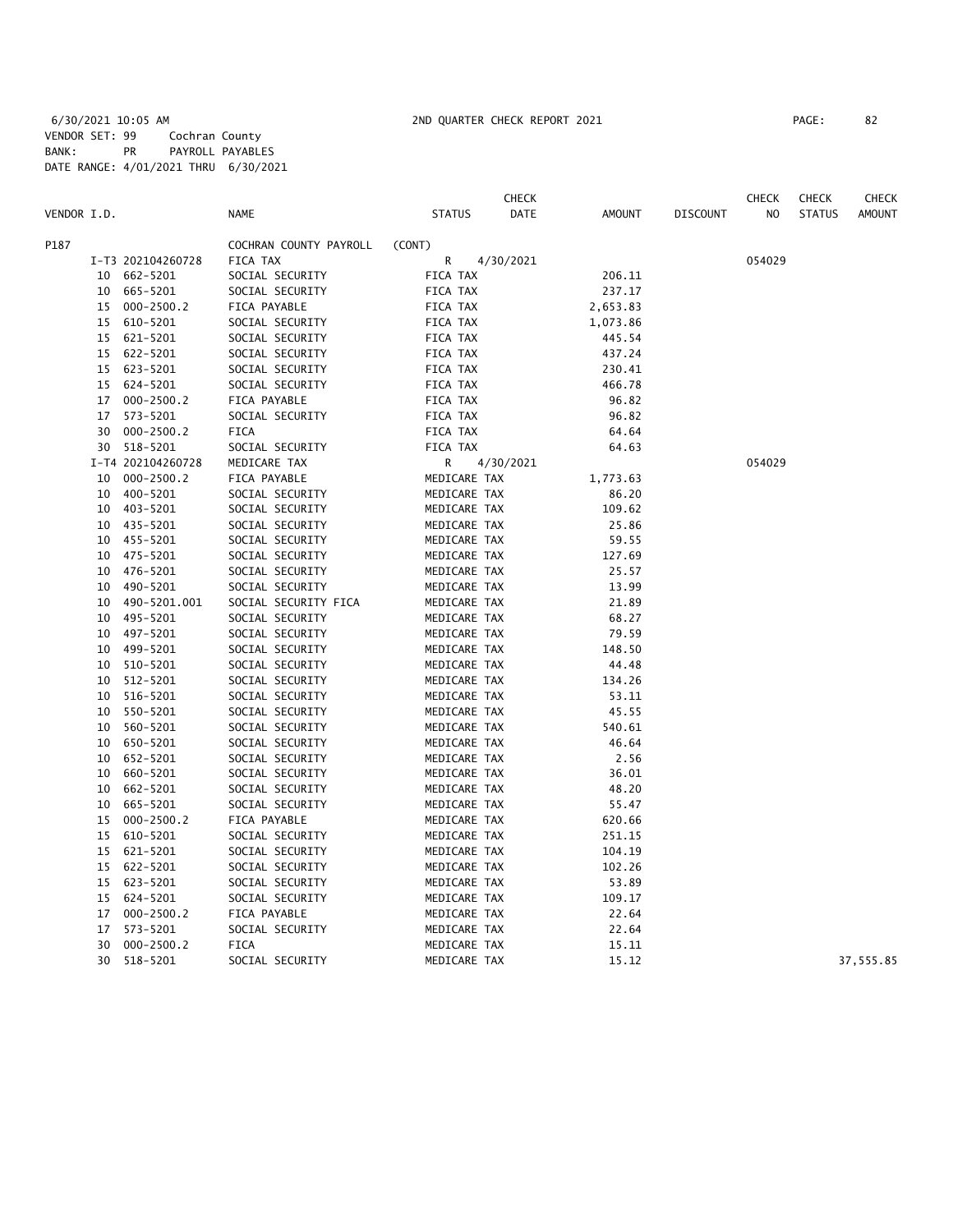|             |    |                   |                        |               | <b>CHECK</b> |               |          | <b>CHECK</b>   | <b>CHECK</b>  | <b>CHECK</b>  |
|-------------|----|-------------------|------------------------|---------------|--------------|---------------|----------|----------------|---------------|---------------|
| VENDOR I.D. |    |                   | <b>NAME</b>            | <b>STATUS</b> | DATE         | <b>AMOUNT</b> | DISCOUNT | N <sub>O</sub> | <b>STATUS</b> | <b>AMOUNT</b> |
| P187        |    |                   | COCHRAN COUNTY PAYROLL | (CONT)        |              |               |          |                |               |               |
|             |    | I-T3 202104260728 | FICA TAX               | R             | 4/30/2021    |               |          | 054029         |               |               |
|             | 10 | 662-5201          | SOCIAL SECURITY        | FICA TAX      |              | 206.11        |          |                |               |               |
|             | 10 | 665-5201          | SOCIAL SECURITY        | FICA TAX      |              | 237.17        |          |                |               |               |
|             | 15 | $000 - 2500.2$    | FICA PAYABLE           | FICA TAX      |              | 2,653.83      |          |                |               |               |
|             | 15 | 610-5201          | SOCIAL SECURITY        | FICA TAX      |              | 1,073.86      |          |                |               |               |
|             | 15 | 621-5201          | SOCIAL SECURITY        | FICA TAX      |              | 445.54        |          |                |               |               |
|             | 15 | 622-5201          | SOCIAL SECURITY        | FICA TAX      |              | 437.24        |          |                |               |               |
|             | 15 | 623-5201          | SOCIAL SECURITY        | FICA TAX      |              | 230.41        |          |                |               |               |
|             | 15 | 624-5201          | SOCIAL SECURITY        | FICA TAX      |              | 466.78        |          |                |               |               |
|             | 17 | $000 - 2500.2$    | FICA PAYABLE           | FICA TAX      |              | 96.82         |          |                |               |               |
|             | 17 | 573-5201          | SOCIAL SECURITY        | FICA TAX      |              | 96.82         |          |                |               |               |
|             | 30 | $000 - 2500.2$    | <b>FICA</b>            | FICA TAX      |              | 64.64         |          |                |               |               |
|             |    | 30 518-5201       | SOCIAL SECURITY        | FICA TAX      |              | 64.63         |          |                |               |               |
|             |    | I-T4 202104260728 | MEDICARE TAX           | R             | 4/30/2021    |               |          | 054029         |               |               |
|             | 10 | $000 - 2500.2$    | FICA PAYABLE           | MEDICARE TAX  |              | 1,773.63      |          |                |               |               |
|             | 10 | 400-5201          | SOCIAL SECURITY        | MEDICARE TAX  |              | 86.20         |          |                |               |               |
|             | 10 | 403-5201          | SOCIAL SECURITY        | MEDICARE TAX  |              | 109.62        |          |                |               |               |
|             |    | 10 435-5201       | SOCIAL SECURITY        | MEDICARE TAX  |              | 25.86         |          |                |               |               |
|             |    | 10 455-5201       | SOCIAL SECURITY        | MEDICARE TAX  |              | 59.55         |          |                |               |               |
|             |    | 10 475-5201       | SOCIAL SECURITY        | MEDICARE TAX  |              | 127.69        |          |                |               |               |
|             | 10 | 476-5201          | SOCIAL SECURITY        | MEDICARE TAX  |              | 25.57         |          |                |               |               |
|             | 10 | 490-5201          | SOCIAL SECURITY        | MEDICARE TAX  |              | 13.99         |          |                |               |               |
|             | 10 | 490-5201.001      | SOCIAL SECURITY FICA   | MEDICARE TAX  |              | 21.89         |          |                |               |               |
|             | 10 | 495-5201          | SOCIAL SECURITY        | MEDICARE TAX  |              | 68.27         |          |                |               |               |
|             |    | 10 497-5201       | SOCIAL SECURITY        | MEDICARE TAX  |              | 79.59         |          |                |               |               |
|             | 10 | 499-5201          | SOCIAL SECURITY        | MEDICARE TAX  |              | 148.50        |          |                |               |               |
|             | 10 | 510-5201          | SOCIAL SECURITY        | MEDICARE TAX  |              | 44.48         |          |                |               |               |
|             | 10 | 512-5201          | SOCIAL SECURITY        | MEDICARE TAX  |              | 134.26        |          |                |               |               |
|             | 10 | 516-5201          | SOCIAL SECURITY        | MEDICARE TAX  |              | 53.11         |          |                |               |               |
|             | 10 | 550-5201          | SOCIAL SECURITY        | MEDICARE TAX  |              | 45.55         |          |                |               |               |
|             | 10 | 560-5201          | SOCIAL SECURITY        | MEDICARE TAX  |              | 540.61        |          |                |               |               |
|             | 10 | 650-5201          | SOCIAL SECURITY        | MEDICARE TAX  |              | 46.64         |          |                |               |               |
|             | 10 | 652-5201          | SOCIAL SECURITY        | MEDICARE TAX  |              | 2.56          |          |                |               |               |
|             | 10 | 660-5201          | SOCIAL SECURITY        | MEDICARE TAX  |              | 36.01         |          |                |               |               |
|             | 10 | 662-5201          | SOCIAL SECURITY        | MEDICARE TAX  |              | 48.20         |          |                |               |               |
|             | 10 | 665-5201          | SOCIAL SECURITY        | MEDICARE TAX  |              | 55.47         |          |                |               |               |
|             | 15 | $000 - 2500.2$    | FICA PAYABLE           | MEDICARE TAX  |              | 620.66        |          |                |               |               |
|             | 15 | 610-5201          | SOCIAL SECURITY        | MEDICARE TAX  |              | 251.15        |          |                |               |               |
|             | 15 | 621-5201          | SOCIAL SECURITY        | MEDICARE TAX  |              | 104.19        |          |                |               |               |
|             | 15 | 622-5201          | SOCIAL SECURITY        | MEDICARE TAX  |              | 102.26        |          |                |               |               |
|             | 15 | 623-5201          | SOCIAL SECURITY        | MEDICARE TAX  |              | 53.89         |          |                |               |               |
|             | 15 | 624-5201          | SOCIAL SECURITY        | MEDICARE TAX  |              | 109.17        |          |                |               |               |
|             | 17 | $000 - 2500.2$    | FICA PAYABLE           | MEDICARE TAX  |              | 22.64         |          |                |               |               |
|             | 17 | 573-5201          | SOCIAL SECURITY        | MEDICARE TAX  |              | 22.64         |          |                |               |               |
|             | 30 | $000 - 2500.2$    | <b>FICA</b>            | MEDICARE TAX  |              | 15.11         |          |                |               |               |
|             | 30 | 518-5201          | SOCIAL SECURITY        | MEDICARE TAX  |              | 15.12         |          |                |               | 37,555.85     |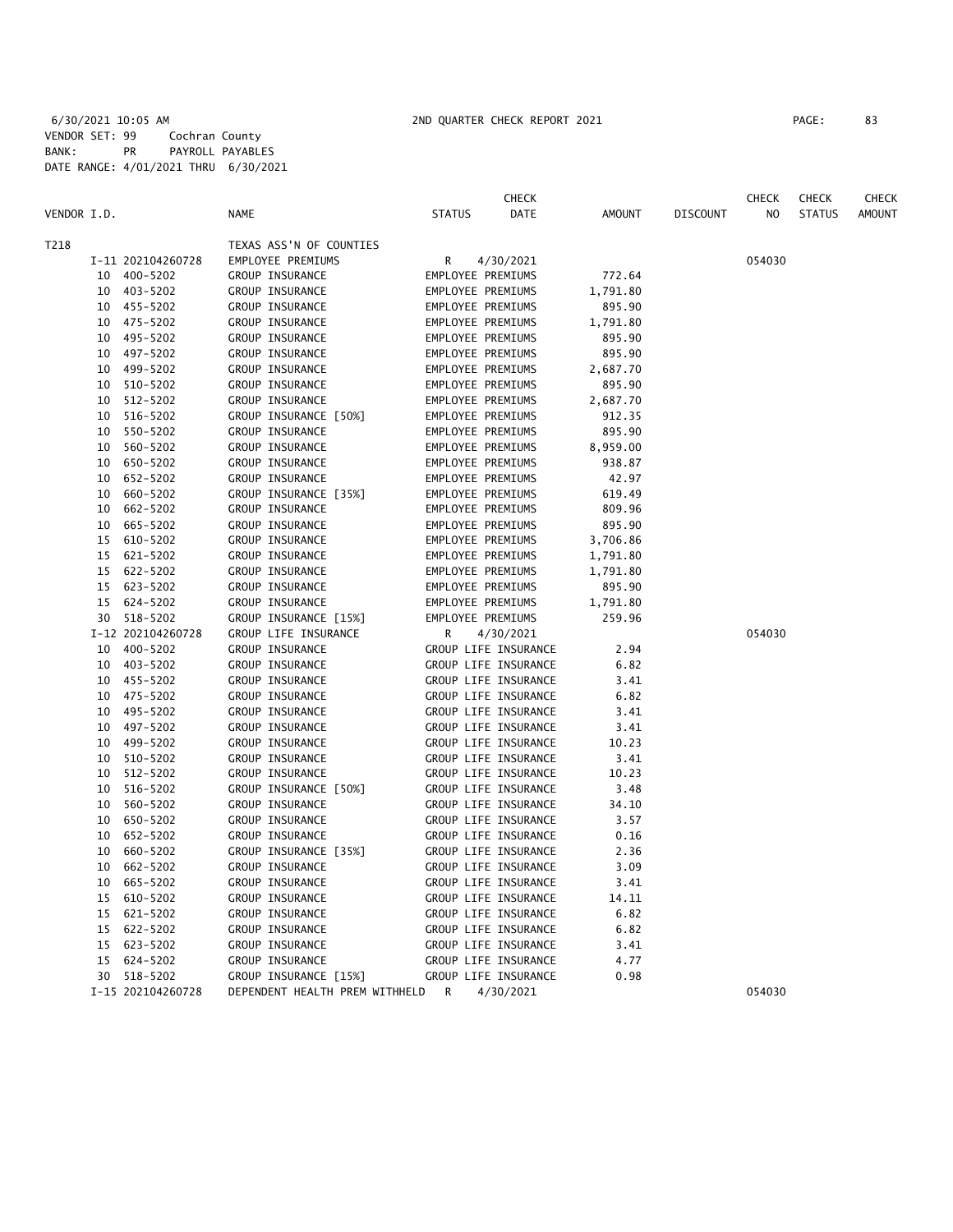|             |    |                   |                                |                   | <b>CHECK</b>         |          |                 | <b>CHECK</b>   | <b>CHECK</b>  | CHECK         |
|-------------|----|-------------------|--------------------------------|-------------------|----------------------|----------|-----------------|----------------|---------------|---------------|
| VENDOR I.D. |    |                   | <b>NAME</b>                    | <b>STATUS</b>     | DATE                 | AMOUNT   | <b>DISCOUNT</b> | N <sub>O</sub> | <b>STATUS</b> | <b>AMOUNT</b> |
| T218        |    |                   | TEXAS ASS'N OF COUNTIES        |                   |                      |          |                 |                |               |               |
|             |    | I-11 202104260728 | EMPLOYEE PREMIUMS              | R                 | 4/30/2021            |          |                 | 054030         |               |               |
|             |    | 10 400-5202       | GROUP INSURANCE                | EMPLOYEE PREMIUMS |                      | 772.64   |                 |                |               |               |
|             |    | 10 403-5202       | GROUP INSURANCE                | EMPLOYEE PREMIUMS |                      | 1,791.80 |                 |                |               |               |
|             |    | 10 455-5202       | GROUP INSURANCE                | EMPLOYEE PREMIUMS |                      | 895.90   |                 |                |               |               |
|             |    | 10 475-5202       | GROUP INSURANCE                |                   | EMPLOYEE PREMIUMS    | 1,791.80 |                 |                |               |               |
|             | 10 | 495-5202          | GROUP INSURANCE                |                   | EMPLOYEE PREMIUMS    | 895.90   |                 |                |               |               |
|             |    | 10 497-5202       | GROUP INSURANCE                |                   | EMPLOYEE PREMIUMS    | 895.90   |                 |                |               |               |
|             |    | 10 499-5202       | GROUP INSURANCE                |                   | EMPLOYEE PREMIUMS    | 2,687.70 |                 |                |               |               |
|             | 10 | 510-5202          | GROUP INSURANCE                | EMPLOYEE PREMIUMS |                      | 895.90   |                 |                |               |               |
|             |    | 10 512-5202       | GROUP INSURANCE                | EMPLOYEE PREMIUMS |                      | 2,687.70 |                 |                |               |               |
|             |    | 10 516-5202       | GROUP INSURANCE [50%]          |                   | EMPLOYEE PREMIUMS    | 912.35   |                 |                |               |               |
|             |    | 10 550-5202       | GROUP INSURANCE                | EMPLOYEE PREMIUMS |                      | 895.90   |                 |                |               |               |
|             | 10 | 560-5202          | GROUP INSURANCE                |                   | EMPLOYEE PREMIUMS    | 8,959.00 |                 |                |               |               |
|             | 10 | 650-5202          | GROUP INSURANCE                |                   | EMPLOYEE PREMIUMS    | 938.87   |                 |                |               |               |
|             |    | 10 652-5202       | GROUP INSURANCE                |                   | EMPLOYEE PREMIUMS    | 42.97    |                 |                |               |               |
|             | 10 | 660-5202          | GROUP INSURANCE [35%]          |                   | EMPLOYEE PREMIUMS    | 619.49   |                 |                |               |               |
|             | 10 | 662-5202          | GROUP INSURANCE                |                   | EMPLOYEE PREMIUMS    | 809.96   |                 |                |               |               |
|             | 10 | 665-5202          | GROUP INSURANCE                |                   | EMPLOYEE PREMIUMS    | 895.90   |                 |                |               |               |
|             | 15 | 610-5202          | GROUP INSURANCE                |                   | EMPLOYEE PREMIUMS    | 3,706.86 |                 |                |               |               |
|             | 15 | 621-5202          | GROUP INSURANCE                |                   | EMPLOYEE PREMIUMS    | 1,791.80 |                 |                |               |               |
|             | 15 | 622-5202          | GROUP INSURANCE                |                   | EMPLOYEE PREMIUMS    | 1,791.80 |                 |                |               |               |
|             | 15 | 623-5202          | GROUP INSURANCE                |                   | EMPLOYEE PREMIUMS    | 895.90   |                 |                |               |               |
|             |    | 15 624-5202       | GROUP INSURANCE                |                   | EMPLOYEE PREMIUMS    | 1,791.80 |                 |                |               |               |
|             |    | 30 518-5202       | GROUP INSURANCE [15%]          |                   | EMPLOYEE PREMIUMS    | 259.96   |                 |                |               |               |
|             |    | I-12 202104260728 | GROUP LIFE INSURANCE           | R                 | 4/30/2021            |          |                 | 054030         |               |               |
|             | 10 | 400-5202          | GROUP INSURANCE                |                   | GROUP LIFE INSURANCE | 2.94     |                 |                |               |               |
|             | 10 | 403-5202          | GROUP INSURANCE                |                   | GROUP LIFE INSURANCE | 6.82     |                 |                |               |               |
|             |    | 10 455-5202       | GROUP INSURANCE                |                   | GROUP LIFE INSURANCE | 3.41     |                 |                |               |               |
|             |    | 10 475-5202       | GROUP INSURANCE                |                   | GROUP LIFE INSURANCE | 6.82     |                 |                |               |               |
|             | 10 | 495-5202          | GROUP INSURANCE                |                   | GROUP LIFE INSURANCE | 3.41     |                 |                |               |               |
|             | 10 | 497-5202          | GROUP INSURANCE                |                   | GROUP LIFE INSURANCE | 3.41     |                 |                |               |               |
|             | 10 | 499-5202          | GROUP INSURANCE                |                   | GROUP LIFE INSURANCE | 10.23    |                 |                |               |               |
|             |    | 10 510-5202       | GROUP INSURANCE                |                   | GROUP LIFE INSURANCE | 3.41     |                 |                |               |               |
|             | 10 | 512-5202          | GROUP INSURANCE                |                   | GROUP LIFE INSURANCE | 10.23    |                 |                |               |               |
|             | 10 | 516-5202          | GROUP INSURANCE [50%]          |                   | GROUP LIFE INSURANCE | 3.48     |                 |                |               |               |
|             | 10 | 560-5202          | GROUP INSURANCE                |                   | GROUP LIFE INSURANCE | 34.10    |                 |                |               |               |
|             | 10 | 650-5202          | GROUP INSURANCE                |                   | GROUP LIFE INSURANCE | 3.57     |                 |                |               |               |
|             | 10 | 652-5202          | GROUP INSURANCE                |                   | GROUP LIFE INSURANCE | 0.16     |                 |                |               |               |
|             | 10 | 660-5202          | GROUP INSURANCE [35%]          |                   | GROUP LIFE INSURANCE | 2.36     |                 |                |               |               |
|             | 10 | 662-5202          | GROUP INSURANCE                |                   | GROUP LIFE INSURANCE | 3.09     |                 |                |               |               |
|             | 10 | 665-5202          | GROUP INSURANCE                |                   | GROUP LIFE INSURANCE | 3.41     |                 |                |               |               |
|             |    | 15 610-5202       | GROUP INSURANCE                |                   | GROUP LIFE INSURANCE | 14.11    |                 |                |               |               |
|             | 15 | 621-5202          | GROUP INSURANCE                |                   | GROUP LIFE INSURANCE | 6.82     |                 |                |               |               |
|             | 15 | 622-5202          | GROUP INSURANCE                |                   | GROUP LIFE INSURANCE | 6.82     |                 |                |               |               |
|             | 15 | 623-5202          | GROUP INSURANCE                |                   | GROUP LIFE INSURANCE | 3.41     |                 |                |               |               |
|             | 15 | 624-5202          | GROUP INSURANCE                |                   | GROUP LIFE INSURANCE | 4.77     |                 |                |               |               |
|             |    | 30 518-5202       | GROUP INSURANCE [15%]          |                   | GROUP LIFE INSURANCE | 0.98     |                 |                |               |               |
|             |    | I-15 202104260728 | DEPENDENT HEALTH PREM WITHHELD | R                 | 4/30/2021            |          |                 | 054030         |               |               |
|             |    |                   |                                |                   |                      |          |                 |                |               |               |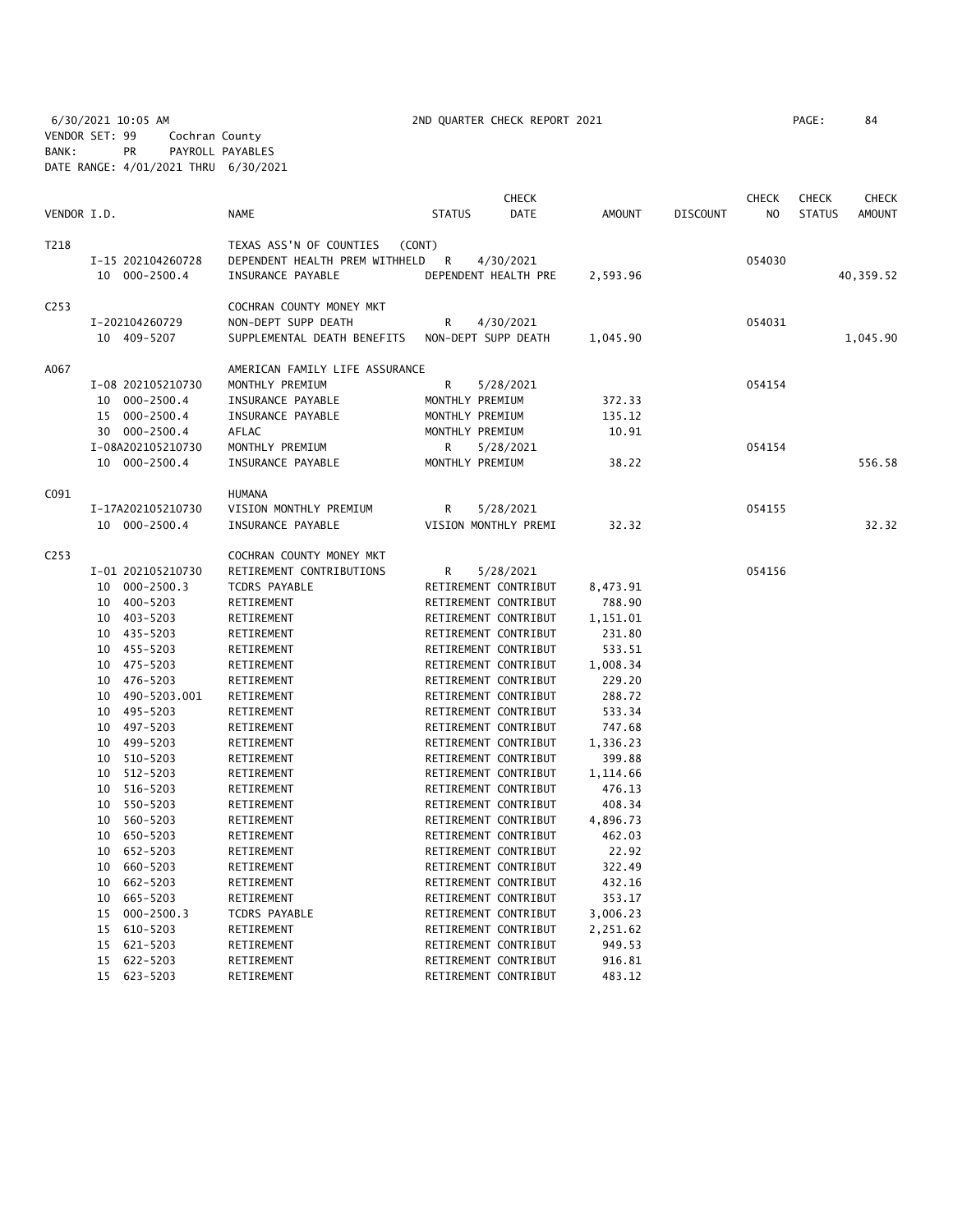6/30/2021 10:05 AM 2ND QUARTER CHECK REPORT 2021 PAGE: 84 VENDOR SET: 99 Cochran County BANK: PR PAYROLL PAYABLES DATE RANGE: 4/01/2021 THRU 6/30/2021

|             |    |                   |                                   |                 | CHECK                |          |                 | <b>CHECK</b>   | <b>CHECK</b>  | CHECK         |
|-------------|----|-------------------|-----------------------------------|-----------------|----------------------|----------|-----------------|----------------|---------------|---------------|
| VENDOR I.D. |    |                   | <b>NAME</b>                       | <b>STATUS</b>   | DATE                 | AMOUNT   | <b>DISCOUNT</b> | N <sub>O</sub> | <b>STATUS</b> | <b>AMOUNT</b> |
| T218        |    |                   | TEXAS ASS'N OF COUNTIES<br>(CONT) |                 |                      |          |                 |                |               |               |
|             |    | I-15 202104260728 | DEPENDENT HEALTH PREM WITHHELD    | R               | 4/30/2021            |          |                 | 054030         |               |               |
|             |    | 10 000-2500.4     | INSURANCE PAYABLE                 |                 | DEPENDENT HEALTH PRE | 2,593.96 |                 |                |               | 40,359.52     |
| C253        |    |                   | COCHRAN COUNTY MONEY MKT          |                 |                      |          |                 |                |               |               |
|             |    | I-202104260729    | NON-DEPT SUPP DEATH               | R               | 4/30/2021            |          |                 | 054031         |               |               |
|             |    | 10 409-5207       | SUPPLEMENTAL DEATH BENEFITS       |                 | NON-DEPT SUPP DEATH  | 1,045.90 |                 |                |               | 1,045.90      |
| A067        |    |                   | AMERICAN FAMILY LIFE ASSURANCE    |                 |                      |          |                 |                |               |               |
|             |    | I-08 202105210730 | MONTHLY PREMIUM                   | R               | 5/28/2021            |          |                 | 054154         |               |               |
|             |    | 10 000-2500.4     | INSURANCE PAYABLE                 | MONTHLY PREMIUM |                      | 372.33   |                 |                |               |               |
|             |    | 15 000-2500.4     | INSURANCE PAYABLE                 | MONTHLY PREMIUM |                      | 135.12   |                 |                |               |               |
|             |    | 30 000-2500.4     | AFLAC                             | MONTHLY PREMIUM |                      | 10.91    |                 |                |               |               |
|             |    | I-08A202105210730 | MONTHLY PREMIUM                   | R               | 5/28/2021            |          |                 | 054154         |               |               |
|             |    | 10 000-2500.4     | INSURANCE PAYABLE                 | MONTHLY PREMIUM |                      | 38.22    |                 |                |               | 556.58        |
|             |    |                   |                                   |                 |                      |          |                 |                |               |               |
| C091        |    |                   | HUMANA<br>VISION MONTHLY PREMIUM  | R               |                      |          |                 | 054155         |               |               |
|             |    | I-17A202105210730 |                                   |                 | 5/28/2021            |          |                 |                |               |               |
|             |    | 10 000-2500.4     | INSURANCE PAYABLE                 |                 | VISION MONTHLY PREMI | 32.32    |                 |                |               | 32.32         |
| C253        |    |                   | COCHRAN COUNTY MONEY MKT          |                 |                      |          |                 |                |               |               |
|             |    | I-01 202105210730 | RETIREMENT CONTRIBUTIONS          | R               | 5/28/2021            |          |                 | 054156         |               |               |
|             |    | 10 000-2500.3     | TCDRS PAYABLE                     |                 | RETIREMENT CONTRIBUT | 8,473.91 |                 |                |               |               |
|             |    | 10 400-5203       | RETIREMENT                        |                 | RETIREMENT CONTRIBUT | 788.90   |                 |                |               |               |
|             |    | 10 403-5203       | RETIREMENT                        |                 | RETIREMENT CONTRIBUT | 1,151.01 |                 |                |               |               |
|             |    | 10 435-5203       | RETIREMENT                        |                 | RETIREMENT CONTRIBUT | 231.80   |                 |                |               |               |
|             |    | 10 455-5203       | RETIREMENT                        |                 | RETIREMENT CONTRIBUT | 533.51   |                 |                |               |               |
|             |    | 10 475-5203       | RETIREMENT                        |                 | RETIREMENT CONTRIBUT | 1,008.34 |                 |                |               |               |
|             |    | 10 476-5203       | RETIREMENT                        |                 | RETIREMENT CONTRIBUT | 229.20   |                 |                |               |               |
|             |    | 10 490-5203.001   | RETIREMENT                        |                 | RETIREMENT CONTRIBUT | 288.72   |                 |                |               |               |
|             |    | 10 495-5203       | RETIREMENT                        |                 | RETIREMENT CONTRIBUT | 533.34   |                 |                |               |               |
|             |    | 10 497-5203       | RETIREMENT                        |                 | RETIREMENT CONTRIBUT | 747.68   |                 |                |               |               |
|             |    | 10 499-5203       | RETIREMENT                        |                 | RETIREMENT CONTRIBUT | 1,336.23 |                 |                |               |               |
|             | 10 | 510-5203          | RETIREMENT                        |                 | RETIREMENT CONTRIBUT | 399.88   |                 |                |               |               |
|             | 10 | 512-5203          | RETIREMENT                        |                 | RETIREMENT CONTRIBUT | 1,114.66 |                 |                |               |               |
|             | 10 | 516-5203          | RETIREMENT                        |                 | RETIREMENT CONTRIBUT | 476.13   |                 |                |               |               |
|             | 10 | 550-5203          | RETIREMENT                        |                 | RETIREMENT CONTRIBUT | 408.34   |                 |                |               |               |
|             |    | 10 560-5203       | RETIREMENT                        |                 | RETIREMENT CONTRIBUT | 4,896.73 |                 |                |               |               |
|             |    | 10 650-5203       | RETIREMENT                        |                 | RETIREMENT CONTRIBUT | 462.03   |                 |                |               |               |
|             | 10 | 652-5203          | RETIREMENT                        |                 | RETIREMENT CONTRIBUT | 22.92    |                 |                |               |               |
|             | 10 | 660-5203          | RETIREMENT                        |                 | RETIREMENT CONTRIBUT | 322.49   |                 |                |               |               |
|             | 10 | 662-5203          | RETIREMENT                        |                 | RETIREMENT CONTRIBUT | 432.16   |                 |                |               |               |
|             | 10 | 665-5203          | RETIREMENT                        |                 | RETIREMENT CONTRIBUT | 353.17   |                 |                |               |               |
|             | 15 | $000 - 2500.3$    | TCDRS PAYABLE                     |                 | RETIREMENT CONTRIBUT | 3,006.23 |                 |                |               |               |
|             | 15 | 610-5203          | RETIREMENT                        |                 | RETIREMENT CONTRIBUT | 2,251.62 |                 |                |               |               |
|             | 15 | 621-5203          | RETIREMENT                        |                 | RETIREMENT CONTRIBUT | 949.53   |                 |                |               |               |
|             | 15 | 622-5203          | RETIREMENT                        |                 | RETIREMENT CONTRIBUT | 916.81   |                 |                |               |               |
|             |    | 15 623-5203       | RETIREMENT                        |                 | RETIREMENT CONTRIBUT | 483.12   |                 |                |               |               |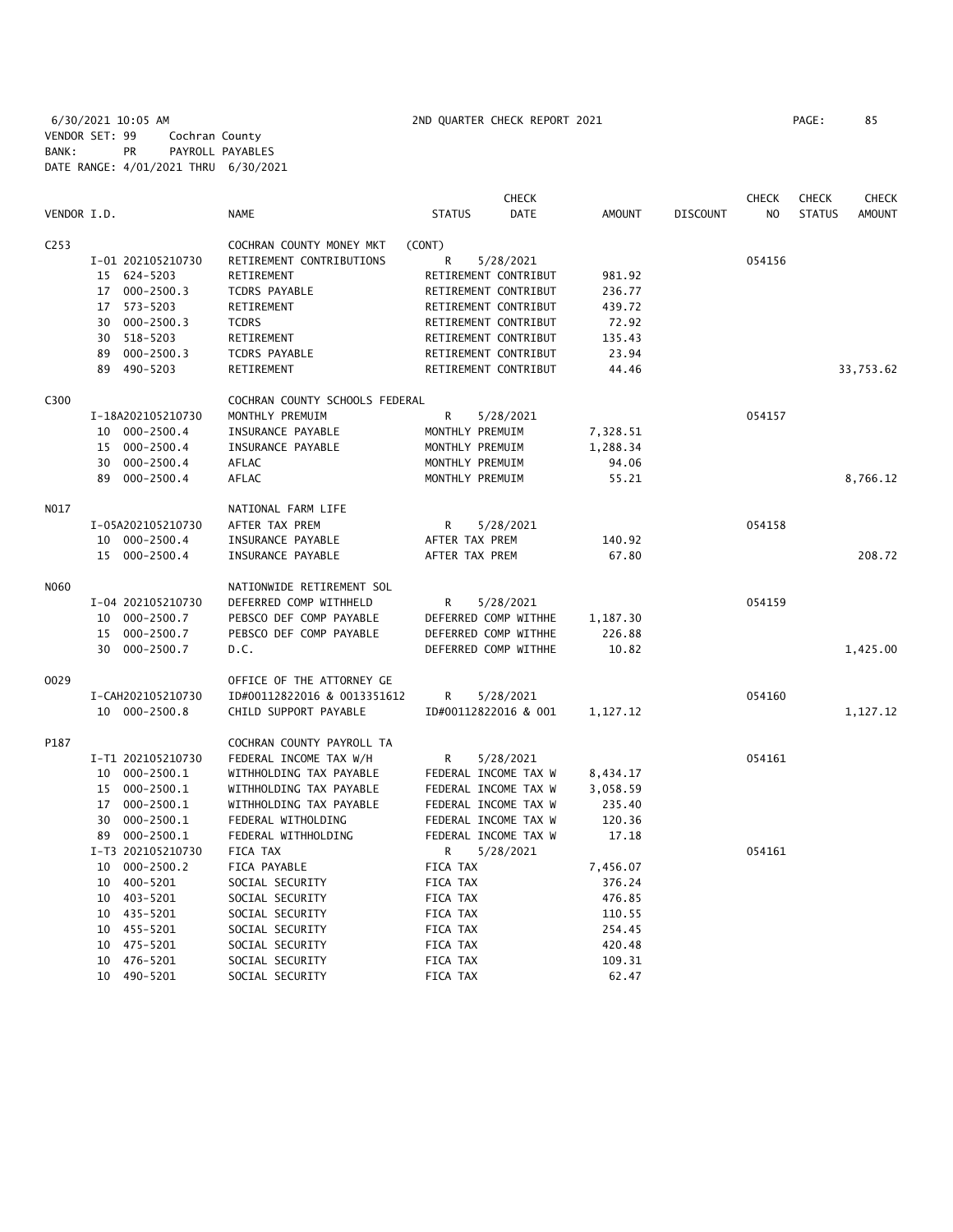6/30/2021 10:05 AM 2ND QUARTER CHECK REPORT 2021 PAGE: 85 VENDOR SET: 99 Cochran County BANK: PR PAYROLL PAYABLES DATE RANGE: 4/01/2021 THRU 6/30/2021

|                  |                      |                                | <b>CHECK</b>          |          |                 | <b>CHECK</b>   | <b>CHECK</b>  | CHECK         |
|------------------|----------------------|--------------------------------|-----------------------|----------|-----------------|----------------|---------------|---------------|
| VENDOR I.D.      |                      | <b>NAME</b>                    | <b>STATUS</b><br>DATE | AMOUNT   | <b>DISCOUNT</b> | N <sub>O</sub> | <b>STATUS</b> | <b>AMOUNT</b> |
| C <sub>253</sub> |                      | COCHRAN COUNTY MONEY MKT       | (CONT)                |          |                 |                |               |               |
|                  | I-01 202105210730    | RETIREMENT CONTRIBUTIONS       | R<br>5/28/2021        |          |                 | 054156         |               |               |
|                  | 15 624-5203          | RETIREMENT                     | RETIREMENT CONTRIBUT  | 981.92   |                 |                |               |               |
|                  | $000 - 2500.3$<br>17 | <b>TCDRS PAYABLE</b>           | RETIREMENT CONTRIBUT  | 236.77   |                 |                |               |               |
|                  | 17<br>573-5203       | RETIREMENT                     | RETIREMENT CONTRIBUT  | 439.72   |                 |                |               |               |
|                  | 30 000-2500.3        | <b>TCDRS</b>                   | RETIREMENT CONTRIBUT  | 72.92    |                 |                |               |               |
|                  | 518-5203<br>30       | RETIREMENT                     | RETIREMENT CONTRIBUT  | 135.43   |                 |                |               |               |
|                  | $000 - 2500.3$<br>89 | TCDRS PAYABLE                  | RETIREMENT CONTRIBUT  | 23.94    |                 |                |               |               |
|                  | 89 490-5203          | RETIREMENT                     | RETIREMENT CONTRIBUT  | 44.46    |                 |                |               | 33,753.62     |
| C300             |                      | COCHRAN COUNTY SCHOOLS FEDERAL |                       |          |                 |                |               |               |
|                  | I-18A202105210730    | MONTHLY PREMUIM                | R<br>5/28/2021        |          |                 | 054157         |               |               |
|                  | 10 000-2500.4        | INSURANCE PAYABLE              | MONTHLY PREMUIM       | 7,328.51 |                 |                |               |               |
|                  | 15 000-2500.4        | INSURANCE PAYABLE              | MONTHLY PREMUIM       | 1,288.34 |                 |                |               |               |
|                  | 30 000-2500.4        | AFLAC                          | MONTHLY PREMUIM       | 94.06    |                 |                |               |               |
|                  | 89 000-2500.4        | AFLAC                          | MONTHLY PREMUIM       | 55.21    |                 |                |               | 8,766.12      |
| N017             |                      | NATIONAL FARM LIFE             |                       |          |                 |                |               |               |
|                  | I-05A202105210730    | AFTER TAX PREM                 | R<br>5/28/2021        |          |                 | 054158         |               |               |
|                  | 10 000-2500.4        | INSURANCE PAYABLE              | AFTER TAX PREM        | 140.92   |                 |                |               |               |
|                  | 15 000-2500.4        | INSURANCE PAYABLE              | AFTER TAX PREM        | 67.80    |                 |                |               | 208.72        |
| N060             |                      | NATIONWIDE RETIREMENT SOL      |                       |          |                 |                |               |               |
|                  | I-04 202105210730    | DEFERRED COMP WITHHELD         | R<br>5/28/2021        |          |                 | 054159         |               |               |
|                  | 10 000-2500.7        | PEBSCO DEF COMP PAYABLE        | DEFERRED COMP WITHHE  | 1,187.30 |                 |                |               |               |
|                  | 15<br>000-2500.7     | PEBSCO DEF COMP PAYABLE        | DEFERRED COMP WITHHE  | 226.88   |                 |                |               |               |
|                  | 30 000-2500.7        | D.C.                           | DEFERRED COMP WITHHE  | 10.82    |                 |                |               | 1,425.00      |
| 0029             |                      | OFFICE OF THE ATTORNEY GE      |                       |          |                 |                |               |               |
|                  | I-CAH202105210730    | ID#00112822016 & 0013351612    | R<br>5/28/2021        |          |                 | 054160         |               |               |
|                  | 10 000-2500.8        | CHILD SUPPORT PAYABLE          | ID#00112822016 & 001  | 1,127.12 |                 |                |               | 1,127.12      |
| P187             |                      | COCHRAN COUNTY PAYROLL TA      |                       |          |                 |                |               |               |
|                  | I-T1 202105210730    | FEDERAL INCOME TAX W/H         | R<br>5/28/2021        |          |                 | 054161         |               |               |
|                  | 10 000-2500.1        | WITHHOLDING TAX PAYABLE        | FEDERAL INCOME TAX W  | 8,434.17 |                 |                |               |               |
|                  | $000 - 2500.1$<br>15 | WITHHOLDING TAX PAYABLE        | FEDERAL INCOME TAX W  | 3,058.59 |                 |                |               |               |
|                  | $000 - 2500.1$<br>17 | WITHHOLDING TAX PAYABLE        | FEDERAL INCOME TAX W  | 235.40   |                 |                |               |               |
|                  | $000 - 2500.1$<br>30 | FEDERAL WITHOLDING             | FEDERAL INCOME TAX W  | 120.36   |                 |                |               |               |
|                  | 89 000-2500.1        | FEDERAL WITHHOLDING            | FEDERAL INCOME TAX W  | 17.18    |                 |                |               |               |
|                  | I-T3 202105210730    | FICA TAX                       | 5/28/2021<br>R        |          |                 | 054161         |               |               |
|                  | 10 000-2500.2        | FICA PAYABLE                   | FICA TAX              | 7,456.07 |                 |                |               |               |
|                  | 10 400-5201          | SOCIAL SECURITY                | FICA TAX              | 376.24   |                 |                |               |               |
|                  | 10 403-5201          | SOCIAL SECURITY                | FICA TAX              | 476.85   |                 |                |               |               |
|                  | 10 435-5201          | SOCIAL SECURITY                | FICA TAX              | 110.55   |                 |                |               |               |
|                  | 10 455-5201          | SOCIAL SECURITY                | FICA TAX              | 254.45   |                 |                |               |               |
|                  | 475-5201<br>10       | SOCIAL SECURITY                | FICA TAX              | 420.48   |                 |                |               |               |
|                  | 10 476-5201          | SOCIAL SECURITY                | FICA TAX              | 109.31   |                 |                |               |               |
|                  | 10 490-5201          | SOCIAL SECURITY                | FICA TAX              | 62.47    |                 |                |               |               |
|                  |                      |                                |                       |          |                 |                |               |               |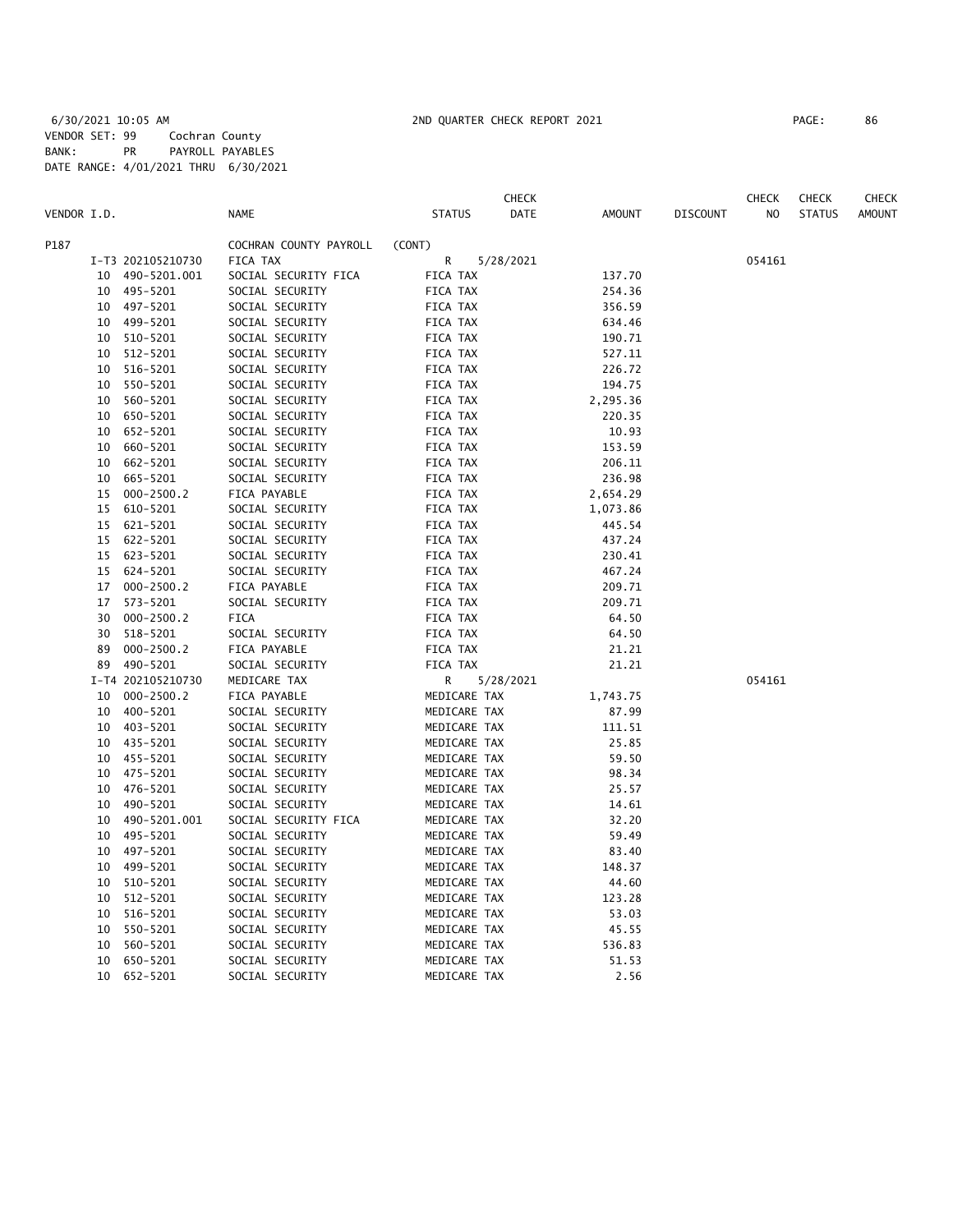|             |    |                   |                        |                 | CHECK     |          |                 | CHECK  | <b>CHECK</b>  | CHECK         |
|-------------|----|-------------------|------------------------|-----------------|-----------|----------|-----------------|--------|---------------|---------------|
| VENDOR I.D. |    |                   | <b>NAME</b>            | <b>STATUS</b>   | DATE      | AMOUNT   | <b>DISCOUNT</b> | NO.    | <b>STATUS</b> | <b>AMOUNT</b> |
| P187        |    |                   | COCHRAN COUNTY PAYROLL | (CONT)          |           |          |                 |        |               |               |
|             |    | I-T3 202105210730 | FICA TAX               | R               | 5/28/2021 |          |                 | 054161 |               |               |
|             | 10 | 490-5201.001      | SOCIAL SECURITY FICA   | FICA TAX        |           | 137.70   |                 |        |               |               |
|             | 10 | 495-5201          | SOCIAL SECURITY        | FICA TAX        |           | 254.36   |                 |        |               |               |
|             |    | 10 497-5201       | SOCIAL SECURITY        | FICA TAX        |           | 356.59   |                 |        |               |               |
|             | 10 | 499-5201          | SOCIAL SECURITY        | FICA TAX        |           | 634.46   |                 |        |               |               |
|             | 10 | 510-5201          | SOCIAL SECURITY        | FICA TAX        |           | 190.71   |                 |        |               |               |
|             | 10 | 512-5201          | SOCIAL SECURITY        | FICA TAX        |           | 527.11   |                 |        |               |               |
|             | 10 | 516-5201          | SOCIAL SECURITY        | FICA TAX        |           | 226.72   |                 |        |               |               |
|             | 10 | 550-5201          | SOCIAL SECURITY        | FICA TAX        |           | 194.75   |                 |        |               |               |
|             | 10 | 560-5201          | SOCIAL SECURITY        | FICA TAX        |           | 2,295.36 |                 |        |               |               |
|             | 10 | 650-5201          | SOCIAL SECURITY        | FICA TAX        |           | 220.35   |                 |        |               |               |
|             | 10 | 652-5201          | SOCIAL SECURITY        | FICA TAX        |           | 10.93    |                 |        |               |               |
|             | 10 | 660-5201          | SOCIAL SECURITY        | FICA TAX        |           | 153.59   |                 |        |               |               |
|             | 10 | 662-5201          | SOCIAL SECURITY        | FICA TAX        |           | 206.11   |                 |        |               |               |
|             | 10 | 665-5201          | SOCIAL SECURITY        | FICA TAX        |           | 236.98   |                 |        |               |               |
|             | 15 | $000 - 2500.2$    | FICA PAYABLE           | FICA TAX        |           | 2,654.29 |                 |        |               |               |
|             | 15 | 610-5201          | SOCIAL SECURITY        | FICA TAX        |           | 1,073.86 |                 |        |               |               |
|             | 15 | 621-5201          | SOCIAL SECURITY        | FICA TAX        |           | 445.54   |                 |        |               |               |
|             | 15 | 622-5201          | SOCIAL SECURITY        | FICA TAX        |           | 437.24   |                 |        |               |               |
|             | 15 | 623-5201          | SOCIAL SECURITY        | FICA TAX        |           | 230.41   |                 |        |               |               |
|             | 15 | 624-5201          | SOCIAL SECURITY        | <b>FICA TAX</b> |           | 467.24   |                 |        |               |               |
|             | 17 | $000 - 2500.2$    | FICA PAYABLE           | <b>FICA TAX</b> |           | 209.71   |                 |        |               |               |
|             | 17 | 573-5201          | SOCIAL SECURITY        | <b>FICA TAX</b> |           | 209.71   |                 |        |               |               |
|             | 30 | $000 - 2500.2$    | FICA                   | FICA TAX        |           | 64.50    |                 |        |               |               |
|             | 30 | 518-5201          | SOCIAL SECURITY        | <b>FICA TAX</b> |           | 64.50    |                 |        |               |               |
|             | 89 | $000 - 2500.2$    | FICA PAYABLE           | FICA TAX        |           | 21.21    |                 |        |               |               |
|             | 89 | 490-5201          | SOCIAL SECURITY        | FICA TAX        |           | 21.21    |                 |        |               |               |
|             |    | I-T4 202105210730 | MEDICARE TAX           | R               | 5/28/2021 |          |                 | 054161 |               |               |
|             | 10 | $000 - 2500.2$    | FICA PAYABLE           | MEDICARE TAX    |           | 1,743.75 |                 |        |               |               |
|             | 10 | 400-5201          | SOCIAL SECURITY        | MEDICARE TAX    |           | 87.99    |                 |        |               |               |
|             | 10 | 403-5201          | SOCIAL SECURITY        | MEDICARE TAX    |           | 111.51   |                 |        |               |               |
|             | 10 | 435-5201          | SOCIAL SECURITY        | MEDICARE TAX    |           | 25.85    |                 |        |               |               |
|             | 10 | 455-5201          | SOCIAL SECURITY        | MEDICARE TAX    |           | 59.50    |                 |        |               |               |
|             | 10 | 475-5201          | SOCIAL SECURITY        | MEDICARE TAX    |           | 98.34    |                 |        |               |               |
|             | 10 | 476-5201          | SOCIAL SECURITY        | MEDICARE TAX    |           | 25.57    |                 |        |               |               |
|             | 10 | 490-5201          | SOCIAL SECURITY        | MEDICARE TAX    |           | 14.61    |                 |        |               |               |
|             | 10 | 490-5201.001      | SOCIAL SECURITY FICA   | MEDICARE TAX    |           | 32.20    |                 |        |               |               |
|             | 10 | 495-5201          | SOCIAL SECURITY        | MEDICARE TAX    |           | 59.49    |                 |        |               |               |
|             | 10 | 497-5201          | SOCIAL SECURITY        | MEDICARE TAX    |           | 83.40    |                 |        |               |               |
|             | 10 | 499-5201          | SOCIAL SECURITY        | MEDICARE TAX    |           | 148.37   |                 |        |               |               |
|             | 10 | 510-5201          | SOCIAL SECURITY        | MEDICARE TAX    |           | 44.60    |                 |        |               |               |
|             | 10 | 512-5201          | SOCIAL SECURITY        | MEDICARE TAX    |           | 123.28   |                 |        |               |               |
|             | 10 | 516-5201          | SOCIAL SECURITY        | MEDICARE TAX    |           | 53.03    |                 |        |               |               |
|             | 10 | 550-5201          | SOCIAL SECURITY        | MEDICARE TAX    |           | 45.55    |                 |        |               |               |
|             | 10 | 560-5201          | SOCIAL SECURITY        | MEDICARE TAX    |           | 536.83   |                 |        |               |               |
|             | 10 | 650-5201          | SOCIAL SECURITY        | MEDICARE TAX    |           | 51.53    |                 |        |               |               |
|             | 10 | 652-5201          | SOCIAL SECURITY        | MEDICARE TAX    |           | 2.56     |                 |        |               |               |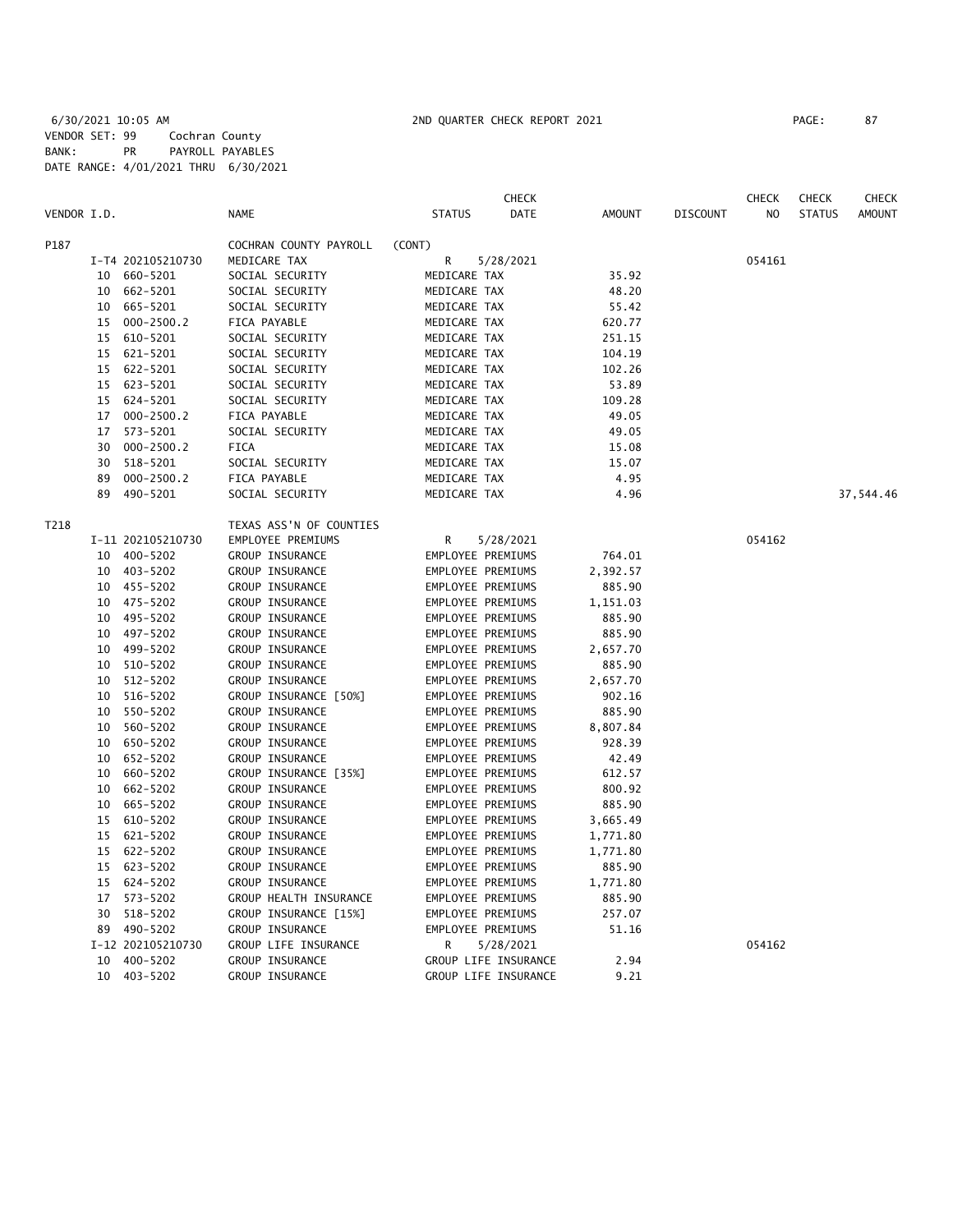6/30/2021 10:05 AM 2ND QUARTER CHECK REPORT 2021 PAGE: 87 VENDOR SET: 99 Cochran County BANK: PR PAYROLL PAYABLES DATE RANGE: 4/01/2021 THRU 6/30/2021

|             |    |                   |                         |                   | <b>CHECK</b>         |          |                 | <b>CHECK</b> | <b>CHECK</b>  | CHECK         |
|-------------|----|-------------------|-------------------------|-------------------|----------------------|----------|-----------------|--------------|---------------|---------------|
| VENDOR I.D. |    |                   | <b>NAME</b>             | <b>STATUS</b>     | DATE                 | AMOUNT   | <b>DISCOUNT</b> | NO.          | <b>STATUS</b> | <b>AMOUNT</b> |
| P187        |    |                   | COCHRAN COUNTY PAYROLL  | (CONT)            |                      |          |                 |              |               |               |
|             |    | I-T4 202105210730 | MEDICARE TAX            | R                 | 5/28/2021            |          |                 | 054161       |               |               |
|             | 10 | 660-5201          | SOCIAL SECURITY         | MEDICARE TAX      |                      | 35.92    |                 |              |               |               |
|             | 10 | 662-5201          | SOCIAL SECURITY         | MEDICARE TAX      |                      | 48.20    |                 |              |               |               |
|             | 10 | 665-5201          | SOCIAL SECURITY         | MEDICARE TAX      |                      | 55.42    |                 |              |               |               |
|             | 15 | $000 - 2500.2$    | FICA PAYABLE            | MEDICARE TAX      |                      | 620.77   |                 |              |               |               |
|             | 15 | 610-5201          | SOCIAL SECURITY         | MEDICARE TAX      |                      | 251.15   |                 |              |               |               |
|             |    | 15 621-5201       | SOCIAL SECURITY         | MEDICARE TAX      |                      | 104.19   |                 |              |               |               |
|             |    | 15 622-5201       | SOCIAL SECURITY         | MEDICARE TAX      |                      | 102.26   |                 |              |               |               |
|             |    | 15 623-5201       | SOCIAL SECURITY         | MEDICARE TAX      |                      | 53.89    |                 |              |               |               |
|             |    | 15 624-5201       | SOCIAL SECURITY         | MEDICARE TAX      |                      | 109.28   |                 |              |               |               |
|             | 17 | $000 - 2500.2$    | FICA PAYABLE            | MEDICARE TAX      |                      | 49.05    |                 |              |               |               |
|             | 17 | 573-5201          | SOCIAL SECURITY         | MEDICARE TAX      |                      | 49.05    |                 |              |               |               |
|             | 30 | $000 - 2500.2$    | FICA                    | MEDICARE TAX      |                      | 15.08    |                 |              |               |               |
|             | 30 | 518-5201          | SOCIAL SECURITY         | MEDICARE TAX      |                      | 15.07    |                 |              |               |               |
|             | 89 | $000 - 2500.2$    | FICA PAYABLE            | MEDICARE TAX      |                      | 4.95     |                 |              |               |               |
|             | 89 | 490-5201          | SOCIAL SECURITY         | MEDICARE TAX      |                      | 4.96     |                 |              |               | 37,544.46     |
|             |    |                   |                         |                   |                      |          |                 |              |               |               |
| T218        |    |                   | TEXAS ASS'N OF COUNTIES |                   |                      |          |                 |              |               |               |
|             |    | I-11 202105210730 | EMPLOYEE PREMIUMS       | R                 | 5/28/2021            |          |                 | 054162       |               |               |
|             |    | 10 400-5202       | <b>GROUP INSURANCE</b>  | EMPLOYEE PREMIUMS |                      | 764.01   |                 |              |               |               |
|             |    | 10 403-5202       | GROUP INSURANCE         | EMPLOYEE PREMIUMS |                      | 2,392.57 |                 |              |               |               |
|             |    | 10 455-5202       | GROUP INSURANCE         | EMPLOYEE PREMIUMS |                      | 885.90   |                 |              |               |               |
|             | 10 | 475-5202          | GROUP INSURANCE         | EMPLOYEE PREMIUMS |                      | 1,151.03 |                 |              |               |               |
|             | 10 | 495-5202          | GROUP INSURANCE         | EMPLOYEE PREMIUMS |                      | 885.90   |                 |              |               |               |
|             | 10 | 497-5202          | GROUP INSURANCE         | EMPLOYEE PREMIUMS |                      | 885.90   |                 |              |               |               |
|             | 10 | 499-5202          | GROUP INSURANCE         | EMPLOYEE PREMIUMS |                      | 2,657.70 |                 |              |               |               |
|             | 10 | 510-5202          | GROUP INSURANCE         | EMPLOYEE PREMIUMS |                      | 885.90   |                 |              |               |               |
|             | 10 | 512-5202          | GROUP INSURANCE         | EMPLOYEE PREMIUMS |                      | 2,657.70 |                 |              |               |               |
|             | 10 | 516-5202          | GROUP INSURANCE [50%]   | EMPLOYEE PREMIUMS |                      | 902.16   |                 |              |               |               |
|             | 10 | 550-5202          | GROUP INSURANCE         | EMPLOYEE PREMIUMS |                      | 885.90   |                 |              |               |               |
|             | 10 | 560-5202          | GROUP INSURANCE         | EMPLOYEE PREMIUMS |                      | 8,807.84 |                 |              |               |               |
|             | 10 | 650-5202          | GROUP INSURANCE         | EMPLOYEE PREMIUMS |                      | 928.39   |                 |              |               |               |
|             | 10 | 652-5202          | GROUP INSURANCE         | EMPLOYEE PREMIUMS |                      | 42.49    |                 |              |               |               |
|             | 10 | 660-5202          | GROUP INSURANCE [35%]   | EMPLOYEE PREMIUMS |                      | 612.57   |                 |              |               |               |
|             | 10 | 662-5202          | GROUP INSURANCE         | EMPLOYEE PREMIUMS |                      | 800.92   |                 |              |               |               |
|             | 10 | 665-5202          | <b>GROUP INSURANCE</b>  | EMPLOYEE PREMIUMS |                      | 885.90   |                 |              |               |               |
|             | 15 | 610-5202          | GROUP INSURANCE         | EMPLOYEE PREMIUMS |                      | 3,665.49 |                 |              |               |               |
|             | 15 | 621-5202          | GROUP INSURANCE         | EMPLOYEE PREMIUMS |                      | 1,771.80 |                 |              |               |               |
|             | 15 | 622-5202          | GROUP INSURANCE         | EMPLOYEE PREMIUMS |                      | 1,771.80 |                 |              |               |               |
|             | 15 | 623-5202          | GROUP INSURANCE         | EMPLOYEE PREMIUMS |                      | 885.90   |                 |              |               |               |
|             | 15 | 624-5202          | GROUP INSURANCE         | EMPLOYEE PREMIUMS |                      | 1,771.80 |                 |              |               |               |
|             |    | 17 573-5202       | GROUP HEALTH INSURANCE  | EMPLOYEE PREMIUMS |                      | 885.90   |                 |              |               |               |
|             | 30 | 518-5202          | GROUP INSURANCE [15%]   | EMPLOYEE PREMIUMS |                      | 257.07   |                 |              |               |               |
|             |    | 89 490-5202       | GROUP INSURANCE         | EMPLOYEE PREMIUMS |                      | 51.16    |                 |              |               |               |
|             |    | I-12 202105210730 | GROUP LIFE INSURANCE    | R                 | 5/28/2021            |          |                 | 054162       |               |               |
|             | 10 | 400-5202          | <b>GROUP INSURANCE</b>  |                   | GROUP LIFE INSURANCE | 2.94     |                 |              |               |               |
|             |    | 10 403-5202       | <b>GROUP INSURANCE</b>  |                   | GROUP LIFE INSURANCE | 9.21     |                 |              |               |               |
|             |    |                   |                         |                   |                      |          |                 |              |               |               |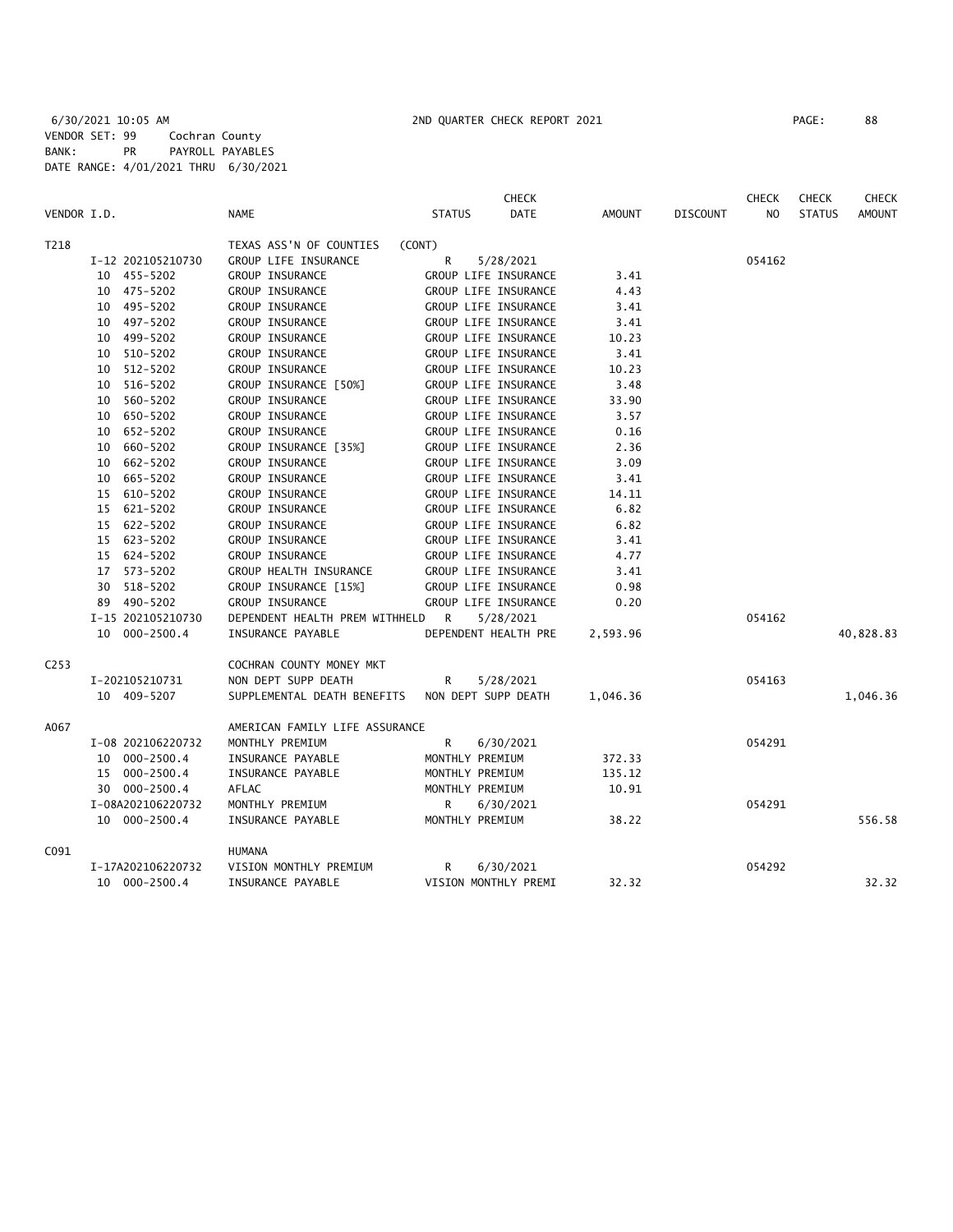|             |                   |                                                 |               | <b>CHECK</b>         |               |                 | <b>CHECK</b>   | <b>CHECK</b>  | <b>CHECK</b>  |
|-------------|-------------------|-------------------------------------------------|---------------|----------------------|---------------|-----------------|----------------|---------------|---------------|
| VENDOR I.D. |                   | <b>NAME</b>                                     | <b>STATUS</b> | <b>DATE</b>          | <b>AMOUNT</b> | <b>DISCOUNT</b> | N <sub>O</sub> | <b>STATUS</b> | <b>AMOUNT</b> |
| T218        |                   | TEXAS ASS'N OF COUNTIES                         | (CONT)        |                      |               |                 |                |               |               |
|             | I-12 202105210730 | GROUP LIFE INSURANCE                            | R             | 5/28/2021            |               |                 | 054162         |               |               |
|             | 10 455-5202       | GROUP INSURANCE                                 |               | GROUP LIFE INSURANCE | 3.41          |                 |                |               |               |
|             | 10 475-5202       | GROUP INSURANCE                                 |               | GROUP LIFE INSURANCE | 4.43          |                 |                |               |               |
|             | 10 495-5202       | GROUP INSURANCE                                 |               | GROUP LIFE INSURANCE | 3.41          |                 |                |               |               |
|             | 10 497-5202       | GROUP INSURANCE                                 |               | GROUP LIFE INSURANCE | 3.41          |                 |                |               |               |
|             | 10 499-5202       | GROUP INSURANCE                                 |               | GROUP LIFE INSURANCE | 10.23         |                 |                |               |               |
|             | 10 510-5202       | GROUP INSURANCE                                 |               | GROUP LIFE INSURANCE | 3.41          |                 |                |               |               |
|             | 10 512-5202       | GROUP INSURANCE                                 |               | GROUP LIFE INSURANCE | 10.23         |                 |                |               |               |
|             | 10 516-5202       | GROUP INSURANCE [50%]                           |               | GROUP LIFE INSURANCE | 3.48          |                 |                |               |               |
|             | 10 560-5202       | GROUP INSURANCE                                 |               | GROUP LIFE INSURANCE | 33.90         |                 |                |               |               |
|             | 10 650-5202       | GROUP INSURANCE                                 |               | GROUP LIFE INSURANCE | 3.57          |                 |                |               |               |
|             | 10 652-5202       | GROUP INSURANCE                                 |               | GROUP LIFE INSURANCE | 0.16          |                 |                |               |               |
|             | 10 660-5202       | GROUP INSURANCE [35%]                           |               | GROUP LIFE INSURANCE | 2.36          |                 |                |               |               |
|             | 10 662-5202       | GROUP INSURANCE                                 |               | GROUP LIFE INSURANCE | 3.09          |                 |                |               |               |
|             | 10 665-5202       | GROUP INSURANCE                                 |               | GROUP LIFE INSURANCE | 3.41          |                 |                |               |               |
|             | 15 610-5202       | GROUP INSURANCE                                 |               | GROUP LIFE INSURANCE | 14.11         |                 |                |               |               |
|             | 15 621-5202       | GROUP INSURANCE                                 |               | GROUP LIFE INSURANCE | 6.82          |                 |                |               |               |
|             | 15 622-5202       | GROUP INSURANCE                                 |               | GROUP LIFE INSURANCE | 6.82          |                 |                |               |               |
|             | 15 623-5202       | GROUP INSURANCE                                 |               | GROUP LIFE INSURANCE | 3.41          |                 |                |               |               |
|             | 15 624-5202       | GROUP INSURANCE                                 |               | GROUP LIFE INSURANCE | 4.77          |                 |                |               |               |
|             | 17 573-5202       | GROUP HEALTH INSURANCE                          |               | GROUP LIFE INSURANCE | 3.41          |                 |                |               |               |
|             | 30 518-5202       | GROUP INSURANCE [15%]                           |               | GROUP LIFE INSURANCE | 0.98          |                 |                |               |               |
|             | 89 490-5202       | GROUP INSURANCE                                 |               | GROUP LIFE INSURANCE | 0.20          |                 |                |               |               |
|             | I-15 202105210730 | DEPENDENT HEALTH PREM WITHHELD R                |               | 5/28/2021            |               |                 | 054162         |               |               |
|             | 10 000-2500.4     | INSURANCE PAYABLE                               |               | DEPENDENT HEALTH PRE | 2,593.96      |                 |                |               | 40,828.83     |
| C253        |                   | COCHRAN COUNTY MONEY MKT                        |               |                      |               |                 |                |               |               |
|             | I-202105210731    | NON DEPT SUPP DEATH                             | R.            | 5/28/2021            |               |                 | 054163         |               |               |
|             | 10 409-5207       | SUPPLEMENTAL DEATH BENEFITS NON DEPT SUPP DEATH |               |                      | 1.046.36      |                 |                |               | 1,046.36      |
| A067        |                   | AMERICAN FAMILY LIFE ASSURANCE                  |               |                      |               |                 |                |               |               |
|             | I-08 202106220732 | MONTHLY PREMIUM                                 | R             | 6/30/2021            |               |                 | 054291         |               |               |
|             | 10 000-2500.4     | INSURANCE PAYABLE                               |               | MONTHLY PREMIUM      | 372.33        |                 |                |               |               |
|             | 15 000-2500.4     | INSURANCE PAYABLE                               |               | MONTHLY PREMIUM      | 135.12        |                 |                |               |               |
|             | 30 000-2500.4     | AFLAC                                           |               | MONTHLY PREMIUM      | 10.91         |                 |                |               |               |
|             | I-08A202106220732 | MONTHLY PREMIUM                                 | $\mathsf{R}$  | 6/30/2021            |               |                 | 054291         |               |               |
|             | 10 000-2500.4     | INSURANCE PAYABLE                               |               | MONTHLY PREMIUM      | 38.22         |                 |                |               | 556.58        |
| C091        |                   | <b>HUMANA</b>                                   |               |                      |               |                 |                |               |               |
|             | I-17A202106220732 | VISION MONTHLY PREMIUM                          | R             | 6/30/2021            |               |                 | 054292         |               |               |
|             | 10 000-2500.4     | INSURANCE PAYABLE                               |               | VISION MONTHLY PREMI | 32.32         |                 |                |               | 32.32         |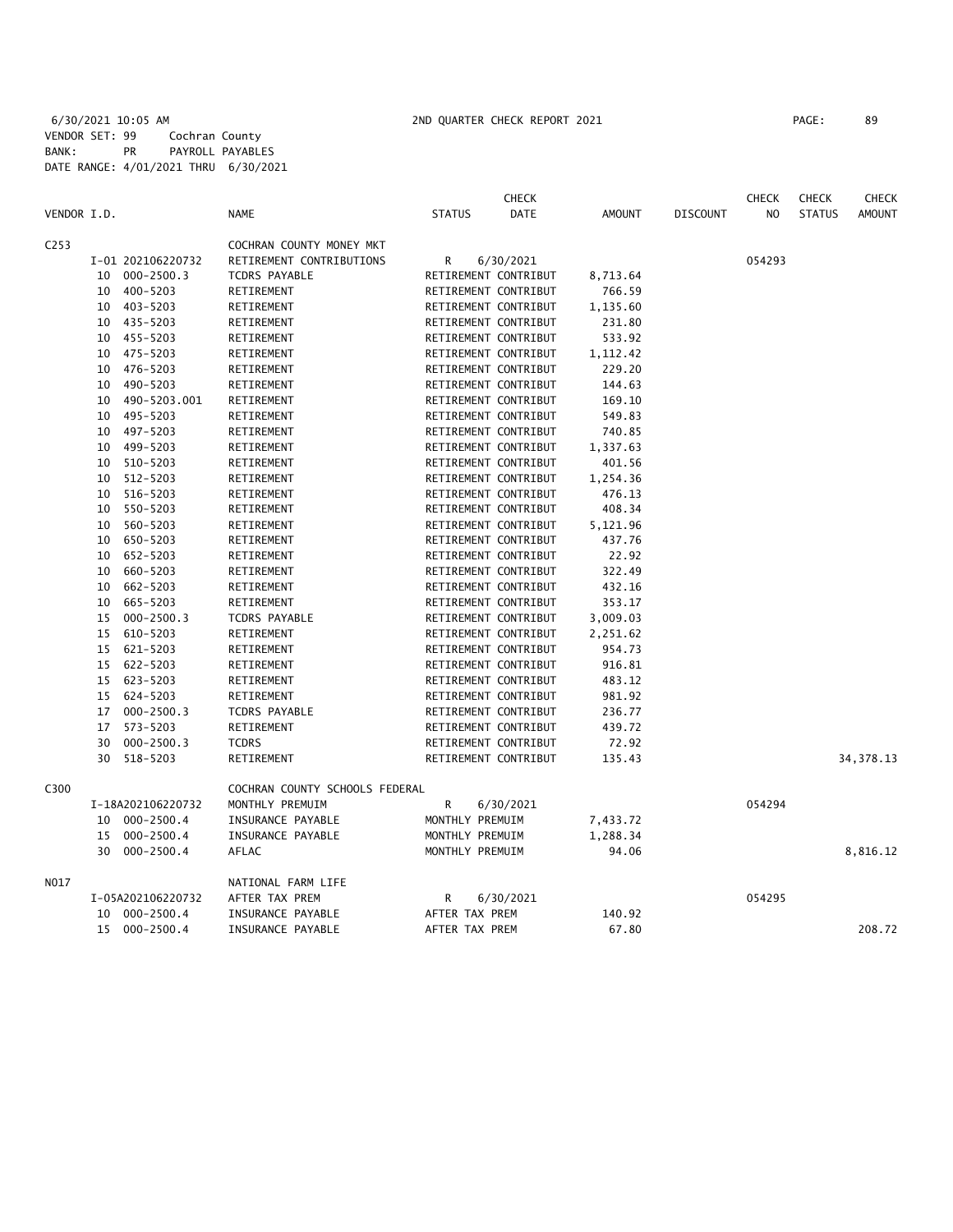|                  |    |                   |                                |                      | <b>CHECK</b>         |               |                 | <b>CHECK</b>   | <b>CHECK</b>  | <b>CHECK</b>  |
|------------------|----|-------------------|--------------------------------|----------------------|----------------------|---------------|-----------------|----------------|---------------|---------------|
| VENDOR I.D.      |    |                   | <b>NAME</b>                    | <b>STATUS</b>        | <b>DATE</b>          | <b>AMOUNT</b> | <b>DISCOUNT</b> | N <sub>O</sub> | <b>STATUS</b> | <b>AMOUNT</b> |
| C <sub>253</sub> |    |                   | COCHRAN COUNTY MONEY MKT       |                      |                      |               |                 |                |               |               |
|                  |    | I-01 202106220732 | RETIREMENT CONTRIBUTIONS       | R                    | 6/30/2021            |               |                 | 054293         |               |               |
|                  | 10 | 000-2500.3        | TCDRS PAYABLE                  |                      | RETIREMENT CONTRIBUT | 8,713.64      |                 |                |               |               |
|                  | 10 | 400-5203          | RETIREMENT                     |                      | RETIREMENT CONTRIBUT | 766.59        |                 |                |               |               |
|                  | 10 | 403-5203          | RETIREMENT                     |                      | RETIREMENT CONTRIBUT | 1,135.60      |                 |                |               |               |
|                  |    | 10 435-5203       | RETIREMENT                     |                      | RETIREMENT CONTRIBUT | 231.80        |                 |                |               |               |
|                  |    | 10 455-5203       | RETIREMENT                     |                      | RETIREMENT CONTRIBUT | 533.92        |                 |                |               |               |
|                  | 10 | 475-5203          | RETIREMENT                     |                      | RETIREMENT CONTRIBUT | 1,112.42      |                 |                |               |               |
|                  | 10 | 476-5203          | RETIREMENT                     |                      | RETIREMENT CONTRIBUT | 229.20        |                 |                |               |               |
|                  | 10 | 490-5203          | RETIREMENT                     |                      | RETIREMENT CONTRIBUT | 144.63        |                 |                |               |               |
|                  | 10 | 490-5203.001      | RETIREMENT                     | RETIREMENT CONTRIBUT |                      | 169.10        |                 |                |               |               |
|                  | 10 | 495-5203          | RETIREMENT                     |                      | RETIREMENT CONTRIBUT | 549.83        |                 |                |               |               |
|                  | 10 | 497-5203          | RETIREMENT                     |                      | RETIREMENT CONTRIBUT | 740.85        |                 |                |               |               |
|                  | 10 | 499-5203          | RETIREMENT                     |                      | RETIREMENT CONTRIBUT | 1,337.63      |                 |                |               |               |
|                  | 10 | 510-5203          | RETIREMENT                     |                      | RETIREMENT CONTRIBUT | 401.56        |                 |                |               |               |
|                  | 10 | 512-5203          | RETIREMENT                     | RETIREMENT CONTRIBUT |                      | 1,254.36      |                 |                |               |               |
|                  | 10 | 516-5203          | RETIREMENT                     |                      | RETIREMENT CONTRIBUT | 476.13        |                 |                |               |               |
|                  | 10 | 550-5203          | RETIREMENT                     |                      | RETIREMENT CONTRIBUT | 408.34        |                 |                |               |               |
|                  | 10 | 560-5203          | RETIREMENT                     |                      | RETIREMENT CONTRIBUT | 5,121.96      |                 |                |               |               |
|                  | 10 | 650-5203          | RETIREMENT                     |                      | RETIREMENT CONTRIBUT | 437.76        |                 |                |               |               |
|                  | 10 | 652-5203          | RETIREMENT                     |                      | RETIREMENT CONTRIBUT | 22.92         |                 |                |               |               |
|                  | 10 | 660-5203          | RETIREMENT                     |                      | RETIREMENT CONTRIBUT | 322.49        |                 |                |               |               |
|                  | 10 | 662-5203          | RETIREMENT                     |                      | RETIREMENT CONTRIBUT | 432.16        |                 |                |               |               |
|                  | 10 | 665-5203          | RETIREMENT                     |                      | RETIREMENT CONTRIBUT | 353.17        |                 |                |               |               |
|                  | 15 | $000 - 2500.3$    | TCDRS PAYABLE                  |                      | RETIREMENT CONTRIBUT | 3,009.03      |                 |                |               |               |
|                  | 15 | 610-5203          | RETIREMENT                     |                      | RETIREMENT CONTRIBUT | 2,251.62      |                 |                |               |               |
|                  | 15 | 621-5203          | RETIREMENT                     |                      | RETIREMENT CONTRIBUT | 954.73        |                 |                |               |               |
|                  | 15 | 622-5203          | RETIREMENT                     |                      | RETIREMENT CONTRIBUT | 916.81        |                 |                |               |               |
|                  |    | 15 623-5203       | RETIREMENT                     |                      | RETIREMENT CONTRIBUT | 483.12        |                 |                |               |               |
|                  | 15 | 624-5203          | RETIREMENT                     |                      | RETIREMENT CONTRIBUT | 981.92        |                 |                |               |               |
|                  | 17 | $000 - 2500.3$    | <b>TCDRS PAYABLE</b>           |                      | RETIREMENT CONTRIBUT | 236.77        |                 |                |               |               |
|                  | 17 | 573-5203          | RETIREMENT                     |                      | RETIREMENT CONTRIBUT | 439.72        |                 |                |               |               |
|                  | 30 | $000 - 2500.3$    | <b>TCDRS</b>                   |                      | RETIREMENT CONTRIBUT | 72.92         |                 |                |               |               |
|                  | 30 | 518-5203          | RETIREMENT                     |                      | RETIREMENT CONTRIBUT | 135.43        |                 |                |               | 34, 378.13    |
| C300             |    |                   | COCHRAN COUNTY SCHOOLS FEDERAL |                      |                      |               |                 |                |               |               |
|                  |    | I-18A202106220732 | MONTHLY PREMUIM                | R                    | 6/30/2021            |               |                 | 054294         |               |               |
|                  |    | 10 000-2500.4     | INSURANCE PAYABLE              | MONTHLY PREMUIM      |                      | 7,433.72      |                 |                |               |               |
|                  | 15 | $000 - 2500.4$    | INSURANCE PAYABLE              | MONTHLY PREMUIM      |                      | 1,288.34      |                 |                |               |               |
|                  | 30 | $000 - 2500.4$    | AFLAC                          | MONTHLY PREMUIM      |                      | 94.06         |                 |                |               | 8,816.12      |
| NO17             |    |                   | NATIONAL FARM LIFE             |                      |                      |               |                 |                |               |               |
|                  |    | I-05A202106220732 | AFTER TAX PREM                 | R                    | 6/30/2021            |               |                 | 054295         |               |               |
|                  |    | 10 000-2500.4     | INSURANCE PAYABLE              | AFTER TAX PREM       |                      | 140.92        |                 |                |               |               |
|                  | 15 | 000-2500.4        | INSURANCE PAYABLE              | AFTER TAX PREM       |                      | 67.80         |                 |                |               | 208.72        |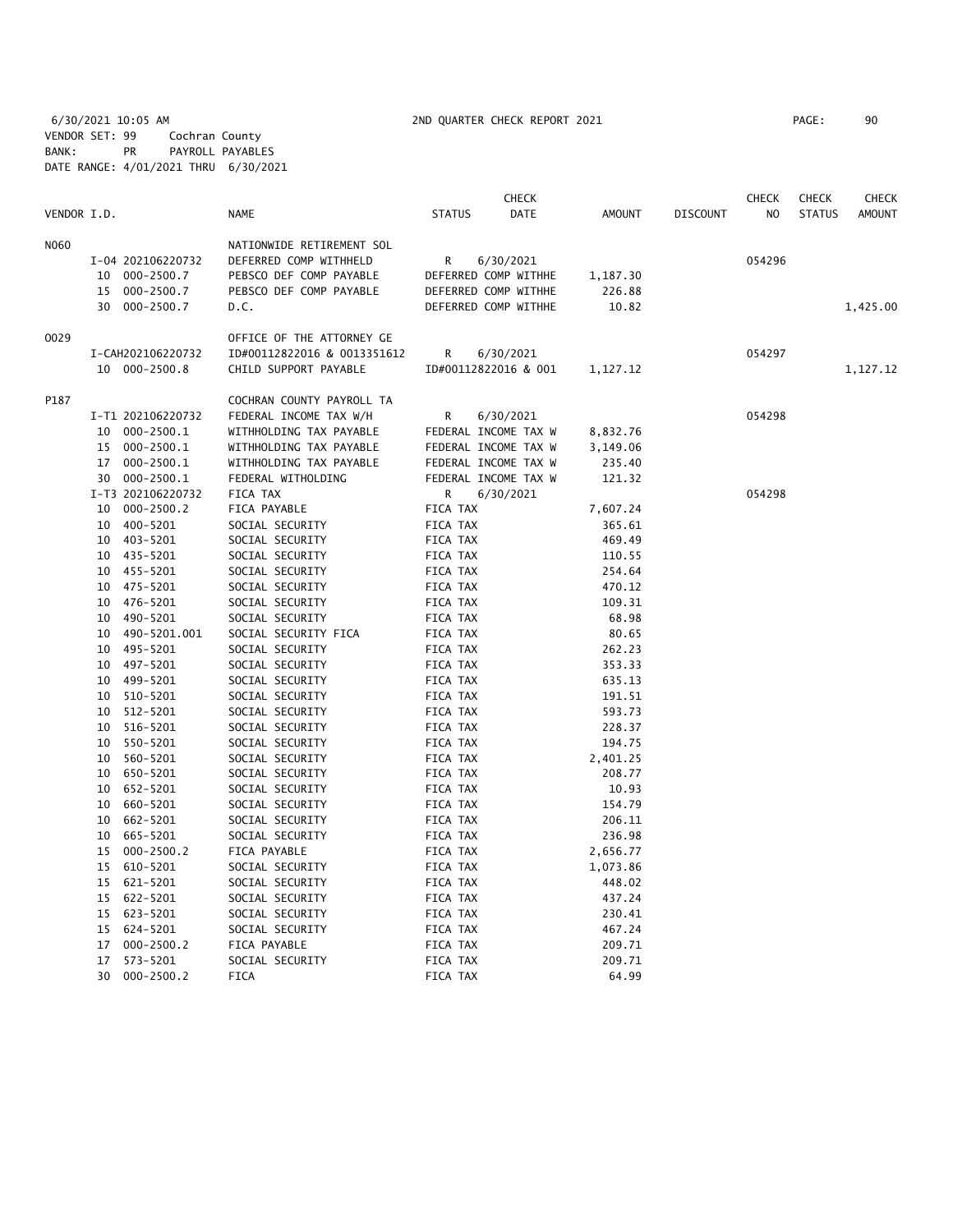6/30/2021 10:05 AM 2ND QUARTER CHECK REPORT 2021 PAGE: 90 VENDOR SET: 99 Cochran County BANK: PR PAYROLL PAYABLES DATE RANGE: 4/01/2021 THRU 6/30/2021

|             |    |                   |                             |                 | <b>CHECK</b>         |          |                 | <b>CHECK</b> | <b>CHECK</b>  | CHECK    |
|-------------|----|-------------------|-----------------------------|-----------------|----------------------|----------|-----------------|--------------|---------------|----------|
| VENDOR I.D. |    |                   | <b>NAME</b>                 | <b>STATUS</b>   | DATE                 | AMOUNT   | <b>DISCOUNT</b> | NO           | <b>STATUS</b> | AMOUNT   |
| N060        |    |                   | NATIONWIDE RETIREMENT SOL   |                 |                      |          |                 |              |               |          |
|             |    | I-04 202106220732 | DEFERRED COMP WITHHELD      | R               | 6/30/2021            |          |                 | 054296       |               |          |
|             | 10 | 000-2500.7        | PEBSCO DEF COMP PAYABLE     |                 | DEFERRED COMP WITHHE | 1,187.30 |                 |              |               |          |
|             | 15 | $000 - 2500.7$    | PEBSCO DEF COMP PAYABLE     |                 | DEFERRED COMP WITHHE | 226.88   |                 |              |               |          |
|             | 30 | 000-2500.7        | D.C.                        |                 | DEFERRED COMP WITHHE | 10.82    |                 |              |               | 1,425.00 |
| 0029        |    |                   | OFFICE OF THE ATTORNEY GE   |                 |                      |          |                 |              |               |          |
|             |    | I-CAH202106220732 | ID#00112822016 & 0013351612 | R               | 6/30/2021            |          |                 | 054297       |               |          |
|             |    | 10 000-2500.8     | CHILD SUPPORT PAYABLE       |                 | ID#00112822016 & 001 | 1,127.12 |                 |              |               | 1,127.12 |
| P187        |    |                   | COCHRAN COUNTY PAYROLL TA   |                 |                      |          |                 |              |               |          |
|             |    | I-T1 202106220732 | FEDERAL INCOME TAX W/H      | R               | 6/30/2021            |          |                 | 054298       |               |          |
|             |    | 10 000-2500.1     | WITHHOLDING TAX PAYABLE     |                 | FEDERAL INCOME TAX W | 8,832.76 |                 |              |               |          |
|             |    | 15 000-2500.1     | WITHHOLDING TAX PAYABLE     |                 | FEDERAL INCOME TAX W | 3,149.06 |                 |              |               |          |
|             | 17 | 000-2500.1        | WITHHOLDING TAX PAYABLE     |                 | FEDERAL INCOME TAX W | 235.40   |                 |              |               |          |
|             |    | 30 000-2500.1     | FEDERAL WITHOLDING          |                 | FEDERAL INCOME TAX W | 121.32   |                 |              |               |          |
|             |    | I-T3 202106220732 | FICA TAX                    | R               | 6/30/2021            |          |                 | 054298       |               |          |
|             | 10 | 000-2500.2        | FICA PAYABLE                | FICA TAX        |                      | 7,607.24 |                 |              |               |          |
|             | 10 | 400-5201          | SOCIAL SECURITY             | FICA TAX        |                      | 365.61   |                 |              |               |          |
|             | 10 | 403-5201          | SOCIAL SECURITY             | FICA TAX        |                      | 469.49   |                 |              |               |          |
|             |    | 10 435-5201       | SOCIAL SECURITY             | FICA TAX        |                      | 110.55   |                 |              |               |          |
|             | 10 | 455-5201          | SOCIAL SECURITY             | FICA TAX        |                      | 254.64   |                 |              |               |          |
|             | 10 | 475-5201          | SOCIAL SECURITY             | FICA TAX        |                      | 470.12   |                 |              |               |          |
|             | 10 | 476-5201          | SOCIAL SECURITY             | FICA TAX        |                      | 109.31   |                 |              |               |          |
|             | 10 | 490-5201          | SOCIAL SECURITY             | FICA TAX        |                      | 68.98    |                 |              |               |          |
|             | 10 | 490-5201.001      | SOCIAL SECURITY FICA        | FICA TAX        |                      | 80.65    |                 |              |               |          |
|             | 10 | 495-5201          | SOCIAL SECURITY             | FICA TAX        |                      | 262.23   |                 |              |               |          |
|             | 10 | 497-5201          | SOCIAL SECURITY             | FICA TAX        |                      | 353.33   |                 |              |               |          |
|             | 10 | 499-5201          | SOCIAL SECURITY             | FICA TAX        |                      | 635.13   |                 |              |               |          |
|             | 10 | 510-5201          | SOCIAL SECURITY             | FICA TAX        |                      | 191.51   |                 |              |               |          |
|             | 10 | 512-5201          | SOCIAL SECURITY             | FICA TAX        |                      | 593.73   |                 |              |               |          |
|             | 10 | 516-5201          | SOCIAL SECURITY             | FICA TAX        |                      | 228.37   |                 |              |               |          |
|             | 10 | 550-5201          | SOCIAL SECURITY             | FICA TAX        |                      | 194.75   |                 |              |               |          |
|             | 10 | 560-5201          | SOCIAL SECURITY             | FICA TAX        |                      | 2,401.25 |                 |              |               |          |
|             | 10 | 650-5201          | SOCIAL SECURITY             | FICA TAX        |                      | 208.77   |                 |              |               |          |
|             | 10 | 652-5201          | SOCIAL SECURITY             | FICA TAX        |                      | 10.93    |                 |              |               |          |
|             | 10 | 660-5201          | SOCIAL SECURITY             | FICA TAX        |                      | 154.79   |                 |              |               |          |
|             | 10 | 662-5201          | SOCIAL SECURITY             | FICA TAX        |                      | 206.11   |                 |              |               |          |
|             | 10 | 665-5201          | SOCIAL SECURITY             | FICA TAX        |                      | 236.98   |                 |              |               |          |
|             | 15 | $000 - 2500.2$    | FICA PAYABLE                | FICA TAX        |                      | 2,656.77 |                 |              |               |          |
|             | 15 | 610-5201          | SOCIAL SECURITY             | FICA TAX        |                      | 1,073.86 |                 |              |               |          |
|             | 15 | 621-5201          | SOCIAL SECURITY             | FICA TAX        |                      | 448.02   |                 |              |               |          |
|             |    | 15 622-5201       | SOCIAL SECURITY             | FICA TAX        |                      | 437.24   |                 |              |               |          |
|             |    | 15 623-5201       | SOCIAL SECURITY             | FICA TAX        |                      | 230.41   |                 |              |               |          |
|             | 15 | 624-5201          | SOCIAL SECURITY             | FICA TAX        |                      | 467.24   |                 |              |               |          |
|             | 17 | $000 - 2500.2$    | FICA PAYABLE                | FICA TAX        |                      | 209.71   |                 |              |               |          |
|             | 17 | 573-5201          | SOCIAL SECURITY             | FICA TAX        |                      | 209.71   |                 |              |               |          |
|             | 30 | $000 - 2500.2$    | <b>FICA</b>                 | <b>FICA TAX</b> |                      | 64.99    |                 |              |               |          |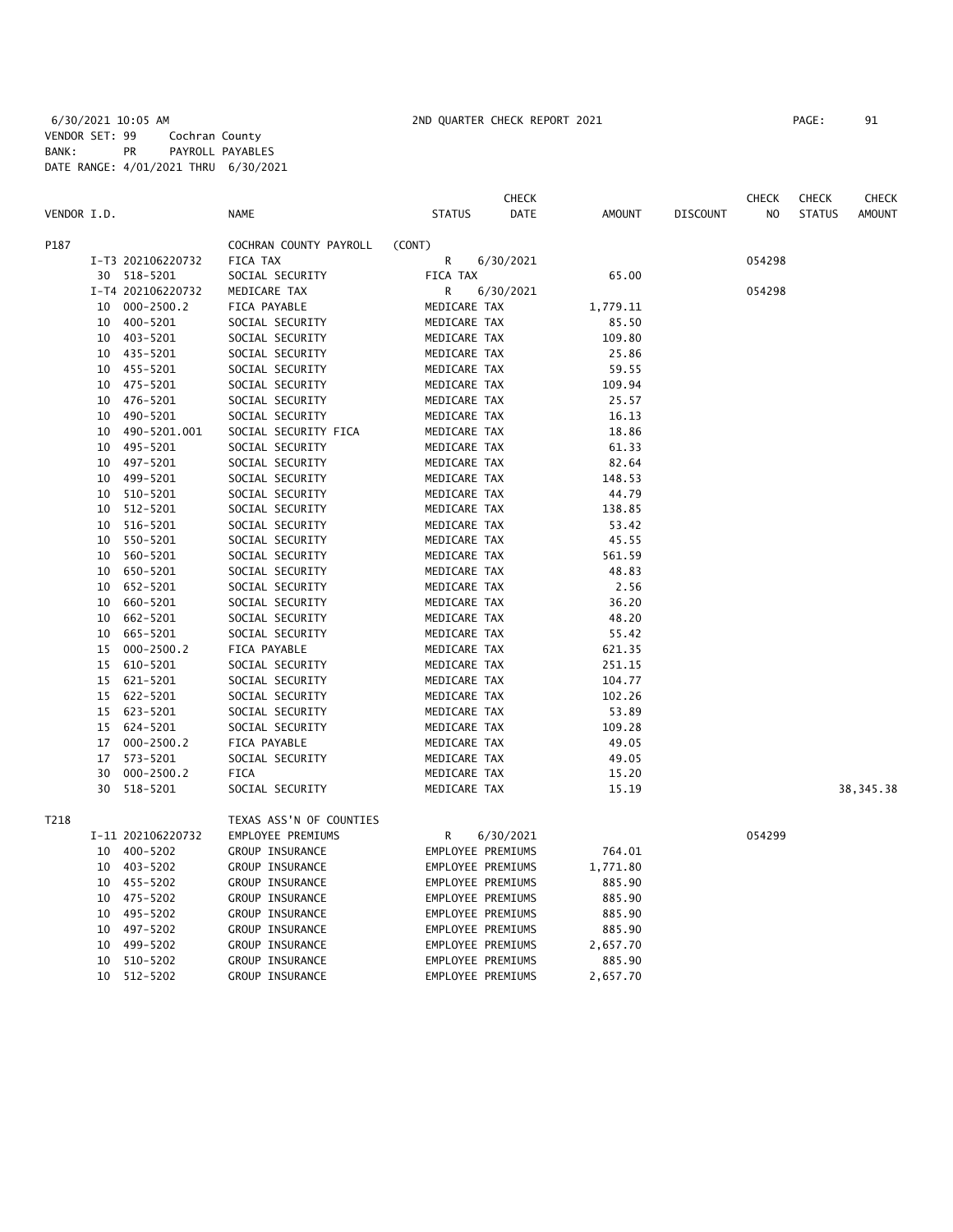|             |    |                   |                         |                   | <b>CHECK</b> |          |                 | <b>CHECK</b>   | <b>CHECK</b>  | CHECK         |
|-------------|----|-------------------|-------------------------|-------------------|--------------|----------|-----------------|----------------|---------------|---------------|
| VENDOR I.D. |    |                   | <b>NAME</b>             | <b>STATUS</b>     | <b>DATE</b>  | AMOUNT   | <b>DISCOUNT</b> | N <sub>O</sub> | <b>STATUS</b> | <b>AMOUNT</b> |
| P187        |    |                   | COCHRAN COUNTY PAYROLL  | (CONT)            |              |          |                 |                |               |               |
|             |    | I-T3 202106220732 | FICA TAX                | R                 | 6/30/2021    |          |                 | 054298         |               |               |
|             |    | 30 518-5201       | SOCIAL SECURITY         | FICA TAX          |              | 65.00    |                 |                |               |               |
|             |    | I-T4 202106220732 | MEDICARE TAX            | R                 | 6/30/2021    |          |                 | 054298         |               |               |
|             |    | 10 000-2500.2     | FICA PAYABLE            | MEDICARE TAX      |              | 1,779.11 |                 |                |               |               |
|             | 10 | 400-5201          | SOCIAL SECURITY         | MEDICARE TAX      |              | 85.50    |                 |                |               |               |
|             | 10 | 403-5201          | SOCIAL SECURITY         | MEDICARE TAX      |              | 109.80   |                 |                |               |               |
|             | 10 | 435-5201          | SOCIAL SECURITY         | MEDICARE TAX      |              | 25.86    |                 |                |               |               |
|             | 10 | 455-5201          | SOCIAL SECURITY         | MEDICARE TAX      |              | 59.55    |                 |                |               |               |
|             | 10 | 475-5201          | SOCIAL SECURITY         | MEDICARE TAX      |              | 109.94   |                 |                |               |               |
|             | 10 | 476-5201          | SOCIAL SECURITY         | MEDICARE TAX      |              | 25.57    |                 |                |               |               |
|             | 10 | 490-5201          | SOCIAL SECURITY         | MEDICARE TAX      |              | 16.13    |                 |                |               |               |
|             | 10 | 490-5201.001      | SOCIAL SECURITY FICA    | MEDICARE TAX      |              | 18.86    |                 |                |               |               |
|             | 10 | 495-5201          | SOCIAL SECURITY         | MEDICARE TAX      |              | 61.33    |                 |                |               |               |
|             | 10 | 497-5201          | SOCIAL SECURITY         | MEDICARE TAX      |              | 82.64    |                 |                |               |               |
|             | 10 | 499-5201          | SOCIAL SECURITY         | MEDICARE TAX      |              | 148.53   |                 |                |               |               |
|             | 10 | 510-5201          | SOCIAL SECURITY         | MEDICARE TAX      |              | 44.79    |                 |                |               |               |
|             | 10 | 512-5201          | SOCIAL SECURITY         | MEDICARE TAX      |              | 138.85   |                 |                |               |               |
|             | 10 | 516-5201          | SOCIAL SECURITY         | MEDICARE TAX      |              | 53.42    |                 |                |               |               |
|             | 10 | 550-5201          | SOCIAL SECURITY         | MEDICARE TAX      |              | 45.55    |                 |                |               |               |
|             | 10 | 560-5201          | SOCIAL SECURITY         | MEDICARE TAX      |              | 561.59   |                 |                |               |               |
|             | 10 | 650-5201          | SOCIAL SECURITY         | MEDICARE TAX      |              | 48.83    |                 |                |               |               |
|             | 10 | 652-5201          | SOCIAL SECURITY         | MEDICARE TAX      |              | 2.56     |                 |                |               |               |
|             | 10 | 660-5201          | SOCIAL SECURITY         | MEDICARE TAX      |              | 36.20    |                 |                |               |               |
|             | 10 | 662-5201          | SOCIAL SECURITY         | MEDICARE TAX      |              | 48.20    |                 |                |               |               |
|             | 10 | 665-5201          | SOCIAL SECURITY         | MEDICARE TAX      |              | 55.42    |                 |                |               |               |
|             | 15 | $000 - 2500.2$    | FICA PAYABLE            | MEDICARE TAX      |              | 621.35   |                 |                |               |               |
|             | 15 | 610-5201          | SOCIAL SECURITY         | MEDICARE TAX      |              | 251.15   |                 |                |               |               |
|             | 15 | 621-5201          | SOCIAL SECURITY         | MEDICARE TAX      |              | 104.77   |                 |                |               |               |
|             | 15 | 622-5201          | SOCIAL SECURITY         | MEDICARE TAX      |              | 102.26   |                 |                |               |               |
|             | 15 | 623-5201          | SOCIAL SECURITY         | MEDICARE TAX      |              | 53.89    |                 |                |               |               |
|             | 15 | 624-5201          | SOCIAL SECURITY         | MEDICARE TAX      |              | 109.28   |                 |                |               |               |
|             | 17 | 000-2500.2        | FICA PAYABLE            | MEDICARE TAX      |              | 49.05    |                 |                |               |               |
|             | 17 | 573-5201          | SOCIAL SECURITY         | MEDICARE TAX      |              | 49.05    |                 |                |               |               |
|             | 30 | $000 - 2500.2$    | <b>FICA</b>             | MEDICARE TAX      |              | 15.20    |                 |                |               |               |
|             | 30 | 518-5201          | SOCIAL SECURITY         | MEDICARE TAX      |              | 15.19    |                 |                |               | 38, 345. 38   |
| T218        |    |                   | TEXAS ASS'N OF COUNTIES |                   |              |          |                 |                |               |               |
|             |    | I-11 202106220732 | EMPLOYEE PREMIUMS       | R                 | 6/30/2021    |          |                 | 054299         |               |               |
|             | 10 | 400-5202          | GROUP INSURANCE         | EMPLOYEE PREMIUMS |              | 764.01   |                 |                |               |               |
|             | 10 | 403-5202          | GROUP INSURANCE         | EMPLOYEE PREMIUMS |              | 1,771.80 |                 |                |               |               |
|             | 10 | 455-5202          | GROUP INSURANCE         | EMPLOYEE PREMIUMS |              | 885.90   |                 |                |               |               |
|             | 10 | 475-5202          | GROUP INSURANCE         | EMPLOYEE PREMIUMS |              | 885.90   |                 |                |               |               |
|             | 10 | 495-5202          | GROUP INSURANCE         | EMPLOYEE PREMIUMS |              | 885.90   |                 |                |               |               |
|             | 10 | 497-5202          | GROUP INSURANCE         | EMPLOYEE PREMIUMS |              | 885.90   |                 |                |               |               |
|             | 10 | 499-5202          | GROUP INSURANCE         | EMPLOYEE PREMIUMS |              | 2,657.70 |                 |                |               |               |
|             | 10 | 510-5202          | GROUP INSURANCE         | EMPLOYEE PREMIUMS |              | 885.90   |                 |                |               |               |
|             |    |                   |                         |                   |              |          |                 |                |               |               |

10 512-5202 GROUP INSURANCE EMPLOYEE PREMIUMS 2,657.70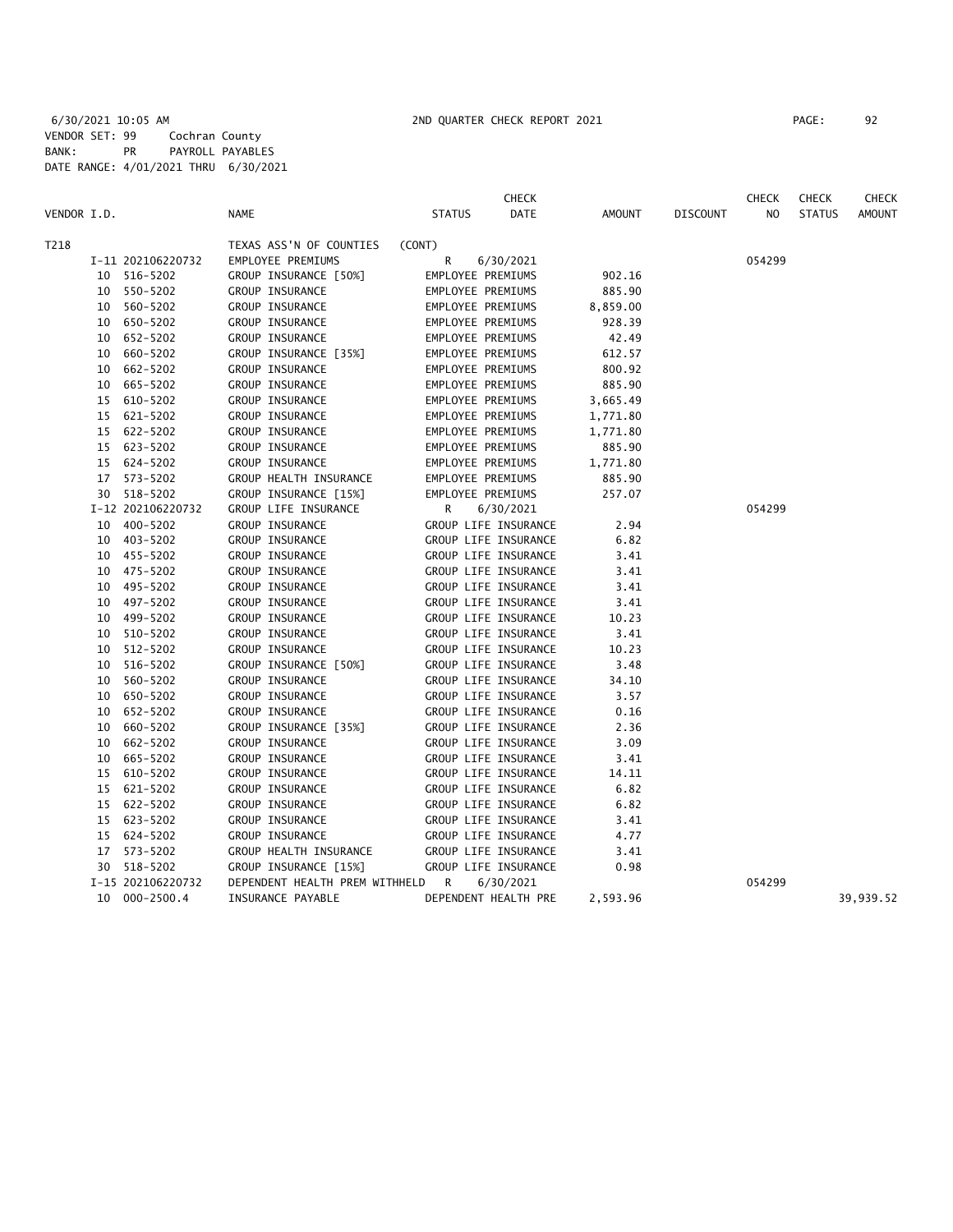|             |    |                   |                                  |               | <b>CHECK</b>         |          |                 | <b>CHECK</b> | <b>CHECK</b>  | CHECK         |
|-------------|----|-------------------|----------------------------------|---------------|----------------------|----------|-----------------|--------------|---------------|---------------|
| VENDOR I.D. |    |                   | NAME                             | <b>STATUS</b> | DATE                 | AMOUNT   | <b>DISCOUNT</b> | NO           | <b>STATUS</b> | <b>AMOUNT</b> |
| T218        |    |                   | TEXAS ASS'N OF COUNTIES          | (CONT)        |                      |          |                 |              |               |               |
|             |    | I-11 202106220732 | EMPLOYEE PREMIUMS                | R             | 6/30/2021            |          |                 | 054299       |               |               |
|             |    | 10 516-5202       | GROUP INSURANCE [50%]            |               | EMPLOYEE PREMIUMS    | 902.16   |                 |              |               |               |
|             |    | 10 550-5202       | GROUP INSURANCE                  |               | EMPLOYEE PREMIUMS    | 885.90   |                 |              |               |               |
|             |    | 10 560-5202       | GROUP INSURANCE                  |               | EMPLOYEE PREMIUMS    | 8,859.00 |                 |              |               |               |
|             |    | 10 650-5202       | GROUP INSURANCE                  |               | EMPLOYEE PREMIUMS    | 928.39   |                 |              |               |               |
|             | 10 | 652-5202          | GROUP INSURANCE                  |               | EMPLOYEE PREMIUMS    | 42.49    |                 |              |               |               |
|             | 10 | 660-5202          | GROUP INSURANCE [35%]            |               | EMPLOYEE PREMIUMS    | 612.57   |                 |              |               |               |
|             |    | 10 662-5202       | GROUP INSURANCE                  |               | EMPLOYEE PREMIUMS    | 800.92   |                 |              |               |               |
|             | 10 | 665-5202          | GROUP INSURANCE                  |               | EMPLOYEE PREMIUMS    | 885.90   |                 |              |               |               |
|             |    | 15 610-5202       | GROUP INSURANCE                  |               | EMPLOYEE PREMIUMS    | 3,665.49 |                 |              |               |               |
|             |    | 15 621-5202       | GROUP INSURANCE                  |               | EMPLOYEE PREMIUMS    | 1,771.80 |                 |              |               |               |
|             |    | 15 622-5202       | GROUP INSURANCE                  |               | EMPLOYEE PREMIUMS    | 1,771.80 |                 |              |               |               |
|             |    | 15 623-5202       | GROUP INSURANCE                  |               | EMPLOYEE PREMIUMS    | 885.90   |                 |              |               |               |
|             |    | 15 624-5202       | GROUP INSURANCE                  |               | EMPLOYEE PREMIUMS    | 1,771.80 |                 |              |               |               |
|             |    | 17 573-5202       | GROUP HEALTH INSURANCE           |               | EMPLOYEE PREMIUMS    | 885.90   |                 |              |               |               |
|             |    | 30 518-5202       | GROUP INSURANCE [15%]            |               | EMPLOYEE PREMIUMS    | 257.07   |                 |              |               |               |
|             |    | I-12 202106220732 | GROUP LIFE INSURANCE             | R             | 6/30/2021            |          |                 | 054299       |               |               |
|             |    | 10 400-5202       | GROUP INSURANCE                  |               | GROUP LIFE INSURANCE | 2.94     |                 |              |               |               |
|             |    | 10 403-5202       | GROUP INSURANCE                  |               | GROUP LIFE INSURANCE | 6.82     |                 |              |               |               |
|             |    | 10 455-5202       | GROUP INSURANCE                  |               | GROUP LIFE INSURANCE | 3.41     |                 |              |               |               |
|             |    | 10 475-5202       | GROUP INSURANCE                  |               | GROUP LIFE INSURANCE | 3.41     |                 |              |               |               |
|             |    | 10 495-5202       | GROUP INSURANCE                  |               | GROUP LIFE INSURANCE | 3.41     |                 |              |               |               |
|             |    | 10 497-5202       | GROUP INSURANCE                  |               | GROUP LIFE INSURANCE | 3.41     |                 |              |               |               |
|             |    | 10 499-5202       | GROUP INSURANCE                  |               | GROUP LIFE INSURANCE | 10.23    |                 |              |               |               |
|             |    | 10 510-5202       | GROUP INSURANCE                  |               | GROUP LIFE INSURANCE | 3.41     |                 |              |               |               |
|             |    | 10 512-5202       | GROUP INSURANCE                  |               | GROUP LIFE INSURANCE | 10.23    |                 |              |               |               |
|             | 10 | 516-5202          | GROUP INSURANCE [50%]            |               | GROUP LIFE INSURANCE | 3.48     |                 |              |               |               |
|             | 10 | 560-5202          | GROUP INSURANCE                  |               | GROUP LIFE INSURANCE | 34.10    |                 |              |               |               |
|             |    | 10 650-5202       | GROUP INSURANCE                  |               | GROUP LIFE INSURANCE | 3.57     |                 |              |               |               |
|             |    | 10 652-5202       | GROUP INSURANCE                  |               | GROUP LIFE INSURANCE | 0.16     |                 |              |               |               |
|             | 10 | 660-5202          | GROUP INSURANCE [35%]            |               | GROUP LIFE INSURANCE | 2.36     |                 |              |               |               |
|             | 10 | 662-5202          | GROUP INSURANCE                  |               | GROUP LIFE INSURANCE | 3.09     |                 |              |               |               |
|             | 10 | 665-5202          | GROUP INSURANCE                  |               | GROUP LIFE INSURANCE | 3.41     |                 |              |               |               |
|             |    | 15 610-5202       | GROUP INSURANCE                  |               | GROUP LIFE INSURANCE | 14.11    |                 |              |               |               |
|             |    | 15 621-5202       | GROUP INSURANCE                  |               | GROUP LIFE INSURANCE | 6.82     |                 |              |               |               |
|             |    | 15 622-5202       | GROUP INSURANCE                  |               | GROUP LIFE INSURANCE | 6.82     |                 |              |               |               |
|             |    | 15 623-5202       | GROUP INSURANCE                  |               | GROUP LIFE INSURANCE | 3.41     |                 |              |               |               |
|             |    | 15 624-5202       | GROUP INSURANCE                  |               | GROUP LIFE INSURANCE | 4.77     |                 |              |               |               |
|             |    | 17 573-5202       | GROUP HEALTH INSURANCE           |               | GROUP LIFE INSURANCE | 3.41     |                 |              |               |               |
|             |    | 30 518-5202       | GROUP INSURANCE [15%]            |               | GROUP LIFE INSURANCE | 0.98     |                 |              |               |               |
|             |    | I-15 202106220732 | DEPENDENT HEALTH PREM WITHHELD R |               | 6/30/2021            |          |                 | 054299       |               |               |
|             |    | 10 000-2500.4     | INSURANCE PAYABLE                |               | DEPENDENT HEALTH PRE | 2,593.96 |                 |              |               | 39,939.52     |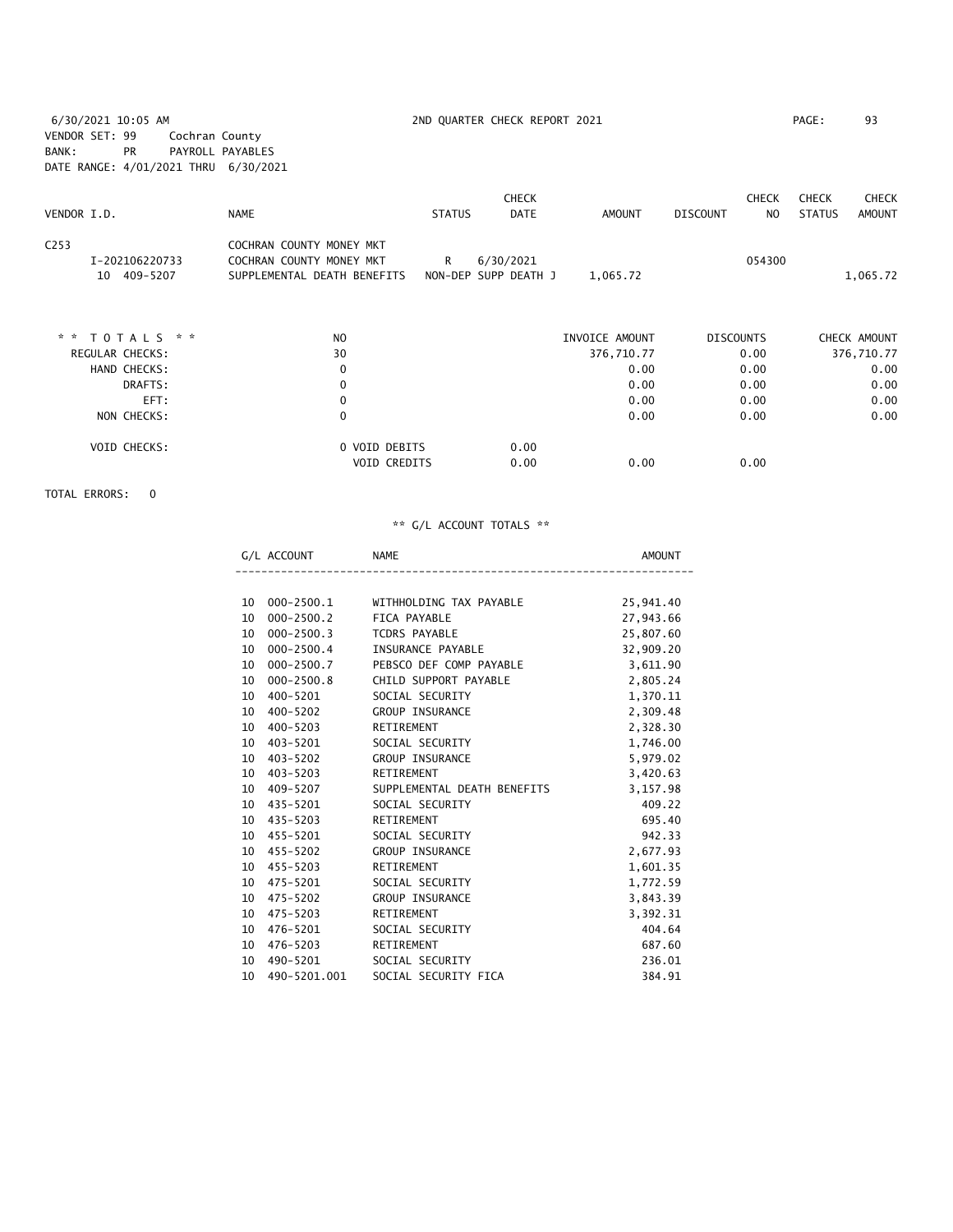6/30/2021 10:05 AM 2ND QUARTER CHECK REPORT 2021 PAGE: 93 VENDOR SET: 99 Cochran County BANK: PR PAYROLL PAYABLES DATE RANGE: 4/01/2021 THRU 6/30/2021

|                        |                             |               | <b>CHECK</b>         |                |                  | <b>CHECK</b> | <b>CHECK</b>  | <b>CHECK</b> |
|------------------------|-----------------------------|---------------|----------------------|----------------|------------------|--------------|---------------|--------------|
| VENDOR I.D.            | <b>NAME</b>                 | <b>STATUS</b> | <b>DATE</b>          | <b>AMOUNT</b>  | <b>DISCOUNT</b>  | NO.          | <b>STATUS</b> | AMOUNT       |
| C <sub>253</sub>       | COCHRAN COUNTY MONEY MKT    |               |                      |                |                  |              |               |              |
| I-202106220733         | COCHRAN COUNTY MONEY MKT    | R             | 6/30/2021            |                |                  | 054300       |               |              |
| 10 409-5207            | SUPPLEMENTAL DEATH BENEFITS |               | NON-DEP SUPP DEATH J | 1,065.72       |                  |              |               | 1,065.72     |
|                        |                             |               |                      |                |                  |              |               |              |
| * * TOTALS * *         | N <sub>O</sub>              |               |                      | INVOICE AMOUNT | <b>DISCOUNTS</b> |              |               | CHECK AMOUNT |
| <b>REGULAR CHECKS:</b> | 30                          |               |                      | 376,710.77     |                  | 0.00         |               | 376,710.77   |
| HAND CHECKS:           | 0                           |               |                      | 0.00           |                  | 0.00         |               | 0.00         |
| DRAFTS:                | 0                           |               |                      | 0.00           |                  | 0.00         |               | 0.00         |
| EFT:                   | 0                           |               |                      | 0.00           |                  | 0.00         |               | 0.00         |
| NON CHECKS:            | $\mathbf 0$                 |               |                      | 0.00           |                  | 0.00         |               | 0.00         |
| VOID CHECKS:           | 0 VOID DEBITS               |               | 0.00                 |                |                  |              |               |              |
|                        | <b>VOID CREDITS</b>         |               | 0.00                 | 0.00           |                  | 0.00         |               |              |
|                        |                             |               |                      |                |                  |              |               |              |

TOTAL ERRORS: 0

|                 | G/L ACCOUNT    | <b>NAME</b>                 | AMOUNT    |
|-----------------|----------------|-----------------------------|-----------|
|                 |                |                             |           |
| 10              | 000-2500.1     | WITHHOLDING TAX PAYABLE     | 25,941.40 |
| 10 <sup>°</sup> | 000-2500.2     | FICA PAYABLE                | 27,943.66 |
| 10              | $000 - 2500.3$ | TCDRS PAYABLE               | 25,807.60 |
| 10              | 000-2500.4     | INSURANCE PAYABLE           | 32,909.20 |
| 10              | 000-2500.7     | PEBSCO DEF COMP PAYABLE     | 3,611.90  |
| 10              | $000 - 2500.8$ | CHILD SUPPORT PAYABLE       | 2,805.24  |
|                 | 10 400-5201    | SOCIAL SECURITY             | 1,370.11  |
| 10 <sup>°</sup> | 400-5202       | <b>GROUP INSURANCE</b>      | 2,309.48  |
| 10              | 400-5203       | RETIREMENT                  | 2,328.30  |
|                 | 10 403-5201    | SOCIAL SECURITY             | 1,746.00  |
| 10              | 403-5202       | <b>GROUP INSURANCE</b>      | 5,979.02  |
| 10              | 403-5203       | RETIREMENT                  | 3,420.63  |
|                 | 10 409-5207    | SUPPLEMENTAL DEATH BENEFITS | 3,157.98  |
| 10              | 435-5201       | SOCIAL SECURITY             | 409.22    |
| 10              | 435-5203       | RETIREMENT                  | 695.40    |
|                 | 10 455-5201    | SOCIAL SECURITY             | 942.33    |
| 10              | 455-5202       | <b>GROUP INSURANCE</b>      | 2,677.93  |
|                 | 10 455-5203    | RETIREMENT                  | 1,601.35  |
|                 | 10 475-5201    | SOCIAL SECURITY             | 1,772.59  |
| 10 <sup>1</sup> | 475-5202       | <b>GROUP INSURANCE</b>      | 3,843.39  |
| 10              | 475-5203       | RETIREMENT                  | 3,392.31  |
| 10 <sup>°</sup> | 476-5201       | SOCIAL SECURITY             | 404.64    |
| 10              | 476-5203       | RETIREMENT                  | 687.60    |
| 10              | 490-5201       | SOCIAL SECURITY             | 236.01    |
| 10              | 490-5201.001   | SOCIAL SECURITY FICA        | 384.91    |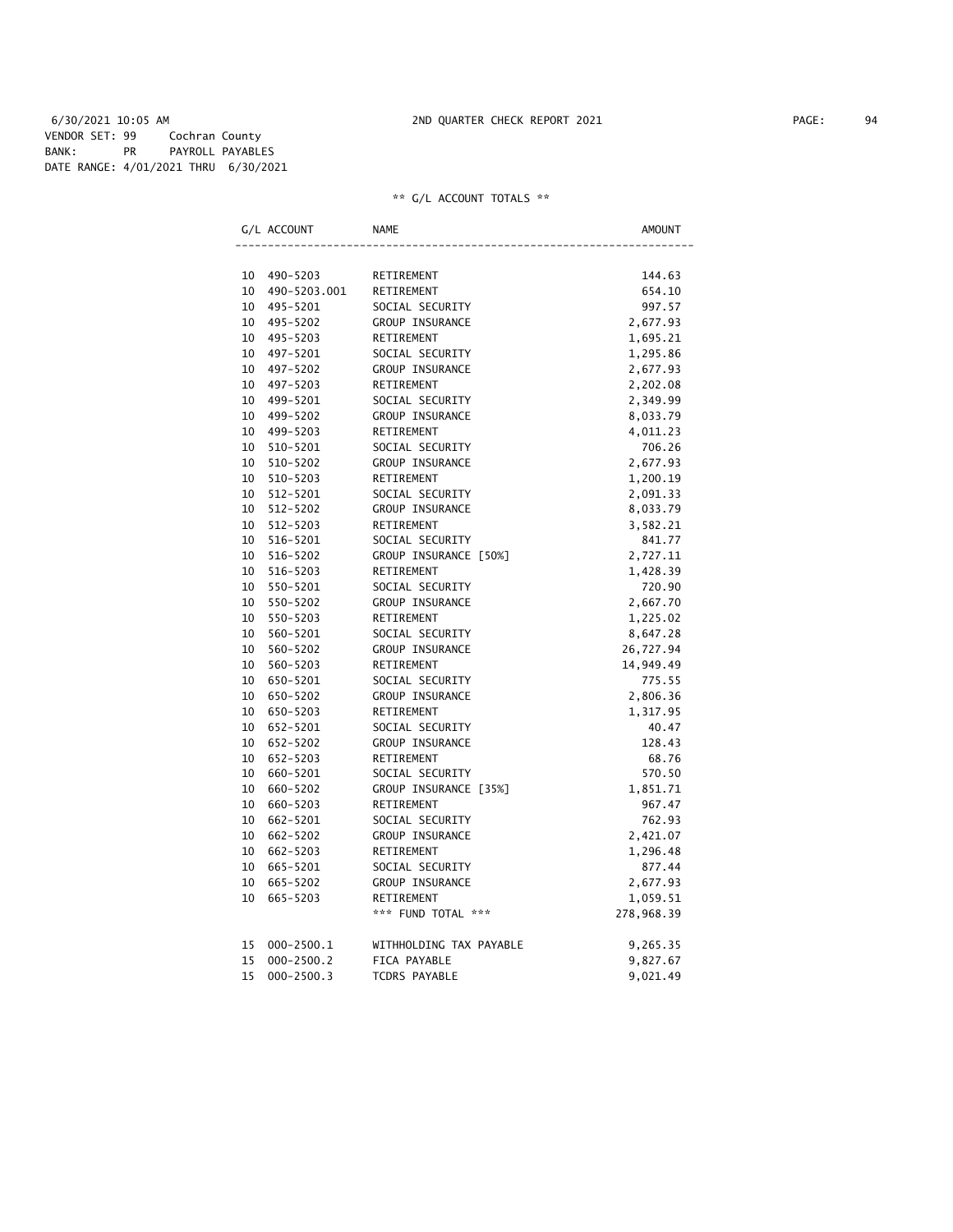6/30/2021 10:05 AM 2ND QUARTER CHECK REPORT 2021 PAGE: 94 VENDOR SET: 99 Cochran County BANK: PR PAYROLL PAYABLES DATE RANGE: 4/01/2021 THRU 6/30/2021

| G/L ACCOUNT          | <b>NAME</b>             | AMOUNT     |
|----------------------|-------------------------|------------|
|                      |                         |            |
| 10<br>490-5203       | RETIREMENT              | 144.63     |
| 10<br>490-5203.001   | RETIREMENT              | 654.10     |
| 10<br>495-5201       | SOCIAL SECURITY         | 997.57     |
| 10<br>495-5202       | <b>GROUP INSURANCE</b>  | 2,677.93   |
| 495-5203<br>10       | RETIREMENT              | 1,695.21   |
| 10<br>497-5201       | SOCIAL SECURITY         | 1,295.86   |
| 10<br>497-5202       | GROUP INSURANCE         | 2,677.93   |
| 10<br>497-5203       | RETIREMENT              | 2,202.08   |
| 10<br>499-5201       | SOCIAL SECURITY         | 2,349.99   |
| 10<br>499-5202       | GROUP INSURANCE         | 8,033.79   |
| 10<br>499-5203       | RETIREMENT              | 4,011.23   |
| 10<br>510-5201       | SOCIAL SECURITY         | 706.26     |
| 10<br>510-5202       | GROUP INSURANCE         | 2,677.93   |
| 10<br>510-5203       | RETIREMENT              | 1,200.19   |
| 10<br>512-5201       | SOCIAL SECURITY         | 2,091.33   |
| 10<br>512-5202       | GROUP INSURANCE         | 8,033.79   |
| 10<br>512-5203       | RETIREMENT              | 3,582.21   |
| 10<br>516-5201       | SOCIAL SECURITY         | 841.77     |
| 10<br>516-5202       | GROUP INSURANCE [50%]   | 2,727.11   |
| 10<br>516-5203       | RETIREMENT              | 1,428.39   |
| 10<br>550-5201       | SOCIAL SECURITY         | 720.90     |
| 10<br>550-5202       | GROUP INSURANCE         | 2,667.70   |
| 10<br>550-5203       | RETIREMENT              | 1,225.02   |
| 10<br>560-5201       | SOCIAL SECURITY         | 8,647.28   |
| 560-5202<br>10       | GROUP INSURANCE         | 26,727.94  |
| 10<br>560-5203       | RETIREMENT              | 14,949.49  |
| 10<br>650-5201       | SOCIAL SECURITY         | 775.55     |
| 10<br>650-5202       | GROUP INSURANCE         | 2,806.36   |
| 10<br>650-5203       | RETIREMENT              | 1,317.95   |
| 10<br>652-5201       | SOCIAL SECURITY         | 40.47      |
| 10<br>652-5202       | GROUP INSURANCE         | 128.43     |
| 10<br>652-5203       | RETIREMENT              | 68.76      |
| 10<br>660-5201       | SOCIAL SECURITY         | 570.50     |
| 10<br>660-5202       | GROUP INSURANCE [35%]   | 1,851.71   |
| 10<br>660-5203       | RETIREMENT              | 967.47     |
| 10<br>662-5201       | SOCIAL SECURITY         | 762.93     |
| 10<br>662-5202       | GROUP INSURANCE         | 2,421.07   |
| 10<br>662-5203       | RETIREMENT              | 1,296.48   |
| 10<br>665-5201       | SOCIAL SECURITY         | 877.44     |
| 10<br>665-5202       | GROUP INSURANCE         | 2,677.93   |
| 10<br>665-5203       | RETIREMENT              | 1,059.51   |
|                      | *** FUND TOTAL ***      | 278,968.39 |
| $000 - 2500.1$<br>15 | WITHHOLDING TAX PAYABLE | 9,265.35   |
| 15<br>$000 - 2500.2$ | FICA PAYABLE            | 9,827.67   |
| 15<br>$000 - 2500.3$ | <b>TCDRS PAYABLE</b>    | 9,021.49   |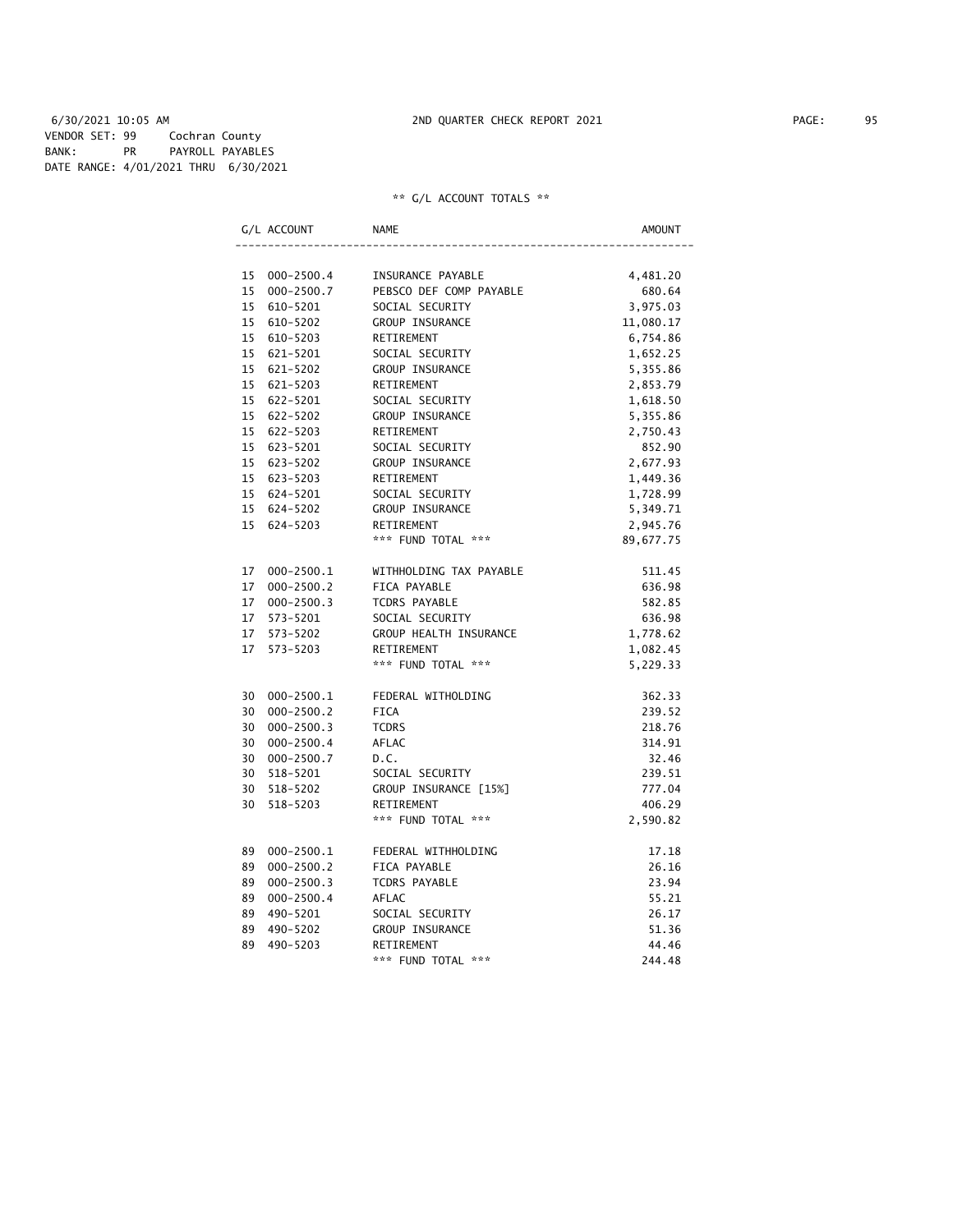6/30/2021 10:05 AM 2ND QUARTER CHECK REPORT 2021 PAGE: 95 VENDOR SET: 99 Cochran County BANK: PR PAYROLL PAYABLES DATE RANGE: 4/01/2021 THRU 6/30/2021

|    | G/L ACCOUNT    | NAME                             | AMOUNT    |
|----|----------------|----------------------------------|-----------|
|    |                |                                  |           |
| 15 | $000 - 2500.4$ | INSURANCE PAYABLE                | 4,481.20  |
| 15 | $000 - 2500.7$ | PEBSCO DEF COMP PAYABLE          | 680.64    |
| 15 | 610-5201       | SOCIAL SECURITY                  | 3,975.03  |
| 15 | 610-5202       | GROUP INSURANCE                  | 11,080.17 |
| 15 | 610-5203       | RETIREMENT                       | 6,754.86  |
| 15 | 621-5201       | SOCIAL SECURITY                  | 1,652.25  |
|    | 15 621-5202    | GROUP INSURANCE                  | 5,355.86  |
| 15 | 621-5203       | RETIREMENT                       | 2,853.79  |
| 15 | 622-5201       | SOCIAL SECURITY                  | 1,618.50  |
|    | 15 622-5202    | GROUP INSURANCE                  | 5,355.86  |
| 15 | 622-5203       | RETIREMENT                       | 2,750.43  |
| 15 | 623-5201       | SOCIAL SECURITY                  | 852.90    |
| 15 | 623-5202       | GROUP INSURANCE                  | 2,677.93  |
|    | 15 623-5203    | RETIREMENT                       | 1,449.36  |
| 15 | 624-5201       | SOCIAL SECURITY                  | 1,728.99  |
| 15 | 624-5202       | GROUP INSURANCE                  | 5,349.71  |
| 15 | 624-5203       | RETIREMENT                       | 2,945.76  |
|    |                | *** FUND TOTAL ***               | 89,677.75 |
|    |                |                                  |           |
| 17 | 000-2500.1     | WITHHOLDING TAX PAYABLE          | 511.45    |
| 17 | $000 - 2500.2$ | FICA PAYABLE                     | 636.98    |
| 17 | $000 - 2500.3$ | TCDRS PAYABLE                    | 582.85    |
| 17 | 573-5201       | SOCIAL SECURITY                  | 636.98    |
| 17 | 573-5202       | GROUP HEALTH INSURANCE           | 1,778.62  |
| 17 | 573-5203       | RETIREMENT                       | 1,082.45  |
|    |                | *** FUND TOTAL ***               | 5,229.33  |
|    |                |                                  |           |
| 30 | 000-2500.1     | FEDERAL WITHOLDING               | 362.33    |
| 30 | $000 - 2500.2$ | FICA                             | 239.52    |
| 30 | $000 - 2500.3$ | <b>TCDRS</b>                     | 218.76    |
| 30 | $000 - 2500.4$ | AFLAC                            | 314.91    |
| 30 | $000 - 2500.7$ | D.C.                             | 32.46     |
| 30 | 518-5201       | SOCIAL SECURITY                  | 239.51    |
| 30 | 518-5202       | GROUP INSURANCE [15%]            | 777.04    |
| 30 | $518 - 5203$   | RETIREMENT                       | 406.29    |
|    |                | *** FUND TOTAL ***               | 2,590.82  |
|    |                |                                  |           |
| 89 | $000 - 2500.1$ | FEDERAL WITHHOLDING              | 17.18     |
| 89 | $000 - 2500.2$ | FICA PAYABLE                     | 26.16     |
| 89 | $000 - 2500.3$ | TCDRS PAYABLE                    | 23.94     |
| 89 | $000 - 2500.4$ | AFLAC                            | 55.21     |
| 89 | 490-5201       | SOCIAL SECURITY                  | 26.17     |
| 89 | 490-5202       |                                  | 51.36     |
|    |                | GROUP INSURANCE                  |           |
| 89 | 490-5203       | RETIREMENT<br>*** FUND TOTAL *** | 44.46     |
|    |                |                                  | 244.48    |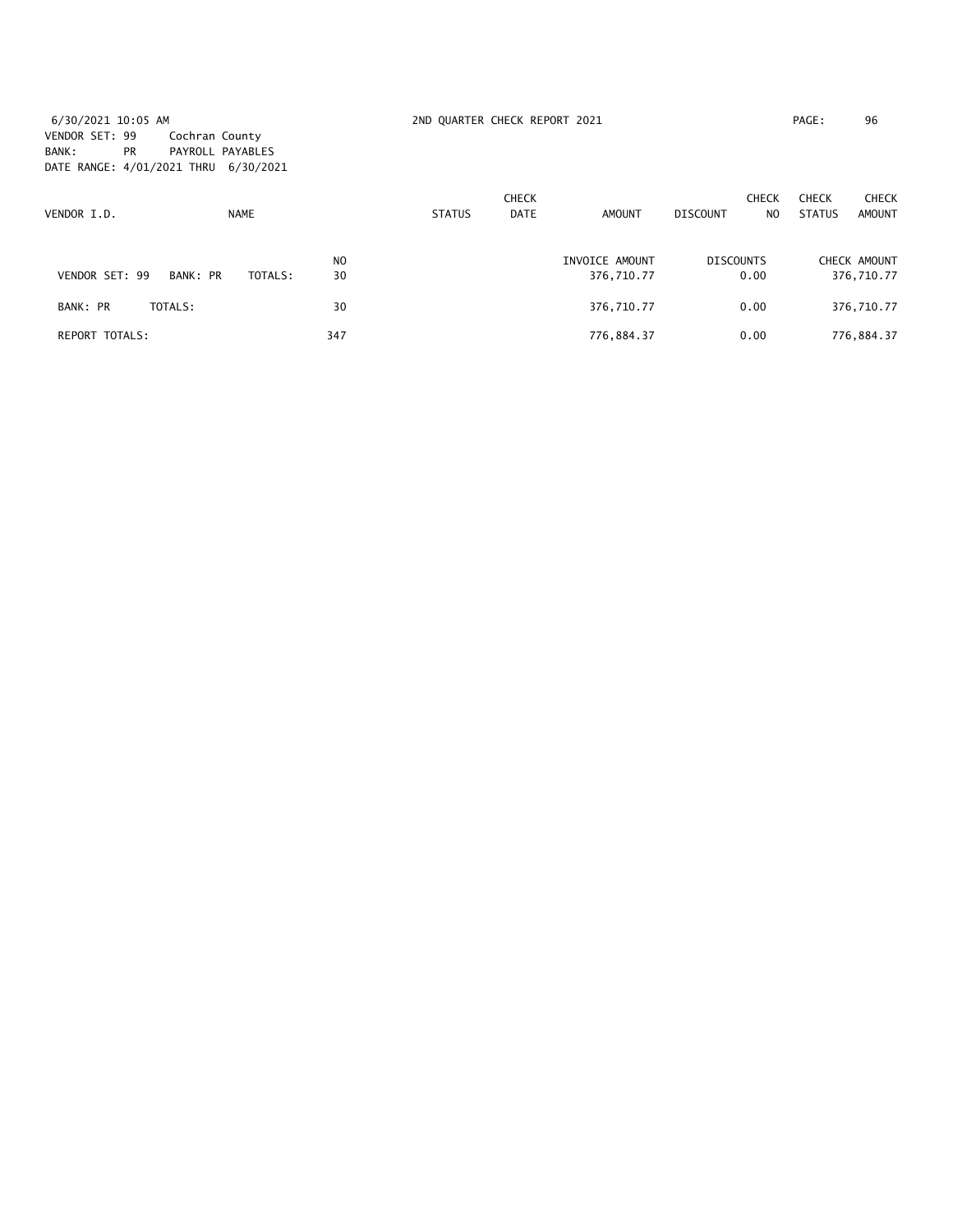6/30/2021 10:05 AM 2ND QUARTER CHECK REPORT 2021 PAGE: 96 VENDOR SET: 99 Cochran County BANK: PR PAYROLL PAYABLES DATE RANGE: 4/01/2021 THRU 6/30/2021

| VENDOR I.D.           |          | <b>NAME</b> |                      | <b>STATUS</b> | <b>CHECK</b><br><b>DATE</b> | <b>AMOUNT</b>                | DISCOUNT                 | <b>CHECK</b><br>N <sub>O</sub> | <b>CHECK</b><br><b>STATUS</b> | <b>CHECK</b><br>AMOUNT |
|-----------------------|----------|-------------|----------------------|---------------|-----------------------------|------------------------------|--------------------------|--------------------------------|-------------------------------|------------------------|
| VENDOR SET: 99        | BANK: PR | TOTALS:     | N <sub>0</sub><br>30 |               |                             | INVOICE AMOUNT<br>376,710.77 | <b>DISCOUNTS</b><br>0.00 |                                | CHECK AMOUNT<br>376,710.77    |                        |
| BANK: PR              | TOTALS:  |             | 30                   |               |                             | 376,710.77                   | 0.00                     |                                | 376,710.77                    |                        |
| <b>REPORT TOTALS:</b> |          |             | 347                  |               |                             | 776,884.37                   | 0.00                     |                                | 776,884.37                    |                        |